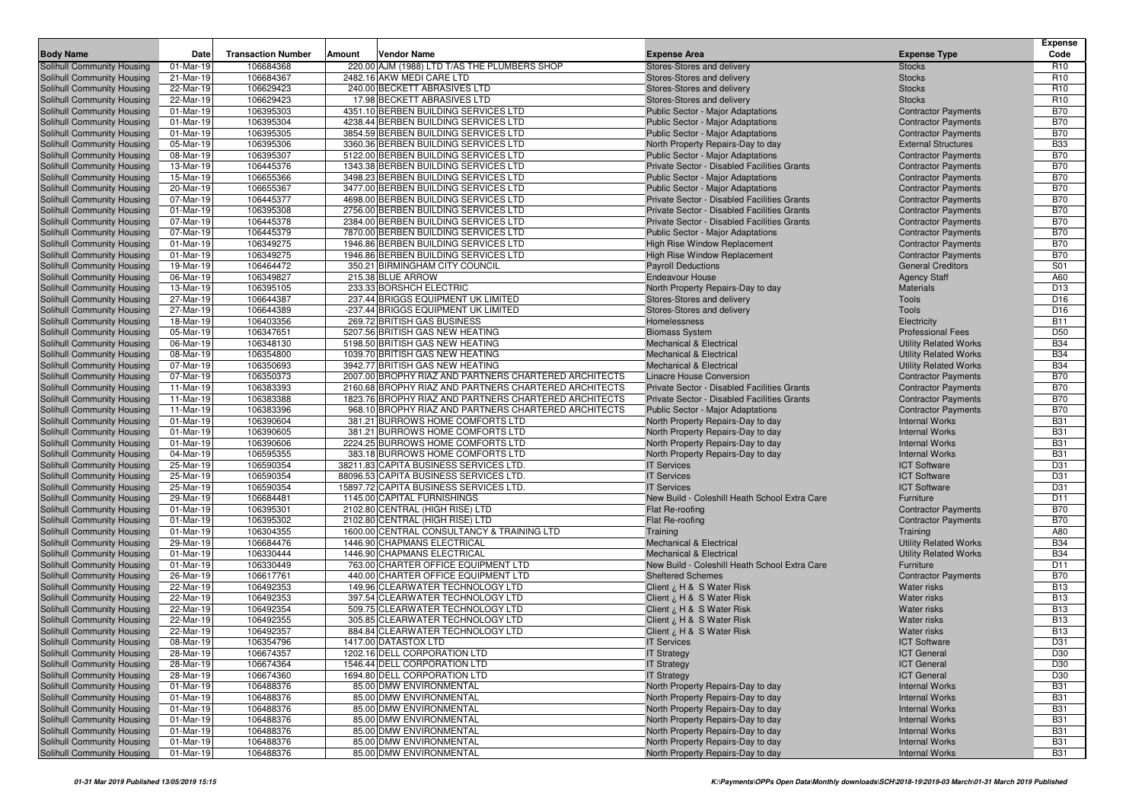|                                                                 |                        |                           |        |                                                                           |                                                             |                                          | <b>Expense</b>    |
|-----------------------------------------------------------------|------------------------|---------------------------|--------|---------------------------------------------------------------------------|-------------------------------------------------------------|------------------------------------------|-------------------|
| <b>Body Name</b>                                                | Date                   | <b>Transaction Number</b> | Amount | Vendor Name                                                               | <b>Expense Area</b>                                         | <b>Expense Type</b>                      | Code              |
| Solihull Community Housing                                      | 01-Mar-19              | 106684368                 |        | 220.00 AJM (1988) LTD T/AS THE PLUMBERS SHOP                              | Stores-Stores and delivery                                  | <b>Stocks</b>                            | R <sub>10</sub>   |
| Solihull Community Housing                                      | 21-Mar-19              | 106684367                 |        | 2482.16 AKW MEDI CARE LTD                                                 | Stores-Stores and delivery                                  | <b>Stocks</b>                            | R <sub>10</sub>   |
| Solihull Community Housing                                      | 22-Mar-19              | 106629423                 |        | 240.00 BECKETT ABRASIVES LTD                                              | Stores-Stores and delivery                                  | <b>Stocks</b>                            | R <sub>10</sub>   |
| Solihull Community Housing                                      | 22-Mar-19              | 106629423                 |        | 17.98 BECKETT ABRASIVES LTD                                               | Stores-Stores and delivery                                  | <b>Stocks</b>                            | R <sub>10</sub>   |
| Solihull Community Housing                                      | 01-Mar-19              | 106395303                 |        | 4351.10 BERBEN BUILDING SERVICES LTD                                      | Public Sector - Major Adaptations                           | <b>Contractor Payments</b>               | <b>B70</b>        |
| Solihull Community Housing                                      | 01-Mar-19              | 106395304                 |        | 4238.44 BERBEN BUILDING SERVICES LTD                                      | Public Sector - Major Adaptations                           | <b>Contractor Payments</b>               | <b>B70</b>        |
| Solihull Community Housing                                      | 01-Mar-19              | 106395305                 |        | 3854.59 BERBEN BUILDING SERVICES LTD                                      | Public Sector - Major Adaptations                           | <b>Contractor Payments</b>               | <b>B70</b>        |
| Solihull Community Housing                                      | 05-Mar-19              | 106395306                 |        | 3360.36 BERBEN BUILDING SERVICES LTD                                      | North Property Repairs-Day to day                           | <b>External Structures</b>               | <b>B33</b>        |
| Solihull Community Housing                                      | 08-Mar-19              | 106395307                 |        | 5122.00 BERBEN BUILDING SERVICES LTD                                      | Public Sector - Major Adaptations                           | <b>Contractor Payments</b>               | <b>B70</b>        |
| Solihull Community Housing                                      | 13-Mar-19              | 106445376                 |        | 1343.38 BERBEN BUILDING SERVICES LTD                                      | Private Sector - Disabled Facilities Grants                 | <b>Contractor Payments</b>               | <b>B70</b>        |
| Solihull Community Housing                                      | 15-Mar-19              | 106655366                 |        | 3498.23 BERBEN BUILDING SERVICES LTD                                      | Public Sector - Major Adaptations                           | <b>Contractor Payments</b>               | <b>B70</b>        |
| Solihull Community Housing                                      | 20-Mar-19              | 106655367                 |        | 3477.00 BERBEN BUILDING SERVICES LTD                                      | Public Sector - Major Adaptations                           | <b>Contractor Payments</b>               | <b>B70</b>        |
| Solihull Community Housing                                      | 07-Mar-19              | 106445377                 |        | 4698.00 BERBEN BUILDING SERVICES LTD                                      | Private Sector - Disabled Facilities Grants                 | <b>Contractor Payments</b>               | <b>B70</b>        |
| Solihull Community Housing                                      | 01-Mar-19              | 106395308                 |        | 2756.00 BERBEN BUILDING SERVICES LTD                                      | Private Sector - Disabled Facilities Grants                 | <b>Contractor Payments</b>               | <b>B70</b>        |
| Solihull Community Housing                                      | 07-Mar-19              | 106445378                 |        | 2384.00 BERBEN BUILDING SERVICES LTD                                      | Private Sector - Disabled Facilities Grants                 | <b>Contractor Payments</b>               | <b>B70</b>        |
| Solihull Community Housing                                      | 07-Mar-19              | 106445379                 |        | 7870.00 BERBEN BUILDING SERVICES LTD                                      | Public Sector - Major Adaptations                           | <b>Contractor Payments</b>               | <b>B70</b>        |
| Solihull Community Housing                                      | 01-Mar-19              | 106349275                 |        | 1946.86 BERBEN BUILDING SERVICES LTD                                      | High Rise Window Replacement                                | <b>Contractor Payments</b>               | <b>B70</b>        |
| Solihull Community Housing                                      | 01-Mar-19              | 106349275                 |        | 1946.86 BERBEN BUILDING SERVICES LTD                                      | High Rise Window Replacement                                | <b>Contractor Payments</b>               | <b>B70</b><br>S01 |
| Solihull Community Housing                                      | 19-Mar-19<br>06-Mar-19 | 106464472<br>106349827    |        | 350.21 BIRMINGHAM CITY COUNCIL<br>215.38 BLUE ARROW                       | <b>Payroll Deductions</b>                                   | <b>General Creditors</b>                 | A60               |
| Solihull Community Housing<br>Solihull Community Housing        | 13-Mar-19              | 106395105                 |        | 233.33 BORSHCH ELECTRIC                                                   | <b>Endeavour House</b><br>North Property Repairs-Day to day | <b>Agency Staff</b><br><b>Materials</b>  | D <sub>13</sub>   |
| Solihull Community Housing                                      | 27-Mar-19              | 106644387                 |        | 237.44 BRIGGS EQUIPMENT UK LIMITED                                        | Stores-Stores and delivery                                  | <b>Tools</b>                             | D <sub>16</sub>   |
| Solihull Community Housing                                      | 27-Mar-19              | 106644389                 |        | -237.44 BRIGGS EQUIPMENT UK LIMITED                                       | Stores-Stores and delivery                                  | Tools                                    | D <sub>16</sub>   |
| Solihull Community Housing                                      | 18-Mar-19              | 106403356                 |        | 269.72 BRITISH GAS BUSINESS                                               | Homelessness                                                | Electricity                              | <b>B11</b>        |
| Solihull Community Housing                                      | 05-Mar-19              | 106347651                 |        | 5207.56 BRITISH GAS NEW HEATING                                           | <b>Biomass System</b>                                       | <b>Professional Fees</b>                 | D <sub>50</sub>   |
| Solihull Community Housing                                      | 06-Mar-19              | 106348130                 |        | 5198.50 BRITISH GAS NEW HEATING                                           | <b>Mechanical &amp; Electrical</b>                          | <b>Utility Related Works</b>             | <b>B34</b>        |
| Solihull Community Housing                                      | 08-Mar-19              | 106354800                 |        | 1039.70 BRITISH GAS NEW HEATING                                           | <b>Mechanical &amp; Electrical</b>                          | <b>Utility Related Works</b>             | <b>B34</b>        |
| Solihull Community Housing                                      | 07-Mar-19              | 106350693                 |        | 3942.77 BRITISH GAS NEW HEATING                                           | <b>Mechanical &amp; Electrical</b>                          | <b>Utility Related Works</b>             | <b>B34</b>        |
| Solihull Community Housing                                      | 07-Mar-19              | 106350373                 |        | 2007.00 BROPHY RIAZ AND PARTNERS CHARTERED ARCHITECTS                     | <b>Linacre House Conversion</b>                             | <b>Contractor Payments</b>               | <b>B70</b>        |
| Solihull Community Housing                                      | 11-Mar-19              | 106383393                 |        | 2160.68 BROPHY RIAZ AND PARTNERS CHARTERED ARCHITECTS                     | Private Sector - Disabled Facilities Grants                 | <b>Contractor Payments</b>               | <b>B70</b>        |
| Solihull Community Housing                                      | 11-Mar-19              | 106383388                 |        | 1823.76 BROPHY RIAZ AND PARTNERS CHARTERED ARCHITECTS                     | Private Sector - Disabled Facilities Grants                 | <b>Contractor Payments</b>               | <b>B70</b>        |
| Solihull Community Housing                                      | 11-Mar-19              | 106383396                 |        | 968.10 BROPHY RIAZ AND PARTNERS CHARTERED ARCHITECTS                      | Public Sector - Major Adaptations                           | <b>Contractor Payments</b>               | <b>B70</b>        |
| Solihull Community Housing                                      | 01-Mar-19              | 106390604                 |        | 381.21 BURROWS HOME COMFORTS LTD                                          | North Property Repairs-Day to day                           | <b>Internal Works</b>                    | <b>B31</b>        |
| Solihull Community Housing                                      | 01-Mar-19              | 106390605                 |        | 381.21 BURROWS HOME COMFORTS LTD                                          | North Property Repairs-Day to day                           | <b>Internal Works</b>                    | <b>B31</b>        |
| Solihull Community Housing                                      | 01-Mar-19              | 106390606                 |        | 2224.25 BURROWS HOME COMFORTS LTD                                         | North Property Repairs-Day to day                           | <b>Internal Works</b>                    | <b>B31</b>        |
| Solihull Community Housing                                      | 04-Mar-19              | 106595355                 |        | 383.18 BURROWS HOME COMFORTS LTD                                          | North Property Repairs-Day to day                           | <b>Internal Works</b>                    | <b>B31</b>        |
| Solihull Community Housing                                      | 25-Mar-19              | 106590354                 |        | 38211.83 CAPITA BUSINESS SERVICES LTD.                                    | <b>IT Services</b>                                          | <b>ICT Software</b>                      | D31               |
| Solihull Community Housing                                      | 25-Mar-19              | 106590354                 |        | 88096.53 CAPITA BUSINESS SERVICES LTD.                                    | <b>IT Services</b>                                          | <b>ICT Software</b>                      | D31               |
| Solihull Community Housing                                      | 25-Mar-19              | 106590354                 |        | 15897.72 CAPITA BUSINESS SERVICES LTD.                                    | <b>IT Services</b>                                          | <b>ICT Software</b>                      | D31               |
| Solihull Community Housing                                      | 29-Mar-19              | 106684481                 |        | 1145.00 CAPITAL FURNISHINGS                                               | New Build - Coleshill Heath School Extra Care               | Furniture                                | D <sub>11</sub>   |
| Solihull Community Housing                                      | 01-Mar-19              | 106395301                 |        | 2102.80 CENTRAL (HIGH RISE) LTD                                           | Flat Re-roofing                                             | <b>Contractor Payments</b>               | <b>B70</b>        |
| Solihull Community Housing                                      | 01-Mar-19              | 106395302                 |        | 2102.80 CENTRAL (HIGH RISE) LTD                                           | Flat Re-roofing                                             | <b>Contractor Payments</b>               | <b>B70</b><br>A80 |
| Solihull Community Housing<br><b>Solihull Community Housing</b> | 01-Mar-19<br>29-Mar-19 | 106304355<br>106684476    |        | 1600.00 CENTRAL CONSULTANCY & TRAINING LTD<br>1446.90 CHAPMANS ELECTRICAL | Training<br><b>Mechanical &amp; Electrical</b>              | Training<br><b>Utility Related Works</b> | <b>B34</b>        |
| Solihull Community Housing                                      | 01-Mar-19              | 106330444                 |        | 1446.90 CHAPMANS ELECTRICAL                                               | <b>Mechanical &amp; Electrical</b>                          | <b>Utility Related Works</b>             | <b>B34</b>        |
| Solihull Community Housing                                      | 01-Mar-19              | 106330449                 |        | 763.00 CHARTER OFFICE EQUIPMENT LTD                                       | New Build - Coleshill Heath School Extra Care               | Furniture                                | D <sub>11</sub>   |
| Solihull Community Housing                                      | 26-Mar-19              | 106617761                 |        | 440.00 CHARTER OFFICE EQUIPMENT LTD                                       | <b>Sheltered Schemes</b>                                    | <b>Contractor Payments</b>               | <b>B70</b>        |
| Solihull Community Housing                                      | 22-Mar-19              | 106492353                 |        | 149.96 CLEARWATER TECHNOLOGY LTD                                          | Client ¿ H & S Water Risk                                   | Water risks                              | <b>B13</b>        |
| Solihull Community Housing                                      | 22-Mar-19              | 106492353                 |        | 397.54 CLEARWATER TECHNOLOGY LTD                                          | Client ¿ H & S Water Risk                                   | Water risks                              | <b>B13</b>        |
| Solihull Community Housing                                      | 22-Mar-19              | 106492354                 |        | 509.75 CLEARWATER TECHNOLOGY LTD                                          | Client ¿ H & S Water Risk                                   | <b>Water risks</b>                       | <b>B13</b>        |
| Solihull Community Housing                                      | 22-Mar-19              | 106492355                 |        | 305.85 CLEARWATER TECHNOLOGY LTD                                          | Client ¿ H & S Water Risk                                   | Water risks                              | <b>B13</b>        |
| Solihull Community Housing                                      | 22-Mar-19              | 106492357                 |        | 884.84 CLEARWATER TECHNOLOGY LTD                                          | Client ¿ H & S Water Risk                                   | Water risks                              | <b>B13</b>        |
| <b>Solihull Community Housing</b>                               | 08-Mar-19              | 106354796                 |        | 1417.00 DATASTOX LTD                                                      | <b>IT Services</b>                                          | <b>ICT Software</b>                      | D31               |
| Solihull Community Housing                                      | 28-Mar-19              | 106674357                 |        | 1202.16 DELL CORPORATION LTD                                              | <b>IT Strategy</b>                                          | <b>ICT General</b>                       | D30               |
| Solihull Community Housing                                      | 28-Mar-19              | 106674364                 |        | 1546.44 DELL CORPORATION LTD                                              | <b>IT Strategy</b>                                          | <b>ICT General</b>                       | D30               |
| Solihull Community Housing                                      | 28-Mar-19              | 106674360                 |        | 1694.80 DELL CORPORATION LTD                                              | <b>IT Strategy</b>                                          | <b>ICT General</b>                       | D30               |
| Solihull Community Housing                                      | 01-Mar-19              | 106488376                 |        | 85.00 DMW ENVIRONMENTAL                                                   | North Property Repairs-Day to day                           | <b>Internal Works</b>                    | <b>B31</b>        |
| Solihull Community Housing                                      | 01-Mar-19              | 106488376                 |        | 85.00 DMW ENVIRONMENTAL                                                   | North Property Repairs-Day to day                           | <b>Internal Works</b>                    | <b>B31</b>        |
| Solihull Community Housing                                      | 01-Mar-19              | 106488376                 |        | 85.00 DMW ENVIRONMENTAL                                                   | North Property Repairs-Day to day                           | <b>Internal Works</b>                    | <b>B31</b>        |
| Solihull Community Housing                                      | 01-Mar-19              | 106488376                 |        | 85.00 DMW ENVIRONMENTAL                                                   | North Property Repairs-Day to day                           | <b>Internal Works</b>                    | <b>B31</b>        |
| Solihull Community Housing                                      | 01-Mar-19              | 106488376                 |        | 85.00 DMW ENVIRONMENTAL                                                   | North Property Repairs-Day to day                           | <b>Internal Works</b>                    | <b>B31</b>        |
| Solihull Community Housing                                      | 01-Mar-19              | 106488376                 |        | 85.00 DMW ENVIRONMENTAL                                                   | North Property Repairs-Day to day                           | <b>Internal Works</b>                    | <b>B31</b>        |
| Solihull Community Housing                                      | 01-Mar-19              | 106488376                 |        | 85.00 DMW ENVIRONMENTAL                                                   | North Property Repairs-Day to day                           | <b>Internal Works</b>                    | <b>B31</b>        |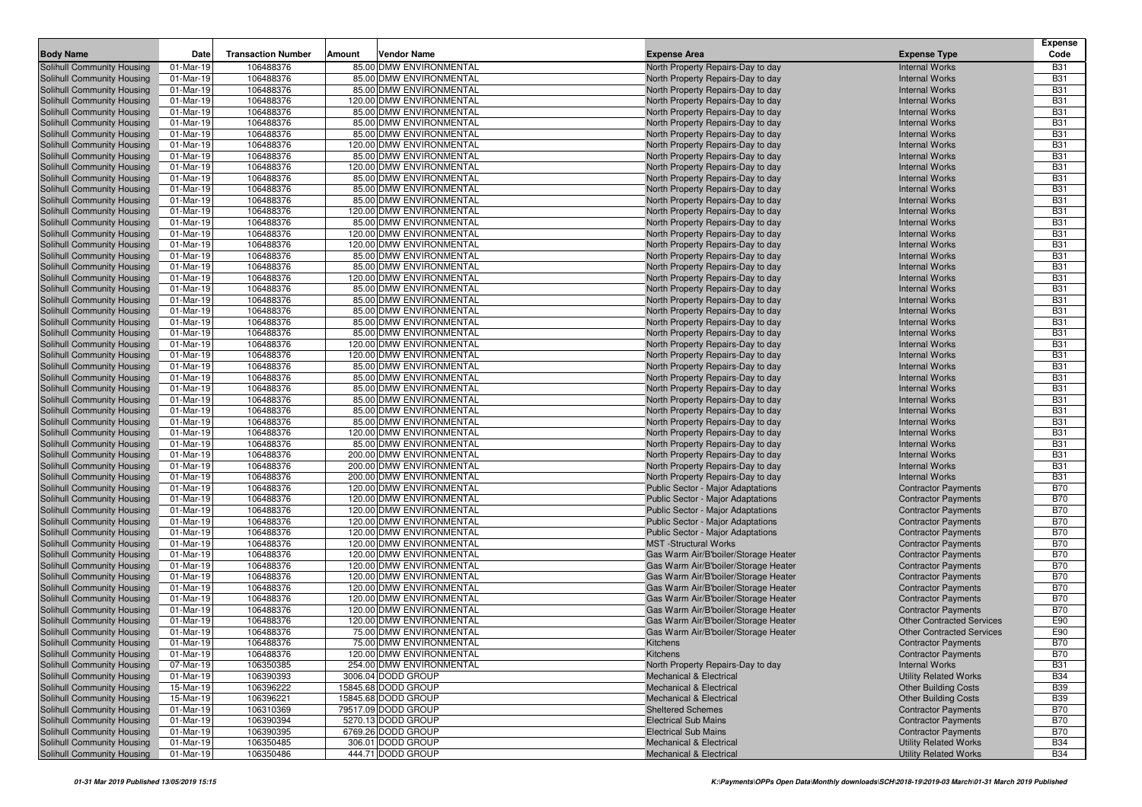| 85.00 DMW ENVIRONMENTAL<br>Solihull Community Housing<br>01-Mar-19<br>106488376<br>North Property Repairs-Day to day<br><b>Internal Works</b><br><b>B31</b><br><b>B31</b><br>106488376<br>85.00 DMW ENVIRONMENTAL<br>Solihull Community Housing<br>01-Mar-19<br>North Property Repairs-Day to day<br><b>Internal Works</b><br>01-Mar-19<br>106488376<br>85.00 DMW ENVIRONMENTAL<br><b>B31</b><br>Solihull Community Housing<br>North Property Repairs-Day to day<br><b>Internal Works</b><br>106488376<br>120.00 DMW ENVIRONMENTAL<br><b>B31</b><br>Solihull Community Housing<br>01-Mar-19<br>North Property Repairs-Day to day<br><b>Internal Works</b><br>01-Mar-19<br>106488376<br>85.00 DMW ENVIRONMENTAL<br><b>B31</b><br>Solihull Community Housing<br>North Property Repairs-Day to day<br><b>Internal Works</b><br><b>B31</b><br>106488376<br>85.00 DMW ENVIRONMENTAL<br>Solihull Community Housing<br>01-Mar-19<br>North Property Repairs-Day to day<br><b>Internal Works</b><br>106488376<br>85.00 DMW ENVIRONMENTAL<br><b>B31</b><br>Solihull Community Housing<br>01-Mar-19<br>North Property Repairs-Day to day<br><b>Internal Works</b><br><b>B31</b><br>Solihull Community Housing<br>01-Mar-19<br>106488376<br>120.00 DMW ENVIRONMENTAL<br>North Property Repairs-Day to day<br><b>Internal Works</b><br><b>B31</b><br>Solihull Community Housing<br>01-Mar-19<br>106488376<br>85.00 DMW ENVIRONMENTAL<br>North Property Repairs-Day to day<br><b>Internal Works</b><br>106488376<br>120.00 DMW ENVIRONMENTAL<br><b>B31</b><br>Solihull Community Housing<br>01-Mar-19<br>North Property Repairs-Day to day<br><b>Internal Works</b><br><b>B31</b><br>106488376<br>85.00 DMW ENVIRONMENTAL<br>Solihull Community Housing<br>01-Mar-19<br>North Property Repairs-Day to day<br><b>Internal Works</b><br>106488376<br>85.00 DMW ENVIRONMENTAL<br>North Property Repairs-Day to day<br><b>B31</b><br>01-Mar-19<br><b>Internal Works</b><br><b>B31</b><br>106488376<br>85.00 DMW ENVIRONMENTAL<br>01-Mar-19<br>North Property Repairs-Day to day<br><b>Internal Works</b><br>106488376<br>120.00 DMW ENVIRONMENTAL<br><b>B31</b><br>01-Mar-19<br>North Property Repairs-Day to day<br><b>Internal Works</b><br>106488376<br>85.00 DMW ENVIRONMENTAL<br>North Property Repairs-Day to day<br><b>B31</b><br>01-Mar-19<br><b>Internal Works</b><br><b>B31</b><br>Solihull Community Housing<br>01-Mar-19<br>106488376<br>120.00 DMW ENVIRONMENTAL<br>North Property Repairs-Day to day<br><b>Internal Works</b><br>106488376<br><b>B31</b><br>01-Mar-19<br>120.00 DMW ENVIRONMENTAL<br>North Property Repairs-Day to day<br><b>Internal Works</b><br>106488376<br><b>B31</b><br>Solihull Community Housing<br>01-Mar-19<br>85.00 DMW ENVIRONMENTAL<br>North Property Repairs-Day to day<br><b>Internal Works</b><br>01-Mar-19<br>106488376<br>85.00 DMW ENVIRONMENTAL<br><b>B31</b><br>Solihull Community Housing<br>North Property Repairs-Day to day<br><b>Internal Works</b><br><b>B31</b><br>106488376<br>120.00 DMW ENVIRONMENTAL<br>Solihull Community Housing<br>01-Mar-19<br>North Property Repairs-Day to day<br><b>Internal Works</b><br>106488376<br>85.00 DMW ENVIRONMENTAL<br><b>B31</b><br>Solihull Community Housing<br>01-Mar-19<br>North Property Repairs-Day to day<br><b>Internal Works</b><br><b>B31</b><br>106488376<br>85.00 DMW ENVIRONMENTAL<br>Solihull Community Housing<br>01-Mar-19<br>North Property Repairs-Day to day<br><b>Internal Works</b><br>106488376<br>85.00 DMW ENVIRONMENTAL<br><b>B31</b><br>Solihull Community Housing<br>01-Mar-19<br>North Property Repairs-Day to day<br><b>Internal Works</b><br><b>B31</b><br>106488376<br>85.00 DMW ENVIRONMENTAL<br>Solihull Community Housing<br>01-Mar-19<br>North Property Repairs-Day to day<br><b>Internal Works</b><br>Solihull Community Housing<br>106488376<br>85.00 DMW ENVIRONMENTAL<br><b>B31</b><br>01-Mar-19<br>North Property Repairs-Day to day<br><b>Internal Works</b><br>106488376<br>120.00 DMW ENVIRONMENTAL<br><b>B31</b><br>Solihull Community Housing<br>01-Mar-19<br>North Property Repairs-Day to day<br><b>Internal Works</b><br><b>B31</b><br>01-Mar-19<br>Solihull Community Housing<br>106488376<br>120.00 DMW ENVIRONMENTAL<br>North Property Repairs-Day to day<br><b>Internal Works</b><br>106488376<br>85.00 DMW ENVIRONMENTAL<br><b>B31</b><br>Solihull Community Housing<br>01-Mar-19<br>North Property Repairs-Day to day<br><b>Internal Works</b><br>106488376<br>85.00 DMW ENVIRONMENTAL<br><b>B31</b><br>Solihull Community Housing<br>01-Mar-19<br>North Property Repairs-Day to day<br><b>Internal Works</b><br>106488376<br>85.00 DMW ENVIRONMENTAL<br><b>B31</b><br>01-Mar-19<br>North Property Repairs-Day to day<br><b>Internal Works</b><br><b>B31</b><br>106488376<br>85.00 DMW ENVIRONMENTAL<br>01-Mar-19<br>North Property Repairs-Day to day<br><b>Internal Works</b><br>106488376<br>85.00 DMW ENVIRONMENTAL<br><b>B31</b><br>01-Mar-19<br>North Property Repairs-Day to day<br><b>Internal Works</b><br><b>B31</b><br>01-Mar-19<br>106488376<br>85.00 DMW ENVIRONMENTAL<br>North Property Repairs-Day to day<br><b>Internal Works</b><br><b>B31</b><br>01-Mar-19<br>106488376<br>120.00 DMW ENVIRONMENTAL<br>North Property Repairs-Day to day<br><b>Internal Works</b><br>106488376<br>85.00 DMW ENVIRONMENTAL<br><b>B31</b><br>01-Mar-19<br>North Property Repairs-Day to day<br><b>Internal Works</b><br>106488376<br>200.00 DMW ENVIRONMENTAL<br><b>B31</b><br>Solihull Community Housing<br>01-Mar-19<br>North Property Repairs-Day to day<br><b>Internal Works</b><br>106488376<br>200.00 DMW ENVIRONMENTAL<br><b>Internal Works</b><br><b>B31</b><br>Solihull Community Housing<br>01-Mar-19<br>North Property Repairs-Day to day<br><b>B31</b><br>01-Mar-19<br>106488376<br>200.00 DMW ENVIRONMENTAL<br>Solihull Community Housing<br>North Property Repairs-Day to day<br><b>Internal Works</b><br>106488376<br>120.00 DMW ENVIRONMENTAL<br><b>B70</b><br>Solihull Community Housing<br>01-Mar-19<br><b>Public Sector - Major Adaptations</b><br><b>Contractor Payments</b><br>106488376<br>120.00 DMW ENVIRONMENTAL<br><b>B70</b><br>Solihull Community Housing<br>01-Mar-19<br>Public Sector - Major Adaptations<br><b>Contractor Payments</b><br><b>B70</b><br>Solihull Community Housing<br>01-Mar-19<br>106488376<br>120.00 DMW ENVIRONMENTAL<br>Public Sector - Major Adaptations<br><b>Contractor Payments</b><br>120.00 DMW ENVIRONMENTAL<br><b>B70</b><br>Solihull Community Housing<br>01-Mar-19<br>106488376<br>Public Sector - Major Adaptations<br><b>Contractor Payments</b><br>106488376<br><b>B70</b><br>Solihull Community Housing<br>01-Mar-19<br>120.00 DMW ENVIRONMENTAL<br>Public Sector - Major Adaptations<br><b>Contractor Payments</b><br>$\overline{0}$ 1-Mar-19<br>106488376<br>120.00 DMW ENVIRONMENTAL<br><b>MST</b> -Structural Works<br><b>B70</b><br>Solihull Community Housing<br><b>Contractor Payments</b><br><b>B70</b><br>106488376<br>120.00 DMW ENVIRONMENTAL<br>Solihull Community Housing<br>01-Mar-19<br>Gas Warm Air/B'boiler/Storage Heater<br><b>Contractor Payments</b><br>106488376<br>120.00 DMW ENVIRONMENTAL<br>Gas Warm Air/B'boiler/Storage Heater<br><b>B70</b><br>01-Mar-19<br><b>Contractor Payments</b><br>106488376<br>120.00 DMW ENVIRONMENTAL<br><b>B70</b><br>01-Mar-19<br>Gas Warm Air/B'boiler/Storage Heater<br><b>Contractor Payments</b><br>106488376<br>120.00 DMW ENVIRONMENTAL<br><b>B70</b><br>01-Mar-19<br>Gas Warm Air/B'boiler/Storage Heater<br><b>Contractor Payments</b><br><b>B70</b><br>106488376<br>120.00 DMW ENVIRONMENTAL<br>Gas Warm Air/B'boiler/Storage Heater<br>01-Mar-19<br><b>Contractor Payments</b><br>120.00 DMW ENVIRONMENTAL<br>Gas Warm Air/B'boiler/Storage Heater<br><b>B70</b><br>01-Mar-19<br>106488376<br><b>Contractor Payments</b><br>01-Mar-19<br>106488376<br>120.00 DMW ENVIRONMENTAL<br>E90<br>Solihull Community Housing<br>Gas Warm Air/B'boiler/Storage Heater<br><b>Other Contracted Services</b><br>E90<br>Solihull Community Housing<br>106488376<br>75.00 DMW ENVIRONMENTAL<br>01-Mar-19<br>Gas Warm Air/B'boiler/Storage Heater<br><b>Other Contracted Services</b><br>Solihull Community Housing<br>01-Mar-19<br>106488376<br>75.00 DMW ENVIRONMENTAL<br><b>B70</b><br><b>Kitchens</b><br><b>Contractor Payments</b><br><b>B70</b><br>Solihull Community Housing<br>Kitchens<br><b>Contractor Payments</b><br>01-Mar-19<br>106488376<br>120.00 DMW ENVIRONMENTAL<br>Solihull Community Housing<br>07-Mar-19<br>106350385<br>254.00 DMW ENVIRONMENTAL<br>North Property Repairs-Day to day<br><b>Internal Works</b><br><b>B31</b><br>Solihull Community Housing<br>01-Mar-19<br>106390393<br>3006.04 DODD GROUP<br><b>Utility Related Works</b><br><b>B34</b><br><b>Mechanical &amp; Electrical</b><br>15845.68 DODD GROUP<br>Solihull Community Housing<br>15-Mar-19<br>106396222<br><b>Other Building Costs</b><br><b>B39</b><br><b>Mechanical &amp; Electrical</b><br>106396221<br>15845.68 DODD GROUP<br>Solihull Community Housing<br>15-Mar-19<br><b>Other Building Costs</b><br><b>B39</b><br><b>Mechanical &amp; Electrical</b><br>79517.09 DODD GROUP<br>Solihull Community Housing<br>01-Mar-19<br>106310369<br><b>Sheltered Schemes</b><br><b>Contractor Payments</b><br><b>B70</b><br>Solihull Community Housing<br>106390394<br>5270.13 DODD GROUP<br><b>Electrical Sub Mains</b><br><b>Contractor Payments</b><br><b>B70</b><br>01-Mar-19<br>Solihull Community Housing<br>106390395<br>6769.26 DODD GROUP<br><b>Contractor Payments</b><br><b>B70</b><br>01-Mar-19<br><b>Electrical Sub Mains</b><br>306.01 DODD GROUP<br>Solihull Community Housing<br>01-Mar-19<br>106350485<br><b>Mechanical &amp; Electrical</b><br><b>Utility Related Works</b><br><b>B34</b><br>Solihull Community Housing<br>01-Mar-19<br>106350486<br>444.71 DODD GROUP<br><b>Utility Related Works</b><br><b>B34</b><br>Mechanical & Electrical |                            |      |                           |        |             |                     |                     | <b>Expense</b> |
|--------------------------------------------------------------------------------------------------------------------------------------------------------------------------------------------------------------------------------------------------------------------------------------------------------------------------------------------------------------------------------------------------------------------------------------------------------------------------------------------------------------------------------------------------------------------------------------------------------------------------------------------------------------------------------------------------------------------------------------------------------------------------------------------------------------------------------------------------------------------------------------------------------------------------------------------------------------------------------------------------------------------------------------------------------------------------------------------------------------------------------------------------------------------------------------------------------------------------------------------------------------------------------------------------------------------------------------------------------------------------------------------------------------------------------------------------------------------------------------------------------------------------------------------------------------------------------------------------------------------------------------------------------------------------------------------------------------------------------------------------------------------------------------------------------------------------------------------------------------------------------------------------------------------------------------------------------------------------------------------------------------------------------------------------------------------------------------------------------------------------------------------------------------------------------------------------------------------------------------------------------------------------------------------------------------------------------------------------------------------------------------------------------------------------------------------------------------------------------------------------------------------------------------------------------------------------------------------------------------------------------------------------------------------------------------------------------------------------------------------------------------------------------------------------------------------------------------------------------------------------------------------------------------------------------------------------------------------------------------------------------------------------------------------------------------------------------------------------------------------------------------------------------------------------------------------------------------------------------------------------------------------------------------------------------------------------------------------------------------------------------------------------------------------------------------------------------------------------------------------------------------------------------------------------------------------------------------------------------------------------------------------------------------------------------------------------------------------------------------------------------------------------------------------------------------------------------------------------------------------------------------------------------------------------------------------------------------------------------------------------------------------------------------------------------------------------------------------------------------------------------------------------------------------------------------------------------------------------------------------------------------------------------------------------------------------------------------------------------------------------------------------------------------------------------------------------------------------------------------------------------------------------------------------------------------------------------------------------------------------------------------------------------------------------------------------------------------------------------------------------------------------------------------------------------------------------------------------------------------------------------------------------------------------------------------------------------------------------------------------------------------------------------------------------------------------------------------------------------------------------------------------------------------------------------------------------------------------------------------------------------------------------------------------------------------------------------------------------------------------------------------------------------------------------------------------------------------------------------------------------------------------------------------------------------------------------------------------------------------------------------------------------------------------------------------------------------------------------------------------------------------------------------------------------------------------------------------------------------------------------------------------------------------------------------------------------------------------------------------------------------------------------------------------------------------------------------------------------------------------------------------------------------------------------------------------------------------------------------------------------------------------------------------------------------------------------------------------------------------------------------------------------------------------------------------------------------------------------------------------------------------------------------------------------------------------------------------------------------------------------------------------------------------------------------------------------------------------------------------------------------------------------------------------------------------------------------------------------------------------------------------------------------------------------------------------------------------------------------------------------------------------------------------------------------------------------------------------------------------------------------------------------------------------------------------------------------------------------------------------------------------------------------------------------------------------------------------------------------------------------------------------------------------------------------------------------------------------------------------------------------------------------------------------------------------------------------------------------------------------------------------------------------------------------------------------------------------------------------------------------------------------------------------------------------------------------------------------------------------------------------------------------------------------------------------------------------------------------------------------------------------------------------------------------------------------------------------------------------------------------------------------------------------------------------------------------------------------------------------------------------------------------------------------------------------------------------------------------------------------------------------------------------------------------------------------------------------------------------------------------------------------------------------------------------------------------------------------------------------------------------------------------------------------------------------------------------------------------------------------------------------------------------------------------------------------------------------------------------------------------------------------------------------------------------------------------------------------------------------------------------------------------------------------------------------------------------------------------------------------------------------------------------------------------------------------------------------------------------------------------------------------------------------------------------------------------------------------------------------------------------------------------------------------------------------------------------------------------------------------------------------------------------------------------------------------------------------------------------------------------------------------------------------------------------------------------------------------------------------------------------------------------------------------------------------------------------------------------------------------------------------------------------------------------------------------------------------------------------------------------------------------|----------------------------|------|---------------------------|--------|-------------|---------------------|---------------------|----------------|
|                                                                                                                                                                                                                                                                                                                                                                                                                                                                                                                                                                                                                                                                                                                                                                                                                                                                                                                                                                                                                                                                                                                                                                                                                                                                                                                                                                                                                                                                                                                                                                                                                                                                                                                                                                                                                                                                                                                                                                                                                                                                                                                                                                                                                                                                                                                                                                                                                                                                                                                                                                                                                                                                                                                                                                                                                                                                                                                                                                                                                                                                                                                                                                                                                                                                                                                                                                                                                                                                                                                                                                                                                                                                                                                                                                                                                                                                                                                                                                                                                                                                                                                                                                                                                                                                                                                                                                                                                                                                                                                                                                                                                                                                                                                                                                                                                                                                                                                                                                                                                                                                                                                                                                                                                                                                                                                                                                                                                                                                                                                                                                                                                                                                                                                                                                                                                                                                                                                                                                                                                                                                                                                                                                                                                                                                                                                                                                                                                                                                                                                                                                                                                                                                                                                                                                                                                                                                                                                                                                                                                                                                                                                                                                                                                                                                                                                                                                                                                                                                                                                                                                                                                                                                                                                                                                                                                                                                                                                                                                                                                                                                                                                                                                                                                                                                                                                                                                                                                                                                                                                                                                                                                                                                                                                                                                                                                                                                                                                                                                                                                                                                                                                                                                                                                                                                                                                                                                                                                                                                                                                                                                                                                                                                                                                                                                                                                                                                                                                                                                                                                    | <b>Body Name</b>           | Date | <b>Transaction Number</b> | Amount | Vendor Name | <b>Expense Area</b> | <b>Expense Type</b> | Code           |
|                                                                                                                                                                                                                                                                                                                                                                                                                                                                                                                                                                                                                                                                                                                                                                                                                                                                                                                                                                                                                                                                                                                                                                                                                                                                                                                                                                                                                                                                                                                                                                                                                                                                                                                                                                                                                                                                                                                                                                                                                                                                                                                                                                                                                                                                                                                                                                                                                                                                                                                                                                                                                                                                                                                                                                                                                                                                                                                                                                                                                                                                                                                                                                                                                                                                                                                                                                                                                                                                                                                                                                                                                                                                                                                                                                                                                                                                                                                                                                                                                                                                                                                                                                                                                                                                                                                                                                                                                                                                                                                                                                                                                                                                                                                                                                                                                                                                                                                                                                                                                                                                                                                                                                                                                                                                                                                                                                                                                                                                                                                                                                                                                                                                                                                                                                                                                                                                                                                                                                                                                                                                                                                                                                                                                                                                                                                                                                                                                                                                                                                                                                                                                                                                                                                                                                                                                                                                                                                                                                                                                                                                                                                                                                                                                                                                                                                                                                                                                                                                                                                                                                                                                                                                                                                                                                                                                                                                                                                                                                                                                                                                                                                                                                                                                                                                                                                                                                                                                                                                                                                                                                                                                                                                                                                                                                                                                                                                                                                                                                                                                                                                                                                                                                                                                                                                                                                                                                                                                                                                                                                                                                                                                                                                                                                                                                                                                                                                                                                                                                                                                    |                            |      |                           |        |             |                     |                     |                |
|                                                                                                                                                                                                                                                                                                                                                                                                                                                                                                                                                                                                                                                                                                                                                                                                                                                                                                                                                                                                                                                                                                                                                                                                                                                                                                                                                                                                                                                                                                                                                                                                                                                                                                                                                                                                                                                                                                                                                                                                                                                                                                                                                                                                                                                                                                                                                                                                                                                                                                                                                                                                                                                                                                                                                                                                                                                                                                                                                                                                                                                                                                                                                                                                                                                                                                                                                                                                                                                                                                                                                                                                                                                                                                                                                                                                                                                                                                                                                                                                                                                                                                                                                                                                                                                                                                                                                                                                                                                                                                                                                                                                                                                                                                                                                                                                                                                                                                                                                                                                                                                                                                                                                                                                                                                                                                                                                                                                                                                                                                                                                                                                                                                                                                                                                                                                                                                                                                                                                                                                                                                                                                                                                                                                                                                                                                                                                                                                                                                                                                                                                                                                                                                                                                                                                                                                                                                                                                                                                                                                                                                                                                                                                                                                                                                                                                                                                                                                                                                                                                                                                                                                                                                                                                                                                                                                                                                                                                                                                                                                                                                                                                                                                                                                                                                                                                                                                                                                                                                                                                                                                                                                                                                                                                                                                                                                                                                                                                                                                                                                                                                                                                                                                                                                                                                                                                                                                                                                                                                                                                                                                                                                                                                                                                                                                                                                                                                                                                                                                                                                                    |                            |      |                           |        |             |                     |                     |                |
|                                                                                                                                                                                                                                                                                                                                                                                                                                                                                                                                                                                                                                                                                                                                                                                                                                                                                                                                                                                                                                                                                                                                                                                                                                                                                                                                                                                                                                                                                                                                                                                                                                                                                                                                                                                                                                                                                                                                                                                                                                                                                                                                                                                                                                                                                                                                                                                                                                                                                                                                                                                                                                                                                                                                                                                                                                                                                                                                                                                                                                                                                                                                                                                                                                                                                                                                                                                                                                                                                                                                                                                                                                                                                                                                                                                                                                                                                                                                                                                                                                                                                                                                                                                                                                                                                                                                                                                                                                                                                                                                                                                                                                                                                                                                                                                                                                                                                                                                                                                                                                                                                                                                                                                                                                                                                                                                                                                                                                                                                                                                                                                                                                                                                                                                                                                                                                                                                                                                                                                                                                                                                                                                                                                                                                                                                                                                                                                                                                                                                                                                                                                                                                                                                                                                                                                                                                                                                                                                                                                                                                                                                                                                                                                                                                                                                                                                                                                                                                                                                                                                                                                                                                                                                                                                                                                                                                                                                                                                                                                                                                                                                                                                                                                                                                                                                                                                                                                                                                                                                                                                                                                                                                                                                                                                                                                                                                                                                                                                                                                                                                                                                                                                                                                                                                                                                                                                                                                                                                                                                                                                                                                                                                                                                                                                                                                                                                                                                                                                                                                                                    |                            |      |                           |        |             |                     |                     |                |
|                                                                                                                                                                                                                                                                                                                                                                                                                                                                                                                                                                                                                                                                                                                                                                                                                                                                                                                                                                                                                                                                                                                                                                                                                                                                                                                                                                                                                                                                                                                                                                                                                                                                                                                                                                                                                                                                                                                                                                                                                                                                                                                                                                                                                                                                                                                                                                                                                                                                                                                                                                                                                                                                                                                                                                                                                                                                                                                                                                                                                                                                                                                                                                                                                                                                                                                                                                                                                                                                                                                                                                                                                                                                                                                                                                                                                                                                                                                                                                                                                                                                                                                                                                                                                                                                                                                                                                                                                                                                                                                                                                                                                                                                                                                                                                                                                                                                                                                                                                                                                                                                                                                                                                                                                                                                                                                                                                                                                                                                                                                                                                                                                                                                                                                                                                                                                                                                                                                                                                                                                                                                                                                                                                                                                                                                                                                                                                                                                                                                                                                                                                                                                                                                                                                                                                                                                                                                                                                                                                                                                                                                                                                                                                                                                                                                                                                                                                                                                                                                                                                                                                                                                                                                                                                                                                                                                                                                                                                                                                                                                                                                                                                                                                                                                                                                                                                                                                                                                                                                                                                                                                                                                                                                                                                                                                                                                                                                                                                                                                                                                                                                                                                                                                                                                                                                                                                                                                                                                                                                                                                                                                                                                                                                                                                                                                                                                                                                                                                                                                                                                    |                            |      |                           |        |             |                     |                     |                |
|                                                                                                                                                                                                                                                                                                                                                                                                                                                                                                                                                                                                                                                                                                                                                                                                                                                                                                                                                                                                                                                                                                                                                                                                                                                                                                                                                                                                                                                                                                                                                                                                                                                                                                                                                                                                                                                                                                                                                                                                                                                                                                                                                                                                                                                                                                                                                                                                                                                                                                                                                                                                                                                                                                                                                                                                                                                                                                                                                                                                                                                                                                                                                                                                                                                                                                                                                                                                                                                                                                                                                                                                                                                                                                                                                                                                                                                                                                                                                                                                                                                                                                                                                                                                                                                                                                                                                                                                                                                                                                                                                                                                                                                                                                                                                                                                                                                                                                                                                                                                                                                                                                                                                                                                                                                                                                                                                                                                                                                                                                                                                                                                                                                                                                                                                                                                                                                                                                                                                                                                                                                                                                                                                                                                                                                                                                                                                                                                                                                                                                                                                                                                                                                                                                                                                                                                                                                                                                                                                                                                                                                                                                                                                                                                                                                                                                                                                                                                                                                                                                                                                                                                                                                                                                                                                                                                                                                                                                                                                                                                                                                                                                                                                                                                                                                                                                                                                                                                                                                                                                                                                                                                                                                                                                                                                                                                                                                                                                                                                                                                                                                                                                                                                                                                                                                                                                                                                                                                                                                                                                                                                                                                                                                                                                                                                                                                                                                                                                                                                                                                                    |                            |      |                           |        |             |                     |                     |                |
|                                                                                                                                                                                                                                                                                                                                                                                                                                                                                                                                                                                                                                                                                                                                                                                                                                                                                                                                                                                                                                                                                                                                                                                                                                                                                                                                                                                                                                                                                                                                                                                                                                                                                                                                                                                                                                                                                                                                                                                                                                                                                                                                                                                                                                                                                                                                                                                                                                                                                                                                                                                                                                                                                                                                                                                                                                                                                                                                                                                                                                                                                                                                                                                                                                                                                                                                                                                                                                                                                                                                                                                                                                                                                                                                                                                                                                                                                                                                                                                                                                                                                                                                                                                                                                                                                                                                                                                                                                                                                                                                                                                                                                                                                                                                                                                                                                                                                                                                                                                                                                                                                                                                                                                                                                                                                                                                                                                                                                                                                                                                                                                                                                                                                                                                                                                                                                                                                                                                                                                                                                                                                                                                                                                                                                                                                                                                                                                                                                                                                                                                                                                                                                                                                                                                                                                                                                                                                                                                                                                                                                                                                                                                                                                                                                                                                                                                                                                                                                                                                                                                                                                                                                                                                                                                                                                                                                                                                                                                                                                                                                                                                                                                                                                                                                                                                                                                                                                                                                                                                                                                                                                                                                                                                                                                                                                                                                                                                                                                                                                                                                                                                                                                                                                                                                                                                                                                                                                                                                                                                                                                                                                                                                                                                                                                                                                                                                                                                                                                                                                                                    |                            |      |                           |        |             |                     |                     |                |
|                                                                                                                                                                                                                                                                                                                                                                                                                                                                                                                                                                                                                                                                                                                                                                                                                                                                                                                                                                                                                                                                                                                                                                                                                                                                                                                                                                                                                                                                                                                                                                                                                                                                                                                                                                                                                                                                                                                                                                                                                                                                                                                                                                                                                                                                                                                                                                                                                                                                                                                                                                                                                                                                                                                                                                                                                                                                                                                                                                                                                                                                                                                                                                                                                                                                                                                                                                                                                                                                                                                                                                                                                                                                                                                                                                                                                                                                                                                                                                                                                                                                                                                                                                                                                                                                                                                                                                                                                                                                                                                                                                                                                                                                                                                                                                                                                                                                                                                                                                                                                                                                                                                                                                                                                                                                                                                                                                                                                                                                                                                                                                                                                                                                                                                                                                                                                                                                                                                                                                                                                                                                                                                                                                                                                                                                                                                                                                                                                                                                                                                                                                                                                                                                                                                                                                                                                                                                                                                                                                                                                                                                                                                                                                                                                                                                                                                                                                                                                                                                                                                                                                                                                                                                                                                                                                                                                                                                                                                                                                                                                                                                                                                                                                                                                                                                                                                                                                                                                                                                                                                                                                                                                                                                                                                                                                                                                                                                                                                                                                                                                                                                                                                                                                                                                                                                                                                                                                                                                                                                                                                                                                                                                                                                                                                                                                                                                                                                                                                                                                                                                    |                            |      |                           |        |             |                     |                     |                |
|                                                                                                                                                                                                                                                                                                                                                                                                                                                                                                                                                                                                                                                                                                                                                                                                                                                                                                                                                                                                                                                                                                                                                                                                                                                                                                                                                                                                                                                                                                                                                                                                                                                                                                                                                                                                                                                                                                                                                                                                                                                                                                                                                                                                                                                                                                                                                                                                                                                                                                                                                                                                                                                                                                                                                                                                                                                                                                                                                                                                                                                                                                                                                                                                                                                                                                                                                                                                                                                                                                                                                                                                                                                                                                                                                                                                                                                                                                                                                                                                                                                                                                                                                                                                                                                                                                                                                                                                                                                                                                                                                                                                                                                                                                                                                                                                                                                                                                                                                                                                                                                                                                                                                                                                                                                                                                                                                                                                                                                                                                                                                                                                                                                                                                                                                                                                                                                                                                                                                                                                                                                                                                                                                                                                                                                                                                                                                                                                                                                                                                                                                                                                                                                                                                                                                                                                                                                                                                                                                                                                                                                                                                                                                                                                                                                                                                                                                                                                                                                                                                                                                                                                                                                                                                                                                                                                                                                                                                                                                                                                                                                                                                                                                                                                                                                                                                                                                                                                                                                                                                                                                                                                                                                                                                                                                                                                                                                                                                                                                                                                                                                                                                                                                                                                                                                                                                                                                                                                                                                                                                                                                                                                                                                                                                                                                                                                                                                                                                                                                                                                                    |                            |      |                           |        |             |                     |                     |                |
|                                                                                                                                                                                                                                                                                                                                                                                                                                                                                                                                                                                                                                                                                                                                                                                                                                                                                                                                                                                                                                                                                                                                                                                                                                                                                                                                                                                                                                                                                                                                                                                                                                                                                                                                                                                                                                                                                                                                                                                                                                                                                                                                                                                                                                                                                                                                                                                                                                                                                                                                                                                                                                                                                                                                                                                                                                                                                                                                                                                                                                                                                                                                                                                                                                                                                                                                                                                                                                                                                                                                                                                                                                                                                                                                                                                                                                                                                                                                                                                                                                                                                                                                                                                                                                                                                                                                                                                                                                                                                                                                                                                                                                                                                                                                                                                                                                                                                                                                                                                                                                                                                                                                                                                                                                                                                                                                                                                                                                                                                                                                                                                                                                                                                                                                                                                                                                                                                                                                                                                                                                                                                                                                                                                                                                                                                                                                                                                                                                                                                                                                                                                                                                                                                                                                                                                                                                                                                                                                                                                                                                                                                                                                                                                                                                                                                                                                                                                                                                                                                                                                                                                                                                                                                                                                                                                                                                                                                                                                                                                                                                                                                                                                                                                                                                                                                                                                                                                                                                                                                                                                                                                                                                                                                                                                                                                                                                                                                                                                                                                                                                                                                                                                                                                                                                                                                                                                                                                                                                                                                                                                                                                                                                                                                                                                                                                                                                                                                                                                                                                                                    |                            |      |                           |        |             |                     |                     |                |
|                                                                                                                                                                                                                                                                                                                                                                                                                                                                                                                                                                                                                                                                                                                                                                                                                                                                                                                                                                                                                                                                                                                                                                                                                                                                                                                                                                                                                                                                                                                                                                                                                                                                                                                                                                                                                                                                                                                                                                                                                                                                                                                                                                                                                                                                                                                                                                                                                                                                                                                                                                                                                                                                                                                                                                                                                                                                                                                                                                                                                                                                                                                                                                                                                                                                                                                                                                                                                                                                                                                                                                                                                                                                                                                                                                                                                                                                                                                                                                                                                                                                                                                                                                                                                                                                                                                                                                                                                                                                                                                                                                                                                                                                                                                                                                                                                                                                                                                                                                                                                                                                                                                                                                                                                                                                                                                                                                                                                                                                                                                                                                                                                                                                                                                                                                                                                                                                                                                                                                                                                                                                                                                                                                                                                                                                                                                                                                                                                                                                                                                                                                                                                                                                                                                                                                                                                                                                                                                                                                                                                                                                                                                                                                                                                                                                                                                                                                                                                                                                                                                                                                                                                                                                                                                                                                                                                                                                                                                                                                                                                                                                                                                                                                                                                                                                                                                                                                                                                                                                                                                                                                                                                                                                                                                                                                                                                                                                                                                                                                                                                                                                                                                                                                                                                                                                                                                                                                                                                                                                                                                                                                                                                                                                                                                                                                                                                                                                                                                                                                                                                    |                            |      |                           |        |             |                     |                     |                |
|                                                                                                                                                                                                                                                                                                                                                                                                                                                                                                                                                                                                                                                                                                                                                                                                                                                                                                                                                                                                                                                                                                                                                                                                                                                                                                                                                                                                                                                                                                                                                                                                                                                                                                                                                                                                                                                                                                                                                                                                                                                                                                                                                                                                                                                                                                                                                                                                                                                                                                                                                                                                                                                                                                                                                                                                                                                                                                                                                                                                                                                                                                                                                                                                                                                                                                                                                                                                                                                                                                                                                                                                                                                                                                                                                                                                                                                                                                                                                                                                                                                                                                                                                                                                                                                                                                                                                                                                                                                                                                                                                                                                                                                                                                                                                                                                                                                                                                                                                                                                                                                                                                                                                                                                                                                                                                                                                                                                                                                                                                                                                                                                                                                                                                                                                                                                                                                                                                                                                                                                                                                                                                                                                                                                                                                                                                                                                                                                                                                                                                                                                                                                                                                                                                                                                                                                                                                                                                                                                                                                                                                                                                                                                                                                                                                                                                                                                                                                                                                                                                                                                                                                                                                                                                                                                                                                                                                                                                                                                                                                                                                                                                                                                                                                                                                                                                                                                                                                                                                                                                                                                                                                                                                                                                                                                                                                                                                                                                                                                                                                                                                                                                                                                                                                                                                                                                                                                                                                                                                                                                                                                                                                                                                                                                                                                                                                                                                                                                                                                                                                                    | Solihull Community Housing |      |                           |        |             |                     |                     |                |
|                                                                                                                                                                                                                                                                                                                                                                                                                                                                                                                                                                                                                                                                                                                                                                                                                                                                                                                                                                                                                                                                                                                                                                                                                                                                                                                                                                                                                                                                                                                                                                                                                                                                                                                                                                                                                                                                                                                                                                                                                                                                                                                                                                                                                                                                                                                                                                                                                                                                                                                                                                                                                                                                                                                                                                                                                                                                                                                                                                                                                                                                                                                                                                                                                                                                                                                                                                                                                                                                                                                                                                                                                                                                                                                                                                                                                                                                                                                                                                                                                                                                                                                                                                                                                                                                                                                                                                                                                                                                                                                                                                                                                                                                                                                                                                                                                                                                                                                                                                                                                                                                                                                                                                                                                                                                                                                                                                                                                                                                                                                                                                                                                                                                                                                                                                                                                                                                                                                                                                                                                                                                                                                                                                                                                                                                                                                                                                                                                                                                                                                                                                                                                                                                                                                                                                                                                                                                                                                                                                                                                                                                                                                                                                                                                                                                                                                                                                                                                                                                                                                                                                                                                                                                                                                                                                                                                                                                                                                                                                                                                                                                                                                                                                                                                                                                                                                                                                                                                                                                                                                                                                                                                                                                                                                                                                                                                                                                                                                                                                                                                                                                                                                                                                                                                                                                                                                                                                                                                                                                                                                                                                                                                                                                                                                                                                                                                                                                                                                                                                                                                    | Solihull Community Housing |      |                           |        |             |                     |                     |                |
|                                                                                                                                                                                                                                                                                                                                                                                                                                                                                                                                                                                                                                                                                                                                                                                                                                                                                                                                                                                                                                                                                                                                                                                                                                                                                                                                                                                                                                                                                                                                                                                                                                                                                                                                                                                                                                                                                                                                                                                                                                                                                                                                                                                                                                                                                                                                                                                                                                                                                                                                                                                                                                                                                                                                                                                                                                                                                                                                                                                                                                                                                                                                                                                                                                                                                                                                                                                                                                                                                                                                                                                                                                                                                                                                                                                                                                                                                                                                                                                                                                                                                                                                                                                                                                                                                                                                                                                                                                                                                                                                                                                                                                                                                                                                                                                                                                                                                                                                                                                                                                                                                                                                                                                                                                                                                                                                                                                                                                                                                                                                                                                                                                                                                                                                                                                                                                                                                                                                                                                                                                                                                                                                                                                                                                                                                                                                                                                                                                                                                                                                                                                                                                                                                                                                                                                                                                                                                                                                                                                                                                                                                                                                                                                                                                                                                                                                                                                                                                                                                                                                                                                                                                                                                                                                                                                                                                                                                                                                                                                                                                                                                                                                                                                                                                                                                                                                                                                                                                                                                                                                                                                                                                                                                                                                                                                                                                                                                                                                                                                                                                                                                                                                                                                                                                                                                                                                                                                                                                                                                                                                                                                                                                                                                                                                                                                                                                                                                                                                                                                                                    | Solihull Community Housing |      |                           |        |             |                     |                     |                |
|                                                                                                                                                                                                                                                                                                                                                                                                                                                                                                                                                                                                                                                                                                                                                                                                                                                                                                                                                                                                                                                                                                                                                                                                                                                                                                                                                                                                                                                                                                                                                                                                                                                                                                                                                                                                                                                                                                                                                                                                                                                                                                                                                                                                                                                                                                                                                                                                                                                                                                                                                                                                                                                                                                                                                                                                                                                                                                                                                                                                                                                                                                                                                                                                                                                                                                                                                                                                                                                                                                                                                                                                                                                                                                                                                                                                                                                                                                                                                                                                                                                                                                                                                                                                                                                                                                                                                                                                                                                                                                                                                                                                                                                                                                                                                                                                                                                                                                                                                                                                                                                                                                                                                                                                                                                                                                                                                                                                                                                                                                                                                                                                                                                                                                                                                                                                                                                                                                                                                                                                                                                                                                                                                                                                                                                                                                                                                                                                                                                                                                                                                                                                                                                                                                                                                                                                                                                                                                                                                                                                                                                                                                                                                                                                                                                                                                                                                                                                                                                                                                                                                                                                                                                                                                                                                                                                                                                                                                                                                                                                                                                                                                                                                                                                                                                                                                                                                                                                                                                                                                                                                                                                                                                                                                                                                                                                                                                                                                                                                                                                                                                                                                                                                                                                                                                                                                                                                                                                                                                                                                                                                                                                                                                                                                                                                                                                                                                                                                                                                                                                                    | Solihull Community Housing |      |                           |        |             |                     |                     |                |
|                                                                                                                                                                                                                                                                                                                                                                                                                                                                                                                                                                                                                                                                                                                                                                                                                                                                                                                                                                                                                                                                                                                                                                                                                                                                                                                                                                                                                                                                                                                                                                                                                                                                                                                                                                                                                                                                                                                                                                                                                                                                                                                                                                                                                                                                                                                                                                                                                                                                                                                                                                                                                                                                                                                                                                                                                                                                                                                                                                                                                                                                                                                                                                                                                                                                                                                                                                                                                                                                                                                                                                                                                                                                                                                                                                                                                                                                                                                                                                                                                                                                                                                                                                                                                                                                                                                                                                                                                                                                                                                                                                                                                                                                                                                                                                                                                                                                                                                                                                                                                                                                                                                                                                                                                                                                                                                                                                                                                                                                                                                                                                                                                                                                                                                                                                                                                                                                                                                                                                                                                                                                                                                                                                                                                                                                                                                                                                                                                                                                                                                                                                                                                                                                                                                                                                                                                                                                                                                                                                                                                                                                                                                                                                                                                                                                                                                                                                                                                                                                                                                                                                                                                                                                                                                                                                                                                                                                                                                                                                                                                                                                                                                                                                                                                                                                                                                                                                                                                                                                                                                                                                                                                                                                                                                                                                                                                                                                                                                                                                                                                                                                                                                                                                                                                                                                                                                                                                                                                                                                                                                                                                                                                                                                                                                                                                                                                                                                                                                                                                                                                    |                            |      |                           |        |             |                     |                     |                |
|                                                                                                                                                                                                                                                                                                                                                                                                                                                                                                                                                                                                                                                                                                                                                                                                                                                                                                                                                                                                                                                                                                                                                                                                                                                                                                                                                                                                                                                                                                                                                                                                                                                                                                                                                                                                                                                                                                                                                                                                                                                                                                                                                                                                                                                                                                                                                                                                                                                                                                                                                                                                                                                                                                                                                                                                                                                                                                                                                                                                                                                                                                                                                                                                                                                                                                                                                                                                                                                                                                                                                                                                                                                                                                                                                                                                                                                                                                                                                                                                                                                                                                                                                                                                                                                                                                                                                                                                                                                                                                                                                                                                                                                                                                                                                                                                                                                                                                                                                                                                                                                                                                                                                                                                                                                                                                                                                                                                                                                                                                                                                                                                                                                                                                                                                                                                                                                                                                                                                                                                                                                                                                                                                                                                                                                                                                                                                                                                                                                                                                                                                                                                                                                                                                                                                                                                                                                                                                                                                                                                                                                                                                                                                                                                                                                                                                                                                                                                                                                                                                                                                                                                                                                                                                                                                                                                                                                                                                                                                                                                                                                                                                                                                                                                                                                                                                                                                                                                                                                                                                                                                                                                                                                                                                                                                                                                                                                                                                                                                                                                                                                                                                                                                                                                                                                                                                                                                                                                                                                                                                                                                                                                                                                                                                                                                                                                                                                                                                                                                                                                                    | Solihull Community Housing |      |                           |        |             |                     |                     |                |
|                                                                                                                                                                                                                                                                                                                                                                                                                                                                                                                                                                                                                                                                                                                                                                                                                                                                                                                                                                                                                                                                                                                                                                                                                                                                                                                                                                                                                                                                                                                                                                                                                                                                                                                                                                                                                                                                                                                                                                                                                                                                                                                                                                                                                                                                                                                                                                                                                                                                                                                                                                                                                                                                                                                                                                                                                                                                                                                                                                                                                                                                                                                                                                                                                                                                                                                                                                                                                                                                                                                                                                                                                                                                                                                                                                                                                                                                                                                                                                                                                                                                                                                                                                                                                                                                                                                                                                                                                                                                                                                                                                                                                                                                                                                                                                                                                                                                                                                                                                                                                                                                                                                                                                                                                                                                                                                                                                                                                                                                                                                                                                                                                                                                                                                                                                                                                                                                                                                                                                                                                                                                                                                                                                                                                                                                                                                                                                                                                                                                                                                                                                                                                                                                                                                                                                                                                                                                                                                                                                                                                                                                                                                                                                                                                                                                                                                                                                                                                                                                                                                                                                                                                                                                                                                                                                                                                                                                                                                                                                                                                                                                                                                                                                                                                                                                                                                                                                                                                                                                                                                                                                                                                                                                                                                                                                                                                                                                                                                                                                                                                                                                                                                                                                                                                                                                                                                                                                                                                                                                                                                                                                                                                                                                                                                                                                                                                                                                                                                                                                                                                    |                            |      |                           |        |             |                     |                     |                |
|                                                                                                                                                                                                                                                                                                                                                                                                                                                                                                                                                                                                                                                                                                                                                                                                                                                                                                                                                                                                                                                                                                                                                                                                                                                                                                                                                                                                                                                                                                                                                                                                                                                                                                                                                                                                                                                                                                                                                                                                                                                                                                                                                                                                                                                                                                                                                                                                                                                                                                                                                                                                                                                                                                                                                                                                                                                                                                                                                                                                                                                                                                                                                                                                                                                                                                                                                                                                                                                                                                                                                                                                                                                                                                                                                                                                                                                                                                                                                                                                                                                                                                                                                                                                                                                                                                                                                                                                                                                                                                                                                                                                                                                                                                                                                                                                                                                                                                                                                                                                                                                                                                                                                                                                                                                                                                                                                                                                                                                                                                                                                                                                                                                                                                                                                                                                                                                                                                                                                                                                                                                                                                                                                                                                                                                                                                                                                                                                                                                                                                                                                                                                                                                                                                                                                                                                                                                                                                                                                                                                                                                                                                                                                                                                                                                                                                                                                                                                                                                                                                                                                                                                                                                                                                                                                                                                                                                                                                                                                                                                                                                                                                                                                                                                                                                                                                                                                                                                                                                                                                                                                                                                                                                                                                                                                                                                                                                                                                                                                                                                                                                                                                                                                                                                                                                                                                                                                                                                                                                                                                                                                                                                                                                                                                                                                                                                                                                                                                                                                                                                                    |                            |      |                           |        |             |                     |                     |                |
|                                                                                                                                                                                                                                                                                                                                                                                                                                                                                                                                                                                                                                                                                                                                                                                                                                                                                                                                                                                                                                                                                                                                                                                                                                                                                                                                                                                                                                                                                                                                                                                                                                                                                                                                                                                                                                                                                                                                                                                                                                                                                                                                                                                                                                                                                                                                                                                                                                                                                                                                                                                                                                                                                                                                                                                                                                                                                                                                                                                                                                                                                                                                                                                                                                                                                                                                                                                                                                                                                                                                                                                                                                                                                                                                                                                                                                                                                                                                                                                                                                                                                                                                                                                                                                                                                                                                                                                                                                                                                                                                                                                                                                                                                                                                                                                                                                                                                                                                                                                                                                                                                                                                                                                                                                                                                                                                                                                                                                                                                                                                                                                                                                                                                                                                                                                                                                                                                                                                                                                                                                                                                                                                                                                                                                                                                                                                                                                                                                                                                                                                                                                                                                                                                                                                                                                                                                                                                                                                                                                                                                                                                                                                                                                                                                                                                                                                                                                                                                                                                                                                                                                                                                                                                                                                                                                                                                                                                                                                                                                                                                                                                                                                                                                                                                                                                                                                                                                                                                                                                                                                                                                                                                                                                                                                                                                                                                                                                                                                                                                                                                                                                                                                                                                                                                                                                                                                                                                                                                                                                                                                                                                                                                                                                                                                                                                                                                                                                                                                                                                                                    |                            |      |                           |        |             |                     |                     |                |
|                                                                                                                                                                                                                                                                                                                                                                                                                                                                                                                                                                                                                                                                                                                                                                                                                                                                                                                                                                                                                                                                                                                                                                                                                                                                                                                                                                                                                                                                                                                                                                                                                                                                                                                                                                                                                                                                                                                                                                                                                                                                                                                                                                                                                                                                                                                                                                                                                                                                                                                                                                                                                                                                                                                                                                                                                                                                                                                                                                                                                                                                                                                                                                                                                                                                                                                                                                                                                                                                                                                                                                                                                                                                                                                                                                                                                                                                                                                                                                                                                                                                                                                                                                                                                                                                                                                                                                                                                                                                                                                                                                                                                                                                                                                                                                                                                                                                                                                                                                                                                                                                                                                                                                                                                                                                                                                                                                                                                                                                                                                                                                                                                                                                                                                                                                                                                                                                                                                                                                                                                                                                                                                                                                                                                                                                                                                                                                                                                                                                                                                                                                                                                                                                                                                                                                                                                                                                                                                                                                                                                                                                                                                                                                                                                                                                                                                                                                                                                                                                                                                                                                                                                                                                                                                                                                                                                                                                                                                                                                                                                                                                                                                                                                                                                                                                                                                                                                                                                                                                                                                                                                                                                                                                                                                                                                                                                                                                                                                                                                                                                                                                                                                                                                                                                                                                                                                                                                                                                                                                                                                                                                                                                                                                                                                                                                                                                                                                                                                                                                                                                    |                            |      |                           |        |             |                     |                     |                |
|                                                                                                                                                                                                                                                                                                                                                                                                                                                                                                                                                                                                                                                                                                                                                                                                                                                                                                                                                                                                                                                                                                                                                                                                                                                                                                                                                                                                                                                                                                                                                                                                                                                                                                                                                                                                                                                                                                                                                                                                                                                                                                                                                                                                                                                                                                                                                                                                                                                                                                                                                                                                                                                                                                                                                                                                                                                                                                                                                                                                                                                                                                                                                                                                                                                                                                                                                                                                                                                                                                                                                                                                                                                                                                                                                                                                                                                                                                                                                                                                                                                                                                                                                                                                                                                                                                                                                                                                                                                                                                                                                                                                                                                                                                                                                                                                                                                                                                                                                                                                                                                                                                                                                                                                                                                                                                                                                                                                                                                                                                                                                                                                                                                                                                                                                                                                                                                                                                                                                                                                                                                                                                                                                                                                                                                                                                                                                                                                                                                                                                                                                                                                                                                                                                                                                                                                                                                                                                                                                                                                                                                                                                                                                                                                                                                                                                                                                                                                                                                                                                                                                                                                                                                                                                                                                                                                                                                                                                                                                                                                                                                                                                                                                                                                                                                                                                                                                                                                                                                                                                                                                                                                                                                                                                                                                                                                                                                                                                                                                                                                                                                                                                                                                                                                                                                                                                                                                                                                                                                                                                                                                                                                                                                                                                                                                                                                                                                                                                                                                                                                                    |                            |      |                           |        |             |                     |                     |                |
|                                                                                                                                                                                                                                                                                                                                                                                                                                                                                                                                                                                                                                                                                                                                                                                                                                                                                                                                                                                                                                                                                                                                                                                                                                                                                                                                                                                                                                                                                                                                                                                                                                                                                                                                                                                                                                                                                                                                                                                                                                                                                                                                                                                                                                                                                                                                                                                                                                                                                                                                                                                                                                                                                                                                                                                                                                                                                                                                                                                                                                                                                                                                                                                                                                                                                                                                                                                                                                                                                                                                                                                                                                                                                                                                                                                                                                                                                                                                                                                                                                                                                                                                                                                                                                                                                                                                                                                                                                                                                                                                                                                                                                                                                                                                                                                                                                                                                                                                                                                                                                                                                                                                                                                                                                                                                                                                                                                                                                                                                                                                                                                                                                                                                                                                                                                                                                                                                                                                                                                                                                                                                                                                                                                                                                                                                                                                                                                                                                                                                                                                                                                                                                                                                                                                                                                                                                                                                                                                                                                                                                                                                                                                                                                                                                                                                                                                                                                                                                                                                                                                                                                                                                                                                                                                                                                                                                                                                                                                                                                                                                                                                                                                                                                                                                                                                                                                                                                                                                                                                                                                                                                                                                                                                                                                                                                                                                                                                                                                                                                                                                                                                                                                                                                                                                                                                                                                                                                                                                                                                                                                                                                                                                                                                                                                                                                                                                                                                                                                                                                                                    |                            |      |                           |        |             |                     |                     |                |
|                                                                                                                                                                                                                                                                                                                                                                                                                                                                                                                                                                                                                                                                                                                                                                                                                                                                                                                                                                                                                                                                                                                                                                                                                                                                                                                                                                                                                                                                                                                                                                                                                                                                                                                                                                                                                                                                                                                                                                                                                                                                                                                                                                                                                                                                                                                                                                                                                                                                                                                                                                                                                                                                                                                                                                                                                                                                                                                                                                                                                                                                                                                                                                                                                                                                                                                                                                                                                                                                                                                                                                                                                                                                                                                                                                                                                                                                                                                                                                                                                                                                                                                                                                                                                                                                                                                                                                                                                                                                                                                                                                                                                                                                                                                                                                                                                                                                                                                                                                                                                                                                                                                                                                                                                                                                                                                                                                                                                                                                                                                                                                                                                                                                                                                                                                                                                                                                                                                                                                                                                                                                                                                                                                                                                                                                                                                                                                                                                                                                                                                                                                                                                                                                                                                                                                                                                                                                                                                                                                                                                                                                                                                                                                                                                                                                                                                                                                                                                                                                                                                                                                                                                                                                                                                                                                                                                                                                                                                                                                                                                                                                                                                                                                                                                                                                                                                                                                                                                                                                                                                                                                                                                                                                                                                                                                                                                                                                                                                                                                                                                                                                                                                                                                                                                                                                                                                                                                                                                                                                                                                                                                                                                                                                                                                                                                                                                                                                                                                                                                                                                    |                            |      |                           |        |             |                     |                     |                |
|                                                                                                                                                                                                                                                                                                                                                                                                                                                                                                                                                                                                                                                                                                                                                                                                                                                                                                                                                                                                                                                                                                                                                                                                                                                                                                                                                                                                                                                                                                                                                                                                                                                                                                                                                                                                                                                                                                                                                                                                                                                                                                                                                                                                                                                                                                                                                                                                                                                                                                                                                                                                                                                                                                                                                                                                                                                                                                                                                                                                                                                                                                                                                                                                                                                                                                                                                                                                                                                                                                                                                                                                                                                                                                                                                                                                                                                                                                                                                                                                                                                                                                                                                                                                                                                                                                                                                                                                                                                                                                                                                                                                                                                                                                                                                                                                                                                                                                                                                                                                                                                                                                                                                                                                                                                                                                                                                                                                                                                                                                                                                                                                                                                                                                                                                                                                                                                                                                                                                                                                                                                                                                                                                                                                                                                                                                                                                                                                                                                                                                                                                                                                                                                                                                                                                                                                                                                                                                                                                                                                                                                                                                                                                                                                                                                                                                                                                                                                                                                                                                                                                                                                                                                                                                                                                                                                                                                                                                                                                                                                                                                                                                                                                                                                                                                                                                                                                                                                                                                                                                                                                                                                                                                                                                                                                                                                                                                                                                                                                                                                                                                                                                                                                                                                                                                                                                                                                                                                                                                                                                                                                                                                                                                                                                                                                                                                                                                                                                                                                                                                                    |                            |      |                           |        |             |                     |                     |                |
|                                                                                                                                                                                                                                                                                                                                                                                                                                                                                                                                                                                                                                                                                                                                                                                                                                                                                                                                                                                                                                                                                                                                                                                                                                                                                                                                                                                                                                                                                                                                                                                                                                                                                                                                                                                                                                                                                                                                                                                                                                                                                                                                                                                                                                                                                                                                                                                                                                                                                                                                                                                                                                                                                                                                                                                                                                                                                                                                                                                                                                                                                                                                                                                                                                                                                                                                                                                                                                                                                                                                                                                                                                                                                                                                                                                                                                                                                                                                                                                                                                                                                                                                                                                                                                                                                                                                                                                                                                                                                                                                                                                                                                                                                                                                                                                                                                                                                                                                                                                                                                                                                                                                                                                                                                                                                                                                                                                                                                                                                                                                                                                                                                                                                                                                                                                                                                                                                                                                                                                                                                                                                                                                                                                                                                                                                                                                                                                                                                                                                                                                                                                                                                                                                                                                                                                                                                                                                                                                                                                                                                                                                                                                                                                                                                                                                                                                                                                                                                                                                                                                                                                                                                                                                                                                                                                                                                                                                                                                                                                                                                                                                                                                                                                                                                                                                                                                                                                                                                                                                                                                                                                                                                                                                                                                                                                                                                                                                                                                                                                                                                                                                                                                                                                                                                                                                                                                                                                                                                                                                                                                                                                                                                                                                                                                                                                                                                                                                                                                                                                                                    |                            |      |                           |        |             |                     |                     |                |
|                                                                                                                                                                                                                                                                                                                                                                                                                                                                                                                                                                                                                                                                                                                                                                                                                                                                                                                                                                                                                                                                                                                                                                                                                                                                                                                                                                                                                                                                                                                                                                                                                                                                                                                                                                                                                                                                                                                                                                                                                                                                                                                                                                                                                                                                                                                                                                                                                                                                                                                                                                                                                                                                                                                                                                                                                                                                                                                                                                                                                                                                                                                                                                                                                                                                                                                                                                                                                                                                                                                                                                                                                                                                                                                                                                                                                                                                                                                                                                                                                                                                                                                                                                                                                                                                                                                                                                                                                                                                                                                                                                                                                                                                                                                                                                                                                                                                                                                                                                                                                                                                                                                                                                                                                                                                                                                                                                                                                                                                                                                                                                                                                                                                                                                                                                                                                                                                                                                                                                                                                                                                                                                                                                                                                                                                                                                                                                                                                                                                                                                                                                                                                                                                                                                                                                                                                                                                                                                                                                                                                                                                                                                                                                                                                                                                                                                                                                                                                                                                                                                                                                                                                                                                                                                                                                                                                                                                                                                                                                                                                                                                                                                                                                                                                                                                                                                                                                                                                                                                                                                                                                                                                                                                                                                                                                                                                                                                                                                                                                                                                                                                                                                                                                                                                                                                                                                                                                                                                                                                                                                                                                                                                                                                                                                                                                                                                                                                                                                                                                                                                    |                            |      |                           |        |             |                     |                     |                |
|                                                                                                                                                                                                                                                                                                                                                                                                                                                                                                                                                                                                                                                                                                                                                                                                                                                                                                                                                                                                                                                                                                                                                                                                                                                                                                                                                                                                                                                                                                                                                                                                                                                                                                                                                                                                                                                                                                                                                                                                                                                                                                                                                                                                                                                                                                                                                                                                                                                                                                                                                                                                                                                                                                                                                                                                                                                                                                                                                                                                                                                                                                                                                                                                                                                                                                                                                                                                                                                                                                                                                                                                                                                                                                                                                                                                                                                                                                                                                                                                                                                                                                                                                                                                                                                                                                                                                                                                                                                                                                                                                                                                                                                                                                                                                                                                                                                                                                                                                                                                                                                                                                                                                                                                                                                                                                                                                                                                                                                                                                                                                                                                                                                                                                                                                                                                                                                                                                                                                                                                                                                                                                                                                                                                                                                                                                                                                                                                                                                                                                                                                                                                                                                                                                                                                                                                                                                                                                                                                                                                                                                                                                                                                                                                                                                                                                                                                                                                                                                                                                                                                                                                                                                                                                                                                                                                                                                                                                                                                                                                                                                                                                                                                                                                                                                                                                                                                                                                                                                                                                                                                                                                                                                                                                                                                                                                                                                                                                                                                                                                                                                                                                                                                                                                                                                                                                                                                                                                                                                                                                                                                                                                                                                                                                                                                                                                                                                                                                                                                                                                                    |                            |      |                           |        |             |                     |                     |                |
|                                                                                                                                                                                                                                                                                                                                                                                                                                                                                                                                                                                                                                                                                                                                                                                                                                                                                                                                                                                                                                                                                                                                                                                                                                                                                                                                                                                                                                                                                                                                                                                                                                                                                                                                                                                                                                                                                                                                                                                                                                                                                                                                                                                                                                                                                                                                                                                                                                                                                                                                                                                                                                                                                                                                                                                                                                                                                                                                                                                                                                                                                                                                                                                                                                                                                                                                                                                                                                                                                                                                                                                                                                                                                                                                                                                                                                                                                                                                                                                                                                                                                                                                                                                                                                                                                                                                                                                                                                                                                                                                                                                                                                                                                                                                                                                                                                                                                                                                                                                                                                                                                                                                                                                                                                                                                                                                                                                                                                                                                                                                                                                                                                                                                                                                                                                                                                                                                                                                                                                                                                                                                                                                                                                                                                                                                                                                                                                                                                                                                                                                                                                                                                                                                                                                                                                                                                                                                                                                                                                                                                                                                                                                                                                                                                                                                                                                                                                                                                                                                                                                                                                                                                                                                                                                                                                                                                                                                                                                                                                                                                                                                                                                                                                                                                                                                                                                                                                                                                                                                                                                                                                                                                                                                                                                                                                                                                                                                                                                                                                                                                                                                                                                                                                                                                                                                                                                                                                                                                                                                                                                                                                                                                                                                                                                                                                                                                                                                                                                                                                                                    | Solihull Community Housing |      |                           |        |             |                     |                     |                |
|                                                                                                                                                                                                                                                                                                                                                                                                                                                                                                                                                                                                                                                                                                                                                                                                                                                                                                                                                                                                                                                                                                                                                                                                                                                                                                                                                                                                                                                                                                                                                                                                                                                                                                                                                                                                                                                                                                                                                                                                                                                                                                                                                                                                                                                                                                                                                                                                                                                                                                                                                                                                                                                                                                                                                                                                                                                                                                                                                                                                                                                                                                                                                                                                                                                                                                                                                                                                                                                                                                                                                                                                                                                                                                                                                                                                                                                                                                                                                                                                                                                                                                                                                                                                                                                                                                                                                                                                                                                                                                                                                                                                                                                                                                                                                                                                                                                                                                                                                                                                                                                                                                                                                                                                                                                                                                                                                                                                                                                                                                                                                                                                                                                                                                                                                                                                                                                                                                                                                                                                                                                                                                                                                                                                                                                                                                                                                                                                                                                                                                                                                                                                                                                                                                                                                                                                                                                                                                                                                                                                                                                                                                                                                                                                                                                                                                                                                                                                                                                                                                                                                                                                                                                                                                                                                                                                                                                                                                                                                                                                                                                                                                                                                                                                                                                                                                                                                                                                                                                                                                                                                                                                                                                                                                                                                                                                                                                                                                                                                                                                                                                                                                                                                                                                                                                                                                                                                                                                                                                                                                                                                                                                                                                                                                                                                                                                                                                                                                                                                                                                                    | Solihull Community Housing |      |                           |        |             |                     |                     |                |
|                                                                                                                                                                                                                                                                                                                                                                                                                                                                                                                                                                                                                                                                                                                                                                                                                                                                                                                                                                                                                                                                                                                                                                                                                                                                                                                                                                                                                                                                                                                                                                                                                                                                                                                                                                                                                                                                                                                                                                                                                                                                                                                                                                                                                                                                                                                                                                                                                                                                                                                                                                                                                                                                                                                                                                                                                                                                                                                                                                                                                                                                                                                                                                                                                                                                                                                                                                                                                                                                                                                                                                                                                                                                                                                                                                                                                                                                                                                                                                                                                                                                                                                                                                                                                                                                                                                                                                                                                                                                                                                                                                                                                                                                                                                                                                                                                                                                                                                                                                                                                                                                                                                                                                                                                                                                                                                                                                                                                                                                                                                                                                                                                                                                                                                                                                                                                                                                                                                                                                                                                                                                                                                                                                                                                                                                                                                                                                                                                                                                                                                                                                                                                                                                                                                                                                                                                                                                                                                                                                                                                                                                                                                                                                                                                                                                                                                                                                                                                                                                                                                                                                                                                                                                                                                                                                                                                                                                                                                                                                                                                                                                                                                                                                                                                                                                                                                                                                                                                                                                                                                                                                                                                                                                                                                                                                                                                                                                                                                                                                                                                                                                                                                                                                                                                                                                                                                                                                                                                                                                                                                                                                                                                                                                                                                                                                                                                                                                                                                                                                                                                    | Solihull Community Housing |      |                           |        |             |                     |                     |                |
|                                                                                                                                                                                                                                                                                                                                                                                                                                                                                                                                                                                                                                                                                                                                                                                                                                                                                                                                                                                                                                                                                                                                                                                                                                                                                                                                                                                                                                                                                                                                                                                                                                                                                                                                                                                                                                                                                                                                                                                                                                                                                                                                                                                                                                                                                                                                                                                                                                                                                                                                                                                                                                                                                                                                                                                                                                                                                                                                                                                                                                                                                                                                                                                                                                                                                                                                                                                                                                                                                                                                                                                                                                                                                                                                                                                                                                                                                                                                                                                                                                                                                                                                                                                                                                                                                                                                                                                                                                                                                                                                                                                                                                                                                                                                                                                                                                                                                                                                                                                                                                                                                                                                                                                                                                                                                                                                                                                                                                                                                                                                                                                                                                                                                                                                                                                                                                                                                                                                                                                                                                                                                                                                                                                                                                                                                                                                                                                                                                                                                                                                                                                                                                                                                                                                                                                                                                                                                                                                                                                                                                                                                                                                                                                                                                                                                                                                                                                                                                                                                                                                                                                                                                                                                                                                                                                                                                                                                                                                                                                                                                                                                                                                                                                                                                                                                                                                                                                                                                                                                                                                                                                                                                                                                                                                                                                                                                                                                                                                                                                                                                                                                                                                                                                                                                                                                                                                                                                                                                                                                                                                                                                                                                                                                                                                                                                                                                                                                                                                                                                                                    | Solihull Community Housing |      |                           |        |             |                     |                     |                |
|                                                                                                                                                                                                                                                                                                                                                                                                                                                                                                                                                                                                                                                                                                                                                                                                                                                                                                                                                                                                                                                                                                                                                                                                                                                                                                                                                                                                                                                                                                                                                                                                                                                                                                                                                                                                                                                                                                                                                                                                                                                                                                                                                                                                                                                                                                                                                                                                                                                                                                                                                                                                                                                                                                                                                                                                                                                                                                                                                                                                                                                                                                                                                                                                                                                                                                                                                                                                                                                                                                                                                                                                                                                                                                                                                                                                                                                                                                                                                                                                                                                                                                                                                                                                                                                                                                                                                                                                                                                                                                                                                                                                                                                                                                                                                                                                                                                                                                                                                                                                                                                                                                                                                                                                                                                                                                                                                                                                                                                                                                                                                                                                                                                                                                                                                                                                                                                                                                                                                                                                                                                                                                                                                                                                                                                                                                                                                                                                                                                                                                                                                                                                                                                                                                                                                                                                                                                                                                                                                                                                                                                                                                                                                                                                                                                                                                                                                                                                                                                                                                                                                                                                                                                                                                                                                                                                                                                                                                                                                                                                                                                                                                                                                                                                                                                                                                                                                                                                                                                                                                                                                                                                                                                                                                                                                                                                                                                                                                                                                                                                                                                                                                                                                                                                                                                                                                                                                                                                                                                                                                                                                                                                                                                                                                                                                                                                                                                                                                                                                                                                                    | Solihull Community Housing |      |                           |        |             |                     |                     |                |
|                                                                                                                                                                                                                                                                                                                                                                                                                                                                                                                                                                                                                                                                                                                                                                                                                                                                                                                                                                                                                                                                                                                                                                                                                                                                                                                                                                                                                                                                                                                                                                                                                                                                                                                                                                                                                                                                                                                                                                                                                                                                                                                                                                                                                                                                                                                                                                                                                                                                                                                                                                                                                                                                                                                                                                                                                                                                                                                                                                                                                                                                                                                                                                                                                                                                                                                                                                                                                                                                                                                                                                                                                                                                                                                                                                                                                                                                                                                                                                                                                                                                                                                                                                                                                                                                                                                                                                                                                                                                                                                                                                                                                                                                                                                                                                                                                                                                                                                                                                                                                                                                                                                                                                                                                                                                                                                                                                                                                                                                                                                                                                                                                                                                                                                                                                                                                                                                                                                                                                                                                                                                                                                                                                                                                                                                                                                                                                                                                                                                                                                                                                                                                                                                                                                                                                                                                                                                                                                                                                                                                                                                                                                                                                                                                                                                                                                                                                                                                                                                                                                                                                                                                                                                                                                                                                                                                                                                                                                                                                                                                                                                                                                                                                                                                                                                                                                                                                                                                                                                                                                                                                                                                                                                                                                                                                                                                                                                                                                                                                                                                                                                                                                                                                                                                                                                                                                                                                                                                                                                                                                                                                                                                                                                                                                                                                                                                                                                                                                                                                                                                    | Solihull Community Housing |      |                           |        |             |                     |                     |                |
|                                                                                                                                                                                                                                                                                                                                                                                                                                                                                                                                                                                                                                                                                                                                                                                                                                                                                                                                                                                                                                                                                                                                                                                                                                                                                                                                                                                                                                                                                                                                                                                                                                                                                                                                                                                                                                                                                                                                                                                                                                                                                                                                                                                                                                                                                                                                                                                                                                                                                                                                                                                                                                                                                                                                                                                                                                                                                                                                                                                                                                                                                                                                                                                                                                                                                                                                                                                                                                                                                                                                                                                                                                                                                                                                                                                                                                                                                                                                                                                                                                                                                                                                                                                                                                                                                                                                                                                                                                                                                                                                                                                                                                                                                                                                                                                                                                                                                                                                                                                                                                                                                                                                                                                                                                                                                                                                                                                                                                                                                                                                                                                                                                                                                                                                                                                                                                                                                                                                                                                                                                                                                                                                                                                                                                                                                                                                                                                                                                                                                                                                                                                                                                                                                                                                                                                                                                                                                                                                                                                                                                                                                                                                                                                                                                                                                                                                                                                                                                                                                                                                                                                                                                                                                                                                                                                                                                                                                                                                                                                                                                                                                                                                                                                                                                                                                                                                                                                                                                                                                                                                                                                                                                                                                                                                                                                                                                                                                                                                                                                                                                                                                                                                                                                                                                                                                                                                                                                                                                                                                                                                                                                                                                                                                                                                                                                                                                                                                                                                                                                                                    |                            |      |                           |        |             |                     |                     |                |
|                                                                                                                                                                                                                                                                                                                                                                                                                                                                                                                                                                                                                                                                                                                                                                                                                                                                                                                                                                                                                                                                                                                                                                                                                                                                                                                                                                                                                                                                                                                                                                                                                                                                                                                                                                                                                                                                                                                                                                                                                                                                                                                                                                                                                                                                                                                                                                                                                                                                                                                                                                                                                                                                                                                                                                                                                                                                                                                                                                                                                                                                                                                                                                                                                                                                                                                                                                                                                                                                                                                                                                                                                                                                                                                                                                                                                                                                                                                                                                                                                                                                                                                                                                                                                                                                                                                                                                                                                                                                                                                                                                                                                                                                                                                                                                                                                                                                                                                                                                                                                                                                                                                                                                                                                                                                                                                                                                                                                                                                                                                                                                                                                                                                                                                                                                                                                                                                                                                                                                                                                                                                                                                                                                                                                                                                                                                                                                                                                                                                                                                                                                                                                                                                                                                                                                                                                                                                                                                                                                                                                                                                                                                                                                                                                                                                                                                                                                                                                                                                                                                                                                                                                                                                                                                                                                                                                                                                                                                                                                                                                                                                                                                                                                                                                                                                                                                                                                                                                                                                                                                                                                                                                                                                                                                                                                                                                                                                                                                                                                                                                                                                                                                                                                                                                                                                                                                                                                                                                                                                                                                                                                                                                                                                                                                                                                                                                                                                                                                                                                                                                    |                            |      |                           |        |             |                     |                     |                |
|                                                                                                                                                                                                                                                                                                                                                                                                                                                                                                                                                                                                                                                                                                                                                                                                                                                                                                                                                                                                                                                                                                                                                                                                                                                                                                                                                                                                                                                                                                                                                                                                                                                                                                                                                                                                                                                                                                                                                                                                                                                                                                                                                                                                                                                                                                                                                                                                                                                                                                                                                                                                                                                                                                                                                                                                                                                                                                                                                                                                                                                                                                                                                                                                                                                                                                                                                                                                                                                                                                                                                                                                                                                                                                                                                                                                                                                                                                                                                                                                                                                                                                                                                                                                                                                                                                                                                                                                                                                                                                                                                                                                                                                                                                                                                                                                                                                                                                                                                                                                                                                                                                                                                                                                                                                                                                                                                                                                                                                                                                                                                                                                                                                                                                                                                                                                                                                                                                                                                                                                                                                                                                                                                                                                                                                                                                                                                                                                                                                                                                                                                                                                                                                                                                                                                                                                                                                                                                                                                                                                                                                                                                                                                                                                                                                                                                                                                                                                                                                                                                                                                                                                                                                                                                                                                                                                                                                                                                                                                                                                                                                                                                                                                                                                                                                                                                                                                                                                                                                                                                                                                                                                                                                                                                                                                                                                                                                                                                                                                                                                                                                                                                                                                                                                                                                                                                                                                                                                                                                                                                                                                                                                                                                                                                                                                                                                                                                                                                                                                                                                                    |                            |      |                           |        |             |                     |                     |                |
|                                                                                                                                                                                                                                                                                                                                                                                                                                                                                                                                                                                                                                                                                                                                                                                                                                                                                                                                                                                                                                                                                                                                                                                                                                                                                                                                                                                                                                                                                                                                                                                                                                                                                                                                                                                                                                                                                                                                                                                                                                                                                                                                                                                                                                                                                                                                                                                                                                                                                                                                                                                                                                                                                                                                                                                                                                                                                                                                                                                                                                                                                                                                                                                                                                                                                                                                                                                                                                                                                                                                                                                                                                                                                                                                                                                                                                                                                                                                                                                                                                                                                                                                                                                                                                                                                                                                                                                                                                                                                                                                                                                                                                                                                                                                                                                                                                                                                                                                                                                                                                                                                                                                                                                                                                                                                                                                                                                                                                                                                                                                                                                                                                                                                                                                                                                                                                                                                                                                                                                                                                                                                                                                                                                                                                                                                                                                                                                                                                                                                                                                                                                                                                                                                                                                                                                                                                                                                                                                                                                                                                                                                                                                                                                                                                                                                                                                                                                                                                                                                                                                                                                                                                                                                                                                                                                                                                                                                                                                                                                                                                                                                                                                                                                                                                                                                                                                                                                                                                                                                                                                                                                                                                                                                                                                                                                                                                                                                                                                                                                                                                                                                                                                                                                                                                                                                                                                                                                                                                                                                                                                                                                                                                                                                                                                                                                                                                                                                                                                                                                                                    |                            |      |                           |        |             |                     |                     |                |
|                                                                                                                                                                                                                                                                                                                                                                                                                                                                                                                                                                                                                                                                                                                                                                                                                                                                                                                                                                                                                                                                                                                                                                                                                                                                                                                                                                                                                                                                                                                                                                                                                                                                                                                                                                                                                                                                                                                                                                                                                                                                                                                                                                                                                                                                                                                                                                                                                                                                                                                                                                                                                                                                                                                                                                                                                                                                                                                                                                                                                                                                                                                                                                                                                                                                                                                                                                                                                                                                                                                                                                                                                                                                                                                                                                                                                                                                                                                                                                                                                                                                                                                                                                                                                                                                                                                                                                                                                                                                                                                                                                                                                                                                                                                                                                                                                                                                                                                                                                                                                                                                                                                                                                                                                                                                                                                                                                                                                                                                                                                                                                                                                                                                                                                                                                                                                                                                                                                                                                                                                                                                                                                                                                                                                                                                                                                                                                                                                                                                                                                                                                                                                                                                                                                                                                                                                                                                                                                                                                                                                                                                                                                                                                                                                                                                                                                                                                                                                                                                                                                                                                                                                                                                                                                                                                                                                                                                                                                                                                                                                                                                                                                                                                                                                                                                                                                                                                                                                                                                                                                                                                                                                                                                                                                                                                                                                                                                                                                                                                                                                                                                                                                                                                                                                                                                                                                                                                                                                                                                                                                                                                                                                                                                                                                                                                                                                                                                                                                                                                                                                    |                            |      |                           |        |             |                     |                     |                |
|                                                                                                                                                                                                                                                                                                                                                                                                                                                                                                                                                                                                                                                                                                                                                                                                                                                                                                                                                                                                                                                                                                                                                                                                                                                                                                                                                                                                                                                                                                                                                                                                                                                                                                                                                                                                                                                                                                                                                                                                                                                                                                                                                                                                                                                                                                                                                                                                                                                                                                                                                                                                                                                                                                                                                                                                                                                                                                                                                                                                                                                                                                                                                                                                                                                                                                                                                                                                                                                                                                                                                                                                                                                                                                                                                                                                                                                                                                                                                                                                                                                                                                                                                                                                                                                                                                                                                                                                                                                                                                                                                                                                                                                                                                                                                                                                                                                                                                                                                                                                                                                                                                                                                                                                                                                                                                                                                                                                                                                                                                                                                                                                                                                                                                                                                                                                                                                                                                                                                                                                                                                                                                                                                                                                                                                                                                                                                                                                                                                                                                                                                                                                                                                                                                                                                                                                                                                                                                                                                                                                                                                                                                                                                                                                                                                                                                                                                                                                                                                                                                                                                                                                                                                                                                                                                                                                                                                                                                                                                                                                                                                                                                                                                                                                                                                                                                                                                                                                                                                                                                                                                                                                                                                                                                                                                                                                                                                                                                                                                                                                                                                                                                                                                                                                                                                                                                                                                                                                                                                                                                                                                                                                                                                                                                                                                                                                                                                                                                                                                                                                                    |                            |      |                           |        |             |                     |                     |                |
|                                                                                                                                                                                                                                                                                                                                                                                                                                                                                                                                                                                                                                                                                                                                                                                                                                                                                                                                                                                                                                                                                                                                                                                                                                                                                                                                                                                                                                                                                                                                                                                                                                                                                                                                                                                                                                                                                                                                                                                                                                                                                                                                                                                                                                                                                                                                                                                                                                                                                                                                                                                                                                                                                                                                                                                                                                                                                                                                                                                                                                                                                                                                                                                                                                                                                                                                                                                                                                                                                                                                                                                                                                                                                                                                                                                                                                                                                                                                                                                                                                                                                                                                                                                                                                                                                                                                                                                                                                                                                                                                                                                                                                                                                                                                                                                                                                                                                                                                                                                                                                                                                                                                                                                                                                                                                                                                                                                                                                                                                                                                                                                                                                                                                                                                                                                                                                                                                                                                                                                                                                                                                                                                                                                                                                                                                                                                                                                                                                                                                                                                                                                                                                                                                                                                                                                                                                                                                                                                                                                                                                                                                                                                                                                                                                                                                                                                                                                                                                                                                                                                                                                                                                                                                                                                                                                                                                                                                                                                                                                                                                                                                                                                                                                                                                                                                                                                                                                                                                                                                                                                                                                                                                                                                                                                                                                                                                                                                                                                                                                                                                                                                                                                                                                                                                                                                                                                                                                                                                                                                                                                                                                                                                                                                                                                                                                                                                                                                                                                                                                                                    |                            |      |                           |        |             |                     |                     |                |
|                                                                                                                                                                                                                                                                                                                                                                                                                                                                                                                                                                                                                                                                                                                                                                                                                                                                                                                                                                                                                                                                                                                                                                                                                                                                                                                                                                                                                                                                                                                                                                                                                                                                                                                                                                                                                                                                                                                                                                                                                                                                                                                                                                                                                                                                                                                                                                                                                                                                                                                                                                                                                                                                                                                                                                                                                                                                                                                                                                                                                                                                                                                                                                                                                                                                                                                                                                                                                                                                                                                                                                                                                                                                                                                                                                                                                                                                                                                                                                                                                                                                                                                                                                                                                                                                                                                                                                                                                                                                                                                                                                                                                                                                                                                                                                                                                                                                                                                                                                                                                                                                                                                                                                                                                                                                                                                                                                                                                                                                                                                                                                                                                                                                                                                                                                                                                                                                                                                                                                                                                                                                                                                                                                                                                                                                                                                                                                                                                                                                                                                                                                                                                                                                                                                                                                                                                                                                                                                                                                                                                                                                                                                                                                                                                                                                                                                                                                                                                                                                                                                                                                                                                                                                                                                                                                                                                                                                                                                                                                                                                                                                                                                                                                                                                                                                                                                                                                                                                                                                                                                                                                                                                                                                                                                                                                                                                                                                                                                                                                                                                                                                                                                                                                                                                                                                                                                                                                                                                                                                                                                                                                                                                                                                                                                                                                                                                                                                                                                                                                                                                    |                            |      |                           |        |             |                     |                     |                |
|                                                                                                                                                                                                                                                                                                                                                                                                                                                                                                                                                                                                                                                                                                                                                                                                                                                                                                                                                                                                                                                                                                                                                                                                                                                                                                                                                                                                                                                                                                                                                                                                                                                                                                                                                                                                                                                                                                                                                                                                                                                                                                                                                                                                                                                                                                                                                                                                                                                                                                                                                                                                                                                                                                                                                                                                                                                                                                                                                                                                                                                                                                                                                                                                                                                                                                                                                                                                                                                                                                                                                                                                                                                                                                                                                                                                                                                                                                                                                                                                                                                                                                                                                                                                                                                                                                                                                                                                                                                                                                                                                                                                                                                                                                                                                                                                                                                                                                                                                                                                                                                                                                                                                                                                                                                                                                                                                                                                                                                                                                                                                                                                                                                                                                                                                                                                                                                                                                                                                                                                                                                                                                                                                                                                                                                                                                                                                                                                                                                                                                                                                                                                                                                                                                                                                                                                                                                                                                                                                                                                                                                                                                                                                                                                                                                                                                                                                                                                                                                                                                                                                                                                                                                                                                                                                                                                                                                                                                                                                                                                                                                                                                                                                                                                                                                                                                                                                                                                                                                                                                                                                                                                                                                                                                                                                                                                                                                                                                                                                                                                                                                                                                                                                                                                                                                                                                                                                                                                                                                                                                                                                                                                                                                                                                                                                                                                                                                                                                                                                                                                                    |                            |      |                           |        |             |                     |                     |                |
|                                                                                                                                                                                                                                                                                                                                                                                                                                                                                                                                                                                                                                                                                                                                                                                                                                                                                                                                                                                                                                                                                                                                                                                                                                                                                                                                                                                                                                                                                                                                                                                                                                                                                                                                                                                                                                                                                                                                                                                                                                                                                                                                                                                                                                                                                                                                                                                                                                                                                                                                                                                                                                                                                                                                                                                                                                                                                                                                                                                                                                                                                                                                                                                                                                                                                                                                                                                                                                                                                                                                                                                                                                                                                                                                                                                                                                                                                                                                                                                                                                                                                                                                                                                                                                                                                                                                                                                                                                                                                                                                                                                                                                                                                                                                                                                                                                                                                                                                                                                                                                                                                                                                                                                                                                                                                                                                                                                                                                                                                                                                                                                                                                                                                                                                                                                                                                                                                                                                                                                                                                                                                                                                                                                                                                                                                                                                                                                                                                                                                                                                                                                                                                                                                                                                                                                                                                                                                                                                                                                                                                                                                                                                                                                                                                                                                                                                                                                                                                                                                                                                                                                                                                                                                                                                                                                                                                                                                                                                                                                                                                                                                                                                                                                                                                                                                                                                                                                                                                                                                                                                                                                                                                                                                                                                                                                                                                                                                                                                                                                                                                                                                                                                                                                                                                                                                                                                                                                                                                                                                                                                                                                                                                                                                                                                                                                                                                                                                                                                                                                                                    | Solihull Community Housing |      |                           |        |             |                     |                     |                |
|                                                                                                                                                                                                                                                                                                                                                                                                                                                                                                                                                                                                                                                                                                                                                                                                                                                                                                                                                                                                                                                                                                                                                                                                                                                                                                                                                                                                                                                                                                                                                                                                                                                                                                                                                                                                                                                                                                                                                                                                                                                                                                                                                                                                                                                                                                                                                                                                                                                                                                                                                                                                                                                                                                                                                                                                                                                                                                                                                                                                                                                                                                                                                                                                                                                                                                                                                                                                                                                                                                                                                                                                                                                                                                                                                                                                                                                                                                                                                                                                                                                                                                                                                                                                                                                                                                                                                                                                                                                                                                                                                                                                                                                                                                                                                                                                                                                                                                                                                                                                                                                                                                                                                                                                                                                                                                                                                                                                                                                                                                                                                                                                                                                                                                                                                                                                                                                                                                                                                                                                                                                                                                                                                                                                                                                                                                                                                                                                                                                                                                                                                                                                                                                                                                                                                                                                                                                                                                                                                                                                                                                                                                                                                                                                                                                                                                                                                                                                                                                                                                                                                                                                                                                                                                                                                                                                                                                                                                                                                                                                                                                                                                                                                                                                                                                                                                                                                                                                                                                                                                                                                                                                                                                                                                                                                                                                                                                                                                                                                                                                                                                                                                                                                                                                                                                                                                                                                                                                                                                                                                                                                                                                                                                                                                                                                                                                                                                                                                                                                                                                                    | Solihull Community Housing |      |                           |        |             |                     |                     |                |
|                                                                                                                                                                                                                                                                                                                                                                                                                                                                                                                                                                                                                                                                                                                                                                                                                                                                                                                                                                                                                                                                                                                                                                                                                                                                                                                                                                                                                                                                                                                                                                                                                                                                                                                                                                                                                                                                                                                                                                                                                                                                                                                                                                                                                                                                                                                                                                                                                                                                                                                                                                                                                                                                                                                                                                                                                                                                                                                                                                                                                                                                                                                                                                                                                                                                                                                                                                                                                                                                                                                                                                                                                                                                                                                                                                                                                                                                                                                                                                                                                                                                                                                                                                                                                                                                                                                                                                                                                                                                                                                                                                                                                                                                                                                                                                                                                                                                                                                                                                                                                                                                                                                                                                                                                                                                                                                                                                                                                                                                                                                                                                                                                                                                                                                                                                                                                                                                                                                                                                                                                                                                                                                                                                                                                                                                                                                                                                                                                                                                                                                                                                                                                                                                                                                                                                                                                                                                                                                                                                                                                                                                                                                                                                                                                                                                                                                                                                                                                                                                                                                                                                                                                                                                                                                                                                                                                                                                                                                                                                                                                                                                                                                                                                                                                                                                                                                                                                                                                                                                                                                                                                                                                                                                                                                                                                                                                                                                                                                                                                                                                                                                                                                                                                                                                                                                                                                                                                                                                                                                                                                                                                                                                                                                                                                                                                                                                                                                                                                                                                                                                    | Solihull Community Housing |      |                           |        |             |                     |                     |                |
|                                                                                                                                                                                                                                                                                                                                                                                                                                                                                                                                                                                                                                                                                                                                                                                                                                                                                                                                                                                                                                                                                                                                                                                                                                                                                                                                                                                                                                                                                                                                                                                                                                                                                                                                                                                                                                                                                                                                                                                                                                                                                                                                                                                                                                                                                                                                                                                                                                                                                                                                                                                                                                                                                                                                                                                                                                                                                                                                                                                                                                                                                                                                                                                                                                                                                                                                                                                                                                                                                                                                                                                                                                                                                                                                                                                                                                                                                                                                                                                                                                                                                                                                                                                                                                                                                                                                                                                                                                                                                                                                                                                                                                                                                                                                                                                                                                                                                                                                                                                                                                                                                                                                                                                                                                                                                                                                                                                                                                                                                                                                                                                                                                                                                                                                                                                                                                                                                                                                                                                                                                                                                                                                                                                                                                                                                                                                                                                                                                                                                                                                                                                                                                                                                                                                                                                                                                                                                                                                                                                                                                                                                                                                                                                                                                                                                                                                                                                                                                                                                                                                                                                                                                                                                                                                                                                                                                                                                                                                                                                                                                                                                                                                                                                                                                                                                                                                                                                                                                                                                                                                                                                                                                                                                                                                                                                                                                                                                                                                                                                                                                                                                                                                                                                                                                                                                                                                                                                                                                                                                                                                                                                                                                                                                                                                                                                                                                                                                                                                                                                                                    | Solihull Community Housing |      |                           |        |             |                     |                     |                |
|                                                                                                                                                                                                                                                                                                                                                                                                                                                                                                                                                                                                                                                                                                                                                                                                                                                                                                                                                                                                                                                                                                                                                                                                                                                                                                                                                                                                                                                                                                                                                                                                                                                                                                                                                                                                                                                                                                                                                                                                                                                                                                                                                                                                                                                                                                                                                                                                                                                                                                                                                                                                                                                                                                                                                                                                                                                                                                                                                                                                                                                                                                                                                                                                                                                                                                                                                                                                                                                                                                                                                                                                                                                                                                                                                                                                                                                                                                                                                                                                                                                                                                                                                                                                                                                                                                                                                                                                                                                                                                                                                                                                                                                                                                                                                                                                                                                                                                                                                                                                                                                                                                                                                                                                                                                                                                                                                                                                                                                                                                                                                                                                                                                                                                                                                                                                                                                                                                                                                                                                                                                                                                                                                                                                                                                                                                                                                                                                                                                                                                                                                                                                                                                                                                                                                                                                                                                                                                                                                                                                                                                                                                                                                                                                                                                                                                                                                                                                                                                                                                                                                                                                                                                                                                                                                                                                                                                                                                                                                                                                                                                                                                                                                                                                                                                                                                                                                                                                                                                                                                                                                                                                                                                                                                                                                                                                                                                                                                                                                                                                                                                                                                                                                                                                                                                                                                                                                                                                                                                                                                                                                                                                                                                                                                                                                                                                                                                                                                                                                                                                                    | Solihull Community Housing |      |                           |        |             |                     |                     |                |
|                                                                                                                                                                                                                                                                                                                                                                                                                                                                                                                                                                                                                                                                                                                                                                                                                                                                                                                                                                                                                                                                                                                                                                                                                                                                                                                                                                                                                                                                                                                                                                                                                                                                                                                                                                                                                                                                                                                                                                                                                                                                                                                                                                                                                                                                                                                                                                                                                                                                                                                                                                                                                                                                                                                                                                                                                                                                                                                                                                                                                                                                                                                                                                                                                                                                                                                                                                                                                                                                                                                                                                                                                                                                                                                                                                                                                                                                                                                                                                                                                                                                                                                                                                                                                                                                                                                                                                                                                                                                                                                                                                                                                                                                                                                                                                                                                                                                                                                                                                                                                                                                                                                                                                                                                                                                                                                                                                                                                                                                                                                                                                                                                                                                                                                                                                                                                                                                                                                                                                                                                                                                                                                                                                                                                                                                                                                                                                                                                                                                                                                                                                                                                                                                                                                                                                                                                                                                                                                                                                                                                                                                                                                                                                                                                                                                                                                                                                                                                                                                                                                                                                                                                                                                                                                                                                                                                                                                                                                                                                                                                                                                                                                                                                                                                                                                                                                                                                                                                                                                                                                                                                                                                                                                                                                                                                                                                                                                                                                                                                                                                                                                                                                                                                                                                                                                                                                                                                                                                                                                                                                                                                                                                                                                                                                                                                                                                                                                                                                                                                                                                    |                            |      |                           |        |             |                     |                     |                |
|                                                                                                                                                                                                                                                                                                                                                                                                                                                                                                                                                                                                                                                                                                                                                                                                                                                                                                                                                                                                                                                                                                                                                                                                                                                                                                                                                                                                                                                                                                                                                                                                                                                                                                                                                                                                                                                                                                                                                                                                                                                                                                                                                                                                                                                                                                                                                                                                                                                                                                                                                                                                                                                                                                                                                                                                                                                                                                                                                                                                                                                                                                                                                                                                                                                                                                                                                                                                                                                                                                                                                                                                                                                                                                                                                                                                                                                                                                                                                                                                                                                                                                                                                                                                                                                                                                                                                                                                                                                                                                                                                                                                                                                                                                                                                                                                                                                                                                                                                                                                                                                                                                                                                                                                                                                                                                                                                                                                                                                                                                                                                                                                                                                                                                                                                                                                                                                                                                                                                                                                                                                                                                                                                                                                                                                                                                                                                                                                                                                                                                                                                                                                                                                                                                                                                                                                                                                                                                                                                                                                                                                                                                                                                                                                                                                                                                                                                                                                                                                                                                                                                                                                                                                                                                                                                                                                                                                                                                                                                                                                                                                                                                                                                                                                                                                                                                                                                                                                                                                                                                                                                                                                                                                                                                                                                                                                                                                                                                                                                                                                                                                                                                                                                                                                                                                                                                                                                                                                                                                                                                                                                                                                                                                                                                                                                                                                                                                                                                                                                                                                                    |                            |      |                           |        |             |                     |                     |                |
|                                                                                                                                                                                                                                                                                                                                                                                                                                                                                                                                                                                                                                                                                                                                                                                                                                                                                                                                                                                                                                                                                                                                                                                                                                                                                                                                                                                                                                                                                                                                                                                                                                                                                                                                                                                                                                                                                                                                                                                                                                                                                                                                                                                                                                                                                                                                                                                                                                                                                                                                                                                                                                                                                                                                                                                                                                                                                                                                                                                                                                                                                                                                                                                                                                                                                                                                                                                                                                                                                                                                                                                                                                                                                                                                                                                                                                                                                                                                                                                                                                                                                                                                                                                                                                                                                                                                                                                                                                                                                                                                                                                                                                                                                                                                                                                                                                                                                                                                                                                                                                                                                                                                                                                                                                                                                                                                                                                                                                                                                                                                                                                                                                                                                                                                                                                                                                                                                                                                                                                                                                                                                                                                                                                                                                                                                                                                                                                                                                                                                                                                                                                                                                                                                                                                                                                                                                                                                                                                                                                                                                                                                                                                                                                                                                                                                                                                                                                                                                                                                                                                                                                                                                                                                                                                                                                                                                                                                                                                                                                                                                                                                                                                                                                                                                                                                                                                                                                                                                                                                                                                                                                                                                                                                                                                                                                                                                                                                                                                                                                                                                                                                                                                                                                                                                                                                                                                                                                                                                                                                                                                                                                                                                                                                                                                                                                                                                                                                                                                                                                                                    |                            |      |                           |        |             |                     |                     |                |
|                                                                                                                                                                                                                                                                                                                                                                                                                                                                                                                                                                                                                                                                                                                                                                                                                                                                                                                                                                                                                                                                                                                                                                                                                                                                                                                                                                                                                                                                                                                                                                                                                                                                                                                                                                                                                                                                                                                                                                                                                                                                                                                                                                                                                                                                                                                                                                                                                                                                                                                                                                                                                                                                                                                                                                                                                                                                                                                                                                                                                                                                                                                                                                                                                                                                                                                                                                                                                                                                                                                                                                                                                                                                                                                                                                                                                                                                                                                                                                                                                                                                                                                                                                                                                                                                                                                                                                                                                                                                                                                                                                                                                                                                                                                                                                                                                                                                                                                                                                                                                                                                                                                                                                                                                                                                                                                                                                                                                                                                                                                                                                                                                                                                                                                                                                                                                                                                                                                                                                                                                                                                                                                                                                                                                                                                                                                                                                                                                                                                                                                                                                                                                                                                                                                                                                                                                                                                                                                                                                                                                                                                                                                                                                                                                                                                                                                                                                                                                                                                                                                                                                                                                                                                                                                                                                                                                                                                                                                                                                                                                                                                                                                                                                                                                                                                                                                                                                                                                                                                                                                                                                                                                                                                                                                                                                                                                                                                                                                                                                                                                                                                                                                                                                                                                                                                                                                                                                                                                                                                                                                                                                                                                                                                                                                                                                                                                                                                                                                                                                                                                    |                            |      |                           |        |             |                     |                     |                |
|                                                                                                                                                                                                                                                                                                                                                                                                                                                                                                                                                                                                                                                                                                                                                                                                                                                                                                                                                                                                                                                                                                                                                                                                                                                                                                                                                                                                                                                                                                                                                                                                                                                                                                                                                                                                                                                                                                                                                                                                                                                                                                                                                                                                                                                                                                                                                                                                                                                                                                                                                                                                                                                                                                                                                                                                                                                                                                                                                                                                                                                                                                                                                                                                                                                                                                                                                                                                                                                                                                                                                                                                                                                                                                                                                                                                                                                                                                                                                                                                                                                                                                                                                                                                                                                                                                                                                                                                                                                                                                                                                                                                                                                                                                                                                                                                                                                                                                                                                                                                                                                                                                                                                                                                                                                                                                                                                                                                                                                                                                                                                                                                                                                                                                                                                                                                                                                                                                                                                                                                                                                                                                                                                                                                                                                                                                                                                                                                                                                                                                                                                                                                                                                                                                                                                                                                                                                                                                                                                                                                                                                                                                                                                                                                                                                                                                                                                                                                                                                                                                                                                                                                                                                                                                                                                                                                                                                                                                                                                                                                                                                                                                                                                                                                                                                                                                                                                                                                                                                                                                                                                                                                                                                                                                                                                                                                                                                                                                                                                                                                                                                                                                                                                                                                                                                                                                                                                                                                                                                                                                                                                                                                                                                                                                                                                                                                                                                                                                                                                                                                                    |                            |      |                           |        |             |                     |                     |                |
|                                                                                                                                                                                                                                                                                                                                                                                                                                                                                                                                                                                                                                                                                                                                                                                                                                                                                                                                                                                                                                                                                                                                                                                                                                                                                                                                                                                                                                                                                                                                                                                                                                                                                                                                                                                                                                                                                                                                                                                                                                                                                                                                                                                                                                                                                                                                                                                                                                                                                                                                                                                                                                                                                                                                                                                                                                                                                                                                                                                                                                                                                                                                                                                                                                                                                                                                                                                                                                                                                                                                                                                                                                                                                                                                                                                                                                                                                                                                                                                                                                                                                                                                                                                                                                                                                                                                                                                                                                                                                                                                                                                                                                                                                                                                                                                                                                                                                                                                                                                                                                                                                                                                                                                                                                                                                                                                                                                                                                                                                                                                                                                                                                                                                                                                                                                                                                                                                                                                                                                                                                                                                                                                                                                                                                                                                                                                                                                                                                                                                                                                                                                                                                                                                                                                                                                                                                                                                                                                                                                                                                                                                                                                                                                                                                                                                                                                                                                                                                                                                                                                                                                                                                                                                                                                                                                                                                                                                                                                                                                                                                                                                                                                                                                                                                                                                                                                                                                                                                                                                                                                                                                                                                                                                                                                                                                                                                                                                                                                                                                                                                                                                                                                                                                                                                                                                                                                                                                                                                                                                                                                                                                                                                                                                                                                                                                                                                                                                                                                                                                                                    |                            |      |                           |        |             |                     |                     |                |
|                                                                                                                                                                                                                                                                                                                                                                                                                                                                                                                                                                                                                                                                                                                                                                                                                                                                                                                                                                                                                                                                                                                                                                                                                                                                                                                                                                                                                                                                                                                                                                                                                                                                                                                                                                                                                                                                                                                                                                                                                                                                                                                                                                                                                                                                                                                                                                                                                                                                                                                                                                                                                                                                                                                                                                                                                                                                                                                                                                                                                                                                                                                                                                                                                                                                                                                                                                                                                                                                                                                                                                                                                                                                                                                                                                                                                                                                                                                                                                                                                                                                                                                                                                                                                                                                                                                                                                                                                                                                                                                                                                                                                                                                                                                                                                                                                                                                                                                                                                                                                                                                                                                                                                                                                                                                                                                                                                                                                                                                                                                                                                                                                                                                                                                                                                                                                                                                                                                                                                                                                                                                                                                                                                                                                                                                                                                                                                                                                                                                                                                                                                                                                                                                                                                                                                                                                                                                                                                                                                                                                                                                                                                                                                                                                                                                                                                                                                                                                                                                                                                                                                                                                                                                                                                                                                                                                                                                                                                                                                                                                                                                                                                                                                                                                                                                                                                                                                                                                                                                                                                                                                                                                                                                                                                                                                                                                                                                                                                                                                                                                                                                                                                                                                                                                                                                                                                                                                                                                                                                                                                                                                                                                                                                                                                                                                                                                                                                                                                                                                                                                    |                            |      |                           |        |             |                     |                     |                |
|                                                                                                                                                                                                                                                                                                                                                                                                                                                                                                                                                                                                                                                                                                                                                                                                                                                                                                                                                                                                                                                                                                                                                                                                                                                                                                                                                                                                                                                                                                                                                                                                                                                                                                                                                                                                                                                                                                                                                                                                                                                                                                                                                                                                                                                                                                                                                                                                                                                                                                                                                                                                                                                                                                                                                                                                                                                                                                                                                                                                                                                                                                                                                                                                                                                                                                                                                                                                                                                                                                                                                                                                                                                                                                                                                                                                                                                                                                                                                                                                                                                                                                                                                                                                                                                                                                                                                                                                                                                                                                                                                                                                                                                                                                                                                                                                                                                                                                                                                                                                                                                                                                                                                                                                                                                                                                                                                                                                                                                                                                                                                                                                                                                                                                                                                                                                                                                                                                                                                                                                                                                                                                                                                                                                                                                                                                                                                                                                                                                                                                                                                                                                                                                                                                                                                                                                                                                                                                                                                                                                                                                                                                                                                                                                                                                                                                                                                                                                                                                                                                                                                                                                                                                                                                                                                                                                                                                                                                                                                                                                                                                                                                                                                                                                                                                                                                                                                                                                                                                                                                                                                                                                                                                                                                                                                                                                                                                                                                                                                                                                                                                                                                                                                                                                                                                                                                                                                                                                                                                                                                                                                                                                                                                                                                                                                                                                                                                                                                                                                                                                                    |                            |      |                           |        |             |                     |                     |                |
|                                                                                                                                                                                                                                                                                                                                                                                                                                                                                                                                                                                                                                                                                                                                                                                                                                                                                                                                                                                                                                                                                                                                                                                                                                                                                                                                                                                                                                                                                                                                                                                                                                                                                                                                                                                                                                                                                                                                                                                                                                                                                                                                                                                                                                                                                                                                                                                                                                                                                                                                                                                                                                                                                                                                                                                                                                                                                                                                                                                                                                                                                                                                                                                                                                                                                                                                                                                                                                                                                                                                                                                                                                                                                                                                                                                                                                                                                                                                                                                                                                                                                                                                                                                                                                                                                                                                                                                                                                                                                                                                                                                                                                                                                                                                                                                                                                                                                                                                                                                                                                                                                                                                                                                                                                                                                                                                                                                                                                                                                                                                                                                                                                                                                                                                                                                                                                                                                                                                                                                                                                                                                                                                                                                                                                                                                                                                                                                                                                                                                                                                                                                                                                                                                                                                                                                                                                                                                                                                                                                                                                                                                                                                                                                                                                                                                                                                                                                                                                                                                                                                                                                                                                                                                                                                                                                                                                                                                                                                                                                                                                                                                                                                                                                                                                                                                                                                                                                                                                                                                                                                                                                                                                                                                                                                                                                                                                                                                                                                                                                                                                                                                                                                                                                                                                                                                                                                                                                                                                                                                                                                                                                                                                                                                                                                                                                                                                                                                                                                                                                                                    |                            |      |                           |        |             |                     |                     |                |
|                                                                                                                                                                                                                                                                                                                                                                                                                                                                                                                                                                                                                                                                                                                                                                                                                                                                                                                                                                                                                                                                                                                                                                                                                                                                                                                                                                                                                                                                                                                                                                                                                                                                                                                                                                                                                                                                                                                                                                                                                                                                                                                                                                                                                                                                                                                                                                                                                                                                                                                                                                                                                                                                                                                                                                                                                                                                                                                                                                                                                                                                                                                                                                                                                                                                                                                                                                                                                                                                                                                                                                                                                                                                                                                                                                                                                                                                                                                                                                                                                                                                                                                                                                                                                                                                                                                                                                                                                                                                                                                                                                                                                                                                                                                                                                                                                                                                                                                                                                                                                                                                                                                                                                                                                                                                                                                                                                                                                                                                                                                                                                                                                                                                                                                                                                                                                                                                                                                                                                                                                                                                                                                                                                                                                                                                                                                                                                                                                                                                                                                                                                                                                                                                                                                                                                                                                                                                                                                                                                                                                                                                                                                                                                                                                                                                                                                                                                                                                                                                                                                                                                                                                                                                                                                                                                                                                                                                                                                                                                                                                                                                                                                                                                                                                                                                                                                                                                                                                                                                                                                                                                                                                                                                                                                                                                                                                                                                                                                                                                                                                                                                                                                                                                                                                                                                                                                                                                                                                                                                                                                                                                                                                                                                                                                                                                                                                                                                                                                                                                                                                    |                            |      |                           |        |             |                     |                     |                |
|                                                                                                                                                                                                                                                                                                                                                                                                                                                                                                                                                                                                                                                                                                                                                                                                                                                                                                                                                                                                                                                                                                                                                                                                                                                                                                                                                                                                                                                                                                                                                                                                                                                                                                                                                                                                                                                                                                                                                                                                                                                                                                                                                                                                                                                                                                                                                                                                                                                                                                                                                                                                                                                                                                                                                                                                                                                                                                                                                                                                                                                                                                                                                                                                                                                                                                                                                                                                                                                                                                                                                                                                                                                                                                                                                                                                                                                                                                                                                                                                                                                                                                                                                                                                                                                                                                                                                                                                                                                                                                                                                                                                                                                                                                                                                                                                                                                                                                                                                                                                                                                                                                                                                                                                                                                                                                                                                                                                                                                                                                                                                                                                                                                                                                                                                                                                                                                                                                                                                                                                                                                                                                                                                                                                                                                                                                                                                                                                                                                                                                                                                                                                                                                                                                                                                                                                                                                                                                                                                                                                                                                                                                                                                                                                                                                                                                                                                                                                                                                                                                                                                                                                                                                                                                                                                                                                                                                                                                                                                                                                                                                                                                                                                                                                                                                                                                                                                                                                                                                                                                                                                                                                                                                                                                                                                                                                                                                                                                                                                                                                                                                                                                                                                                                                                                                                                                                                                                                                                                                                                                                                                                                                                                                                                                                                                                                                                                                                                                                                                                                                                    |                            |      |                           |        |             |                     |                     |                |
|                                                                                                                                                                                                                                                                                                                                                                                                                                                                                                                                                                                                                                                                                                                                                                                                                                                                                                                                                                                                                                                                                                                                                                                                                                                                                                                                                                                                                                                                                                                                                                                                                                                                                                                                                                                                                                                                                                                                                                                                                                                                                                                                                                                                                                                                                                                                                                                                                                                                                                                                                                                                                                                                                                                                                                                                                                                                                                                                                                                                                                                                                                                                                                                                                                                                                                                                                                                                                                                                                                                                                                                                                                                                                                                                                                                                                                                                                                                                                                                                                                                                                                                                                                                                                                                                                                                                                                                                                                                                                                                                                                                                                                                                                                                                                                                                                                                                                                                                                                                                                                                                                                                                                                                                                                                                                                                                                                                                                                                                                                                                                                                                                                                                                                                                                                                                                                                                                                                                                                                                                                                                                                                                                                                                                                                                                                                                                                                                                                                                                                                                                                                                                                                                                                                                                                                                                                                                                                                                                                                                                                                                                                                                                                                                                                                                                                                                                                                                                                                                                                                                                                                                                                                                                                                                                                                                                                                                                                                                                                                                                                                                                                                                                                                                                                                                                                                                                                                                                                                                                                                                                                                                                                                                                                                                                                                                                                                                                                                                                                                                                                                                                                                                                                                                                                                                                                                                                                                                                                                                                                                                                                                                                                                                                                                                                                                                                                                                                                                                                                                                                    |                            |      |                           |        |             |                     |                     |                |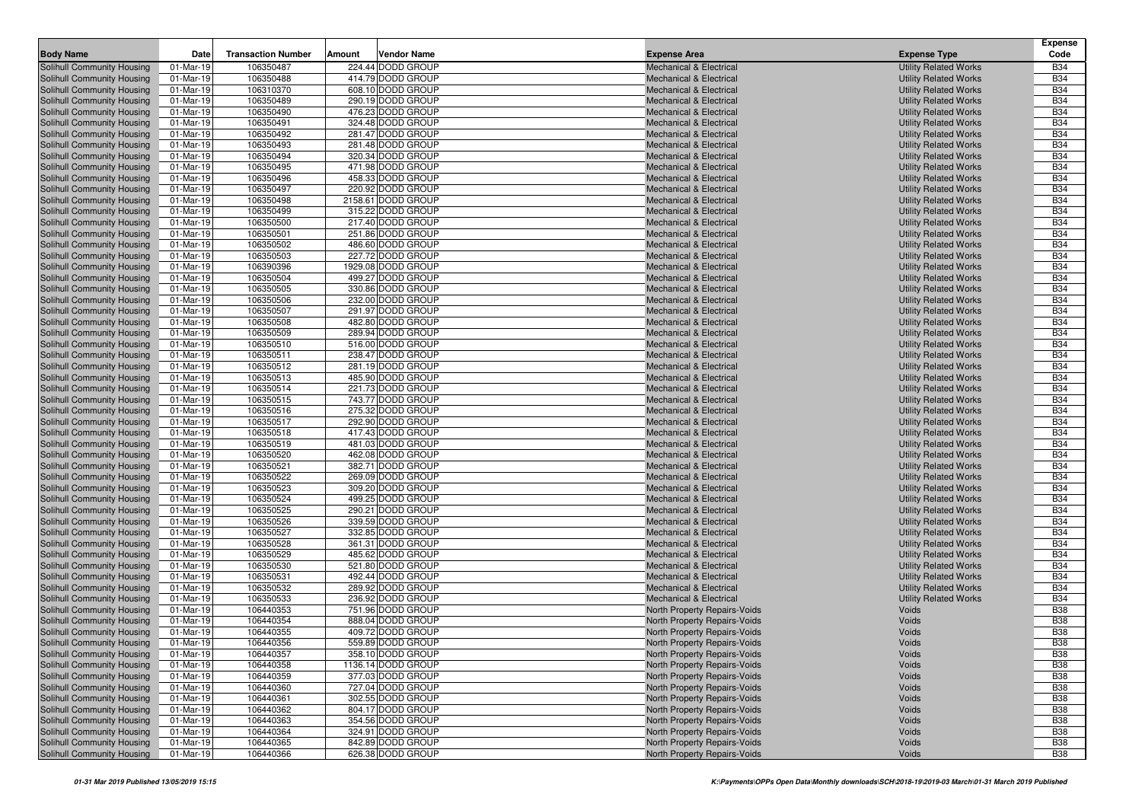|                                                          |                         |                           |        |                                        |                                                                          |                                                              | Expense                  |
|----------------------------------------------------------|-------------------------|---------------------------|--------|----------------------------------------|--------------------------------------------------------------------------|--------------------------------------------------------------|--------------------------|
| <b>Body Name</b>                                         | Date                    | <b>Transaction Number</b> | Amount | <b>Vendor Name</b>                     | <b>Expense Area</b>                                                      | <b>Expense Type</b>                                          | Code                     |
| Solihull Community Housing                               | 01-Mar-19               | 106350487                 |        | 224.44 DODD GROUP                      | <b>Mechanical &amp; Electrical</b>                                       | <b>Utility Related Works</b>                                 | <b>B34</b>               |
| Solihull Community Housing                               | 01-Mar-19               | 106350488                 |        | 414.79 DODD GROUP                      | <b>Mechanical &amp; Electrical</b>                                       | <b>Utility Related Works</b>                                 | <b>B34</b>               |
| Solihull Community Housing                               | 01-Mar-19               | 106310370                 |        | 608.10 DODD GROUP                      | <b>Mechanical &amp; Electrical</b>                                       | <b>Utility Related Works</b>                                 | <b>B34</b>               |
| Solihull Community Housing                               | 01-Mar-19               | 106350489                 |        | 290.19 DODD GROUP                      | <b>Mechanical &amp; Electrical</b>                                       | <b>Utility Related Works</b>                                 | <b>B34</b>               |
| Solihull Community Housing                               | 01-Mar-19               | 106350490                 |        | 476.23 DODD GROUP                      | <b>Mechanical &amp; Electrical</b>                                       | <b>Utility Related Works</b>                                 | <b>B34</b>               |
| Solihull Community Housing                               | 01-Mar-19               | 106350491                 |        | 324.48 DODD GROUP                      | <b>Mechanical &amp; Electrical</b>                                       | <b>Utility Related Works</b>                                 | <b>B34</b>               |
| Solihull Community Housing                               | 01-Mar-19               | 106350492                 |        | 281.47 DODD GROUP                      | <b>Mechanical &amp; Electrical</b>                                       | <b>Utility Related Works</b>                                 | <b>B34</b>               |
| Solihull Community Housing                               | 01-Mar-19               | 106350493                 |        | 281.48 DODD GROUP                      | <b>Mechanical &amp; Electrical</b>                                       | <b>Utility Related Works</b>                                 | <b>B34</b>               |
| Solihull Community Housing                               | 01-Mar-19               | 106350494                 |        | 320.34 DODD GROUP                      | <b>Mechanical &amp; Electrical</b>                                       | <b>Utility Related Works</b>                                 | <b>B34</b>               |
| Solihull Community Housing                               | 01-Mar-19               | 106350495                 |        | 471.98 DODD GROUP                      | <b>Mechanical &amp; Electrical</b>                                       | <b>Utility Related Works</b>                                 | <b>B34</b>               |
| Solihull Community Housing                               | 01-Mar-19               | 106350496                 |        | 458.33 DODD GROUP                      | <b>Mechanical &amp; Electrical</b>                                       | <b>Utility Related Works</b>                                 | <b>B34</b>               |
| Solihull Community Housing                               | 01-Mar-19               | 106350497                 |        | 220.92 DODD GROUP                      | <b>Mechanical &amp; Electrical</b>                                       | <b>Utility Related Works</b>                                 | <b>B34</b>               |
| Solihull Community Housing                               | 01-Mar-19               | 106350498                 |        | 2158.61 DODD GROUP                     | <b>Mechanical &amp; Electrical</b>                                       | <b>Utility Related Works</b>                                 | <b>B34</b>               |
| Solihull Community Housing                               | 01-Mar-19               | 106350499                 |        | 315.22 DODD GROUP                      | <b>Mechanical &amp; Electrical</b>                                       | <b>Utility Related Works</b>                                 | <b>B34</b>               |
| Solihull Community Housing                               | 01-Mar-19               | 106350500                 |        | 217.40 DODD GROUP                      | <b>Mechanical &amp; Electrical</b>                                       | <b>Utility Related Works</b>                                 | <b>B34</b>               |
| Solihull Community Housing                               | 01-Mar-19               | 106350501                 |        | 251.86 DODD GROUP                      | <b>Mechanical &amp; Electrical</b>                                       | <b>Utility Related Works</b>                                 | <b>B34</b>               |
| Solihull Community Housing                               | 01-Mar-19               | 106350502                 |        | 486.60 DODD GROUP<br>227.72 DODD GROUP | <b>Mechanical &amp; Electrical</b>                                       | <b>Utility Related Works</b>                                 | <b>B34</b><br><b>B34</b> |
| Solihull Community Housing<br>Solihull Community Housing | 01-Mar-19<br>01-Mar-19  | 106350503<br>106390396    |        | 1929.08 DODD GROUP                     | <b>Mechanical &amp; Electrical</b>                                       | <b>Utility Related Works</b><br><b>Utility Related Works</b> | <b>B34</b>               |
| Solihull Community Housing                               | 01-Mar-19               | 106350504                 |        | 499.27 DODD GROUP                      | <b>Mechanical &amp; Electrical</b><br><b>Mechanical &amp; Electrical</b> | <b>Utility Related Works</b>                                 | <b>B34</b>               |
| Solihull Community Housing                               | 01-Mar-19               | 106350505                 |        | 330.86 DODD GROUP                      | <b>Mechanical &amp; Electrical</b>                                       | <b>Utility Related Works</b>                                 | <b>B34</b>               |
| Solihull Community Housing                               | 01-Mar-19               | 106350506                 |        | 232.00 DODD GROUP                      | <b>Mechanical &amp; Electrical</b>                                       | <b>Utility Related Works</b>                                 | <b>B34</b>               |
| Solihull Community Housing                               | 01-Mar-19               | 106350507                 |        | 291.97 DODD GROUP                      | <b>Mechanical &amp; Electrical</b>                                       | <b>Utility Related Works</b>                                 | <b>B34</b>               |
| Solihull Community Housing                               | 01-Mar-19               | 106350508                 |        | 482.80 DODD GROUP                      | <b>Mechanical &amp; Electrical</b>                                       | <b>Utility Related Works</b>                                 | <b>B34</b>               |
| Solihull Community Housing                               | 01-Mar-19               | 106350509                 |        | 289.94 DODD GROUP                      | <b>Mechanical &amp; Electrical</b>                                       | <b>Utility Related Works</b>                                 | <b>B34</b>               |
| Solihull Community Housing                               | 01-Mar-19               | 106350510                 |        | 516.00 DODD GROUP                      | <b>Mechanical &amp; Electrical</b>                                       | <b>Utility Related Works</b>                                 | <b>B34</b>               |
| Solihull Community Housing                               | 01-Mar-19               | 106350511                 |        | 238.47 DODD GROUP                      | <b>Mechanical &amp; Electrical</b>                                       | <b>Utility Related Works</b>                                 | <b>B34</b>               |
| Solihull Community Housing                               | 01-Mar-19               | 106350512                 |        | 281.19 DODD GROUP                      | <b>Mechanical &amp; Electrical</b>                                       | <b>Utility Related Works</b>                                 | <b>B34</b>               |
| Solihull Community Housing                               | 01-Mar-19               | 106350513                 |        | 485.90 DODD GROUP                      | <b>Mechanical &amp; Electrical</b>                                       | <b>Utility Related Works</b>                                 | <b>B34</b>               |
| Solihull Community Housing                               | 01-Mar-19               | 106350514                 |        | 221.73 DODD GROUP                      | <b>Mechanical &amp; Electrical</b>                                       | <b>Utility Related Works</b>                                 | <b>B34</b>               |
| Solihull Community Housing                               | 01-Mar-19               | 106350515                 |        | 743.77 DODD GROUP                      | <b>Mechanical &amp; Electrical</b>                                       | <b>Utility Related Works</b>                                 | <b>B34</b>               |
| Solihull Community Housing                               | 01-Mar-19               | 106350516                 |        | 275.32 DODD GROUP                      | <b>Mechanical &amp; Electrical</b>                                       | <b>Utility Related Works</b>                                 | <b>B34</b>               |
| <b>Solihull Community Housing</b>                        | 01-Mar-19               | 106350517                 |        | 292.90 DODD GROUP                      | <b>Mechanical &amp; Electrical</b>                                       | <b>Utility Related Works</b>                                 | <b>B34</b>               |
| Solihull Community Housing                               | 01-Mar-19               | 106350518                 |        | 417.43 DODD GROUP                      | <b>Mechanical &amp; Electrical</b>                                       | <b>Utility Related Works</b>                                 | <b>B34</b>               |
| Solihull Community Housing                               | 01-Mar-19               | 106350519                 |        | 481.03 DODD GROUP                      | <b>Mechanical &amp; Electrical</b>                                       | <b>Utility Related Works</b>                                 | <b>B34</b>               |
| Solihull Community Housing                               | 01-Mar-19               | 106350520                 |        | 462.08 DODD GROUP                      | <b>Mechanical &amp; Electrical</b>                                       | <b>Utility Related Works</b>                                 | <b>B34</b>               |
| Solihull Community Housing                               | 01-Mar-19               | 106350521                 |        | 382.71 DODD GROUP                      | <b>Mechanical &amp; Electrical</b>                                       | <b>Utility Related Works</b>                                 | <b>B34</b>               |
| <b>Solihull Community Housing</b>                        | 01-Mar-19               | 106350522                 |        | 269.09 DODD GROUP                      | <b>Mechanical &amp; Electrical</b>                                       | <b>Utility Related Works</b>                                 | <b>B34</b>               |
| Solihull Community Housing                               | 01-Mar-19               | 106350523                 |        | 309.20 DODD GROUP                      | <b>Mechanical &amp; Electrical</b>                                       | <b>Utility Related Works</b>                                 | <b>B34</b>               |
| Solihull Community Housing                               | 01-Mar-19               | 106350524                 |        | 499.25 DODD GROUP                      | <b>Mechanical &amp; Electrical</b>                                       | <b>Utility Related Works</b>                                 | <b>B34</b>               |
| Solihull Community Housing                               | 01-Mar-19               | 106350525                 |        | 290.21 DODD GROUP                      | <b>Mechanical &amp; Electrical</b>                                       | <b>Utility Related Works</b>                                 | <b>B34</b>               |
| <b>Solihull Community Housing</b>                        | 01-Mar-19               | 106350526                 |        | 339.59 DODD GROUP                      | <b>Mechanical &amp; Electrical</b>                                       | <b>Utility Related Works</b>                                 | <b>B34</b><br><b>B34</b> |
| Solihull Community Housing<br>Solihull Community Housing | 01-Mar-19<br>01-Mar-19  | 106350527<br>106350528    |        | 332.85 DODD GROUP<br>361.31 DODD GROUP | <b>Mechanical &amp; Electrical</b><br><b>Mechanical &amp; Electrical</b> | <b>Utility Related Works</b><br><b>Utility Related Works</b> | <b>B34</b>               |
| Solihull Community Housing                               | 01-Mar-19               | 106350529                 |        | 485.62 DODD GROUP                      | <b>Mechanical &amp; Electrical</b>                                       | <b>Utility Related Works</b>                                 | <b>B34</b>               |
| Solihull Community Housing                               | 01-Mar-19               | 106350530                 |        | 521.80 DODD GROUP                      | <b>Mechanical &amp; Electrical</b>                                       | <b>Utility Related Works</b>                                 | <b>B34</b>               |
| Solihull Community Housing                               | $\overline{0}$ 1-Mar-19 | 106350531                 |        | 492.44 DODD GROUP                      | <b>Mechanical &amp; Electrical</b>                                       | <b>Utility Related Works</b>                                 | <b>B34</b>               |
| Solihull Community Housing                               | 01-Mar-19               | 106350532                 |        | 289.92 DODD GROUP                      | <b>Mechanical &amp; Electrical</b>                                       | <b>Utility Related Works</b>                                 | <b>B34</b>               |
| Solihull Community Housing                               | 01-Mar-19               | 106350533                 |        | 236.92 DODD GROUP                      | <b>Mechanical &amp; Electrical</b>                                       | <b>Utility Related Works</b>                                 | <b>B34</b>               |
| Solihull Community Housing                               | 01-Mar-19               | 106440353                 |        | 751.96 DODD GROUP                      | North Property Repairs-Voids                                             | Voids                                                        | <b>B38</b>               |
| Solihull Community Housing                               | 01-Mar-19               | 106440354                 |        | 888.04 DODD GROUP                      | North Property Repairs-Voids                                             | Voids                                                        | <b>B38</b>               |
| Solihull Community Housing                               | 01-Mar-19               | 106440355                 |        | 409.72 DODD GROUP                      | North Property Repairs-Voids                                             | Voids                                                        | <b>B38</b>               |
| Solihull Community Housing                               | 01-Mar-19               | 106440356                 |        | 559.89 DODD GROUP                      | North Property Repairs-Voids                                             | Voids                                                        | <b>B38</b>               |
| Solihull Community Housing                               | 01-Mar-19               | 106440357                 |        | 358.10 DODD GROUP                      | North Property Repairs-Voids                                             | Voids                                                        | <b>B38</b>               |
| Solihull Community Housing                               | 01-Mar-19               | 106440358                 |        | 1136.14 DODD GROUP                     | North Property Repairs-Voids                                             | Voids                                                        | <b>B38</b>               |
| Solihull Community Housing                               | 01-Mar-19               | 106440359                 |        | 377.03 DODD GROUP                      | North Property Repairs-Voids                                             | Voids                                                        | <b>B38</b>               |
| Solihull Community Housing                               | 01-Mar-19               | 106440360                 |        | 727.04 DODD GROUP                      | North Property Repairs-Voids                                             | Voids                                                        | <b>B38</b>               |
| Solihull Community Housing                               | 01-Mar-19               | 106440361                 |        | 302.55 DODD GROUP                      | North Property Repairs-Voids                                             | Voids                                                        | <b>B38</b>               |
| Solihull Community Housing                               | 01-Mar-19               | 106440362                 |        | 804.17 DODD GROUP                      | North Property Repairs-Voids                                             | Voids                                                        | <b>B38</b>               |
| Solihull Community Housing                               | 01-Mar-19               | 106440363                 |        | 354.56 DODD GROUP                      | North Property Repairs-Voids                                             | Voids                                                        | <b>B38</b>               |
| Solihull Community Housing                               | 01-Mar-19               | 106440364                 |        | 324.91 DODD GROUP                      | North Property Repairs-Voids                                             | Voids                                                        | <b>B38</b>               |
| Solihull Community Housing                               | 01-Mar-19               | 106440365                 |        | 842.89 DODD GROUP                      | North Property Repairs-Voids                                             | Voids                                                        | <b>B38</b>               |
| Solihull Community Housing                               | 01-Mar-19               | 106440366                 |        | 626.38 DODD GROUP                      | North Property Repairs-Voids                                             | Voids                                                        | <b>B38</b>               |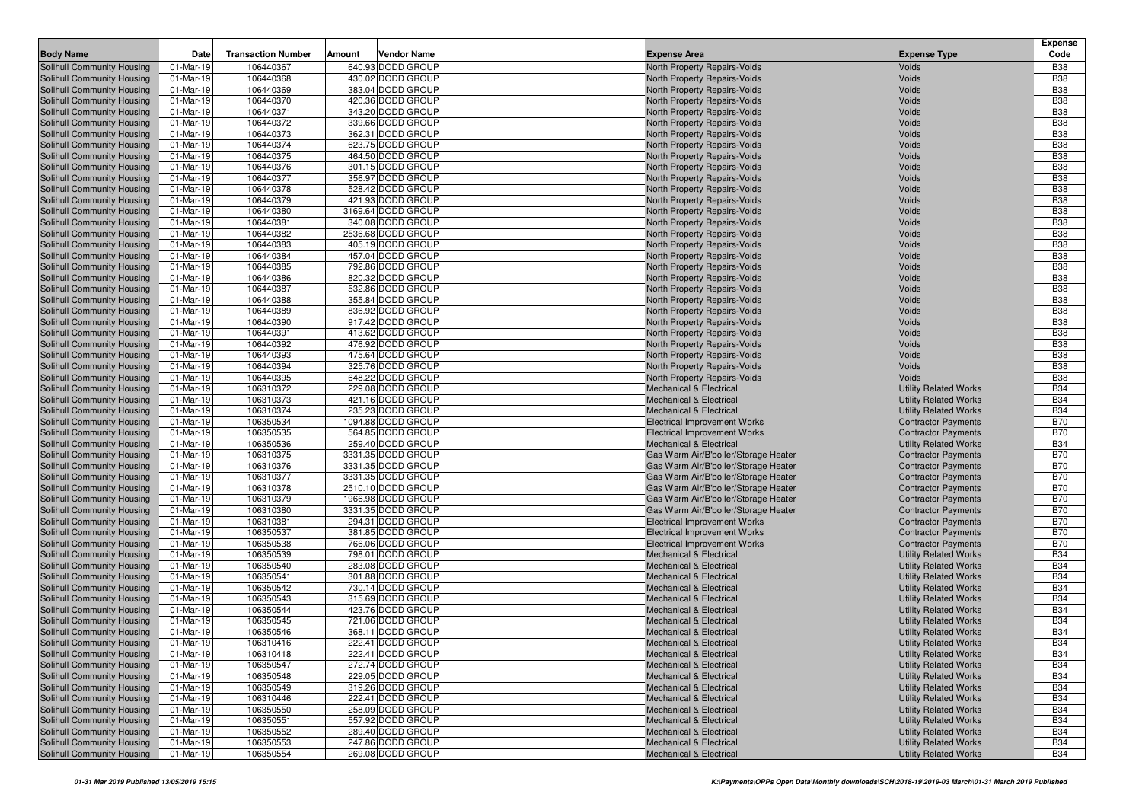| <b>Body Name</b>                                         | Date                   | <b>Transaction Number</b> | Amount | <b>Vendor Name</b>                     | <b>Expense Area</b>                                                      | <b>Expense Type</b>                                          | <b>Expense</b><br>Code   |
|----------------------------------------------------------|------------------------|---------------------------|--------|----------------------------------------|--------------------------------------------------------------------------|--------------------------------------------------------------|--------------------------|
| Solihull Community Housing                               | 01-Mar-19              | 106440367                 |        | 640.93 DODD GROUP                      | North Property Repairs-Voids                                             | Voids                                                        | <b>B38</b>               |
| Solihull Community Housing                               | 01-Mar-19              | 106440368                 |        | 430.02 DODD GROUP                      | North Property Repairs-Voids                                             | Voids                                                        | <b>B38</b>               |
| Solihull Community Housing                               | 01-Mar-19              | 106440369                 |        | 383.04 DODD GROUP                      | North Property Repairs-Voids                                             | Voids                                                        | <b>B38</b>               |
| Solihull Community Housing                               | 01-Mar-19              | 106440370                 |        | 420.36 DODD GROUP                      | North Property Repairs-Voids                                             | Voids                                                        | <b>B38</b>               |
| Solihull Community Housing                               | 01-Mar-19              | 106440371                 |        | 343.20 DODD GROUP                      | North Property Repairs-Voids                                             | Voids                                                        | <b>B38</b>               |
| Solihull Community Housing                               | 01-Mar-19              | 106440372                 |        | 339.66 DODD GROUP                      | North Property Repairs-Voids                                             | Voids                                                        | <b>B38</b>               |
| Solihull Community Housing                               | 01-Mar-19              | 106440373                 |        | 362.31 DODD GROUP                      | North Property Repairs-Voids                                             | Voids                                                        | <b>B38</b>               |
| Solihull Community Housing                               | 01-Mar-19              | 106440374                 |        | 623.75 DODD GROUP                      | North Property Repairs-Voids                                             | Voids                                                        | <b>B38</b>               |
| Solihull Community Housing                               | 01-Mar-19              | 106440375                 |        | 464.50 DODD GROUP                      | North Property Repairs-Voids                                             | Voids                                                        | <b>B38</b>               |
| Solihull Community Housing                               | 01-Mar-19              | 106440376                 |        | 301.15 DODD GROUP                      | North Property Repairs-Voids                                             | Voids                                                        | <b>B38</b>               |
| Solihull Community Housing                               | 01-Mar-19              | 106440377                 |        | 356.97 DODD GROUP                      | North Property Repairs-Voids                                             | Voids                                                        | <b>B38</b>               |
| Solihull Community Housing                               | 01-Mar-19              | 106440378                 |        | 528.42 DODD GROUP                      | North Property Repairs-Voids                                             | Voids                                                        | <b>B38</b>               |
| Solihull Community Housing                               | 01-Mar-19              | 106440379                 |        | 421.93 DODD GROUP                      | North Property Repairs-Voids                                             | Voids                                                        | <b>B38</b>               |
| Solihull Community Housing                               | 01-Mar-19              | 106440380                 |        | 3169.64 DODD GROUP                     | North Property Repairs-Voids                                             | Voids                                                        | <b>B38</b>               |
| Solihull Community Housing                               | 01-Mar-19              | 106440381                 |        | 340.08 DODD GROUP                      | North Property Repairs-Voids                                             | Voids                                                        | <b>B38</b>               |
| Solihull Community Housing                               | 01-Mar-19              | 106440382                 |        | 2536.68 DODD GROUP                     | North Property Repairs-Voids                                             | Voids                                                        | <b>B38</b>               |
| Solihull Community Housing                               | 01-Mar-19              | 106440383                 |        | 405.19 DODD GROUP                      | North Property Repairs-Voids                                             | Voids                                                        | <b>B38</b>               |
| Solihull Community Housing                               | 01-Mar-19              | 106440384                 |        | 457.04 DODD GROUP                      | North Property Repairs-Voids                                             | Voids                                                        | <b>B38</b>               |
| Solihull Community Housing                               | 01-Mar-19              | 106440385                 |        | 792.86 DODD GROUP                      | North Property Repairs-Voids                                             | Voids                                                        | <b>B38</b>               |
| Solihull Community Housing                               | 01-Mar-19              | 106440386                 |        | 820.32 DODD GROUP                      | North Property Repairs-Voids                                             | Voids                                                        | <b>B38</b>               |
| Solihull Community Housing                               | 01-Mar-19              | 106440387                 |        | 532.86 DODD GROUP                      | North Property Repairs-Voids                                             | Voids                                                        | <b>B38</b>               |
| Solihull Community Housing                               | 01-Mar-19              | 106440388                 |        | 355.84 DODD GROUP                      | North Property Repairs-Voids                                             | Voids                                                        | <b>B38</b>               |
| Solihull Community Housing                               | 01-Mar-19              | 106440389                 |        | 836.92 DODD GROUP                      | North Property Repairs-Voids                                             | Voids                                                        | <b>B38</b>               |
| Solihull Community Housing                               | 01-Mar-19              | 106440390                 |        | 917.42 DODD GROUP                      | North Property Repairs-Voids                                             | Voids                                                        | <b>B38</b>               |
| Solihull Community Housing<br>Solihull Community Housing | 01-Mar-19<br>01-Mar-19 | 106440391<br>106440392    |        | 413.62 DODD GROUP<br>476.92 DODD GROUP | North Property Repairs-Voids<br>North Property Repairs-Voids             | Voids<br>Voids                                               | <b>B38</b><br><b>B38</b> |
| Solihull Community Housing                               | 01-Mar-19              | 106440393                 |        | 475.64 DODD GROUP                      | North Property Repairs-Voids                                             | Voids                                                        | <b>B38</b>               |
| Solihull Community Housing                               | 01-Mar-19              | 106440394                 |        | 325.76 DODD GROUP                      | North Property Repairs-Voids                                             | Voids                                                        | <b>B38</b>               |
| Solihull Community Housing                               | 01-Mar-19              | 106440395                 |        | 648.22 DODD GROUP                      | North Property Repairs-Voids                                             | Voids                                                        | <b>B38</b>               |
| Solihull Community Housing                               | 01-Mar-19              | 106310372                 |        | 229.08 DODD GROUP                      | <b>Mechanical &amp; Electrical</b>                                       | <b>Utility Related Works</b>                                 | <b>B34</b>               |
| Solihull Community Housing                               | 01-Mar-19              | 106310373                 |        | 421.16 DODD GROUP                      | <b>Mechanical &amp; Electrical</b>                                       | <b>Utility Related Works</b>                                 | <b>B34</b>               |
| Solihull Community Housing                               | 01-Mar-19              | 106310374                 |        | 235.23 DODD GROUP                      | <b>Mechanical &amp; Electrical</b>                                       | <b>Utility Related Works</b>                                 | <b>B34</b>               |
| Solihull Community Housing                               | 01-Mar-19              | 106350534                 |        | 1094.88 DODD GROUP                     | <b>Electrical Improvement Works</b>                                      | <b>Contractor Payments</b>                                   | <b>B70</b>               |
| Solihull Community Housing                               | 01-Mar-19              | 106350535                 |        | 564.85 DODD GROUP                      | Electrical Improvement Works                                             | <b>Contractor Payments</b>                                   | <b>B70</b>               |
| Solihull Community Housing                               | 01-Mar-19              | 106350536                 |        | 259.40 DODD GROUP                      | <b>Mechanical &amp; Electrical</b>                                       | <b>Utility Related Works</b>                                 | <b>B34</b>               |
| Solihull Community Housing                               | 01-Mar-19              | 106310375                 |        | 3331.35 DODD GROUP                     | Gas Warm Air/B'boiler/Storage Heater                                     | <b>Contractor Payments</b>                                   | <b>B70</b>               |
| Solihull Community Housing                               | 01-Mar-19              | 106310376                 |        | 3331.35 DODD GROUP                     | Gas Warm Air/B'boiler/Storage Heater                                     | <b>Contractor Payments</b>                                   | <b>B70</b>               |
| Solihull Community Housing                               | 01-Mar-19              | 106310377                 |        | 3331.35 DODD GROUP                     | Gas Warm Air/B'boiler/Storage Heater                                     | <b>Contractor Payments</b>                                   | <b>B70</b>               |
| Solihull Community Housing                               | 01-Mar-19              | 106310378                 |        | 2510.10 DODD GROUP                     | Gas Warm Air/B'boiler/Storage Heater                                     | <b>Contractor Payments</b>                                   | <b>B70</b>               |
| Solihull Community Housing                               | 01-Mar-19              | 106310379                 |        | 1966.98 DODD GROUP                     | Gas Warm Air/B'boiler/Storage Heater                                     | <b>Contractor Payments</b>                                   | <b>B70</b>               |
| Solihull Community Housing                               | 01-Mar-19              | 106310380                 |        | 3331.35 DODD GROUP                     | Gas Warm Air/B'boiler/Storage Heater                                     | <b>Contractor Payments</b>                                   | <b>B70</b>               |
| Solihull Community Housing                               | 01-Mar-19              | 106310381                 |        | 294.31 DODD GROUP                      | <b>Electrical Improvement Works</b>                                      | <b>Contractor Payments</b>                                   | <b>B70</b>               |
| Solihull Community Housing                               | 01-Mar-19              | 106350537                 |        | 381.85 DODD GROUP                      | <b>Electrical Improvement Works</b>                                      | <b>Contractor Payments</b>                                   | <b>B70</b>               |
| Solihull Community Housing                               | 01-Mar-19              | 106350538                 |        | 766.06 DODD GROUP                      | <b>Electrical Improvement Works</b>                                      | <b>Contractor Payments</b>                                   | <b>B70</b>               |
| Solihull Community Housing                               | 01-Mar-19              | 106350539                 |        | 798.01 DODD GROUP                      | <b>Mechanical &amp; Electrical</b>                                       | <b>Utility Related Works</b>                                 | <b>B34</b>               |
| Solihull Community Housing                               | 01-Mar-19              | 106350540                 |        | 283.08 DODD GROUP                      | <b>Mechanical &amp; Electrical</b>                                       | <b>Utility Related Works</b>                                 | <b>B34</b>               |
| Solihull Community Housing                               | 01-Mar-19              | 106350541                 |        | 301.88 DODD GROUP                      | <b>Mechanical &amp; Electrical</b>                                       | <b>Utility Related Works</b>                                 | <b>B34</b>               |
| Solihull Community Housing                               | 01-Mar-19              | 106350542                 |        | 730.14 DODD GROUP                      | <b>Mechanical &amp; Electrical</b>                                       | <b>Utility Related Works</b>                                 | <b>B34</b>               |
| Solihull Community Housing                               | 01-Mar-19              | 106350543                 |        | 315.69 DODD GROUP                      | <b>Mechanical &amp; Electrical</b>                                       | <b>Utility Related Works</b>                                 | <b>B34</b>               |
| Solihull Community Housing                               | 01-Mar-19              | 106350544                 |        | 423.76 DODD GROUP                      | <b>Mechanical &amp; Electrical</b>                                       | <b>Utility Related Works</b>                                 | <b>B34</b>               |
| Solihull Community Housing<br>Solihull Community Housing | 01-Mar-19<br>01-Mar-19 | 106350545                 |        | 721.06 DODD GROUP                      | <b>Mechanical &amp; Electrical</b>                                       | <b>Utility Related Works</b>                                 | <b>B34</b>               |
| Solihull Community Housing                               |                        | 106350546                 |        | 368.11 DODD GROUP                      | <b>Mechanical &amp; Electrical</b>                                       | <b>Utility Related Works</b>                                 | <b>B34</b><br><b>B34</b> |
|                                                          | 01-Mar-19              | 106310416                 |        | 222.41 DODD GROUP                      | Mechanical & Electrical                                                  | <b>Utility Related Works</b>                                 |                          |
| Solihull Community Housing<br>Solihull Community Housing | 01-Mar-19<br>01-Mar-19 | 106310418<br>106350547    |        | 222.41 DODD GROUP<br>272.74 DODD GROUP | <b>Mechanical &amp; Electrical</b><br><b>Mechanical &amp; Electrical</b> | <b>Utility Related Works</b><br><b>Utility Related Works</b> | <b>B34</b><br><b>B34</b> |
| Solihull Community Housing                               | 01-Mar-19              | 106350548                 |        | 229.05 DODD GROUP                      | <b>Mechanical &amp; Electrical</b>                                       | <b>Utility Related Works</b>                                 | <b>B34</b>               |
| Solihull Community Housing                               | 01-Mar-19              | 106350549                 |        | 319.26 DODD GROUP                      | <b>Mechanical &amp; Electrical</b>                                       | <b>Utility Related Works</b>                                 | <b>B34</b>               |
| Solihull Community Housing                               | 01-Mar-19              | 106310446                 |        | 222.41 DODD GROUP                      | <b>Mechanical &amp; Electrical</b>                                       | <b>Utility Related Works</b>                                 | <b>B34</b>               |
| Solihull Community Housing                               | 01-Mar-19              | 106350550                 |        | 258.09 DODD GROUP                      | <b>Mechanical &amp; Electrical</b>                                       | <b>Utility Related Works</b>                                 | <b>B34</b>               |
| Solihull Community Housing                               | 01-Mar-19              | 106350551                 |        | 557.92 DODD GROUP                      | <b>Mechanical &amp; Electrical</b>                                       | <b>Utility Related Works</b>                                 | <b>B34</b>               |
| Solihull Community Housing                               | 01-Mar-19              | 106350552                 |        | 289.40 DODD GROUP                      | <b>Mechanical &amp; Electrical</b>                                       | <b>Utility Related Works</b>                                 | <b>B34</b>               |
| Solihull Community Housing                               | 01-Mar-19              | 106350553                 |        | 247.86 DODD GROUP                      | <b>Mechanical &amp; Electrical</b>                                       | <b>Utility Related Works</b>                                 | <b>B34</b>               |
| Solihull Community Housing                               | 01-Mar-19              | 106350554                 |        | 269.08 DODD GROUP                      | <b>Mechanical &amp; Electrical</b>                                       | <b>Utility Related Works</b>                                 | <b>B34</b>               |
|                                                          |                        |                           |        |                                        |                                                                          |                                                              |                          |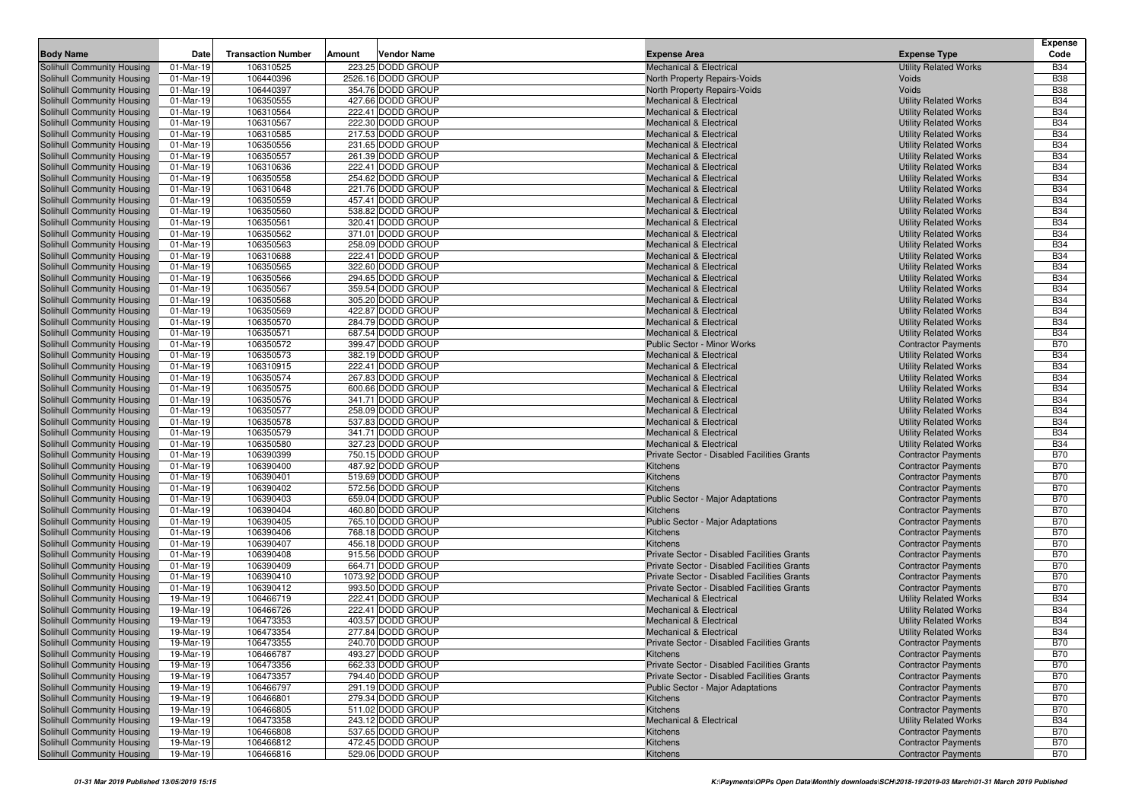|                                                          |                        |                           |        |                                         |                                                                                            |                                                              | <b>Expense</b>           |
|----------------------------------------------------------|------------------------|---------------------------|--------|-----------------------------------------|--------------------------------------------------------------------------------------------|--------------------------------------------------------------|--------------------------|
| <b>Body Name</b>                                         | Date                   | <b>Transaction Number</b> | Amount | <b>Vendor Name</b>                      | <b>Expense Area</b>                                                                        | <b>Expense Type</b>                                          | Code                     |
| Solihull Community Housing                               | 01-Mar-19              | 106310525                 |        | 223.25 DODD GROUP                       | <b>Mechanical &amp; Electrical</b>                                                         | <b>Utility Related Works</b>                                 | <b>B34</b>               |
| Solihull Community Housing                               | 01-Mar-19              | 106440396                 |        | 2526.16 DODD GROUP                      | North Property Repairs-Voids                                                               | Voids                                                        | <b>B38</b>               |
| Solihull Community Housing                               | 01-Mar-19              | 106440397                 |        | 354.76 DODD GROUP<br>427.66 DODD GROUP  | North Property Repairs-Voids                                                               | Voids                                                        | <b>B38</b>               |
| Solihull Community Housing<br>Solihull Community Housing | 01-Mar-19<br>01-Mar-19 | 106350555<br>106310564    |        | 222.41 DODD GROUP                       | <b>Mechanical &amp; Electrical</b><br><b>Mechanical &amp; Electrical</b>                   | <b>Utility Related Works</b><br><b>Utility Related Works</b> | <b>B34</b><br><b>B34</b> |
| Solihull Community Housing                               | 01-Mar-19              | 106310567                 |        | 222.30 DODD GROUP                       | <b>Mechanical &amp; Electrical</b>                                                         | <b>Utility Related Works</b>                                 | <b>B34</b>               |
| Solihull Community Housing                               | 01-Mar-19              | 106310585                 |        | 217.53 DODD GROUP                       | <b>Mechanical &amp; Electrical</b>                                                         | <b>Utility Related Works</b>                                 | <b>B34</b>               |
| Solihull Community Housing                               | 01-Mar-19              | 106350556                 |        | 231.65 DODD GROUP                       | <b>Mechanical &amp; Electrical</b>                                                         | <b>Utility Related Works</b>                                 | <b>B34</b>               |
| Solihull Community Housing                               | 01-Mar-19              | 106350557                 |        | 261.39 DODD GROUP                       | <b>Mechanical &amp; Electrical</b>                                                         | <b>Utility Related Works</b>                                 | <b>B34</b>               |
| Solihull Community Housing                               | 01-Mar-19              | 106310636                 |        | 222.41 DODD GROUP                       | <b>Mechanical &amp; Electrical</b>                                                         | <b>Utility Related Works</b>                                 | <b>B34</b>               |
| Solihull Community Housing                               | 01-Mar-19              | 106350558                 |        | 254.62 DODD GROUP                       | <b>Mechanical &amp; Electrical</b>                                                         | <b>Utility Related Works</b>                                 | <b>B34</b>               |
| Solihull Community Housing                               | 01-Mar-19              | 106310648                 |        | 221.76 DODD GROUP                       | <b>Mechanical &amp; Electrical</b>                                                         | <b>Utility Related Works</b>                                 | <b>B34</b>               |
| Solihull Community Housing                               | 01-Mar-19              | 106350559                 |        | 457.41 DODD GROUP                       | <b>Mechanical &amp; Electrical</b>                                                         | <b>Utility Related Works</b>                                 | <b>B34</b>               |
| Solihull Community Housing                               | 01-Mar-19              | 106350560                 |        | 538.82 DODD GROUP                       | <b>Mechanical &amp; Electrical</b>                                                         | <b>Utility Related Works</b>                                 | <b>B34</b>               |
| Solihull Community Housing                               | 01-Mar-19              | 106350561                 |        | 320.41 DODD GROUP                       | <b>Mechanical &amp; Electrical</b>                                                         | <b>Utility Related Works</b>                                 | <b>B34</b>               |
| Solihull Community Housing                               | 01-Mar-19              | 106350562                 |        | 371.01 DODD GROUP                       | <b>Mechanical &amp; Electrical</b>                                                         | <b>Utility Related Works</b>                                 | <b>B34</b>               |
| Solihull Community Housing                               | 01-Mar-19              | 106350563                 |        | 258.09 DODD GROUP                       | <b>Mechanical &amp; Electrical</b>                                                         | <b>Utility Related Works</b>                                 | <b>B34</b>               |
| Solihull Community Housing                               | 01-Mar-19              | 106310688                 |        | 222.41 DODD GROUP                       | <b>Mechanical &amp; Electrical</b>                                                         | <b>Utility Related Works</b>                                 | <b>B34</b>               |
| Solihull Community Housing                               | 01-Mar-19              | 106350565<br>106350566    |        | 322.60 DODD GROUP<br>294.65 DODD GROUP  | <b>Mechanical &amp; Electrical</b><br><b>Mechanical &amp; Electrical</b>                   | <b>Utility Related Works</b>                                 | <b>B34</b><br><b>B34</b> |
| Solihull Community Housing<br>Solihull Community Housing | 01-Mar-19<br>01-Mar-19 | 106350567                 |        | 359.54 DODD GROUP                       | <b>Mechanical &amp; Electrical</b>                                                         | <b>Utility Related Works</b><br><b>Utility Related Works</b> | <b>B34</b>               |
| Solihull Community Housing                               | 01-Mar-19              | 106350568                 |        | 305.20 DODD GROUP                       | <b>Mechanical &amp; Electrical</b>                                                         | <b>Utility Related Works</b>                                 | <b>B34</b>               |
| Solihull Community Housing                               | 01-Mar-19              | 106350569                 |        | 422.87 DODD GROUP                       | <b>Mechanical &amp; Electrical</b>                                                         | <b>Utility Related Works</b>                                 | <b>B34</b>               |
| Solihull Community Housing                               | 01-Mar-19              | 106350570                 |        | 284.79 DODD GROUP                       | <b>Mechanical &amp; Electrical</b>                                                         | <b>Utility Related Works</b>                                 | <b>B34</b>               |
| Solihull Community Housing                               | 01-Mar-19              | 106350571                 |        | 687.54 DODD GROUP                       | <b>Mechanical &amp; Electrical</b>                                                         | <b>Utility Related Works</b>                                 | <b>B34</b>               |
| Solihull Community Housing                               | 01-Mar-19              | 106350572                 |        | 399.47 DODD GROUP                       | <b>Public Sector - Minor Works</b>                                                         | <b>Contractor Payments</b>                                   | <b>B70</b>               |
| Solihull Community Housing                               | 01-Mar-19              | 106350573                 |        | 382.19 DODD GROUP                       | <b>Mechanical &amp; Electrical</b>                                                         | <b>Utility Related Works</b>                                 | <b>B34</b>               |
| Solihull Community Housing                               | 01-Mar-19              | 106310915                 |        | 222.41 DODD GROUP                       | <b>Mechanical &amp; Electrical</b>                                                         | <b>Utility Related Works</b>                                 | <b>B34</b>               |
| Solihull Community Housing                               | 01-Mar-19              | 106350574                 |        | 267.83 DODD GROUP                       | <b>Mechanical &amp; Electrical</b>                                                         | <b>Utility Related Works</b>                                 | <b>B34</b>               |
| Solihull Community Housing                               | 01-Mar-19              | 106350575                 |        | 600.66 DODD GROUP                       | <b>Mechanical &amp; Electrical</b>                                                         | <b>Utility Related Works</b>                                 | <b>B34</b>               |
| Solihull Community Housing                               | 01-Mar-19              | 106350576                 |        | 341.71 DODD GROUP                       | <b>Mechanical &amp; Electrical</b>                                                         | <b>Utility Related Works</b>                                 | <b>B34</b>               |
| Solihull Community Housing                               | 01-Mar-19              | 106350577                 |        | 258.09 DODD GROUP                       | <b>Mechanical &amp; Electrical</b>                                                         | <b>Utility Related Works</b>                                 | <b>B34</b>               |
| Solihull Community Housing                               | 01-Mar-19              | 106350578                 |        | 537.83 DODD GROUP                       | <b>Mechanical &amp; Electrical</b><br><b>Mechanical &amp; Electrical</b>                   | <b>Utility Related Works</b>                                 | <b>B34</b><br><b>B34</b> |
| Solihull Community Housing<br>Solihull Community Housing | 01-Mar-19<br>01-Mar-19 | 106350579<br>106350580    |        | 341.71 DODD GROUP<br>327.23 DODD GROUP  | <b>Mechanical &amp; Electrical</b>                                                         | <b>Utility Related Works</b><br><b>Utility Related Works</b> | <b>B34</b>               |
| Solihull Community Housing                               | 01-Mar-19              | 106390399                 |        | 750.15 DODD GROUP                       | Private Sector - Disabled Facilities Grants                                                | <b>Contractor Payments</b>                                   | <b>B70</b>               |
| Solihull Community Housing                               | 01-Mar-19              | 106390400                 |        | 487.92 DODD GROUP                       | Kitchens                                                                                   | <b>Contractor Payments</b>                                   | <b>B70</b>               |
| Solihull Community Housing                               | 01-Mar-19              | 106390401                 |        | 519.69 DODD GROUP                       | Kitchens                                                                                   | <b>Contractor Payments</b>                                   | <b>B70</b>               |
| Solihull Community Housing                               | 01-Mar-19              | 106390402                 |        | 572.56 DODD GROUP                       | Kitchens                                                                                   | <b>Contractor Payments</b>                                   | <b>B70</b>               |
| Solihull Community Housing                               | 01-Mar-19              | 106390403                 |        | 659.04 DODD GROUP                       | <b>Public Sector - Major Adaptations</b>                                                   | <b>Contractor Payments</b>                                   | <b>B70</b>               |
| Solihull Community Housing                               | 01-Mar-19              | 106390404                 |        | 460.80 DODD GROUP                       | Kitchens                                                                                   | <b>Contractor Payments</b>                                   | <b>B70</b>               |
| Solihull Community Housing                               | 01-Mar-19              | 106390405                 |        | 765.10 DODD GROUP                       | <b>Public Sector - Major Adaptations</b>                                                   | <b>Contractor Payments</b>                                   | <b>B70</b>               |
| Solihull Community Housing                               | 01-Mar-19              | 106390406                 |        | 768.18 DODD GROUP                       | Kitchens                                                                                   | <b>Contractor Payments</b>                                   | <b>B70</b>               |
| Solihull Community Housing                               | 01-Mar-19              | 106390407                 |        | 456.18 DODD GROUP                       | Kitchens                                                                                   | <b>Contractor Payments</b>                                   | <b>B70</b>               |
| Solihull Community Housing                               | 01-Mar-19              | 106390408                 |        | 915.56 DODD GROUP                       | Private Sector - Disabled Facilities Grants                                                | <b>Contractor Payments</b>                                   | <b>B70</b>               |
| Solihull Community Housing                               | 01-Mar-19              | 106390409                 |        | 664.71 DODD GROUP<br>1073.92 DODD GROUP | Private Sector - Disabled Facilities Grants<br>Private Sector - Disabled Facilities Grants | <b>Contractor Payments</b><br><b>Contractor Payments</b>     | <b>B70</b><br><b>B70</b> |
| Solihull Community Housing<br>Solihull Community Housing | 01-Mar-19<br>01-Mar-19 | 106390410<br>106390412    |        | 993.50 DODD GROUP                       | Private Sector - Disabled Facilities Grants                                                | <b>Contractor Payments</b>                                   | <b>B70</b>               |
| Solihull Community Housing                               | 19-Mar-19              | 106466719                 |        | 222.41 DODD GROUP                       | <b>Mechanical &amp; Electrical</b>                                                         | <b>Utility Related Works</b>                                 | <b>B34</b>               |
| Solihull Community Housing                               | 19-Mar-19              | 106466726                 |        | 222.41 DODD GROUP                       | <b>Mechanical &amp; Electrical</b>                                                         | <b>Utility Related Works</b>                                 | <b>B34</b>               |
| Solihull Community Housing                               | 19-Mar-19              | 106473353                 |        | 403.57 DODD GROUP                       | <b>Mechanical &amp; Electrical</b>                                                         | <b>Utility Related Works</b>                                 | <b>B34</b>               |
| Solihull Community Housing                               | 19-Mar-19              | 106473354                 |        | 277.84 DODD GROUP                       | <b>Mechanical &amp; Electrical</b>                                                         | <b>Utility Related Works</b>                                 | <b>B34</b>               |
| Solihull Community Housing                               | 19-Mar-19              | 106473355                 |        | 240.70 DODD GROUP                       | Private Sector - Disabled Facilities Grants                                                | <b>Contractor Payments</b>                                   | <b>B70</b>               |
| Solihull Community Housing                               | 19-Mar-19              | 106466787                 |        | 493.27 DODD GROUP                       | Kitchens                                                                                   | <b>Contractor Payments</b>                                   | <b>B70</b>               |
| Solihull Community Housing                               | 19-Mar-19              | 106473356                 |        | 662.33 DODD GROUP                       | <b>Private Sector - Disabled Facilities Grants</b>                                         | <b>Contractor Payments</b>                                   | <b>B70</b>               |
| Solihull Community Housing                               | 19-Mar-19              | 106473357                 |        | 794.40 DODD GROUP                       | Private Sector - Disabled Facilities Grants                                                | <b>Contractor Payments</b>                                   | <b>B70</b>               |
| Solihull Community Housing                               | 19-Mar-19              | 106466797                 |        | 291.19 DODD GROUP                       | <b>Public Sector - Major Adaptations</b>                                                   | <b>Contractor Payments</b>                                   | <b>B70</b>               |
| Solihull Community Housing                               | 19-Mar-19              | 106466801                 |        | 279.34 DODD GROUP                       | Kitchens                                                                                   | <b>Contractor Payments</b>                                   | <b>B70</b>               |
| Solihull Community Housing                               | 19-Mar-19              | 106466805                 |        | 511.02 DODD GROUP                       | Kitchens                                                                                   | <b>Contractor Payments</b>                                   | <b>B70</b>               |
| Solihull Community Housing                               | 19-Mar-19              | 106473358                 |        | 243.12 DODD GROUP                       | <b>Mechanical &amp; Electrical</b>                                                         | <b>Utility Related Works</b>                                 | <b>B34</b>               |
| Solihull Community Housing                               | 19-Mar-19              | 106466808                 |        | 537.65 DODD GROUP                       | Kitchens                                                                                   | <b>Contractor Payments</b>                                   | <b>B70</b>               |
| Solihull Community Housing                               | 19-Mar-19              | 106466812                 |        | 472.45 DODD GROUP                       | Kitchens                                                                                   | <b>Contractor Payments</b>                                   | <b>B70</b>               |
| Solihull Community Housing                               | 19-Mar-19              | 106466816                 |        | 529.06 DODD GROUP                       | Kitchens                                                                                   | <b>Contractor Payments</b>                                   | <b>B70</b>               |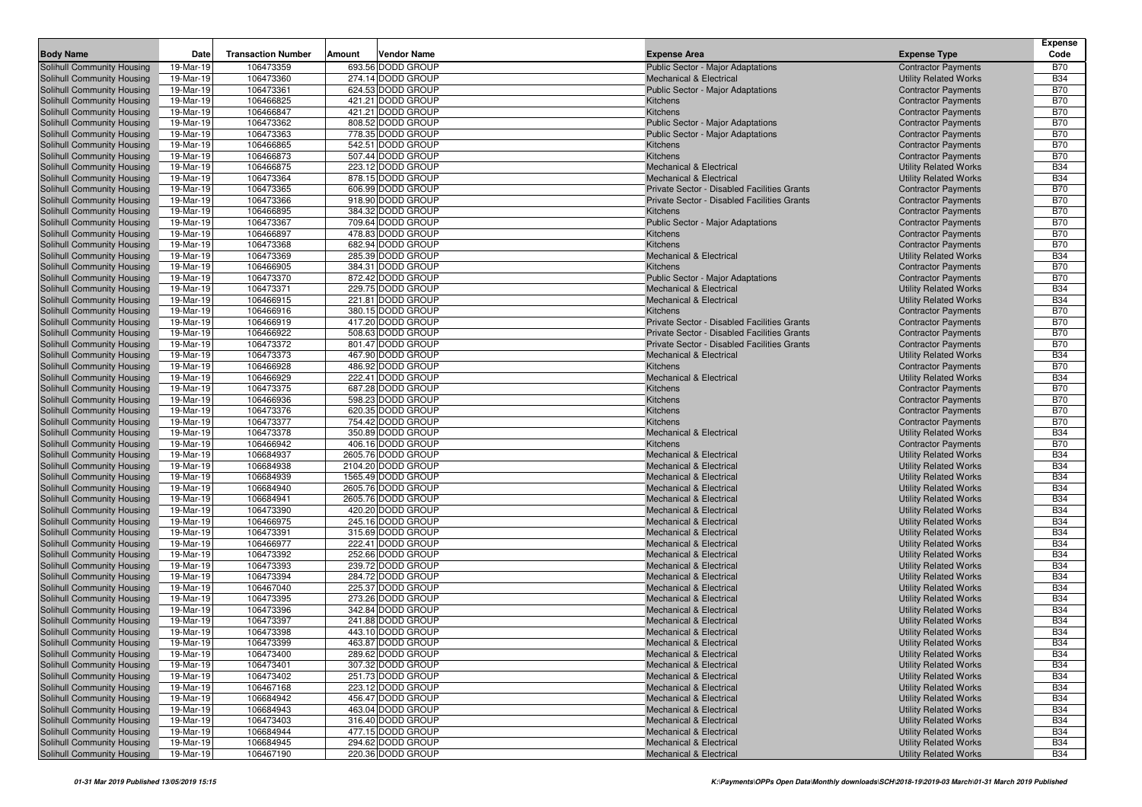| <b>Transaction Number</b><br>Vendor Name<br><b>Expense Type</b><br>Code<br>Date<br>Amount<br><b>Expense Area</b><br>693.56 DODD GROUP<br>19-Mar-19<br>106473359<br>Public Sector - Major Adaptations<br><b>B70</b><br><b>Contractor Payments</b><br>19-Mar-19<br>106473360<br>274.14 DODD GROUP<br><b>B34</b><br><b>Mechanical &amp; Electrical</b><br><b>Utility Related Works</b><br>106473361<br>624.53 DODD GROUP<br><b>B70</b><br>19-Mar-19<br>Public Sector - Major Adaptations<br><b>Contractor Payments</b><br>19-Mar-19<br>106466825<br>421.21 DODD GROUP<br><b>B70</b><br>Kitchens<br><b>Contractor Payments</b><br>106466847<br>421.21 DODD GROUP<br><b>B70</b><br>Solihull Community Housing<br>19-Mar-19<br>Kitchens<br><b>Contractor Payments</b><br>106473362<br>808.52 DODD GROUP<br><b>B70</b><br>Solihull Community Housing<br>19-Mar-19<br>Public Sector - Major Adaptations<br><b>Contractor Payments</b><br>Solihull Community Housing<br>106473363<br>778.35 DODD GROUP<br>Public Sector - Major Adaptations<br><b>B70</b><br>19-Mar-19<br><b>Contractor Payments</b><br>106466865<br>542.51 DODD GROUP<br><b>B70</b><br>Solihull Community Housing<br>19-Mar-19<br>Kitchens<br><b>Contractor Payments</b><br>106466873<br>507.44 DODD GROUP<br><b>B70</b><br>Solihull Community Housing<br>19-Mar-19<br>Kitchens<br><b>Contractor Payments</b><br>106466875<br>223.12 DODD GROUP<br><b>B34</b><br>Solihull Community Housing<br>19-Mar-19<br><b>Mechanical &amp; Electrical</b><br><b>Utility Related Works</b><br>106473364<br>878.15 DODD GROUP<br><b>B34</b><br>Solihull Community Housing<br>19-Mar-19<br><b>Mechanical &amp; Electrical</b><br><b>Utility Related Works</b><br>106473365<br>Solihull Community Housing<br>606.99 DODD GROUP<br><b>B70</b><br>19-Mar-19<br>Private Sector - Disabled Facilities Grants<br><b>Contractor Payments</b><br>918.90 DODD GROUP<br><b>B70</b><br>Solihull Community Housing<br>19-Mar-19<br>106473366<br>Private Sector - Disabled Facilities Grants<br><b>Contractor Payments</b><br>106466895<br>384.32 DODD GROUP<br><b>B70</b><br>Solihull Community Housing<br>19-Mar-19<br>Kitchens<br><b>Contractor Payments</b><br>106473367<br>709.64 DODD GROUP<br><b>B70</b><br>Solihull Community Housing<br>19-Mar-19<br><b>Public Sector - Major Adaptations</b><br><b>Contractor Payments</b><br>19-Mar-19<br>106466897<br>478.83 DODD GROUP<br><b>Contractor Payments</b><br><b>B70</b><br>Solihull Community Housing<br>Kitchens<br>106473368<br><b>B70</b><br>Solihull Community Housing<br>19-Mar-19<br>682.94 DODD GROUP<br>Kitchens<br><b>Contractor Payments</b><br>106473369<br>285.39 DODD GROUP<br><b>B34</b><br>Solihull Community Housing<br>19-Mar-19<br><b>Mechanical &amp; Electrical</b><br><b>Utility Related Works</b><br>106466905<br>384.31 DODD GROUP<br><b>B70</b><br>19-Mar-19<br>Kitchens<br><b>Contractor Payments</b><br>106473370<br>872.42 DODD GROUP<br><b>B70</b><br>19-Mar-19<br><b>Public Sector - Major Adaptations</b><br><b>Contractor Payments</b><br><b>Solihull Community Housing</b><br>106473371<br>229.75 DODD GROUP<br><b>B34</b><br>19-Mar-19<br><b>Mechanical &amp; Electrical</b><br><b>Utility Related Works</b><br>106466915<br>221.81 DODD GROUP<br><b>B34</b><br>19-Mar-19<br><b>Mechanical &amp; Electrical</b><br><b>Utility Related Works</b><br>106466916<br>380.15 DODD GROUP<br><b>B70</b><br>19-Mar-19<br>Kitchens<br><b>Contractor Payments</b><br><b>B70</b><br>19-Mar-19<br>106466919<br>417.20 DODD GROUP<br>Private Sector - Disabled Facilities Grants<br><b>Contractor Payments</b><br>106466922<br>508.63 DODD GROUP<br>Private Sector - Disabled Facilities Grants<br><b>B70</b><br>19-Mar-19<br><b>Contractor Payments</b><br>106473372<br>801.47 DODD GROUP<br>Solihull Community Housing<br>19-Mar-19<br>Private Sector - Disabled Facilities Grants<br><b>Contractor Payments</b><br><b>B70</b><br>Solihull Community Housing<br>106473373<br>467.90 DODD GROUP<br><b>B34</b><br>19-Mar-19<br><b>Mechanical &amp; Electrical</b><br><b>Utility Related Works</b><br>106466928<br>486.92 DODD GROUP<br><b>B70</b><br>Solihull Community Housing<br>19-Mar-19<br><b>Kitchens</b><br><b>Contractor Payments</b><br>106466929<br>222.41 DODD GROUP<br><b>B34</b><br>Solihull Community Housing<br>19-Mar-19<br><b>Mechanical &amp; Electrical</b><br><b>Utility Related Works</b><br>106473375<br>687.28 DODD GROUP<br><b>B70</b><br>Solihull Community Housing<br>19-Mar-19<br>Kitchens<br><b>Contractor Payments</b><br>106466936<br>598.23 DODD GROUP<br><b>B70</b><br>Solihull Community Housing<br>19-Mar-19<br>Kitchens<br><b>Contractor Payments</b><br>Solihull Community Housing<br>106473376<br>620.35 DODD GROUP<br><b>B70</b><br>19-Mar-19<br>Kitchens<br><b>Contractor Payments</b><br>106473377<br>754.42 DODD GROUP<br><b>B70</b><br>Solihull Community Housing<br>19-Mar-19<br>Kitchens<br><b>Contractor Payments</b><br>106473378<br>350.89 DODD GROUP<br><b>B34</b><br>Solihull Community Housing<br>19-Mar-19<br><b>Mechanical &amp; Electrical</b><br><b>Utility Related Works</b><br>106466942<br>406.16 DODD GROUP<br><b>B70</b><br>Solihull Community Housing<br>19-Mar-19<br>Kitchens<br><b>Contractor Payments</b><br>106684937<br>2605.76 DODD GROUP<br><b>B34</b><br>Solihull Community Housing<br>19-Mar-19<br><b>Mechanical &amp; Electrical</b><br><b>Utility Related Works</b><br>106684938<br>2104.20 DODD GROUP<br><b>B34</b><br>Solihull Community Housing<br>19-Mar-19<br><b>Mechanical &amp; Electrical</b><br><b>Utility Related Works</b><br>Solihull Community Housing<br>19-Mar-19<br>106684939<br>1565.49 DODD GROUP<br><b>Utility Related Works</b><br><b>B34</b><br><b>Mechanical &amp; Electrical</b><br>106684940<br>2605.76 DODD GROUP<br><b>B34</b><br>Solihull Community Housing<br>19-Mar-19<br><b>Mechanical &amp; Electrical</b><br><b>Utility Related Works</b><br>106684941<br>2605.76 DODD GROUP<br><b>B34</b><br>19-Mar-19<br><b>Mechanical &amp; Electrical</b><br><b>Utility Related Works</b><br>19-Mar-19<br>106473390<br>420.20 DODD GROUP<br><b>Utility Related Works</b><br><b>B34</b><br><b>Mechanical &amp; Electrical</b><br>106466975<br>245.16 DODD GROUP<br><b>B34</b><br>19-Mar-19<br><b>Mechanical &amp; Electrical</b><br><b>Utility Related Works</b><br>106473391<br>315.69 DODD GROUP<br><b>B34</b><br>19-Mar-19<br>Mechanical & Electrical<br><b>Utility Related Works</b><br>106466977<br>222.41 DODD GROUP<br><b>B34</b><br>19-Mar-19<br><b>Mechanical &amp; Electrical</b><br><b>Utility Related Works</b><br>106473392<br>252.66 DODD GROUP<br><b>Utility Related Works</b><br><b>B34</b><br>19-Mar-19<br>Mechanical & Electrical<br>Solihull Community Housing<br>106473393<br>239.72 DODD GROUP<br><b>B34</b><br>19-Mar-19<br><b>Mechanical &amp; Electrical</b><br><b>Utility Related Works</b><br>106473394<br>284.72 DODD GROUP<br><b>B34</b><br>Solihull Community Housing<br>19-Mar-19<br>Mechanical & Electrical<br><b>Utility Related Works</b><br>106467040<br>225.37 DODD GROUP<br><b>Utility Related Works</b><br><b>B34</b><br>Solihull Community Housing<br>19-Mar-19<br><b>Mechanical &amp; Electrical</b><br><b>B34</b><br>106473395<br>273.26 DODD GROUP<br>Solihull Community Housing<br>19-Mar-19<br><b>Mechanical &amp; Electrical</b><br><b>Utility Related Works</b><br>342.84 DODD GROUP<br><b>Solihull Community Housing</b><br>106473396<br><b>B34</b><br>19-Mar-19<br><b>Mechanical &amp; Electrical</b><br><b>Utility Related Works</b><br>106473397<br>241.88 DODD GROUP<br><b>B34</b><br>Solihull Community Housing<br>19-Mar-19<br><b>Mechanical &amp; Electrical</b><br><b>Utility Related Works</b><br>Solihull Community Housing<br>443.10 DODD GROUP<br><b>B34</b><br>19-Mar-19<br>106473398<br>Mechanical & Electrical<br><b>Utility Related Works</b><br>Solihull Community Housing<br>463.87 DODD GROUP<br><b>B34</b><br>19-Mar-19<br>106473399<br><b>Utility Related Works</b><br><b>Mechanical &amp; Electrical</b><br>Solihull Community Housing<br>106473400<br>289.62 DODD GROUP<br><b>Utility Related Works</b><br><b>B34</b><br>19-Mar-19<br><b>Mechanical &amp; Electrical</b><br>307.32 DODD GROUP<br>Solihull Community Housing<br>19-Mar-19<br>106473401<br><b>Utility Related Works</b><br><b>B34</b><br>Mechanical & Electrical<br>106473402<br>251.73 DODD GROUP<br><b>Utility Related Works</b><br>Solihull Community Housing<br>19-Mar-19<br><b>Mechanical &amp; Electrical</b><br><b>B34</b><br>Solihull Community Housing<br>106467168<br>223.12 DODD GROUP<br><b>Utility Related Works</b><br><b>B34</b><br>19-Mar-19<br>Mechanical & Electrical<br>456.47 DODD GROUP<br>Solihull Community Housing<br>106684942<br><b>Utility Related Works</b><br><b>B34</b><br>19-Mar-19<br>Mechanical & Electrical<br>463.04 DODD GROUP<br>Solihull Community Housing<br>19-Mar-19<br>106684943<br><b>Utility Related Works</b><br><b>B34</b><br><b>Mechanical &amp; Electrical</b><br>Solihull Community Housing<br>106473403<br>316.40 DODD GROUP<br><b>Utility Related Works</b><br><b>B34</b><br>19-Mar-19<br>Mechanical & Electrical<br>Solihull Community Housing<br>106684944<br>477.15 DODD GROUP<br><b>Utility Related Works</b><br><b>B34</b><br>19-Mar-19<br><b>Mechanical &amp; Electrical</b><br>294.62 DODD GROUP<br>19-Mar-19<br>106684945<br><b>Utility Related Works</b><br>Mechanical & Electrical<br><b>B34</b><br>220.36 DODD GROUP<br>19-Mar-19<br>106467190<br><b>Mechanical &amp; Electrical</b><br><b>Utility Related Works</b><br><b>B34</b> |                            |  |  |  | <b>Expense</b> |
|---------------------------------------------------------------------------------------------------------------------------------------------------------------------------------------------------------------------------------------------------------------------------------------------------------------------------------------------------------------------------------------------------------------------------------------------------------------------------------------------------------------------------------------------------------------------------------------------------------------------------------------------------------------------------------------------------------------------------------------------------------------------------------------------------------------------------------------------------------------------------------------------------------------------------------------------------------------------------------------------------------------------------------------------------------------------------------------------------------------------------------------------------------------------------------------------------------------------------------------------------------------------------------------------------------------------------------------------------------------------------------------------------------------------------------------------------------------------------------------------------------------------------------------------------------------------------------------------------------------------------------------------------------------------------------------------------------------------------------------------------------------------------------------------------------------------------------------------------------------------------------------------------------------------------------------------------------------------------------------------------------------------------------------------------------------------------------------------------------------------------------------------------------------------------------------------------------------------------------------------------------------------------------------------------------------------------------------------------------------------------------------------------------------------------------------------------------------------------------------------------------------------------------------------------------------------------------------------------------------------------------------------------------------------------------------------------------------------------------------------------------------------------------------------------------------------------------------------------------------------------------------------------------------------------------------------------------------------------------------------------------------------------------------------------------------------------------------------------------------------------------------------------------------------------------------------------------------------------------------------------------------------------------------------------------------------------------------------------------------------------------------------------------------------------------------------------------------------------------------------------------------------------------------------------------------------------------------------------------------------------------------------------------------------------------------------------------------------------------------------------------------------------------------------------------------------------------------------------------------------------------------------------------------------------------------------------------------------------------------------------------------------------------------------------------------------------------------------------------------------------------------------------------------------------------------------------------------------------------------------------------------------------------------------------------------------------------------------------------------------------------------------------------------------------------------------------------------------------------------------------------------------------------------------------------------------------------------------------------------------------------------------------------------------------------------------------------------------------------------------------------------------------------------------------------------------------------------------------------------------------------------------------------------------------------------------------------------------------------------------------------------------------------------------------------------------------------------------------------------------------------------------------------------------------------------------------------------------------------------------------------------------------------------------------------------------------------------------------------------------------------------------------------------------------------------------------------------------------------------------------------------------------------------------------------------------------------------------------------------------------------------------------------------------------------------------------------------------------------------------------------------------------------------------------------------------------------------------------------------------------------------------------------------------------------------------------------------------------------------------------------------------------------------------------------------------------------------------------------------------------------------------------------------------------------------------------------------------------------------------------------------------------------------------------------------------------------------------------------------------------------------------------------------------------------------------------------------------------------------------------------------------------------------------------------------------------------------------------------------------------------------------------------------------------------------------------------------------------------------------------------------------------------------------------------------------------------------------------------------------------------------------------------------------------------------------------------------------------------------------------------------------------------------------------------------------------------------------------------------------------------------------------------------------------------------------------------------------------------------------------------------------------------------------------------------------------------------------------------------------------------------------------------------------------------------------------------------------------------------------------------------------------------------------------------------------------------------------------------------------------------------------------------------------------------------------------------------------------------------------------------------------------------------------------------------------------------------------------------------------------------------------------------------------------------------------------------------------------------------------------------------------------------------------------------------------------------------------------------------------------------------------------------------------------------------------------------------------------------------------------------------------------------------------------------------------------------------------------------------------------------------------------------------------------------------------------------------------------------------------------------------------------------------------------------------------------------------------------------------------------------------------------------------------------------------------------------------------------------------------------------------------------------------------------------------------------------------------------------------------------------------------------------------------------------------------------------------------------------------------------------------------------------------------------------------------------------------------------------------------------------------------------------------------------------------------------------------------------------------------------------------------------------------------------------------------------------------------------------------------------------------------------------------------------------------------------------------------------------------------------------------------------------------------------------------------------------------------------------------------------------------|----------------------------|--|--|--|----------------|
|                                                                                                                                                                                                                                                                                                                                                                                                                                                                                                                                                                                                                                                                                                                                                                                                                                                                                                                                                                                                                                                                                                                                                                                                                                                                                                                                                                                                                                                                                                                                                                                                                                                                                                                                                                                                                                                                                                                                                                                                                                                                                                                                                                                                                                                                                                                                                                                                                                                                                                                                                                                                                                                                                                                                                                                                                                                                                                                                                                                                                                                                                                                                                                                                                                                                                                                                                                                                                                                                                                                                                                                                                                                                                                                                                                                                                                                                                                                                                                                                                                                                                                                                                                                                                                                                                                                                                                                                                                                                                                                                                                                                                                                                                                                                                                                                                                                                                                                                                                                                                                                                                                                                                                                                                                                                                                                                                                                                                                                                                                                                                                                                                                                                                                                                                                                                                                                                                                                                                                                                                                                                                                                                                                                                                                                                                                                                                                                                                                                                                                                                                                                                                                                                                                                                                                                                                                                                                                                                                                                                                                                                                                                                                                                                                                                                                                                                                                                                                                                                                                                                                                                                                                                                                                                                                                                                                                                                                                                                                                                                                                                                                                                                                                                                                                                                                                                                                                                                                                                                                                                                                                                                                                                                                                                                                                                                                                                                                                                                                                                                                                                                                                                                                                                                                                                                                                                                                                                                                                                                                                                                                                                                                                       | <b>Body Name</b>           |  |  |  |                |
|                                                                                                                                                                                                                                                                                                                                                                                                                                                                                                                                                                                                                                                                                                                                                                                                                                                                                                                                                                                                                                                                                                                                                                                                                                                                                                                                                                                                                                                                                                                                                                                                                                                                                                                                                                                                                                                                                                                                                                                                                                                                                                                                                                                                                                                                                                                                                                                                                                                                                                                                                                                                                                                                                                                                                                                                                                                                                                                                                                                                                                                                                                                                                                                                                                                                                                                                                                                                                                                                                                                                                                                                                                                                                                                                                                                                                                                                                                                                                                                                                                                                                                                                                                                                                                                                                                                                                                                                                                                                                                                                                                                                                                                                                                                                                                                                                                                                                                                                                                                                                                                                                                                                                                                                                                                                                                                                                                                                                                                                                                                                                                                                                                                                                                                                                                                                                                                                                                                                                                                                                                                                                                                                                                                                                                                                                                                                                                                                                                                                                                                                                                                                                                                                                                                                                                                                                                                                                                                                                                                                                                                                                                                                                                                                                                                                                                                                                                                                                                                                                                                                                                                                                                                                                                                                                                                                                                                                                                                                                                                                                                                                                                                                                                                                                                                                                                                                                                                                                                                                                                                                                                                                                                                                                                                                                                                                                                                                                                                                                                                                                                                                                                                                                                                                                                                                                                                                                                                                                                                                                                                                                                                                                                       | Solihull Community Housing |  |  |  |                |
|                                                                                                                                                                                                                                                                                                                                                                                                                                                                                                                                                                                                                                                                                                                                                                                                                                                                                                                                                                                                                                                                                                                                                                                                                                                                                                                                                                                                                                                                                                                                                                                                                                                                                                                                                                                                                                                                                                                                                                                                                                                                                                                                                                                                                                                                                                                                                                                                                                                                                                                                                                                                                                                                                                                                                                                                                                                                                                                                                                                                                                                                                                                                                                                                                                                                                                                                                                                                                                                                                                                                                                                                                                                                                                                                                                                                                                                                                                                                                                                                                                                                                                                                                                                                                                                                                                                                                                                                                                                                                                                                                                                                                                                                                                                                                                                                                                                                                                                                                                                                                                                                                                                                                                                                                                                                                                                                                                                                                                                                                                                                                                                                                                                                                                                                                                                                                                                                                                                                                                                                                                                                                                                                                                                                                                                                                                                                                                                                                                                                                                                                                                                                                                                                                                                                                                                                                                                                                                                                                                                                                                                                                                                                                                                                                                                                                                                                                                                                                                                                                                                                                                                                                                                                                                                                                                                                                                                                                                                                                                                                                                                                                                                                                                                                                                                                                                                                                                                                                                                                                                                                                                                                                                                                                                                                                                                                                                                                                                                                                                                                                                                                                                                                                                                                                                                                                                                                                                                                                                                                                                                                                                                                                                       | Solihull Community Housing |  |  |  |                |
|                                                                                                                                                                                                                                                                                                                                                                                                                                                                                                                                                                                                                                                                                                                                                                                                                                                                                                                                                                                                                                                                                                                                                                                                                                                                                                                                                                                                                                                                                                                                                                                                                                                                                                                                                                                                                                                                                                                                                                                                                                                                                                                                                                                                                                                                                                                                                                                                                                                                                                                                                                                                                                                                                                                                                                                                                                                                                                                                                                                                                                                                                                                                                                                                                                                                                                                                                                                                                                                                                                                                                                                                                                                                                                                                                                                                                                                                                                                                                                                                                                                                                                                                                                                                                                                                                                                                                                                                                                                                                                                                                                                                                                                                                                                                                                                                                                                                                                                                                                                                                                                                                                                                                                                                                                                                                                                                                                                                                                                                                                                                                                                                                                                                                                                                                                                                                                                                                                                                                                                                                                                                                                                                                                                                                                                                                                                                                                                                                                                                                                                                                                                                                                                                                                                                                                                                                                                                                                                                                                                                                                                                                                                                                                                                                                                                                                                                                                                                                                                                                                                                                                                                                                                                                                                                                                                                                                                                                                                                                                                                                                                                                                                                                                                                                                                                                                                                                                                                                                                                                                                                                                                                                                                                                                                                                                                                                                                                                                                                                                                                                                                                                                                                                                                                                                                                                                                                                                                                                                                                                                                                                                                                                                       | Solihull Community Housing |  |  |  |                |
|                                                                                                                                                                                                                                                                                                                                                                                                                                                                                                                                                                                                                                                                                                                                                                                                                                                                                                                                                                                                                                                                                                                                                                                                                                                                                                                                                                                                                                                                                                                                                                                                                                                                                                                                                                                                                                                                                                                                                                                                                                                                                                                                                                                                                                                                                                                                                                                                                                                                                                                                                                                                                                                                                                                                                                                                                                                                                                                                                                                                                                                                                                                                                                                                                                                                                                                                                                                                                                                                                                                                                                                                                                                                                                                                                                                                                                                                                                                                                                                                                                                                                                                                                                                                                                                                                                                                                                                                                                                                                                                                                                                                                                                                                                                                                                                                                                                                                                                                                                                                                                                                                                                                                                                                                                                                                                                                                                                                                                                                                                                                                                                                                                                                                                                                                                                                                                                                                                                                                                                                                                                                                                                                                                                                                                                                                                                                                                                                                                                                                                                                                                                                                                                                                                                                                                                                                                                                                                                                                                                                                                                                                                                                                                                                                                                                                                                                                                                                                                                                                                                                                                                                                                                                                                                                                                                                                                                                                                                                                                                                                                                                                                                                                                                                                                                                                                                                                                                                                                                                                                                                                                                                                                                                                                                                                                                                                                                                                                                                                                                                                                                                                                                                                                                                                                                                                                                                                                                                                                                                                                                                                                                                                                       | Solihull Community Housing |  |  |  |                |
|                                                                                                                                                                                                                                                                                                                                                                                                                                                                                                                                                                                                                                                                                                                                                                                                                                                                                                                                                                                                                                                                                                                                                                                                                                                                                                                                                                                                                                                                                                                                                                                                                                                                                                                                                                                                                                                                                                                                                                                                                                                                                                                                                                                                                                                                                                                                                                                                                                                                                                                                                                                                                                                                                                                                                                                                                                                                                                                                                                                                                                                                                                                                                                                                                                                                                                                                                                                                                                                                                                                                                                                                                                                                                                                                                                                                                                                                                                                                                                                                                                                                                                                                                                                                                                                                                                                                                                                                                                                                                                                                                                                                                                                                                                                                                                                                                                                                                                                                                                                                                                                                                                                                                                                                                                                                                                                                                                                                                                                                                                                                                                                                                                                                                                                                                                                                                                                                                                                                                                                                                                                                                                                                                                                                                                                                                                                                                                                                                                                                                                                                                                                                                                                                                                                                                                                                                                                                                                                                                                                                                                                                                                                                                                                                                                                                                                                                                                                                                                                                                                                                                                                                                                                                                                                                                                                                                                                                                                                                                                                                                                                                                                                                                                                                                                                                                                                                                                                                                                                                                                                                                                                                                                                                                                                                                                                                                                                                                                                                                                                                                                                                                                                                                                                                                                                                                                                                                                                                                                                                                                                                                                                                                                       |                            |  |  |  |                |
|                                                                                                                                                                                                                                                                                                                                                                                                                                                                                                                                                                                                                                                                                                                                                                                                                                                                                                                                                                                                                                                                                                                                                                                                                                                                                                                                                                                                                                                                                                                                                                                                                                                                                                                                                                                                                                                                                                                                                                                                                                                                                                                                                                                                                                                                                                                                                                                                                                                                                                                                                                                                                                                                                                                                                                                                                                                                                                                                                                                                                                                                                                                                                                                                                                                                                                                                                                                                                                                                                                                                                                                                                                                                                                                                                                                                                                                                                                                                                                                                                                                                                                                                                                                                                                                                                                                                                                                                                                                                                                                                                                                                                                                                                                                                                                                                                                                                                                                                                                                                                                                                                                                                                                                                                                                                                                                                                                                                                                                                                                                                                                                                                                                                                                                                                                                                                                                                                                                                                                                                                                                                                                                                                                                                                                                                                                                                                                                                                                                                                                                                                                                                                                                                                                                                                                                                                                                                                                                                                                                                                                                                                                                                                                                                                                                                                                                                                                                                                                                                                                                                                                                                                                                                                                                                                                                                                                                                                                                                                                                                                                                                                                                                                                                                                                                                                                                                                                                                                                                                                                                                                                                                                                                                                                                                                                                                                                                                                                                                                                                                                                                                                                                                                                                                                                                                                                                                                                                                                                                                                                                                                                                                                                       |                            |  |  |  |                |
|                                                                                                                                                                                                                                                                                                                                                                                                                                                                                                                                                                                                                                                                                                                                                                                                                                                                                                                                                                                                                                                                                                                                                                                                                                                                                                                                                                                                                                                                                                                                                                                                                                                                                                                                                                                                                                                                                                                                                                                                                                                                                                                                                                                                                                                                                                                                                                                                                                                                                                                                                                                                                                                                                                                                                                                                                                                                                                                                                                                                                                                                                                                                                                                                                                                                                                                                                                                                                                                                                                                                                                                                                                                                                                                                                                                                                                                                                                                                                                                                                                                                                                                                                                                                                                                                                                                                                                                                                                                                                                                                                                                                                                                                                                                                                                                                                                                                                                                                                                                                                                                                                                                                                                                                                                                                                                                                                                                                                                                                                                                                                                                                                                                                                                                                                                                                                                                                                                                                                                                                                                                                                                                                                                                                                                                                                                                                                                                                                                                                                                                                                                                                                                                                                                                                                                                                                                                                                                                                                                                                                                                                                                                                                                                                                                                                                                                                                                                                                                                                                                                                                                                                                                                                                                                                                                                                                                                                                                                                                                                                                                                                                                                                                                                                                                                                                                                                                                                                                                                                                                                                                                                                                                                                                                                                                                                                                                                                                                                                                                                                                                                                                                                                                                                                                                                                                                                                                                                                                                                                                                                                                                                                                                       |                            |  |  |  |                |
|                                                                                                                                                                                                                                                                                                                                                                                                                                                                                                                                                                                                                                                                                                                                                                                                                                                                                                                                                                                                                                                                                                                                                                                                                                                                                                                                                                                                                                                                                                                                                                                                                                                                                                                                                                                                                                                                                                                                                                                                                                                                                                                                                                                                                                                                                                                                                                                                                                                                                                                                                                                                                                                                                                                                                                                                                                                                                                                                                                                                                                                                                                                                                                                                                                                                                                                                                                                                                                                                                                                                                                                                                                                                                                                                                                                                                                                                                                                                                                                                                                                                                                                                                                                                                                                                                                                                                                                                                                                                                                                                                                                                                                                                                                                                                                                                                                                                                                                                                                                                                                                                                                                                                                                                                                                                                                                                                                                                                                                                                                                                                                                                                                                                                                                                                                                                                                                                                                                                                                                                                                                                                                                                                                                                                                                                                                                                                                                                                                                                                                                                                                                                                                                                                                                                                                                                                                                                                                                                                                                                                                                                                                                                                                                                                                                                                                                                                                                                                                                                                                                                                                                                                                                                                                                                                                                                                                                                                                                                                                                                                                                                                                                                                                                                                                                                                                                                                                                                                                                                                                                                                                                                                                                                                                                                                                                                                                                                                                                                                                                                                                                                                                                                                                                                                                                                                                                                                                                                                                                                                                                                                                                                                                       |                            |  |  |  |                |
|                                                                                                                                                                                                                                                                                                                                                                                                                                                                                                                                                                                                                                                                                                                                                                                                                                                                                                                                                                                                                                                                                                                                                                                                                                                                                                                                                                                                                                                                                                                                                                                                                                                                                                                                                                                                                                                                                                                                                                                                                                                                                                                                                                                                                                                                                                                                                                                                                                                                                                                                                                                                                                                                                                                                                                                                                                                                                                                                                                                                                                                                                                                                                                                                                                                                                                                                                                                                                                                                                                                                                                                                                                                                                                                                                                                                                                                                                                                                                                                                                                                                                                                                                                                                                                                                                                                                                                                                                                                                                                                                                                                                                                                                                                                                                                                                                                                                                                                                                                                                                                                                                                                                                                                                                                                                                                                                                                                                                                                                                                                                                                                                                                                                                                                                                                                                                                                                                                                                                                                                                                                                                                                                                                                                                                                                                                                                                                                                                                                                                                                                                                                                                                                                                                                                                                                                                                                                                                                                                                                                                                                                                                                                                                                                                                                                                                                                                                                                                                                                                                                                                                                                                                                                                                                                                                                                                                                                                                                                                                                                                                                                                                                                                                                                                                                                                                                                                                                                                                                                                                                                                                                                                                                                                                                                                                                                                                                                                                                                                                                                                                                                                                                                                                                                                                                                                                                                                                                                                                                                                                                                                                                                                                       |                            |  |  |  |                |
|                                                                                                                                                                                                                                                                                                                                                                                                                                                                                                                                                                                                                                                                                                                                                                                                                                                                                                                                                                                                                                                                                                                                                                                                                                                                                                                                                                                                                                                                                                                                                                                                                                                                                                                                                                                                                                                                                                                                                                                                                                                                                                                                                                                                                                                                                                                                                                                                                                                                                                                                                                                                                                                                                                                                                                                                                                                                                                                                                                                                                                                                                                                                                                                                                                                                                                                                                                                                                                                                                                                                                                                                                                                                                                                                                                                                                                                                                                                                                                                                                                                                                                                                                                                                                                                                                                                                                                                                                                                                                                                                                                                                                                                                                                                                                                                                                                                                                                                                                                                                                                                                                                                                                                                                                                                                                                                                                                                                                                                                                                                                                                                                                                                                                                                                                                                                                                                                                                                                                                                                                                                                                                                                                                                                                                                                                                                                                                                                                                                                                                                                                                                                                                                                                                                                                                                                                                                                                                                                                                                                                                                                                                                                                                                                                                                                                                                                                                                                                                                                                                                                                                                                                                                                                                                                                                                                                                                                                                                                                                                                                                                                                                                                                                                                                                                                                                                                                                                                                                                                                                                                                                                                                                                                                                                                                                                                                                                                                                                                                                                                                                                                                                                                                                                                                                                                                                                                                                                                                                                                                                                                                                                                                                       |                            |  |  |  |                |
|                                                                                                                                                                                                                                                                                                                                                                                                                                                                                                                                                                                                                                                                                                                                                                                                                                                                                                                                                                                                                                                                                                                                                                                                                                                                                                                                                                                                                                                                                                                                                                                                                                                                                                                                                                                                                                                                                                                                                                                                                                                                                                                                                                                                                                                                                                                                                                                                                                                                                                                                                                                                                                                                                                                                                                                                                                                                                                                                                                                                                                                                                                                                                                                                                                                                                                                                                                                                                                                                                                                                                                                                                                                                                                                                                                                                                                                                                                                                                                                                                                                                                                                                                                                                                                                                                                                                                                                                                                                                                                                                                                                                                                                                                                                                                                                                                                                                                                                                                                                                                                                                                                                                                                                                                                                                                                                                                                                                                                                                                                                                                                                                                                                                                                                                                                                                                                                                                                                                                                                                                                                                                                                                                                                                                                                                                                                                                                                                                                                                                                                                                                                                                                                                                                                                                                                                                                                                                                                                                                                                                                                                                                                                                                                                                                                                                                                                                                                                                                                                                                                                                                                                                                                                                                                                                                                                                                                                                                                                                                                                                                                                                                                                                                                                                                                                                                                                                                                                                                                                                                                                                                                                                                                                                                                                                                                                                                                                                                                                                                                                                                                                                                                                                                                                                                                                                                                                                                                                                                                                                                                                                                                                                                       |                            |  |  |  |                |
|                                                                                                                                                                                                                                                                                                                                                                                                                                                                                                                                                                                                                                                                                                                                                                                                                                                                                                                                                                                                                                                                                                                                                                                                                                                                                                                                                                                                                                                                                                                                                                                                                                                                                                                                                                                                                                                                                                                                                                                                                                                                                                                                                                                                                                                                                                                                                                                                                                                                                                                                                                                                                                                                                                                                                                                                                                                                                                                                                                                                                                                                                                                                                                                                                                                                                                                                                                                                                                                                                                                                                                                                                                                                                                                                                                                                                                                                                                                                                                                                                                                                                                                                                                                                                                                                                                                                                                                                                                                                                                                                                                                                                                                                                                                                                                                                                                                                                                                                                                                                                                                                                                                                                                                                                                                                                                                                                                                                                                                                                                                                                                                                                                                                                                                                                                                                                                                                                                                                                                                                                                                                                                                                                                                                                                                                                                                                                                                                                                                                                                                                                                                                                                                                                                                                                                                                                                                                                                                                                                                                                                                                                                                                                                                                                                                                                                                                                                                                                                                                                                                                                                                                                                                                                                                                                                                                                                                                                                                                                                                                                                                                                                                                                                                                                                                                                                                                                                                                                                                                                                                                                                                                                                                                                                                                                                                                                                                                                                                                                                                                                                                                                                                                                                                                                                                                                                                                                                                                                                                                                                                                                                                                                                       |                            |  |  |  |                |
|                                                                                                                                                                                                                                                                                                                                                                                                                                                                                                                                                                                                                                                                                                                                                                                                                                                                                                                                                                                                                                                                                                                                                                                                                                                                                                                                                                                                                                                                                                                                                                                                                                                                                                                                                                                                                                                                                                                                                                                                                                                                                                                                                                                                                                                                                                                                                                                                                                                                                                                                                                                                                                                                                                                                                                                                                                                                                                                                                                                                                                                                                                                                                                                                                                                                                                                                                                                                                                                                                                                                                                                                                                                                                                                                                                                                                                                                                                                                                                                                                                                                                                                                                                                                                                                                                                                                                                                                                                                                                                                                                                                                                                                                                                                                                                                                                                                                                                                                                                                                                                                                                                                                                                                                                                                                                                                                                                                                                                                                                                                                                                                                                                                                                                                                                                                                                                                                                                                                                                                                                                                                                                                                                                                                                                                                                                                                                                                                                                                                                                                                                                                                                                                                                                                                                                                                                                                                                                                                                                                                                                                                                                                                                                                                                                                                                                                                                                                                                                                                                                                                                                                                                                                                                                                                                                                                                                                                                                                                                                                                                                                                                                                                                                                                                                                                                                                                                                                                                                                                                                                                                                                                                                                                                                                                                                                                                                                                                                                                                                                                                                                                                                                                                                                                                                                                                                                                                                                                                                                                                                                                                                                                                                       |                            |  |  |  |                |
|                                                                                                                                                                                                                                                                                                                                                                                                                                                                                                                                                                                                                                                                                                                                                                                                                                                                                                                                                                                                                                                                                                                                                                                                                                                                                                                                                                                                                                                                                                                                                                                                                                                                                                                                                                                                                                                                                                                                                                                                                                                                                                                                                                                                                                                                                                                                                                                                                                                                                                                                                                                                                                                                                                                                                                                                                                                                                                                                                                                                                                                                                                                                                                                                                                                                                                                                                                                                                                                                                                                                                                                                                                                                                                                                                                                                                                                                                                                                                                                                                                                                                                                                                                                                                                                                                                                                                                                                                                                                                                                                                                                                                                                                                                                                                                                                                                                                                                                                                                                                                                                                                                                                                                                                                                                                                                                                                                                                                                                                                                                                                                                                                                                                                                                                                                                                                                                                                                                                                                                                                                                                                                                                                                                                                                                                                                                                                                                                                                                                                                                                                                                                                                                                                                                                                                                                                                                                                                                                                                                                                                                                                                                                                                                                                                                                                                                                                                                                                                                                                                                                                                                                                                                                                                                                                                                                                                                                                                                                                                                                                                                                                                                                                                                                                                                                                                                                                                                                                                                                                                                                                                                                                                                                                                                                                                                                                                                                                                                                                                                                                                                                                                                                                                                                                                                                                                                                                                                                                                                                                                                                                                                                                                       |                            |  |  |  |                |
|                                                                                                                                                                                                                                                                                                                                                                                                                                                                                                                                                                                                                                                                                                                                                                                                                                                                                                                                                                                                                                                                                                                                                                                                                                                                                                                                                                                                                                                                                                                                                                                                                                                                                                                                                                                                                                                                                                                                                                                                                                                                                                                                                                                                                                                                                                                                                                                                                                                                                                                                                                                                                                                                                                                                                                                                                                                                                                                                                                                                                                                                                                                                                                                                                                                                                                                                                                                                                                                                                                                                                                                                                                                                                                                                                                                                                                                                                                                                                                                                                                                                                                                                                                                                                                                                                                                                                                                                                                                                                                                                                                                                                                                                                                                                                                                                                                                                                                                                                                                                                                                                                                                                                                                                                                                                                                                                                                                                                                                                                                                                                                                                                                                                                                                                                                                                                                                                                                                                                                                                                                                                                                                                                                                                                                                                                                                                                                                                                                                                                                                                                                                                                                                                                                                                                                                                                                                                                                                                                                                                                                                                                                                                                                                                                                                                                                                                                                                                                                                                                                                                                                                                                                                                                                                                                                                                                                                                                                                                                                                                                                                                                                                                                                                                                                                                                                                                                                                                                                                                                                                                                                                                                                                                                                                                                                                                                                                                                                                                                                                                                                                                                                                                                                                                                                                                                                                                                                                                                                                                                                                                                                                                                                       |                            |  |  |  |                |
|                                                                                                                                                                                                                                                                                                                                                                                                                                                                                                                                                                                                                                                                                                                                                                                                                                                                                                                                                                                                                                                                                                                                                                                                                                                                                                                                                                                                                                                                                                                                                                                                                                                                                                                                                                                                                                                                                                                                                                                                                                                                                                                                                                                                                                                                                                                                                                                                                                                                                                                                                                                                                                                                                                                                                                                                                                                                                                                                                                                                                                                                                                                                                                                                                                                                                                                                                                                                                                                                                                                                                                                                                                                                                                                                                                                                                                                                                                                                                                                                                                                                                                                                                                                                                                                                                                                                                                                                                                                                                                                                                                                                                                                                                                                                                                                                                                                                                                                                                                                                                                                                                                                                                                                                                                                                                                                                                                                                                                                                                                                                                                                                                                                                                                                                                                                                                                                                                                                                                                                                                                                                                                                                                                                                                                                                                                                                                                                                                                                                                                                                                                                                                                                                                                                                                                                                                                                                                                                                                                                                                                                                                                                                                                                                                                                                                                                                                                                                                                                                                                                                                                                                                                                                                                                                                                                                                                                                                                                                                                                                                                                                                                                                                                                                                                                                                                                                                                                                                                                                                                                                                                                                                                                                                                                                                                                                                                                                                                                                                                                                                                                                                                                                                                                                                                                                                                                                                                                                                                                                                                                                                                                                                                       |                            |  |  |  |                |
|                                                                                                                                                                                                                                                                                                                                                                                                                                                                                                                                                                                                                                                                                                                                                                                                                                                                                                                                                                                                                                                                                                                                                                                                                                                                                                                                                                                                                                                                                                                                                                                                                                                                                                                                                                                                                                                                                                                                                                                                                                                                                                                                                                                                                                                                                                                                                                                                                                                                                                                                                                                                                                                                                                                                                                                                                                                                                                                                                                                                                                                                                                                                                                                                                                                                                                                                                                                                                                                                                                                                                                                                                                                                                                                                                                                                                                                                                                                                                                                                                                                                                                                                                                                                                                                                                                                                                                                                                                                                                                                                                                                                                                                                                                                                                                                                                                                                                                                                                                                                                                                                                                                                                                                                                                                                                                                                                                                                                                                                                                                                                                                                                                                                                                                                                                                                                                                                                                                                                                                                                                                                                                                                                                                                                                                                                                                                                                                                                                                                                                                                                                                                                                                                                                                                                                                                                                                                                                                                                                                                                                                                                                                                                                                                                                                                                                                                                                                                                                                                                                                                                                                                                                                                                                                                                                                                                                                                                                                                                                                                                                                                                                                                                                                                                                                                                                                                                                                                                                                                                                                                                                                                                                                                                                                                                                                                                                                                                                                                                                                                                                                                                                                                                                                                                                                                                                                                                                                                                                                                                                                                                                                                                                       |                            |  |  |  |                |
|                                                                                                                                                                                                                                                                                                                                                                                                                                                                                                                                                                                                                                                                                                                                                                                                                                                                                                                                                                                                                                                                                                                                                                                                                                                                                                                                                                                                                                                                                                                                                                                                                                                                                                                                                                                                                                                                                                                                                                                                                                                                                                                                                                                                                                                                                                                                                                                                                                                                                                                                                                                                                                                                                                                                                                                                                                                                                                                                                                                                                                                                                                                                                                                                                                                                                                                                                                                                                                                                                                                                                                                                                                                                                                                                                                                                                                                                                                                                                                                                                                                                                                                                                                                                                                                                                                                                                                                                                                                                                                                                                                                                                                                                                                                                                                                                                                                                                                                                                                                                                                                                                                                                                                                                                                                                                                                                                                                                                                                                                                                                                                                                                                                                                                                                                                                                                                                                                                                                                                                                                                                                                                                                                                                                                                                                                                                                                                                                                                                                                                                                                                                                                                                                                                                                                                                                                                                                                                                                                                                                                                                                                                                                                                                                                                                                                                                                                                                                                                                                                                                                                                                                                                                                                                                                                                                                                                                                                                                                                                                                                                                                                                                                                                                                                                                                                                                                                                                                                                                                                                                                                                                                                                                                                                                                                                                                                                                                                                                                                                                                                                                                                                                                                                                                                                                                                                                                                                                                                                                                                                                                                                                                                                       | Solihull Community Housing |  |  |  |                |
|                                                                                                                                                                                                                                                                                                                                                                                                                                                                                                                                                                                                                                                                                                                                                                                                                                                                                                                                                                                                                                                                                                                                                                                                                                                                                                                                                                                                                                                                                                                                                                                                                                                                                                                                                                                                                                                                                                                                                                                                                                                                                                                                                                                                                                                                                                                                                                                                                                                                                                                                                                                                                                                                                                                                                                                                                                                                                                                                                                                                                                                                                                                                                                                                                                                                                                                                                                                                                                                                                                                                                                                                                                                                                                                                                                                                                                                                                                                                                                                                                                                                                                                                                                                                                                                                                                                                                                                                                                                                                                                                                                                                                                                                                                                                                                                                                                                                                                                                                                                                                                                                                                                                                                                                                                                                                                                                                                                                                                                                                                                                                                                                                                                                                                                                                                                                                                                                                                                                                                                                                                                                                                                                                                                                                                                                                                                                                                                                                                                                                                                                                                                                                                                                                                                                                                                                                                                                                                                                                                                                                                                                                                                                                                                                                                                                                                                                                                                                                                                                                                                                                                                                                                                                                                                                                                                                                                                                                                                                                                                                                                                                                                                                                                                                                                                                                                                                                                                                                                                                                                                                                                                                                                                                                                                                                                                                                                                                                                                                                                                                                                                                                                                                                                                                                                                                                                                                                                                                                                                                                                                                                                                                                                       | Solihull Community Housing |  |  |  |                |
|                                                                                                                                                                                                                                                                                                                                                                                                                                                                                                                                                                                                                                                                                                                                                                                                                                                                                                                                                                                                                                                                                                                                                                                                                                                                                                                                                                                                                                                                                                                                                                                                                                                                                                                                                                                                                                                                                                                                                                                                                                                                                                                                                                                                                                                                                                                                                                                                                                                                                                                                                                                                                                                                                                                                                                                                                                                                                                                                                                                                                                                                                                                                                                                                                                                                                                                                                                                                                                                                                                                                                                                                                                                                                                                                                                                                                                                                                                                                                                                                                                                                                                                                                                                                                                                                                                                                                                                                                                                                                                                                                                                                                                                                                                                                                                                                                                                                                                                                                                                                                                                                                                                                                                                                                                                                                                                                                                                                                                                                                                                                                                                                                                                                                                                                                                                                                                                                                                                                                                                                                                                                                                                                                                                                                                                                                                                                                                                                                                                                                                                                                                                                                                                                                                                                                                                                                                                                                                                                                                                                                                                                                                                                                                                                                                                                                                                                                                                                                                                                                                                                                                                                                                                                                                                                                                                                                                                                                                                                                                                                                                                                                                                                                                                                                                                                                                                                                                                                                                                                                                                                                                                                                                                                                                                                                                                                                                                                                                                                                                                                                                                                                                                                                                                                                                                                                                                                                                                                                                                                                                                                                                                                                                       |                            |  |  |  |                |
|                                                                                                                                                                                                                                                                                                                                                                                                                                                                                                                                                                                                                                                                                                                                                                                                                                                                                                                                                                                                                                                                                                                                                                                                                                                                                                                                                                                                                                                                                                                                                                                                                                                                                                                                                                                                                                                                                                                                                                                                                                                                                                                                                                                                                                                                                                                                                                                                                                                                                                                                                                                                                                                                                                                                                                                                                                                                                                                                                                                                                                                                                                                                                                                                                                                                                                                                                                                                                                                                                                                                                                                                                                                                                                                                                                                                                                                                                                                                                                                                                                                                                                                                                                                                                                                                                                                                                                                                                                                                                                                                                                                                                                                                                                                                                                                                                                                                                                                                                                                                                                                                                                                                                                                                                                                                                                                                                                                                                                                                                                                                                                                                                                                                                                                                                                                                                                                                                                                                                                                                                                                                                                                                                                                                                                                                                                                                                                                                                                                                                                                                                                                                                                                                                                                                                                                                                                                                                                                                                                                                                                                                                                                                                                                                                                                                                                                                                                                                                                                                                                                                                                                                                                                                                                                                                                                                                                                                                                                                                                                                                                                                                                                                                                                                                                                                                                                                                                                                                                                                                                                                                                                                                                                                                                                                                                                                                                                                                                                                                                                                                                                                                                                                                                                                                                                                                                                                                                                                                                                                                                                                                                                                                                       | Solihull Community Housing |  |  |  |                |
|                                                                                                                                                                                                                                                                                                                                                                                                                                                                                                                                                                                                                                                                                                                                                                                                                                                                                                                                                                                                                                                                                                                                                                                                                                                                                                                                                                                                                                                                                                                                                                                                                                                                                                                                                                                                                                                                                                                                                                                                                                                                                                                                                                                                                                                                                                                                                                                                                                                                                                                                                                                                                                                                                                                                                                                                                                                                                                                                                                                                                                                                                                                                                                                                                                                                                                                                                                                                                                                                                                                                                                                                                                                                                                                                                                                                                                                                                                                                                                                                                                                                                                                                                                                                                                                                                                                                                                                                                                                                                                                                                                                                                                                                                                                                                                                                                                                                                                                                                                                                                                                                                                                                                                                                                                                                                                                                                                                                                                                                                                                                                                                                                                                                                                                                                                                                                                                                                                                                                                                                                                                                                                                                                                                                                                                                                                                                                                                                                                                                                                                                                                                                                                                                                                                                                                                                                                                                                                                                                                                                                                                                                                                                                                                                                                                                                                                                                                                                                                                                                                                                                                                                                                                                                                                                                                                                                                                                                                                                                                                                                                                                                                                                                                                                                                                                                                                                                                                                                                                                                                                                                                                                                                                                                                                                                                                                                                                                                                                                                                                                                                                                                                                                                                                                                                                                                                                                                                                                                                                                                                                                                                                                                                       | Solihull Community Housing |  |  |  |                |
|                                                                                                                                                                                                                                                                                                                                                                                                                                                                                                                                                                                                                                                                                                                                                                                                                                                                                                                                                                                                                                                                                                                                                                                                                                                                                                                                                                                                                                                                                                                                                                                                                                                                                                                                                                                                                                                                                                                                                                                                                                                                                                                                                                                                                                                                                                                                                                                                                                                                                                                                                                                                                                                                                                                                                                                                                                                                                                                                                                                                                                                                                                                                                                                                                                                                                                                                                                                                                                                                                                                                                                                                                                                                                                                                                                                                                                                                                                                                                                                                                                                                                                                                                                                                                                                                                                                                                                                                                                                                                                                                                                                                                                                                                                                                                                                                                                                                                                                                                                                                                                                                                                                                                                                                                                                                                                                                                                                                                                                                                                                                                                                                                                                                                                                                                                                                                                                                                                                                                                                                                                                                                                                                                                                                                                                                                                                                                                                                                                                                                                                                                                                                                                                                                                                                                                                                                                                                                                                                                                                                                                                                                                                                                                                                                                                                                                                                                                                                                                                                                                                                                                                                                                                                                                                                                                                                                                                                                                                                                                                                                                                                                                                                                                                                                                                                                                                                                                                                                                                                                                                                                                                                                                                                                                                                                                                                                                                                                                                                                                                                                                                                                                                                                                                                                                                                                                                                                                                                                                                                                                                                                                                                                                       | Solihull Community Housing |  |  |  |                |
|                                                                                                                                                                                                                                                                                                                                                                                                                                                                                                                                                                                                                                                                                                                                                                                                                                                                                                                                                                                                                                                                                                                                                                                                                                                                                                                                                                                                                                                                                                                                                                                                                                                                                                                                                                                                                                                                                                                                                                                                                                                                                                                                                                                                                                                                                                                                                                                                                                                                                                                                                                                                                                                                                                                                                                                                                                                                                                                                                                                                                                                                                                                                                                                                                                                                                                                                                                                                                                                                                                                                                                                                                                                                                                                                                                                                                                                                                                                                                                                                                                                                                                                                                                                                                                                                                                                                                                                                                                                                                                                                                                                                                                                                                                                                                                                                                                                                                                                                                                                                                                                                                                                                                                                                                                                                                                                                                                                                                                                                                                                                                                                                                                                                                                                                                                                                                                                                                                                                                                                                                                                                                                                                                                                                                                                                                                                                                                                                                                                                                                                                                                                                                                                                                                                                                                                                                                                                                                                                                                                                                                                                                                                                                                                                                                                                                                                                                                                                                                                                                                                                                                                                                                                                                                                                                                                                                                                                                                                                                                                                                                                                                                                                                                                                                                                                                                                                                                                                                                                                                                                                                                                                                                                                                                                                                                                                                                                                                                                                                                                                                                                                                                                                                                                                                                                                                                                                                                                                                                                                                                                                                                                                                                       | Solihull Community Housing |  |  |  |                |
|                                                                                                                                                                                                                                                                                                                                                                                                                                                                                                                                                                                                                                                                                                                                                                                                                                                                                                                                                                                                                                                                                                                                                                                                                                                                                                                                                                                                                                                                                                                                                                                                                                                                                                                                                                                                                                                                                                                                                                                                                                                                                                                                                                                                                                                                                                                                                                                                                                                                                                                                                                                                                                                                                                                                                                                                                                                                                                                                                                                                                                                                                                                                                                                                                                                                                                                                                                                                                                                                                                                                                                                                                                                                                                                                                                                                                                                                                                                                                                                                                                                                                                                                                                                                                                                                                                                                                                                                                                                                                                                                                                                                                                                                                                                                                                                                                                                                                                                                                                                                                                                                                                                                                                                                                                                                                                                                                                                                                                                                                                                                                                                                                                                                                                                                                                                                                                                                                                                                                                                                                                                                                                                                                                                                                                                                                                                                                                                                                                                                                                                                                                                                                                                                                                                                                                                                                                                                                                                                                                                                                                                                                                                                                                                                                                                                                                                                                                                                                                                                                                                                                                                                                                                                                                                                                                                                                                                                                                                                                                                                                                                                                                                                                                                                                                                                                                                                                                                                                                                                                                                                                                                                                                                                                                                                                                                                                                                                                                                                                                                                                                                                                                                                                                                                                                                                                                                                                                                                                                                                                                                                                                                                                                       |                            |  |  |  |                |
|                                                                                                                                                                                                                                                                                                                                                                                                                                                                                                                                                                                                                                                                                                                                                                                                                                                                                                                                                                                                                                                                                                                                                                                                                                                                                                                                                                                                                                                                                                                                                                                                                                                                                                                                                                                                                                                                                                                                                                                                                                                                                                                                                                                                                                                                                                                                                                                                                                                                                                                                                                                                                                                                                                                                                                                                                                                                                                                                                                                                                                                                                                                                                                                                                                                                                                                                                                                                                                                                                                                                                                                                                                                                                                                                                                                                                                                                                                                                                                                                                                                                                                                                                                                                                                                                                                                                                                                                                                                                                                                                                                                                                                                                                                                                                                                                                                                                                                                                                                                                                                                                                                                                                                                                                                                                                                                                                                                                                                                                                                                                                                                                                                                                                                                                                                                                                                                                                                                                                                                                                                                                                                                                                                                                                                                                                                                                                                                                                                                                                                                                                                                                                                                                                                                                                                                                                                                                                                                                                                                                                                                                                                                                                                                                                                                                                                                                                                                                                                                                                                                                                                                                                                                                                                                                                                                                                                                                                                                                                                                                                                                                                                                                                                                                                                                                                                                                                                                                                                                                                                                                                                                                                                                                                                                                                                                                                                                                                                                                                                                                                                                                                                                                                                                                                                                                                                                                                                                                                                                                                                                                                                                                                                       |                            |  |  |  |                |
|                                                                                                                                                                                                                                                                                                                                                                                                                                                                                                                                                                                                                                                                                                                                                                                                                                                                                                                                                                                                                                                                                                                                                                                                                                                                                                                                                                                                                                                                                                                                                                                                                                                                                                                                                                                                                                                                                                                                                                                                                                                                                                                                                                                                                                                                                                                                                                                                                                                                                                                                                                                                                                                                                                                                                                                                                                                                                                                                                                                                                                                                                                                                                                                                                                                                                                                                                                                                                                                                                                                                                                                                                                                                                                                                                                                                                                                                                                                                                                                                                                                                                                                                                                                                                                                                                                                                                                                                                                                                                                                                                                                                                                                                                                                                                                                                                                                                                                                                                                                                                                                                                                                                                                                                                                                                                                                                                                                                                                                                                                                                                                                                                                                                                                                                                                                                                                                                                                                                                                                                                                                                                                                                                                                                                                                                                                                                                                                                                                                                                                                                                                                                                                                                                                                                                                                                                                                                                                                                                                                                                                                                                                                                                                                                                                                                                                                                                                                                                                                                                                                                                                                                                                                                                                                                                                                                                                                                                                                                                                                                                                                                                                                                                                                                                                                                                                                                                                                                                                                                                                                                                                                                                                                                                                                                                                                                                                                                                                                                                                                                                                                                                                                                                                                                                                                                                                                                                                                                                                                                                                                                                                                                                                       |                            |  |  |  |                |
|                                                                                                                                                                                                                                                                                                                                                                                                                                                                                                                                                                                                                                                                                                                                                                                                                                                                                                                                                                                                                                                                                                                                                                                                                                                                                                                                                                                                                                                                                                                                                                                                                                                                                                                                                                                                                                                                                                                                                                                                                                                                                                                                                                                                                                                                                                                                                                                                                                                                                                                                                                                                                                                                                                                                                                                                                                                                                                                                                                                                                                                                                                                                                                                                                                                                                                                                                                                                                                                                                                                                                                                                                                                                                                                                                                                                                                                                                                                                                                                                                                                                                                                                                                                                                                                                                                                                                                                                                                                                                                                                                                                                                                                                                                                                                                                                                                                                                                                                                                                                                                                                                                                                                                                                                                                                                                                                                                                                                                                                                                                                                                                                                                                                                                                                                                                                                                                                                                                                                                                                                                                                                                                                                                                                                                                                                                                                                                                                                                                                                                                                                                                                                                                                                                                                                                                                                                                                                                                                                                                                                                                                                                                                                                                                                                                                                                                                                                                                                                                                                                                                                                                                                                                                                                                                                                                                                                                                                                                                                                                                                                                                                                                                                                                                                                                                                                                                                                                                                                                                                                                                                                                                                                                                                                                                                                                                                                                                                                                                                                                                                                                                                                                                                                                                                                                                                                                                                                                                                                                                                                                                                                                                                                       |                            |  |  |  |                |
|                                                                                                                                                                                                                                                                                                                                                                                                                                                                                                                                                                                                                                                                                                                                                                                                                                                                                                                                                                                                                                                                                                                                                                                                                                                                                                                                                                                                                                                                                                                                                                                                                                                                                                                                                                                                                                                                                                                                                                                                                                                                                                                                                                                                                                                                                                                                                                                                                                                                                                                                                                                                                                                                                                                                                                                                                                                                                                                                                                                                                                                                                                                                                                                                                                                                                                                                                                                                                                                                                                                                                                                                                                                                                                                                                                                                                                                                                                                                                                                                                                                                                                                                                                                                                                                                                                                                                                                                                                                                                                                                                                                                                                                                                                                                                                                                                                                                                                                                                                                                                                                                                                                                                                                                                                                                                                                                                                                                                                                                                                                                                                                                                                                                                                                                                                                                                                                                                                                                                                                                                                                                                                                                                                                                                                                                                                                                                                                                                                                                                                                                                                                                                                                                                                                                                                                                                                                                                                                                                                                                                                                                                                                                                                                                                                                                                                                                                                                                                                                                                                                                                                                                                                                                                                                                                                                                                                                                                                                                                                                                                                                                                                                                                                                                                                                                                                                                                                                                                                                                                                                                                                                                                                                                                                                                                                                                                                                                                                                                                                                                                                                                                                                                                                                                                                                                                                                                                                                                                                                                                                                                                                                                                                       |                            |  |  |  |                |
|                                                                                                                                                                                                                                                                                                                                                                                                                                                                                                                                                                                                                                                                                                                                                                                                                                                                                                                                                                                                                                                                                                                                                                                                                                                                                                                                                                                                                                                                                                                                                                                                                                                                                                                                                                                                                                                                                                                                                                                                                                                                                                                                                                                                                                                                                                                                                                                                                                                                                                                                                                                                                                                                                                                                                                                                                                                                                                                                                                                                                                                                                                                                                                                                                                                                                                                                                                                                                                                                                                                                                                                                                                                                                                                                                                                                                                                                                                                                                                                                                                                                                                                                                                                                                                                                                                                                                                                                                                                                                                                                                                                                                                                                                                                                                                                                                                                                                                                                                                                                                                                                                                                                                                                                                                                                                                                                                                                                                                                                                                                                                                                                                                                                                                                                                                                                                                                                                                                                                                                                                                                                                                                                                                                                                                                                                                                                                                                                                                                                                                                                                                                                                                                                                                                                                                                                                                                                                                                                                                                                                                                                                                                                                                                                                                                                                                                                                                                                                                                                                                                                                                                                                                                                                                                                                                                                                                                                                                                                                                                                                                                                                                                                                                                                                                                                                                                                                                                                                                                                                                                                                                                                                                                                                                                                                                                                                                                                                                                                                                                                                                                                                                                                                                                                                                                                                                                                                                                                                                                                                                                                                                                                                                       |                            |  |  |  |                |
|                                                                                                                                                                                                                                                                                                                                                                                                                                                                                                                                                                                                                                                                                                                                                                                                                                                                                                                                                                                                                                                                                                                                                                                                                                                                                                                                                                                                                                                                                                                                                                                                                                                                                                                                                                                                                                                                                                                                                                                                                                                                                                                                                                                                                                                                                                                                                                                                                                                                                                                                                                                                                                                                                                                                                                                                                                                                                                                                                                                                                                                                                                                                                                                                                                                                                                                                                                                                                                                                                                                                                                                                                                                                                                                                                                                                                                                                                                                                                                                                                                                                                                                                                                                                                                                                                                                                                                                                                                                                                                                                                                                                                                                                                                                                                                                                                                                                                                                                                                                                                                                                                                                                                                                                                                                                                                                                                                                                                                                                                                                                                                                                                                                                                                                                                                                                                                                                                                                                                                                                                                                                                                                                                                                                                                                                                                                                                                                                                                                                                                                                                                                                                                                                                                                                                                                                                                                                                                                                                                                                                                                                                                                                                                                                                                                                                                                                                                                                                                                                                                                                                                                                                                                                                                                                                                                                                                                                                                                                                                                                                                                                                                                                                                                                                                                                                                                                                                                                                                                                                                                                                                                                                                                                                                                                                                                                                                                                                                                                                                                                                                                                                                                                                                                                                                                                                                                                                                                                                                                                                                                                                                                                                                       |                            |  |  |  |                |
|                                                                                                                                                                                                                                                                                                                                                                                                                                                                                                                                                                                                                                                                                                                                                                                                                                                                                                                                                                                                                                                                                                                                                                                                                                                                                                                                                                                                                                                                                                                                                                                                                                                                                                                                                                                                                                                                                                                                                                                                                                                                                                                                                                                                                                                                                                                                                                                                                                                                                                                                                                                                                                                                                                                                                                                                                                                                                                                                                                                                                                                                                                                                                                                                                                                                                                                                                                                                                                                                                                                                                                                                                                                                                                                                                                                                                                                                                                                                                                                                                                                                                                                                                                                                                                                                                                                                                                                                                                                                                                                                                                                                                                                                                                                                                                                                                                                                                                                                                                                                                                                                                                                                                                                                                                                                                                                                                                                                                                                                                                                                                                                                                                                                                                                                                                                                                                                                                                                                                                                                                                                                                                                                                                                                                                                                                                                                                                                                                                                                                                                                                                                                                                                                                                                                                                                                                                                                                                                                                                                                                                                                                                                                                                                                                                                                                                                                                                                                                                                                                                                                                                                                                                                                                                                                                                                                                                                                                                                                                                                                                                                                                                                                                                                                                                                                                                                                                                                                                                                                                                                                                                                                                                                                                                                                                                                                                                                                                                                                                                                                                                                                                                                                                                                                                                                                                                                                                                                                                                                                                                                                                                                                                                       |                            |  |  |  |                |
|                                                                                                                                                                                                                                                                                                                                                                                                                                                                                                                                                                                                                                                                                                                                                                                                                                                                                                                                                                                                                                                                                                                                                                                                                                                                                                                                                                                                                                                                                                                                                                                                                                                                                                                                                                                                                                                                                                                                                                                                                                                                                                                                                                                                                                                                                                                                                                                                                                                                                                                                                                                                                                                                                                                                                                                                                                                                                                                                                                                                                                                                                                                                                                                                                                                                                                                                                                                                                                                                                                                                                                                                                                                                                                                                                                                                                                                                                                                                                                                                                                                                                                                                                                                                                                                                                                                                                                                                                                                                                                                                                                                                                                                                                                                                                                                                                                                                                                                                                                                                                                                                                                                                                                                                                                                                                                                                                                                                                                                                                                                                                                                                                                                                                                                                                                                                                                                                                                                                                                                                                                                                                                                                                                                                                                                                                                                                                                                                                                                                                                                                                                                                                                                                                                                                                                                                                                                                                                                                                                                                                                                                                                                                                                                                                                                                                                                                                                                                                                                                                                                                                                                                                                                                                                                                                                                                                                                                                                                                                                                                                                                                                                                                                                                                                                                                                                                                                                                                                                                                                                                                                                                                                                                                                                                                                                                                                                                                                                                                                                                                                                                                                                                                                                                                                                                                                                                                                                                                                                                                                                                                                                                                                                       |                            |  |  |  |                |
|                                                                                                                                                                                                                                                                                                                                                                                                                                                                                                                                                                                                                                                                                                                                                                                                                                                                                                                                                                                                                                                                                                                                                                                                                                                                                                                                                                                                                                                                                                                                                                                                                                                                                                                                                                                                                                                                                                                                                                                                                                                                                                                                                                                                                                                                                                                                                                                                                                                                                                                                                                                                                                                                                                                                                                                                                                                                                                                                                                                                                                                                                                                                                                                                                                                                                                                                                                                                                                                                                                                                                                                                                                                                                                                                                                                                                                                                                                                                                                                                                                                                                                                                                                                                                                                                                                                                                                                                                                                                                                                                                                                                                                                                                                                                                                                                                                                                                                                                                                                                                                                                                                                                                                                                                                                                                                                                                                                                                                                                                                                                                                                                                                                                                                                                                                                                                                                                                                                                                                                                                                                                                                                                                                                                                                                                                                                                                                                                                                                                                                                                                                                                                                                                                                                                                                                                                                                                                                                                                                                                                                                                                                                                                                                                                                                                                                                                                                                                                                                                                                                                                                                                                                                                                                                                                                                                                                                                                                                                                                                                                                                                                                                                                                                                                                                                                                                                                                                                                                                                                                                                                                                                                                                                                                                                                                                                                                                                                                                                                                                                                                                                                                                                                                                                                                                                                                                                                                                                                                                                                                                                                                                                                                       |                            |  |  |  |                |
|                                                                                                                                                                                                                                                                                                                                                                                                                                                                                                                                                                                                                                                                                                                                                                                                                                                                                                                                                                                                                                                                                                                                                                                                                                                                                                                                                                                                                                                                                                                                                                                                                                                                                                                                                                                                                                                                                                                                                                                                                                                                                                                                                                                                                                                                                                                                                                                                                                                                                                                                                                                                                                                                                                                                                                                                                                                                                                                                                                                                                                                                                                                                                                                                                                                                                                                                                                                                                                                                                                                                                                                                                                                                                                                                                                                                                                                                                                                                                                                                                                                                                                                                                                                                                                                                                                                                                                                                                                                                                                                                                                                                                                                                                                                                                                                                                                                                                                                                                                                                                                                                                                                                                                                                                                                                                                                                                                                                                                                                                                                                                                                                                                                                                                                                                                                                                                                                                                                                                                                                                                                                                                                                                                                                                                                                                                                                                                                                                                                                                                                                                                                                                                                                                                                                                                                                                                                                                                                                                                                                                                                                                                                                                                                                                                                                                                                                                                                                                                                                                                                                                                                                                                                                                                                                                                                                                                                                                                                                                                                                                                                                                                                                                                                                                                                                                                                                                                                                                                                                                                                                                                                                                                                                                                                                                                                                                                                                                                                                                                                                                                                                                                                                                                                                                                                                                                                                                                                                                                                                                                                                                                                                                                       |                            |  |  |  |                |
|                                                                                                                                                                                                                                                                                                                                                                                                                                                                                                                                                                                                                                                                                                                                                                                                                                                                                                                                                                                                                                                                                                                                                                                                                                                                                                                                                                                                                                                                                                                                                                                                                                                                                                                                                                                                                                                                                                                                                                                                                                                                                                                                                                                                                                                                                                                                                                                                                                                                                                                                                                                                                                                                                                                                                                                                                                                                                                                                                                                                                                                                                                                                                                                                                                                                                                                                                                                                                                                                                                                                                                                                                                                                                                                                                                                                                                                                                                                                                                                                                                                                                                                                                                                                                                                                                                                                                                                                                                                                                                                                                                                                                                                                                                                                                                                                                                                                                                                                                                                                                                                                                                                                                                                                                                                                                                                                                                                                                                                                                                                                                                                                                                                                                                                                                                                                                                                                                                                                                                                                                                                                                                                                                                                                                                                                                                                                                                                                                                                                                                                                                                                                                                                                                                                                                                                                                                                                                                                                                                                                                                                                                                                                                                                                                                                                                                                                                                                                                                                                                                                                                                                                                                                                                                                                                                                                                                                                                                                                                                                                                                                                                                                                                                                                                                                                                                                                                                                                                                                                                                                                                                                                                                                                                                                                                                                                                                                                                                                                                                                                                                                                                                                                                                                                                                                                                                                                                                                                                                                                                                                                                                                                                                       |                            |  |  |  |                |
|                                                                                                                                                                                                                                                                                                                                                                                                                                                                                                                                                                                                                                                                                                                                                                                                                                                                                                                                                                                                                                                                                                                                                                                                                                                                                                                                                                                                                                                                                                                                                                                                                                                                                                                                                                                                                                                                                                                                                                                                                                                                                                                                                                                                                                                                                                                                                                                                                                                                                                                                                                                                                                                                                                                                                                                                                                                                                                                                                                                                                                                                                                                                                                                                                                                                                                                                                                                                                                                                                                                                                                                                                                                                                                                                                                                                                                                                                                                                                                                                                                                                                                                                                                                                                                                                                                                                                                                                                                                                                                                                                                                                                                                                                                                                                                                                                                                                                                                                                                                                                                                                                                                                                                                                                                                                                                                                                                                                                                                                                                                                                                                                                                                                                                                                                                                                                                                                                                                                                                                                                                                                                                                                                                                                                                                                                                                                                                                                                                                                                                                                                                                                                                                                                                                                                                                                                                                                                                                                                                                                                                                                                                                                                                                                                                                                                                                                                                                                                                                                                                                                                                                                                                                                                                                                                                                                                                                                                                                                                                                                                                                                                                                                                                                                                                                                                                                                                                                                                                                                                                                                                                                                                                                                                                                                                                                                                                                                                                                                                                                                                                                                                                                                                                                                                                                                                                                                                                                                                                                                                                                                                                                                                                       |                            |  |  |  |                |
|                                                                                                                                                                                                                                                                                                                                                                                                                                                                                                                                                                                                                                                                                                                                                                                                                                                                                                                                                                                                                                                                                                                                                                                                                                                                                                                                                                                                                                                                                                                                                                                                                                                                                                                                                                                                                                                                                                                                                                                                                                                                                                                                                                                                                                                                                                                                                                                                                                                                                                                                                                                                                                                                                                                                                                                                                                                                                                                                                                                                                                                                                                                                                                                                                                                                                                                                                                                                                                                                                                                                                                                                                                                                                                                                                                                                                                                                                                                                                                                                                                                                                                                                                                                                                                                                                                                                                                                                                                                                                                                                                                                                                                                                                                                                                                                                                                                                                                                                                                                                                                                                                                                                                                                                                                                                                                                                                                                                                                                                                                                                                                                                                                                                                                                                                                                                                                                                                                                                                                                                                                                                                                                                                                                                                                                                                                                                                                                                                                                                                                                                                                                                                                                                                                                                                                                                                                                                                                                                                                                                                                                                                                                                                                                                                                                                                                                                                                                                                                                                                                                                                                                                                                                                                                                                                                                                                                                                                                                                                                                                                                                                                                                                                                                                                                                                                                                                                                                                                                                                                                                                                                                                                                                                                                                                                                                                                                                                                                                                                                                                                                                                                                                                                                                                                                                                                                                                                                                                                                                                                                                                                                                                                                       | Solihull Community Housing |  |  |  |                |
|                                                                                                                                                                                                                                                                                                                                                                                                                                                                                                                                                                                                                                                                                                                                                                                                                                                                                                                                                                                                                                                                                                                                                                                                                                                                                                                                                                                                                                                                                                                                                                                                                                                                                                                                                                                                                                                                                                                                                                                                                                                                                                                                                                                                                                                                                                                                                                                                                                                                                                                                                                                                                                                                                                                                                                                                                                                                                                                                                                                                                                                                                                                                                                                                                                                                                                                                                                                                                                                                                                                                                                                                                                                                                                                                                                                                                                                                                                                                                                                                                                                                                                                                                                                                                                                                                                                                                                                                                                                                                                                                                                                                                                                                                                                                                                                                                                                                                                                                                                                                                                                                                                                                                                                                                                                                                                                                                                                                                                                                                                                                                                                                                                                                                                                                                                                                                                                                                                                                                                                                                                                                                                                                                                                                                                                                                                                                                                                                                                                                                                                                                                                                                                                                                                                                                                                                                                                                                                                                                                                                                                                                                                                                                                                                                                                                                                                                                                                                                                                                                                                                                                                                                                                                                                                                                                                                                                                                                                                                                                                                                                                                                                                                                                                                                                                                                                                                                                                                                                                                                                                                                                                                                                                                                                                                                                                                                                                                                                                                                                                                                                                                                                                                                                                                                                                                                                                                                                                                                                                                                                                                                                                                                                       | Solihull Community Housing |  |  |  |                |
|                                                                                                                                                                                                                                                                                                                                                                                                                                                                                                                                                                                                                                                                                                                                                                                                                                                                                                                                                                                                                                                                                                                                                                                                                                                                                                                                                                                                                                                                                                                                                                                                                                                                                                                                                                                                                                                                                                                                                                                                                                                                                                                                                                                                                                                                                                                                                                                                                                                                                                                                                                                                                                                                                                                                                                                                                                                                                                                                                                                                                                                                                                                                                                                                                                                                                                                                                                                                                                                                                                                                                                                                                                                                                                                                                                                                                                                                                                                                                                                                                                                                                                                                                                                                                                                                                                                                                                                                                                                                                                                                                                                                                                                                                                                                                                                                                                                                                                                                                                                                                                                                                                                                                                                                                                                                                                                                                                                                                                                                                                                                                                                                                                                                                                                                                                                                                                                                                                                                                                                                                                                                                                                                                                                                                                                                                                                                                                                                                                                                                                                                                                                                                                                                                                                                                                                                                                                                                                                                                                                                                                                                                                                                                                                                                                                                                                                                                                                                                                                                                                                                                                                                                                                                                                                                                                                                                                                                                                                                                                                                                                                                                                                                                                                                                                                                                                                                                                                                                                                                                                                                                                                                                                                                                                                                                                                                                                                                                                                                                                                                                                                                                                                                                                                                                                                                                                                                                                                                                                                                                                                                                                                                                                       | Solihull Community Housing |  |  |  |                |
|                                                                                                                                                                                                                                                                                                                                                                                                                                                                                                                                                                                                                                                                                                                                                                                                                                                                                                                                                                                                                                                                                                                                                                                                                                                                                                                                                                                                                                                                                                                                                                                                                                                                                                                                                                                                                                                                                                                                                                                                                                                                                                                                                                                                                                                                                                                                                                                                                                                                                                                                                                                                                                                                                                                                                                                                                                                                                                                                                                                                                                                                                                                                                                                                                                                                                                                                                                                                                                                                                                                                                                                                                                                                                                                                                                                                                                                                                                                                                                                                                                                                                                                                                                                                                                                                                                                                                                                                                                                                                                                                                                                                                                                                                                                                                                                                                                                                                                                                                                                                                                                                                                                                                                                                                                                                                                                                                                                                                                                                                                                                                                                                                                                                                                                                                                                                                                                                                                                                                                                                                                                                                                                                                                                                                                                                                                                                                                                                                                                                                                                                                                                                                                                                                                                                                                                                                                                                                                                                                                                                                                                                                                                                                                                                                                                                                                                                                                                                                                                                                                                                                                                                                                                                                                                                                                                                                                                                                                                                                                                                                                                                                                                                                                                                                                                                                                                                                                                                                                                                                                                                                                                                                                                                                                                                                                                                                                                                                                                                                                                                                                                                                                                                                                                                                                                                                                                                                                                                                                                                                                                                                                                                                                       | Solihull Community Housing |  |  |  |                |
|                                                                                                                                                                                                                                                                                                                                                                                                                                                                                                                                                                                                                                                                                                                                                                                                                                                                                                                                                                                                                                                                                                                                                                                                                                                                                                                                                                                                                                                                                                                                                                                                                                                                                                                                                                                                                                                                                                                                                                                                                                                                                                                                                                                                                                                                                                                                                                                                                                                                                                                                                                                                                                                                                                                                                                                                                                                                                                                                                                                                                                                                                                                                                                                                                                                                                                                                                                                                                                                                                                                                                                                                                                                                                                                                                                                                                                                                                                                                                                                                                                                                                                                                                                                                                                                                                                                                                                                                                                                                                                                                                                                                                                                                                                                                                                                                                                                                                                                                                                                                                                                                                                                                                                                                                                                                                                                                                                                                                                                                                                                                                                                                                                                                                                                                                                                                                                                                                                                                                                                                                                                                                                                                                                                                                                                                                                                                                                                                                                                                                                                                                                                                                                                                                                                                                                                                                                                                                                                                                                                                                                                                                                                                                                                                                                                                                                                                                                                                                                                                                                                                                                                                                                                                                                                                                                                                                                                                                                                                                                                                                                                                                                                                                                                                                                                                                                                                                                                                                                                                                                                                                                                                                                                                                                                                                                                                                                                                                                                                                                                                                                                                                                                                                                                                                                                                                                                                                                                                                                                                                                                                                                                                                                       | Solihull Community Housing |  |  |  |                |
|                                                                                                                                                                                                                                                                                                                                                                                                                                                                                                                                                                                                                                                                                                                                                                                                                                                                                                                                                                                                                                                                                                                                                                                                                                                                                                                                                                                                                                                                                                                                                                                                                                                                                                                                                                                                                                                                                                                                                                                                                                                                                                                                                                                                                                                                                                                                                                                                                                                                                                                                                                                                                                                                                                                                                                                                                                                                                                                                                                                                                                                                                                                                                                                                                                                                                                                                                                                                                                                                                                                                                                                                                                                                                                                                                                                                                                                                                                                                                                                                                                                                                                                                                                                                                                                                                                                                                                                                                                                                                                                                                                                                                                                                                                                                                                                                                                                                                                                                                                                                                                                                                                                                                                                                                                                                                                                                                                                                                                                                                                                                                                                                                                                                                                                                                                                                                                                                                                                                                                                                                                                                                                                                                                                                                                                                                                                                                                                                                                                                                                                                                                                                                                                                                                                                                                                                                                                                                                                                                                                                                                                                                                                                                                                                                                                                                                                                                                                                                                                                                                                                                                                                                                                                                                                                                                                                                                                                                                                                                                                                                                                                                                                                                                                                                                                                                                                                                                                                                                                                                                                                                                                                                                                                                                                                                                                                                                                                                                                                                                                                                                                                                                                                                                                                                                                                                                                                                                                                                                                                                                                                                                                                                                       | Solihull Community Housing |  |  |  |                |
|                                                                                                                                                                                                                                                                                                                                                                                                                                                                                                                                                                                                                                                                                                                                                                                                                                                                                                                                                                                                                                                                                                                                                                                                                                                                                                                                                                                                                                                                                                                                                                                                                                                                                                                                                                                                                                                                                                                                                                                                                                                                                                                                                                                                                                                                                                                                                                                                                                                                                                                                                                                                                                                                                                                                                                                                                                                                                                                                                                                                                                                                                                                                                                                                                                                                                                                                                                                                                                                                                                                                                                                                                                                                                                                                                                                                                                                                                                                                                                                                                                                                                                                                                                                                                                                                                                                                                                                                                                                                                                                                                                                                                                                                                                                                                                                                                                                                                                                                                                                                                                                                                                                                                                                                                                                                                                                                                                                                                                                                                                                                                                                                                                                                                                                                                                                                                                                                                                                                                                                                                                                                                                                                                                                                                                                                                                                                                                                                                                                                                                                                                                                                                                                                                                                                                                                                                                                                                                                                                                                                                                                                                                                                                                                                                                                                                                                                                                                                                                                                                                                                                                                                                                                                                                                                                                                                                                                                                                                                                                                                                                                                                                                                                                                                                                                                                                                                                                                                                                                                                                                                                                                                                                                                                                                                                                                                                                                                                                                                                                                                                                                                                                                                                                                                                                                                                                                                                                                                                                                                                                                                                                                                                                       |                            |  |  |  |                |
|                                                                                                                                                                                                                                                                                                                                                                                                                                                                                                                                                                                                                                                                                                                                                                                                                                                                                                                                                                                                                                                                                                                                                                                                                                                                                                                                                                                                                                                                                                                                                                                                                                                                                                                                                                                                                                                                                                                                                                                                                                                                                                                                                                                                                                                                                                                                                                                                                                                                                                                                                                                                                                                                                                                                                                                                                                                                                                                                                                                                                                                                                                                                                                                                                                                                                                                                                                                                                                                                                                                                                                                                                                                                                                                                                                                                                                                                                                                                                                                                                                                                                                                                                                                                                                                                                                                                                                                                                                                                                                                                                                                                                                                                                                                                                                                                                                                                                                                                                                                                                                                                                                                                                                                                                                                                                                                                                                                                                                                                                                                                                                                                                                                                                                                                                                                                                                                                                                                                                                                                                                                                                                                                                                                                                                                                                                                                                                                                                                                                                                                                                                                                                                                                                                                                                                                                                                                                                                                                                                                                                                                                                                                                                                                                                                                                                                                                                                                                                                                                                                                                                                                                                                                                                                                                                                                                                                                                                                                                                                                                                                                                                                                                                                                                                                                                                                                                                                                                                                                                                                                                                                                                                                                                                                                                                                                                                                                                                                                                                                                                                                                                                                                                                                                                                                                                                                                                                                                                                                                                                                                                                                                                                                       |                            |  |  |  |                |
|                                                                                                                                                                                                                                                                                                                                                                                                                                                                                                                                                                                                                                                                                                                                                                                                                                                                                                                                                                                                                                                                                                                                                                                                                                                                                                                                                                                                                                                                                                                                                                                                                                                                                                                                                                                                                                                                                                                                                                                                                                                                                                                                                                                                                                                                                                                                                                                                                                                                                                                                                                                                                                                                                                                                                                                                                                                                                                                                                                                                                                                                                                                                                                                                                                                                                                                                                                                                                                                                                                                                                                                                                                                                                                                                                                                                                                                                                                                                                                                                                                                                                                                                                                                                                                                                                                                                                                                                                                                                                                                                                                                                                                                                                                                                                                                                                                                                                                                                                                                                                                                                                                                                                                                                                                                                                                                                                                                                                                                                                                                                                                                                                                                                                                                                                                                                                                                                                                                                                                                                                                                                                                                                                                                                                                                                                                                                                                                                                                                                                                                                                                                                                                                                                                                                                                                                                                                                                                                                                                                                                                                                                                                                                                                                                                                                                                                                                                                                                                                                                                                                                                                                                                                                                                                                                                                                                                                                                                                                                                                                                                                                                                                                                                                                                                                                                                                                                                                                                                                                                                                                                                                                                                                                                                                                                                                                                                                                                                                                                                                                                                                                                                                                                                                                                                                                                                                                                                                                                                                                                                                                                                                                                                       |                            |  |  |  |                |
|                                                                                                                                                                                                                                                                                                                                                                                                                                                                                                                                                                                                                                                                                                                                                                                                                                                                                                                                                                                                                                                                                                                                                                                                                                                                                                                                                                                                                                                                                                                                                                                                                                                                                                                                                                                                                                                                                                                                                                                                                                                                                                                                                                                                                                                                                                                                                                                                                                                                                                                                                                                                                                                                                                                                                                                                                                                                                                                                                                                                                                                                                                                                                                                                                                                                                                                                                                                                                                                                                                                                                                                                                                                                                                                                                                                                                                                                                                                                                                                                                                                                                                                                                                                                                                                                                                                                                                                                                                                                                                                                                                                                                                                                                                                                                                                                                                                                                                                                                                                                                                                                                                                                                                                                                                                                                                                                                                                                                                                                                                                                                                                                                                                                                                                                                                                                                                                                                                                                                                                                                                                                                                                                                                                                                                                                                                                                                                                                                                                                                                                                                                                                                                                                                                                                                                                                                                                                                                                                                                                                                                                                                                                                                                                                                                                                                                                                                                                                                                                                                                                                                                                                                                                                                                                                                                                                                                                                                                                                                                                                                                                                                                                                                                                                                                                                                                                                                                                                                                                                                                                                                                                                                                                                                                                                                                                                                                                                                                                                                                                                                                                                                                                                                                                                                                                                                                                                                                                                                                                                                                                                                                                                                                       |                            |  |  |  |                |
|                                                                                                                                                                                                                                                                                                                                                                                                                                                                                                                                                                                                                                                                                                                                                                                                                                                                                                                                                                                                                                                                                                                                                                                                                                                                                                                                                                                                                                                                                                                                                                                                                                                                                                                                                                                                                                                                                                                                                                                                                                                                                                                                                                                                                                                                                                                                                                                                                                                                                                                                                                                                                                                                                                                                                                                                                                                                                                                                                                                                                                                                                                                                                                                                                                                                                                                                                                                                                                                                                                                                                                                                                                                                                                                                                                                                                                                                                                                                                                                                                                                                                                                                                                                                                                                                                                                                                                                                                                                                                                                                                                                                                                                                                                                                                                                                                                                                                                                                                                                                                                                                                                                                                                                                                                                                                                                                                                                                                                                                                                                                                                                                                                                                                                                                                                                                                                                                                                                                                                                                                                                                                                                                                                                                                                                                                                                                                                                                                                                                                                                                                                                                                                                                                                                                                                                                                                                                                                                                                                                                                                                                                                                                                                                                                                                                                                                                                                                                                                                                                                                                                                                                                                                                                                                                                                                                                                                                                                                                                                                                                                                                                                                                                                                                                                                                                                                                                                                                                                                                                                                                                                                                                                                                                                                                                                                                                                                                                                                                                                                                                                                                                                                                                                                                                                                                                                                                                                                                                                                                                                                                                                                                                                       |                            |  |  |  |                |
|                                                                                                                                                                                                                                                                                                                                                                                                                                                                                                                                                                                                                                                                                                                                                                                                                                                                                                                                                                                                                                                                                                                                                                                                                                                                                                                                                                                                                                                                                                                                                                                                                                                                                                                                                                                                                                                                                                                                                                                                                                                                                                                                                                                                                                                                                                                                                                                                                                                                                                                                                                                                                                                                                                                                                                                                                                                                                                                                                                                                                                                                                                                                                                                                                                                                                                                                                                                                                                                                                                                                                                                                                                                                                                                                                                                                                                                                                                                                                                                                                                                                                                                                                                                                                                                                                                                                                                                                                                                                                                                                                                                                                                                                                                                                                                                                                                                                                                                                                                                                                                                                                                                                                                                                                                                                                                                                                                                                                                                                                                                                                                                                                                                                                                                                                                                                                                                                                                                                                                                                                                                                                                                                                                                                                                                                                                                                                                                                                                                                                                                                                                                                                                                                                                                                                                                                                                                                                                                                                                                                                                                                                                                                                                                                                                                                                                                                                                                                                                                                                                                                                                                                                                                                                                                                                                                                                                                                                                                                                                                                                                                                                                                                                                                                                                                                                                                                                                                                                                                                                                                                                                                                                                                                                                                                                                                                                                                                                                                                                                                                                                                                                                                                                                                                                                                                                                                                                                                                                                                                                                                                                                                                                                       |                            |  |  |  |                |
|                                                                                                                                                                                                                                                                                                                                                                                                                                                                                                                                                                                                                                                                                                                                                                                                                                                                                                                                                                                                                                                                                                                                                                                                                                                                                                                                                                                                                                                                                                                                                                                                                                                                                                                                                                                                                                                                                                                                                                                                                                                                                                                                                                                                                                                                                                                                                                                                                                                                                                                                                                                                                                                                                                                                                                                                                                                                                                                                                                                                                                                                                                                                                                                                                                                                                                                                                                                                                                                                                                                                                                                                                                                                                                                                                                                                                                                                                                                                                                                                                                                                                                                                                                                                                                                                                                                                                                                                                                                                                                                                                                                                                                                                                                                                                                                                                                                                                                                                                                                                                                                                                                                                                                                                                                                                                                                                                                                                                                                                                                                                                                                                                                                                                                                                                                                                                                                                                                                                                                                                                                                                                                                                                                                                                                                                                                                                                                                                                                                                                                                                                                                                                                                                                                                                                                                                                                                                                                                                                                                                                                                                                                                                                                                                                                                                                                                                                                                                                                                                                                                                                                                                                                                                                                                                                                                                                                                                                                                                                                                                                                                                                                                                                                                                                                                                                                                                                                                                                                                                                                                                                                                                                                                                                                                                                                                                                                                                                                                                                                                                                                                                                                                                                                                                                                                                                                                                                                                                                                                                                                                                                                                                                                       |                            |  |  |  |                |
|                                                                                                                                                                                                                                                                                                                                                                                                                                                                                                                                                                                                                                                                                                                                                                                                                                                                                                                                                                                                                                                                                                                                                                                                                                                                                                                                                                                                                                                                                                                                                                                                                                                                                                                                                                                                                                                                                                                                                                                                                                                                                                                                                                                                                                                                                                                                                                                                                                                                                                                                                                                                                                                                                                                                                                                                                                                                                                                                                                                                                                                                                                                                                                                                                                                                                                                                                                                                                                                                                                                                                                                                                                                                                                                                                                                                                                                                                                                                                                                                                                                                                                                                                                                                                                                                                                                                                                                                                                                                                                                                                                                                                                                                                                                                                                                                                                                                                                                                                                                                                                                                                                                                                                                                                                                                                                                                                                                                                                                                                                                                                                                                                                                                                                                                                                                                                                                                                                                                                                                                                                                                                                                                                                                                                                                                                                                                                                                                                                                                                                                                                                                                                                                                                                                                                                                                                                                                                                                                                                                                                                                                                                                                                                                                                                                                                                                                                                                                                                                                                                                                                                                                                                                                                                                                                                                                                                                                                                                                                                                                                                                                                                                                                                                                                                                                                                                                                                                                                                                                                                                                                                                                                                                                                                                                                                                                                                                                                                                                                                                                                                                                                                                                                                                                                                                                                                                                                                                                                                                                                                                                                                                                                                       |                            |  |  |  |                |
|                                                                                                                                                                                                                                                                                                                                                                                                                                                                                                                                                                                                                                                                                                                                                                                                                                                                                                                                                                                                                                                                                                                                                                                                                                                                                                                                                                                                                                                                                                                                                                                                                                                                                                                                                                                                                                                                                                                                                                                                                                                                                                                                                                                                                                                                                                                                                                                                                                                                                                                                                                                                                                                                                                                                                                                                                                                                                                                                                                                                                                                                                                                                                                                                                                                                                                                                                                                                                                                                                                                                                                                                                                                                                                                                                                                                                                                                                                                                                                                                                                                                                                                                                                                                                                                                                                                                                                                                                                                                                                                                                                                                                                                                                                                                                                                                                                                                                                                                                                                                                                                                                                                                                                                                                                                                                                                                                                                                                                                                                                                                                                                                                                                                                                                                                                                                                                                                                                                                                                                                                                                                                                                                                                                                                                                                                                                                                                                                                                                                                                                                                                                                                                                                                                                                                                                                                                                                                                                                                                                                                                                                                                                                                                                                                                                                                                                                                                                                                                                                                                                                                                                                                                                                                                                                                                                                                                                                                                                                                                                                                                                                                                                                                                                                                                                                                                                                                                                                                                                                                                                                                                                                                                                                                                                                                                                                                                                                                                                                                                                                                                                                                                                                                                                                                                                                                                                                                                                                                                                                                                                                                                                                                                       |                            |  |  |  |                |
|                                                                                                                                                                                                                                                                                                                                                                                                                                                                                                                                                                                                                                                                                                                                                                                                                                                                                                                                                                                                                                                                                                                                                                                                                                                                                                                                                                                                                                                                                                                                                                                                                                                                                                                                                                                                                                                                                                                                                                                                                                                                                                                                                                                                                                                                                                                                                                                                                                                                                                                                                                                                                                                                                                                                                                                                                                                                                                                                                                                                                                                                                                                                                                                                                                                                                                                                                                                                                                                                                                                                                                                                                                                                                                                                                                                                                                                                                                                                                                                                                                                                                                                                                                                                                                                                                                                                                                                                                                                                                                                                                                                                                                                                                                                                                                                                                                                                                                                                                                                                                                                                                                                                                                                                                                                                                                                                                                                                                                                                                                                                                                                                                                                                                                                                                                                                                                                                                                                                                                                                                                                                                                                                                                                                                                                                                                                                                                                                                                                                                                                                                                                                                                                                                                                                                                                                                                                                                                                                                                                                                                                                                                                                                                                                                                                                                                                                                                                                                                                                                                                                                                                                                                                                                                                                                                                                                                                                                                                                                                                                                                                                                                                                                                                                                                                                                                                                                                                                                                                                                                                                                                                                                                                                                                                                                                                                                                                                                                                                                                                                                                                                                                                                                                                                                                                                                                                                                                                                                                                                                                                                                                                                                                       |                            |  |  |  |                |
|                                                                                                                                                                                                                                                                                                                                                                                                                                                                                                                                                                                                                                                                                                                                                                                                                                                                                                                                                                                                                                                                                                                                                                                                                                                                                                                                                                                                                                                                                                                                                                                                                                                                                                                                                                                                                                                                                                                                                                                                                                                                                                                                                                                                                                                                                                                                                                                                                                                                                                                                                                                                                                                                                                                                                                                                                                                                                                                                                                                                                                                                                                                                                                                                                                                                                                                                                                                                                                                                                                                                                                                                                                                                                                                                                                                                                                                                                                                                                                                                                                                                                                                                                                                                                                                                                                                                                                                                                                                                                                                                                                                                                                                                                                                                                                                                                                                                                                                                                                                                                                                                                                                                                                                                                                                                                                                                                                                                                                                                                                                                                                                                                                                                                                                                                                                                                                                                                                                                                                                                                                                                                                                                                                                                                                                                                                                                                                                                                                                                                                                                                                                                                                                                                                                                                                                                                                                                                                                                                                                                                                                                                                                                                                                                                                                                                                                                                                                                                                                                                                                                                                                                                                                                                                                                                                                                                                                                                                                                                                                                                                                                                                                                                                                                                                                                                                                                                                                                                                                                                                                                                                                                                                                                                                                                                                                                                                                                                                                                                                                                                                                                                                                                                                                                                                                                                                                                                                                                                                                                                                                                                                                                                                       |                            |  |  |  |                |
|                                                                                                                                                                                                                                                                                                                                                                                                                                                                                                                                                                                                                                                                                                                                                                                                                                                                                                                                                                                                                                                                                                                                                                                                                                                                                                                                                                                                                                                                                                                                                                                                                                                                                                                                                                                                                                                                                                                                                                                                                                                                                                                                                                                                                                                                                                                                                                                                                                                                                                                                                                                                                                                                                                                                                                                                                                                                                                                                                                                                                                                                                                                                                                                                                                                                                                                                                                                                                                                                                                                                                                                                                                                                                                                                                                                                                                                                                                                                                                                                                                                                                                                                                                                                                                                                                                                                                                                                                                                                                                                                                                                                                                                                                                                                                                                                                                                                                                                                                                                                                                                                                                                                                                                                                                                                                                                                                                                                                                                                                                                                                                                                                                                                                                                                                                                                                                                                                                                                                                                                                                                                                                                                                                                                                                                                                                                                                                                                                                                                                                                                                                                                                                                                                                                                                                                                                                                                                                                                                                                                                                                                                                                                                                                                                                                                                                                                                                                                                                                                                                                                                                                                                                                                                                                                                                                                                                                                                                                                                                                                                                                                                                                                                                                                                                                                                                                                                                                                                                                                                                                                                                                                                                                                                                                                                                                                                                                                                                                                                                                                                                                                                                                                                                                                                                                                                                                                                                                                                                                                                                                                                                                                                                       |                            |  |  |  |                |
|                                                                                                                                                                                                                                                                                                                                                                                                                                                                                                                                                                                                                                                                                                                                                                                                                                                                                                                                                                                                                                                                                                                                                                                                                                                                                                                                                                                                                                                                                                                                                                                                                                                                                                                                                                                                                                                                                                                                                                                                                                                                                                                                                                                                                                                                                                                                                                                                                                                                                                                                                                                                                                                                                                                                                                                                                                                                                                                                                                                                                                                                                                                                                                                                                                                                                                                                                                                                                                                                                                                                                                                                                                                                                                                                                                                                                                                                                                                                                                                                                                                                                                                                                                                                                                                                                                                                                                                                                                                                                                                                                                                                                                                                                                                                                                                                                                                                                                                                                                                                                                                                                                                                                                                                                                                                                                                                                                                                                                                                                                                                                                                                                                                                                                                                                                                                                                                                                                                                                                                                                                                                                                                                                                                                                                                                                                                                                                                                                                                                                                                                                                                                                                                                                                                                                                                                                                                                                                                                                                                                                                                                                                                                                                                                                                                                                                                                                                                                                                                                                                                                                                                                                                                                                                                                                                                                                                                                                                                                                                                                                                                                                                                                                                                                                                                                                                                                                                                                                                                                                                                                                                                                                                                                                                                                                                                                                                                                                                                                                                                                                                                                                                                                                                                                                                                                                                                                                                                                                                                                                                                                                                                                                                       |                            |  |  |  |                |
|                                                                                                                                                                                                                                                                                                                                                                                                                                                                                                                                                                                                                                                                                                                                                                                                                                                                                                                                                                                                                                                                                                                                                                                                                                                                                                                                                                                                                                                                                                                                                                                                                                                                                                                                                                                                                                                                                                                                                                                                                                                                                                                                                                                                                                                                                                                                                                                                                                                                                                                                                                                                                                                                                                                                                                                                                                                                                                                                                                                                                                                                                                                                                                                                                                                                                                                                                                                                                                                                                                                                                                                                                                                                                                                                                                                                                                                                                                                                                                                                                                                                                                                                                                                                                                                                                                                                                                                                                                                                                                                                                                                                                                                                                                                                                                                                                                                                                                                                                                                                                                                                                                                                                                                                                                                                                                                                                                                                                                                                                                                                                                                                                                                                                                                                                                                                                                                                                                                                                                                                                                                                                                                                                                                                                                                                                                                                                                                                                                                                                                                                                                                                                                                                                                                                                                                                                                                                                                                                                                                                                                                                                                                                                                                                                                                                                                                                                                                                                                                                                                                                                                                                                                                                                                                                                                                                                                                                                                                                                                                                                                                                                                                                                                                                                                                                                                                                                                                                                                                                                                                                                                                                                                                                                                                                                                                                                                                                                                                                                                                                                                                                                                                                                                                                                                                                                                                                                                                                                                                                                                                                                                                                                                       |                            |  |  |  |                |
|                                                                                                                                                                                                                                                                                                                                                                                                                                                                                                                                                                                                                                                                                                                                                                                                                                                                                                                                                                                                                                                                                                                                                                                                                                                                                                                                                                                                                                                                                                                                                                                                                                                                                                                                                                                                                                                                                                                                                                                                                                                                                                                                                                                                                                                                                                                                                                                                                                                                                                                                                                                                                                                                                                                                                                                                                                                                                                                                                                                                                                                                                                                                                                                                                                                                                                                                                                                                                                                                                                                                                                                                                                                                                                                                                                                                                                                                                                                                                                                                                                                                                                                                                                                                                                                                                                                                                                                                                                                                                                                                                                                                                                                                                                                                                                                                                                                                                                                                                                                                                                                                                                                                                                                                                                                                                                                                                                                                                                                                                                                                                                                                                                                                                                                                                                                                                                                                                                                                                                                                                                                                                                                                                                                                                                                                                                                                                                                                                                                                                                                                                                                                                                                                                                                                                                                                                                                                                                                                                                                                                                                                                                                                                                                                                                                                                                                                                                                                                                                                                                                                                                                                                                                                                                                                                                                                                                                                                                                                                                                                                                                                                                                                                                                                                                                                                                                                                                                                                                                                                                                                                                                                                                                                                                                                                                                                                                                                                                                                                                                                                                                                                                                                                                                                                                                                                                                                                                                                                                                                                                                                                                                                                                       |                            |  |  |  |                |
|                                                                                                                                                                                                                                                                                                                                                                                                                                                                                                                                                                                                                                                                                                                                                                                                                                                                                                                                                                                                                                                                                                                                                                                                                                                                                                                                                                                                                                                                                                                                                                                                                                                                                                                                                                                                                                                                                                                                                                                                                                                                                                                                                                                                                                                                                                                                                                                                                                                                                                                                                                                                                                                                                                                                                                                                                                                                                                                                                                                                                                                                                                                                                                                                                                                                                                                                                                                                                                                                                                                                                                                                                                                                                                                                                                                                                                                                                                                                                                                                                                                                                                                                                                                                                                                                                                                                                                                                                                                                                                                                                                                                                                                                                                                                                                                                                                                                                                                                                                                                                                                                                                                                                                                                                                                                                                                                                                                                                                                                                                                                                                                                                                                                                                                                                                                                                                                                                                                                                                                                                                                                                                                                                                                                                                                                                                                                                                                                                                                                                                                                                                                                                                                                                                                                                                                                                                                                                                                                                                                                                                                                                                                                                                                                                                                                                                                                                                                                                                                                                                                                                                                                                                                                                                                                                                                                                                                                                                                                                                                                                                                                                                                                                                                                                                                                                                                                                                                                                                                                                                                                                                                                                                                                                                                                                                                                                                                                                                                                                                                                                                                                                                                                                                                                                                                                                                                                                                                                                                                                                                                                                                                                                                       | Solihull Community Housing |  |  |  |                |
|                                                                                                                                                                                                                                                                                                                                                                                                                                                                                                                                                                                                                                                                                                                                                                                                                                                                                                                                                                                                                                                                                                                                                                                                                                                                                                                                                                                                                                                                                                                                                                                                                                                                                                                                                                                                                                                                                                                                                                                                                                                                                                                                                                                                                                                                                                                                                                                                                                                                                                                                                                                                                                                                                                                                                                                                                                                                                                                                                                                                                                                                                                                                                                                                                                                                                                                                                                                                                                                                                                                                                                                                                                                                                                                                                                                                                                                                                                                                                                                                                                                                                                                                                                                                                                                                                                                                                                                                                                                                                                                                                                                                                                                                                                                                                                                                                                                                                                                                                                                                                                                                                                                                                                                                                                                                                                                                                                                                                                                                                                                                                                                                                                                                                                                                                                                                                                                                                                                                                                                                                                                                                                                                                                                                                                                                                                                                                                                                                                                                                                                                                                                                                                                                                                                                                                                                                                                                                                                                                                                                                                                                                                                                                                                                                                                                                                                                                                                                                                                                                                                                                                                                                                                                                                                                                                                                                                                                                                                                                                                                                                                                                                                                                                                                                                                                                                                                                                                                                                                                                                                                                                                                                                                                                                                                                                                                                                                                                                                                                                                                                                                                                                                                                                                                                                                                                                                                                                                                                                                                                                                                                                                                                                       | Solihull Community Housing |  |  |  |                |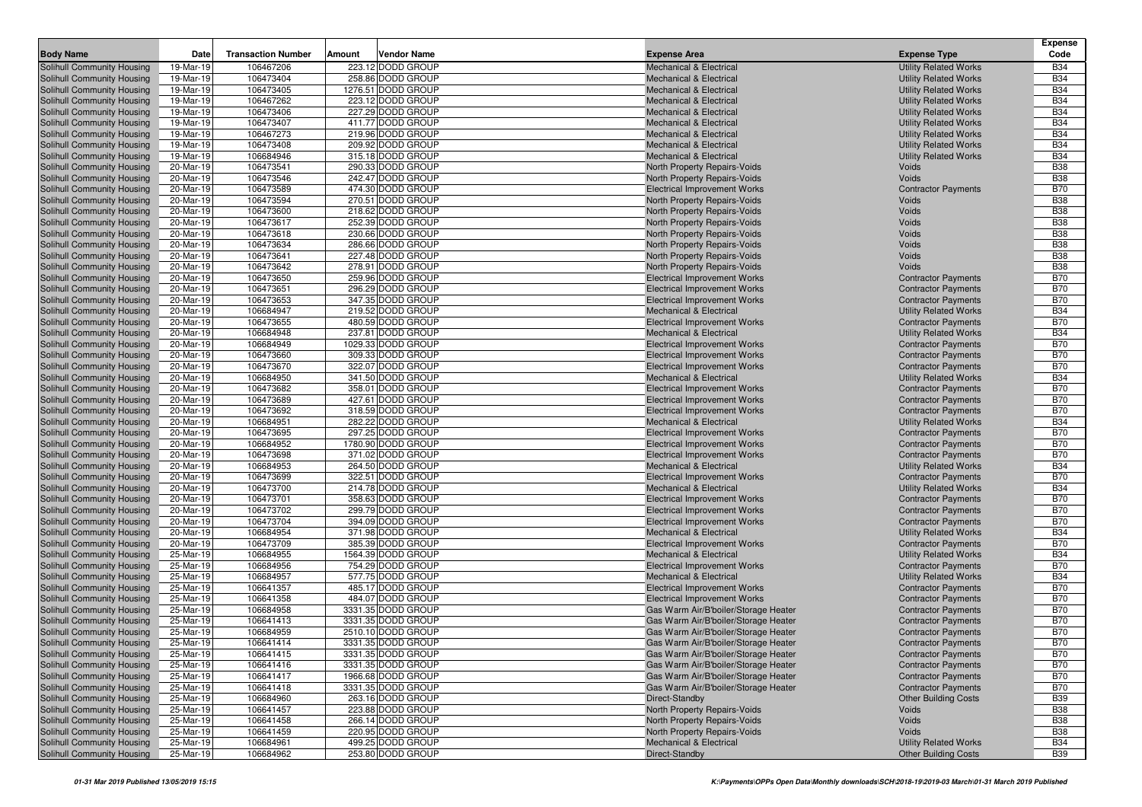|                                                          |                        |                           |                                         |                                                                           |                                                            | <b>Expense</b>           |
|----------------------------------------------------------|------------------------|---------------------------|-----------------------------------------|---------------------------------------------------------------------------|------------------------------------------------------------|--------------------------|
| <b>Body Name</b>                                         | Date                   | <b>Transaction Number</b> | Amount<br>Vendor Name                   | <b>Expense Area</b>                                                       | <b>Expense Type</b>                                        | Code                     |
| Solihull Community Housing                               | 19-Mar-19              | 106467206                 | 223.12 DODD GROUP                       | <b>Mechanical &amp; Electrical</b>                                        | <b>Utility Related Works</b>                               | <b>B34</b>               |
| Solihull Community Housing                               | 19-Mar-19              | 106473404                 | 258.86 DODD GROUP                       | <b>Mechanical &amp; Electrical</b>                                        | <b>Utility Related Works</b>                               | <b>B34</b>               |
| Solihull Community Housing                               | 19-Mar-19              | 106473405                 | 1276.51 DODD GROUP                      | <b>Mechanical &amp; Electrical</b>                                        | <b>Utility Related Works</b>                               | <b>B34</b>               |
| Solihull Community Housing                               | 19-Mar-19              | 106467262                 | 223.12 DODD GROUP                       | <b>Mechanical &amp; Electrical</b>                                        | <b>Utility Related Works</b>                               | <b>B34</b>               |
| Solihull Community Housing                               | 19-Mar-19              | 106473406                 | 227.29 DODD GROUP                       | <b>Mechanical &amp; Electrical</b>                                        | <b>Utility Related Works</b>                               | <b>B34</b>               |
| Solihull Community Housing                               | 19-Mar-19              | 106473407                 | 411.77 DODD GROUP                       | <b>Mechanical &amp; Electrical</b>                                        | <b>Utility Related Works</b>                               | <b>B34</b>               |
| Solihull Community Housing                               | 19-Mar-19              | 106467273                 | 219.96 DODD GROUP                       | Mechanical & Electrical                                                   | <b>Utility Related Works</b>                               | <b>B34</b>               |
| Solihull Community Housing                               | 19-Mar-19              | 106473408                 | 209.92 DODD GROUP                       | <b>Mechanical &amp; Electrical</b>                                        | <b>Utility Related Works</b>                               | <b>B34</b>               |
| Solihull Community Housing                               | 19-Mar-19              | 106684946                 | 315.18 DODD GROUP                       | <b>Mechanical &amp; Electrical</b>                                        | <b>Utility Related Works</b>                               | <b>B34</b>               |
| Solihull Community Housing                               | 20-Mar-19              | 106473541                 | 290.33 DODD GROUP                       | North Property Repairs-Voids                                              | Voids                                                      | <b>B38</b>               |
| Solihull Community Housing                               | 20-Mar-19              | 106473546                 | 242.47 DODD GROUP                       | North Property Repairs-Voids                                              | Voids                                                      | <b>B38</b>               |
| Solihull Community Housing                               | 20-Mar-19              | 106473589                 | 474.30 DODD GROUP<br>270.51 DODD GROUP  | <b>Electrical Improvement Works</b>                                       | <b>Contractor Payments</b>                                 | <b>B70</b><br><b>B38</b> |
| Solihull Community Housing                               | 20-Mar-19<br>20-Mar-19 | 106473594                 |                                         | North Property Repairs-Voids                                              | Voids                                                      |                          |
| Solihull Community Housing<br>Solihull Community Housing |                        | 106473600                 | 218.62 DODD GROUP                       | North Property Repairs-Voids                                              | Voids<br>Voids                                             | <b>B38</b><br><b>B38</b> |
| Solihull Community Housing                               | 20-Mar-19<br>20-Mar-19 | 106473617<br>106473618    | 252.39 DODD GROUP<br>230.66 DODD GROUP  | North Property Repairs-Voids                                              | Voids                                                      | <b>B38</b>               |
| Solihull Community Housing                               | 20-Mar-19              | 106473634                 | 286.66 DODD GROUP                       | North Property Repairs-Voids<br>North Property Repairs-Voids              | Voids                                                      | <b>B38</b>               |
| Solihull Community Housing                               | 20-Mar-19              | 106473641                 | 227.48 DODD GROUP                       | North Property Repairs-Voids                                              | Voids                                                      | <b>B38</b>               |
| Solihull Community Housing                               | 20-Mar-19              | 106473642                 | 278.91 DODD GROUP                       | North Property Repairs-Voids                                              | Voids                                                      | <b>B38</b>               |
| Solihull Community Housing                               | 20-Mar-19              | 106473650                 | 259.96 DODD GROUP                       | <b>Electrical Improvement Works</b>                                       | <b>Contractor Payments</b>                                 | <b>B70</b>               |
| Solihull Community Housing                               | 20-Mar-19              | 106473651                 | 296.29 DODD GROUP                       | <b>Electrical Improvement Works</b>                                       | <b>Contractor Payments</b>                                 | <b>B70</b>               |
| Solihull Community Housing                               | 20-Mar-19              | 106473653                 | 347.35 DODD GROUP                       | <b>Electrical Improvement Works</b>                                       | <b>Contractor Payments</b>                                 | <b>B70</b>               |
| Solihull Community Housing                               | 20-Mar-19              | 106684947                 | 219.52 DODD GROUP                       | <b>Mechanical &amp; Electrical</b>                                        | <b>Utility Related Works</b>                               | <b>B34</b>               |
| Solihull Community Housing                               | 20-Mar-19              | 106473655                 | 480.59 DODD GROUP                       | <b>Electrical Improvement Works</b>                                       | <b>Contractor Payments</b>                                 | <b>B70</b>               |
| Solihull Community Housing                               | 20-Mar-19              | 106684948                 | 237.81 DODD GROUP                       | <b>Mechanical &amp; Electrical</b>                                        | <b>Utility Related Works</b>                               | <b>B34</b>               |
| Solihull Community Housing                               | 20-Mar-19              | 106684949                 | 1029.33 DODD GROUP                      | <b>Electrical Improvement Works</b>                                       | <b>Contractor Payments</b>                                 | <b>B70</b>               |
| Solihull Community Housing                               | 20-Mar-19              | 106473660                 | 309.33 DODD GROUP                       | <b>Electrical Improvement Works</b>                                       | <b>Contractor Payments</b>                                 | <b>B70</b>               |
| Solihull Community Housing                               | 20-Mar-19              | 106473670                 | 322.07 DODD GROUP                       | <b>Electrical Improvement Works</b>                                       | <b>Contractor Payments</b>                                 | <b>B70</b>               |
| Solihull Community Housing                               | 20-Mar-19              | 106684950                 | 341.50 DODD GROUP                       | <b>Mechanical &amp; Electrical</b>                                        | <b>Utility Related Works</b>                               | <b>B34</b>               |
| Solihull Community Housing                               | 20-Mar-19              | 106473682                 | 358.01 DODD GROUP                       | <b>Electrical Improvement Works</b>                                       | <b>Contractor Payments</b>                                 | <b>B70</b>               |
| Solihull Community Housing                               | 20-Mar-19              | 106473689                 | 427.61 DODD GROUP                       | <b>Electrical Improvement Works</b>                                       | <b>Contractor Payments</b>                                 | <b>B70</b>               |
| Solihull Community Housing                               | 20-Mar-19              | 106473692                 | 318.59 DODD GROUP                       | <b>Electrical Improvement Works</b>                                       | <b>Contractor Payments</b>                                 | <b>B70</b>               |
| Solihull Community Housing                               | 20-Mar-19              | 106684951                 | 282.22 DODD GROUP                       | <b>Mechanical &amp; Electrical</b>                                        | <b>Utility Related Works</b>                               | <b>B34</b>               |
| Solihull Community Housing                               | 20-Mar-19              | 106473695                 | 297.25 DODD GROUP                       | <b>Electrical Improvement Works</b>                                       | <b>Contractor Payments</b>                                 | <b>B70</b>               |
| Solihull Community Housing                               | 20-Mar-19              | 106684952                 | 1780.90 DODD GROUP                      | <b>Electrical Improvement Works</b>                                       | <b>Contractor Payments</b>                                 | <b>B70</b>               |
| <b>Solihull Community Housing</b>                        | 20-Mar-19              | 106473698                 | 371.02 DODD GROUP                       | <b>Electrical Improvement Works</b>                                       | <b>Contractor Payments</b>                                 | <b>B70</b>               |
| Solihull Community Housing                               | 20-Mar-19              | 106684953                 | 264.50 DODD GROUP                       | <b>Mechanical &amp; Electrical</b>                                        | <b>Utility Related Works</b>                               | <b>B34</b>               |
| Solihull Community Housing                               | 20-Mar-19              | 106473699                 | 322.51 DODD GROUP                       | <b>Electrical Improvement Works</b>                                       | <b>Contractor Payments</b>                                 | <b>B70</b>               |
| Solihull Community Housing                               | 20-Mar-19              | 106473700                 | 214.78 DODD GROUP                       | <b>Mechanical &amp; Electrical</b>                                        | <b>Utility Related Works</b>                               | <b>B34</b>               |
| Solihull Community Housing                               | 20-Mar-19              | 106473701                 | 358.63 DODD GROUP                       | <b>Electrical Improvement Works</b>                                       | <b>Contractor Payments</b>                                 | <b>B70</b>               |
| Solihull Community Housing                               | 20-Mar-19              | 106473702                 | 299.79 DODD GROUP                       | <b>Electrical Improvement Works</b>                                       | <b>Contractor Payments</b>                                 | <b>B70</b>               |
| Solihull Community Housing                               | 20-Mar-19              | 106473704                 | 394.09 DODD GROUP                       | <b>Electrical Improvement Works</b>                                       | <b>Contractor Payments</b>                                 | <b>B70</b>               |
| Solihull Community Housing                               | 20-Mar-19              | 106684954                 | 371.98 DODD GROUP                       | Mechanical & Electrical                                                   | <b>Utility Related Works</b>                               | <b>B34</b>               |
| Solihull Community Housing<br>Solihull Community Housing | 20-Mar-19<br>25-Mar-19 | 106473709<br>106684955    | 385.39 DODD GROUP<br>1564.39 DODD GROUP | <b>Electrical Improvement Works</b><br><b>Mechanical &amp; Electrical</b> | <b>Contractor Payments</b><br><b>Utility Related Works</b> | <b>B70</b><br><b>B34</b> |
| Solihull Community Housing                               | 25-Mar-19              | 106684956                 | 754.29 DODD GROUP                       | <b>Electrical Improvement Works</b>                                       | <b>Contractor Payments</b>                                 | <b>B70</b>               |
| Solihull Community Housing                               | 25-Mar-19              | 106684957                 | 577.75 DODD GROUP                       | <b>Mechanical &amp; Electrical</b>                                        | <b>Utility Related Works</b>                               | <b>B34</b>               |
| Solihull Community Housing                               | 25-Mar-19              | 106641357                 | 485.17 DODD GROUP                       | <b>Electrical Improvement Works</b>                                       | <b>Contractor Payments</b>                                 | <b>B70</b>               |
| Solihull Community Housing                               | 25-Mar-19              | 106641358                 | 484.07 DODD GROUP                       | <b>Electrical Improvement Works</b>                                       | <b>Contractor Payments</b>                                 | <b>B70</b>               |
| Solihull Community Housing                               | 25-Mar-19              | 106684958                 | 3331.35 DODD GROUP                      | Gas Warm Air/B'boiler/Storage Heater                                      | <b>Contractor Payments</b>                                 | <b>B70</b>               |
| Solihull Community Housing                               | 25-Mar-19              | 106641413                 | 3331.35 DODD GROUP                      | Gas Warm Air/B'boiler/Storage Heater                                      | <b>Contractor Payments</b>                                 | <b>B70</b>               |
| Solihull Community Housing                               | 25-Mar-19              | 106684959                 | 2510.10 DODD GROUP                      | Gas Warm Air/B'boiler/Storage Heater                                      | <b>Contractor Payments</b>                                 | <b>B70</b>               |
| Solihull Community Housing                               | 25-Mar-19              | 106641414                 | 3331.35 DODD GROUP                      | Gas Warm Air/B'boiler/Storage Heater                                      | <b>Contractor Payments</b>                                 | <b>B70</b>               |
| Solihull Community Housing                               | 25-Mar-19              | 106641415                 | 3331.35 DODD GROUP                      | Gas Warm Air/B'boiler/Storage Heater                                      | <b>Contractor Payments</b>                                 | <b>B70</b>               |
| Solihull Community Housing                               | 25-Mar-19              | 106641416                 | 3331.35 DODD GROUP                      | Gas Warm Air/B'boiler/Storage Heater                                      | <b>Contractor Payments</b>                                 | <b>B70</b>               |
| Solihull Community Housing                               | 25-Mar-19              | 106641417                 | 1966.68 DODD GROUP                      | Gas Warm Air/B'boiler/Storage Heater                                      | <b>Contractor Payments</b>                                 | <b>B70</b>               |
| Solihull Community Housing                               | 25-Mar-19              | 106641418                 | 3331.35 DODD GROUP                      | Gas Warm Air/B'boiler/Storage Heater                                      | <b>Contractor Payments</b>                                 | <b>B70</b>               |
| Solihull Community Housing                               | 25-Mar-19              | 106684960                 | 263.16 DODD GROUP                       | Direct-Standby                                                            | <b>Other Building Costs</b>                                | <b>B39</b>               |
| Solihull Community Housing                               | 25-Mar-19              | 106641457                 | 223.88 DODD GROUP                       | North Property Repairs-Voids                                              | Voids                                                      | <b>B38</b>               |
| Solihull Community Housing                               | 25-Mar-19              | 106641458                 | 266.14 DODD GROUP                       | North Property Repairs-Voids                                              | Voids                                                      | <b>B38</b>               |
| Solihull Community Housing                               | 25-Mar-19              | 106641459                 | 220.95 DODD GROUP                       | North Property Repairs-Voids                                              | Voids                                                      | <b>B38</b>               |
| Solihull Community Housing                               | 25-Mar-19              | 106684961                 | 499.25 DODD GROUP                       | Mechanical & Electrical                                                   | <b>Utility Related Works</b>                               | <b>B34</b>               |
| Solihull Community Housing                               | 25-Mar-19              | 106684962                 | 253.80 DODD GROUP                       | Direct-Standby                                                            | <b>Other Building Costs</b>                                | <b>B39</b>               |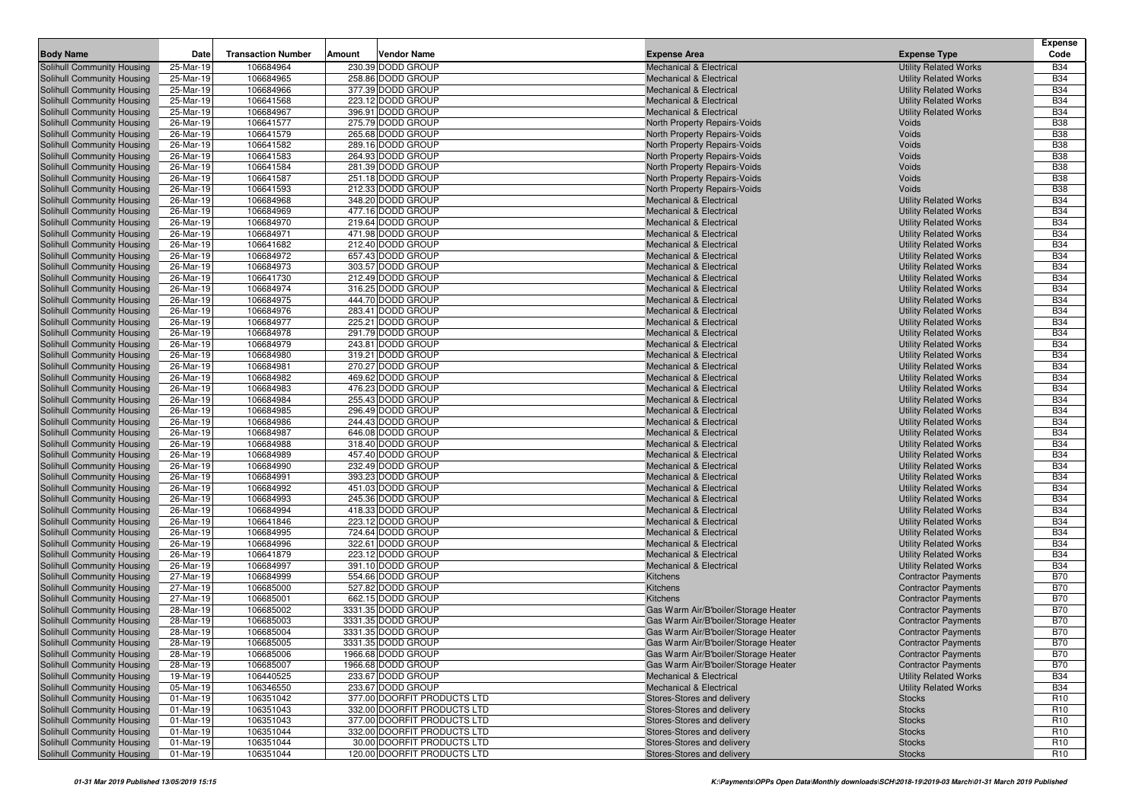|                                                          |                        |                           |                                        |                                                                          |                                                              | <b>Expense</b>           |
|----------------------------------------------------------|------------------------|---------------------------|----------------------------------------|--------------------------------------------------------------------------|--------------------------------------------------------------|--------------------------|
| <b>Body Name</b>                                         | Date                   | <b>Transaction Number</b> | Vendor Name<br>Amount                  | <b>Expense Area</b>                                                      | <b>Expense Type</b>                                          | Code                     |
| Solihull Community Housing                               | 25-Mar-19              | 106684964                 | 230.39 DODD GROUP                      | <b>Mechanical &amp; Electrical</b>                                       | <b>Utility Related Works</b>                                 | <b>B34</b>               |
| Solihull Community Housing                               | 25-Mar-19              | 106684965                 | 258.86 DODD GROUP                      | <b>Mechanical &amp; Electrical</b>                                       | <b>Utility Related Works</b>                                 | <b>B34</b>               |
| Solihull Community Housing                               | 25-Mar-19              | 106684966                 | 377.39 DODD GROUP                      | <b>Mechanical &amp; Electrical</b>                                       | <b>Utility Related Works</b>                                 | <b>B34</b>               |
| Solihull Community Housing                               | 25-Mar-19              | 106641568                 | 223.12 DODD GROUP                      | <b>Mechanical &amp; Electrical</b>                                       | <b>Utility Related Works</b>                                 | <b>B34</b>               |
| Solihull Community Housing                               | 25-Mar-19              | 106684967                 | 396.91 DODD GROUP                      | <b>Mechanical &amp; Electrical</b>                                       | <b>Utility Related Works</b>                                 | <b>B34</b>               |
| Solihull Community Housing                               | 26-Mar-19              | 106641577                 | 275.79 DODD GROUP                      | North Property Repairs-Voids                                             | Voids                                                        | <b>B38</b>               |
| Solihull Community Housing                               | 26-Mar-19              | 106641579                 | 265.68 DODD GROUP<br>289.16 DODD GROUP | North Property Repairs-Voids                                             | Voids                                                        | <b>B38</b><br><b>B38</b> |
| Solihull Community Housing<br>Solihull Community Housing | 26-Mar-19<br>26-Mar-19 | 106641582<br>106641583    | 264.93 DODD GROUP                      | North Property Repairs-Voids<br>North Property Repairs-Voids             | Voids<br>Voids                                               | <b>B38</b>               |
| Solihull Community Housing                               | 26-Mar-19              | 106641584                 | 281.39 DODD GROUP                      | North Property Repairs-Voids                                             | Voids                                                        | <b>B38</b>               |
| Solihull Community Housing                               | 26-Mar-19              | 106641587                 | 251.18 DODD GROUP                      | North Property Repairs-Voids                                             | Voids                                                        | <b>B38</b>               |
| Solihull Community Housing                               | 26-Mar-19              | 106641593                 | 212.33 DODD GROUP                      | North Property Repairs-Voids                                             | Voids                                                        | <b>B38</b>               |
| Solihull Community Housing                               | 26-Mar-19              | 106684968                 | 348.20 DODD GROUP                      | <b>Mechanical &amp; Electrical</b>                                       | <b>Utility Related Works</b>                                 | <b>B34</b>               |
| Solihull Community Housing                               | 26-Mar-19              | 106684969                 | 477.16 DODD GROUP                      | <b>Mechanical &amp; Electrical</b>                                       | <b>Utility Related Works</b>                                 | <b>B34</b>               |
| Solihull Community Housing                               | 26-Mar-19              | 106684970                 | 219.64 DODD GROUP                      | <b>Mechanical &amp; Electrical</b>                                       | <b>Utility Related Works</b>                                 | <b>B34</b>               |
| Solihull Community Housing                               | 26-Mar-19              | 106684971                 | 471.98 DODD GROUP                      | <b>Mechanical &amp; Electrical</b>                                       | <b>Utility Related Works</b>                                 | <b>B34</b>               |
| Solihull Community Housing                               | 26-Mar-19              | 106641682                 | 212.40 DODD GROUP                      | <b>Mechanical &amp; Electrical</b>                                       | <b>Utility Related Works</b>                                 | <b>B34</b>               |
| Solihull Community Housing                               | 26-Mar-19              | 106684972                 | 657.43 DODD GROUP                      | <b>Mechanical &amp; Electrical</b>                                       | <b>Utility Related Works</b>                                 | <b>B34</b>               |
| Solihull Community Housing                               | 26-Mar-19              | 106684973                 | 303.57 DODD GROUP                      | <b>Mechanical &amp; Electrical</b>                                       | <b>Utility Related Works</b>                                 | <b>B34</b>               |
| Solihull Community Housing                               | 26-Mar-19              | 106641730                 | 212.49 DODD GROUP                      | <b>Mechanical &amp; Electrical</b>                                       | <b>Utility Related Works</b>                                 | <b>B34</b>               |
| Solihull Community Housing                               | 26-Mar-19              | 106684974                 | 316.25 DODD GROUP                      | <b>Mechanical &amp; Electrical</b>                                       | <b>Utility Related Works</b>                                 | <b>B34</b>               |
| Solihull Community Housing                               | 26-Mar-19              | 106684975                 | 444.70 DODD GROUP                      | <b>Mechanical &amp; Electrical</b>                                       | <b>Utility Related Works</b>                                 | <b>B34</b>               |
| Solihull Community Housing                               | 26-Mar-19              | 106684976                 | 283.41 DODD GROUP                      | <b>Mechanical &amp; Electrical</b>                                       | <b>Utility Related Works</b>                                 | <b>B34</b>               |
| Solihull Community Housing                               | 26-Mar-19              | 106684977                 | 225.21 DODD GROUP                      | <b>Mechanical &amp; Electrical</b>                                       | <b>Utility Related Works</b>                                 | <b>B34</b>               |
| Solihull Community Housing                               | 26-Mar-19              | 106684978                 | 291.79 DODD GROUP                      | <b>Mechanical &amp; Electrical</b>                                       | <b>Utility Related Works</b>                                 | <b>B34</b>               |
| Solihull Community Housing                               | 26-Mar-19              | 106684979                 | 243.81 DODD GROUP                      | <b>Mechanical &amp; Electrical</b>                                       | <b>Utility Related Works</b>                                 | <b>B34</b>               |
| Solihull Community Housing                               | 26-Mar-19              | 106684980<br>106684981    | 319.21 DODD GROUP<br>270.27 DODD GROUP | <b>Mechanical &amp; Electrical</b>                                       | <b>Utility Related Works</b>                                 | <b>B34</b><br><b>B34</b> |
| Solihull Community Housing<br>Solihull Community Housing | 26-Mar-19<br>26-Mar-19 | 106684982                 | 469.62 DODD GROUP                      | <b>Mechanical &amp; Electrical</b><br><b>Mechanical &amp; Electrical</b> | <b>Utility Related Works</b><br><b>Utility Related Works</b> | <b>B34</b>               |
| Solihull Community Housing                               | 26-Mar-19              | 106684983                 | 476.23 DODD GROUP                      | <b>Mechanical &amp; Electrical</b>                                       | <b>Utility Related Works</b>                                 | <b>B34</b>               |
| Solihull Community Housing                               | 26-Mar-19              | 106684984                 | 255.43 DODD GROUP                      | <b>Mechanical &amp; Electrical</b>                                       | <b>Utility Related Works</b>                                 | <b>B34</b>               |
| Solihull Community Housing                               | 26-Mar-19              | 106684985                 | 296.49 DODD GROUP                      | <b>Mechanical &amp; Electrical</b>                                       | <b>Utility Related Works</b>                                 | <b>B34</b>               |
| Solihull Community Housing                               | 26-Mar-19              | 106684986                 | 244.43 DODD GROUP                      | <b>Mechanical &amp; Electrical</b>                                       | <b>Utility Related Works</b>                                 | <b>B34</b>               |
| Solihull Community Housing                               | 26-Mar-19              | 106684987                 | 646.08 DODD GROUP                      | <b>Mechanical &amp; Electrical</b>                                       | <b>Utility Related Works</b>                                 | <b>B34</b>               |
| Solihull Community Housing                               | 26-Mar-19              | 106684988                 | 318.40 DODD GROUP                      | <b>Mechanical &amp; Electrical</b>                                       | <b>Utility Related Works</b>                                 | <b>B34</b>               |
| Solihull Community Housing                               | 26-Mar-19              | 106684989                 | 457.40 DODD GROUP                      | <b>Mechanical &amp; Electrical</b>                                       | <b>Utility Related Works</b>                                 | <b>B34</b>               |
| Solihull Community Housing                               | 26-Mar-19              | 106684990                 | 232.49 DODD GROUP                      | <b>Mechanical &amp; Electrical</b>                                       | <b>Utility Related Works</b>                                 | <b>B34</b>               |
| Solihull Community Housing                               | 26-Mar-19              | 106684991                 | 393.23 DODD GROUP                      | <b>Mechanical &amp; Electrical</b>                                       | <b>Utility Related Works</b>                                 | <b>B34</b>               |
| Solihull Community Housing                               | 26-Mar-19              | 106684992                 | 451.03 DODD GROUP                      | <b>Mechanical &amp; Electrical</b>                                       | <b>Utility Related Works</b>                                 | <b>B34</b>               |
| Solihull Community Housing                               | 26-Mar-19              | 106684993                 | 245.36 DODD GROUP                      | <b>Mechanical &amp; Electrical</b>                                       | <b>Utility Related Works</b>                                 | <b>B34</b>               |
| Solihull Community Housing                               | 26-Mar-19              | 106684994                 | 418.33 DODD GROUP                      | <b>Mechanical &amp; Electrical</b>                                       | <b>Utility Related Works</b>                                 | <b>B34</b>               |
| Solihull Community Housing                               | 26-Mar-19              | 106641846                 | 223.12 DODD GROUP                      | <b>Mechanical &amp; Electrical</b>                                       | <b>Utility Related Works</b>                                 | <b>B34</b>               |
| Solihull Community Housing                               | 26-Mar-19              | 106684995                 | 724.64 DODD GROUP                      | <b>Mechanical &amp; Electrical</b>                                       | <b>Utility Related Works</b>                                 | <b>B34</b>               |
| Solihull Community Housing                               | 26-Mar-19              | 106684996<br>106641879    | 322.61 DODD GROUP<br>223.12 DODD GROUP | <b>Mechanical &amp; Electrical</b>                                       | <b>Utility Related Works</b><br><b>Utility Related Works</b> | <b>B34</b><br><b>B34</b> |
| Solihull Community Housing<br>Solihull Community Housing | 26-Mar-19<br>26-Mar-19 | 106684997                 | 391.10 DODD GROUP                      | <b>Mechanical &amp; Electrical</b><br><b>Mechanical &amp; Electrical</b> | <b>Utility Related Works</b>                                 | <b>B34</b>               |
| Solihull Community Housing                               | 27-Mar-19              | 106684999                 | 554.66 DODD GROUP                      | Kitchens                                                                 | <b>Contractor Payments</b>                                   | <b>B70</b>               |
| Solihull Community Housing                               | 27-Mar-19              | 106685000                 | 527.82 DODD GROUP                      | Kitchens                                                                 | <b>Contractor Payments</b>                                   | <b>B70</b>               |
| Solihull Community Housing                               | 27-Mar-19              | 106685001                 | 662.15 DODD GROUP                      | Kitchens                                                                 | <b>Contractor Payments</b>                                   | <b>B70</b>               |
| <b>Solihull Community Housing</b>                        | 28-Mar-19              | 106685002                 | 3331.35 DODD GROUP                     | Gas Warm Air/B'boiler/Storage Heater                                     | <b>Contractor Payments</b>                                   | <b>B70</b>               |
| Solihull Community Housing                               | 28-Mar-19              | 106685003                 | 3331.35 DODD GROUP                     | Gas Warm Air/B'boiler/Storage Heater                                     | <b>Contractor Payments</b>                                   | <b>B70</b>               |
| Solihull Community Housing                               | 28-Mar-19              | 106685004                 | 3331.35 DODD GROUP                     | Gas Warm Air/B'boiler/Storage Heater                                     | <b>Contractor Payments</b>                                   | <b>B70</b>               |
| Solihull Community Housing                               | 28-Mar-19              | 106685005                 | 3331.35 DODD GROUP                     | Gas Warm Air/B'boiler/Storage Heater                                     | <b>Contractor Payments</b>                                   | <b>B70</b>               |
| Solihull Community Housing                               | 28-Mar-19              | 106685006                 | 1966.68 DODD GROUP                     | Gas Warm Air/B'boiler/Storage Heater                                     | <b>Contractor Payments</b>                                   | <b>B70</b>               |
| Solihull Community Housing                               | 28-Mar-19              | 106685007                 | 1966.68 DODD GROUP                     | Gas Warm Air/B'boiler/Storage Heater                                     | <b>Contractor Payments</b>                                   | <b>B70</b>               |
| Solihull Community Housing                               | 19-Mar-19              | 106440525                 | 233.67 DODD GROUP                      | <b>Mechanical &amp; Electrical</b>                                       | <b>Utility Related Works</b>                                 | <b>B34</b>               |
| Solihull Community Housing                               | 05-Mar-19              | 106346550                 | 233.67 DODD GROUP                      | <b>Mechanical &amp; Electrical</b>                                       | <b>Utility Related Works</b>                                 | <b>B34</b>               |
| Solihull Community Housing                               | 01-Mar-19              | 106351042                 | 377.00 DOORFIT PRODUCTS LTD            | Stores-Stores and delivery                                               | <b>Stocks</b>                                                | R <sub>10</sub>          |
| Solihull Community Housing                               | 01-Mar-19              | 106351043                 | 332.00 DOORFIT PRODUCTS LTD            | Stores-Stores and delivery                                               | <b>Stocks</b>                                                | R <sub>10</sub>          |
| Solihull Community Housing                               | 01-Mar-19              | 106351043                 | 377.00 DOORFIT PRODUCTS LTD            | Stores-Stores and delivery                                               | <b>Stocks</b>                                                | R <sub>10</sub>          |
| Solihull Community Housing                               | 01-Mar-19              | 106351044                 | 332.00 DOORFIT PRODUCTS LTD            | Stores-Stores and delivery                                               | <b>Stocks</b>                                                | R <sub>10</sub>          |
| Solihull Community Housing                               | 01-Mar-19              | 106351044                 | 30.00 DOORFIT PRODUCTS LTD             | Stores-Stores and delivery                                               | <b>Stocks</b>                                                | R <sub>10</sub>          |
| Solihull Community Housing                               | 01-Mar-19              | 106351044                 | 120.00 DOORFIT PRODUCTS LTD            | Stores-Stores and delivery                                               | <b>Stocks</b>                                                | R <sub>10</sub>          |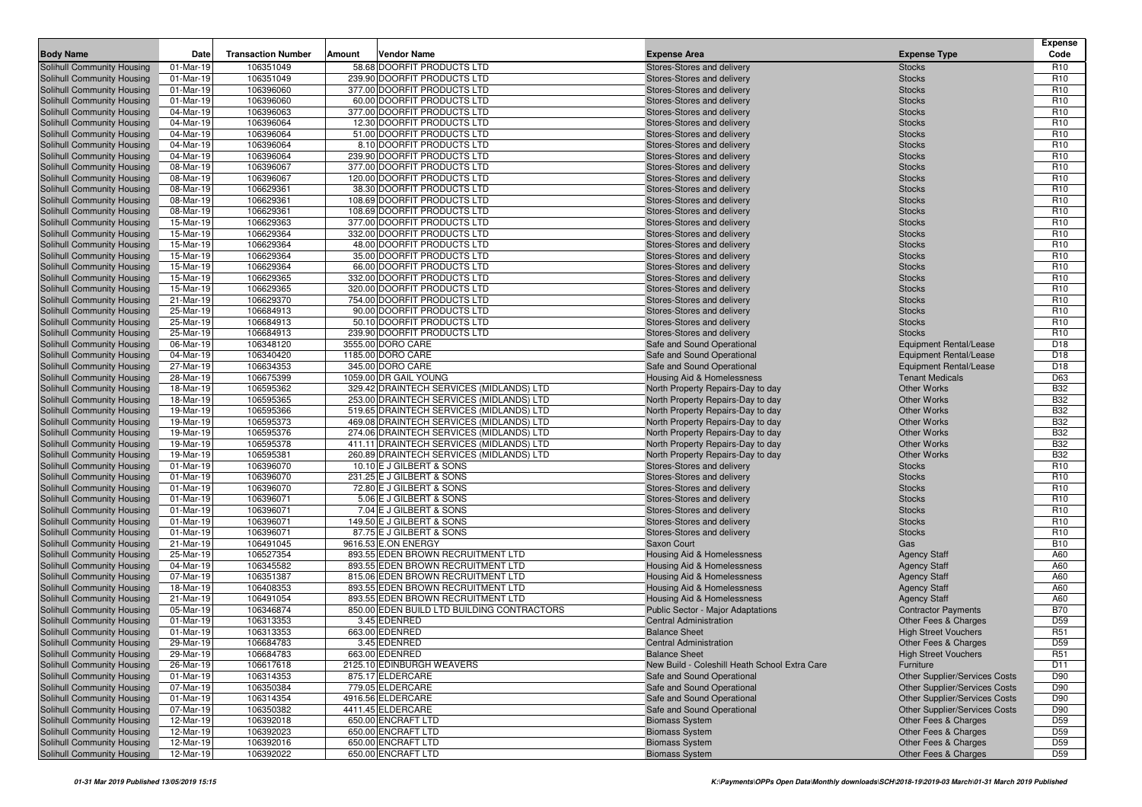| 58.68 DOORFIT PRODUCTS LTD<br>Solihull Community Housing<br>106351049<br>Stores-Stores and delivery<br><b>Stocks</b><br>R <sub>10</sub><br>01-Mar-19<br>01-Mar-19<br>106351049<br>239.90 DOORFIT PRODUCTS LTD<br>R <sub>10</sub><br>Solihull Community Housing<br>Stores-Stores and delivery<br><b>Stocks</b><br>01-Mar-19<br>106396060<br>377.00 DOORFIT PRODUCTS LTD<br><b>Stocks</b><br>R <sub>10</sub><br>Solihull Community Housing<br>Stores-Stores and delivery<br>106396060<br>60.00 DOORFIT PRODUCTS LTD<br>R <sub>10</sub><br>Solihull Community Housing<br>01-Mar-19<br>Stores-Stores and delivery<br><b>Stocks</b><br>106396063<br>377.00 DOORFIT PRODUCTS LTD<br>R <sub>10</sub><br>Solihull Community Housing<br>04-Mar-19<br>Stores-Stores and delivery<br><b>Stocks</b><br>106396064<br>12.30 DOORFIT PRODUCTS LTD<br>R <sub>10</sub><br>Solihull Community Housing<br>04-Mar-19<br>Stores-Stores and delivery<br><b>Stocks</b><br>04-Mar-19<br>106396064<br>51.00 DOORFIT PRODUCTS LTD<br>R <sub>10</sub><br>Solihull Community Housing<br>Stores-Stores and delivery<br><b>Stocks</b><br>Solihull Community Housing<br>04-Mar-19<br>106396064<br>8.10 DOORFIT PRODUCTS LTD<br>R <sub>10</sub><br>Stores-Stores and delivery<br><b>Stocks</b><br>106396064<br>239.90 DOORFIT PRODUCTS LTD<br>R <sub>10</sub><br>Solihull Community Housing<br>04-Mar-19<br>Stores-Stores and delivery<br><b>Stocks</b><br>08-Mar-19<br>106396067<br>377.00 DOORFIT PRODUCTS LTD<br>R <sub>10</sub><br>Stores-Stores and delivery<br><b>Stocks</b><br>08-Mar-19<br>106396067<br>120.00 DOORFIT PRODUCTS LTD<br>R <sub>10</sub><br>Stores-Stores and delivery<br><b>Stocks</b><br>08-Mar-19<br>106629361<br>38.30 DOORFIT PRODUCTS LTD<br>R <sub>10</sub><br>Stores-Stores and delivery<br><b>Stocks</b><br>08-Mar-19<br>106629361<br>108.69 DOORFIT PRODUCTS LTD<br>R <sub>10</sub><br>Stores-Stores and delivery<br><b>Stocks</b><br>R <sub>10</sub><br>106629361<br>108.69 DOORFIT PRODUCTS LTD<br>08-Mar-19<br>Stores-Stores and delivery<br><b>Stocks</b><br>106629363<br>377.00 DOORFIT PRODUCTS LTD<br>R <sub>10</sub><br>15-Mar-19<br>Stores-Stores and delivery<br><b>Stocks</b><br>15-Mar-19<br>106629364<br>332.00 DOORFIT PRODUCTS LTD<br>R <sub>10</sub><br>Stores-Stores and delivery<br><b>Stocks</b><br>R <sub>10</sub><br>15-Mar-19<br>106629364<br>48.00 DOORFIT PRODUCTS LTD<br>Stores-Stores and delivery<br><b>Stocks</b><br>106629364<br>35.00 DOORFIT PRODUCTS LTD<br>R <sub>10</sub><br>15-Mar-19<br>Stores-Stores and delivery<br><b>Stocks</b><br>106629364<br>66.00 DOORFIT PRODUCTS LTD<br>R <sub>10</sub><br>15-Mar-19<br>Stores-Stores and delivery<br><b>Stocks</b><br>15-Mar-19<br>106629365<br>332.00 DOORFIT PRODUCTS LTD<br>R <sub>10</sub><br>Stores-Stores and delivery<br><b>Stocks</b><br>15-Mar-19<br>106629365<br>320.00 DOORFIT PRODUCTS LTD<br>R <sub>10</sub><br>Stores-Stores and delivery<br><b>Stocks</b><br>106629370<br>754.00 DOORFIT PRODUCTS LTD<br>R <sub>10</sub><br>21-Mar-19<br>Stores-Stores and delivery<br><b>Stocks</b><br>R <sub>10</sub><br>25-Mar-19<br>106684913<br>90.00 DOORFIT PRODUCTS LTD<br>Stores-Stores and delivery<br><b>Stocks</b><br>25-Mar-19<br>106684913<br>50.10 DOORFIT PRODUCTS LTD<br>R <sub>10</sub><br>Stores-Stores and delivery<br><b>Stocks</b><br>106684913<br>239.90 DOORFIT PRODUCTS LTD<br><b>Stocks</b><br>R <sub>10</sub><br>25-Mar-19<br>Stores-Stores and delivery<br>3555.00 DORO CARE<br>D <sub>18</sub><br>Solihull Community Housing<br>06-Mar-19<br>106348120<br>Safe and Sound Operational<br><b>Equipment Rental/Lease</b><br>04-Mar-19<br>106340420<br>1185.00 DORO CARE<br>D <sub>18</sub><br>Safe and Sound Operational<br><b>Equipment Rental/Lease</b><br>27-Mar-19<br>106634353<br>345.00 DORO CARE<br>D <sub>18</sub><br>Safe and Sound Operational<br><b>Equipment Rental/Lease</b><br>106675399<br>1059.00 DR GAIL YOUNG<br><b>Tenant Medicals</b><br>D63<br>28-Mar-19<br><b>Housing Aid &amp; Homelessness</b><br><b>B32</b><br>106595362<br>329.42 DRAINTECH SERVICES (MIDLANDS) LTD<br><b>Other Works</b><br>Solihull Community Housing<br>18-Mar-19<br>North Property Repairs-Day to day<br><b>B32</b><br>106595365<br>253.00 DRAINTECH SERVICES (MIDLANDS) LTD<br><b>Other Works</b><br>Solihull Community Housing<br>18-Mar-19<br>North Property Repairs-Day to day<br><b>B32</b><br>19-Mar-19<br>106595366<br>519.65 DRAINTECH SERVICES (MIDLANDS) LTD<br><b>Other Works</b><br>Solihull Community Housing<br>North Property Repairs-Day to day<br>Solihull Community Housing<br>106595373<br>469.08 DRAINTECH SERVICES (MIDLANDS) LTD<br><b>Other Works</b><br><b>B32</b><br>19-Mar-19<br>North Property Repairs-Day to day<br>106595376<br><b>Other Works</b><br><b>B32</b><br>Solihull Community Housing<br>19-Mar-19<br>274.06 DRAINTECH SERVICES (MIDLANDS) LTD<br>North Property Repairs-Day to day<br><b>B32</b><br>106595378<br>411.11 DRAINTECH SERVICES (MIDLANDS) LTD<br><b>Other Works</b><br>Solihull Community Housing<br>19-Mar-19<br>North Property Repairs-Day to day<br><b>B32</b><br>19-Mar-19<br>106595381<br>260.89 DRAINTECH SERVICES (MIDLANDS) LTD<br><b>Other Works</b><br>Solihull Community Housing<br>North Property Repairs-Day to day<br>01-Mar-19<br>106396070<br>R <sub>10</sub><br>Solihull Community Housing<br>10.10 E J GILBERT & SONS<br>Stores-Stores and delivery<br><b>Stocks</b><br>01-Mar-19<br>106396070<br>231.25 E J GILBERT & SONS<br>R <sub>10</sub><br>Solihull Community Housing<br>Stores-Stores and delivery<br><b>Stocks</b><br>R <sub>10</sub><br>Solihull Community Housing<br>01-Mar-19<br>106396070<br>72.80 E J GILBERT & SONS<br>Stores-Stores and delivery<br><b>Stocks</b><br>106396071<br>5.06 E J GILBERT & SONS<br>R <sub>10</sub><br>Solihull Community Housing<br>01-Mar-19<br>Stores-Stores and delivery<br><b>Stocks</b><br>01-Mar-19<br>106396071<br>7.04 E J GILBERT & SONS<br>R <sub>10</sub><br>Solihull Community Housing<br>Stores-Stores and delivery<br><b>Stocks</b><br>01-Mar-19<br>106396071<br>149.50 E J GILBERT & SONS<br>R <sub>10</sub><br>Solihull Community Housing<br>Stores-Stores and delivery<br><b>Stocks</b><br>106396071<br>87.75 E J GILBERT & SONS<br>R <sub>10</sub><br>Solihull Community Housing<br>01-Mar-19<br>Stores-Stores and delivery<br><b>Stocks</b><br>9616.53 E.ON ENERGY<br><b>B10</b><br>Solihull Community Housing<br>21-Mar-19<br>106491045<br>Saxon Court<br>Gas<br>25-Mar-19<br>106527354<br>893.55 EDEN BROWN RECRUITMENT LTD<br>A60<br>Solihull Community Housing<br>Housing Aid & Homelessness<br><b>Agency Staff</b><br>A60<br>Solihull Community Housing<br>04-Mar-19<br>106345582<br>893.55 EDEN BROWN RECRUITMENT LTD<br><b>Housing Aid &amp; Homelessness</b><br><b>Agency Staff</b><br>106351387<br>815.06 EDEN BROWN RECRUITMENT LTD<br>A60<br>Solihull Community Housing<br>07-Mar-19<br><b>Housing Aid &amp; Homelessness</b><br><b>Agency Staff</b><br>893.55 EDEN BROWN RECRUITMENT LTD<br>106408353<br>A60<br>Solihull Community Housing<br>18-Mar-19<br>Housing Aid & Homelessness<br><b>Agency Staff</b><br>Solihull Community Housing<br>21-Mar-19<br>106491054<br>893.55 EDEN BROWN RECRUITMENT LTD<br>A60<br><b>Housing Aid &amp; Homelessness</b><br><b>Agency Staff</b><br>Solihull Community Housing<br>850.00 EDEN BUILD LTD BUILDING CONTRACTORS<br><b>B70</b><br>05-Mar-19<br>106346874<br>Public Sector - Major Adaptations<br><b>Contractor Payments</b><br>106313353<br>3.45 EDENRED<br>D <sub>59</sub><br>Solihull Community Housing<br>01-Mar-19<br><b>Central Administration</b><br>Other Fees & Charges<br>Solihull Community Housing<br>01-Mar-19<br>106313353<br>663.00 EDENRED<br>R <sub>51</sub><br><b>Balance Sheet</b><br><b>High Street Vouchers</b><br>Solihull Community Housing<br>29-Mar-19<br>3.45 EDENRED<br>D <sub>59</sub><br>106684783<br><b>Central Administration</b><br>Other Fees & Charges<br>Solihull Community Housing<br>29-Mar-19<br>106684783<br>663.00 EDENRED<br>R <sub>51</sub><br><b>Balance Sheet</b><br><b>High Street Vouchers</b><br>Solihull Community Housing<br>2125.10 EDINBURGH WEAVERS<br>Furniture<br>26-Mar-19<br>106617618<br>New Build - Coleshill Heath School Extra Care<br>D11<br>106314353<br>875.17 ELDERCARE<br>Safe and Sound Operational<br><b>Other Supplier/Services Costs</b><br>01-Mar-19<br>D90<br>07-Mar-19<br>106350384<br>779.05 ELDERCARE<br>Safe and Sound Operational<br><b>Other Supplier/Services Costs</b><br>D90<br>4916.56 ELDERCARE<br>01-Mar-19<br>106314354<br>Safe and Sound Operational<br>Other Supplier/Services Costs<br>D90<br>106350382<br>4411.45 ELDERCARE<br>Other Supplier/Services Costs<br>07-Mar-19<br>Safe and Sound Operational<br>D90<br>12-Mar-19<br>106392018<br>650.00 ENCRAFT LTD<br>Other Fees & Charges<br>D <sub>59</sub><br><b>Biomass System</b><br>12-Mar-19<br>106392023<br>650.00 ENCRAFT LTD<br><b>Biomass System</b><br>Other Fees & Charges<br>D59<br>12-Mar-19<br>106392016<br>650.00 ENCRAFT LTD<br><b>Biomass System</b><br>Other Fees & Charges<br>D <sub>59</sub><br>650.00 ENCRAFT LTD<br>12-Mar-19<br>Other Fees & Charges<br>D <sub>59</sub> | <b>Body Name</b>           | Date | <b>Transaction Number</b> | Amount | Vendor Name | <b>Expense Area</b>   | <b>Expense Type</b> | <b>Expense</b><br>Code |
|-------------------------------------------------------------------------------------------------------------------------------------------------------------------------------------------------------------------------------------------------------------------------------------------------------------------------------------------------------------------------------------------------------------------------------------------------------------------------------------------------------------------------------------------------------------------------------------------------------------------------------------------------------------------------------------------------------------------------------------------------------------------------------------------------------------------------------------------------------------------------------------------------------------------------------------------------------------------------------------------------------------------------------------------------------------------------------------------------------------------------------------------------------------------------------------------------------------------------------------------------------------------------------------------------------------------------------------------------------------------------------------------------------------------------------------------------------------------------------------------------------------------------------------------------------------------------------------------------------------------------------------------------------------------------------------------------------------------------------------------------------------------------------------------------------------------------------------------------------------------------------------------------------------------------------------------------------------------------------------------------------------------------------------------------------------------------------------------------------------------------------------------------------------------------------------------------------------------------------------------------------------------------------------------------------------------------------------------------------------------------------------------------------------------------------------------------------------------------------------------------------------------------------------------------------------------------------------------------------------------------------------------------------------------------------------------------------------------------------------------------------------------------------------------------------------------------------------------------------------------------------------------------------------------------------------------------------------------------------------------------------------------------------------------------------------------------------------------------------------------------------------------------------------------------------------------------------------------------------------------------------------------------------------------------------------------------------------------------------------------------------------------------------------------------------------------------------------------------------------------------------------------------------------------------------------------------------------------------------------------------------------------------------------------------------------------------------------------------------------------------------------------------------------------------------------------------------------------------------------------------------------------------------------------------------------------------------------------------------------------------------------------------------------------------------------------------------------------------------------------------------------------------------------------------------------------------------------------------------------------------------------------------------------------------------------------------------------------------------------------------------------------------------------------------------------------------------------------------------------------------------------------------------------------------------------------------------------------------------------------------------------------------------------------------------------------------------------------------------------------------------------------------------------------------------------------------------------------------------------------------------------------------------------------------------------------------------------------------------------------------------------------------------------------------------------------------------------------------------------------------------------------------------------------------------------------------------------------------------------------------------------------------------------------------------------------------------------------------------------------------------------------------------------------------------------------------------------------------------------------------------------------------------------------------------------------------------------------------------------------------------------------------------------------------------------------------------------------------------------------------------------------------------------------------------------------------------------------------------------------------------------------------------------------------------------------------------------------------------------------------------------------------------------------------------------------------------------------------------------------------------------------------------------------------------------------------------------------------------------------------------------------------------------------------------------------------------------------------------------------------------------------------------------------------------------------------------------------------------------------------------------------------------------------------------------------------------------------------------------------------------------------------------------------------------------------------------------------------------------------------------------------------------------------------------------------------------------------------------------------------------------------------------------------------------------------------------------------------------------------------------------------------------------------------------------------------------------------------------------------------------------------------------------------------------------------------------------------------------------------------------------------------------------------------------------------------------------------------------------------------------------------------------------------------------------------------------------------------------------------------------------------------------------------------------------------------------------------------------------------------------------------------------------------------------------------------------------------------------------------------------------------------------------------------------------------------------------------------------------------------------------------------------------------------------------------------------------------------------------------------------------------------------------------------------------------------------------------------------------------------------------------------------------------------------------------------------------------------------------------------------------------------------------------------------------------------------------------------------------------------------------------------------------------------------------------------------------------------------------------------------------------------------------------------------------------------------------------------------------------------------------------------------------------------------------------------------------------------------------------------------------------------------------------------------------------------------------------------------------------------------------------------------------------------------------------------------------------------------------------------------------------------------------------------------------------------------------------------------------------------------------------------------------------------------------------------------------------------------------|----------------------------|------|---------------------------|--------|-------------|-----------------------|---------------------|------------------------|
|                                                                                                                                                                                                                                                                                                                                                                                                                                                                                                                                                                                                                                                                                                                                                                                                                                                                                                                                                                                                                                                                                                                                                                                                                                                                                                                                                                                                                                                                                                                                                                                                                                                                                                                                                                                                                                                                                                                                                                                                                                                                                                                                                                                                                                                                                                                                                                                                                                                                                                                                                                                                                                                                                                                                                                                                                                                                                                                                                                                                                                                                                                                                                                                                                                                                                                                                                                                                                                                                                                                                                                                                                                                                                                                                                                                                                                                                                                                                                                                                                                                                                                                                                                                                                                                                                                                                                                                                                                                                                                                                                                                                                                                                                                                                                                                                                                                                                                                                                                                                                                                                                                                                                                                                                                                                                                                                                                                                                                                                                                                                                                                                                                                                                                                                                                                                                                                                                                                                                                                                                                                                                                                                                                                                                                                                                                                                                                                                                                                                                                                                                                                                                                                                                                                                                                                                                                                                                                                                                                                                                                                                                                                                                                                                                                                                                                                                                                                                                                                                                                                                                                                                                                                                                                                                                                                                                                                                                                                                                                                                                                                                                                                                                                                                                                                                                                                                                                                                                                                                                                                                                                                                                                                                                                                                                                                                                                                                                                                                                                                                                                                                                                                                                                                                                                     |                            |      |                           |        |             |                       |                     |                        |
|                                                                                                                                                                                                                                                                                                                                                                                                                                                                                                                                                                                                                                                                                                                                                                                                                                                                                                                                                                                                                                                                                                                                                                                                                                                                                                                                                                                                                                                                                                                                                                                                                                                                                                                                                                                                                                                                                                                                                                                                                                                                                                                                                                                                                                                                                                                                                                                                                                                                                                                                                                                                                                                                                                                                                                                                                                                                                                                                                                                                                                                                                                                                                                                                                                                                                                                                                                                                                                                                                                                                                                                                                                                                                                                                                                                                                                                                                                                                                                                                                                                                                                                                                                                                                                                                                                                                                                                                                                                                                                                                                                                                                                                                                                                                                                                                                                                                                                                                                                                                                                                                                                                                                                                                                                                                                                                                                                                                                                                                                                                                                                                                                                                                                                                                                                                                                                                                                                                                                                                                                                                                                                                                                                                                                                                                                                                                                                                                                                                                                                                                                                                                                                                                                                                                                                                                                                                                                                                                                                                                                                                                                                                                                                                                                                                                                                                                                                                                                                                                                                                                                                                                                                                                                                                                                                                                                                                                                                                                                                                                                                                                                                                                                                                                                                                                                                                                                                                                                                                                                                                                                                                                                                                                                                                                                                                                                                                                                                                                                                                                                                                                                                                                                                                                                                     |                            |      |                           |        |             |                       |                     |                        |
|                                                                                                                                                                                                                                                                                                                                                                                                                                                                                                                                                                                                                                                                                                                                                                                                                                                                                                                                                                                                                                                                                                                                                                                                                                                                                                                                                                                                                                                                                                                                                                                                                                                                                                                                                                                                                                                                                                                                                                                                                                                                                                                                                                                                                                                                                                                                                                                                                                                                                                                                                                                                                                                                                                                                                                                                                                                                                                                                                                                                                                                                                                                                                                                                                                                                                                                                                                                                                                                                                                                                                                                                                                                                                                                                                                                                                                                                                                                                                                                                                                                                                                                                                                                                                                                                                                                                                                                                                                                                                                                                                                                                                                                                                                                                                                                                                                                                                                                                                                                                                                                                                                                                                                                                                                                                                                                                                                                                                                                                                                                                                                                                                                                                                                                                                                                                                                                                                                                                                                                                                                                                                                                                                                                                                                                                                                                                                                                                                                                                                                                                                                                                                                                                                                                                                                                                                                                                                                                                                                                                                                                                                                                                                                                                                                                                                                                                                                                                                                                                                                                                                                                                                                                                                                                                                                                                                                                                                                                                                                                                                                                                                                                                                                                                                                                                                                                                                                                                                                                                                                                                                                                                                                                                                                                                                                                                                                                                                                                                                                                                                                                                                                                                                                                                                                     |                            |      |                           |        |             |                       |                     |                        |
|                                                                                                                                                                                                                                                                                                                                                                                                                                                                                                                                                                                                                                                                                                                                                                                                                                                                                                                                                                                                                                                                                                                                                                                                                                                                                                                                                                                                                                                                                                                                                                                                                                                                                                                                                                                                                                                                                                                                                                                                                                                                                                                                                                                                                                                                                                                                                                                                                                                                                                                                                                                                                                                                                                                                                                                                                                                                                                                                                                                                                                                                                                                                                                                                                                                                                                                                                                                                                                                                                                                                                                                                                                                                                                                                                                                                                                                                                                                                                                                                                                                                                                                                                                                                                                                                                                                                                                                                                                                                                                                                                                                                                                                                                                                                                                                                                                                                                                                                                                                                                                                                                                                                                                                                                                                                                                                                                                                                                                                                                                                                                                                                                                                                                                                                                                                                                                                                                                                                                                                                                                                                                                                                                                                                                                                                                                                                                                                                                                                                                                                                                                                                                                                                                                                                                                                                                                                                                                                                                                                                                                                                                                                                                                                                                                                                                                                                                                                                                                                                                                                                                                                                                                                                                                                                                                                                                                                                                                                                                                                                                                                                                                                                                                                                                                                                                                                                                                                                                                                                                                                                                                                                                                                                                                                                                                                                                                                                                                                                                                                                                                                                                                                                                                                                                                     |                            |      |                           |        |             |                       |                     |                        |
|                                                                                                                                                                                                                                                                                                                                                                                                                                                                                                                                                                                                                                                                                                                                                                                                                                                                                                                                                                                                                                                                                                                                                                                                                                                                                                                                                                                                                                                                                                                                                                                                                                                                                                                                                                                                                                                                                                                                                                                                                                                                                                                                                                                                                                                                                                                                                                                                                                                                                                                                                                                                                                                                                                                                                                                                                                                                                                                                                                                                                                                                                                                                                                                                                                                                                                                                                                                                                                                                                                                                                                                                                                                                                                                                                                                                                                                                                                                                                                                                                                                                                                                                                                                                                                                                                                                                                                                                                                                                                                                                                                                                                                                                                                                                                                                                                                                                                                                                                                                                                                                                                                                                                                                                                                                                                                                                                                                                                                                                                                                                                                                                                                                                                                                                                                                                                                                                                                                                                                                                                                                                                                                                                                                                                                                                                                                                                                                                                                                                                                                                                                                                                                                                                                                                                                                                                                                                                                                                                                                                                                                                                                                                                                                                                                                                                                                                                                                                                                                                                                                                                                                                                                                                                                                                                                                                                                                                                                                                                                                                                                                                                                                                                                                                                                                                                                                                                                                                                                                                                                                                                                                                                                                                                                                                                                                                                                                                                                                                                                                                                                                                                                                                                                                                                                     |                            |      |                           |        |             |                       |                     |                        |
|                                                                                                                                                                                                                                                                                                                                                                                                                                                                                                                                                                                                                                                                                                                                                                                                                                                                                                                                                                                                                                                                                                                                                                                                                                                                                                                                                                                                                                                                                                                                                                                                                                                                                                                                                                                                                                                                                                                                                                                                                                                                                                                                                                                                                                                                                                                                                                                                                                                                                                                                                                                                                                                                                                                                                                                                                                                                                                                                                                                                                                                                                                                                                                                                                                                                                                                                                                                                                                                                                                                                                                                                                                                                                                                                                                                                                                                                                                                                                                                                                                                                                                                                                                                                                                                                                                                                                                                                                                                                                                                                                                                                                                                                                                                                                                                                                                                                                                                                                                                                                                                                                                                                                                                                                                                                                                                                                                                                                                                                                                                                                                                                                                                                                                                                                                                                                                                                                                                                                                                                                                                                                                                                                                                                                                                                                                                                                                                                                                                                                                                                                                                                                                                                                                                                                                                                                                                                                                                                                                                                                                                                                                                                                                                                                                                                                                                                                                                                                                                                                                                                                                                                                                                                                                                                                                                                                                                                                                                                                                                                                                                                                                                                                                                                                                                                                                                                                                                                                                                                                                                                                                                                                                                                                                                                                                                                                                                                                                                                                                                                                                                                                                                                                                                                                                     |                            |      |                           |        |             |                       |                     |                        |
|                                                                                                                                                                                                                                                                                                                                                                                                                                                                                                                                                                                                                                                                                                                                                                                                                                                                                                                                                                                                                                                                                                                                                                                                                                                                                                                                                                                                                                                                                                                                                                                                                                                                                                                                                                                                                                                                                                                                                                                                                                                                                                                                                                                                                                                                                                                                                                                                                                                                                                                                                                                                                                                                                                                                                                                                                                                                                                                                                                                                                                                                                                                                                                                                                                                                                                                                                                                                                                                                                                                                                                                                                                                                                                                                                                                                                                                                                                                                                                                                                                                                                                                                                                                                                                                                                                                                                                                                                                                                                                                                                                                                                                                                                                                                                                                                                                                                                                                                                                                                                                                                                                                                                                                                                                                                                                                                                                                                                                                                                                                                                                                                                                                                                                                                                                                                                                                                                                                                                                                                                                                                                                                                                                                                                                                                                                                                                                                                                                                                                                                                                                                                                                                                                                                                                                                                                                                                                                                                                                                                                                                                                                                                                                                                                                                                                                                                                                                                                                                                                                                                                                                                                                                                                                                                                                                                                                                                                                                                                                                                                                                                                                                                                                                                                                                                                                                                                                                                                                                                                                                                                                                                                                                                                                                                                                                                                                                                                                                                                                                                                                                                                                                                                                                                                                     |                            |      |                           |        |             |                       |                     |                        |
|                                                                                                                                                                                                                                                                                                                                                                                                                                                                                                                                                                                                                                                                                                                                                                                                                                                                                                                                                                                                                                                                                                                                                                                                                                                                                                                                                                                                                                                                                                                                                                                                                                                                                                                                                                                                                                                                                                                                                                                                                                                                                                                                                                                                                                                                                                                                                                                                                                                                                                                                                                                                                                                                                                                                                                                                                                                                                                                                                                                                                                                                                                                                                                                                                                                                                                                                                                                                                                                                                                                                                                                                                                                                                                                                                                                                                                                                                                                                                                                                                                                                                                                                                                                                                                                                                                                                                                                                                                                                                                                                                                                                                                                                                                                                                                                                                                                                                                                                                                                                                                                                                                                                                                                                                                                                                                                                                                                                                                                                                                                                                                                                                                                                                                                                                                                                                                                                                                                                                                                                                                                                                                                                                                                                                                                                                                                                                                                                                                                                                                                                                                                                                                                                                                                                                                                                                                                                                                                                                                                                                                                                                                                                                                                                                                                                                                                                                                                                                                                                                                                                                                                                                                                                                                                                                                                                                                                                                                                                                                                                                                                                                                                                                                                                                                                                                                                                                                                                                                                                                                                                                                                                                                                                                                                                                                                                                                                                                                                                                                                                                                                                                                                                                                                                                                     |                            |      |                           |        |             |                       |                     |                        |
|                                                                                                                                                                                                                                                                                                                                                                                                                                                                                                                                                                                                                                                                                                                                                                                                                                                                                                                                                                                                                                                                                                                                                                                                                                                                                                                                                                                                                                                                                                                                                                                                                                                                                                                                                                                                                                                                                                                                                                                                                                                                                                                                                                                                                                                                                                                                                                                                                                                                                                                                                                                                                                                                                                                                                                                                                                                                                                                                                                                                                                                                                                                                                                                                                                                                                                                                                                                                                                                                                                                                                                                                                                                                                                                                                                                                                                                                                                                                                                                                                                                                                                                                                                                                                                                                                                                                                                                                                                                                                                                                                                                                                                                                                                                                                                                                                                                                                                                                                                                                                                                                                                                                                                                                                                                                                                                                                                                                                                                                                                                                                                                                                                                                                                                                                                                                                                                                                                                                                                                                                                                                                                                                                                                                                                                                                                                                                                                                                                                                                                                                                                                                                                                                                                                                                                                                                                                                                                                                                                                                                                                                                                                                                                                                                                                                                                                                                                                                                                                                                                                                                                                                                                                                                                                                                                                                                                                                                                                                                                                                                                                                                                                                                                                                                                                                                                                                                                                                                                                                                                                                                                                                                                                                                                                                                                                                                                                                                                                                                                                                                                                                                                                                                                                                                                     |                            |      |                           |        |             |                       |                     |                        |
|                                                                                                                                                                                                                                                                                                                                                                                                                                                                                                                                                                                                                                                                                                                                                                                                                                                                                                                                                                                                                                                                                                                                                                                                                                                                                                                                                                                                                                                                                                                                                                                                                                                                                                                                                                                                                                                                                                                                                                                                                                                                                                                                                                                                                                                                                                                                                                                                                                                                                                                                                                                                                                                                                                                                                                                                                                                                                                                                                                                                                                                                                                                                                                                                                                                                                                                                                                                                                                                                                                                                                                                                                                                                                                                                                                                                                                                                                                                                                                                                                                                                                                                                                                                                                                                                                                                                                                                                                                                                                                                                                                                                                                                                                                                                                                                                                                                                                                                                                                                                                                                                                                                                                                                                                                                                                                                                                                                                                                                                                                                                                                                                                                                                                                                                                                                                                                                                                                                                                                                                                                                                                                                                                                                                                                                                                                                                                                                                                                                                                                                                                                                                                                                                                                                                                                                                                                                                                                                                                                                                                                                                                                                                                                                                                                                                                                                                                                                                                                                                                                                                                                                                                                                                                                                                                                                                                                                                                                                                                                                                                                                                                                                                                                                                                                                                                                                                                                                                                                                                                                                                                                                                                                                                                                                                                                                                                                                                                                                                                                                                                                                                                                                                                                                                                                     | Solihull Community Housing |      |                           |        |             |                       |                     |                        |
|                                                                                                                                                                                                                                                                                                                                                                                                                                                                                                                                                                                                                                                                                                                                                                                                                                                                                                                                                                                                                                                                                                                                                                                                                                                                                                                                                                                                                                                                                                                                                                                                                                                                                                                                                                                                                                                                                                                                                                                                                                                                                                                                                                                                                                                                                                                                                                                                                                                                                                                                                                                                                                                                                                                                                                                                                                                                                                                                                                                                                                                                                                                                                                                                                                                                                                                                                                                                                                                                                                                                                                                                                                                                                                                                                                                                                                                                                                                                                                                                                                                                                                                                                                                                                                                                                                                                                                                                                                                                                                                                                                                                                                                                                                                                                                                                                                                                                                                                                                                                                                                                                                                                                                                                                                                                                                                                                                                                                                                                                                                                                                                                                                                                                                                                                                                                                                                                                                                                                                                                                                                                                                                                                                                                                                                                                                                                                                                                                                                                                                                                                                                                                                                                                                                                                                                                                                                                                                                                                                                                                                                                                                                                                                                                                                                                                                                                                                                                                                                                                                                                                                                                                                                                                                                                                                                                                                                                                                                                                                                                                                                                                                                                                                                                                                                                                                                                                                                                                                                                                                                                                                                                                                                                                                                                                                                                                                                                                                                                                                                                                                                                                                                                                                                                                                     | Solihull Community Housing |      |                           |        |             |                       |                     |                        |
|                                                                                                                                                                                                                                                                                                                                                                                                                                                                                                                                                                                                                                                                                                                                                                                                                                                                                                                                                                                                                                                                                                                                                                                                                                                                                                                                                                                                                                                                                                                                                                                                                                                                                                                                                                                                                                                                                                                                                                                                                                                                                                                                                                                                                                                                                                                                                                                                                                                                                                                                                                                                                                                                                                                                                                                                                                                                                                                                                                                                                                                                                                                                                                                                                                                                                                                                                                                                                                                                                                                                                                                                                                                                                                                                                                                                                                                                                                                                                                                                                                                                                                                                                                                                                                                                                                                                                                                                                                                                                                                                                                                                                                                                                                                                                                                                                                                                                                                                                                                                                                                                                                                                                                                                                                                                                                                                                                                                                                                                                                                                                                                                                                                                                                                                                                                                                                                                                                                                                                                                                                                                                                                                                                                                                                                                                                                                                                                                                                                                                                                                                                                                                                                                                                                                                                                                                                                                                                                                                                                                                                                                                                                                                                                                                                                                                                                                                                                                                                                                                                                                                                                                                                                                                                                                                                                                                                                                                                                                                                                                                                                                                                                                                                                                                                                                                                                                                                                                                                                                                                                                                                                                                                                                                                                                                                                                                                                                                                                                                                                                                                                                                                                                                                                                                                     | Solihull Community Housing |      |                           |        |             |                       |                     |                        |
|                                                                                                                                                                                                                                                                                                                                                                                                                                                                                                                                                                                                                                                                                                                                                                                                                                                                                                                                                                                                                                                                                                                                                                                                                                                                                                                                                                                                                                                                                                                                                                                                                                                                                                                                                                                                                                                                                                                                                                                                                                                                                                                                                                                                                                                                                                                                                                                                                                                                                                                                                                                                                                                                                                                                                                                                                                                                                                                                                                                                                                                                                                                                                                                                                                                                                                                                                                                                                                                                                                                                                                                                                                                                                                                                                                                                                                                                                                                                                                                                                                                                                                                                                                                                                                                                                                                                                                                                                                                                                                                                                                                                                                                                                                                                                                                                                                                                                                                                                                                                                                                                                                                                                                                                                                                                                                                                                                                                                                                                                                                                                                                                                                                                                                                                                                                                                                                                                                                                                                                                                                                                                                                                                                                                                                                                                                                                                                                                                                                                                                                                                                                                                                                                                                                                                                                                                                                                                                                                                                                                                                                                                                                                                                                                                                                                                                                                                                                                                                                                                                                                                                                                                                                                                                                                                                                                                                                                                                                                                                                                                                                                                                                                                                                                                                                                                                                                                                                                                                                                                                                                                                                                                                                                                                                                                                                                                                                                                                                                                                                                                                                                                                                                                                                                                                     | Solihull Community Housing |      |                           |        |             |                       |                     |                        |
|                                                                                                                                                                                                                                                                                                                                                                                                                                                                                                                                                                                                                                                                                                                                                                                                                                                                                                                                                                                                                                                                                                                                                                                                                                                                                                                                                                                                                                                                                                                                                                                                                                                                                                                                                                                                                                                                                                                                                                                                                                                                                                                                                                                                                                                                                                                                                                                                                                                                                                                                                                                                                                                                                                                                                                                                                                                                                                                                                                                                                                                                                                                                                                                                                                                                                                                                                                                                                                                                                                                                                                                                                                                                                                                                                                                                                                                                                                                                                                                                                                                                                                                                                                                                                                                                                                                                                                                                                                                                                                                                                                                                                                                                                                                                                                                                                                                                                                                                                                                                                                                                                                                                                                                                                                                                                                                                                                                                                                                                                                                                                                                                                                                                                                                                                                                                                                                                                                                                                                                                                                                                                                                                                                                                                                                                                                                                                                                                                                                                                                                                                                                                                                                                                                                                                                                                                                                                                                                                                                                                                                                                                                                                                                                                                                                                                                                                                                                                                                                                                                                                                                                                                                                                                                                                                                                                                                                                                                                                                                                                                                                                                                                                                                                                                                                                                                                                                                                                                                                                                                                                                                                                                                                                                                                                                                                                                                                                                                                                                                                                                                                                                                                                                                                                                                     | Solihull Community Housing |      |                           |        |             |                       |                     |                        |
|                                                                                                                                                                                                                                                                                                                                                                                                                                                                                                                                                                                                                                                                                                                                                                                                                                                                                                                                                                                                                                                                                                                                                                                                                                                                                                                                                                                                                                                                                                                                                                                                                                                                                                                                                                                                                                                                                                                                                                                                                                                                                                                                                                                                                                                                                                                                                                                                                                                                                                                                                                                                                                                                                                                                                                                                                                                                                                                                                                                                                                                                                                                                                                                                                                                                                                                                                                                                                                                                                                                                                                                                                                                                                                                                                                                                                                                                                                                                                                                                                                                                                                                                                                                                                                                                                                                                                                                                                                                                                                                                                                                                                                                                                                                                                                                                                                                                                                                                                                                                                                                                                                                                                                                                                                                                                                                                                                                                                                                                                                                                                                                                                                                                                                                                                                                                                                                                                                                                                                                                                                                                                                                                                                                                                                                                                                                                                                                                                                                                                                                                                                                                                                                                                                                                                                                                                                                                                                                                                                                                                                                                                                                                                                                                                                                                                                                                                                                                                                                                                                                                                                                                                                                                                                                                                                                                                                                                                                                                                                                                                                                                                                                                                                                                                                                                                                                                                                                                                                                                                                                                                                                                                                                                                                                                                                                                                                                                                                                                                                                                                                                                                                                                                                                                                                     | Solihull Community Housing |      |                           |        |             |                       |                     |                        |
|                                                                                                                                                                                                                                                                                                                                                                                                                                                                                                                                                                                                                                                                                                                                                                                                                                                                                                                                                                                                                                                                                                                                                                                                                                                                                                                                                                                                                                                                                                                                                                                                                                                                                                                                                                                                                                                                                                                                                                                                                                                                                                                                                                                                                                                                                                                                                                                                                                                                                                                                                                                                                                                                                                                                                                                                                                                                                                                                                                                                                                                                                                                                                                                                                                                                                                                                                                                                                                                                                                                                                                                                                                                                                                                                                                                                                                                                                                                                                                                                                                                                                                                                                                                                                                                                                                                                                                                                                                                                                                                                                                                                                                                                                                                                                                                                                                                                                                                                                                                                                                                                                                                                                                                                                                                                                                                                                                                                                                                                                                                                                                                                                                                                                                                                                                                                                                                                                                                                                                                                                                                                                                                                                                                                                                                                                                                                                                                                                                                                                                                                                                                                                                                                                                                                                                                                                                                                                                                                                                                                                                                                                                                                                                                                                                                                                                                                                                                                                                                                                                                                                                                                                                                                                                                                                                                                                                                                                                                                                                                                                                                                                                                                                                                                                                                                                                                                                                                                                                                                                                                                                                                                                                                                                                                                                                                                                                                                                                                                                                                                                                                                                                                                                                                                                                     | Solihull Community Housing |      |                           |        |             |                       |                     |                        |
|                                                                                                                                                                                                                                                                                                                                                                                                                                                                                                                                                                                                                                                                                                                                                                                                                                                                                                                                                                                                                                                                                                                                                                                                                                                                                                                                                                                                                                                                                                                                                                                                                                                                                                                                                                                                                                                                                                                                                                                                                                                                                                                                                                                                                                                                                                                                                                                                                                                                                                                                                                                                                                                                                                                                                                                                                                                                                                                                                                                                                                                                                                                                                                                                                                                                                                                                                                                                                                                                                                                                                                                                                                                                                                                                                                                                                                                                                                                                                                                                                                                                                                                                                                                                                                                                                                                                                                                                                                                                                                                                                                                                                                                                                                                                                                                                                                                                                                                                                                                                                                                                                                                                                                                                                                                                                                                                                                                                                                                                                                                                                                                                                                                                                                                                                                                                                                                                                                                                                                                                                                                                                                                                                                                                                                                                                                                                                                                                                                                                                                                                                                                                                                                                                                                                                                                                                                                                                                                                                                                                                                                                                                                                                                                                                                                                                                                                                                                                                                                                                                                                                                                                                                                                                                                                                                                                                                                                                                                                                                                                                                                                                                                                                                                                                                                                                                                                                                                                                                                                                                                                                                                                                                                                                                                                                                                                                                                                                                                                                                                                                                                                                                                                                                                                                                     | Solihull Community Housing |      |                           |        |             |                       |                     |                        |
|                                                                                                                                                                                                                                                                                                                                                                                                                                                                                                                                                                                                                                                                                                                                                                                                                                                                                                                                                                                                                                                                                                                                                                                                                                                                                                                                                                                                                                                                                                                                                                                                                                                                                                                                                                                                                                                                                                                                                                                                                                                                                                                                                                                                                                                                                                                                                                                                                                                                                                                                                                                                                                                                                                                                                                                                                                                                                                                                                                                                                                                                                                                                                                                                                                                                                                                                                                                                                                                                                                                                                                                                                                                                                                                                                                                                                                                                                                                                                                                                                                                                                                                                                                                                                                                                                                                                                                                                                                                                                                                                                                                                                                                                                                                                                                                                                                                                                                                                                                                                                                                                                                                                                                                                                                                                                                                                                                                                                                                                                                                                                                                                                                                                                                                                                                                                                                                                                                                                                                                                                                                                                                                                                                                                                                                                                                                                                                                                                                                                                                                                                                                                                                                                                                                                                                                                                                                                                                                                                                                                                                                                                                                                                                                                                                                                                                                                                                                                                                                                                                                                                                                                                                                                                                                                                                                                                                                                                                                                                                                                                                                                                                                                                                                                                                                                                                                                                                                                                                                                                                                                                                                                                                                                                                                                                                                                                                                                                                                                                                                                                                                                                                                                                                                                                                     | Solihull Community Housing |      |                           |        |             |                       |                     |                        |
|                                                                                                                                                                                                                                                                                                                                                                                                                                                                                                                                                                                                                                                                                                                                                                                                                                                                                                                                                                                                                                                                                                                                                                                                                                                                                                                                                                                                                                                                                                                                                                                                                                                                                                                                                                                                                                                                                                                                                                                                                                                                                                                                                                                                                                                                                                                                                                                                                                                                                                                                                                                                                                                                                                                                                                                                                                                                                                                                                                                                                                                                                                                                                                                                                                                                                                                                                                                                                                                                                                                                                                                                                                                                                                                                                                                                                                                                                                                                                                                                                                                                                                                                                                                                                                                                                                                                                                                                                                                                                                                                                                                                                                                                                                                                                                                                                                                                                                                                                                                                                                                                                                                                                                                                                                                                                                                                                                                                                                                                                                                                                                                                                                                                                                                                                                                                                                                                                                                                                                                                                                                                                                                                                                                                                                                                                                                                                                                                                                                                                                                                                                                                                                                                                                                                                                                                                                                                                                                                                                                                                                                                                                                                                                                                                                                                                                                                                                                                                                                                                                                                                                                                                                                                                                                                                                                                                                                                                                                                                                                                                                                                                                                                                                                                                                                                                                                                                                                                                                                                                                                                                                                                                                                                                                                                                                                                                                                                                                                                                                                                                                                                                                                                                                                                                                     | Solihull Community Housing |      |                           |        |             |                       |                     |                        |
|                                                                                                                                                                                                                                                                                                                                                                                                                                                                                                                                                                                                                                                                                                                                                                                                                                                                                                                                                                                                                                                                                                                                                                                                                                                                                                                                                                                                                                                                                                                                                                                                                                                                                                                                                                                                                                                                                                                                                                                                                                                                                                                                                                                                                                                                                                                                                                                                                                                                                                                                                                                                                                                                                                                                                                                                                                                                                                                                                                                                                                                                                                                                                                                                                                                                                                                                                                                                                                                                                                                                                                                                                                                                                                                                                                                                                                                                                                                                                                                                                                                                                                                                                                                                                                                                                                                                                                                                                                                                                                                                                                                                                                                                                                                                                                                                                                                                                                                                                                                                                                                                                                                                                                                                                                                                                                                                                                                                                                                                                                                                                                                                                                                                                                                                                                                                                                                                                                                                                                                                                                                                                                                                                                                                                                                                                                                                                                                                                                                                                                                                                                                                                                                                                                                                                                                                                                                                                                                                                                                                                                                                                                                                                                                                                                                                                                                                                                                                                                                                                                                                                                                                                                                                                                                                                                                                                                                                                                                                                                                                                                                                                                                                                                                                                                                                                                                                                                                                                                                                                                                                                                                                                                                                                                                                                                                                                                                                                                                                                                                                                                                                                                                                                                                                                                     | Solihull Community Housing |      |                           |        |             |                       |                     |                        |
|                                                                                                                                                                                                                                                                                                                                                                                                                                                                                                                                                                                                                                                                                                                                                                                                                                                                                                                                                                                                                                                                                                                                                                                                                                                                                                                                                                                                                                                                                                                                                                                                                                                                                                                                                                                                                                                                                                                                                                                                                                                                                                                                                                                                                                                                                                                                                                                                                                                                                                                                                                                                                                                                                                                                                                                                                                                                                                                                                                                                                                                                                                                                                                                                                                                                                                                                                                                                                                                                                                                                                                                                                                                                                                                                                                                                                                                                                                                                                                                                                                                                                                                                                                                                                                                                                                                                                                                                                                                                                                                                                                                                                                                                                                                                                                                                                                                                                                                                                                                                                                                                                                                                                                                                                                                                                                                                                                                                                                                                                                                                                                                                                                                                                                                                                                                                                                                                                                                                                                                                                                                                                                                                                                                                                                                                                                                                                                                                                                                                                                                                                                                                                                                                                                                                                                                                                                                                                                                                                                                                                                                                                                                                                                                                                                                                                                                                                                                                                                                                                                                                                                                                                                                                                                                                                                                                                                                                                                                                                                                                                                                                                                                                                                                                                                                                                                                                                                                                                                                                                                                                                                                                                                                                                                                                                                                                                                                                                                                                                                                                                                                                                                                                                                                                                                     | Solihull Community Housing |      |                           |        |             |                       |                     |                        |
|                                                                                                                                                                                                                                                                                                                                                                                                                                                                                                                                                                                                                                                                                                                                                                                                                                                                                                                                                                                                                                                                                                                                                                                                                                                                                                                                                                                                                                                                                                                                                                                                                                                                                                                                                                                                                                                                                                                                                                                                                                                                                                                                                                                                                                                                                                                                                                                                                                                                                                                                                                                                                                                                                                                                                                                                                                                                                                                                                                                                                                                                                                                                                                                                                                                                                                                                                                                                                                                                                                                                                                                                                                                                                                                                                                                                                                                                                                                                                                                                                                                                                                                                                                                                                                                                                                                                                                                                                                                                                                                                                                                                                                                                                                                                                                                                                                                                                                                                                                                                                                                                                                                                                                                                                                                                                                                                                                                                                                                                                                                                                                                                                                                                                                                                                                                                                                                                                                                                                                                                                                                                                                                                                                                                                                                                                                                                                                                                                                                                                                                                                                                                                                                                                                                                                                                                                                                                                                                                                                                                                                                                                                                                                                                                                                                                                                                                                                                                                                                                                                                                                                                                                                                                                                                                                                                                                                                                                                                                                                                                                                                                                                                                                                                                                                                                                                                                                                                                                                                                                                                                                                                                                                                                                                                                                                                                                                                                                                                                                                                                                                                                                                                                                                                                                                     | Solihull Community Housing |      |                           |        |             |                       |                     |                        |
|                                                                                                                                                                                                                                                                                                                                                                                                                                                                                                                                                                                                                                                                                                                                                                                                                                                                                                                                                                                                                                                                                                                                                                                                                                                                                                                                                                                                                                                                                                                                                                                                                                                                                                                                                                                                                                                                                                                                                                                                                                                                                                                                                                                                                                                                                                                                                                                                                                                                                                                                                                                                                                                                                                                                                                                                                                                                                                                                                                                                                                                                                                                                                                                                                                                                                                                                                                                                                                                                                                                                                                                                                                                                                                                                                                                                                                                                                                                                                                                                                                                                                                                                                                                                                                                                                                                                                                                                                                                                                                                                                                                                                                                                                                                                                                                                                                                                                                                                                                                                                                                                                                                                                                                                                                                                                                                                                                                                                                                                                                                                                                                                                                                                                                                                                                                                                                                                                                                                                                                                                                                                                                                                                                                                                                                                                                                                                                                                                                                                                                                                                                                                                                                                                                                                                                                                                                                                                                                                                                                                                                                                                                                                                                                                                                                                                                                                                                                                                                                                                                                                                                                                                                                                                                                                                                                                                                                                                                                                                                                                                                                                                                                                                                                                                                                                                                                                                                                                                                                                                                                                                                                                                                                                                                                                                                                                                                                                                                                                                                                                                                                                                                                                                                                                                                     | Solihull Community Housing |      |                           |        |             |                       |                     |                        |
|                                                                                                                                                                                                                                                                                                                                                                                                                                                                                                                                                                                                                                                                                                                                                                                                                                                                                                                                                                                                                                                                                                                                                                                                                                                                                                                                                                                                                                                                                                                                                                                                                                                                                                                                                                                                                                                                                                                                                                                                                                                                                                                                                                                                                                                                                                                                                                                                                                                                                                                                                                                                                                                                                                                                                                                                                                                                                                                                                                                                                                                                                                                                                                                                                                                                                                                                                                                                                                                                                                                                                                                                                                                                                                                                                                                                                                                                                                                                                                                                                                                                                                                                                                                                                                                                                                                                                                                                                                                                                                                                                                                                                                                                                                                                                                                                                                                                                                                                                                                                                                                                                                                                                                                                                                                                                                                                                                                                                                                                                                                                                                                                                                                                                                                                                                                                                                                                                                                                                                                                                                                                                                                                                                                                                                                                                                                                                                                                                                                                                                                                                                                                                                                                                                                                                                                                                                                                                                                                                                                                                                                                                                                                                                                                                                                                                                                                                                                                                                                                                                                                                                                                                                                                                                                                                                                                                                                                                                                                                                                                                                                                                                                                                                                                                                                                                                                                                                                                                                                                                                                                                                                                                                                                                                                                                                                                                                                                                                                                                                                                                                                                                                                                                                                                                                     | Solihull Community Housing |      |                           |        |             |                       |                     |                        |
|                                                                                                                                                                                                                                                                                                                                                                                                                                                                                                                                                                                                                                                                                                                                                                                                                                                                                                                                                                                                                                                                                                                                                                                                                                                                                                                                                                                                                                                                                                                                                                                                                                                                                                                                                                                                                                                                                                                                                                                                                                                                                                                                                                                                                                                                                                                                                                                                                                                                                                                                                                                                                                                                                                                                                                                                                                                                                                                                                                                                                                                                                                                                                                                                                                                                                                                                                                                                                                                                                                                                                                                                                                                                                                                                                                                                                                                                                                                                                                                                                                                                                                                                                                                                                                                                                                                                                                                                                                                                                                                                                                                                                                                                                                                                                                                                                                                                                                                                                                                                                                                                                                                                                                                                                                                                                                                                                                                                                                                                                                                                                                                                                                                                                                                                                                                                                                                                                                                                                                                                                                                                                                                                                                                                                                                                                                                                                                                                                                                                                                                                                                                                                                                                                                                                                                                                                                                                                                                                                                                                                                                                                                                                                                                                                                                                                                                                                                                                                                                                                                                                                                                                                                                                                                                                                                                                                                                                                                                                                                                                                                                                                                                                                                                                                                                                                                                                                                                                                                                                                                                                                                                                                                                                                                                                                                                                                                                                                                                                                                                                                                                                                                                                                                                                                                     | Solihull Community Housing |      |                           |        |             |                       |                     |                        |
|                                                                                                                                                                                                                                                                                                                                                                                                                                                                                                                                                                                                                                                                                                                                                                                                                                                                                                                                                                                                                                                                                                                                                                                                                                                                                                                                                                                                                                                                                                                                                                                                                                                                                                                                                                                                                                                                                                                                                                                                                                                                                                                                                                                                                                                                                                                                                                                                                                                                                                                                                                                                                                                                                                                                                                                                                                                                                                                                                                                                                                                                                                                                                                                                                                                                                                                                                                                                                                                                                                                                                                                                                                                                                                                                                                                                                                                                                                                                                                                                                                                                                                                                                                                                                                                                                                                                                                                                                                                                                                                                                                                                                                                                                                                                                                                                                                                                                                                                                                                                                                                                                                                                                                                                                                                                                                                                                                                                                                                                                                                                                                                                                                                                                                                                                                                                                                                                                                                                                                                                                                                                                                                                                                                                                                                                                                                                                                                                                                                                                                                                                                                                                                                                                                                                                                                                                                                                                                                                                                                                                                                                                                                                                                                                                                                                                                                                                                                                                                                                                                                                                                                                                                                                                                                                                                                                                                                                                                                                                                                                                                                                                                                                                                                                                                                                                                                                                                                                                                                                                                                                                                                                                                                                                                                                                                                                                                                                                                                                                                                                                                                                                                                                                                                                                                     |                            |      |                           |        |             |                       |                     |                        |
|                                                                                                                                                                                                                                                                                                                                                                                                                                                                                                                                                                                                                                                                                                                                                                                                                                                                                                                                                                                                                                                                                                                                                                                                                                                                                                                                                                                                                                                                                                                                                                                                                                                                                                                                                                                                                                                                                                                                                                                                                                                                                                                                                                                                                                                                                                                                                                                                                                                                                                                                                                                                                                                                                                                                                                                                                                                                                                                                                                                                                                                                                                                                                                                                                                                                                                                                                                                                                                                                                                                                                                                                                                                                                                                                                                                                                                                                                                                                                                                                                                                                                                                                                                                                                                                                                                                                                                                                                                                                                                                                                                                                                                                                                                                                                                                                                                                                                                                                                                                                                                                                                                                                                                                                                                                                                                                                                                                                                                                                                                                                                                                                                                                                                                                                                                                                                                                                                                                                                                                                                                                                                                                                                                                                                                                                                                                                                                                                                                                                                                                                                                                                                                                                                                                                                                                                                                                                                                                                                                                                                                                                                                                                                                                                                                                                                                                                                                                                                                                                                                                                                                                                                                                                                                                                                                                                                                                                                                                                                                                                                                                                                                                                                                                                                                                                                                                                                                                                                                                                                                                                                                                                                                                                                                                                                                                                                                                                                                                                                                                                                                                                                                                                                                                                                                     | Solihull Community Housing |      |                           |        |             |                       |                     |                        |
|                                                                                                                                                                                                                                                                                                                                                                                                                                                                                                                                                                                                                                                                                                                                                                                                                                                                                                                                                                                                                                                                                                                                                                                                                                                                                                                                                                                                                                                                                                                                                                                                                                                                                                                                                                                                                                                                                                                                                                                                                                                                                                                                                                                                                                                                                                                                                                                                                                                                                                                                                                                                                                                                                                                                                                                                                                                                                                                                                                                                                                                                                                                                                                                                                                                                                                                                                                                                                                                                                                                                                                                                                                                                                                                                                                                                                                                                                                                                                                                                                                                                                                                                                                                                                                                                                                                                                                                                                                                                                                                                                                                                                                                                                                                                                                                                                                                                                                                                                                                                                                                                                                                                                                                                                                                                                                                                                                                                                                                                                                                                                                                                                                                                                                                                                                                                                                                                                                                                                                                                                                                                                                                                                                                                                                                                                                                                                                                                                                                                                                                                                                                                                                                                                                                                                                                                                                                                                                                                                                                                                                                                                                                                                                                                                                                                                                                                                                                                                                                                                                                                                                                                                                                                                                                                                                                                                                                                                                                                                                                                                                                                                                                                                                                                                                                                                                                                                                                                                                                                                                                                                                                                                                                                                                                                                                                                                                                                                                                                                                                                                                                                                                                                                                                                                                     | Solihull Community Housing |      |                           |        |             |                       |                     |                        |
|                                                                                                                                                                                                                                                                                                                                                                                                                                                                                                                                                                                                                                                                                                                                                                                                                                                                                                                                                                                                                                                                                                                                                                                                                                                                                                                                                                                                                                                                                                                                                                                                                                                                                                                                                                                                                                                                                                                                                                                                                                                                                                                                                                                                                                                                                                                                                                                                                                                                                                                                                                                                                                                                                                                                                                                                                                                                                                                                                                                                                                                                                                                                                                                                                                                                                                                                                                                                                                                                                                                                                                                                                                                                                                                                                                                                                                                                                                                                                                                                                                                                                                                                                                                                                                                                                                                                                                                                                                                                                                                                                                                                                                                                                                                                                                                                                                                                                                                                                                                                                                                                                                                                                                                                                                                                                                                                                                                                                                                                                                                                                                                                                                                                                                                                                                                                                                                                                                                                                                                                                                                                                                                                                                                                                                                                                                                                                                                                                                                                                                                                                                                                                                                                                                                                                                                                                                                                                                                                                                                                                                                                                                                                                                                                                                                                                                                                                                                                                                                                                                                                                                                                                                                                                                                                                                                                                                                                                                                                                                                                                                                                                                                                                                                                                                                                                                                                                                                                                                                                                                                                                                                                                                                                                                                                                                                                                                                                                                                                                                                                                                                                                                                                                                                                                                     | Solihull Community Housing |      |                           |        |             |                       |                     |                        |
|                                                                                                                                                                                                                                                                                                                                                                                                                                                                                                                                                                                                                                                                                                                                                                                                                                                                                                                                                                                                                                                                                                                                                                                                                                                                                                                                                                                                                                                                                                                                                                                                                                                                                                                                                                                                                                                                                                                                                                                                                                                                                                                                                                                                                                                                                                                                                                                                                                                                                                                                                                                                                                                                                                                                                                                                                                                                                                                                                                                                                                                                                                                                                                                                                                                                                                                                                                                                                                                                                                                                                                                                                                                                                                                                                                                                                                                                                                                                                                                                                                                                                                                                                                                                                                                                                                                                                                                                                                                                                                                                                                                                                                                                                                                                                                                                                                                                                                                                                                                                                                                                                                                                                                                                                                                                                                                                                                                                                                                                                                                                                                                                                                                                                                                                                                                                                                                                                                                                                                                                                                                                                                                                                                                                                                                                                                                                                                                                                                                                                                                                                                                                                                                                                                                                                                                                                                                                                                                                                                                                                                                                                                                                                                                                                                                                                                                                                                                                                                                                                                                                                                                                                                                                                                                                                                                                                                                                                                                                                                                                                                                                                                                                                                                                                                                                                                                                                                                                                                                                                                                                                                                                                                                                                                                                                                                                                                                                                                                                                                                                                                                                                                                                                                                                                                     |                            |      |                           |        |             |                       |                     |                        |
|                                                                                                                                                                                                                                                                                                                                                                                                                                                                                                                                                                                                                                                                                                                                                                                                                                                                                                                                                                                                                                                                                                                                                                                                                                                                                                                                                                                                                                                                                                                                                                                                                                                                                                                                                                                                                                                                                                                                                                                                                                                                                                                                                                                                                                                                                                                                                                                                                                                                                                                                                                                                                                                                                                                                                                                                                                                                                                                                                                                                                                                                                                                                                                                                                                                                                                                                                                                                                                                                                                                                                                                                                                                                                                                                                                                                                                                                                                                                                                                                                                                                                                                                                                                                                                                                                                                                                                                                                                                                                                                                                                                                                                                                                                                                                                                                                                                                                                                                                                                                                                                                                                                                                                                                                                                                                                                                                                                                                                                                                                                                                                                                                                                                                                                                                                                                                                                                                                                                                                                                                                                                                                                                                                                                                                                                                                                                                                                                                                                                                                                                                                                                                                                                                                                                                                                                                                                                                                                                                                                                                                                                                                                                                                                                                                                                                                                                                                                                                                                                                                                                                                                                                                                                                                                                                                                                                                                                                                                                                                                                                                                                                                                                                                                                                                                                                                                                                                                                                                                                                                                                                                                                                                                                                                                                                                                                                                                                                                                                                                                                                                                                                                                                                                                                                                     |                            |      |                           |        |             |                       |                     |                        |
|                                                                                                                                                                                                                                                                                                                                                                                                                                                                                                                                                                                                                                                                                                                                                                                                                                                                                                                                                                                                                                                                                                                                                                                                                                                                                                                                                                                                                                                                                                                                                                                                                                                                                                                                                                                                                                                                                                                                                                                                                                                                                                                                                                                                                                                                                                                                                                                                                                                                                                                                                                                                                                                                                                                                                                                                                                                                                                                                                                                                                                                                                                                                                                                                                                                                                                                                                                                                                                                                                                                                                                                                                                                                                                                                                                                                                                                                                                                                                                                                                                                                                                                                                                                                                                                                                                                                                                                                                                                                                                                                                                                                                                                                                                                                                                                                                                                                                                                                                                                                                                                                                                                                                                                                                                                                                                                                                                                                                                                                                                                                                                                                                                                                                                                                                                                                                                                                                                                                                                                                                                                                                                                                                                                                                                                                                                                                                                                                                                                                                                                                                                                                                                                                                                                                                                                                                                                                                                                                                                                                                                                                                                                                                                                                                                                                                                                                                                                                                                                                                                                                                                                                                                                                                                                                                                                                                                                                                                                                                                                                                                                                                                                                                                                                                                                                                                                                                                                                                                                                                                                                                                                                                                                                                                                                                                                                                                                                                                                                                                                                                                                                                                                                                                                                                                     |                            |      |                           |        |             |                       |                     |                        |
|                                                                                                                                                                                                                                                                                                                                                                                                                                                                                                                                                                                                                                                                                                                                                                                                                                                                                                                                                                                                                                                                                                                                                                                                                                                                                                                                                                                                                                                                                                                                                                                                                                                                                                                                                                                                                                                                                                                                                                                                                                                                                                                                                                                                                                                                                                                                                                                                                                                                                                                                                                                                                                                                                                                                                                                                                                                                                                                                                                                                                                                                                                                                                                                                                                                                                                                                                                                                                                                                                                                                                                                                                                                                                                                                                                                                                                                                                                                                                                                                                                                                                                                                                                                                                                                                                                                                                                                                                                                                                                                                                                                                                                                                                                                                                                                                                                                                                                                                                                                                                                                                                                                                                                                                                                                                                                                                                                                                                                                                                                                                                                                                                                                                                                                                                                                                                                                                                                                                                                                                                                                                                                                                                                                                                                                                                                                                                                                                                                                                                                                                                                                                                                                                                                                                                                                                                                                                                                                                                                                                                                                                                                                                                                                                                                                                                                                                                                                                                                                                                                                                                                                                                                                                                                                                                                                                                                                                                                                                                                                                                                                                                                                                                                                                                                                                                                                                                                                                                                                                                                                                                                                                                                                                                                                                                                                                                                                                                                                                                                                                                                                                                                                                                                                                                                     |                            |      |                           |        |             |                       |                     |                        |
|                                                                                                                                                                                                                                                                                                                                                                                                                                                                                                                                                                                                                                                                                                                                                                                                                                                                                                                                                                                                                                                                                                                                                                                                                                                                                                                                                                                                                                                                                                                                                                                                                                                                                                                                                                                                                                                                                                                                                                                                                                                                                                                                                                                                                                                                                                                                                                                                                                                                                                                                                                                                                                                                                                                                                                                                                                                                                                                                                                                                                                                                                                                                                                                                                                                                                                                                                                                                                                                                                                                                                                                                                                                                                                                                                                                                                                                                                                                                                                                                                                                                                                                                                                                                                                                                                                                                                                                                                                                                                                                                                                                                                                                                                                                                                                                                                                                                                                                                                                                                                                                                                                                                                                                                                                                                                                                                                                                                                                                                                                                                                                                                                                                                                                                                                                                                                                                                                                                                                                                                                                                                                                                                                                                                                                                                                                                                                                                                                                                                                                                                                                                                                                                                                                                                                                                                                                                                                                                                                                                                                                                                                                                                                                                                                                                                                                                                                                                                                                                                                                                                                                                                                                                                                                                                                                                                                                                                                                                                                                                                                                                                                                                                                                                                                                                                                                                                                                                                                                                                                                                                                                                                                                                                                                                                                                                                                                                                                                                                                                                                                                                                                                                                                                                                                                     |                            |      |                           |        |             |                       |                     |                        |
|                                                                                                                                                                                                                                                                                                                                                                                                                                                                                                                                                                                                                                                                                                                                                                                                                                                                                                                                                                                                                                                                                                                                                                                                                                                                                                                                                                                                                                                                                                                                                                                                                                                                                                                                                                                                                                                                                                                                                                                                                                                                                                                                                                                                                                                                                                                                                                                                                                                                                                                                                                                                                                                                                                                                                                                                                                                                                                                                                                                                                                                                                                                                                                                                                                                                                                                                                                                                                                                                                                                                                                                                                                                                                                                                                                                                                                                                                                                                                                                                                                                                                                                                                                                                                                                                                                                                                                                                                                                                                                                                                                                                                                                                                                                                                                                                                                                                                                                                                                                                                                                                                                                                                                                                                                                                                                                                                                                                                                                                                                                                                                                                                                                                                                                                                                                                                                                                                                                                                                                                                                                                                                                                                                                                                                                                                                                                                                                                                                                                                                                                                                                                                                                                                                                                                                                                                                                                                                                                                                                                                                                                                                                                                                                                                                                                                                                                                                                                                                                                                                                                                                                                                                                                                                                                                                                                                                                                                                                                                                                                                                                                                                                                                                                                                                                                                                                                                                                                                                                                                                                                                                                                                                                                                                                                                                                                                                                                                                                                                                                                                                                                                                                                                                                                                                     |                            |      |                           |        |             |                       |                     |                        |
|                                                                                                                                                                                                                                                                                                                                                                                                                                                                                                                                                                                                                                                                                                                                                                                                                                                                                                                                                                                                                                                                                                                                                                                                                                                                                                                                                                                                                                                                                                                                                                                                                                                                                                                                                                                                                                                                                                                                                                                                                                                                                                                                                                                                                                                                                                                                                                                                                                                                                                                                                                                                                                                                                                                                                                                                                                                                                                                                                                                                                                                                                                                                                                                                                                                                                                                                                                                                                                                                                                                                                                                                                                                                                                                                                                                                                                                                                                                                                                                                                                                                                                                                                                                                                                                                                                                                                                                                                                                                                                                                                                                                                                                                                                                                                                                                                                                                                                                                                                                                                                                                                                                                                                                                                                                                                                                                                                                                                                                                                                                                                                                                                                                                                                                                                                                                                                                                                                                                                                                                                                                                                                                                                                                                                                                                                                                                                                                                                                                                                                                                                                                                                                                                                                                                                                                                                                                                                                                                                                                                                                                                                                                                                                                                                                                                                                                                                                                                                                                                                                                                                                                                                                                                                                                                                                                                                                                                                                                                                                                                                                                                                                                                                                                                                                                                                                                                                                                                                                                                                                                                                                                                                                                                                                                                                                                                                                                                                                                                                                                                                                                                                                                                                                                                                                     |                            |      |                           |        |             |                       |                     |                        |
|                                                                                                                                                                                                                                                                                                                                                                                                                                                                                                                                                                                                                                                                                                                                                                                                                                                                                                                                                                                                                                                                                                                                                                                                                                                                                                                                                                                                                                                                                                                                                                                                                                                                                                                                                                                                                                                                                                                                                                                                                                                                                                                                                                                                                                                                                                                                                                                                                                                                                                                                                                                                                                                                                                                                                                                                                                                                                                                                                                                                                                                                                                                                                                                                                                                                                                                                                                                                                                                                                                                                                                                                                                                                                                                                                                                                                                                                                                                                                                                                                                                                                                                                                                                                                                                                                                                                                                                                                                                                                                                                                                                                                                                                                                                                                                                                                                                                                                                                                                                                                                                                                                                                                                                                                                                                                                                                                                                                                                                                                                                                                                                                                                                                                                                                                                                                                                                                                                                                                                                                                                                                                                                                                                                                                                                                                                                                                                                                                                                                                                                                                                                                                                                                                                                                                                                                                                                                                                                                                                                                                                                                                                                                                                                                                                                                                                                                                                                                                                                                                                                                                                                                                                                                                                                                                                                                                                                                                                                                                                                                                                                                                                                                                                                                                                                                                                                                                                                                                                                                                                                                                                                                                                                                                                                                                                                                                                                                                                                                                                                                                                                                                                                                                                                                                                     |                            |      |                           |        |             |                       |                     |                        |
|                                                                                                                                                                                                                                                                                                                                                                                                                                                                                                                                                                                                                                                                                                                                                                                                                                                                                                                                                                                                                                                                                                                                                                                                                                                                                                                                                                                                                                                                                                                                                                                                                                                                                                                                                                                                                                                                                                                                                                                                                                                                                                                                                                                                                                                                                                                                                                                                                                                                                                                                                                                                                                                                                                                                                                                                                                                                                                                                                                                                                                                                                                                                                                                                                                                                                                                                                                                                                                                                                                                                                                                                                                                                                                                                                                                                                                                                                                                                                                                                                                                                                                                                                                                                                                                                                                                                                                                                                                                                                                                                                                                                                                                                                                                                                                                                                                                                                                                                                                                                                                                                                                                                                                                                                                                                                                                                                                                                                                                                                                                                                                                                                                                                                                                                                                                                                                                                                                                                                                                                                                                                                                                                                                                                                                                                                                                                                                                                                                                                                                                                                                                                                                                                                                                                                                                                                                                                                                                                                                                                                                                                                                                                                                                                                                                                                                                                                                                                                                                                                                                                                                                                                                                                                                                                                                                                                                                                                                                                                                                                                                                                                                                                                                                                                                                                                                                                                                                                                                                                                                                                                                                                                                                                                                                                                                                                                                                                                                                                                                                                                                                                                                                                                                                                                                     |                            |      |                           |        |             |                       |                     |                        |
|                                                                                                                                                                                                                                                                                                                                                                                                                                                                                                                                                                                                                                                                                                                                                                                                                                                                                                                                                                                                                                                                                                                                                                                                                                                                                                                                                                                                                                                                                                                                                                                                                                                                                                                                                                                                                                                                                                                                                                                                                                                                                                                                                                                                                                                                                                                                                                                                                                                                                                                                                                                                                                                                                                                                                                                                                                                                                                                                                                                                                                                                                                                                                                                                                                                                                                                                                                                                                                                                                                                                                                                                                                                                                                                                                                                                                                                                                                                                                                                                                                                                                                                                                                                                                                                                                                                                                                                                                                                                                                                                                                                                                                                                                                                                                                                                                                                                                                                                                                                                                                                                                                                                                                                                                                                                                                                                                                                                                                                                                                                                                                                                                                                                                                                                                                                                                                                                                                                                                                                                                                                                                                                                                                                                                                                                                                                                                                                                                                                                                                                                                                                                                                                                                                                                                                                                                                                                                                                                                                                                                                                                                                                                                                                                                                                                                                                                                                                                                                                                                                                                                                                                                                                                                                                                                                                                                                                                                                                                                                                                                                                                                                                                                                                                                                                                                                                                                                                                                                                                                                                                                                                                                                                                                                                                                                                                                                                                                                                                                                                                                                                                                                                                                                                                                                     |                            |      |                           |        |             |                       |                     |                        |
|                                                                                                                                                                                                                                                                                                                                                                                                                                                                                                                                                                                                                                                                                                                                                                                                                                                                                                                                                                                                                                                                                                                                                                                                                                                                                                                                                                                                                                                                                                                                                                                                                                                                                                                                                                                                                                                                                                                                                                                                                                                                                                                                                                                                                                                                                                                                                                                                                                                                                                                                                                                                                                                                                                                                                                                                                                                                                                                                                                                                                                                                                                                                                                                                                                                                                                                                                                                                                                                                                                                                                                                                                                                                                                                                                                                                                                                                                                                                                                                                                                                                                                                                                                                                                                                                                                                                                                                                                                                                                                                                                                                                                                                                                                                                                                                                                                                                                                                                                                                                                                                                                                                                                                                                                                                                                                                                                                                                                                                                                                                                                                                                                                                                                                                                                                                                                                                                                                                                                                                                                                                                                                                                                                                                                                                                                                                                                                                                                                                                                                                                                                                                                                                                                                                                                                                                                                                                                                                                                                                                                                                                                                                                                                                                                                                                                                                                                                                                                                                                                                                                                                                                                                                                                                                                                                                                                                                                                                                                                                                                                                                                                                                                                                                                                                                                                                                                                                                                                                                                                                                                                                                                                                                                                                                                                                                                                                                                                                                                                                                                                                                                                                                                                                                                                                     |                            |      |                           |        |             |                       |                     |                        |
|                                                                                                                                                                                                                                                                                                                                                                                                                                                                                                                                                                                                                                                                                                                                                                                                                                                                                                                                                                                                                                                                                                                                                                                                                                                                                                                                                                                                                                                                                                                                                                                                                                                                                                                                                                                                                                                                                                                                                                                                                                                                                                                                                                                                                                                                                                                                                                                                                                                                                                                                                                                                                                                                                                                                                                                                                                                                                                                                                                                                                                                                                                                                                                                                                                                                                                                                                                                                                                                                                                                                                                                                                                                                                                                                                                                                                                                                                                                                                                                                                                                                                                                                                                                                                                                                                                                                                                                                                                                                                                                                                                                                                                                                                                                                                                                                                                                                                                                                                                                                                                                                                                                                                                                                                                                                                                                                                                                                                                                                                                                                                                                                                                                                                                                                                                                                                                                                                                                                                                                                                                                                                                                                                                                                                                                                                                                                                                                                                                                                                                                                                                                                                                                                                                                                                                                                                                                                                                                                                                                                                                                                                                                                                                                                                                                                                                                                                                                                                                                                                                                                                                                                                                                                                                                                                                                                                                                                                                                                                                                                                                                                                                                                                                                                                                                                                                                                                                                                                                                                                                                                                                                                                                                                                                                                                                                                                                                                                                                                                                                                                                                                                                                                                                                                                                     |                            |      |                           |        |             |                       |                     |                        |
|                                                                                                                                                                                                                                                                                                                                                                                                                                                                                                                                                                                                                                                                                                                                                                                                                                                                                                                                                                                                                                                                                                                                                                                                                                                                                                                                                                                                                                                                                                                                                                                                                                                                                                                                                                                                                                                                                                                                                                                                                                                                                                                                                                                                                                                                                                                                                                                                                                                                                                                                                                                                                                                                                                                                                                                                                                                                                                                                                                                                                                                                                                                                                                                                                                                                                                                                                                                                                                                                                                                                                                                                                                                                                                                                                                                                                                                                                                                                                                                                                                                                                                                                                                                                                                                                                                                                                                                                                                                                                                                                                                                                                                                                                                                                                                                                                                                                                                                                                                                                                                                                                                                                                                                                                                                                                                                                                                                                                                                                                                                                                                                                                                                                                                                                                                                                                                                                                                                                                                                                                                                                                                                                                                                                                                                                                                                                                                                                                                                                                                                                                                                                                                                                                                                                                                                                                                                                                                                                                                                                                                                                                                                                                                                                                                                                                                                                                                                                                                                                                                                                                                                                                                                                                                                                                                                                                                                                                                                                                                                                                                                                                                                                                                                                                                                                                                                                                                                                                                                                                                                                                                                                                                                                                                                                                                                                                                                                                                                                                                                                                                                                                                                                                                                                                                     |                            |      |                           |        |             |                       |                     |                        |
|                                                                                                                                                                                                                                                                                                                                                                                                                                                                                                                                                                                                                                                                                                                                                                                                                                                                                                                                                                                                                                                                                                                                                                                                                                                                                                                                                                                                                                                                                                                                                                                                                                                                                                                                                                                                                                                                                                                                                                                                                                                                                                                                                                                                                                                                                                                                                                                                                                                                                                                                                                                                                                                                                                                                                                                                                                                                                                                                                                                                                                                                                                                                                                                                                                                                                                                                                                                                                                                                                                                                                                                                                                                                                                                                                                                                                                                                                                                                                                                                                                                                                                                                                                                                                                                                                                                                                                                                                                                                                                                                                                                                                                                                                                                                                                                                                                                                                                                                                                                                                                                                                                                                                                                                                                                                                                                                                                                                                                                                                                                                                                                                                                                                                                                                                                                                                                                                                                                                                                                                                                                                                                                                                                                                                                                                                                                                                                                                                                                                                                                                                                                                                                                                                                                                                                                                                                                                                                                                                                                                                                                                                                                                                                                                                                                                                                                                                                                                                                                                                                                                                                                                                                                                                                                                                                                                                                                                                                                                                                                                                                                                                                                                                                                                                                                                                                                                                                                                                                                                                                                                                                                                                                                                                                                                                                                                                                                                                                                                                                                                                                                                                                                                                                                                                                     |                            |      |                           |        |             |                       |                     |                        |
|                                                                                                                                                                                                                                                                                                                                                                                                                                                                                                                                                                                                                                                                                                                                                                                                                                                                                                                                                                                                                                                                                                                                                                                                                                                                                                                                                                                                                                                                                                                                                                                                                                                                                                                                                                                                                                                                                                                                                                                                                                                                                                                                                                                                                                                                                                                                                                                                                                                                                                                                                                                                                                                                                                                                                                                                                                                                                                                                                                                                                                                                                                                                                                                                                                                                                                                                                                                                                                                                                                                                                                                                                                                                                                                                                                                                                                                                                                                                                                                                                                                                                                                                                                                                                                                                                                                                                                                                                                                                                                                                                                                                                                                                                                                                                                                                                                                                                                                                                                                                                                                                                                                                                                                                                                                                                                                                                                                                                                                                                                                                                                                                                                                                                                                                                                                                                                                                                                                                                                                                                                                                                                                                                                                                                                                                                                                                                                                                                                                                                                                                                                                                                                                                                                                                                                                                                                                                                                                                                                                                                                                                                                                                                                                                                                                                                                                                                                                                                                                                                                                                                                                                                                                                                                                                                                                                                                                                                                                                                                                                                                                                                                                                                                                                                                                                                                                                                                                                                                                                                                                                                                                                                                                                                                                                                                                                                                                                                                                                                                                                                                                                                                                                                                                                                                     |                            |      |                           |        |             |                       |                     |                        |
|                                                                                                                                                                                                                                                                                                                                                                                                                                                                                                                                                                                                                                                                                                                                                                                                                                                                                                                                                                                                                                                                                                                                                                                                                                                                                                                                                                                                                                                                                                                                                                                                                                                                                                                                                                                                                                                                                                                                                                                                                                                                                                                                                                                                                                                                                                                                                                                                                                                                                                                                                                                                                                                                                                                                                                                                                                                                                                                                                                                                                                                                                                                                                                                                                                                                                                                                                                                                                                                                                                                                                                                                                                                                                                                                                                                                                                                                                                                                                                                                                                                                                                                                                                                                                                                                                                                                                                                                                                                                                                                                                                                                                                                                                                                                                                                                                                                                                                                                                                                                                                                                                                                                                                                                                                                                                                                                                                                                                                                                                                                                                                                                                                                                                                                                                                                                                                                                                                                                                                                                                                                                                                                                                                                                                                                                                                                                                                                                                                                                                                                                                                                                                                                                                                                                                                                                                                                                                                                                                                                                                                                                                                                                                                                                                                                                                                                                                                                                                                                                                                                                                                                                                                                                                                                                                                                                                                                                                                                                                                                                                                                                                                                                                                                                                                                                                                                                                                                                                                                                                                                                                                                                                                                                                                                                                                                                                                                                                                                                                                                                                                                                                                                                                                                                                                     |                            |      |                           |        |             |                       |                     |                        |
|                                                                                                                                                                                                                                                                                                                                                                                                                                                                                                                                                                                                                                                                                                                                                                                                                                                                                                                                                                                                                                                                                                                                                                                                                                                                                                                                                                                                                                                                                                                                                                                                                                                                                                                                                                                                                                                                                                                                                                                                                                                                                                                                                                                                                                                                                                                                                                                                                                                                                                                                                                                                                                                                                                                                                                                                                                                                                                                                                                                                                                                                                                                                                                                                                                                                                                                                                                                                                                                                                                                                                                                                                                                                                                                                                                                                                                                                                                                                                                                                                                                                                                                                                                                                                                                                                                                                                                                                                                                                                                                                                                                                                                                                                                                                                                                                                                                                                                                                                                                                                                                                                                                                                                                                                                                                                                                                                                                                                                                                                                                                                                                                                                                                                                                                                                                                                                                                                                                                                                                                                                                                                                                                                                                                                                                                                                                                                                                                                                                                                                                                                                                                                                                                                                                                                                                                                                                                                                                                                                                                                                                                                                                                                                                                                                                                                                                                                                                                                                                                                                                                                                                                                                                                                                                                                                                                                                                                                                                                                                                                                                                                                                                                                                                                                                                                                                                                                                                                                                                                                                                                                                                                                                                                                                                                                                                                                                                                                                                                                                                                                                                                                                                                                                                                                                     |                            |      |                           |        |             |                       |                     |                        |
|                                                                                                                                                                                                                                                                                                                                                                                                                                                                                                                                                                                                                                                                                                                                                                                                                                                                                                                                                                                                                                                                                                                                                                                                                                                                                                                                                                                                                                                                                                                                                                                                                                                                                                                                                                                                                                                                                                                                                                                                                                                                                                                                                                                                                                                                                                                                                                                                                                                                                                                                                                                                                                                                                                                                                                                                                                                                                                                                                                                                                                                                                                                                                                                                                                                                                                                                                                                                                                                                                                                                                                                                                                                                                                                                                                                                                                                                                                                                                                                                                                                                                                                                                                                                                                                                                                                                                                                                                                                                                                                                                                                                                                                                                                                                                                                                                                                                                                                                                                                                                                                                                                                                                                                                                                                                                                                                                                                                                                                                                                                                                                                                                                                                                                                                                                                                                                                                                                                                                                                                                                                                                                                                                                                                                                                                                                                                                                                                                                                                                                                                                                                                                                                                                                                                                                                                                                                                                                                                                                                                                                                                                                                                                                                                                                                                                                                                                                                                                                                                                                                                                                                                                                                                                                                                                                                                                                                                                                                                                                                                                                                                                                                                                                                                                                                                                                                                                                                                                                                                                                                                                                                                                                                                                                                                                                                                                                                                                                                                                                                                                                                                                                                                                                                                                                     |                            |      |                           |        |             |                       |                     |                        |
|                                                                                                                                                                                                                                                                                                                                                                                                                                                                                                                                                                                                                                                                                                                                                                                                                                                                                                                                                                                                                                                                                                                                                                                                                                                                                                                                                                                                                                                                                                                                                                                                                                                                                                                                                                                                                                                                                                                                                                                                                                                                                                                                                                                                                                                                                                                                                                                                                                                                                                                                                                                                                                                                                                                                                                                                                                                                                                                                                                                                                                                                                                                                                                                                                                                                                                                                                                                                                                                                                                                                                                                                                                                                                                                                                                                                                                                                                                                                                                                                                                                                                                                                                                                                                                                                                                                                                                                                                                                                                                                                                                                                                                                                                                                                                                                                                                                                                                                                                                                                                                                                                                                                                                                                                                                                                                                                                                                                                                                                                                                                                                                                                                                                                                                                                                                                                                                                                                                                                                                                                                                                                                                                                                                                                                                                                                                                                                                                                                                                                                                                                                                                                                                                                                                                                                                                                                                                                                                                                                                                                                                                                                                                                                                                                                                                                                                                                                                                                                                                                                                                                                                                                                                                                                                                                                                                                                                                                                                                                                                                                                                                                                                                                                                                                                                                                                                                                                                                                                                                                                                                                                                                                                                                                                                                                                                                                                                                                                                                                                                                                                                                                                                                                                                                                                     |                            |      |                           |        |             |                       |                     |                        |
|                                                                                                                                                                                                                                                                                                                                                                                                                                                                                                                                                                                                                                                                                                                                                                                                                                                                                                                                                                                                                                                                                                                                                                                                                                                                                                                                                                                                                                                                                                                                                                                                                                                                                                                                                                                                                                                                                                                                                                                                                                                                                                                                                                                                                                                                                                                                                                                                                                                                                                                                                                                                                                                                                                                                                                                                                                                                                                                                                                                                                                                                                                                                                                                                                                                                                                                                                                                                                                                                                                                                                                                                                                                                                                                                                                                                                                                                                                                                                                                                                                                                                                                                                                                                                                                                                                                                                                                                                                                                                                                                                                                                                                                                                                                                                                                                                                                                                                                                                                                                                                                                                                                                                                                                                                                                                                                                                                                                                                                                                                                                                                                                                                                                                                                                                                                                                                                                                                                                                                                                                                                                                                                                                                                                                                                                                                                                                                                                                                                                                                                                                                                                                                                                                                                                                                                                                                                                                                                                                                                                                                                                                                                                                                                                                                                                                                                                                                                                                                                                                                                                                                                                                                                                                                                                                                                                                                                                                                                                                                                                                                                                                                                                                                                                                                                                                                                                                                                                                                                                                                                                                                                                                                                                                                                                                                                                                                                                                                                                                                                                                                                                                                                                                                                                                                     |                            |      |                           |        |             |                       |                     |                        |
|                                                                                                                                                                                                                                                                                                                                                                                                                                                                                                                                                                                                                                                                                                                                                                                                                                                                                                                                                                                                                                                                                                                                                                                                                                                                                                                                                                                                                                                                                                                                                                                                                                                                                                                                                                                                                                                                                                                                                                                                                                                                                                                                                                                                                                                                                                                                                                                                                                                                                                                                                                                                                                                                                                                                                                                                                                                                                                                                                                                                                                                                                                                                                                                                                                                                                                                                                                                                                                                                                                                                                                                                                                                                                                                                                                                                                                                                                                                                                                                                                                                                                                                                                                                                                                                                                                                                                                                                                                                                                                                                                                                                                                                                                                                                                                                                                                                                                                                                                                                                                                                                                                                                                                                                                                                                                                                                                                                                                                                                                                                                                                                                                                                                                                                                                                                                                                                                                                                                                                                                                                                                                                                                                                                                                                                                                                                                                                                                                                                                                                                                                                                                                                                                                                                                                                                                                                                                                                                                                                                                                                                                                                                                                                                                                                                                                                                                                                                                                                                                                                                                                                                                                                                                                                                                                                                                                                                                                                                                                                                                                                                                                                                                                                                                                                                                                                                                                                                                                                                                                                                                                                                                                                                                                                                                                                                                                                                                                                                                                                                                                                                                                                                                                                                                                                     |                            |      |                           |        |             |                       |                     |                        |
|                                                                                                                                                                                                                                                                                                                                                                                                                                                                                                                                                                                                                                                                                                                                                                                                                                                                                                                                                                                                                                                                                                                                                                                                                                                                                                                                                                                                                                                                                                                                                                                                                                                                                                                                                                                                                                                                                                                                                                                                                                                                                                                                                                                                                                                                                                                                                                                                                                                                                                                                                                                                                                                                                                                                                                                                                                                                                                                                                                                                                                                                                                                                                                                                                                                                                                                                                                                                                                                                                                                                                                                                                                                                                                                                                                                                                                                                                                                                                                                                                                                                                                                                                                                                                                                                                                                                                                                                                                                                                                                                                                                                                                                                                                                                                                                                                                                                                                                                                                                                                                                                                                                                                                                                                                                                                                                                                                                                                                                                                                                                                                                                                                                                                                                                                                                                                                                                                                                                                                                                                                                                                                                                                                                                                                                                                                                                                                                                                                                                                                                                                                                                                                                                                                                                                                                                                                                                                                                                                                                                                                                                                                                                                                                                                                                                                                                                                                                                                                                                                                                                                                                                                                                                                                                                                                                                                                                                                                                                                                                                                                                                                                                                                                                                                                                                                                                                                                                                                                                                                                                                                                                                                                                                                                                                                                                                                                                                                                                                                                                                                                                                                                                                                                                                                                     |                            |      |                           |        |             |                       |                     |                        |
|                                                                                                                                                                                                                                                                                                                                                                                                                                                                                                                                                                                                                                                                                                                                                                                                                                                                                                                                                                                                                                                                                                                                                                                                                                                                                                                                                                                                                                                                                                                                                                                                                                                                                                                                                                                                                                                                                                                                                                                                                                                                                                                                                                                                                                                                                                                                                                                                                                                                                                                                                                                                                                                                                                                                                                                                                                                                                                                                                                                                                                                                                                                                                                                                                                                                                                                                                                                                                                                                                                                                                                                                                                                                                                                                                                                                                                                                                                                                                                                                                                                                                                                                                                                                                                                                                                                                                                                                                                                                                                                                                                                                                                                                                                                                                                                                                                                                                                                                                                                                                                                                                                                                                                                                                                                                                                                                                                                                                                                                                                                                                                                                                                                                                                                                                                                                                                                                                                                                                                                                                                                                                                                                                                                                                                                                                                                                                                                                                                                                                                                                                                                                                                                                                                                                                                                                                                                                                                                                                                                                                                                                                                                                                                                                                                                                                                                                                                                                                                                                                                                                                                                                                                                                                                                                                                                                                                                                                                                                                                                                                                                                                                                                                                                                                                                                                                                                                                                                                                                                                                                                                                                                                                                                                                                                                                                                                                                                                                                                                                                                                                                                                                                                                                                                                                     |                            |      |                           |        |             |                       |                     |                        |
|                                                                                                                                                                                                                                                                                                                                                                                                                                                                                                                                                                                                                                                                                                                                                                                                                                                                                                                                                                                                                                                                                                                                                                                                                                                                                                                                                                                                                                                                                                                                                                                                                                                                                                                                                                                                                                                                                                                                                                                                                                                                                                                                                                                                                                                                                                                                                                                                                                                                                                                                                                                                                                                                                                                                                                                                                                                                                                                                                                                                                                                                                                                                                                                                                                                                                                                                                                                                                                                                                                                                                                                                                                                                                                                                                                                                                                                                                                                                                                                                                                                                                                                                                                                                                                                                                                                                                                                                                                                                                                                                                                                                                                                                                                                                                                                                                                                                                                                                                                                                                                                                                                                                                                                                                                                                                                                                                                                                                                                                                                                                                                                                                                                                                                                                                                                                                                                                                                                                                                                                                                                                                                                                                                                                                                                                                                                                                                                                                                                                                                                                                                                                                                                                                                                                                                                                                                                                                                                                                                                                                                                                                                                                                                                                                                                                                                                                                                                                                                                                                                                                                                                                                                                                                                                                                                                                                                                                                                                                                                                                                                                                                                                                                                                                                                                                                                                                                                                                                                                                                                                                                                                                                                                                                                                                                                                                                                                                                                                                                                                                                                                                                                                                                                                                                                     |                            |      |                           |        |             |                       |                     |                        |
|                                                                                                                                                                                                                                                                                                                                                                                                                                                                                                                                                                                                                                                                                                                                                                                                                                                                                                                                                                                                                                                                                                                                                                                                                                                                                                                                                                                                                                                                                                                                                                                                                                                                                                                                                                                                                                                                                                                                                                                                                                                                                                                                                                                                                                                                                                                                                                                                                                                                                                                                                                                                                                                                                                                                                                                                                                                                                                                                                                                                                                                                                                                                                                                                                                                                                                                                                                                                                                                                                                                                                                                                                                                                                                                                                                                                                                                                                                                                                                                                                                                                                                                                                                                                                                                                                                                                                                                                                                                                                                                                                                                                                                                                                                                                                                                                                                                                                                                                                                                                                                                                                                                                                                                                                                                                                                                                                                                                                                                                                                                                                                                                                                                                                                                                                                                                                                                                                                                                                                                                                                                                                                                                                                                                                                                                                                                                                                                                                                                                                                                                                                                                                                                                                                                                                                                                                                                                                                                                                                                                                                                                                                                                                                                                                                                                                                                                                                                                                                                                                                                                                                                                                                                                                                                                                                                                                                                                                                                                                                                                                                                                                                                                                                                                                                                                                                                                                                                                                                                                                                                                                                                                                                                                                                                                                                                                                                                                                                                                                                                                                                                                                                                                                                                                                                     |                            |      |                           |        |             |                       |                     |                        |
|                                                                                                                                                                                                                                                                                                                                                                                                                                                                                                                                                                                                                                                                                                                                                                                                                                                                                                                                                                                                                                                                                                                                                                                                                                                                                                                                                                                                                                                                                                                                                                                                                                                                                                                                                                                                                                                                                                                                                                                                                                                                                                                                                                                                                                                                                                                                                                                                                                                                                                                                                                                                                                                                                                                                                                                                                                                                                                                                                                                                                                                                                                                                                                                                                                                                                                                                                                                                                                                                                                                                                                                                                                                                                                                                                                                                                                                                                                                                                                                                                                                                                                                                                                                                                                                                                                                                                                                                                                                                                                                                                                                                                                                                                                                                                                                                                                                                                                                                                                                                                                                                                                                                                                                                                                                                                                                                                                                                                                                                                                                                                                                                                                                                                                                                                                                                                                                                                                                                                                                                                                                                                                                                                                                                                                                                                                                                                                                                                                                                                                                                                                                                                                                                                                                                                                                                                                                                                                                                                                                                                                                                                                                                                                                                                                                                                                                                                                                                                                                                                                                                                                                                                                                                                                                                                                                                                                                                                                                                                                                                                                                                                                                                                                                                                                                                                                                                                                                                                                                                                                                                                                                                                                                                                                                                                                                                                                                                                                                                                                                                                                                                                                                                                                                                                                     | Solihull Community Housing |      |                           |        |             |                       |                     |                        |
|                                                                                                                                                                                                                                                                                                                                                                                                                                                                                                                                                                                                                                                                                                                                                                                                                                                                                                                                                                                                                                                                                                                                                                                                                                                                                                                                                                                                                                                                                                                                                                                                                                                                                                                                                                                                                                                                                                                                                                                                                                                                                                                                                                                                                                                                                                                                                                                                                                                                                                                                                                                                                                                                                                                                                                                                                                                                                                                                                                                                                                                                                                                                                                                                                                                                                                                                                                                                                                                                                                                                                                                                                                                                                                                                                                                                                                                                                                                                                                                                                                                                                                                                                                                                                                                                                                                                                                                                                                                                                                                                                                                                                                                                                                                                                                                                                                                                                                                                                                                                                                                                                                                                                                                                                                                                                                                                                                                                                                                                                                                                                                                                                                                                                                                                                                                                                                                                                                                                                                                                                                                                                                                                                                                                                                                                                                                                                                                                                                                                                                                                                                                                                                                                                                                                                                                                                                                                                                                                                                                                                                                                                                                                                                                                                                                                                                                                                                                                                                                                                                                                                                                                                                                                                                                                                                                                                                                                                                                                                                                                                                                                                                                                                                                                                                                                                                                                                                                                                                                                                                                                                                                                                                                                                                                                                                                                                                                                                                                                                                                                                                                                                                                                                                                                                                     | Solihull Community Housing |      |                           |        |             |                       |                     |                        |
|                                                                                                                                                                                                                                                                                                                                                                                                                                                                                                                                                                                                                                                                                                                                                                                                                                                                                                                                                                                                                                                                                                                                                                                                                                                                                                                                                                                                                                                                                                                                                                                                                                                                                                                                                                                                                                                                                                                                                                                                                                                                                                                                                                                                                                                                                                                                                                                                                                                                                                                                                                                                                                                                                                                                                                                                                                                                                                                                                                                                                                                                                                                                                                                                                                                                                                                                                                                                                                                                                                                                                                                                                                                                                                                                                                                                                                                                                                                                                                                                                                                                                                                                                                                                                                                                                                                                                                                                                                                                                                                                                                                                                                                                                                                                                                                                                                                                                                                                                                                                                                                                                                                                                                                                                                                                                                                                                                                                                                                                                                                                                                                                                                                                                                                                                                                                                                                                                                                                                                                                                                                                                                                                                                                                                                                                                                                                                                                                                                                                                                                                                                                                                                                                                                                                                                                                                                                                                                                                                                                                                                                                                                                                                                                                                                                                                                                                                                                                                                                                                                                                                                                                                                                                                                                                                                                                                                                                                                                                                                                                                                                                                                                                                                                                                                                                                                                                                                                                                                                                                                                                                                                                                                                                                                                                                                                                                                                                                                                                                                                                                                                                                                                                                                                                                                     | Solihull Community Housing |      |                           |        |             |                       |                     |                        |
|                                                                                                                                                                                                                                                                                                                                                                                                                                                                                                                                                                                                                                                                                                                                                                                                                                                                                                                                                                                                                                                                                                                                                                                                                                                                                                                                                                                                                                                                                                                                                                                                                                                                                                                                                                                                                                                                                                                                                                                                                                                                                                                                                                                                                                                                                                                                                                                                                                                                                                                                                                                                                                                                                                                                                                                                                                                                                                                                                                                                                                                                                                                                                                                                                                                                                                                                                                                                                                                                                                                                                                                                                                                                                                                                                                                                                                                                                                                                                                                                                                                                                                                                                                                                                                                                                                                                                                                                                                                                                                                                                                                                                                                                                                                                                                                                                                                                                                                                                                                                                                                                                                                                                                                                                                                                                                                                                                                                                                                                                                                                                                                                                                                                                                                                                                                                                                                                                                                                                                                                                                                                                                                                                                                                                                                                                                                                                                                                                                                                                                                                                                                                                                                                                                                                                                                                                                                                                                                                                                                                                                                                                                                                                                                                                                                                                                                                                                                                                                                                                                                                                                                                                                                                                                                                                                                                                                                                                                                                                                                                                                                                                                                                                                                                                                                                                                                                                                                                                                                                                                                                                                                                                                                                                                                                                                                                                                                                                                                                                                                                                                                                                                                                                                                                                                     | Solihull Community Housing |      |                           |        |             |                       |                     |                        |
|                                                                                                                                                                                                                                                                                                                                                                                                                                                                                                                                                                                                                                                                                                                                                                                                                                                                                                                                                                                                                                                                                                                                                                                                                                                                                                                                                                                                                                                                                                                                                                                                                                                                                                                                                                                                                                                                                                                                                                                                                                                                                                                                                                                                                                                                                                                                                                                                                                                                                                                                                                                                                                                                                                                                                                                                                                                                                                                                                                                                                                                                                                                                                                                                                                                                                                                                                                                                                                                                                                                                                                                                                                                                                                                                                                                                                                                                                                                                                                                                                                                                                                                                                                                                                                                                                                                                                                                                                                                                                                                                                                                                                                                                                                                                                                                                                                                                                                                                                                                                                                                                                                                                                                                                                                                                                                                                                                                                                                                                                                                                                                                                                                                                                                                                                                                                                                                                                                                                                                                                                                                                                                                                                                                                                                                                                                                                                                                                                                                                                                                                                                                                                                                                                                                                                                                                                                                                                                                                                                                                                                                                                                                                                                                                                                                                                                                                                                                                                                                                                                                                                                                                                                                                                                                                                                                                                                                                                                                                                                                                                                                                                                                                                                                                                                                                                                                                                                                                                                                                                                                                                                                                                                                                                                                                                                                                                                                                                                                                                                                                                                                                                                                                                                                                                                     | Solihull Community Housing |      |                           |        |             |                       |                     |                        |
|                                                                                                                                                                                                                                                                                                                                                                                                                                                                                                                                                                                                                                                                                                                                                                                                                                                                                                                                                                                                                                                                                                                                                                                                                                                                                                                                                                                                                                                                                                                                                                                                                                                                                                                                                                                                                                                                                                                                                                                                                                                                                                                                                                                                                                                                                                                                                                                                                                                                                                                                                                                                                                                                                                                                                                                                                                                                                                                                                                                                                                                                                                                                                                                                                                                                                                                                                                                                                                                                                                                                                                                                                                                                                                                                                                                                                                                                                                                                                                                                                                                                                                                                                                                                                                                                                                                                                                                                                                                                                                                                                                                                                                                                                                                                                                                                                                                                                                                                                                                                                                                                                                                                                                                                                                                                                                                                                                                                                                                                                                                                                                                                                                                                                                                                                                                                                                                                                                                                                                                                                                                                                                                                                                                                                                                                                                                                                                                                                                                                                                                                                                                                                                                                                                                                                                                                                                                                                                                                                                                                                                                                                                                                                                                                                                                                                                                                                                                                                                                                                                                                                                                                                                                                                                                                                                                                                                                                                                                                                                                                                                                                                                                                                                                                                                                                                                                                                                                                                                                                                                                                                                                                                                                                                                                                                                                                                                                                                                                                                                                                                                                                                                                                                                                                                                     | Solihull Community Housing |      |                           |        |             |                       |                     |                        |
|                                                                                                                                                                                                                                                                                                                                                                                                                                                                                                                                                                                                                                                                                                                                                                                                                                                                                                                                                                                                                                                                                                                                                                                                                                                                                                                                                                                                                                                                                                                                                                                                                                                                                                                                                                                                                                                                                                                                                                                                                                                                                                                                                                                                                                                                                                                                                                                                                                                                                                                                                                                                                                                                                                                                                                                                                                                                                                                                                                                                                                                                                                                                                                                                                                                                                                                                                                                                                                                                                                                                                                                                                                                                                                                                                                                                                                                                                                                                                                                                                                                                                                                                                                                                                                                                                                                                                                                                                                                                                                                                                                                                                                                                                                                                                                                                                                                                                                                                                                                                                                                                                                                                                                                                                                                                                                                                                                                                                                                                                                                                                                                                                                                                                                                                                                                                                                                                                                                                                                                                                                                                                                                                                                                                                                                                                                                                                                                                                                                                                                                                                                                                                                                                                                                                                                                                                                                                                                                                                                                                                                                                                                                                                                                                                                                                                                                                                                                                                                                                                                                                                                                                                                                                                                                                                                                                                                                                                                                                                                                                                                                                                                                                                                                                                                                                                                                                                                                                                                                                                                                                                                                                                                                                                                                                                                                                                                                                                                                                                                                                                                                                                                                                                                                                                                     | Solihull Community Housing |      |                           |        |             |                       |                     |                        |
|                                                                                                                                                                                                                                                                                                                                                                                                                                                                                                                                                                                                                                                                                                                                                                                                                                                                                                                                                                                                                                                                                                                                                                                                                                                                                                                                                                                                                                                                                                                                                                                                                                                                                                                                                                                                                                                                                                                                                                                                                                                                                                                                                                                                                                                                                                                                                                                                                                                                                                                                                                                                                                                                                                                                                                                                                                                                                                                                                                                                                                                                                                                                                                                                                                                                                                                                                                                                                                                                                                                                                                                                                                                                                                                                                                                                                                                                                                                                                                                                                                                                                                                                                                                                                                                                                                                                                                                                                                                                                                                                                                                                                                                                                                                                                                                                                                                                                                                                                                                                                                                                                                                                                                                                                                                                                                                                                                                                                                                                                                                                                                                                                                                                                                                                                                                                                                                                                                                                                                                                                                                                                                                                                                                                                                                                                                                                                                                                                                                                                                                                                                                                                                                                                                                                                                                                                                                                                                                                                                                                                                                                                                                                                                                                                                                                                                                                                                                                                                                                                                                                                                                                                                                                                                                                                                                                                                                                                                                                                                                                                                                                                                                                                                                                                                                                                                                                                                                                                                                                                                                                                                                                                                                                                                                                                                                                                                                                                                                                                                                                                                                                                                                                                                                                                                     | Solihull Community Housing |      | 106392022                 |        |             | <b>Biomass System</b> |                     |                        |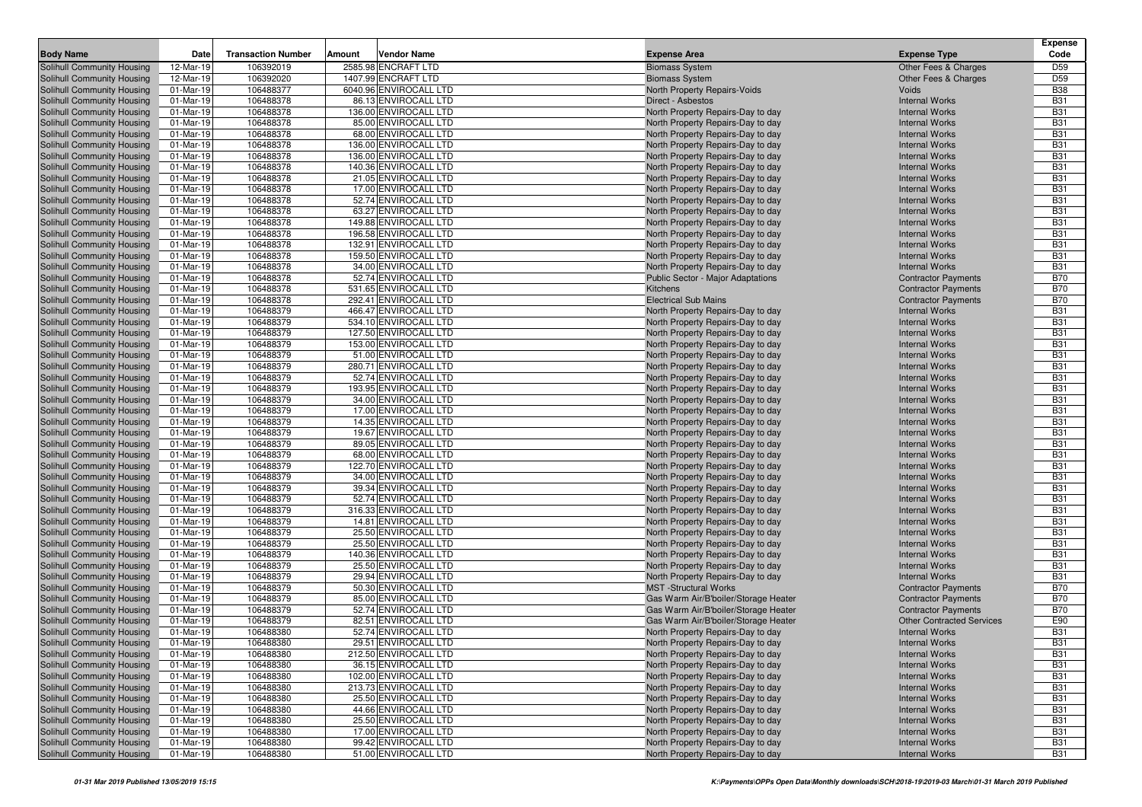| <b>Body Name</b>                                         | Date                    | <b>Transaction Number</b> | Amount<br>Vendor Name                         | <b>Expense Area</b>                                                    | <b>Expense Type</b>                                      | <b>Expense</b><br>Code        |
|----------------------------------------------------------|-------------------------|---------------------------|-----------------------------------------------|------------------------------------------------------------------------|----------------------------------------------------------|-------------------------------|
|                                                          |                         |                           |                                               |                                                                        |                                                          |                               |
| Solihull Community Housing                               | 12-Mar-19               | 106392019                 | 2585.98 ENCRAFT LTD<br>1407.99 ENCRAFT LTD    | <b>Biomass System</b>                                                  | Other Fees & Charges                                     | D <sub>59</sub>               |
| Solihull Community Housing<br>Solihull Community Housing | 12-Mar-19<br>01-Mar-19  | 106392020<br>106488377    | 6040.96 ENVIROCALL LTD                        | <b>Biomass System</b><br>North Property Repairs-Voids                  | Other Fees & Charges<br><b>Voids</b>                     | D <sub>59</sub><br><b>B38</b> |
| Solihull Community Housing                               | 01-Mar-19               | 106488378                 | 86.13 ENVIROCALL LTD                          | Direct - Asbestos                                                      | <b>Internal Works</b>                                    | <b>B31</b>                    |
| Solihull Community Housing                               | 01-Mar-19               | 106488378                 | 136.00 ENVIROCALL LTD                         | North Property Repairs-Day to day                                      | <b>Internal Works</b>                                    | <b>B31</b>                    |
| Solihull Community Housing                               | 01-Mar-19               | 106488378                 | 85.00 ENVIROCALL LTD                          | North Property Repairs-Day to day                                      | <b>Internal Works</b>                                    | <b>B31</b>                    |
| Solihull Community Housing                               | 01-Mar-19               | 106488378                 | 68.00 ENVIROCALL LTD                          | North Property Repairs-Day to day                                      | <b>Internal Works</b>                                    | <b>B31</b>                    |
| Solihull Community Housing                               | 01-Mar-19               | 106488378                 | 136.00 ENVIROCALL LTD                         | North Property Repairs-Day to day                                      | <b>Internal Works</b>                                    | <b>B31</b>                    |
| Solihull Community Housing                               | 01-Mar-19               | 106488378                 | 136.00 ENVIROCALL LTD                         | North Property Repairs-Day to day                                      | <b>Internal Works</b>                                    | <b>B31</b>                    |
| Solihull Community Housing                               | 01-Mar-19               | 106488378                 | 140.36 ENVIROCALL LTD                         | North Property Repairs-Day to day                                      | <b>Internal Works</b>                                    | <b>B31</b>                    |
| Solihull Community Housing                               | 01-Mar-19               | 106488378                 | 21.05 ENVIROCALL LTD                          | North Property Repairs-Day to day                                      | <b>Internal Works</b>                                    | <b>B31</b>                    |
| Solihull Community Housing                               | 01-Mar-19               | 106488378                 | 17.00 ENVIROCALL LTD                          | North Property Repairs-Day to day                                      | <b>Internal Works</b>                                    | <b>B31</b>                    |
| Solihull Community Housing                               | 01-Mar-19               | 106488378                 | 52.74 ENVIROCALL LTD                          | North Property Repairs-Day to day                                      | <b>Internal Works</b>                                    | <b>B31</b>                    |
| Solihull Community Housing                               | 01-Mar-19               | 106488378                 | 63.27 ENVIROCALL LTD                          | North Property Repairs-Day to day                                      | <b>Internal Works</b>                                    | <b>B31</b>                    |
| Solihull Community Housing                               | 01-Mar-19               | 106488378                 | 149.88 ENVIROCALL LTD                         | North Property Repairs-Day to day                                      | <b>Internal Works</b>                                    | <b>B31</b>                    |
| Solihull Community Housing                               | 01-Mar-19               | 106488378                 | 196.58 ENVIROCALL LTD                         | North Property Repairs-Day to day                                      | <b>Internal Works</b>                                    | <b>B31</b>                    |
| Solihull Community Housing                               | 01-Mar-19               | 106488378                 | 132.91 ENVIROCALL LTD                         | North Property Repairs-Day to day                                      | <b>Internal Works</b>                                    | <b>B31</b>                    |
| Solihull Community Housing                               | 01-Mar-19               | 106488378                 | 159.50 ENVIROCALL LTD                         | North Property Repairs-Day to day                                      | <b>Internal Works</b>                                    | <b>B31</b>                    |
| Solihull Community Housing                               | 01-Mar-19<br>01-Mar-19  | 106488378                 | 34.00 ENVIROCALL LTD                          | North Property Repairs-Day to day                                      | <b>Internal Works</b>                                    | <b>B31</b><br><b>B70</b>      |
| Solihull Community Housing<br>Solihull Community Housing | 01-Mar-19               | 106488378<br>106488378    | 52.74 ENVIROCALL LTD<br>531.65 ENVIROCALL LTD | Public Sector - Major Adaptations<br><b>Kitchens</b>                   | <b>Contractor Payments</b><br><b>Contractor Payments</b> | <b>B70</b>                    |
| Solihull Community Housing                               | 01-Mar-19               | 106488378                 | 292.41 ENVIROCALL LTD                         | <b>Electrical Sub Mains</b>                                            | <b>Contractor Payments</b>                               | <b>B70</b>                    |
| Solihull Community Housing                               | 01-Mar-19               | 106488379                 | 466.47 ENVIROCALL LTD                         | North Property Repairs-Day to day                                      | <b>Internal Works</b>                                    | <b>B31</b>                    |
| Solihull Community Housing                               | 01-Mar-19               | 106488379                 | 534.10 ENVIROCALL LTD                         | North Property Repairs-Day to day                                      | <b>Internal Works</b>                                    | <b>B31</b>                    |
| <b>Solihull Community Housing</b>                        | 01-Mar-19               | 106488379                 | 127.50 ENVIROCALL LTD                         | North Property Repairs-Day to day                                      | <b>Internal Works</b>                                    | <b>B31</b>                    |
| Solihull Community Housing                               | 01-Mar-19               | 106488379                 | 153.00 ENVIROCALL LTD                         | North Property Repairs-Day to day                                      | <b>Internal Works</b>                                    | <b>B31</b>                    |
| Solihull Community Housing                               | 01-Mar-19               | 106488379                 | 51.00 ENVIROCALL LTD                          | North Property Repairs-Day to day                                      | <b>Internal Works</b>                                    | <b>B31</b>                    |
| Solihull Community Housing                               | 01-Mar-19               | 106488379                 | 280.71 ENVIROCALL LTD                         | North Property Repairs-Day to day                                      | <b>Internal Works</b>                                    | <b>B31</b>                    |
| Solihull Community Housing                               | 01-Mar-19               | 106488379                 | 52.74 ENVIROCALL LTD                          | North Property Repairs-Day to day                                      | <b>Internal Works</b>                                    | <b>B31</b>                    |
| Solihull Community Housing                               | $\overline{0}$ 1-Mar-19 | 106488379                 | 193.95 ENVIROCALL LTD                         | North Property Repairs-Day to day                                      | <b>Internal Works</b>                                    | <b>B31</b>                    |
| Solihull Community Housing                               | 01-Mar-19               | 106488379                 | 34.00 ENVIROCALL LTD                          | North Property Repairs-Day to day                                      | <b>Internal Works</b>                                    | <b>B31</b>                    |
| Solihull Community Housing                               | 01-Mar-19               | 106488379                 | 17.00 ENVIROCALL LTD                          | North Property Repairs-Day to day                                      | <b>Internal Works</b>                                    | <b>B31</b>                    |
| Solihull Community Housing                               | 01-Mar-19               | 106488379                 | 14.35 ENVIROCALL LTD                          | North Property Repairs-Day to day                                      | <b>Internal Works</b>                                    | <b>B31</b>                    |
| Solihull Community Housing                               | 01-Mar-19               | 106488379                 | 19.67 ENVIROCALL LTD                          | North Property Repairs-Day to day                                      | <b>Internal Works</b>                                    | <b>B31</b>                    |
| Solihull Community Housing                               | 01-Mar-19               | 106488379                 | 89.05 ENVIROCALL LTD                          | North Property Repairs-Day to day                                      | <b>Internal Works</b>                                    | <b>B31</b>                    |
| Solihull Community Housing                               | 01-Mar-19<br>01-Mar-19  | 106488379<br>106488379    | 68.00 ENVIROCALL LTD<br>122.70 ENVIROCALL LTD | North Property Repairs-Day to day                                      | <b>Internal Works</b><br><b>Internal Works</b>           | <b>B31</b><br><b>B31</b>      |
| Solihull Community Housing<br>Solihull Community Housing | 01-Mar-19               | 106488379                 | 34.00 ENVIROCALL LTD                          | North Property Repairs-Day to day<br>North Property Repairs-Day to day | <b>Internal Works</b>                                    | <b>B31</b>                    |
| Solihull Community Housing                               | 01-Mar-19               | 106488379                 | 39.34 ENVIROCALL LTD                          | North Property Repairs-Day to day                                      | <b>Internal Works</b>                                    | <b>B31</b>                    |
| Solihull Community Housing                               | 01-Mar-19               | 106488379                 | 52.74 ENVIROCALL LTD                          | North Property Repairs-Day to day                                      | <b>Internal Works</b>                                    | <b>B31</b>                    |
| Solihull Community Housing                               | 01-Mar-19               | 106488379                 | 316.33 ENVIROCALL LTD                         | North Property Repairs-Day to day                                      | <b>Internal Works</b>                                    | <b>B31</b>                    |
| Solihull Community Housing                               | 01-Mar-19               | 106488379                 | 14.81 ENVIROCALL LTD                          | North Property Repairs-Day to day                                      | <b>Internal Works</b>                                    | <b>B31</b>                    |
| Solihull Community Housing                               | 01-Mar-19               | 106488379                 | 25.50 ENVIROCALL LTD                          | North Property Repairs-Day to day                                      | <b>Internal Works</b>                                    | <b>B31</b>                    |
| Solihull Community Housing                               | 01-Mar-19               | 106488379                 | 25.50 ENVIROCALL LTD                          | North Property Repairs-Day to day                                      | <b>Internal Works</b>                                    | <b>B31</b>                    |
| Solihull Community Housing                               | 01-Mar-19               | 106488379                 | 140.36 ENVIROCALL LTD                         | North Property Repairs-Day to day                                      | <b>Internal Works</b>                                    | <b>B31</b>                    |
| Solihull Community Housing                               | 01-Mar-19               | 106488379                 | 25.50 ENVIROCALL LTD                          | North Property Repairs-Day to day                                      | <b>Internal Works</b>                                    | <b>B31</b>                    |
| Solihull Community Housing                               | 01-Mar-19               | 106488379                 | 29.94 ENVIROCALL LTD                          | North Property Repairs-Day to day                                      | <b>Internal Works</b>                                    | <b>B31</b>                    |
| Solihull Community Housing                               | 01-Mar-19               | 106488379                 | 50.30 ENVIROCALL LTD                          | <b>MST</b> -Structural Works                                           | <b>Contractor Payments</b>                               | <b>B70</b>                    |
| Solihull Community Housing                               | 01-Mar-19               | 106488379                 | 85.00 ENVIROCALL LTD                          | Gas Warm Air/B'boiler/Storage Heater                                   | <b>Contractor Payments</b>                               | <b>B70</b>                    |
| Solihull Community Housing                               | 01-Mar-19               | 106488379                 | 52.74 ENVIROCALL LTD                          | Gas Warm Air/B'boiler/Storage Heater                                   | <b>Contractor Payments</b>                               | <b>B70</b>                    |
| Solihull Community Housing                               | 01-Mar-19               | 106488379                 | 82.51 ENVIROCALL LTD                          | Gas Warm Air/B'boiler/Storage Heater                                   | <b>Other Contracted Services</b>                         | E90                           |
| Solihull Community Housing<br>Solihull Community Housing | 01-Mar-19               | 106488380<br>106488380    | 52.74 ENVIROCALL LTD                          | North Property Repairs-Day to day<br>North Property Repairs-Day to day | <b>Internal Works</b>                                    | <b>B31</b><br><b>B31</b>      |
|                                                          | 01-Mar-19               | 106488380                 | 29.51 ENVIROCALL LTD<br>212.50 ENVIROCALL LTD |                                                                        | <b>Internal Works</b><br><b>Internal Works</b>           | <b>B31</b>                    |
| Solihull Community Housing<br>Solihull Community Housing | 01-Mar-19<br>01-Mar-19  | 106488380                 | 36.15 ENVIROCALL LTD                          | North Property Repairs-Day to day<br>North Property Repairs-Day to day | <b>Internal Works</b>                                    | <b>B31</b>                    |
| Solihull Community Housing                               | 01-Mar-19               | 106488380                 | 102.00 ENVIROCALL LTD                         | North Property Repairs-Day to day                                      | <b>Internal Works</b>                                    | <b>B31</b>                    |
| Solihull Community Housing                               | 01-Mar-19               | 106488380                 | 213.73 ENVIROCALL LTD                         | North Property Repairs-Day to day                                      | <b>Internal Works</b>                                    | <b>B31</b>                    |
| Solihull Community Housing                               | 01-Mar-19               | 106488380                 | 25.50 ENVIROCALL LTD                          | North Property Repairs-Day to day                                      | <b>Internal Works</b>                                    | <b>B31</b>                    |
| Solihull Community Housing                               | 01-Mar-19               | 106488380                 | 44.66 ENVIROCALL LTD                          | North Property Repairs-Day to day                                      | <b>Internal Works</b>                                    | <b>B31</b>                    |
| Solihull Community Housing                               | 01-Mar-19               | 106488380                 | 25.50 ENVIROCALL LTD                          | North Property Repairs-Day to day                                      | <b>Internal Works</b>                                    | <b>B31</b>                    |
| Solihull Community Housing                               | 01-Mar-19               | 106488380                 | 17.00 ENVIROCALL LTD                          | North Property Repairs-Day to day                                      | <b>Internal Works</b>                                    | <b>B31</b>                    |
| Solihull Community Housing                               | 01-Mar-19               | 106488380                 | 99.42 ENVIROCALL LTD                          | North Property Repairs-Day to day                                      | <b>Internal Works</b>                                    | <b>B31</b>                    |
| Solihull Community Housing                               | 01-Mar-19               | 106488380                 | 51.00 ENVIROCALL LTD                          | North Property Repairs-Day to day                                      | <b>Internal Works</b>                                    | <b>B31</b>                    |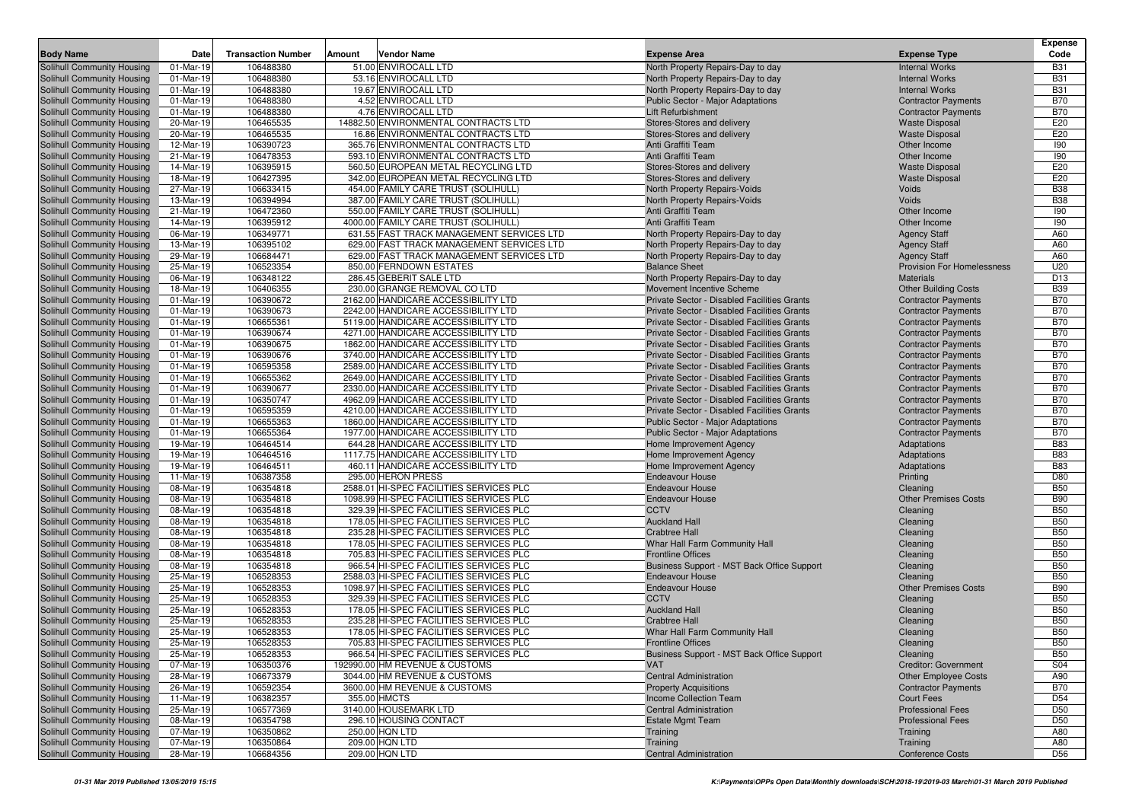| <b>Transaction Number</b><br>Vendor Name<br><b>Expense Type</b><br>Code<br>Date<br>Amount<br><b>Expense Area</b><br>51.00 ENVIROCALL LTD<br>01-Mar-19<br>106488380<br>North Property Repairs-Day to day<br><b>B31</b><br><b>Internal Works</b><br>01-Mar-19<br>106488380<br>53.16 ENVIROCALL LTD<br><b>B31</b><br>North Property Repairs-Day to day<br><b>Internal Works</b><br>106488380<br>19.67 ENVIROCALL LTD<br><b>B31</b><br>01-Mar-19<br>North Property Repairs-Day to day<br><b>Internal Works</b><br>Solihull Community Housing<br>01-Mar-19<br>106488380<br>4.52 ENVIROCALL LTD<br><b>B70</b><br><b>Public Sector - Major Adaptations</b><br><b>Contractor Payments</b><br>01-Mar-19<br>106488380<br>4.76 ENVIROCALL LTD<br><b>B70</b><br>Solihull Community Housing<br>Lift Refurbishment<br><b>Contractor Payments</b><br>106465535<br>E20<br>Solihull Community Housing<br>20-Mar-19<br>14882.50 ENVIRONMENTAL CONTRACTS LTD<br>Stores-Stores and delivery<br><b>Waste Disposal</b><br>Solihull Community Housing<br>106465535<br>16.86 ENVIRONMENTAL CONTRACTS LTD<br>E20<br>20-Mar-19<br>Stores-Stores and delivery<br><b>Waste Disposal</b><br>Solihull Community Housing<br>365.76 ENVIRONMENTAL CONTRACTS LTD<br>190<br>12-Mar-19<br>106390723<br>Anti Graffiti Team<br>Other Income<br>106478353<br>593.10 ENVIRONMENTAL CONTRACTS LTD<br>190<br>Solihull Community Housing<br>21-Mar-19<br>Anti Graffiti Team<br>Other Income<br>E20<br>106395915<br>560.50 EUROPEAN METAL RECYCLING LTD<br>Solihull Community Housing<br>14-Mar-19<br>Stores-Stores and delivery<br><b>Waste Disposal</b><br>Solihull Community Housing<br>106427395<br>342.00 EUROPEAN METAL RECYCLING LTD<br>E20<br>18-Mar-19<br>Stores-Stores and delivery<br><b>Waste Disposal</b><br><b>B38</b><br>106633415<br>454.00 FAMILY CARE TRUST (SOLIHULL)<br>Voids<br>Solihull Community Housing<br>27-Mar-19<br><b>North Property Repairs-Voids</b><br>106394994<br>Voids<br><b>B38</b><br>Solihull Community Housing<br>13-Mar-19<br>387.00 FAMILY CARE TRUST (SOLIHULL)<br>North Property Repairs-Voids<br>106472360<br>550.00 FAMILY CARE TRUST (SOLIHULL)<br>Anti Graffiti Team<br>Other Income<br>190<br>Solihull Community Housing<br>21-Mar-19<br>106395912<br>4000.00 FAMILY CARE TRUST (SOLIHULL)<br>Anti Graffiti Team<br>190<br>Solihull Community Housing<br>14-Mar-19<br>Other Income<br>Solihull Community Housing<br>06-Mar-19<br>106349771<br>631.55 FAST TRACK MANAGEMENT SERVICES LTD<br>A60<br>North Property Repairs-Day to day<br><b>Agency Staff</b><br>106395102<br>A60<br>Solihull Community Housing<br>13-Mar-19<br>629.00 FAST TRACK MANAGEMENT SERVICES LTD<br>North Property Repairs-Day to day<br><b>Agency Staff</b><br>106684471<br>629.00 FAST TRACK MANAGEMENT SERVICES LTD<br>A60<br>Solihull Community Housing<br>29-Mar-19<br>North Property Repairs-Day to day<br><b>Agency Staff</b><br>106523354<br>850.00 FERNDOWN ESTATES<br>U20<br>25-Mar-19<br><b>Provision For Homelessness</b><br><b>Balance Sheet</b><br>106348122<br>286.45 GEBERIT SALE LTD<br>D <sub>13</sub><br>06-Mar-19<br>North Property Repairs-Day to day<br><b>Materials</b><br>106406355<br>230.00 GRANGE REMOVAL CO LTD<br><b>B39</b><br>18-Mar-19<br>Movement Incentive Scheme<br><b>Other Building Costs</b><br>2162.00 HANDICARE ACCESSIBILITY LTD<br><b>B70</b><br>01-Mar-19<br>106390672<br>Private Sector - Disabled Facilities Grants<br><b>Contractor Payments</b><br>106390673<br>2242.00 HANDICARE ACCESSIBILITY LTD<br>Private Sector - Disabled Facilities Grants<br><b>B70</b><br>01-Mar-19<br><b>Contractor Payments</b><br><b>B70</b><br>01-Mar-19<br>106655361<br>5119.00 HANDICARE ACCESSIBILITY LTD<br>Private Sector - Disabled Facilities Grants<br><b>Contractor Payments</b><br>106390674<br>4271.00 HANDICARE ACCESSIBILITY LTD<br>Private Sector - Disabled Facilities Grants<br><b>B70</b><br>01-Mar-19<br><b>Contractor Payments</b><br><b>B70</b><br>106390675<br>1862.00 HANDICARE ACCESSIBILITY LTD<br>01-Mar-19<br>Private Sector - Disabled Facilities Grants<br><b>Contractor Payments</b><br>Solihull Community Housing<br>106390676<br>3740.00 HANDICARE ACCESSIBILITY LTD<br>Private Sector - Disabled Facilities Grants<br><b>B70</b><br>01-Mar-19<br><b>Contractor Payments</b><br>106595358<br>2589.00 HANDICARE ACCESSIBILITY LTD<br>Private Sector - Disabled Facilities Grants<br><b>B70</b><br>Solihull Community Housing<br>01-Mar-19<br><b>Contractor Payments</b><br>Solihull Community Housing<br>106655362<br>2649.00 HANDICARE ACCESSIBILITY LTD<br><b>B70</b><br>01-Mar-19<br>Private Sector - Disabled Facilities Grants<br><b>Contractor Payments</b><br>01-Mar-19<br>106390677<br>2330.00 HANDICARE ACCESSIBILITY LTD<br><b>B70</b><br>Solihull Community Housing<br>Private Sector - Disabled Facilities Grants<br><b>Contractor Payments</b><br><b>B70</b><br>106350747<br>4962.09 HANDICARE ACCESSIBILITY LTD<br>Solihull Community Housing<br>01-Mar-19<br>Private Sector - Disabled Facilities Grants<br><b>Contractor Payments</b><br>Solihull Community Housing<br>106595359<br>4210.00 HANDICARE ACCESSIBILITY LTD<br>Private Sector - Disabled Facilities Grants<br><b>B70</b><br>01-Mar-19<br><b>Contractor Payments</b><br><b>B70</b><br>Solihull Community Housing<br>106655363<br>1860.00 HANDICARE ACCESSIBILITY LTD<br>01-Mar-19<br><b>Public Sector - Major Adaptations</b><br><b>Contractor Payments</b><br>106655364<br>1977.00 HANDICARE ACCESSIBILITY LTD<br><b>B70</b><br>Solihull Community Housing<br>01-Mar-19<br><b>Public Sector - Major Adaptations</b><br><b>Contractor Payments</b><br>106464514<br>644.28 HANDICARE ACCESSIBILITY LTD<br><b>B83</b><br>Solihull Community Housing<br>19-Mar-19<br>Home Improvement Agency<br>Adaptations<br>Solihull Community Housing<br>106464516<br>1117.75 HANDICARE ACCESSIBILITY LTD<br><b>B83</b><br>19-Mar-19<br>Home Improvement Agency<br>Adaptations<br>19-Mar-19<br>106464511<br>460.11 HANDICARE ACCESSIBILITY LTD<br><b>B83</b><br>Solihull Community Housing<br>Home Improvement Agency<br>Adaptations<br>Solihull Community Housing<br>11-Mar-19<br>106387358<br>295.00 HERON PRESS<br>D80<br><b>Endeavour House</b><br>Printing<br>106354818<br>2588.01 HI-SPEC FACILITIES SERVICES PLC<br><b>B50</b><br>08-Mar-19<br><b>Endeavour House</b><br>Cleaning<br>106354818<br><b>B90</b><br>08-Mar-19<br>1098.99 HI-SPEC FACILITIES SERVICES PLC<br><b>Endeavour House</b><br><b>Other Premises Costs</b><br>08-Mar-19<br>106354818<br>329.39 HI-SPEC FACILITIES SERVICES PLC<br><b>CCTV</b><br><b>B50</b><br>Cleaning<br>106354818<br>178.05 HI-SPEC FACILITIES SERVICES PLC<br><b>B50</b><br>08-Mar-19<br><b>Auckland Hall</b><br>Cleaning<br>106354818<br>235.28 HI-SPEC FACILITIES SERVICES PLC<br><b>B50</b><br>08-Mar-19<br><b>Crabtree Hall</b><br>Cleaning<br><b>B50</b><br>08-Mar-19<br>106354818<br>178.05 HI-SPEC FACILITIES SERVICES PLC<br>Whar Hall Farm Community Hall<br>Cleaning<br>106354818<br>705.83 HI-SPEC FACILITIES SERVICES PLC<br><b>B50</b><br>08-Mar-19<br><b>Frontline Offices</b><br>Cleaning<br>Solihull Community Housing<br>08-Mar-19<br>106354818<br>966.54 HI-SPEC FACILITIES SERVICES PLC<br><b>B50</b><br>Business Support - MST Back Office Support<br>Cleaning<br>106528353<br><b>B50</b><br>Solihull Community Housing<br>25-Mar-19<br>2588.03 HI-SPEC FACILITIES SERVICES PLC<br><b>Endeavour House</b><br>Cleaning<br>25-Mar-19<br>106528353<br>1098.97 HI-SPEC FACILITIES SERVICES PLC<br><b>B90</b><br>Solihull Community Housing<br><b>Endeavour House</b><br><b>Other Premises Costs</b><br>Solihull Community Housing<br>25-Mar-19<br>106528353<br>329.39 HI-SPEC FACILITIES SERVICES PLC<br><b>CCTV</b><br><b>B50</b><br>Cleaning<br>Solihull Community Housing<br>25-Mar-19<br>106528353<br>178.05 HI-SPEC FACILITIES SERVICES PLC<br><b>B50</b><br><b>Auckland Hall</b><br>Cleaning<br><b>B50</b><br>106528353<br>235.28 HI-SPEC FACILITIES SERVICES PLC<br>Solihull Community Housing<br>25-Mar-19<br><b>Crabtree Hall</b><br>Cleaning<br>Solihull Community Housing<br>25-Mar-19<br>106528353<br>178.05 HI-SPEC FACILITIES SERVICES PLC<br><b>B50</b><br>Whar Hall Farm Community Hall<br>Cleaning<br>Solihull Community Housing<br>106528353<br>705.83 HI-SPEC FACILITIES SERVICES PLC<br><b>B50</b><br>25-Mar-19<br><b>Frontline Offices</b><br>Cleaning<br>Solihull Community Housing<br>106528353<br>966.54 HI-SPEC FACILITIES SERVICES PLC<br>Business Support - MST Back Office Support<br><b>B50</b><br>25-Mar-19<br>Cleaning<br>Solihull Community Housing<br>07-Mar-19<br>106350376<br>192990.00 HM REVENUE & CUSTOMS<br><b>VAT</b><br><b>Creditor: Government</b><br>S04<br>Solihull Community Housing<br>106673379<br>3044.00 HM REVENUE & CUSTOMS<br>28-Mar-19<br><b>Central Administration</b><br><b>Other Employee Costs</b><br>A90<br>Solihull Community Housing<br>26-Mar-19<br>106592354<br>3600.00 HM REVENUE & CUSTOMS<br><b>Contractor Payments</b><br><b>B70</b><br><b>Property Acquisitions</b><br>Solihull Community Housing<br>11-Mar-19<br>106382357<br>355.00 HMCTS<br>Income Collection Team<br>D <sub>54</sub><br><b>Court Fees</b><br>3140.00 HOUSEMARK LTD<br>Solihull Community Housing<br>25-Mar-19<br>106577369<br><b>Professional Fees</b><br>D <sub>50</sub><br><b>Central Administration</b><br>08-Mar-19<br>106354798<br>296.10 HOUSING CONTACT<br><b>Professional Fees</b><br>D <sub>50</sub><br><b>Estate Mgmt Team</b><br>250.00 HQN LTD<br>07-Mar-19<br>106350862<br>A80<br>Training<br>Training<br>209.00 HQN LTD<br>07-Mar-19<br>106350864<br>Training<br>Training<br>A80<br>209.00 HQN LTD<br>28-Mar-19<br>106684356<br><b>Central Administration</b><br><b>Conference Costs</b><br>D56 |                            |  |  |  | <b>Expense</b> |
|----------------------------------------------------------------------------------------------------------------------------------------------------------------------------------------------------------------------------------------------------------------------------------------------------------------------------------------------------------------------------------------------------------------------------------------------------------------------------------------------------------------------------------------------------------------------------------------------------------------------------------------------------------------------------------------------------------------------------------------------------------------------------------------------------------------------------------------------------------------------------------------------------------------------------------------------------------------------------------------------------------------------------------------------------------------------------------------------------------------------------------------------------------------------------------------------------------------------------------------------------------------------------------------------------------------------------------------------------------------------------------------------------------------------------------------------------------------------------------------------------------------------------------------------------------------------------------------------------------------------------------------------------------------------------------------------------------------------------------------------------------------------------------------------------------------------------------------------------------------------------------------------------------------------------------------------------------------------------------------------------------------------------------------------------------------------------------------------------------------------------------------------------------------------------------------------------------------------------------------------------------------------------------------------------------------------------------------------------------------------------------------------------------------------------------------------------------------------------------------------------------------------------------------------------------------------------------------------------------------------------------------------------------------------------------------------------------------------------------------------------------------------------------------------------------------------------------------------------------------------------------------------------------------------------------------------------------------------------------------------------------------------------------------------------------------------------------------------------------------------------------------------------------------------------------------------------------------------------------------------------------------------------------------------------------------------------------------------------------------------------------------------------------------------------------------------------------------------------------------------------------------------------------------------------------------------------------------------------------------------------------------------------------------------------------------------------------------------------------------------------------------------------------------------------------------------------------------------------------------------------------------------------------------------------------------------------------------------------------------------------------------------------------------------------------------------------------------------------------------------------------------------------------------------------------------------------------------------------------------------------------------------------------------------------------------------------------------------------------------------------------------------------------------------------------------------------------------------------------------------------------------------------------------------------------------------------------------------------------------------------------------------------------------------------------------------------------------------------------------------------------------------------------------------------------------------------------------------------------------------------------------------------------------------------------------------------------------------------------------------------------------------------------------------------------------------------------------------------------------------------------------------------------------------------------------------------------------------------------------------------------------------------------------------------------------------------------------------------------------------------------------------------------------------------------------------------------------------------------------------------------------------------------------------------------------------------------------------------------------------------------------------------------------------------------------------------------------------------------------------------------------------------------------------------------------------------------------------------------------------------------------------------------------------------------------------------------------------------------------------------------------------------------------------------------------------------------------------------------------------------------------------------------------------------------------------------------------------------------------------------------------------------------------------------------------------------------------------------------------------------------------------------------------------------------------------------------------------------------------------------------------------------------------------------------------------------------------------------------------------------------------------------------------------------------------------------------------------------------------------------------------------------------------------------------------------------------------------------------------------------------------------------------------------------------------------------------------------------------------------------------------------------------------------------------------------------------------------------------------------------------------------------------------------------------------------------------------------------------------------------------------------------------------------------------------------------------------------------------------------------------------------------------------------------------------------------------------------------------------------------------------------------------------------------------------------------------------------------------------------------------------------------------------------------------------------------------------------------------------------------------------------------------------------------------------------------------------------------------------------------------------------------------------------------------------------------------------------------------------------------------------------------------------------------------------------------------------------------------------------------------------------------------------------------------------------------------------------------------------------------------------------------------------------------------------------------------------------------------------------------------------------------------------------------------------------------------------------------------------------------------------------------------------------------------------------------------------------------------------------------------------------------------------------------------------------------------------------------------------------------------------------------------------------------------------------------------------------------------------------------------------------------------------------------------------------------------------------------------------------------------------------------------------------------------------------------------------------------------------------------------------------------------------------------------------------------------------------------------------------------------------------------------------------------------------------------------------------------------------------------------------------------------------------------------------------------------------------------------------------------------------------------------------------------------------------------------------------------------------------------------------------------------------------------------------------------------------------------------------------------------------------------------------------------------------------|----------------------------|--|--|--|----------------|
|                                                                                                                                                                                                                                                                                                                                                                                                                                                                                                                                                                                                                                                                                                                                                                                                                                                                                                                                                                                                                                                                                                                                                                                                                                                                                                                                                                                                                                                                                                                                                                                                                                                                                                                                                                                                                                                                                                                                                                                                                                                                                                                                                                                                                                                                                                                                                                                                                                                                                                                                                                                                                                                                                                                                                                                                                                                                                                                                                                                                                                                                                                                                                                                                                                                                                                                                                                                                                                                                                                                                                                                                                                                                                                                                                                                                                                                                                                                                                                                                                                                                                                                                                                                                                                                                                                                                                                                                                                                                                                                                                                                                                                                                                                                                                                                                                                                                                                                                                                                                                                                                                                                                                                                                                                                                                                                                                                                                                                                                                                                                                                                                                                                                                                                                                                                                                                                                                                                                                                                                                                                                                                                                                                                                                                                                                                                                                                                                                                                                                                                                                                                                                                                                                                                                                                                                                                                                                                                                                                                                                                                                                                                                                                                                                                                                                                                                                                                                                                                                                                                                                                                                                                                                                                                                                                                                                                                                                                                                                                                                                                                                                                                                                                                                                                                                                                                                                                                                                                                                                                                                                                                                                                                                                                                                                                                                                                                                                                                                                                                                                                                                                                                                                                                                                                                                                                                                                                                                                                                                                                                                                                                                                                                                                                                                                                                                                      | <b>Body Name</b>           |  |  |  |                |
|                                                                                                                                                                                                                                                                                                                                                                                                                                                                                                                                                                                                                                                                                                                                                                                                                                                                                                                                                                                                                                                                                                                                                                                                                                                                                                                                                                                                                                                                                                                                                                                                                                                                                                                                                                                                                                                                                                                                                                                                                                                                                                                                                                                                                                                                                                                                                                                                                                                                                                                                                                                                                                                                                                                                                                                                                                                                                                                                                                                                                                                                                                                                                                                                                                                                                                                                                                                                                                                                                                                                                                                                                                                                                                                                                                                                                                                                                                                                                                                                                                                                                                                                                                                                                                                                                                                                                                                                                                                                                                                                                                                                                                                                                                                                                                                                                                                                                                                                                                                                                                                                                                                                                                                                                                                                                                                                                                                                                                                                                                                                                                                                                                                                                                                                                                                                                                                                                                                                                                                                                                                                                                                                                                                                                                                                                                                                                                                                                                                                                                                                                                                                                                                                                                                                                                                                                                                                                                                                                                                                                                                                                                                                                                                                                                                                                                                                                                                                                                                                                                                                                                                                                                                                                                                                                                                                                                                                                                                                                                                                                                                                                                                                                                                                                                                                                                                                                                                                                                                                                                                                                                                                                                                                                                                                                                                                                                                                                                                                                                                                                                                                                                                                                                                                                                                                                                                                                                                                                                                                                                                                                                                                                                                                                                                                                                                                                      | Solihull Community Housing |  |  |  |                |
|                                                                                                                                                                                                                                                                                                                                                                                                                                                                                                                                                                                                                                                                                                                                                                                                                                                                                                                                                                                                                                                                                                                                                                                                                                                                                                                                                                                                                                                                                                                                                                                                                                                                                                                                                                                                                                                                                                                                                                                                                                                                                                                                                                                                                                                                                                                                                                                                                                                                                                                                                                                                                                                                                                                                                                                                                                                                                                                                                                                                                                                                                                                                                                                                                                                                                                                                                                                                                                                                                                                                                                                                                                                                                                                                                                                                                                                                                                                                                                                                                                                                                                                                                                                                                                                                                                                                                                                                                                                                                                                                                                                                                                                                                                                                                                                                                                                                                                                                                                                                                                                                                                                                                                                                                                                                                                                                                                                                                                                                                                                                                                                                                                                                                                                                                                                                                                                                                                                                                                                                                                                                                                                                                                                                                                                                                                                                                                                                                                                                                                                                                                                                                                                                                                                                                                                                                                                                                                                                                                                                                                                                                                                                                                                                                                                                                                                                                                                                                                                                                                                                                                                                                                                                                                                                                                                                                                                                                                                                                                                                                                                                                                                                                                                                                                                                                                                                                                                                                                                                                                                                                                                                                                                                                                                                                                                                                                                                                                                                                                                                                                                                                                                                                                                                                                                                                                                                                                                                                                                                                                                                                                                                                                                                                                                                                                                                                      | Solihull Community Housing |  |  |  |                |
|                                                                                                                                                                                                                                                                                                                                                                                                                                                                                                                                                                                                                                                                                                                                                                                                                                                                                                                                                                                                                                                                                                                                                                                                                                                                                                                                                                                                                                                                                                                                                                                                                                                                                                                                                                                                                                                                                                                                                                                                                                                                                                                                                                                                                                                                                                                                                                                                                                                                                                                                                                                                                                                                                                                                                                                                                                                                                                                                                                                                                                                                                                                                                                                                                                                                                                                                                                                                                                                                                                                                                                                                                                                                                                                                                                                                                                                                                                                                                                                                                                                                                                                                                                                                                                                                                                                                                                                                                                                                                                                                                                                                                                                                                                                                                                                                                                                                                                                                                                                                                                                                                                                                                                                                                                                                                                                                                                                                                                                                                                                                                                                                                                                                                                                                                                                                                                                                                                                                                                                                                                                                                                                                                                                                                                                                                                                                                                                                                                                                                                                                                                                                                                                                                                                                                                                                                                                                                                                                                                                                                                                                                                                                                                                                                                                                                                                                                                                                                                                                                                                                                                                                                                                                                                                                                                                                                                                                                                                                                                                                                                                                                                                                                                                                                                                                                                                                                                                                                                                                                                                                                                                                                                                                                                                                                                                                                                                                                                                                                                                                                                                                                                                                                                                                                                                                                                                                                                                                                                                                                                                                                                                                                                                                                                                                                                                                                      | Solihull Community Housing |  |  |  |                |
|                                                                                                                                                                                                                                                                                                                                                                                                                                                                                                                                                                                                                                                                                                                                                                                                                                                                                                                                                                                                                                                                                                                                                                                                                                                                                                                                                                                                                                                                                                                                                                                                                                                                                                                                                                                                                                                                                                                                                                                                                                                                                                                                                                                                                                                                                                                                                                                                                                                                                                                                                                                                                                                                                                                                                                                                                                                                                                                                                                                                                                                                                                                                                                                                                                                                                                                                                                                                                                                                                                                                                                                                                                                                                                                                                                                                                                                                                                                                                                                                                                                                                                                                                                                                                                                                                                                                                                                                                                                                                                                                                                                                                                                                                                                                                                                                                                                                                                                                                                                                                                                                                                                                                                                                                                                                                                                                                                                                                                                                                                                                                                                                                                                                                                                                                                                                                                                                                                                                                                                                                                                                                                                                                                                                                                                                                                                                                                                                                                                                                                                                                                                                                                                                                                                                                                                                                                                                                                                                                                                                                                                                                                                                                                                                                                                                                                                                                                                                                                                                                                                                                                                                                                                                                                                                                                                                                                                                                                                                                                                                                                                                                                                                                                                                                                                                                                                                                                                                                                                                                                                                                                                                                                                                                                                                                                                                                                                                                                                                                                                                                                                                                                                                                                                                                                                                                                                                                                                                                                                                                                                                                                                                                                                                                                                                                                                                                      |                            |  |  |  |                |
|                                                                                                                                                                                                                                                                                                                                                                                                                                                                                                                                                                                                                                                                                                                                                                                                                                                                                                                                                                                                                                                                                                                                                                                                                                                                                                                                                                                                                                                                                                                                                                                                                                                                                                                                                                                                                                                                                                                                                                                                                                                                                                                                                                                                                                                                                                                                                                                                                                                                                                                                                                                                                                                                                                                                                                                                                                                                                                                                                                                                                                                                                                                                                                                                                                                                                                                                                                                                                                                                                                                                                                                                                                                                                                                                                                                                                                                                                                                                                                                                                                                                                                                                                                                                                                                                                                                                                                                                                                                                                                                                                                                                                                                                                                                                                                                                                                                                                                                                                                                                                                                                                                                                                                                                                                                                                                                                                                                                                                                                                                                                                                                                                                                                                                                                                                                                                                                                                                                                                                                                                                                                                                                                                                                                                                                                                                                                                                                                                                                                                                                                                                                                                                                                                                                                                                                                                                                                                                                                                                                                                                                                                                                                                                                                                                                                                                                                                                                                                                                                                                                                                                                                                                                                                                                                                                                                                                                                                                                                                                                                                                                                                                                                                                                                                                                                                                                                                                                                                                                                                                                                                                                                                                                                                                                                                                                                                                                                                                                                                                                                                                                                                                                                                                                                                                                                                                                                                                                                                                                                                                                                                                                                                                                                                                                                                                                                                      |                            |  |  |  |                |
|                                                                                                                                                                                                                                                                                                                                                                                                                                                                                                                                                                                                                                                                                                                                                                                                                                                                                                                                                                                                                                                                                                                                                                                                                                                                                                                                                                                                                                                                                                                                                                                                                                                                                                                                                                                                                                                                                                                                                                                                                                                                                                                                                                                                                                                                                                                                                                                                                                                                                                                                                                                                                                                                                                                                                                                                                                                                                                                                                                                                                                                                                                                                                                                                                                                                                                                                                                                                                                                                                                                                                                                                                                                                                                                                                                                                                                                                                                                                                                                                                                                                                                                                                                                                                                                                                                                                                                                                                                                                                                                                                                                                                                                                                                                                                                                                                                                                                                                                                                                                                                                                                                                                                                                                                                                                                                                                                                                                                                                                                                                                                                                                                                                                                                                                                                                                                                                                                                                                                                                                                                                                                                                                                                                                                                                                                                                                                                                                                                                                                                                                                                                                                                                                                                                                                                                                                                                                                                                                                                                                                                                                                                                                                                                                                                                                                                                                                                                                                                                                                                                                                                                                                                                                                                                                                                                                                                                                                                                                                                                                                                                                                                                                                                                                                                                                                                                                                                                                                                                                                                                                                                                                                                                                                                                                                                                                                                                                                                                                                                                                                                                                                                                                                                                                                                                                                                                                                                                                                                                                                                                                                                                                                                                                                                                                                                                                                      |                            |  |  |  |                |
|                                                                                                                                                                                                                                                                                                                                                                                                                                                                                                                                                                                                                                                                                                                                                                                                                                                                                                                                                                                                                                                                                                                                                                                                                                                                                                                                                                                                                                                                                                                                                                                                                                                                                                                                                                                                                                                                                                                                                                                                                                                                                                                                                                                                                                                                                                                                                                                                                                                                                                                                                                                                                                                                                                                                                                                                                                                                                                                                                                                                                                                                                                                                                                                                                                                                                                                                                                                                                                                                                                                                                                                                                                                                                                                                                                                                                                                                                                                                                                                                                                                                                                                                                                                                                                                                                                                                                                                                                                                                                                                                                                                                                                                                                                                                                                                                                                                                                                                                                                                                                                                                                                                                                                                                                                                                                                                                                                                                                                                                                                                                                                                                                                                                                                                                                                                                                                                                                                                                                                                                                                                                                                                                                                                                                                                                                                                                                                                                                                                                                                                                                                                                                                                                                                                                                                                                                                                                                                                                                                                                                                                                                                                                                                                                                                                                                                                                                                                                                                                                                                                                                                                                                                                                                                                                                                                                                                                                                                                                                                                                                                                                                                                                                                                                                                                                                                                                                                                                                                                                                                                                                                                                                                                                                                                                                                                                                                                                                                                                                                                                                                                                                                                                                                                                                                                                                                                                                                                                                                                                                                                                                                                                                                                                                                                                                                                                                      |                            |  |  |  |                |
|                                                                                                                                                                                                                                                                                                                                                                                                                                                                                                                                                                                                                                                                                                                                                                                                                                                                                                                                                                                                                                                                                                                                                                                                                                                                                                                                                                                                                                                                                                                                                                                                                                                                                                                                                                                                                                                                                                                                                                                                                                                                                                                                                                                                                                                                                                                                                                                                                                                                                                                                                                                                                                                                                                                                                                                                                                                                                                                                                                                                                                                                                                                                                                                                                                                                                                                                                                                                                                                                                                                                                                                                                                                                                                                                                                                                                                                                                                                                                                                                                                                                                                                                                                                                                                                                                                                                                                                                                                                                                                                                                                                                                                                                                                                                                                                                                                                                                                                                                                                                                                                                                                                                                                                                                                                                                                                                                                                                                                                                                                                                                                                                                                                                                                                                                                                                                                                                                                                                                                                                                                                                                                                                                                                                                                                                                                                                                                                                                                                                                                                                                                                                                                                                                                                                                                                                                                                                                                                                                                                                                                                                                                                                                                                                                                                                                                                                                                                                                                                                                                                                                                                                                                                                                                                                                                                                                                                                                                                                                                                                                                                                                                                                                                                                                                                                                                                                                                                                                                                                                                                                                                                                                                                                                                                                                                                                                                                                                                                                                                                                                                                                                                                                                                                                                                                                                                                                                                                                                                                                                                                                                                                                                                                                                                                                                                                                                      |                            |  |  |  |                |
|                                                                                                                                                                                                                                                                                                                                                                                                                                                                                                                                                                                                                                                                                                                                                                                                                                                                                                                                                                                                                                                                                                                                                                                                                                                                                                                                                                                                                                                                                                                                                                                                                                                                                                                                                                                                                                                                                                                                                                                                                                                                                                                                                                                                                                                                                                                                                                                                                                                                                                                                                                                                                                                                                                                                                                                                                                                                                                                                                                                                                                                                                                                                                                                                                                                                                                                                                                                                                                                                                                                                                                                                                                                                                                                                                                                                                                                                                                                                                                                                                                                                                                                                                                                                                                                                                                                                                                                                                                                                                                                                                                                                                                                                                                                                                                                                                                                                                                                                                                                                                                                                                                                                                                                                                                                                                                                                                                                                                                                                                                                                                                                                                                                                                                                                                                                                                                                                                                                                                                                                                                                                                                                                                                                                                                                                                                                                                                                                                                                                                                                                                                                                                                                                                                                                                                                                                                                                                                                                                                                                                                                                                                                                                                                                                                                                                                                                                                                                                                                                                                                                                                                                                                                                                                                                                                                                                                                                                                                                                                                                                                                                                                                                                                                                                                                                                                                                                                                                                                                                                                                                                                                                                                                                                                                                                                                                                                                                                                                                                                                                                                                                                                                                                                                                                                                                                                                                                                                                                                                                                                                                                                                                                                                                                                                                                                                                                      |                            |  |  |  |                |
|                                                                                                                                                                                                                                                                                                                                                                                                                                                                                                                                                                                                                                                                                                                                                                                                                                                                                                                                                                                                                                                                                                                                                                                                                                                                                                                                                                                                                                                                                                                                                                                                                                                                                                                                                                                                                                                                                                                                                                                                                                                                                                                                                                                                                                                                                                                                                                                                                                                                                                                                                                                                                                                                                                                                                                                                                                                                                                                                                                                                                                                                                                                                                                                                                                                                                                                                                                                                                                                                                                                                                                                                                                                                                                                                                                                                                                                                                                                                                                                                                                                                                                                                                                                                                                                                                                                                                                                                                                                                                                                                                                                                                                                                                                                                                                                                                                                                                                                                                                                                                                                                                                                                                                                                                                                                                                                                                                                                                                                                                                                                                                                                                                                                                                                                                                                                                                                                                                                                                                                                                                                                                                                                                                                                                                                                                                                                                                                                                                                                                                                                                                                                                                                                                                                                                                                                                                                                                                                                                                                                                                                                                                                                                                                                                                                                                                                                                                                                                                                                                                                                                                                                                                                                                                                                                                                                                                                                                                                                                                                                                                                                                                                                                                                                                                                                                                                                                                                                                                                                                                                                                                                                                                                                                                                                                                                                                                                                                                                                                                                                                                                                                                                                                                                                                                                                                                                                                                                                                                                                                                                                                                                                                                                                                                                                                                                                                      |                            |  |  |  |                |
|                                                                                                                                                                                                                                                                                                                                                                                                                                                                                                                                                                                                                                                                                                                                                                                                                                                                                                                                                                                                                                                                                                                                                                                                                                                                                                                                                                                                                                                                                                                                                                                                                                                                                                                                                                                                                                                                                                                                                                                                                                                                                                                                                                                                                                                                                                                                                                                                                                                                                                                                                                                                                                                                                                                                                                                                                                                                                                                                                                                                                                                                                                                                                                                                                                                                                                                                                                                                                                                                                                                                                                                                                                                                                                                                                                                                                                                                                                                                                                                                                                                                                                                                                                                                                                                                                                                                                                                                                                                                                                                                                                                                                                                                                                                                                                                                                                                                                                                                                                                                                                                                                                                                                                                                                                                                                                                                                                                                                                                                                                                                                                                                                                                                                                                                                                                                                                                                                                                                                                                                                                                                                                                                                                                                                                                                                                                                                                                                                                                                                                                                                                                                                                                                                                                                                                                                                                                                                                                                                                                                                                                                                                                                                                                                                                                                                                                                                                                                                                                                                                                                                                                                                                                                                                                                                                                                                                                                                                                                                                                                                                                                                                                                                                                                                                                                                                                                                                                                                                                                                                                                                                                                                                                                                                                                                                                                                                                                                                                                                                                                                                                                                                                                                                                                                                                                                                                                                                                                                                                                                                                                                                                                                                                                                                                                                                                                                      |                            |  |  |  |                |
|                                                                                                                                                                                                                                                                                                                                                                                                                                                                                                                                                                                                                                                                                                                                                                                                                                                                                                                                                                                                                                                                                                                                                                                                                                                                                                                                                                                                                                                                                                                                                                                                                                                                                                                                                                                                                                                                                                                                                                                                                                                                                                                                                                                                                                                                                                                                                                                                                                                                                                                                                                                                                                                                                                                                                                                                                                                                                                                                                                                                                                                                                                                                                                                                                                                                                                                                                                                                                                                                                                                                                                                                                                                                                                                                                                                                                                                                                                                                                                                                                                                                                                                                                                                                                                                                                                                                                                                                                                                                                                                                                                                                                                                                                                                                                                                                                                                                                                                                                                                                                                                                                                                                                                                                                                                                                                                                                                                                                                                                                                                                                                                                                                                                                                                                                                                                                                                                                                                                                                                                                                                                                                                                                                                                                                                                                                                                                                                                                                                                                                                                                                                                                                                                                                                                                                                                                                                                                                                                                                                                                                                                                                                                                                                                                                                                                                                                                                                                                                                                                                                                                                                                                                                                                                                                                                                                                                                                                                                                                                                                                                                                                                                                                                                                                                                                                                                                                                                                                                                                                                                                                                                                                                                                                                                                                                                                                                                                                                                                                                                                                                                                                                                                                                                                                                                                                                                                                                                                                                                                                                                                                                                                                                                                                                                                                                                                                      |                            |  |  |  |                |
|                                                                                                                                                                                                                                                                                                                                                                                                                                                                                                                                                                                                                                                                                                                                                                                                                                                                                                                                                                                                                                                                                                                                                                                                                                                                                                                                                                                                                                                                                                                                                                                                                                                                                                                                                                                                                                                                                                                                                                                                                                                                                                                                                                                                                                                                                                                                                                                                                                                                                                                                                                                                                                                                                                                                                                                                                                                                                                                                                                                                                                                                                                                                                                                                                                                                                                                                                                                                                                                                                                                                                                                                                                                                                                                                                                                                                                                                                                                                                                                                                                                                                                                                                                                                                                                                                                                                                                                                                                                                                                                                                                                                                                                                                                                                                                                                                                                                                                                                                                                                                                                                                                                                                                                                                                                                                                                                                                                                                                                                                                                                                                                                                                                                                                                                                                                                                                                                                                                                                                                                                                                                                                                                                                                                                                                                                                                                                                                                                                                                                                                                                                                                                                                                                                                                                                                                                                                                                                                                                                                                                                                                                                                                                                                                                                                                                                                                                                                                                                                                                                                                                                                                                                                                                                                                                                                                                                                                                                                                                                                                                                                                                                                                                                                                                                                                                                                                                                                                                                                                                                                                                                                                                                                                                                                                                                                                                                                                                                                                                                                                                                                                                                                                                                                                                                                                                                                                                                                                                                                                                                                                                                                                                                                                                                                                                                                                                      |                            |  |  |  |                |
|                                                                                                                                                                                                                                                                                                                                                                                                                                                                                                                                                                                                                                                                                                                                                                                                                                                                                                                                                                                                                                                                                                                                                                                                                                                                                                                                                                                                                                                                                                                                                                                                                                                                                                                                                                                                                                                                                                                                                                                                                                                                                                                                                                                                                                                                                                                                                                                                                                                                                                                                                                                                                                                                                                                                                                                                                                                                                                                                                                                                                                                                                                                                                                                                                                                                                                                                                                                                                                                                                                                                                                                                                                                                                                                                                                                                                                                                                                                                                                                                                                                                                                                                                                                                                                                                                                                                                                                                                                                                                                                                                                                                                                                                                                                                                                                                                                                                                                                                                                                                                                                                                                                                                                                                                                                                                                                                                                                                                                                                                                                                                                                                                                                                                                                                                                                                                                                                                                                                                                                                                                                                                                                                                                                                                                                                                                                                                                                                                                                                                                                                                                                                                                                                                                                                                                                                                                                                                                                                                                                                                                                                                                                                                                                                                                                                                                                                                                                                                                                                                                                                                                                                                                                                                                                                                                                                                                                                                                                                                                                                                                                                                                                                                                                                                                                                                                                                                                                                                                                                                                                                                                                                                                                                                                                                                                                                                                                                                                                                                                                                                                                                                                                                                                                                                                                                                                                                                                                                                                                                                                                                                                                                                                                                                                                                                                                                                      |                            |  |  |  |                |
|                                                                                                                                                                                                                                                                                                                                                                                                                                                                                                                                                                                                                                                                                                                                                                                                                                                                                                                                                                                                                                                                                                                                                                                                                                                                                                                                                                                                                                                                                                                                                                                                                                                                                                                                                                                                                                                                                                                                                                                                                                                                                                                                                                                                                                                                                                                                                                                                                                                                                                                                                                                                                                                                                                                                                                                                                                                                                                                                                                                                                                                                                                                                                                                                                                                                                                                                                                                                                                                                                                                                                                                                                                                                                                                                                                                                                                                                                                                                                                                                                                                                                                                                                                                                                                                                                                                                                                                                                                                                                                                                                                                                                                                                                                                                                                                                                                                                                                                                                                                                                                                                                                                                                                                                                                                                                                                                                                                                                                                                                                                                                                                                                                                                                                                                                                                                                                                                                                                                                                                                                                                                                                                                                                                                                                                                                                                                                                                                                                                                                                                                                                                                                                                                                                                                                                                                                                                                                                                                                                                                                                                                                                                                                                                                                                                                                                                                                                                                                                                                                                                                                                                                                                                                                                                                                                                                                                                                                                                                                                                                                                                                                                                                                                                                                                                                                                                                                                                                                                                                                                                                                                                                                                                                                                                                                                                                                                                                                                                                                                                                                                                                                                                                                                                                                                                                                                                                                                                                                                                                                                                                                                                                                                                                                                                                                                                                                      |                            |  |  |  |                |
|                                                                                                                                                                                                                                                                                                                                                                                                                                                                                                                                                                                                                                                                                                                                                                                                                                                                                                                                                                                                                                                                                                                                                                                                                                                                                                                                                                                                                                                                                                                                                                                                                                                                                                                                                                                                                                                                                                                                                                                                                                                                                                                                                                                                                                                                                                                                                                                                                                                                                                                                                                                                                                                                                                                                                                                                                                                                                                                                                                                                                                                                                                                                                                                                                                                                                                                                                                                                                                                                                                                                                                                                                                                                                                                                                                                                                                                                                                                                                                                                                                                                                                                                                                                                                                                                                                                                                                                                                                                                                                                                                                                                                                                                                                                                                                                                                                                                                                                                                                                                                                                                                                                                                                                                                                                                                                                                                                                                                                                                                                                                                                                                                                                                                                                                                                                                                                                                                                                                                                                                                                                                                                                                                                                                                                                                                                                                                                                                                                                                                                                                                                                                                                                                                                                                                                                                                                                                                                                                                                                                                                                                                                                                                                                                                                                                                                                                                                                                                                                                                                                                                                                                                                                                                                                                                                                                                                                                                                                                                                                                                                                                                                                                                                                                                                                                                                                                                                                                                                                                                                                                                                                                                                                                                                                                                                                                                                                                                                                                                                                                                                                                                                                                                                                                                                                                                                                                                                                                                                                                                                                                                                                                                                                                                                                                                                                                                      |                            |  |  |  |                |
|                                                                                                                                                                                                                                                                                                                                                                                                                                                                                                                                                                                                                                                                                                                                                                                                                                                                                                                                                                                                                                                                                                                                                                                                                                                                                                                                                                                                                                                                                                                                                                                                                                                                                                                                                                                                                                                                                                                                                                                                                                                                                                                                                                                                                                                                                                                                                                                                                                                                                                                                                                                                                                                                                                                                                                                                                                                                                                                                                                                                                                                                                                                                                                                                                                                                                                                                                                                                                                                                                                                                                                                                                                                                                                                                                                                                                                                                                                                                                                                                                                                                                                                                                                                                                                                                                                                                                                                                                                                                                                                                                                                                                                                                                                                                                                                                                                                                                                                                                                                                                                                                                                                                                                                                                                                                                                                                                                                                                                                                                                                                                                                                                                                                                                                                                                                                                                                                                                                                                                                                                                                                                                                                                                                                                                                                                                                                                                                                                                                                                                                                                                                                                                                                                                                                                                                                                                                                                                                                                                                                                                                                                                                                                                                                                                                                                                                                                                                                                                                                                                                                                                                                                                                                                                                                                                                                                                                                                                                                                                                                                                                                                                                                                                                                                                                                                                                                                                                                                                                                                                                                                                                                                                                                                                                                                                                                                                                                                                                                                                                                                                                                                                                                                                                                                                                                                                                                                                                                                                                                                                                                                                                                                                                                                                                                                                                                                      |                            |  |  |  |                |
|                                                                                                                                                                                                                                                                                                                                                                                                                                                                                                                                                                                                                                                                                                                                                                                                                                                                                                                                                                                                                                                                                                                                                                                                                                                                                                                                                                                                                                                                                                                                                                                                                                                                                                                                                                                                                                                                                                                                                                                                                                                                                                                                                                                                                                                                                                                                                                                                                                                                                                                                                                                                                                                                                                                                                                                                                                                                                                                                                                                                                                                                                                                                                                                                                                                                                                                                                                                                                                                                                                                                                                                                                                                                                                                                                                                                                                                                                                                                                                                                                                                                                                                                                                                                                                                                                                                                                                                                                                                                                                                                                                                                                                                                                                                                                                                                                                                                                                                                                                                                                                                                                                                                                                                                                                                                                                                                                                                                                                                                                                                                                                                                                                                                                                                                                                                                                                                                                                                                                                                                                                                                                                                                                                                                                                                                                                                                                                                                                                                                                                                                                                                                                                                                                                                                                                                                                                                                                                                                                                                                                                                                                                                                                                                                                                                                                                                                                                                                                                                                                                                                                                                                                                                                                                                                                                                                                                                                                                                                                                                                                                                                                                                                                                                                                                                                                                                                                                                                                                                                                                                                                                                                                                                                                                                                                                                                                                                                                                                                                                                                                                                                                                                                                                                                                                                                                                                                                                                                                                                                                                                                                                                                                                                                                                                                                                                                                      | Solihull Community Housing |  |  |  |                |
|                                                                                                                                                                                                                                                                                                                                                                                                                                                                                                                                                                                                                                                                                                                                                                                                                                                                                                                                                                                                                                                                                                                                                                                                                                                                                                                                                                                                                                                                                                                                                                                                                                                                                                                                                                                                                                                                                                                                                                                                                                                                                                                                                                                                                                                                                                                                                                                                                                                                                                                                                                                                                                                                                                                                                                                                                                                                                                                                                                                                                                                                                                                                                                                                                                                                                                                                                                                                                                                                                                                                                                                                                                                                                                                                                                                                                                                                                                                                                                                                                                                                                                                                                                                                                                                                                                                                                                                                                                                                                                                                                                                                                                                                                                                                                                                                                                                                                                                                                                                                                                                                                                                                                                                                                                                                                                                                                                                                                                                                                                                                                                                                                                                                                                                                                                                                                                                                                                                                                                                                                                                                                                                                                                                                                                                                                                                                                                                                                                                                                                                                                                                                                                                                                                                                                                                                                                                                                                                                                                                                                                                                                                                                                                                                                                                                                                                                                                                                                                                                                                                                                                                                                                                                                                                                                                                                                                                                                                                                                                                                                                                                                                                                                                                                                                                                                                                                                                                                                                                                                                                                                                                                                                                                                                                                                                                                                                                                                                                                                                                                                                                                                                                                                                                                                                                                                                                                                                                                                                                                                                                                                                                                                                                                                                                                                                                                                      | Solihull Community Housing |  |  |  |                |
|                                                                                                                                                                                                                                                                                                                                                                                                                                                                                                                                                                                                                                                                                                                                                                                                                                                                                                                                                                                                                                                                                                                                                                                                                                                                                                                                                                                                                                                                                                                                                                                                                                                                                                                                                                                                                                                                                                                                                                                                                                                                                                                                                                                                                                                                                                                                                                                                                                                                                                                                                                                                                                                                                                                                                                                                                                                                                                                                                                                                                                                                                                                                                                                                                                                                                                                                                                                                                                                                                                                                                                                                                                                                                                                                                                                                                                                                                                                                                                                                                                                                                                                                                                                                                                                                                                                                                                                                                                                                                                                                                                                                                                                                                                                                                                                                                                                                                                                                                                                                                                                                                                                                                                                                                                                                                                                                                                                                                                                                                                                                                                                                                                                                                                                                                                                                                                                                                                                                                                                                                                                                                                                                                                                                                                                                                                                                                                                                                                                                                                                                                                                                                                                                                                                                                                                                                                                                                                                                                                                                                                                                                                                                                                                                                                                                                                                                                                                                                                                                                                                                                                                                                                                                                                                                                                                                                                                                                                                                                                                                                                                                                                                                                                                                                                                                                                                                                                                                                                                                                                                                                                                                                                                                                                                                                                                                                                                                                                                                                                                                                                                                                                                                                                                                                                                                                                                                                                                                                                                                                                                                                                                                                                                                                                                                                                                                                      | Solihull Community Housing |  |  |  |                |
|                                                                                                                                                                                                                                                                                                                                                                                                                                                                                                                                                                                                                                                                                                                                                                                                                                                                                                                                                                                                                                                                                                                                                                                                                                                                                                                                                                                                                                                                                                                                                                                                                                                                                                                                                                                                                                                                                                                                                                                                                                                                                                                                                                                                                                                                                                                                                                                                                                                                                                                                                                                                                                                                                                                                                                                                                                                                                                                                                                                                                                                                                                                                                                                                                                                                                                                                                                                                                                                                                                                                                                                                                                                                                                                                                                                                                                                                                                                                                                                                                                                                                                                                                                                                                                                                                                                                                                                                                                                                                                                                                                                                                                                                                                                                                                                                                                                                                                                                                                                                                                                                                                                                                                                                                                                                                                                                                                                                                                                                                                                                                                                                                                                                                                                                                                                                                                                                                                                                                                                                                                                                                                                                                                                                                                                                                                                                                                                                                                                                                                                                                                                                                                                                                                                                                                                                                                                                                                                                                                                                                                                                                                                                                                                                                                                                                                                                                                                                                                                                                                                                                                                                                                                                                                                                                                                                                                                                                                                                                                                                                                                                                                                                                                                                                                                                                                                                                                                                                                                                                                                                                                                                                                                                                                                                                                                                                                                                                                                                                                                                                                                                                                                                                                                                                                                                                                                                                                                                                                                                                                                                                                                                                                                                                                                                                                                                                      | Solihull Community Housing |  |  |  |                |
|                                                                                                                                                                                                                                                                                                                                                                                                                                                                                                                                                                                                                                                                                                                                                                                                                                                                                                                                                                                                                                                                                                                                                                                                                                                                                                                                                                                                                                                                                                                                                                                                                                                                                                                                                                                                                                                                                                                                                                                                                                                                                                                                                                                                                                                                                                                                                                                                                                                                                                                                                                                                                                                                                                                                                                                                                                                                                                                                                                                                                                                                                                                                                                                                                                                                                                                                                                                                                                                                                                                                                                                                                                                                                                                                                                                                                                                                                                                                                                                                                                                                                                                                                                                                                                                                                                                                                                                                                                                                                                                                                                                                                                                                                                                                                                                                                                                                                                                                                                                                                                                                                                                                                                                                                                                                                                                                                                                                                                                                                                                                                                                                                                                                                                                                                                                                                                                                                                                                                                                                                                                                                                                                                                                                                                                                                                                                                                                                                                                                                                                                                                                                                                                                                                                                                                                                                                                                                                                                                                                                                                                                                                                                                                                                                                                                                                                                                                                                                                                                                                                                                                                                                                                                                                                                                                                                                                                                                                                                                                                                                                                                                                                                                                                                                                                                                                                                                                                                                                                                                                                                                                                                                                                                                                                                                                                                                                                                                                                                                                                                                                                                                                                                                                                                                                                                                                                                                                                                                                                                                                                                                                                                                                                                                                                                                                                                                      | Solihull Community Housing |  |  |  |                |
|                                                                                                                                                                                                                                                                                                                                                                                                                                                                                                                                                                                                                                                                                                                                                                                                                                                                                                                                                                                                                                                                                                                                                                                                                                                                                                                                                                                                                                                                                                                                                                                                                                                                                                                                                                                                                                                                                                                                                                                                                                                                                                                                                                                                                                                                                                                                                                                                                                                                                                                                                                                                                                                                                                                                                                                                                                                                                                                                                                                                                                                                                                                                                                                                                                                                                                                                                                                                                                                                                                                                                                                                                                                                                                                                                                                                                                                                                                                                                                                                                                                                                                                                                                                                                                                                                                                                                                                                                                                                                                                                                                                                                                                                                                                                                                                                                                                                                                                                                                                                                                                                                                                                                                                                                                                                                                                                                                                                                                                                                                                                                                                                                                                                                                                                                                                                                                                                                                                                                                                                                                                                                                                                                                                                                                                                                                                                                                                                                                                                                                                                                                                                                                                                                                                                                                                                                                                                                                                                                                                                                                                                                                                                                                                                                                                                                                                                                                                                                                                                                                                                                                                                                                                                                                                                                                                                                                                                                                                                                                                                                                                                                                                                                                                                                                                                                                                                                                                                                                                                                                                                                                                                                                                                                                                                                                                                                                                                                                                                                                                                                                                                                                                                                                                                                                                                                                                                                                                                                                                                                                                                                                                                                                                                                                                                                                                                                      | Solihull Community Housing |  |  |  |                |
|                                                                                                                                                                                                                                                                                                                                                                                                                                                                                                                                                                                                                                                                                                                                                                                                                                                                                                                                                                                                                                                                                                                                                                                                                                                                                                                                                                                                                                                                                                                                                                                                                                                                                                                                                                                                                                                                                                                                                                                                                                                                                                                                                                                                                                                                                                                                                                                                                                                                                                                                                                                                                                                                                                                                                                                                                                                                                                                                                                                                                                                                                                                                                                                                                                                                                                                                                                                                                                                                                                                                                                                                                                                                                                                                                                                                                                                                                                                                                                                                                                                                                                                                                                                                                                                                                                                                                                                                                                                                                                                                                                                                                                                                                                                                                                                                                                                                                                                                                                                                                                                                                                                                                                                                                                                                                                                                                                                                                                                                                                                                                                                                                                                                                                                                                                                                                                                                                                                                                                                                                                                                                                                                                                                                                                                                                                                                                                                                                                                                                                                                                                                                                                                                                                                                                                                                                                                                                                                                                                                                                                                                                                                                                                                                                                                                                                                                                                                                                                                                                                                                                                                                                                                                                                                                                                                                                                                                                                                                                                                                                                                                                                                                                                                                                                                                                                                                                                                                                                                                                                                                                                                                                                                                                                                                                                                                                                                                                                                                                                                                                                                                                                                                                                                                                                                                                                                                                                                                                                                                                                                                                                                                                                                                                                                                                                                                                      | Solihull Community Housing |  |  |  |                |
|                                                                                                                                                                                                                                                                                                                                                                                                                                                                                                                                                                                                                                                                                                                                                                                                                                                                                                                                                                                                                                                                                                                                                                                                                                                                                                                                                                                                                                                                                                                                                                                                                                                                                                                                                                                                                                                                                                                                                                                                                                                                                                                                                                                                                                                                                                                                                                                                                                                                                                                                                                                                                                                                                                                                                                                                                                                                                                                                                                                                                                                                                                                                                                                                                                                                                                                                                                                                                                                                                                                                                                                                                                                                                                                                                                                                                                                                                                                                                                                                                                                                                                                                                                                                                                                                                                                                                                                                                                                                                                                                                                                                                                                                                                                                                                                                                                                                                                                                                                                                                                                                                                                                                                                                                                                                                                                                                                                                                                                                                                                                                                                                                                                                                                                                                                                                                                                                                                                                                                                                                                                                                                                                                                                                                                                                                                                                                                                                                                                                                                                                                                                                                                                                                                                                                                                                                                                                                                                                                                                                                                                                                                                                                                                                                                                                                                                                                                                                                                                                                                                                                                                                                                                                                                                                                                                                                                                                                                                                                                                                                                                                                                                                                                                                                                                                                                                                                                                                                                                                                                                                                                                                                                                                                                                                                                                                                                                                                                                                                                                                                                                                                                                                                                                                                                                                                                                                                                                                                                                                                                                                                                                                                                                                                                                                                                                                                      | Solihull Community Housing |  |  |  |                |
|                                                                                                                                                                                                                                                                                                                                                                                                                                                                                                                                                                                                                                                                                                                                                                                                                                                                                                                                                                                                                                                                                                                                                                                                                                                                                                                                                                                                                                                                                                                                                                                                                                                                                                                                                                                                                                                                                                                                                                                                                                                                                                                                                                                                                                                                                                                                                                                                                                                                                                                                                                                                                                                                                                                                                                                                                                                                                                                                                                                                                                                                                                                                                                                                                                                                                                                                                                                                                                                                                                                                                                                                                                                                                                                                                                                                                                                                                                                                                                                                                                                                                                                                                                                                                                                                                                                                                                                                                                                                                                                                                                                                                                                                                                                                                                                                                                                                                                                                                                                                                                                                                                                                                                                                                                                                                                                                                                                                                                                                                                                                                                                                                                                                                                                                                                                                                                                                                                                                                                                                                                                                                                                                                                                                                                                                                                                                                                                                                                                                                                                                                                                                                                                                                                                                                                                                                                                                                                                                                                                                                                                                                                                                                                                                                                                                                                                                                                                                                                                                                                                                                                                                                                                                                                                                                                                                                                                                                                                                                                                                                                                                                                                                                                                                                                                                                                                                                                                                                                                                                                                                                                                                                                                                                                                                                                                                                                                                                                                                                                                                                                                                                                                                                                                                                                                                                                                                                                                                                                                                                                                                                                                                                                                                                                                                                                                                                      |                            |  |  |  |                |
|                                                                                                                                                                                                                                                                                                                                                                                                                                                                                                                                                                                                                                                                                                                                                                                                                                                                                                                                                                                                                                                                                                                                                                                                                                                                                                                                                                                                                                                                                                                                                                                                                                                                                                                                                                                                                                                                                                                                                                                                                                                                                                                                                                                                                                                                                                                                                                                                                                                                                                                                                                                                                                                                                                                                                                                                                                                                                                                                                                                                                                                                                                                                                                                                                                                                                                                                                                                                                                                                                                                                                                                                                                                                                                                                                                                                                                                                                                                                                                                                                                                                                                                                                                                                                                                                                                                                                                                                                                                                                                                                                                                                                                                                                                                                                                                                                                                                                                                                                                                                                                                                                                                                                                                                                                                                                                                                                                                                                                                                                                                                                                                                                                                                                                                                                                                                                                                                                                                                                                                                                                                                                                                                                                                                                                                                                                                                                                                                                                                                                                                                                                                                                                                                                                                                                                                                                                                                                                                                                                                                                                                                                                                                                                                                                                                                                                                                                                                                                                                                                                                                                                                                                                                                                                                                                                                                                                                                                                                                                                                                                                                                                                                                                                                                                                                                                                                                                                                                                                                                                                                                                                                                                                                                                                                                                                                                                                                                                                                                                                                                                                                                                                                                                                                                                                                                                                                                                                                                                                                                                                                                                                                                                                                                                                                                                                                                                      |                            |  |  |  |                |
|                                                                                                                                                                                                                                                                                                                                                                                                                                                                                                                                                                                                                                                                                                                                                                                                                                                                                                                                                                                                                                                                                                                                                                                                                                                                                                                                                                                                                                                                                                                                                                                                                                                                                                                                                                                                                                                                                                                                                                                                                                                                                                                                                                                                                                                                                                                                                                                                                                                                                                                                                                                                                                                                                                                                                                                                                                                                                                                                                                                                                                                                                                                                                                                                                                                                                                                                                                                                                                                                                                                                                                                                                                                                                                                                                                                                                                                                                                                                                                                                                                                                                                                                                                                                                                                                                                                                                                                                                                                                                                                                                                                                                                                                                                                                                                                                                                                                                                                                                                                                                                                                                                                                                                                                                                                                                                                                                                                                                                                                                                                                                                                                                                                                                                                                                                                                                                                                                                                                                                                                                                                                                                                                                                                                                                                                                                                                                                                                                                                                                                                                                                                                                                                                                                                                                                                                                                                                                                                                                                                                                                                                                                                                                                                                                                                                                                                                                                                                                                                                                                                                                                                                                                                                                                                                                                                                                                                                                                                                                                                                                                                                                                                                                                                                                                                                                                                                                                                                                                                                                                                                                                                                                                                                                                                                                                                                                                                                                                                                                                                                                                                                                                                                                                                                                                                                                                                                                                                                                                                                                                                                                                                                                                                                                                                                                                                                                      |                            |  |  |  |                |
|                                                                                                                                                                                                                                                                                                                                                                                                                                                                                                                                                                                                                                                                                                                                                                                                                                                                                                                                                                                                                                                                                                                                                                                                                                                                                                                                                                                                                                                                                                                                                                                                                                                                                                                                                                                                                                                                                                                                                                                                                                                                                                                                                                                                                                                                                                                                                                                                                                                                                                                                                                                                                                                                                                                                                                                                                                                                                                                                                                                                                                                                                                                                                                                                                                                                                                                                                                                                                                                                                                                                                                                                                                                                                                                                                                                                                                                                                                                                                                                                                                                                                                                                                                                                                                                                                                                                                                                                                                                                                                                                                                                                                                                                                                                                                                                                                                                                                                                                                                                                                                                                                                                                                                                                                                                                                                                                                                                                                                                                                                                                                                                                                                                                                                                                                                                                                                                                                                                                                                                                                                                                                                                                                                                                                                                                                                                                                                                                                                                                                                                                                                                                                                                                                                                                                                                                                                                                                                                                                                                                                                                                                                                                                                                                                                                                                                                                                                                                                                                                                                                                                                                                                                                                                                                                                                                                                                                                                                                                                                                                                                                                                                                                                                                                                                                                                                                                                                                                                                                                                                                                                                                                                                                                                                                                                                                                                                                                                                                                                                                                                                                                                                                                                                                                                                                                                                                                                                                                                                                                                                                                                                                                                                                                                                                                                                                                                      |                            |  |  |  |                |
|                                                                                                                                                                                                                                                                                                                                                                                                                                                                                                                                                                                                                                                                                                                                                                                                                                                                                                                                                                                                                                                                                                                                                                                                                                                                                                                                                                                                                                                                                                                                                                                                                                                                                                                                                                                                                                                                                                                                                                                                                                                                                                                                                                                                                                                                                                                                                                                                                                                                                                                                                                                                                                                                                                                                                                                                                                                                                                                                                                                                                                                                                                                                                                                                                                                                                                                                                                                                                                                                                                                                                                                                                                                                                                                                                                                                                                                                                                                                                                                                                                                                                                                                                                                                                                                                                                                                                                                                                                                                                                                                                                                                                                                                                                                                                                                                                                                                                                                                                                                                                                                                                                                                                                                                                                                                                                                                                                                                                                                                                                                                                                                                                                                                                                                                                                                                                                                                                                                                                                                                                                                                                                                                                                                                                                                                                                                                                                                                                                                                                                                                                                                                                                                                                                                                                                                                                                                                                                                                                                                                                                                                                                                                                                                                                                                                                                                                                                                                                                                                                                                                                                                                                                                                                                                                                                                                                                                                                                                                                                                                                                                                                                                                                                                                                                                                                                                                                                                                                                                                                                                                                                                                                                                                                                                                                                                                                                                                                                                                                                                                                                                                                                                                                                                                                                                                                                                                                                                                                                                                                                                                                                                                                                                                                                                                                                                                                      |                            |  |  |  |                |
|                                                                                                                                                                                                                                                                                                                                                                                                                                                                                                                                                                                                                                                                                                                                                                                                                                                                                                                                                                                                                                                                                                                                                                                                                                                                                                                                                                                                                                                                                                                                                                                                                                                                                                                                                                                                                                                                                                                                                                                                                                                                                                                                                                                                                                                                                                                                                                                                                                                                                                                                                                                                                                                                                                                                                                                                                                                                                                                                                                                                                                                                                                                                                                                                                                                                                                                                                                                                                                                                                                                                                                                                                                                                                                                                                                                                                                                                                                                                                                                                                                                                                                                                                                                                                                                                                                                                                                                                                                                                                                                                                                                                                                                                                                                                                                                                                                                                                                                                                                                                                                                                                                                                                                                                                                                                                                                                                                                                                                                                                                                                                                                                                                                                                                                                                                                                                                                                                                                                                                                                                                                                                                                                                                                                                                                                                                                                                                                                                                                                                                                                                                                                                                                                                                                                                                                                                                                                                                                                                                                                                                                                                                                                                                                                                                                                                                                                                                                                                                                                                                                                                                                                                                                                                                                                                                                                                                                                                                                                                                                                                                                                                                                                                                                                                                                                                                                                                                                                                                                                                                                                                                                                                                                                                                                                                                                                                                                                                                                                                                                                                                                                                                                                                                                                                                                                                                                                                                                                                                                                                                                                                                                                                                                                                                                                                                                                                      |                            |  |  |  |                |
|                                                                                                                                                                                                                                                                                                                                                                                                                                                                                                                                                                                                                                                                                                                                                                                                                                                                                                                                                                                                                                                                                                                                                                                                                                                                                                                                                                                                                                                                                                                                                                                                                                                                                                                                                                                                                                                                                                                                                                                                                                                                                                                                                                                                                                                                                                                                                                                                                                                                                                                                                                                                                                                                                                                                                                                                                                                                                                                                                                                                                                                                                                                                                                                                                                                                                                                                                                                                                                                                                                                                                                                                                                                                                                                                                                                                                                                                                                                                                                                                                                                                                                                                                                                                                                                                                                                                                                                                                                                                                                                                                                                                                                                                                                                                                                                                                                                                                                                                                                                                                                                                                                                                                                                                                                                                                                                                                                                                                                                                                                                                                                                                                                                                                                                                                                                                                                                                                                                                                                                                                                                                                                                                                                                                                                                                                                                                                                                                                                                                                                                                                                                                                                                                                                                                                                                                                                                                                                                                                                                                                                                                                                                                                                                                                                                                                                                                                                                                                                                                                                                                                                                                                                                                                                                                                                                                                                                                                                                                                                                                                                                                                                                                                                                                                                                                                                                                                                                                                                                                                                                                                                                                                                                                                                                                                                                                                                                                                                                                                                                                                                                                                                                                                                                                                                                                                                                                                                                                                                                                                                                                                                                                                                                                                                                                                                                                                      |                            |  |  |  |                |
|                                                                                                                                                                                                                                                                                                                                                                                                                                                                                                                                                                                                                                                                                                                                                                                                                                                                                                                                                                                                                                                                                                                                                                                                                                                                                                                                                                                                                                                                                                                                                                                                                                                                                                                                                                                                                                                                                                                                                                                                                                                                                                                                                                                                                                                                                                                                                                                                                                                                                                                                                                                                                                                                                                                                                                                                                                                                                                                                                                                                                                                                                                                                                                                                                                                                                                                                                                                                                                                                                                                                                                                                                                                                                                                                                                                                                                                                                                                                                                                                                                                                                                                                                                                                                                                                                                                                                                                                                                                                                                                                                                                                                                                                                                                                                                                                                                                                                                                                                                                                                                                                                                                                                                                                                                                                                                                                                                                                                                                                                                                                                                                                                                                                                                                                                                                                                                                                                                                                                                                                                                                                                                                                                                                                                                                                                                                                                                                                                                                                                                                                                                                                                                                                                                                                                                                                                                                                                                                                                                                                                                                                                                                                                                                                                                                                                                                                                                                                                                                                                                                                                                                                                                                                                                                                                                                                                                                                                                                                                                                                                                                                                                                                                                                                                                                                                                                                                                                                                                                                                                                                                                                                                                                                                                                                                                                                                                                                                                                                                                                                                                                                                                                                                                                                                                                                                                                                                                                                                                                                                                                                                                                                                                                                                                                                                                                                                      |                            |  |  |  |                |
|                                                                                                                                                                                                                                                                                                                                                                                                                                                                                                                                                                                                                                                                                                                                                                                                                                                                                                                                                                                                                                                                                                                                                                                                                                                                                                                                                                                                                                                                                                                                                                                                                                                                                                                                                                                                                                                                                                                                                                                                                                                                                                                                                                                                                                                                                                                                                                                                                                                                                                                                                                                                                                                                                                                                                                                                                                                                                                                                                                                                                                                                                                                                                                                                                                                                                                                                                                                                                                                                                                                                                                                                                                                                                                                                                                                                                                                                                                                                                                                                                                                                                                                                                                                                                                                                                                                                                                                                                                                                                                                                                                                                                                                                                                                                                                                                                                                                                                                                                                                                                                                                                                                                                                                                                                                                                                                                                                                                                                                                                                                                                                                                                                                                                                                                                                                                                                                                                                                                                                                                                                                                                                                                                                                                                                                                                                                                                                                                                                                                                                                                                                                                                                                                                                                                                                                                                                                                                                                                                                                                                                                                                                                                                                                                                                                                                                                                                                                                                                                                                                                                                                                                                                                                                                                                                                                                                                                                                                                                                                                                                                                                                                                                                                                                                                                                                                                                                                                                                                                                                                                                                                                                                                                                                                                                                                                                                                                                                                                                                                                                                                                                                                                                                                                                                                                                                                                                                                                                                                                                                                                                                                                                                                                                                                                                                                                                                      |                            |  |  |  |                |
|                                                                                                                                                                                                                                                                                                                                                                                                                                                                                                                                                                                                                                                                                                                                                                                                                                                                                                                                                                                                                                                                                                                                                                                                                                                                                                                                                                                                                                                                                                                                                                                                                                                                                                                                                                                                                                                                                                                                                                                                                                                                                                                                                                                                                                                                                                                                                                                                                                                                                                                                                                                                                                                                                                                                                                                                                                                                                                                                                                                                                                                                                                                                                                                                                                                                                                                                                                                                                                                                                                                                                                                                                                                                                                                                                                                                                                                                                                                                                                                                                                                                                                                                                                                                                                                                                                                                                                                                                                                                                                                                                                                                                                                                                                                                                                                                                                                                                                                                                                                                                                                                                                                                                                                                                                                                                                                                                                                                                                                                                                                                                                                                                                                                                                                                                                                                                                                                                                                                                                                                                                                                                                                                                                                                                                                                                                                                                                                                                                                                                                                                                                                                                                                                                                                                                                                                                                                                                                                                                                                                                                                                                                                                                                                                                                                                                                                                                                                                                                                                                                                                                                                                                                                                                                                                                                                                                                                                                                                                                                                                                                                                                                                                                                                                                                                                                                                                                                                                                                                                                                                                                                                                                                                                                                                                                                                                                                                                                                                                                                                                                                                                                                                                                                                                                                                                                                                                                                                                                                                                                                                                                                                                                                                                                                                                                                                                                      |                            |  |  |  |                |
|                                                                                                                                                                                                                                                                                                                                                                                                                                                                                                                                                                                                                                                                                                                                                                                                                                                                                                                                                                                                                                                                                                                                                                                                                                                                                                                                                                                                                                                                                                                                                                                                                                                                                                                                                                                                                                                                                                                                                                                                                                                                                                                                                                                                                                                                                                                                                                                                                                                                                                                                                                                                                                                                                                                                                                                                                                                                                                                                                                                                                                                                                                                                                                                                                                                                                                                                                                                                                                                                                                                                                                                                                                                                                                                                                                                                                                                                                                                                                                                                                                                                                                                                                                                                                                                                                                                                                                                                                                                                                                                                                                                                                                                                                                                                                                                                                                                                                                                                                                                                                                                                                                                                                                                                                                                                                                                                                                                                                                                                                                                                                                                                                                                                                                                                                                                                                                                                                                                                                                                                                                                                                                                                                                                                                                                                                                                                                                                                                                                                                                                                                                                                                                                                                                                                                                                                                                                                                                                                                                                                                                                                                                                                                                                                                                                                                                                                                                                                                                                                                                                                                                                                                                                                                                                                                                                                                                                                                                                                                                                                                                                                                                                                                                                                                                                                                                                                                                                                                                                                                                                                                                                                                                                                                                                                                                                                                                                                                                                                                                                                                                                                                                                                                                                                                                                                                                                                                                                                                                                                                                                                                                                                                                                                                                                                                                                                                      |                            |  |  |  |                |
|                                                                                                                                                                                                                                                                                                                                                                                                                                                                                                                                                                                                                                                                                                                                                                                                                                                                                                                                                                                                                                                                                                                                                                                                                                                                                                                                                                                                                                                                                                                                                                                                                                                                                                                                                                                                                                                                                                                                                                                                                                                                                                                                                                                                                                                                                                                                                                                                                                                                                                                                                                                                                                                                                                                                                                                                                                                                                                                                                                                                                                                                                                                                                                                                                                                                                                                                                                                                                                                                                                                                                                                                                                                                                                                                                                                                                                                                                                                                                                                                                                                                                                                                                                                                                                                                                                                                                                                                                                                                                                                                                                                                                                                                                                                                                                                                                                                                                                                                                                                                                                                                                                                                                                                                                                                                                                                                                                                                                                                                                                                                                                                                                                                                                                                                                                                                                                                                                                                                                                                                                                                                                                                                                                                                                                                                                                                                                                                                                                                                                                                                                                                                                                                                                                                                                                                                                                                                                                                                                                                                                                                                                                                                                                                                                                                                                                                                                                                                                                                                                                                                                                                                                                                                                                                                                                                                                                                                                                                                                                                                                                                                                                                                                                                                                                                                                                                                                                                                                                                                                                                                                                                                                                                                                                                                                                                                                                                                                                                                                                                                                                                                                                                                                                                                                                                                                                                                                                                                                                                                                                                                                                                                                                                                                                                                                                                                                      | Solihull Community Housing |  |  |  |                |
|                                                                                                                                                                                                                                                                                                                                                                                                                                                                                                                                                                                                                                                                                                                                                                                                                                                                                                                                                                                                                                                                                                                                                                                                                                                                                                                                                                                                                                                                                                                                                                                                                                                                                                                                                                                                                                                                                                                                                                                                                                                                                                                                                                                                                                                                                                                                                                                                                                                                                                                                                                                                                                                                                                                                                                                                                                                                                                                                                                                                                                                                                                                                                                                                                                                                                                                                                                                                                                                                                                                                                                                                                                                                                                                                                                                                                                                                                                                                                                                                                                                                                                                                                                                                                                                                                                                                                                                                                                                                                                                                                                                                                                                                                                                                                                                                                                                                                                                                                                                                                                                                                                                                                                                                                                                                                                                                                                                                                                                                                                                                                                                                                                                                                                                                                                                                                                                                                                                                                                                                                                                                                                                                                                                                                                                                                                                                                                                                                                                                                                                                                                                                                                                                                                                                                                                                                                                                                                                                                                                                                                                                                                                                                                                                                                                                                                                                                                                                                                                                                                                                                                                                                                                                                                                                                                                                                                                                                                                                                                                                                                                                                                                                                                                                                                                                                                                                                                                                                                                                                                                                                                                                                                                                                                                                                                                                                                                                                                                                                                                                                                                                                                                                                                                                                                                                                                                                                                                                                                                                                                                                                                                                                                                                                                                                                                                                                      | Solihull Community Housing |  |  |  |                |
|                                                                                                                                                                                                                                                                                                                                                                                                                                                                                                                                                                                                                                                                                                                                                                                                                                                                                                                                                                                                                                                                                                                                                                                                                                                                                                                                                                                                                                                                                                                                                                                                                                                                                                                                                                                                                                                                                                                                                                                                                                                                                                                                                                                                                                                                                                                                                                                                                                                                                                                                                                                                                                                                                                                                                                                                                                                                                                                                                                                                                                                                                                                                                                                                                                                                                                                                                                                                                                                                                                                                                                                                                                                                                                                                                                                                                                                                                                                                                                                                                                                                                                                                                                                                                                                                                                                                                                                                                                                                                                                                                                                                                                                                                                                                                                                                                                                                                                                                                                                                                                                                                                                                                                                                                                                                                                                                                                                                                                                                                                                                                                                                                                                                                                                                                                                                                                                                                                                                                                                                                                                                                                                                                                                                                                                                                                                                                                                                                                                                                                                                                                                                                                                                                                                                                                                                                                                                                                                                                                                                                                                                                                                                                                                                                                                                                                                                                                                                                                                                                                                                                                                                                                                                                                                                                                                                                                                                                                                                                                                                                                                                                                                                                                                                                                                                                                                                                                                                                                                                                                                                                                                                                                                                                                                                                                                                                                                                                                                                                                                                                                                                                                                                                                                                                                                                                                                                                                                                                                                                                                                                                                                                                                                                                                                                                                                                                      | Solihull Community Housing |  |  |  |                |
|                                                                                                                                                                                                                                                                                                                                                                                                                                                                                                                                                                                                                                                                                                                                                                                                                                                                                                                                                                                                                                                                                                                                                                                                                                                                                                                                                                                                                                                                                                                                                                                                                                                                                                                                                                                                                                                                                                                                                                                                                                                                                                                                                                                                                                                                                                                                                                                                                                                                                                                                                                                                                                                                                                                                                                                                                                                                                                                                                                                                                                                                                                                                                                                                                                                                                                                                                                                                                                                                                                                                                                                                                                                                                                                                                                                                                                                                                                                                                                                                                                                                                                                                                                                                                                                                                                                                                                                                                                                                                                                                                                                                                                                                                                                                                                                                                                                                                                                                                                                                                                                                                                                                                                                                                                                                                                                                                                                                                                                                                                                                                                                                                                                                                                                                                                                                                                                                                                                                                                                                                                                                                                                                                                                                                                                                                                                                                                                                                                                                                                                                                                                                                                                                                                                                                                                                                                                                                                                                                                                                                                                                                                                                                                                                                                                                                                                                                                                                                                                                                                                                                                                                                                                                                                                                                                                                                                                                                                                                                                                                                                                                                                                                                                                                                                                                                                                                                                                                                                                                                                                                                                                                                                                                                                                                                                                                                                                                                                                                                                                                                                                                                                                                                                                                                                                                                                                                                                                                                                                                                                                                                                                                                                                                                                                                                                                                                      | Solihull Community Housing |  |  |  |                |
|                                                                                                                                                                                                                                                                                                                                                                                                                                                                                                                                                                                                                                                                                                                                                                                                                                                                                                                                                                                                                                                                                                                                                                                                                                                                                                                                                                                                                                                                                                                                                                                                                                                                                                                                                                                                                                                                                                                                                                                                                                                                                                                                                                                                                                                                                                                                                                                                                                                                                                                                                                                                                                                                                                                                                                                                                                                                                                                                                                                                                                                                                                                                                                                                                                                                                                                                                                                                                                                                                                                                                                                                                                                                                                                                                                                                                                                                                                                                                                                                                                                                                                                                                                                                                                                                                                                                                                                                                                                                                                                                                                                                                                                                                                                                                                                                                                                                                                                                                                                                                                                                                                                                                                                                                                                                                                                                                                                                                                                                                                                                                                                                                                                                                                                                                                                                                                                                                                                                                                                                                                                                                                                                                                                                                                                                                                                                                                                                                                                                                                                                                                                                                                                                                                                                                                                                                                                                                                                                                                                                                                                                                                                                                                                                                                                                                                                                                                                                                                                                                                                                                                                                                                                                                                                                                                                                                                                                                                                                                                                                                                                                                                                                                                                                                                                                                                                                                                                                                                                                                                                                                                                                                                                                                                                                                                                                                                                                                                                                                                                                                                                                                                                                                                                                                                                                                                                                                                                                                                                                                                                                                                                                                                                                                                                                                                                                                      | Solihull Community Housing |  |  |  |                |
|                                                                                                                                                                                                                                                                                                                                                                                                                                                                                                                                                                                                                                                                                                                                                                                                                                                                                                                                                                                                                                                                                                                                                                                                                                                                                                                                                                                                                                                                                                                                                                                                                                                                                                                                                                                                                                                                                                                                                                                                                                                                                                                                                                                                                                                                                                                                                                                                                                                                                                                                                                                                                                                                                                                                                                                                                                                                                                                                                                                                                                                                                                                                                                                                                                                                                                                                                                                                                                                                                                                                                                                                                                                                                                                                                                                                                                                                                                                                                                                                                                                                                                                                                                                                                                                                                                                                                                                                                                                                                                                                                                                                                                                                                                                                                                                                                                                                                                                                                                                                                                                                                                                                                                                                                                                                                                                                                                                                                                                                                                                                                                                                                                                                                                                                                                                                                                                                                                                                                                                                                                                                                                                                                                                                                                                                                                                                                                                                                                                                                                                                                                                                                                                                                                                                                                                                                                                                                                                                                                                                                                                                                                                                                                                                                                                                                                                                                                                                                                                                                                                                                                                                                                                                                                                                                                                                                                                                                                                                                                                                                                                                                                                                                                                                                                                                                                                                                                                                                                                                                                                                                                                                                                                                                                                                                                                                                                                                                                                                                                                                                                                                                                                                                                                                                                                                                                                                                                                                                                                                                                                                                                                                                                                                                                                                                                                                                      | Solihull Community Housing |  |  |  |                |
|                                                                                                                                                                                                                                                                                                                                                                                                                                                                                                                                                                                                                                                                                                                                                                                                                                                                                                                                                                                                                                                                                                                                                                                                                                                                                                                                                                                                                                                                                                                                                                                                                                                                                                                                                                                                                                                                                                                                                                                                                                                                                                                                                                                                                                                                                                                                                                                                                                                                                                                                                                                                                                                                                                                                                                                                                                                                                                                                                                                                                                                                                                                                                                                                                                                                                                                                                                                                                                                                                                                                                                                                                                                                                                                                                                                                                                                                                                                                                                                                                                                                                                                                                                                                                                                                                                                                                                                                                                                                                                                                                                                                                                                                                                                                                                                                                                                                                                                                                                                                                                                                                                                                                                                                                                                                                                                                                                                                                                                                                                                                                                                                                                                                                                                                                                                                                                                                                                                                                                                                                                                                                                                                                                                                                                                                                                                                                                                                                                                                                                                                                                                                                                                                                                                                                                                                                                                                                                                                                                                                                                                                                                                                                                                                                                                                                                                                                                                                                                                                                                                                                                                                                                                                                                                                                                                                                                                                                                                                                                                                                                                                                                                                                                                                                                                                                                                                                                                                                                                                                                                                                                                                                                                                                                                                                                                                                                                                                                                                                                                                                                                                                                                                                                                                                                                                                                                                                                                                                                                                                                                                                                                                                                                                                                                                                                                                                      | Solihull Community Housing |  |  |  |                |
|                                                                                                                                                                                                                                                                                                                                                                                                                                                                                                                                                                                                                                                                                                                                                                                                                                                                                                                                                                                                                                                                                                                                                                                                                                                                                                                                                                                                                                                                                                                                                                                                                                                                                                                                                                                                                                                                                                                                                                                                                                                                                                                                                                                                                                                                                                                                                                                                                                                                                                                                                                                                                                                                                                                                                                                                                                                                                                                                                                                                                                                                                                                                                                                                                                                                                                                                                                                                                                                                                                                                                                                                                                                                                                                                                                                                                                                                                                                                                                                                                                                                                                                                                                                                                                                                                                                                                                                                                                                                                                                                                                                                                                                                                                                                                                                                                                                                                                                                                                                                                                                                                                                                                                                                                                                                                                                                                                                                                                                                                                                                                                                                                                                                                                                                                                                                                                                                                                                                                                                                                                                                                                                                                                                                                                                                                                                                                                                                                                                                                                                                                                                                                                                                                                                                                                                                                                                                                                                                                                                                                                                                                                                                                                                                                                                                                                                                                                                                                                                                                                                                                                                                                                                                                                                                                                                                                                                                                                                                                                                                                                                                                                                                                                                                                                                                                                                                                                                                                                                                                                                                                                                                                                                                                                                                                                                                                                                                                                                                                                                                                                                                                                                                                                                                                                                                                                                                                                                                                                                                                                                                                                                                                                                                                                                                                                                                                      |                            |  |  |  |                |
|                                                                                                                                                                                                                                                                                                                                                                                                                                                                                                                                                                                                                                                                                                                                                                                                                                                                                                                                                                                                                                                                                                                                                                                                                                                                                                                                                                                                                                                                                                                                                                                                                                                                                                                                                                                                                                                                                                                                                                                                                                                                                                                                                                                                                                                                                                                                                                                                                                                                                                                                                                                                                                                                                                                                                                                                                                                                                                                                                                                                                                                                                                                                                                                                                                                                                                                                                                                                                                                                                                                                                                                                                                                                                                                                                                                                                                                                                                                                                                                                                                                                                                                                                                                                                                                                                                                                                                                                                                                                                                                                                                                                                                                                                                                                                                                                                                                                                                                                                                                                                                                                                                                                                                                                                                                                                                                                                                                                                                                                                                                                                                                                                                                                                                                                                                                                                                                                                                                                                                                                                                                                                                                                                                                                                                                                                                                                                                                                                                                                                                                                                                                                                                                                                                                                                                                                                                                                                                                                                                                                                                                                                                                                                                                                                                                                                                                                                                                                                                                                                                                                                                                                                                                                                                                                                                                                                                                                                                                                                                                                                                                                                                                                                                                                                                                                                                                                                                                                                                                                                                                                                                                                                                                                                                                                                                                                                                                                                                                                                                                                                                                                                                                                                                                                                                                                                                                                                                                                                                                                                                                                                                                                                                                                                                                                                                                                                      |                            |  |  |  |                |
|                                                                                                                                                                                                                                                                                                                                                                                                                                                                                                                                                                                                                                                                                                                                                                                                                                                                                                                                                                                                                                                                                                                                                                                                                                                                                                                                                                                                                                                                                                                                                                                                                                                                                                                                                                                                                                                                                                                                                                                                                                                                                                                                                                                                                                                                                                                                                                                                                                                                                                                                                                                                                                                                                                                                                                                                                                                                                                                                                                                                                                                                                                                                                                                                                                                                                                                                                                                                                                                                                                                                                                                                                                                                                                                                                                                                                                                                                                                                                                                                                                                                                                                                                                                                                                                                                                                                                                                                                                                                                                                                                                                                                                                                                                                                                                                                                                                                                                                                                                                                                                                                                                                                                                                                                                                                                                                                                                                                                                                                                                                                                                                                                                                                                                                                                                                                                                                                                                                                                                                                                                                                                                                                                                                                                                                                                                                                                                                                                                                                                                                                                                                                                                                                                                                                                                                                                                                                                                                                                                                                                                                                                                                                                                                                                                                                                                                                                                                                                                                                                                                                                                                                                                                                                                                                                                                                                                                                                                                                                                                                                                                                                                                                                                                                                                                                                                                                                                                                                                                                                                                                                                                                                                                                                                                                                                                                                                                                                                                                                                                                                                                                                                                                                                                                                                                                                                                                                                                                                                                                                                                                                                                                                                                                                                                                                                                                                      |                            |  |  |  |                |
|                                                                                                                                                                                                                                                                                                                                                                                                                                                                                                                                                                                                                                                                                                                                                                                                                                                                                                                                                                                                                                                                                                                                                                                                                                                                                                                                                                                                                                                                                                                                                                                                                                                                                                                                                                                                                                                                                                                                                                                                                                                                                                                                                                                                                                                                                                                                                                                                                                                                                                                                                                                                                                                                                                                                                                                                                                                                                                                                                                                                                                                                                                                                                                                                                                                                                                                                                                                                                                                                                                                                                                                                                                                                                                                                                                                                                                                                                                                                                                                                                                                                                                                                                                                                                                                                                                                                                                                                                                                                                                                                                                                                                                                                                                                                                                                                                                                                                                                                                                                                                                                                                                                                                                                                                                                                                                                                                                                                                                                                                                                                                                                                                                                                                                                                                                                                                                                                                                                                                                                                                                                                                                                                                                                                                                                                                                                                                                                                                                                                                                                                                                                                                                                                                                                                                                                                                                                                                                                                                                                                                                                                                                                                                                                                                                                                                                                                                                                                                                                                                                                                                                                                                                                                                                                                                                                                                                                                                                                                                                                                                                                                                                                                                                                                                                                                                                                                                                                                                                                                                                                                                                                                                                                                                                                                                                                                                                                                                                                                                                                                                                                                                                                                                                                                                                                                                                                                                                                                                                                                                                                                                                                                                                                                                                                                                                                                                      |                            |  |  |  |                |
|                                                                                                                                                                                                                                                                                                                                                                                                                                                                                                                                                                                                                                                                                                                                                                                                                                                                                                                                                                                                                                                                                                                                                                                                                                                                                                                                                                                                                                                                                                                                                                                                                                                                                                                                                                                                                                                                                                                                                                                                                                                                                                                                                                                                                                                                                                                                                                                                                                                                                                                                                                                                                                                                                                                                                                                                                                                                                                                                                                                                                                                                                                                                                                                                                                                                                                                                                                                                                                                                                                                                                                                                                                                                                                                                                                                                                                                                                                                                                                                                                                                                                                                                                                                                                                                                                                                                                                                                                                                                                                                                                                                                                                                                                                                                                                                                                                                                                                                                                                                                                                                                                                                                                                                                                                                                                                                                                                                                                                                                                                                                                                                                                                                                                                                                                                                                                                                                                                                                                                                                                                                                                                                                                                                                                                                                                                                                                                                                                                                                                                                                                                                                                                                                                                                                                                                                                                                                                                                                                                                                                                                                                                                                                                                                                                                                                                                                                                                                                                                                                                                                                                                                                                                                                                                                                                                                                                                                                                                                                                                                                                                                                                                                                                                                                                                                                                                                                                                                                                                                                                                                                                                                                                                                                                                                                                                                                                                                                                                                                                                                                                                                                                                                                                                                                                                                                                                                                                                                                                                                                                                                                                                                                                                                                                                                                                                                                      |                            |  |  |  |                |
|                                                                                                                                                                                                                                                                                                                                                                                                                                                                                                                                                                                                                                                                                                                                                                                                                                                                                                                                                                                                                                                                                                                                                                                                                                                                                                                                                                                                                                                                                                                                                                                                                                                                                                                                                                                                                                                                                                                                                                                                                                                                                                                                                                                                                                                                                                                                                                                                                                                                                                                                                                                                                                                                                                                                                                                                                                                                                                                                                                                                                                                                                                                                                                                                                                                                                                                                                                                                                                                                                                                                                                                                                                                                                                                                                                                                                                                                                                                                                                                                                                                                                                                                                                                                                                                                                                                                                                                                                                                                                                                                                                                                                                                                                                                                                                                                                                                                                                                                                                                                                                                                                                                                                                                                                                                                                                                                                                                                                                                                                                                                                                                                                                                                                                                                                                                                                                                                                                                                                                                                                                                                                                                                                                                                                                                                                                                                                                                                                                                                                                                                                                                                                                                                                                                                                                                                                                                                                                                                                                                                                                                                                                                                                                                                                                                                                                                                                                                                                                                                                                                                                                                                                                                                                                                                                                                                                                                                                                                                                                                                                                                                                                                                                                                                                                                                                                                                                                                                                                                                                                                                                                                                                                                                                                                                                                                                                                                                                                                                                                                                                                                                                                                                                                                                                                                                                                                                                                                                                                                                                                                                                                                                                                                                                                                                                                                                                      |                            |  |  |  |                |
|                                                                                                                                                                                                                                                                                                                                                                                                                                                                                                                                                                                                                                                                                                                                                                                                                                                                                                                                                                                                                                                                                                                                                                                                                                                                                                                                                                                                                                                                                                                                                                                                                                                                                                                                                                                                                                                                                                                                                                                                                                                                                                                                                                                                                                                                                                                                                                                                                                                                                                                                                                                                                                                                                                                                                                                                                                                                                                                                                                                                                                                                                                                                                                                                                                                                                                                                                                                                                                                                                                                                                                                                                                                                                                                                                                                                                                                                                                                                                                                                                                                                                                                                                                                                                                                                                                                                                                                                                                                                                                                                                                                                                                                                                                                                                                                                                                                                                                                                                                                                                                                                                                                                                                                                                                                                                                                                                                                                                                                                                                                                                                                                                                                                                                                                                                                                                                                                                                                                                                                                                                                                                                                                                                                                                                                                                                                                                                                                                                                                                                                                                                                                                                                                                                                                                                                                                                                                                                                                                                                                                                                                                                                                                                                                                                                                                                                                                                                                                                                                                                                                                                                                                                                                                                                                                                                                                                                                                                                                                                                                                                                                                                                                                                                                                                                                                                                                                                                                                                                                                                                                                                                                                                                                                                                                                                                                                                                                                                                                                                                                                                                                                                                                                                                                                                                                                                                                                                                                                                                                                                                                                                                                                                                                                                                                                                                                                      |                            |  |  |  |                |
|                                                                                                                                                                                                                                                                                                                                                                                                                                                                                                                                                                                                                                                                                                                                                                                                                                                                                                                                                                                                                                                                                                                                                                                                                                                                                                                                                                                                                                                                                                                                                                                                                                                                                                                                                                                                                                                                                                                                                                                                                                                                                                                                                                                                                                                                                                                                                                                                                                                                                                                                                                                                                                                                                                                                                                                                                                                                                                                                                                                                                                                                                                                                                                                                                                                                                                                                                                                                                                                                                                                                                                                                                                                                                                                                                                                                                                                                                                                                                                                                                                                                                                                                                                                                                                                                                                                                                                                                                                                                                                                                                                                                                                                                                                                                                                                                                                                                                                                                                                                                                                                                                                                                                                                                                                                                                                                                                                                                                                                                                                                                                                                                                                                                                                                                                                                                                                                                                                                                                                                                                                                                                                                                                                                                                                                                                                                                                                                                                                                                                                                                                                                                                                                                                                                                                                                                                                                                                                                                                                                                                                                                                                                                                                                                                                                                                                                                                                                                                                                                                                                                                                                                                                                                                                                                                                                                                                                                                                                                                                                                                                                                                                                                                                                                                                                                                                                                                                                                                                                                                                                                                                                                                                                                                                                                                                                                                                                                                                                                                                                                                                                                                                                                                                                                                                                                                                                                                                                                                                                                                                                                                                                                                                                                                                                                                                                                                      |                            |  |  |  |                |
|                                                                                                                                                                                                                                                                                                                                                                                                                                                                                                                                                                                                                                                                                                                                                                                                                                                                                                                                                                                                                                                                                                                                                                                                                                                                                                                                                                                                                                                                                                                                                                                                                                                                                                                                                                                                                                                                                                                                                                                                                                                                                                                                                                                                                                                                                                                                                                                                                                                                                                                                                                                                                                                                                                                                                                                                                                                                                                                                                                                                                                                                                                                                                                                                                                                                                                                                                                                                                                                                                                                                                                                                                                                                                                                                                                                                                                                                                                                                                                                                                                                                                                                                                                                                                                                                                                                                                                                                                                                                                                                                                                                                                                                                                                                                                                                                                                                                                                                                                                                                                                                                                                                                                                                                                                                                                                                                                                                                                                                                                                                                                                                                                                                                                                                                                                                                                                                                                                                                                                                                                                                                                                                                                                                                                                                                                                                                                                                                                                                                                                                                                                                                                                                                                                                                                                                                                                                                                                                                                                                                                                                                                                                                                                                                                                                                                                                                                                                                                                                                                                                                                                                                                                                                                                                                                                                                                                                                                                                                                                                                                                                                                                                                                                                                                                                                                                                                                                                                                                                                                                                                                                                                                                                                                                                                                                                                                                                                                                                                                                                                                                                                                                                                                                                                                                                                                                                                                                                                                                                                                                                                                                                                                                                                                                                                                                                                                      |                            |  |  |  |                |
|                                                                                                                                                                                                                                                                                                                                                                                                                                                                                                                                                                                                                                                                                                                                                                                                                                                                                                                                                                                                                                                                                                                                                                                                                                                                                                                                                                                                                                                                                                                                                                                                                                                                                                                                                                                                                                                                                                                                                                                                                                                                                                                                                                                                                                                                                                                                                                                                                                                                                                                                                                                                                                                                                                                                                                                                                                                                                                                                                                                                                                                                                                                                                                                                                                                                                                                                                                                                                                                                                                                                                                                                                                                                                                                                                                                                                                                                                                                                                                                                                                                                                                                                                                                                                                                                                                                                                                                                                                                                                                                                                                                                                                                                                                                                                                                                                                                                                                                                                                                                                                                                                                                                                                                                                                                                                                                                                                                                                                                                                                                                                                                                                                                                                                                                                                                                                                                                                                                                                                                                                                                                                                                                                                                                                                                                                                                                                                                                                                                                                                                                                                                                                                                                                                                                                                                                                                                                                                                                                                                                                                                                                                                                                                                                                                                                                                                                                                                                                                                                                                                                                                                                                                                                                                                                                                                                                                                                                                                                                                                                                                                                                                                                                                                                                                                                                                                                                                                                                                                                                                                                                                                                                                                                                                                                                                                                                                                                                                                                                                                                                                                                                                                                                                                                                                                                                                                                                                                                                                                                                                                                                                                                                                                                                                                                                                                                                      |                            |  |  |  |                |
|                                                                                                                                                                                                                                                                                                                                                                                                                                                                                                                                                                                                                                                                                                                                                                                                                                                                                                                                                                                                                                                                                                                                                                                                                                                                                                                                                                                                                                                                                                                                                                                                                                                                                                                                                                                                                                                                                                                                                                                                                                                                                                                                                                                                                                                                                                                                                                                                                                                                                                                                                                                                                                                                                                                                                                                                                                                                                                                                                                                                                                                                                                                                                                                                                                                                                                                                                                                                                                                                                                                                                                                                                                                                                                                                                                                                                                                                                                                                                                                                                                                                                                                                                                                                                                                                                                                                                                                                                                                                                                                                                                                                                                                                                                                                                                                                                                                                                                                                                                                                                                                                                                                                                                                                                                                                                                                                                                                                                                                                                                                                                                                                                                                                                                                                                                                                                                                                                                                                                                                                                                                                                                                                                                                                                                                                                                                                                                                                                                                                                                                                                                                                                                                                                                                                                                                                                                                                                                                                                                                                                                                                                                                                                                                                                                                                                                                                                                                                                                                                                                                                                                                                                                                                                                                                                                                                                                                                                                                                                                                                                                                                                                                                                                                                                                                                                                                                                                                                                                                                                                                                                                                                                                                                                                                                                                                                                                                                                                                                                                                                                                                                                                                                                                                                                                                                                                                                                                                                                                                                                                                                                                                                                                                                                                                                                                                                                      |                            |  |  |  |                |
|                                                                                                                                                                                                                                                                                                                                                                                                                                                                                                                                                                                                                                                                                                                                                                                                                                                                                                                                                                                                                                                                                                                                                                                                                                                                                                                                                                                                                                                                                                                                                                                                                                                                                                                                                                                                                                                                                                                                                                                                                                                                                                                                                                                                                                                                                                                                                                                                                                                                                                                                                                                                                                                                                                                                                                                                                                                                                                                                                                                                                                                                                                                                                                                                                                                                                                                                                                                                                                                                                                                                                                                                                                                                                                                                                                                                                                                                                                                                                                                                                                                                                                                                                                                                                                                                                                                                                                                                                                                                                                                                                                                                                                                                                                                                                                                                                                                                                                                                                                                                                                                                                                                                                                                                                                                                                                                                                                                                                                                                                                                                                                                                                                                                                                                                                                                                                                                                                                                                                                                                                                                                                                                                                                                                                                                                                                                                                                                                                                                                                                                                                                                                                                                                                                                                                                                                                                                                                                                                                                                                                                                                                                                                                                                                                                                                                                                                                                                                                                                                                                                                                                                                                                                                                                                                                                                                                                                                                                                                                                                                                                                                                                                                                                                                                                                                                                                                                                                                                                                                                                                                                                                                                                                                                                                                                                                                                                                                                                                                                                                                                                                                                                                                                                                                                                                                                                                                                                                                                                                                                                                                                                                                                                                                                                                                                                                                                      |                            |  |  |  |                |
|                                                                                                                                                                                                                                                                                                                                                                                                                                                                                                                                                                                                                                                                                                                                                                                                                                                                                                                                                                                                                                                                                                                                                                                                                                                                                                                                                                                                                                                                                                                                                                                                                                                                                                                                                                                                                                                                                                                                                                                                                                                                                                                                                                                                                                                                                                                                                                                                                                                                                                                                                                                                                                                                                                                                                                                                                                                                                                                                                                                                                                                                                                                                                                                                                                                                                                                                                                                                                                                                                                                                                                                                                                                                                                                                                                                                                                                                                                                                                                                                                                                                                                                                                                                                                                                                                                                                                                                                                                                                                                                                                                                                                                                                                                                                                                                                                                                                                                                                                                                                                                                                                                                                                                                                                                                                                                                                                                                                                                                                                                                                                                                                                                                                                                                                                                                                                                                                                                                                                                                                                                                                                                                                                                                                                                                                                                                                                                                                                                                                                                                                                                                                                                                                                                                                                                                                                                                                                                                                                                                                                                                                                                                                                                                                                                                                                                                                                                                                                                                                                                                                                                                                                                                                                                                                                                                                                                                                                                                                                                                                                                                                                                                                                                                                                                                                                                                                                                                                                                                                                                                                                                                                                                                                                                                                                                                                                                                                                                                                                                                                                                                                                                                                                                                                                                                                                                                                                                                                                                                                                                                                                                                                                                                                                                                                                                                                                      |                            |  |  |  |                |
|                                                                                                                                                                                                                                                                                                                                                                                                                                                                                                                                                                                                                                                                                                                                                                                                                                                                                                                                                                                                                                                                                                                                                                                                                                                                                                                                                                                                                                                                                                                                                                                                                                                                                                                                                                                                                                                                                                                                                                                                                                                                                                                                                                                                                                                                                                                                                                                                                                                                                                                                                                                                                                                                                                                                                                                                                                                                                                                                                                                                                                                                                                                                                                                                                                                                                                                                                                                                                                                                                                                                                                                                                                                                                                                                                                                                                                                                                                                                                                                                                                                                                                                                                                                                                                                                                                                                                                                                                                                                                                                                                                                                                                                                                                                                                                                                                                                                                                                                                                                                                                                                                                                                                                                                                                                                                                                                                                                                                                                                                                                                                                                                                                                                                                                                                                                                                                                                                                                                                                                                                                                                                                                                                                                                                                                                                                                                                                                                                                                                                                                                                                                                                                                                                                                                                                                                                                                                                                                                                                                                                                                                                                                                                                                                                                                                                                                                                                                                                                                                                                                                                                                                                                                                                                                                                                                                                                                                                                                                                                                                                                                                                                                                                                                                                                                                                                                                                                                                                                                                                                                                                                                                                                                                                                                                                                                                                                                                                                                                                                                                                                                                                                                                                                                                                                                                                                                                                                                                                                                                                                                                                                                                                                                                                                                                                                                                                      | Solihull Community Housing |  |  |  |                |
|                                                                                                                                                                                                                                                                                                                                                                                                                                                                                                                                                                                                                                                                                                                                                                                                                                                                                                                                                                                                                                                                                                                                                                                                                                                                                                                                                                                                                                                                                                                                                                                                                                                                                                                                                                                                                                                                                                                                                                                                                                                                                                                                                                                                                                                                                                                                                                                                                                                                                                                                                                                                                                                                                                                                                                                                                                                                                                                                                                                                                                                                                                                                                                                                                                                                                                                                                                                                                                                                                                                                                                                                                                                                                                                                                                                                                                                                                                                                                                                                                                                                                                                                                                                                                                                                                                                                                                                                                                                                                                                                                                                                                                                                                                                                                                                                                                                                                                                                                                                                                                                                                                                                                                                                                                                                                                                                                                                                                                                                                                                                                                                                                                                                                                                                                                                                                                                                                                                                                                                                                                                                                                                                                                                                                                                                                                                                                                                                                                                                                                                                                                                                                                                                                                                                                                                                                                                                                                                                                                                                                                                                                                                                                                                                                                                                                                                                                                                                                                                                                                                                                                                                                                                                                                                                                                                                                                                                                                                                                                                                                                                                                                                                                                                                                                                                                                                                                                                                                                                                                                                                                                                                                                                                                                                                                                                                                                                                                                                                                                                                                                                                                                                                                                                                                                                                                                                                                                                                                                                                                                                                                                                                                                                                                                                                                                                                                      | Solihull Community Housing |  |  |  |                |
|                                                                                                                                                                                                                                                                                                                                                                                                                                                                                                                                                                                                                                                                                                                                                                                                                                                                                                                                                                                                                                                                                                                                                                                                                                                                                                                                                                                                                                                                                                                                                                                                                                                                                                                                                                                                                                                                                                                                                                                                                                                                                                                                                                                                                                                                                                                                                                                                                                                                                                                                                                                                                                                                                                                                                                                                                                                                                                                                                                                                                                                                                                                                                                                                                                                                                                                                                                                                                                                                                                                                                                                                                                                                                                                                                                                                                                                                                                                                                                                                                                                                                                                                                                                                                                                                                                                                                                                                                                                                                                                                                                                                                                                                                                                                                                                                                                                                                                                                                                                                                                                                                                                                                                                                                                                                                                                                                                                                                                                                                                                                                                                                                                                                                                                                                                                                                                                                                                                                                                                                                                                                                                                                                                                                                                                                                                                                                                                                                                                                                                                                                                                                                                                                                                                                                                                                                                                                                                                                                                                                                                                                                                                                                                                                                                                                                                                                                                                                                                                                                                                                                                                                                                                                                                                                                                                                                                                                                                                                                                                                                                                                                                                                                                                                                                                                                                                                                                                                                                                                                                                                                                                                                                                                                                                                                                                                                                                                                                                                                                                                                                                                                                                                                                                                                                                                                                                                                                                                                                                                                                                                                                                                                                                                                                                                                                                                                      | Solihull Community Housing |  |  |  |                |
|                                                                                                                                                                                                                                                                                                                                                                                                                                                                                                                                                                                                                                                                                                                                                                                                                                                                                                                                                                                                                                                                                                                                                                                                                                                                                                                                                                                                                                                                                                                                                                                                                                                                                                                                                                                                                                                                                                                                                                                                                                                                                                                                                                                                                                                                                                                                                                                                                                                                                                                                                                                                                                                                                                                                                                                                                                                                                                                                                                                                                                                                                                                                                                                                                                                                                                                                                                                                                                                                                                                                                                                                                                                                                                                                                                                                                                                                                                                                                                                                                                                                                                                                                                                                                                                                                                                                                                                                                                                                                                                                                                                                                                                                                                                                                                                                                                                                                                                                                                                                                                                                                                                                                                                                                                                                                                                                                                                                                                                                                                                                                                                                                                                                                                                                                                                                                                                                                                                                                                                                                                                                                                                                                                                                                                                                                                                                                                                                                                                                                                                                                                                                                                                                                                                                                                                                                                                                                                                                                                                                                                                                                                                                                                                                                                                                                                                                                                                                                                                                                                                                                                                                                                                                                                                                                                                                                                                                                                                                                                                                                                                                                                                                                                                                                                                                                                                                                                                                                                                                                                                                                                                                                                                                                                                                                                                                                                                                                                                                                                                                                                                                                                                                                                                                                                                                                                                                                                                                                                                                                                                                                                                                                                                                                                                                                                                                                      | Solihull Community Housing |  |  |  |                |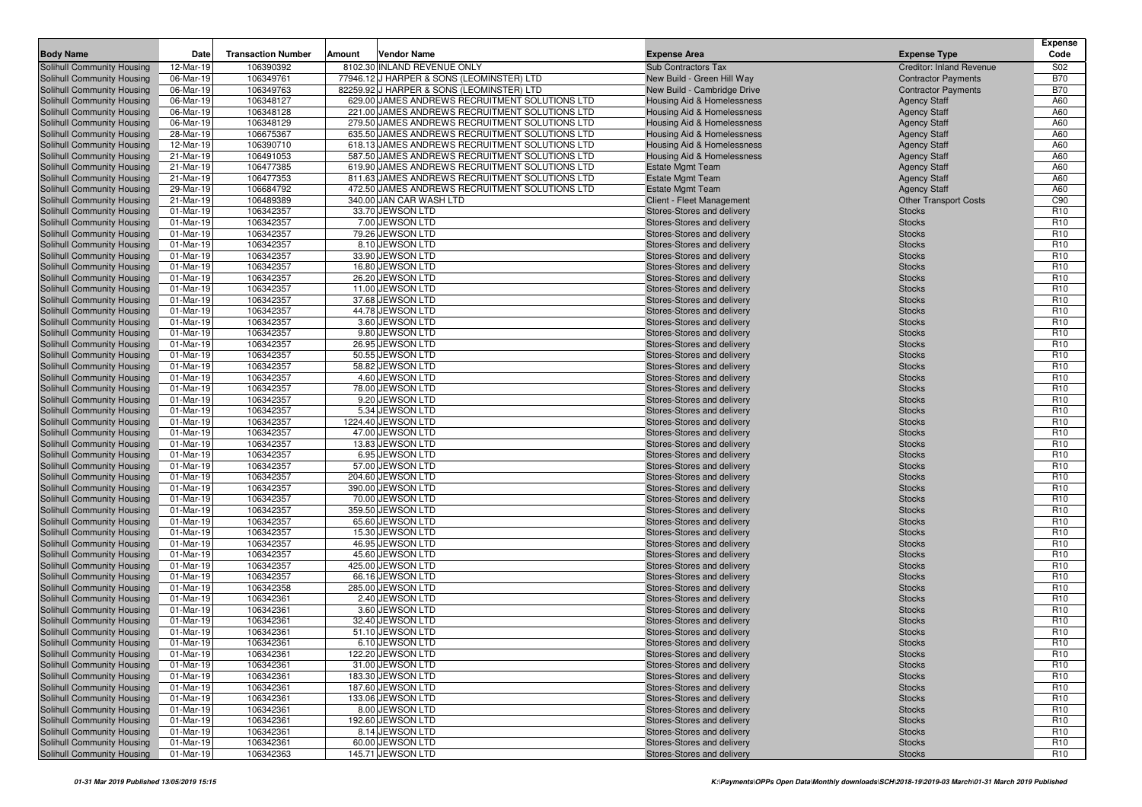| <b>Body Name</b>                                         | Date                   | <b>Transaction Number</b> | Amount | <b>Vendor Name</b>                                                       | <b>Expense Area</b>                                      | <b>Expense Type</b>             | <b>Expense</b><br>Code             |
|----------------------------------------------------------|------------------------|---------------------------|--------|--------------------------------------------------------------------------|----------------------------------------------------------|---------------------------------|------------------------------------|
|                                                          |                        | 106390392                 |        |                                                                          |                                                          | <b>Creditor: Inland Revenue</b> |                                    |
| Solihull Community Housing<br>Solihull Community Housing | 12-Mar-19<br>06-Mar-19 | 106349761                 |        | 8102.30 INLAND REVENUE ONLY<br>77946.12 J HARPER & SONS (LEOMINSTER) LTD | Sub Contractors Tax<br>New Build - Green Hill Way        | <b>Contractor Payments</b>      | S <sub>02</sub><br><b>B70</b>      |
| Solihull Community Housing                               | 06-Mar-19              | 106349763                 |        | 82259.92 J HARPER & SONS (LEOMINSTER) LTD                                | New Build - Cambridge Drive                              | <b>Contractor Payments</b>      | <b>B70</b>                         |
| Solihull Community Housing                               | 06-Mar-19              | 106348127                 |        | 629.00 JAMES ANDREWS RECRUITMENT SOLUTIONS LTD                           | Housing Aid & Homelessness                               | <b>Agency Staff</b>             | A60                                |
| Solihull Community Housing                               | 06-Mar-19              | 106348128                 |        | 221.00 JAMES ANDREWS RECRUITMENT SOLUTIONS LTD                           | Housing Aid & Homelessness                               | <b>Agency Staff</b>             | A60                                |
| Solihull Community Housing                               | 06-Mar-19              | 106348129                 |        | 279.50 JAMES ANDREWS RECRUITMENT SOLUTIONS LTD                           | Housing Aid & Homelessness                               | <b>Agency Staff</b>             | A60                                |
| Solihull Community Housing                               | 28-Mar-19              | 106675367                 |        | 635.50 JAMES ANDREWS RECRUITMENT SOLUTIONS LTD                           | Housing Aid & Homelessness                               | <b>Agency Staff</b>             | A60                                |
| Solihull Community Housing                               | 12-Mar-19              | 106390710                 |        | 618.13 JAMES ANDREWS RECRUITMENT SOLUTIONS LTD                           | Housing Aid & Homelessness                               | <b>Agency Staff</b>             | A60                                |
| Solihull Community Housing                               | 21-Mar-19              | 106491053                 |        | 587.50 JAMES ANDREWS RECRUITMENT SOLUTIONS LTD                           | Housing Aid & Homelessness                               | <b>Agency Staff</b>             | A60                                |
| Solihull Community Housing                               | 21-Mar-19              | 106477385                 |        | 619.90 JAMES ANDREWS RECRUITMENT SOLUTIONS LTD                           | <b>Estate Mgmt Team</b>                                  | <b>Agency Staff</b>             | A60                                |
| Solihull Community Housing                               | 21-Mar-19              | 106477353                 |        | 811.63 JAMES ANDREWS RECRUITMENT SOLUTIONS LTD                           | <b>Estate Mgmt Team</b>                                  | <b>Agency Staff</b>             | A60                                |
| Solihull Community Housing                               | 29-Mar-19              | 106684792                 |        | 472.50 JAMES ANDREWS RECRUITMENT SOLUTIONS LTD                           | <b>Estate Mgmt Team</b>                                  | <b>Agency Staff</b>             | A60                                |
| Solihull Community Housing                               | 21-Mar-19<br>01-Mar-19 | 106489389                 |        | 340.00 JAN CAR WASH LTD                                                  | Client - Fleet Management<br>Stores-Stores and delivery  | <b>Other Transport Costs</b>    | C90<br>R <sub>10</sub>             |
| Solihull Community Housing<br>Solihull Community Housing | 01-Mar-19              | 106342357<br>106342357    |        | 33.70 JEWSON LTD<br>7.00 JEWSON LTD                                      | Stores-Stores and delivery                               | <b>Stocks</b><br><b>Stocks</b>  | R <sub>10</sub>                    |
| Solihull Community Housing                               | 01-Mar-19              | 106342357                 |        | 79.26 JEWSON LTD                                                         | Stores-Stores and delivery                               | <b>Stocks</b>                   | R <sub>10</sub>                    |
| Solihull Community Housing                               | 01-Mar-19              | 106342357                 |        | 8.10 JEWSON LTD                                                          | Stores-Stores and delivery                               | <b>Stocks</b>                   | R <sub>10</sub>                    |
| Solihull Community Housing                               | 01-Mar-19              | 106342357                 |        | 33.90 JEWSON LTD                                                         | Stores-Stores and delivery                               | <b>Stocks</b>                   | R <sub>10</sub>                    |
| Solihull Community Housing                               | 01-Mar-19              | 106342357                 |        | 16.80 JEWSON LTD                                                         | Stores-Stores and delivery                               | <b>Stocks</b>                   | R <sub>10</sub>                    |
| Solihull Community Housing                               | 01-Mar-19              | 106342357                 |        | 26.20 JEWSON LTD                                                         | Stores-Stores and delivery                               | <b>Stocks</b>                   | R <sub>10</sub>                    |
| <b>Solihull Community Housing</b>                        | 01-Mar-19              | 106342357                 |        | 11.00 JEWSON LTD                                                         | Stores-Stores and delivery                               | <b>Stocks</b>                   | R <sub>10</sub>                    |
| Solihull Community Housing                               | 01-Mar-19              | 106342357                 |        | 37.68 JEWSON LTD                                                         | Stores-Stores and delivery                               | <b>Stocks</b>                   | R <sub>10</sub>                    |
| Solihull Community Housing                               | 01-Mar-19              | 106342357                 |        | 44.78 JEWSON LTD                                                         | Stores-Stores and delivery                               | <b>Stocks</b>                   | R <sub>10</sub>                    |
| Solihull Community Housing                               | 01-Mar-19              | 106342357                 |        | 3.60 JEWSON LTD                                                          | Stores-Stores and delivery                               | <b>Stocks</b>                   | R <sub>10</sub>                    |
| Solihull Community Housing<br>Solihull Community Housing | 01-Mar-19<br>01-Mar-19 | 106342357<br>106342357    |        | 9.80 JEWSON LTD<br>26.95 JEWSON LTD                                      | Stores-Stores and delivery<br>Stores-Stores and delivery | <b>Stocks</b><br><b>Stocks</b>  | R <sub>10</sub><br>R <sub>10</sub> |
| Solihull Community Housing                               | 01-Mar-19              | 106342357                 |        | 50.55 JEWSON LTD                                                         | Stores-Stores and delivery                               | <b>Stocks</b>                   | R <sub>10</sub>                    |
| Solihull Community Housing                               | 01-Mar-19              | 106342357                 |        | 58.82 JEWSON LTD                                                         | Stores-Stores and delivery                               | <b>Stocks</b>                   | R <sub>10</sub>                    |
| Solihull Community Housing                               | 01-Mar-19              | 106342357                 |        | 4.60 JEWSON LTD                                                          | Stores-Stores and delivery                               | <b>Stocks</b>                   | R <sub>10</sub>                    |
| Solihull Community Housing                               | 01-Mar-19              | 106342357                 |        | 78.00 JEWSON LTD                                                         | Stores-Stores and delivery                               | <b>Stocks</b>                   | R <sub>10</sub>                    |
| Solihull Community Housing                               | 01-Mar-19              | 106342357                 |        | 9.20 JEWSON LTD                                                          | Stores-Stores and delivery                               | <b>Stocks</b>                   | R <sub>10</sub>                    |
| Solihull Community Housing                               | 01-Mar-19              | 106342357                 |        | 5.34 JEWSON LTD                                                          | Stores-Stores and delivery                               | <b>Stocks</b>                   | R <sub>10</sub>                    |
| Solihull Community Housing                               | 01-Mar-19              | 106342357                 |        | 1224.40 JEWSON LTD                                                       | Stores-Stores and delivery                               | <b>Stocks</b>                   | R <sub>10</sub>                    |
| Solihull Community Housing<br>Solihull Community Housing | 01-Mar-19<br>01-Mar-19 | 106342357<br>106342357    |        | 47.00 JEWSON LTD<br>13.83 JEWSON LTD                                     | Stores-Stores and delivery<br>Stores-Stores and delivery | <b>Stocks</b><br><b>Stocks</b>  | R <sub>10</sub><br>R <sub>10</sub> |
| Solihull Community Housing                               | 01-Mar-19              | 106342357                 |        | 6.95 JEWSON LTD                                                          | Stores-Stores and delivery                               | <b>Stocks</b>                   | R <sub>10</sub>                    |
| Solihull Community Housing                               | 01-Mar-19              | 106342357                 |        | 57.00 JEWSON LTD                                                         | Stores-Stores and delivery                               | <b>Stocks</b>                   | R <sub>10</sub>                    |
| Solihull Community Housing                               | 01-Mar-19              | 106342357                 |        | 204.60 JEWSON LTD                                                        | Stores-Stores and delivery                               | <b>Stocks</b>                   | R <sub>10</sub>                    |
| Solihull Community Housing                               | 01-Mar-19              | 106342357                 |        | 390.00 JEWSON LTD                                                        | Stores-Stores and delivery                               | <b>Stocks</b>                   | R <sub>10</sub>                    |
| Solihull Community Housing                               | 01-Mar-19              | 106342357                 |        | 70.00 JEWSON LTD                                                         | Stores-Stores and delivery                               | <b>Stocks</b>                   | R <sub>10</sub>                    |
| Solihull Community Housing                               | 01-Mar-19              | 106342357                 |        | 359.50 JEWSON LTD                                                        | Stores-Stores and delivery                               | <b>Stocks</b>                   | R <sub>10</sub>                    |
| Solihull Community Housing                               | 01-Mar-19              | 106342357                 |        | 65.60 JEWSON LTD                                                         | Stores-Stores and delivery                               | <b>Stocks</b>                   | R <sub>10</sub>                    |
| Solihull Community Housing<br>Solihull Community Housing | 01-Mar-19<br>01-Mar-19 | 106342357<br>106342357    |        | 15.30 JEWSON LTD<br>46.95 JEWSON LTD                                     | Stores-Stores and delivery<br>Stores-Stores and delivery | <b>Stocks</b><br><b>Stocks</b>  | R <sub>10</sub><br>R <sub>10</sub> |
| Solihull Community Housing                               | 01-Mar-19              | 106342357                 |        | 45.60 JEWSON LTD                                                         | Stores-Stores and delivery                               | <b>Stocks</b>                   | R <sub>10</sub>                    |
| Solihull Community Housing                               | 01-Mar-19              | 106342357                 |        | 425.00 JEWSON LTD                                                        | Stores-Stores and delivery                               | <b>Stocks</b>                   | R <sub>10</sub>                    |
| Solihull Community Housing                               | 01-Mar-19              | 106342357                 |        | 66.16 JEWSON LTD                                                         | Stores-Stores and delivery                               | <b>Stocks</b>                   | R <sub>10</sub>                    |
| Solihull Community Housing                               | 01-Mar-19              | 106342358                 |        | 285.00 JEWSON LTD                                                        | Stores-Stores and delivery                               | <b>Stocks</b>                   | R <sub>10</sub>                    |
| Solihull Community Housing                               | 01-Mar-19              | 106342361                 |        | 2.40 JEWSON LTD                                                          | Stores-Stores and delivery                               | <b>Stocks</b>                   | R <sub>10</sub>                    |
| <b>Solihull Community Housing</b>                        | 01-Mar-19              | 106342361                 |        | 3.60 JEWSON LTD                                                          | Stores-Stores and delivery                               | <b>Stocks</b>                   | R <sub>10</sub>                    |
| Solihull Community Housing                               | 01-Mar-19              | 106342361                 |        | 32.40 JEWSON LTD                                                         | Stores-Stores and delivery                               | <b>Stocks</b>                   | R <sub>10</sub>                    |
| Solihull Community Housing                               | 01-Mar-19              | 106342361                 |        | 51.10 JEWSON LTD                                                         | Stores-Stores and delivery                               | <b>Stocks</b>                   | R <sub>10</sub>                    |
| Solihull Community Housing                               | 01-Mar-19              | 106342361                 |        | 6.10 JEWSON LTD<br>122.20 JEWSON LTD                                     | Stores-Stores and delivery                               | <b>Stocks</b>                   | R <sub>10</sub><br>R <sub>10</sub> |
| Solihull Community Housing<br>Solihull Community Housing | 01-Mar-19<br>01-Mar-19 | 106342361<br>106342361    |        | 31.00 JEWSON LTD                                                         | Stores-Stores and delivery<br>Stores-Stores and delivery | <b>Stocks</b><br><b>Stocks</b>  | R <sub>10</sub>                    |
| Solihull Community Housing                               | 01-Mar-19              | 106342361                 |        | 183.30 JEWSON LTD                                                        | Stores-Stores and delivery                               | <b>Stocks</b>                   | R <sub>10</sub>                    |
| Solihull Community Housing                               | 01-Mar-19              | 106342361                 |        | 187.60 JEWSON LTD                                                        | Stores-Stores and delivery                               | <b>Stocks</b>                   | R <sub>10</sub>                    |
| Solihull Community Housing                               | 01-Mar-19              | 106342361                 |        | 133.06 JEWSON LTD                                                        | Stores-Stores and delivery                               | <b>Stocks</b>                   | R <sub>10</sub>                    |
| Solihull Community Housing                               | 01-Mar-19              | 106342361                 |        | 8.00 JEWSON LTD                                                          | Stores-Stores and delivery                               | <b>Stocks</b>                   | R <sub>10</sub>                    |
| Solihull Community Housing                               | 01-Mar-19              | 106342361                 |        | 192.60 JEWSON LTD                                                        | Stores-Stores and delivery                               | <b>Stocks</b>                   | R <sub>10</sub>                    |
| Solihull Community Housing                               | 01-Mar-19              | 106342361                 |        | 8.14 JEWSON LTD                                                          | Stores-Stores and delivery                               | <b>Stocks</b>                   | R <sub>10</sub>                    |
| Solihull Community Housing                               | 01-Mar-19              | 106342361                 |        | 60.00 JEWSON LTD                                                         | Stores-Stores and delivery                               | <b>Stocks</b>                   | R <sub>10</sub>                    |
| Solihull Community Housing                               | 01-Mar-19              | 106342363                 |        | 145.71 JEWSON LTD                                                        | Stores-Stores and delivery                               | <b>Stocks</b>                   | R <sub>10</sub>                    |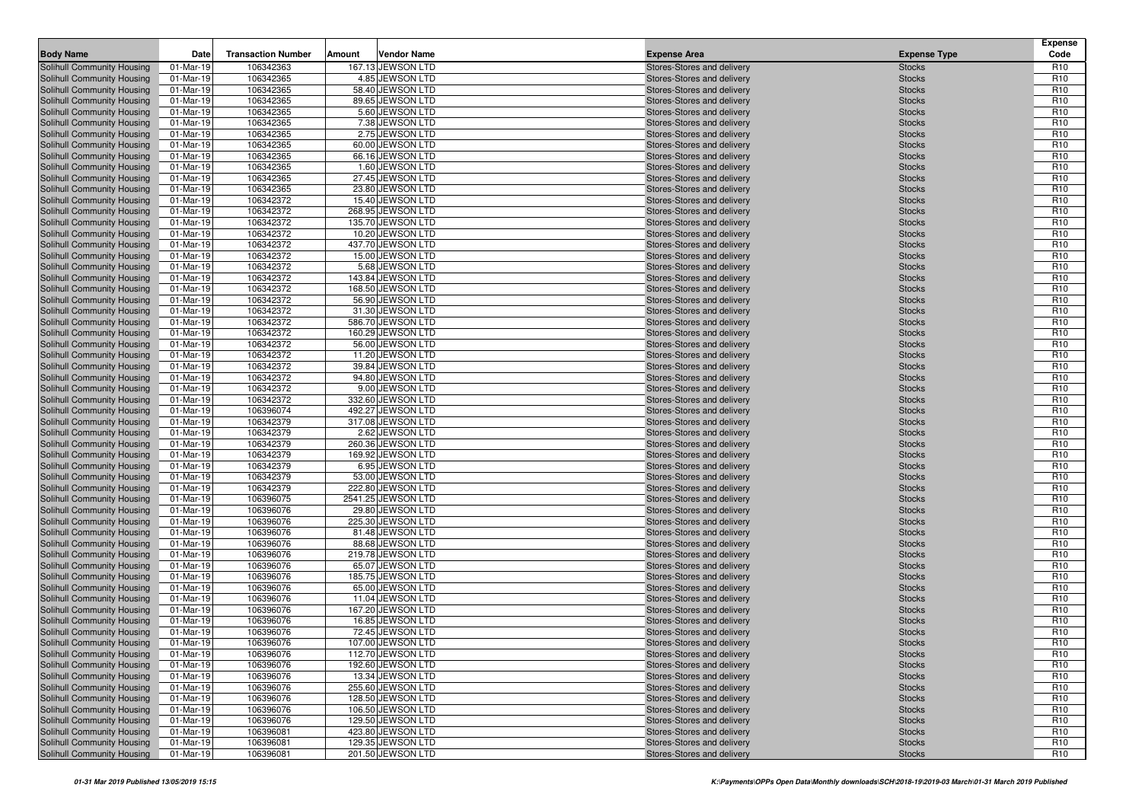| <b>Body Name</b>                                         | Date                   | <b>Transaction Number</b> | Amount | <b>Vendor Name</b>                      | <b>Expense Area</b>                                      | <b>Expense Type</b>            | Expense<br>Code                    |
|----------------------------------------------------------|------------------------|---------------------------|--------|-----------------------------------------|----------------------------------------------------------|--------------------------------|------------------------------------|
| Solihull Community Housing                               | 01-Mar-19              | 106342363                 |        | 167.13 JEWSON LTD                       | Stores-Stores and delivery                               | <b>Stocks</b>                  | R <sub>10</sub>                    |
| Solihull Community Housing                               | 01-Mar-19              | 106342365                 |        | 4.85 JEWSON LTD                         | Stores-Stores and delivery                               | <b>Stocks</b>                  | R <sub>10</sub>                    |
| Solihull Community Housing                               | 01-Mar-19              | 106342365                 |        | 58.40 JEWSON LTD                        | Stores-Stores and delivery                               | <b>Stocks</b>                  | R <sub>10</sub>                    |
| Solihull Community Housing                               | 01-Mar-19              | 106342365                 |        | 89.65 JEWSON LTD                        | Stores-Stores and delivery                               | <b>Stocks</b>                  | R <sub>10</sub>                    |
| Solihull Community Housing                               | 01-Mar-19              | 106342365                 |        | 5.60 JEWSON LTD                         | Stores-Stores and delivery                               | <b>Stocks</b>                  | R <sub>10</sub>                    |
| Solihull Community Housing                               | 01-Mar-19              | 106342365                 |        | 7.38 JEWSON LTD                         | Stores-Stores and delivery                               | <b>Stocks</b>                  | R <sub>10</sub>                    |
| Solihull Community Housing                               | 01-Mar-19              | 106342365                 |        | 2.75 JEWSON LTD                         | Stores-Stores and delivery                               | <b>Stocks</b>                  | R <sub>10</sub>                    |
| Solihull Community Housing                               | 01-Mar-19              | 106342365                 |        | 60.00 JEWSON LTD                        | Stores-Stores and delivery                               | <b>Stocks</b>                  | R <sub>10</sub>                    |
| Solihull Community Housing                               | 01-Mar-19              | 106342365                 |        | 66.16 JEWSON LTD                        | Stores-Stores and delivery                               | <b>Stocks</b>                  | R <sub>10</sub>                    |
| Solihull Community Housing                               | 01-Mar-19              | 106342365                 |        | 1.60 JEWSON LTD                         | Stores-Stores and delivery                               | <b>Stocks</b>                  | R <sub>10</sub>                    |
| Solihull Community Housing                               | 01-Mar-19              | 106342365                 |        | 27.45 JEWSON LTD                        | Stores-Stores and delivery                               | <b>Stocks</b>                  | R <sub>10</sub>                    |
| Solihull Community Housing                               | 01-Mar-19              | 106342365                 |        | 23.80 JEWSON LTD                        | Stores-Stores and delivery                               | <b>Stocks</b>                  | R <sub>10</sub>                    |
| Solihull Community Housing                               | 01-Mar-19              | 106342372                 |        | 15.40 JEWSON LTD                        | Stores-Stores and delivery                               | <b>Stocks</b>                  | R <sub>10</sub>                    |
| Solihull Community Housing                               | 01-Mar-19              | 106342372                 |        | 268.95 JEWSON LTD                       | Stores-Stores and delivery                               | <b>Stocks</b>                  | R <sub>10</sub>                    |
| Solihull Community Housing                               | 01-Mar-19              | 106342372                 |        | 135.70 JEWSON LTD                       | Stores-Stores and delivery                               | <b>Stocks</b>                  | R <sub>10</sub>                    |
| Solihull Community Housing                               | 01-Mar-19              | 106342372                 |        | 10.20 JEWSON LTD                        | Stores-Stores and delivery                               | <b>Stocks</b>                  | R <sub>10</sub>                    |
| Solihull Community Housing                               | 01-Mar-19              | 106342372                 |        | 437.70 JEWSON LTD                       | Stores-Stores and delivery                               | <b>Stocks</b>                  | R <sub>10</sub>                    |
| Solihull Community Housing                               | 01-Mar-19              | 106342372                 |        | 15.00 JEWSON LTD                        | Stores-Stores and delivery                               | <b>Stocks</b>                  | R <sub>10</sub>                    |
| Solihull Community Housing                               | 01-Mar-19              | 106342372                 |        | 5.68 JEWSON LTD                         | Stores-Stores and delivery                               | <b>Stocks</b>                  | R <sub>10</sub>                    |
| Solihull Community Housing                               | 01-Mar-19              | 106342372                 |        | 143.84 JEWSON LTD                       | Stores-Stores and delivery                               | <b>Stocks</b>                  | R <sub>10</sub>                    |
| Solihull Community Housing                               | 01-Mar-19              | 106342372                 |        | 168.50 JEWSON LTD                       | Stores-Stores and delivery                               | <b>Stocks</b>                  | R <sub>10</sub>                    |
| Solihull Community Housing                               | 01-Mar-19              | 106342372                 |        | 56.90 JEWSON LTD                        | Stores-Stores and delivery                               | <b>Stocks</b>                  | R <sub>10</sub>                    |
| Solihull Community Housing                               | 01-Mar-19              | 106342372                 |        | 31.30 JEWSON LTD                        | Stores-Stores and delivery                               | <b>Stocks</b>                  | R <sub>10</sub>                    |
| Solihull Community Housing                               | 01-Mar-19              | 106342372                 |        | 586.70 JEWSON LTD                       | Stores-Stores and delivery                               | <b>Stocks</b>                  | R <sub>10</sub>                    |
| Solihull Community Housing                               | 01-Mar-19              | 106342372                 |        | 160.29 JEWSON LTD                       | Stores-Stores and delivery                               | <b>Stocks</b>                  | R <sub>10</sub>                    |
| Solihull Community Housing                               | 01-Mar-19              | 106342372                 |        | 56.00 JEWSON LTD                        | Stores-Stores and delivery                               | <b>Stocks</b>                  | R <sub>10</sub>                    |
| Solihull Community Housing                               | 01-Mar-19              | 106342372                 |        | 11.20 JEWSON LTD                        | Stores-Stores and delivery                               | <b>Stocks</b>                  | R <sub>10</sub>                    |
| Solihull Community Housing                               | 01-Mar-19              | 106342372                 |        | 39.84 JEWSON LTD                        | Stores-Stores and delivery                               | <b>Stocks</b>                  | R <sub>10</sub>                    |
| Solihull Community Housing                               | 01-Mar-19              | 106342372                 |        | 94.80 JEWSON LTD                        | Stores-Stores and delivery                               | <b>Stocks</b>                  | R <sub>10</sub>                    |
| Solihull Community Housing                               | 01-Mar-19              | 106342372                 |        | 9.00 JEWSON LTD                         | Stores-Stores and delivery                               | <b>Stocks</b>                  | R <sub>10</sub>                    |
| Solihull Community Housing                               | 01-Mar-19              | 106342372                 |        | 332.60 JEWSON LTD                       | Stores-Stores and delivery                               | <b>Stocks</b>                  | R <sub>10</sub>                    |
| Solihull Community Housing                               | 01-Mar-19              | 106396074                 |        | 492.27 JEWSON LTD                       | Stores-Stores and delivery                               | <b>Stocks</b>                  | R <sub>10</sub>                    |
| Solihull Community Housing                               | 01-Mar-19              | 106342379                 |        | 317.08 JEWSON LTD                       | Stores-Stores and delivery                               | <b>Stocks</b>                  | R <sub>10</sub>                    |
| Solihull Community Housing                               | 01-Mar-19              | 106342379                 |        | 2.62 JEWSON LTD                         | Stores-Stores and delivery                               | <b>Stocks</b>                  | R <sub>10</sub>                    |
| Solihull Community Housing                               | 01-Mar-19              | 106342379                 |        | 260.36 JEWSON LTD                       | Stores-Stores and delivery                               | <b>Stocks</b>                  | R <sub>10</sub>                    |
| Solihull Community Housing                               | 01-Mar-19              | 106342379                 |        | 169.92 JEWSON LTD                       | Stores-Stores and delivery                               | <b>Stocks</b>                  | R <sub>10</sub>                    |
| Solihull Community Housing                               | 01-Mar-19              | 106342379                 |        | 6.95 JEWSON LTD                         | Stores-Stores and delivery                               | <b>Stocks</b>                  | R <sub>10</sub>                    |
| Solihull Community Housing                               | 01-Mar-19              | 106342379                 |        | 53.00 JEWSON LTD                        | Stores-Stores and delivery                               | <b>Stocks</b>                  | R <sub>10</sub><br>R <sub>10</sub> |
| Solihull Community Housing                               | 01-Mar-19              | 106342379<br>106396075    |        | 222.80 JEWSON LTD<br>2541.25 JEWSON LTD | Stores-Stores and delivery                               | <b>Stocks</b>                  | R <sub>10</sub>                    |
| Solihull Community Housing<br>Solihull Community Housing | 01-Mar-19<br>01-Mar-19 | 106396076                 |        | 29.80 JEWSON LTD                        | Stores-Stores and delivery<br>Stores-Stores and delivery | <b>Stocks</b><br><b>Stocks</b> | R <sub>10</sub>                    |
| Solihull Community Housing                               | 01-Mar-19              | 106396076                 |        | 225.30 JEWSON LTD                       | Stores-Stores and delivery                               | <b>Stocks</b>                  | R <sub>10</sub>                    |
| Solihull Community Housing                               | 01-Mar-19              | 106396076                 |        | 81.48 JEWSON LTD                        | Stores-Stores and delivery                               | <b>Stocks</b>                  | R <sub>10</sub>                    |
| Solihull Community Housing                               | 01-Mar-19              | 106396076                 |        | 88.68 JEWSON LTD                        | Stores-Stores and delivery                               | <b>Stocks</b>                  | R <sub>10</sub>                    |
| Solihull Community Housing                               | 01-Mar-19              | 106396076                 |        | 219.78 JEWSON LTD                       | Stores-Stores and delivery                               | <b>Stocks</b>                  | R <sub>10</sub>                    |
| Solihull Community Housing                               | 01-Mar-19              | 106396076                 |        | 65.07 JEWSON LTD                        | Stores-Stores and delivery                               | <b>Stocks</b>                  | R <sub>10</sub>                    |
| Solihull Community Housing                               | 01-Mar-19              | 106396076                 |        | 185.75 JEWSON LTD                       | Stores-Stores and delivery                               | <b>Stocks</b>                  | R <sub>10</sub>                    |
| Solihull Community Housing                               | 01-Mar-19              | 106396076                 |        | 65.00 JEWSON LTD                        | Stores-Stores and delivery                               | <b>Stocks</b>                  | R <sub>10</sub>                    |
| Solihull Community Housing                               | 01-Mar-19              | 106396076                 |        | 11.04 JEWSON LTD                        | Stores-Stores and delivery                               | <b>Stocks</b>                  | R <sub>10</sub>                    |
| Solihull Community Housing                               | 01-Mar-19              | 106396076                 |        | 167.20 JEWSON LTD                       | Stores-Stores and delivery                               | <b>Stocks</b>                  | R <sub>10</sub>                    |
| Solihull Community Housing                               | 01-Mar-19              | 106396076                 |        | 16.85 JEWSON LTD                        | Stores-Stores and delivery                               | <b>Stocks</b>                  | R <sub>10</sub>                    |
| <b>Solihull Community Housing</b>                        | 01-Mar-19              | 106396076                 |        | 72.45 JEWSON LTD                        | Stores-Stores and delivery                               | <b>Stocks</b>                  | R <sub>10</sub>                    |
| Solihull Community Housing                               | 01-Mar-19              | 106396076                 |        | 107.00 JEWSON LTD                       | Stores-Stores and delivery                               | <b>Stocks</b>                  | R <sub>10</sub>                    |
| Solihull Community Housing                               | 01-Mar-19              | 106396076                 |        | 112.70 JEWSON LTD                       | Stores-Stores and delivery                               | <b>Stocks</b>                  | R <sub>10</sub>                    |
| Solihull Community Housing                               | 01-Mar-19              | 106396076                 |        | 192.60 JEWSON LTD                       | Stores-Stores and delivery                               | <b>Stocks</b>                  | R <sub>10</sub>                    |
| Solihull Community Housing                               | 01-Mar-19              | 106396076                 |        | 13.34 JEWSON LTD                        | Stores-Stores and delivery                               | <b>Stocks</b>                  | R <sub>10</sub>                    |
| Solihull Community Housing                               | 01-Mar-19              | 106396076                 |        | 255.60 JEWSON LTD                       | Stores-Stores and delivery                               | <b>Stocks</b>                  | R <sub>10</sub>                    |
| Solihull Community Housing                               | 01-Mar-19              | 106396076                 |        | 128.50 JEWSON LTD                       | Stores-Stores and delivery                               | <b>Stocks</b>                  | R <sub>10</sub>                    |
| Solihull Community Housing                               | 01-Mar-19              | 106396076                 |        | 106.50 JEWSON LTD                       | Stores-Stores and delivery                               | <b>Stocks</b>                  | R <sub>10</sub>                    |
| Solihull Community Housing                               | 01-Mar-19              | 106396076                 |        | 129.50 JEWSON LTD                       | Stores-Stores and delivery                               | <b>Stocks</b>                  | R <sub>10</sub>                    |
| Solihull Community Housing                               | 01-Mar-19              | 106396081                 |        | 423.80 JEWSON LTD                       | Stores-Stores and delivery                               | <b>Stocks</b>                  | R <sub>10</sub>                    |
| <b>Solihull Community Housing</b>                        | 01-Mar-19              | 106396081                 |        | 129.35 JEWSON LTD                       | Stores-Stores and delivery                               | <b>Stocks</b>                  | R <sub>10</sub>                    |
| Solihull Community Housing                               | 01-Mar-19              | 106396081                 |        | 201.50 JEWSON LTD                       | Stores-Stores and delivery                               | <b>Stocks</b>                  | R <sub>10</sub>                    |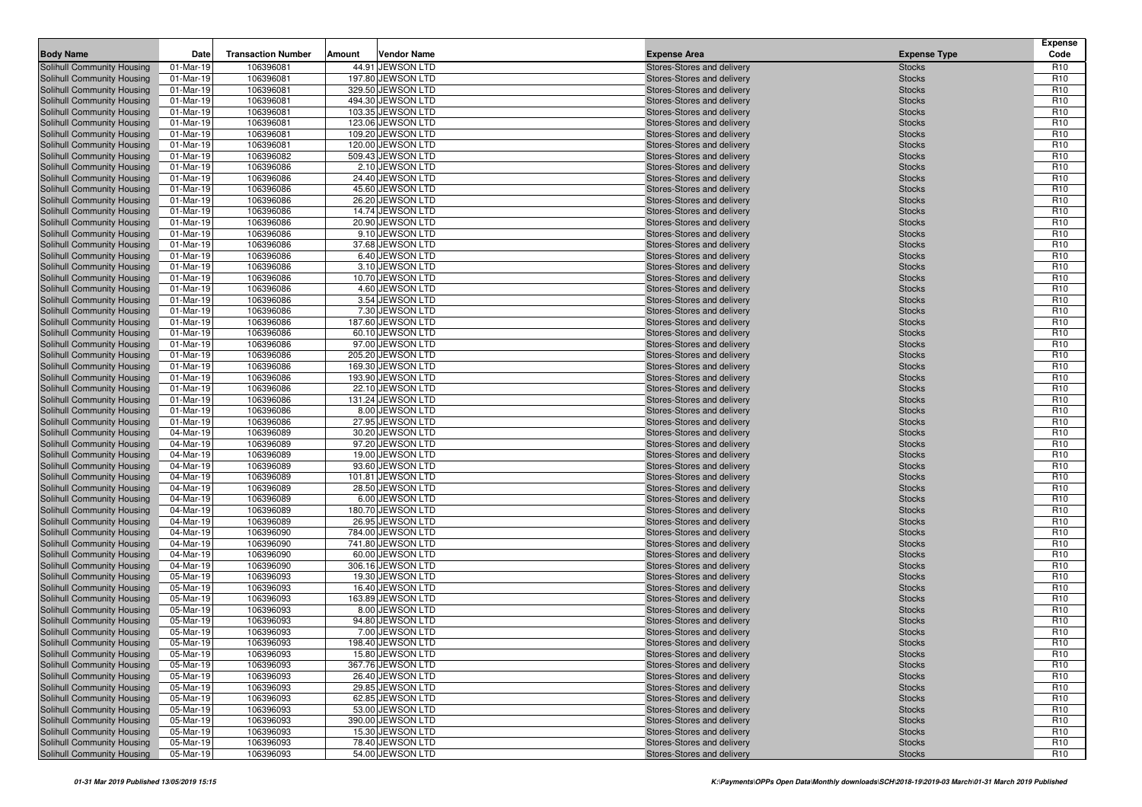| <b>Body Name</b>                                         | Date                    | <b>Transaction Number</b> | Amount | <b>Vendor Name</b>                   | <b>Expense Area</b>                                      | <b>Expense Type</b>            | Expense<br>Code                    |
|----------------------------------------------------------|-------------------------|---------------------------|--------|--------------------------------------|----------------------------------------------------------|--------------------------------|------------------------------------|
| Solihull Community Housing                               | 01-Mar-19               | 106396081                 |        | 44.91 JEWSON LTD                     | Stores-Stores and delivery                               | <b>Stocks</b>                  | R <sub>10</sub>                    |
| Solihull Community Housing                               | 01-Mar-19               | 106396081                 |        | 197.80 JEWSON LTD                    | Stores-Stores and delivery                               | <b>Stocks</b>                  | R <sub>10</sub>                    |
| Solihull Community Housing                               | 01-Mar-19               | 106396081                 |        | 329.50 JEWSON LTD                    | Stores-Stores and delivery                               | <b>Stocks</b>                  | R <sub>10</sub>                    |
| Solihull Community Housing                               | 01-Mar-19               | 106396081                 |        | 494.30 JEWSON LTD                    | Stores-Stores and delivery                               | <b>Stocks</b>                  | R <sub>10</sub>                    |
| Solihull Community Housing                               | 01-Mar-19               | 106396081                 |        | 103.35 JEWSON LTD                    | Stores-Stores and delivery                               | <b>Stocks</b>                  | R <sub>10</sub>                    |
| Solihull Community Housing                               | 01-Mar-19               | 106396081                 |        | 123.06 JEWSON LTD                    | Stores-Stores and delivery                               | <b>Stocks</b>                  | R <sub>10</sub>                    |
| Solihull Community Housing                               | 01-Mar-19               | 106396081                 |        | 109.20 JEWSON LTD                    | Stores-Stores and delivery                               | <b>Stocks</b>                  | R <sub>10</sub>                    |
| Solihull Community Housing                               | 01-Mar-19               | 106396081                 |        | 120.00 JEWSON LTD                    | Stores-Stores and delivery                               | <b>Stocks</b>                  | R <sub>10</sub>                    |
| Solihull Community Housing                               | 01-Mar-19               | 106396082                 |        | 509.43 JEWSON LTD                    | Stores-Stores and delivery                               | <b>Stocks</b>                  | R <sub>10</sub>                    |
| Solihull Community Housing                               | 01-Mar-19               | 106396086                 |        | 2.10 JEWSON LTD                      | Stores-Stores and delivery                               | <b>Stocks</b>                  | R <sub>10</sub>                    |
| Solihull Community Housing                               | 01-Mar-19               | 106396086                 |        | 24.40 JEWSON LTD                     | Stores-Stores and delivery                               | <b>Stocks</b>                  | R <sub>10</sub>                    |
| Solihull Community Housing                               | 01-Mar-19               | 106396086                 |        | 45.60 JEWSON LTD                     | Stores-Stores and delivery                               | <b>Stocks</b>                  | R <sub>10</sub>                    |
| Solihull Community Housing                               | 01-Mar-19               | 106396086                 |        | 26.20 JEWSON LTD                     | Stores-Stores and delivery                               | <b>Stocks</b>                  | R <sub>10</sub>                    |
| Solihull Community Housing                               | 01-Mar-19               | 106396086                 |        | 14.74 JEWSON LTD                     | Stores-Stores and delivery                               | <b>Stocks</b>                  | R <sub>10</sub>                    |
| Solihull Community Housing                               | 01-Mar-19               | 106396086                 |        | 20.90 JEWSON LTD                     | Stores-Stores and delivery                               | <b>Stocks</b>                  | R <sub>10</sub>                    |
| Solihull Community Housing<br>Solihull Community Housing | 01-Mar-19<br>01-Mar-19  | 106396086<br>106396086    |        | 9.10 JEWSON LTD<br>37.68 JEWSON LTD  | Stores-Stores and delivery<br>Stores-Stores and delivery | <b>Stocks</b><br><b>Stocks</b> | R <sub>10</sub><br>R <sub>10</sub> |
| Solihull Community Housing                               | 01-Mar-19               | 106396086                 |        | 6.40 JEWSON LTD                      | Stores-Stores and delivery                               | <b>Stocks</b>                  | R <sub>10</sub>                    |
| Solihull Community Housing                               | 01-Mar-19               | 106396086                 |        | 3.10 JEWSON LTD                      | Stores-Stores and delivery                               | <b>Stocks</b>                  | R <sub>10</sub>                    |
| Solihull Community Housing                               | 01-Mar-19               | 106396086                 |        | 10.70 JEWSON LTD                     | Stores-Stores and delivery                               | <b>Stocks</b>                  | R <sub>10</sub>                    |
| Solihull Community Housing                               | 01-Mar-19               | 106396086                 |        | 4.60 JEWSON LTD                      | Stores-Stores and delivery                               | <b>Stocks</b>                  | R <sub>10</sub>                    |
| Solihull Community Housing                               | 01-Mar-19               | 106396086                 |        | 3.54 JEWSON LTD                      | Stores-Stores and delivery                               | <b>Stocks</b>                  | R <sub>10</sub>                    |
| Solihull Community Housing                               | 01-Mar-19               | 106396086                 |        | 7.30 JEWSON LTD                      | Stores-Stores and delivery                               | <b>Stocks</b>                  | R <sub>10</sub>                    |
| Solihull Community Housing                               | 01-Mar-19               | 106396086                 |        | 187.60 JEWSON LTD                    | Stores-Stores and delivery                               | <b>Stocks</b>                  | R <sub>10</sub>                    |
| Solihull Community Housing                               | 01-Mar-19               | 106396086                 |        | 60.10 JEWSON LTD                     | Stores-Stores and delivery                               | <b>Stocks</b>                  | R <sub>10</sub>                    |
| Solihull Community Housing                               | 01-Mar-19               | 106396086                 |        | 97.00 JEWSON LTD                     | Stores-Stores and delivery                               | <b>Stocks</b>                  | R <sub>10</sub>                    |
| Solihull Community Housing                               | $\overline{0}$ 1-Mar-19 | 106396086                 |        | 205.20 JEWSON LTD                    | Stores-Stores and delivery                               | <b>Stocks</b>                  | R <sub>10</sub>                    |
| Solihull Community Housing                               | 01-Mar-19               | 106396086                 |        | 169.30 JEWSON LTD                    | Stores-Stores and delivery                               | <b>Stocks</b>                  | R <sub>10</sub>                    |
| Solihull Community Housing                               | 01-Mar-19               | 106396086                 |        | 193.90 JEWSON LTD                    | Stores-Stores and delivery                               | <b>Stocks</b>                  | R <sub>10</sub>                    |
| Solihull Community Housing                               | 01-Mar-19               | 106396086                 |        | 22.10 JEWSON LTD                     | Stores-Stores and delivery                               | <b>Stocks</b>                  | R <sub>10</sub>                    |
| Solihull Community Housing                               | 01-Mar-19               | 106396086                 |        | 131.24 JEWSON LTD                    | Stores-Stores and delivery                               | <b>Stocks</b>                  | R <sub>10</sub>                    |
| Solihull Community Housing                               | 01-Mar-19               | 106396086                 |        | 8.00 JEWSON LTD                      | Stores-Stores and delivery                               | <b>Stocks</b>                  | R <sub>10</sub>                    |
| Solihull Community Housing                               | 01-Mar-19               | 106396086                 |        | 27.95 JEWSON LTD                     | Stores-Stores and delivery                               | <b>Stocks</b>                  | R <sub>10</sub>                    |
| Solihull Community Housing                               | 04-Mar-19               | 106396089                 |        | 30.20 JEWSON LTD                     | Stores-Stores and delivery                               | <b>Stocks</b>                  | R <sub>10</sub>                    |
| Solihull Community Housing                               | 04-Mar-19               | 106396089                 |        | 97.20 JEWSON LTD                     | Stores-Stores and delivery                               | <b>Stocks</b>                  | R <sub>10</sub>                    |
| Solihull Community Housing<br>Solihull Community Housing | 04-Mar-19<br>04-Mar-19  | 106396089<br>106396089    |        | 19.00 JEWSON LTD<br>93.60 JEWSON LTD | Stores-Stores and delivery<br>Stores-Stores and delivery | <b>Stocks</b><br><b>Stocks</b> | R <sub>10</sub><br>R <sub>10</sub> |
| Solihull Community Housing                               | 04-Mar-19               | 106396089                 |        | 101.81 JEWSON LTD                    | Stores-Stores and delivery                               | <b>Stocks</b>                  | R <sub>10</sub>                    |
| Solihull Community Housing                               | 04-Mar-19               | 106396089                 |        | 28.50 JEWSON LTD                     | Stores-Stores and delivery                               | <b>Stocks</b>                  | R <sub>10</sub>                    |
| Solihull Community Housing                               | 04-Mar-19               | 106396089                 |        | 6.00 JEWSON LTD                      | Stores-Stores and delivery                               | <b>Stocks</b>                  | R <sub>10</sub>                    |
| Solihull Community Housing                               | 04-Mar-19               | 106396089                 |        | 180.70 JEWSON LTD                    | Stores-Stores and delivery                               | <b>Stocks</b>                  | R <sub>10</sub>                    |
| Solihull Community Housing                               | 04-Mar-19               | 106396089                 |        | 26.95 JEWSON LTD                     | Stores-Stores and delivery                               | <b>Stocks</b>                  | R <sub>10</sub>                    |
| Solihull Community Housing                               | 04-Mar-19               | 106396090                 |        | 784.00 JEWSON LTD                    | Stores-Stores and delivery                               | <b>Stocks</b>                  | R <sub>10</sub>                    |
| Solihull Community Housing                               | 04-Mar-19               | 106396090                 |        | 741.80 JEWSON LTD                    | Stores-Stores and delivery                               | <b>Stocks</b>                  | R <sub>10</sub>                    |
| Solihull Community Housing                               | 04-Mar-19               | 106396090                 |        | 60.00 JEWSON LTD                     | Stores-Stores and delivery                               | <b>Stocks</b>                  | R <sub>10</sub>                    |
| Solihull Community Housing                               | 04-Mar-19               | 106396090                 |        | 306.16 JEWSON LTD                    | Stores-Stores and delivery                               | <b>Stocks</b>                  | R <sub>10</sub>                    |
| Solihull Community Housing                               | 05-Mar-19               | 106396093                 |        | 19.30 JEWSON LTD                     | Stores-Stores and delivery                               | <b>Stocks</b>                  | R <sub>10</sub>                    |
| Solihull Community Housing                               | 05-Mar-19               | 106396093                 |        | 16.40 JEWSON LTD                     | Stores-Stores and delivery                               | <b>Stocks</b>                  | R <sub>10</sub>                    |
| Solihull Community Housing                               | 05-Mar-19               | 106396093                 |        | 163.89 JEWSON LTD                    | Stores-Stores and delivery                               | <b>Stocks</b>                  | R <sub>10</sub>                    |
| Solihull Community Housing                               | 05-Mar-19               | 106396093                 |        | 8.00 JEWSON LTD                      | Stores-Stores and delivery                               | <b>Stocks</b>                  | R <sub>10</sub>                    |
| Solihull Community Housing                               | 05-Mar-19               | 106396093                 |        | 94.80 JEWSON LTD                     | Stores-Stores and delivery                               | <b>Stocks</b>                  | R <sub>10</sub>                    |
| <b>Solihull Community Housing</b>                        | 05-Mar-19               | 106396093                 |        | 7.00 JEWSON LTD                      | Stores-Stores and delivery                               | <b>Stocks</b>                  | R <sub>10</sub>                    |
| Solihull Community Housing                               | 05-Mar-19               | 106396093                 |        | 198.40 JEWSON LTD                    | Stores-Stores and delivery                               | <b>Stocks</b>                  | R <sub>10</sub>                    |
| Solihull Community Housing                               | 05-Mar-19               | 106396093                 |        | 15.80 JEWSON LTD                     | Stores-Stores and delivery                               | <b>Stocks</b>                  | R <sub>10</sub>                    |
| Solihull Community Housing                               | 05-Mar-19               | 106396093<br>106396093    |        | 367.76 JEWSON LTD                    | Stores-Stores and delivery                               | <b>Stocks</b>                  | R <sub>10</sub>                    |
| Solihull Community Housing<br>Solihull Community Housing | 05-Mar-19<br>05-Mar-19  |                           |        | 26.40 JEWSON LTD<br>29.85 JEWSON LTD | Stores-Stores and delivery                               | <b>Stocks</b>                  | R <sub>10</sub><br>R <sub>10</sub> |
| Solihull Community Housing                               | 05-Mar-19               | 106396093<br>106396093    |        | 62.85 JEWSON LTD                     | Stores-Stores and delivery<br>Stores-Stores and delivery | <b>Stocks</b><br><b>Stocks</b> | R <sub>10</sub>                    |
| Solihull Community Housing                               | 05-Mar-19               | 106396093                 |        | 53.00 JEWSON LTD                     | Stores-Stores and delivery                               | <b>Stocks</b>                  | R <sub>10</sub>                    |
| Solihull Community Housing                               | 05-Mar-19               | 106396093                 |        | 390.00 JEWSON LTD                    | Stores-Stores and delivery                               | <b>Stocks</b>                  | R <sub>10</sub>                    |
| Solihull Community Housing                               | 05-Mar-19               | 106396093                 |        | 15.30 JEWSON LTD                     | Stores-Stores and delivery                               | <b>Stocks</b>                  | R <sub>10</sub>                    |
| <b>Solihull Community Housing</b>                        | 05-Mar-19               | 106396093                 |        | 78.40 JEWSON LTD                     | Stores-Stores and delivery                               | <b>Stocks</b>                  | R <sub>10</sub>                    |
| Solihull Community Housing                               | 05-Mar-19               | 106396093                 |        | 54.00 JEWSON LTD                     | Stores-Stores and delivery                               | <b>Stocks</b>                  | R <sub>10</sub>                    |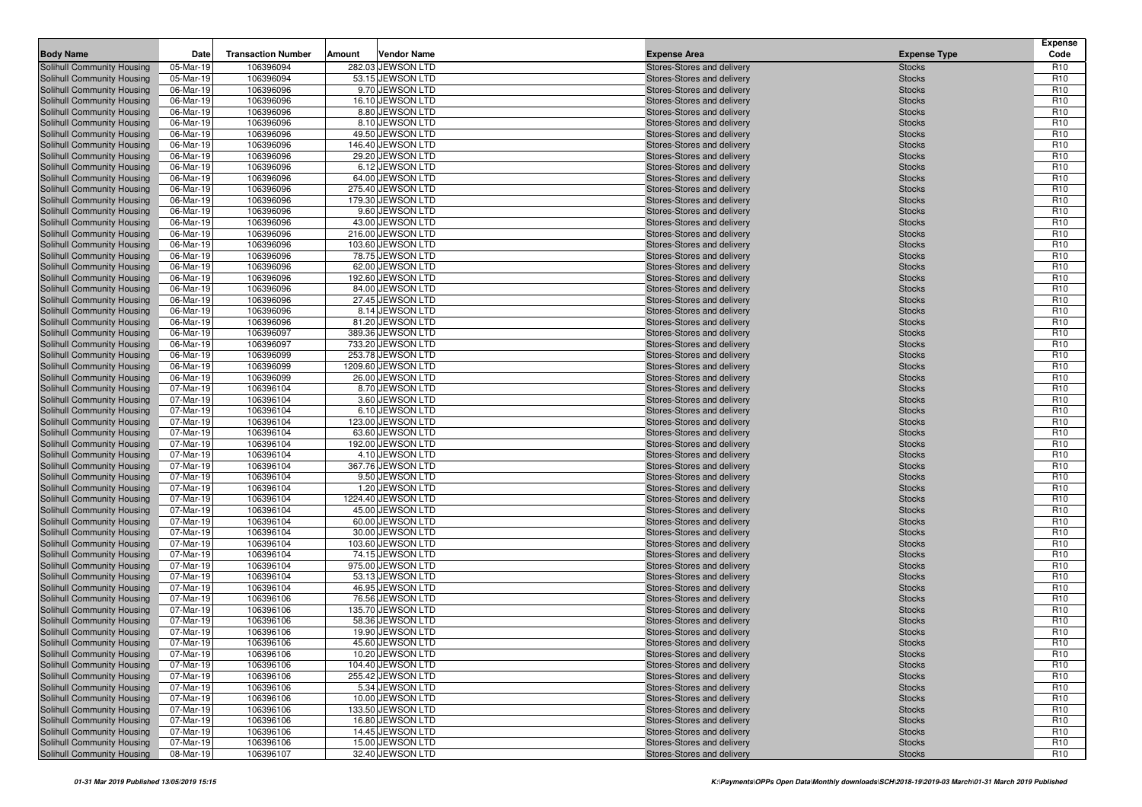| <b>Body Name</b>                                         | Date                   | <b>Transaction Number</b> | Amount | <b>Vendor Name</b>                     | <b>Expense Area</b>                                      | <b>Expense Type</b>            | Expense<br>Code                    |
|----------------------------------------------------------|------------------------|---------------------------|--------|----------------------------------------|----------------------------------------------------------|--------------------------------|------------------------------------|
| Solihull Community Housing                               | 05-Mar-19              | 106396094                 |        | 282.03 JEWSON LTD                      | Stores-Stores and delivery                               | <b>Stocks</b>                  | R <sub>10</sub>                    |
| Solihull Community Housing                               | 05-Mar-19              | 106396094                 |        | 53.15 JEWSON LTD                       | Stores-Stores and delivery                               | <b>Stocks</b>                  | R <sub>10</sub>                    |
| Solihull Community Housing                               | 06-Mar-19              | 106396096                 |        | 9.70 JEWSON LTD                        | Stores-Stores and delivery                               | <b>Stocks</b>                  | R <sub>10</sub>                    |
| Solihull Community Housing                               | 06-Mar-19              | 106396096                 |        | 16.10 JEWSON LTD                       | Stores-Stores and delivery                               | <b>Stocks</b>                  | R <sub>10</sub>                    |
| Solihull Community Housing                               | 06-Mar-19              | 106396096                 |        | 8.80 JEWSON LTD                        | Stores-Stores and delivery                               | <b>Stocks</b>                  | R <sub>10</sub>                    |
| Solihull Community Housing                               | 06-Mar-19              | 106396096                 |        | 8.10 JEWSON LTD                        | Stores-Stores and delivery                               | <b>Stocks</b>                  | R <sub>10</sub>                    |
| Solihull Community Housing                               | 06-Mar-19              | 106396096                 |        | 49.50 JEWSON LTD                       | Stores-Stores and delivery                               | <b>Stocks</b>                  | R <sub>10</sub>                    |
| Solihull Community Housing                               | 06-Mar-19              | 106396096                 |        | 146.40 JEWSON LTD                      | Stores-Stores and delivery                               | <b>Stocks</b>                  | R <sub>10</sub>                    |
| Solihull Community Housing                               | 06-Mar-19              | 106396096                 |        | 29.20 JEWSON LTD                       | Stores-Stores and delivery                               | <b>Stocks</b>                  | R <sub>10</sub>                    |
| Solihull Community Housing                               | 06-Mar-19              | 106396096                 |        | 6.12 JEWSON LTD                        | Stores-Stores and delivery                               | <b>Stocks</b>                  | R <sub>10</sub>                    |
| Solihull Community Housing                               | 06-Mar-19              | 106396096                 |        | 64.00 JEWSON LTD                       | Stores-Stores and delivery                               | <b>Stocks</b>                  | R <sub>10</sub>                    |
| Solihull Community Housing                               | 06-Mar-19              | 106396096                 |        | 275.40 JEWSON LTD                      | Stores-Stores and delivery                               | <b>Stocks</b>                  | R <sub>10</sub>                    |
| Solihull Community Housing                               | 06-Mar-19              | 106396096                 |        | 179.30 JEWSON LTD                      | Stores-Stores and delivery                               | <b>Stocks</b>                  | R <sub>10</sub>                    |
| Solihull Community Housing                               | 06-Mar-19              | 106396096                 |        | 9.60 JEWSON LTD                        | Stores-Stores and delivery                               | <b>Stocks</b>                  | R <sub>10</sub>                    |
| Solihull Community Housing                               | 06-Mar-19              | 106396096                 |        | 43.00 JEWSON LTD                       | Stores-Stores and delivery                               | <b>Stocks</b>                  | R <sub>10</sub>                    |
| Solihull Community Housing                               | 06-Mar-19              | 106396096                 |        | 216.00 JEWSON LTD                      | Stores-Stores and delivery                               | <b>Stocks</b>                  | R <sub>10</sub>                    |
| Solihull Community Housing                               | 06-Mar-19              | 106396096                 |        | 103.60 JEWSON LTD                      | Stores-Stores and delivery                               | <b>Stocks</b>                  | R <sub>10</sub>                    |
| Solihull Community Housing                               | 06-Mar-19              | 106396096                 |        | 78.75 JEWSON LTD                       | Stores-Stores and delivery                               | <b>Stocks</b>                  | R <sub>10</sub>                    |
| Solihull Community Housing                               | 06-Mar-19              | 106396096                 |        | 62.00 JEWSON LTD                       | Stores-Stores and delivery                               | <b>Stocks</b>                  | R <sub>10</sub>                    |
| Solihull Community Housing                               | 06-Mar-19              | 106396096                 |        | 192.60 JEWSON LTD                      | Stores-Stores and delivery                               | <b>Stocks</b>                  | R <sub>10</sub>                    |
| Solihull Community Housing                               | 06-Mar-19              | 106396096                 |        | 84.00 JEWSON LTD                       | Stores-Stores and delivery                               | <b>Stocks</b>                  | R <sub>10</sub>                    |
| Solihull Community Housing                               | 06-Mar-19              | 106396096                 |        | 27.45 JEWSON LTD                       | Stores-Stores and delivery                               | <b>Stocks</b>                  | R <sub>10</sub>                    |
| Solihull Community Housing                               | 06-Mar-19              | 106396096                 |        | 8.14 JEWSON LTD                        | Stores-Stores and delivery                               | <b>Stocks</b>                  | R <sub>10</sub>                    |
| Solihull Community Housing                               | 06-Mar-19<br>06-Mar-19 | 106396096                 |        | 81.20 JEWSON LTD                       | Stores-Stores and delivery<br>Stores-Stores and delivery | <b>Stocks</b>                  | R <sub>10</sub>                    |
| Solihull Community Housing                               | 06-Mar-19              | 106396097<br>106396097    |        | 389.36 JEWSON LTD<br>733.20 JEWSON LTD | Stores-Stores and delivery                               | <b>Stocks</b><br><b>Stocks</b> | R <sub>10</sub><br>R <sub>10</sub> |
| Solihull Community Housing<br>Solihull Community Housing | 06-Mar-19              | 106396099                 |        | 253.78 JEWSON LTD                      | Stores-Stores and delivery                               | <b>Stocks</b>                  | R <sub>10</sub>                    |
| Solihull Community Housing                               | 06-Mar-19              | 106396099                 |        | 1209.60 JEWSON LTD                     | Stores-Stores and delivery                               | <b>Stocks</b>                  | R <sub>10</sub>                    |
| Solihull Community Housing                               | 06-Mar-19              | 106396099                 |        | 26.00 JEWSON LTD                       | Stores-Stores and delivery                               | <b>Stocks</b>                  | R <sub>10</sub>                    |
| Solihull Community Housing                               | 07-Mar-19              | 106396104                 |        | 8.70 JEWSON LTD                        | Stores-Stores and delivery                               | <b>Stocks</b>                  | R <sub>10</sub>                    |
| Solihull Community Housing                               | 07-Mar-19              | 106396104                 |        | 3.60 JEWSON LTD                        | Stores-Stores and delivery                               | <b>Stocks</b>                  | R <sub>10</sub>                    |
| Solihull Community Housing                               | 07-Mar-19              | 106396104                 |        | 6.10 JEWSON LTD                        | Stores-Stores and delivery                               | <b>Stocks</b>                  | R <sub>10</sub>                    |
| Solihull Community Housing                               | 07-Mar-19              | 106396104                 |        | 123.00 JEWSON LTD                      | Stores-Stores and delivery                               | <b>Stocks</b>                  | R <sub>10</sub>                    |
| Solihull Community Housing                               | 07-Mar-19              | 106396104                 |        | 63.60 JEWSON LTD                       | Stores-Stores and delivery                               | <b>Stocks</b>                  | R <sub>10</sub>                    |
| Solihull Community Housing                               | 07-Mar-19              | 106396104                 |        | 192.00 JEWSON LTD                      | Stores-Stores and delivery                               | <b>Stocks</b>                  | R <sub>10</sub>                    |
| Solihull Community Housing                               | 07-Mar-19              | 106396104                 |        | 4.10 JEWSON LTD                        | Stores-Stores and delivery                               | <b>Stocks</b>                  | R <sub>10</sub>                    |
| Solihull Community Housing                               | 07-Mar-19              | 106396104                 |        | 367.76 JEWSON LTD                      | Stores-Stores and delivery                               | <b>Stocks</b>                  | R <sub>10</sub>                    |
| Solihull Community Housing                               | 07-Mar-19              | 106396104                 |        | 9.50 JEWSON LTD                        | Stores-Stores and delivery                               | <b>Stocks</b>                  | R <sub>10</sub>                    |
| Solihull Community Housing                               | 07-Mar-19              | 106396104                 |        | 1.20 JEWSON LTD                        | Stores-Stores and delivery                               | <b>Stocks</b>                  | R <sub>10</sub>                    |
| Solihull Community Housing                               | 07-Mar-19              | 106396104                 |        | 1224.40 JEWSON LTD                     | Stores-Stores and delivery                               | <b>Stocks</b>                  | R <sub>10</sub>                    |
| Solihull Community Housing                               | 07-Mar-19              | 106396104                 |        | 45.00 JEWSON LTD                       | Stores-Stores and delivery                               | <b>Stocks</b>                  | R <sub>10</sub>                    |
| Solihull Community Housing                               | 07-Mar-19              | 106396104                 |        | 60.00 JEWSON LTD                       | Stores-Stores and delivery                               | <b>Stocks</b>                  | R <sub>10</sub>                    |
| Solihull Community Housing                               | 07-Mar-19              | 106396104                 |        | 30.00 JEWSON LTD                       | Stores-Stores and delivery                               | <b>Stocks</b>                  | R <sub>10</sub>                    |
| Solihull Community Housing                               | 07-Mar-19              | 106396104                 |        | 103.60 JEWSON LTD                      | Stores-Stores and delivery                               | <b>Stocks</b>                  | R <sub>10</sub>                    |
| Solihull Community Housing                               | 07-Mar-19              | 106396104                 |        | 74.15 JEWSON LTD                       | Stores-Stores and delivery                               | <b>Stocks</b>                  | R <sub>10</sub>                    |
| Solihull Community Housing                               | 07-Mar-19              | 106396104                 |        | 975.00 JEWSON LTD                      | Stores-Stores and delivery                               | <b>Stocks</b>                  | R <sub>10</sub>                    |
| Solihull Community Housing                               | 07-Mar-19              | 106396104                 |        | 53.13 JEWSON LTD                       | Stores-Stores and delivery                               | <b>Stocks</b>                  | R <sub>10</sub>                    |
| Solihull Community Housing                               | 07-Mar-19              | 106396104                 |        | 46.95 JEWSON LTD                       | Stores-Stores and delivery                               | <b>Stocks</b>                  | R <sub>10</sub>                    |
| Solihull Community Housing                               | 07-Mar-19              | 106396106                 |        | 76.56 JEWSON LTD                       | Stores-Stores and delivery                               | <b>Stocks</b>                  | R <sub>10</sub>                    |
| Solihull Community Housing                               | 07-Mar-19              | 106396106                 |        | 135.70 JEWSON LTD                      | Stores-Stores and delivery                               | <b>Stocks</b>                  | R <sub>10</sub>                    |
| Solihull Community Housing                               | 07-Mar-19              | 106396106                 |        | 58.36 JEWSON LTD                       | Stores-Stores and delivery                               | <b>Stocks</b>                  | R <sub>10</sub>                    |
| <b>Solihull Community Housing</b>                        | 07-Mar-19              | 106396106                 |        | 19.90 JEWSON LTD                       | Stores-Stores and delivery                               | <b>Stocks</b>                  | R <sub>10</sub>                    |
| Solihull Community Housing                               | 07-Mar-19              | 106396106                 |        | 45.60 JEWSON LTD                       | Stores-Stores and delivery                               | <b>Stocks</b>                  | R <sub>10</sub>                    |
| Solihull Community Housing                               | 07-Mar-19              | 106396106                 |        | 10.20 JEWSON LTD                       | Stores-Stores and delivery                               | <b>Stocks</b>                  | R <sub>10</sub>                    |
| Solihull Community Housing                               | 07-Mar-19              | 106396106                 |        | 104.40 JEWSON LTD                      | Stores-Stores and delivery                               | <b>Stocks</b>                  | R <sub>10</sub>                    |
| Solihull Community Housing                               | 07-Mar-19<br>07-Mar-19 | 106396106                 |        | 255.42 JEWSON LTD                      | Stores-Stores and delivery                               | <b>Stocks</b>                  | R <sub>10</sub>                    |
| Solihull Community Housing<br>Solihull Community Housing |                        | 106396106<br>106396106    |        | 5.34 JEWSON LTD<br>10.00 JEWSON LTD    | Stores-Stores and delivery                               | <b>Stocks</b>                  | R <sub>10</sub><br>R <sub>10</sub> |
| Solihull Community Housing                               | 07-Mar-19<br>07-Mar-19 | 106396106                 |        | 133.50 JEWSON LTD                      | Stores-Stores and delivery<br>Stores-Stores and delivery | <b>Stocks</b>                  | R <sub>10</sub>                    |
| Solihull Community Housing                               | 07-Mar-19              | 106396106                 |        | 16.80 JEWSON LTD                       | Stores-Stores and delivery                               | <b>Stocks</b><br><b>Stocks</b> | R <sub>10</sub>                    |
| Solihull Community Housing                               | 07-Mar-19              | 106396106                 |        | 14.45 JEWSON LTD                       | Stores-Stores and delivery                               | <b>Stocks</b>                  | R <sub>10</sub>                    |
| <b>Solihull Community Housing</b>                        | 07-Mar-19              | 106396106                 |        | 15.00 JEWSON LTD                       | Stores-Stores and delivery                               | <b>Stocks</b>                  | R <sub>10</sub>                    |
| Solihull Community Housing                               | 08-Mar-19              | 106396107                 |        | 32.40 JEWSON LTD                       | Stores-Stores and delivery                               | <b>Stocks</b>                  | R <sub>10</sub>                    |
|                                                          |                        |                           |        |                                        |                                                          |                                |                                    |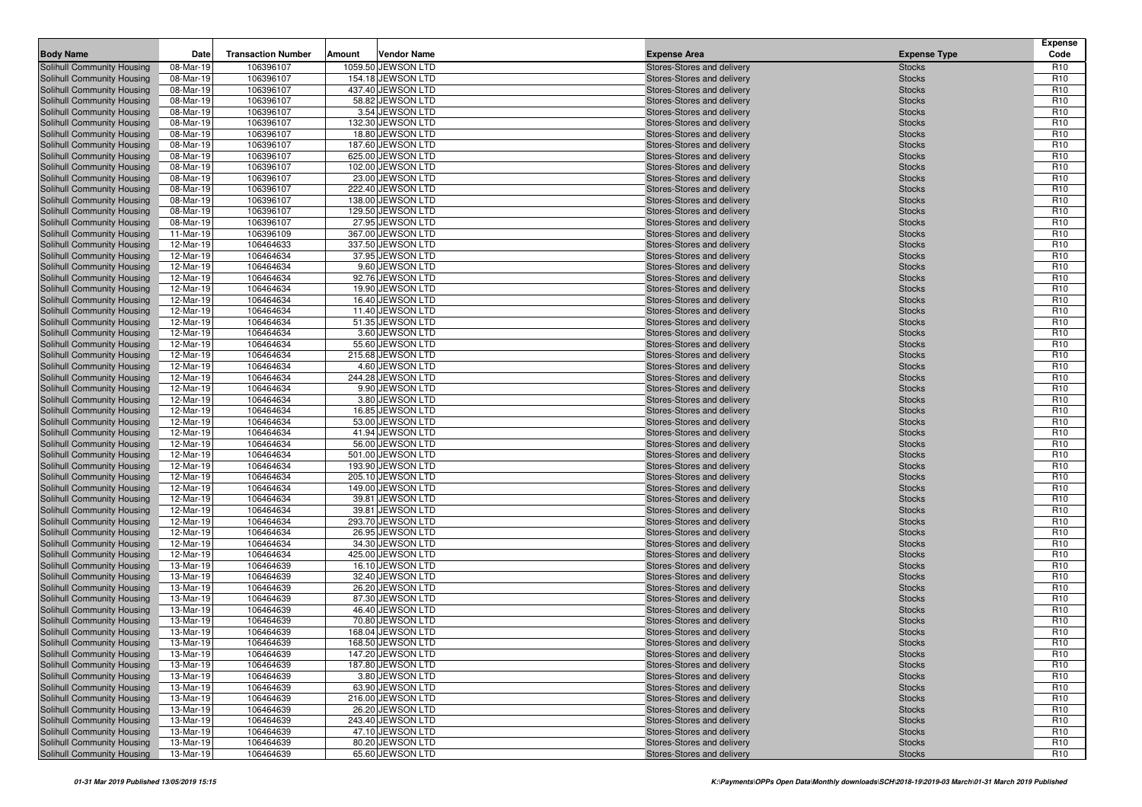| <b>Body Name</b>                                         | Date                   | <b>Transaction Number</b> | Amount | <b>Vendor Name</b>                     | <b>Expense Area</b>                                      | <b>Expense Type</b>            | Expense<br>Code                    |
|----------------------------------------------------------|------------------------|---------------------------|--------|----------------------------------------|----------------------------------------------------------|--------------------------------|------------------------------------|
| Solihull Community Housing                               | 08-Mar-19              | 106396107                 |        | 1059.50 JEWSON LTD                     | Stores-Stores and delivery                               | <b>Stocks</b>                  | R <sub>10</sub>                    |
| Solihull Community Housing                               | 08-Mar-19              | 106396107                 |        | 154.18 JEWSON LTD                      | Stores-Stores and delivery                               | <b>Stocks</b>                  | R <sub>10</sub>                    |
| Solihull Community Housing                               | 08-Mar-19              | 106396107                 |        | 437.40 JEWSON LTD                      | Stores-Stores and delivery                               | <b>Stocks</b>                  | R <sub>10</sub>                    |
| Solihull Community Housing                               | 08-Mar-19              | 106396107                 |        | 58.82 JEWSON LTD                       | Stores-Stores and delivery                               | <b>Stocks</b>                  | R <sub>10</sub>                    |
| Solihull Community Housing                               | 08-Mar-19              | 106396107                 |        | 3.54 JEWSON LTD                        | Stores-Stores and delivery                               | <b>Stocks</b>                  | R <sub>10</sub>                    |
| Solihull Community Housing                               | 08-Mar-19              | 106396107                 |        | 132.30 JEWSON LTD                      | Stores-Stores and delivery                               | <b>Stocks</b>                  | R <sub>10</sub>                    |
| Solihull Community Housing                               | 08-Mar-19              | 106396107                 |        | 18.80 JEWSON LTD                       | Stores-Stores and delivery                               | <b>Stocks</b>                  | R <sub>10</sub>                    |
| Solihull Community Housing                               | 08-Mar-19              | 106396107                 |        | 187.60 JEWSON LTD                      | Stores-Stores and delivery                               | <b>Stocks</b>                  | R <sub>10</sub>                    |
| Solihull Community Housing                               | 08-Mar-19              | 106396107                 |        | 625.00 JEWSON LTD                      | Stores-Stores and delivery                               | <b>Stocks</b>                  | R <sub>10</sub>                    |
| Solihull Community Housing                               | 08-Mar-19              | 106396107                 |        | 102.00 JEWSON LTD                      | Stores-Stores and delivery                               | <b>Stocks</b>                  | R <sub>10</sub>                    |
| Solihull Community Housing                               | 08-Mar-19              | 106396107                 |        | 23.00 JEWSON LTD                       | Stores-Stores and delivery                               | <b>Stocks</b>                  | R <sub>10</sub>                    |
| Solihull Community Housing                               | 08-Mar-19              | 106396107                 |        | 222.40 JEWSON LTD                      | Stores-Stores and delivery                               | <b>Stocks</b>                  | R <sub>10</sub>                    |
| Solihull Community Housing                               | 08-Mar-19              | 106396107                 |        | 138.00 JEWSON LTD                      | Stores-Stores and delivery                               | <b>Stocks</b>                  | R <sub>10</sub>                    |
| Solihull Community Housing                               | 08-Mar-19              | 106396107                 |        | 129.50 JEWSON LTD                      | Stores-Stores and delivery                               | <b>Stocks</b>                  | R <sub>10</sub>                    |
| Solihull Community Housing                               | 08-Mar-19              | 106396107                 |        | 27.95 JEWSON LTD                       | Stores-Stores and delivery                               | <b>Stocks</b>                  | R <sub>10</sub>                    |
| Solihull Community Housing                               | 11-Mar-19              | 106396109                 |        | 367.00 JEWSON LTD                      | Stores-Stores and delivery                               | <b>Stocks</b>                  | R <sub>10</sub>                    |
| Solihull Community Housing                               | 12-Mar-19              | 106464633                 |        | 337.50 JEWSON LTD                      | Stores-Stores and delivery                               | <b>Stocks</b>                  | R <sub>10</sub>                    |
| Solihull Community Housing                               | 12-Mar-19              | 106464634                 |        | 37.95 JEWSON LTD                       | Stores-Stores and delivery                               | <b>Stocks</b>                  | R <sub>10</sub>                    |
| Solihull Community Housing                               | 12-Mar-19              | 106464634                 |        | 9.60 JEWSON LTD                        | Stores-Stores and delivery                               | <b>Stocks</b>                  | R <sub>10</sub>                    |
| Solihull Community Housing                               | 12-Mar-19              | 106464634                 |        | 92.76 JEWSON LTD                       | Stores-Stores and delivery                               | <b>Stocks</b>                  | R <sub>10</sub>                    |
| Solihull Community Housing                               | 12-Mar-19              | 106464634                 |        | 19.90 JEWSON LTD                       | Stores-Stores and delivery                               | <b>Stocks</b>                  | R <sub>10</sub>                    |
| Solihull Community Housing                               | 12-Mar-19              | 106464634                 |        | 16.40 JEWSON LTD                       | Stores-Stores and delivery                               | <b>Stocks</b>                  | R <sub>10</sub>                    |
| Solihull Community Housing                               | 12-Mar-19              | 106464634                 |        | 11.40 JEWSON LTD                       | Stores-Stores and delivery                               | <b>Stocks</b>                  | R <sub>10</sub>                    |
| Solihull Community Housing                               | 12-Mar-19              | 106464634                 |        | 51.35 JEWSON LTD                       | Stores-Stores and delivery                               | <b>Stocks</b>                  | R <sub>10</sub>                    |
| Solihull Community Housing                               | 12-Mar-19              | 106464634                 |        | 3.60 JEWSON LTD                        | Stores-Stores and delivery                               | <b>Stocks</b>                  | R <sub>10</sub>                    |
| Solihull Community Housing                               | 12-Mar-19              | 106464634                 |        | 55.60 JEWSON LTD                       | Stores-Stores and delivery                               | <b>Stocks</b>                  | R <sub>10</sub>                    |
| Solihull Community Housing                               | 12-Mar-19              | 106464634                 |        | 215.68 JEWSON LTD                      | Stores-Stores and delivery                               | <b>Stocks</b>                  | R <sub>10</sub>                    |
| Solihull Community Housing                               | 12-Mar-19              | 106464634                 |        | 4.60 JEWSON LTD                        | Stores-Stores and delivery                               | <b>Stocks</b>                  | R <sub>10</sub>                    |
| Solihull Community Housing                               | 12-Mar-19              | 106464634                 |        | 244.28 JEWSON LTD                      | Stores-Stores and delivery                               | <b>Stocks</b>                  | R <sub>10</sub>                    |
| Solihull Community Housing                               | 12-Mar-19              | 106464634                 |        | 9.90 JEWSON LTD                        | Stores-Stores and delivery                               | <b>Stocks</b>                  | R <sub>10</sub>                    |
| Solihull Community Housing                               | 12-Mar-19              | 106464634                 |        | 3.80 JEWSON LTD                        | Stores-Stores and delivery                               | <b>Stocks</b>                  | R <sub>10</sub>                    |
| Solihull Community Housing                               | 12-Mar-19              | 106464634                 |        | 16.85 JEWSON LTD                       | Stores-Stores and delivery                               | <b>Stocks</b>                  | R <sub>10</sub>                    |
| Solihull Community Housing                               | 12-Mar-19              | 106464634                 |        | 53.00 JEWSON LTD                       | Stores-Stores and delivery                               | <b>Stocks</b>                  | R <sub>10</sub>                    |
| Solihull Community Housing                               | 12-Mar-19              | 106464634                 |        | 41.94 JEWSON LTD                       | Stores-Stores and delivery                               | <b>Stocks</b>                  | R <sub>10</sub>                    |
| Solihull Community Housing                               | 12-Mar-19              | 106464634                 |        | 56.00 JEWSON LTD                       | Stores-Stores and delivery                               | <b>Stocks</b>                  | R <sub>10</sub>                    |
| Solihull Community Housing                               | 12-Mar-19              | 106464634<br>106464634    |        | 501.00 JEWSON LTD<br>193.90 JEWSON LTD | Stores-Stores and delivery                               | <b>Stocks</b>                  | R <sub>10</sub><br>R <sub>10</sub> |
| Solihull Community Housing<br>Solihull Community Housing | 12-Mar-19<br>12-Mar-19 | 106464634                 |        | 205.10 JEWSON LTD                      | Stores-Stores and delivery<br>Stores-Stores and delivery | <b>Stocks</b><br><b>Stocks</b> | R <sub>10</sub>                    |
| Solihull Community Housing                               | 12-Mar-19              | 106464634                 |        | 149.00 JEWSON LTD                      | Stores-Stores and delivery                               | <b>Stocks</b>                  | R <sub>10</sub>                    |
| Solihull Community Housing                               | 12-Mar-19              | 106464634                 |        | 39.81 JEWSON LTD                       | Stores-Stores and delivery                               | <b>Stocks</b>                  | R <sub>10</sub>                    |
| Solihull Community Housing                               | 12-Mar-19              | 106464634                 |        | 39.81 JEWSON LTD                       | Stores-Stores and delivery                               | <b>Stocks</b>                  | R <sub>10</sub>                    |
| Solihull Community Housing                               | 12-Mar-19              | 106464634                 |        | 293.70 JEWSON LTD                      | Stores-Stores and delivery                               | <b>Stocks</b>                  | R <sub>10</sub>                    |
| Solihull Community Housing                               | 12-Mar-19              | 106464634                 |        | 26.95 JEWSON LTD                       | Stores-Stores and delivery                               | <b>Stocks</b>                  | R <sub>10</sub>                    |
| Solihull Community Housing                               | 12-Mar-19              | 106464634                 |        | 34.30 JEWSON LTD                       | Stores-Stores and delivery                               | <b>Stocks</b>                  | R <sub>10</sub>                    |
| Solihull Community Housing                               | 12-Mar-19              | 106464634                 |        | 425.00 JEWSON LTD                      | Stores-Stores and delivery                               | <b>Stocks</b>                  | R <sub>10</sub>                    |
| Solihull Community Housing                               | 13-Mar-19              | 106464639                 |        | 16.10 JEWSON LTD                       | Stores-Stores and delivery                               | <b>Stocks</b>                  | R <sub>10</sub>                    |
| Solihull Community Housing                               | 13-Mar-19              | 106464639                 |        | 32.40 JEWSON LTD                       | Stores-Stores and delivery                               | <b>Stocks</b>                  | R <sub>10</sub>                    |
| Solihull Community Housing                               | 13-Mar-19              | 106464639                 |        | 26.20 JEWSON LTD                       | Stores-Stores and delivery                               | <b>Stocks</b>                  | R <sub>10</sub>                    |
| Solihull Community Housing                               | 13-Mar-19              | 106464639                 |        | 87.30 JEWSON LTD                       | Stores-Stores and delivery                               | <b>Stocks</b>                  | R <sub>10</sub>                    |
| Solihull Community Housing                               | 13-Mar-19              | 106464639                 |        | 46.40 JEWSON LTD                       | Stores-Stores and delivery                               | <b>Stocks</b>                  | R <sub>10</sub>                    |
| Solihull Community Housing                               | 13-Mar-19              | 106464639                 |        | 70.80 JEWSON LTD                       | Stores-Stores and delivery                               | <b>Stocks</b>                  | R <sub>10</sub>                    |
| <b>Solihull Community Housing</b>                        | 13-Mar-19              | 106464639                 |        | 168.04 JEWSON LTD                      | Stores-Stores and delivery                               | <b>Stocks</b>                  | R <sub>10</sub>                    |
| Solihull Community Housing                               | 13-Mar-19              | 106464639                 |        | 168.50 JEWSON LTD                      | Stores-Stores and delivery                               | <b>Stocks</b>                  | R <sub>10</sub>                    |
| Solihull Community Housing                               | 13-Mar-19              | 106464639                 |        | 147.20 JEWSON LTD                      | Stores-Stores and delivery                               | <b>Stocks</b>                  | R <sub>10</sub>                    |
| Solihull Community Housing                               | 13-Mar-19              | 106464639                 |        | 187.80 JEWSON LTD                      | Stores-Stores and delivery                               | <b>Stocks</b>                  | R <sub>10</sub>                    |
| Solihull Community Housing                               | 13-Mar-19              | 106464639                 |        | 3.80 JEWSON LTD                        | Stores-Stores and delivery                               | <b>Stocks</b>                  | R <sub>10</sub>                    |
| Solihull Community Housing                               | 13-Mar-19              | 106464639                 |        | 63.90 JEWSON LTD                       | Stores-Stores and delivery                               | <b>Stocks</b>                  | R <sub>10</sub>                    |
| Solihull Community Housing                               | 13-Mar-19              | 106464639                 |        | 216.00 JEWSON LTD                      | Stores-Stores and delivery                               | <b>Stocks</b>                  | R <sub>10</sub>                    |
| Solihull Community Housing                               | 13-Mar-19              | 106464639                 |        | 26.20 JEWSON LTD                       | Stores-Stores and delivery                               | <b>Stocks</b>                  | R <sub>10</sub>                    |
| Solihull Community Housing                               | 13-Mar-19              | 106464639                 |        | 243.40 JEWSON LTD                      | Stores-Stores and delivery                               | <b>Stocks</b>                  | R <sub>10</sub>                    |
| Solihull Community Housing                               | 13-Mar-19              | 106464639                 |        | 47.10 JEWSON LTD                       | Stores-Stores and delivery                               | <b>Stocks</b>                  | R <sub>10</sub>                    |
| <b>Solihull Community Housing</b>                        | 13-Mar-19              | 106464639                 |        | 80.20 JEWSON LTD                       | Stores-Stores and delivery                               | <b>Stocks</b>                  | R <sub>10</sub>                    |
| Solihull Community Housing                               | 13-Mar-19              | 106464639                 |        | 65.60 JEWSON LTD                       | Stores-Stores and delivery                               | <b>Stocks</b>                  | R <sub>10</sub>                    |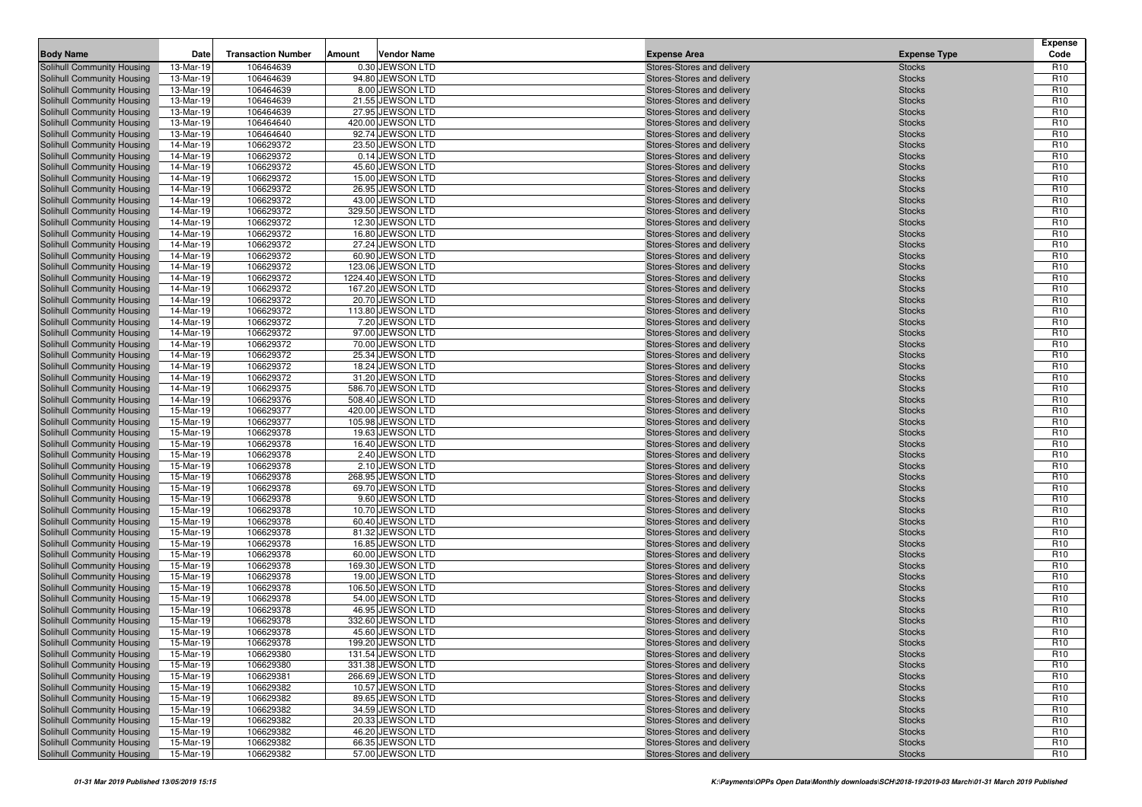| <b>Body Name</b>                                         | Date                   | <b>Transaction Number</b> | Amount | <b>Vendor Name</b>                  | <b>Expense Area</b>                                      | <b>Expense Type</b>            | <b>Expense</b><br>Code             |
|----------------------------------------------------------|------------------------|---------------------------|--------|-------------------------------------|----------------------------------------------------------|--------------------------------|------------------------------------|
| Solihull Community Housing                               | 13-Mar-19              | 106464639                 |        | 0.30 JEWSON LTD                     | Stores-Stores and delivery                               | <b>Stocks</b>                  | R <sub>10</sub>                    |
| Solihull Community Housing                               | 13-Mar-19              | 106464639                 |        | 94.80 JEWSON LTD                    | Stores-Stores and delivery                               | <b>Stocks</b>                  | R <sub>10</sub>                    |
| Solihull Community Housing                               | 13-Mar-19              | 106464639                 |        | 8.00 JEWSON LTD                     | Stores-Stores and delivery                               | <b>Stocks</b>                  | R <sub>10</sub>                    |
| Solihull Community Housing                               | 13-Mar-19              | 106464639                 |        | 21.55 JEWSON LTD                    | Stores-Stores and delivery                               | <b>Stocks</b>                  | R <sub>10</sub>                    |
| Solihull Community Housing                               | 13-Mar-19              | 106464639                 |        | 27.95 JEWSON LTD                    | Stores-Stores and delivery                               | <b>Stocks</b>                  | R <sub>10</sub>                    |
| Solihull Community Housing                               | 13-Mar-19              | 106464640                 |        | 420.00 JEWSON LTD                   | Stores-Stores and delivery                               | <b>Stocks</b>                  | R <sub>10</sub>                    |
| Solihull Community Housing                               | 13-Mar-19              | 106464640                 |        | 92.74 JEWSON LTD                    | Stores-Stores and delivery                               | <b>Stocks</b>                  | R <sub>10</sub>                    |
| Solihull Community Housing                               | 14-Mar-19              | 106629372                 |        | 23.50 JEWSON LTD                    | Stores-Stores and delivery                               | <b>Stocks</b>                  | R <sub>10</sub>                    |
| Solihull Community Housing                               | 14-Mar-19              | 106629372                 |        | 0.14 JEWSON LTD                     | Stores-Stores and delivery                               | <b>Stocks</b>                  | R <sub>10</sub>                    |
| Solihull Community Housing                               | 14-Mar-19              | 106629372                 |        | 45.60 JEWSON LTD                    | Stores-Stores and delivery                               | <b>Stocks</b>                  | R <sub>10</sub>                    |
| Solihull Community Housing                               | 14-Mar-19              | 106629372                 |        | 15.00 JEWSON LTD                    | Stores-Stores and delivery                               | <b>Stocks</b>                  | R <sub>10</sub>                    |
| Solihull Community Housing                               | 14-Mar-19              | 106629372                 |        | 26.95 JEWSON LTD                    | Stores-Stores and delivery                               | <b>Stocks</b>                  | R <sub>10</sub>                    |
| Solihull Community Housing                               | 14-Mar-19              | 106629372                 |        | 43.00 JEWSON LTD                    | Stores-Stores and delivery                               | <b>Stocks</b>                  | R <sub>10</sub>                    |
| Solihull Community Housing                               | 14-Mar-19              | 106629372                 |        | 329.50 JEWSON LTD                   | Stores-Stores and delivery                               | <b>Stocks</b>                  | R <sub>10</sub>                    |
| Solihull Community Housing                               | 14-Mar-19              | 106629372                 |        | 12.30 JEWSON LTD                    | Stores-Stores and delivery                               | <b>Stocks</b>                  | R <sub>10</sub>                    |
| Solihull Community Housing                               | 14-Mar-19              | 106629372                 |        | 16.80 JEWSON LTD                    | Stores-Stores and delivery                               | <b>Stocks</b>                  | R <sub>10</sub>                    |
| Solihull Community Housing                               | 14-Mar-19              | 106629372                 |        | 27.24 JEWSON LTD                    | Stores-Stores and delivery                               | <b>Stocks</b>                  | R <sub>10</sub>                    |
| Solihull Community Housing                               | 14-Mar-19              | 106629372                 |        | 60.90 JEWSON LTD                    | Stores-Stores and delivery                               | <b>Stocks</b>                  | R <sub>10</sub>                    |
| Solihull Community Housing                               | 14-Mar-19              | 106629372                 |        | 123.06 JEWSON LTD                   | Stores-Stores and delivery                               | <b>Stocks</b>                  | R <sub>10</sub>                    |
| Solihull Community Housing                               | 14-Mar-19              | 106629372                 |        | 1224.40 JEWSON LTD                  | Stores-Stores and delivery                               | <b>Stocks</b>                  | R <sub>10</sub>                    |
| Solihull Community Housing                               | 14-Mar-19              | 106629372                 |        | 167.20 JEWSON LTD                   | Stores-Stores and delivery                               | <b>Stocks</b>                  | R <sub>10</sub>                    |
| Solihull Community Housing                               | 14-Mar-19              | 106629372                 |        | 20.70 JEWSON LTD                    | Stores-Stores and delivery                               | <b>Stocks</b>                  | R <sub>10</sub>                    |
| Solihull Community Housing                               | 14-Mar-19              | 106629372                 |        | 113.80 JEWSON LTD                   | Stores-Stores and delivery                               | <b>Stocks</b>                  | R <sub>10</sub>                    |
| Solihull Community Housing                               | 14-Mar-19              | 106629372                 |        | 7.20 JEWSON LTD                     | Stores-Stores and delivery                               | <b>Stocks</b>                  | R <sub>10</sub>                    |
| Solihull Community Housing                               | 14-Mar-19              | 106629372                 |        | 97.00 JEWSON LTD                    | Stores-Stores and delivery                               | <b>Stocks</b>                  | R <sub>10</sub>                    |
| Solihull Community Housing                               | 14-Mar-19              | 106629372                 |        | 70.00 JEWSON LTD                    | Stores-Stores and delivery                               | <b>Stocks</b>                  | R <sub>10</sub>                    |
| Solihull Community Housing                               | 14-Mar-19              | 106629372                 |        | 25.34 JEWSON LTD                    | Stores-Stores and delivery                               | <b>Stocks</b>                  | R <sub>10</sub>                    |
| Solihull Community Housing                               | 14-Mar-19              | 106629372                 |        | 18.24 JEWSON LTD                    | Stores-Stores and delivery                               | <b>Stocks</b>                  | R <sub>10</sub>                    |
| Solihull Community Housing                               | 14-Mar-19              | 106629372                 |        | 31.20 JEWSON LTD                    | Stores-Stores and delivery                               | <b>Stocks</b>                  | R <sub>10</sub>                    |
| Solihull Community Housing                               | 14-Mar-19              | 106629375                 |        | 586.70 JEWSON LTD                   | Stores-Stores and delivery                               | <b>Stocks</b>                  | R <sub>10</sub>                    |
| Solihull Community Housing                               | 14-Mar-19              | 106629376                 |        | 508.40 JEWSON LTD                   | Stores-Stores and delivery                               | <b>Stocks</b>                  | R <sub>10</sub>                    |
| Solihull Community Housing                               | 15-Mar-19              | 106629377                 |        | 420.00 JEWSON LTD                   | Stores-Stores and delivery                               | <b>Stocks</b>                  | R <sub>10</sub>                    |
| Solihull Community Housing                               | 15-Mar-19              | 106629377                 |        | 105.98 JEWSON LTD                   | Stores-Stores and delivery                               | <b>Stocks</b>                  | R <sub>10</sub>                    |
| Solihull Community Housing                               | 15-Mar-19              | 106629378                 |        | 19.63 JEWSON LTD                    | Stores-Stores and delivery                               | <b>Stocks</b>                  | R <sub>10</sub>                    |
| <b>Solihull Community Housing</b>                        | 15-Mar-19              | 106629378                 |        | 16.40 JEWSON LTD                    | Stores-Stores and delivery                               | <b>Stocks</b>                  | R <sub>10</sub>                    |
| Solihull Community Housing                               | 15-Mar-19              | 106629378                 |        | 2.40 JEWSON LTD                     | Stores-Stores and delivery                               | <b>Stocks</b>                  | R <sub>10</sub>                    |
| Solihull Community Housing                               | 15-Mar-19              | 106629378                 |        | 2.10 JEWSON LTD                     | Stores-Stores and delivery                               | <b>Stocks</b>                  | R <sub>10</sub>                    |
| Solihull Community Housing                               | 15-Mar-19              | 106629378                 |        | 268.95 JEWSON LTD                   | Stores-Stores and delivery                               | <b>Stocks</b>                  | R <sub>10</sub>                    |
| <b>Solihull Community Housing</b>                        | 15-Mar-19<br>15-Mar-19 | 106629378<br>106629378    |        | 69.70 JEWSON LTD<br>9.60 JEWSON LTD | Stores-Stores and delivery                               | <b>Stocks</b>                  | R <sub>10</sub><br>R <sub>10</sub> |
| Solihull Community Housing<br>Solihull Community Housing | 15-Mar-19              | 106629378                 |        | 10.70 JEWSON LTD                    | Stores-Stores and delivery<br>Stores-Stores and delivery | <b>Stocks</b><br><b>Stocks</b> | R <sub>10</sub>                    |
| Solihull Community Housing                               | 15-Mar-19              | 106629378                 |        | 60.40 JEWSON LTD                    | Stores-Stores and delivery                               | <b>Stocks</b>                  | R <sub>10</sub>                    |
| Solihull Community Housing                               | 15-Mar-19              | 106629378                 |        | 81.32 JEWSON LTD                    | Stores-Stores and delivery                               | <b>Stocks</b>                  | R <sub>10</sub>                    |
| Solihull Community Housing                               | 15-Mar-19              | 106629378                 |        | 16.85 JEWSON LTD                    | Stores-Stores and delivery                               | <b>Stocks</b>                  | R <sub>10</sub>                    |
| Solihull Community Housing                               | 15-Mar-19              | 106629378                 |        | 60.00 JEWSON LTD                    | Stores-Stores and delivery                               | <b>Stocks</b>                  | R <sub>10</sub>                    |
| Solihull Community Housing                               | 15-Mar-19              | 106629378                 |        | 169.30 JEWSON LTD                   | Stores-Stores and delivery                               | <b>Stocks</b>                  | R <sub>10</sub>                    |
| Solihull Community Housing                               | 15-Mar-19              | 106629378                 |        | 19.00 JEWSON LTD                    | Stores-Stores and delivery                               | <b>Stocks</b>                  | R <sub>10</sub>                    |
| Solihull Community Housing                               | 15-Mar-19              | 106629378                 |        | 106.50 JEWSON LTD                   | Stores-Stores and delivery                               | <b>Stocks</b>                  | R <sub>10</sub>                    |
| Solihull Community Housing                               | 15-Mar-19              | 106629378                 |        | 54.00 JEWSON LTD                    | Stores-Stores and delivery                               | <b>Stocks</b>                  | R <sub>10</sub>                    |
| Solihull Community Housing                               | 15-Mar-19              | 106629378                 |        | 46.95 JEWSON LTD                    | Stores-Stores and delivery                               | <b>Stocks</b>                  | R <sub>10</sub>                    |
| Solihull Community Housing                               | 15-Mar-19              | 106629378                 |        | 332.60 JEWSON LTD                   | Stores-Stores and delivery                               | <b>Stocks</b>                  | R <sub>10</sub>                    |
| Solihull Community Housing                               | 15-Mar-19              | 106629378                 |        | 45.60 JEWSON LTD                    | Stores-Stores and delivery                               | <b>Stocks</b>                  | R <sub>10</sub>                    |
| Solihull Community Housing                               | 15-Mar-19              | 106629378                 |        | 199.20 JEWSON LTD                   | Stores-Stores and delivery                               | <b>Stocks</b>                  | R <sub>10</sub>                    |
| Solihull Community Housing                               | 15-Mar-19              | 106629380                 |        | 131.54 JEWSON LTD                   | Stores-Stores and delivery                               | <b>Stocks</b>                  | R <sub>10</sub>                    |
| Solihull Community Housing                               | 15-Mar-19              | 106629380                 |        | 331.38 JEWSON LTD                   | Stores-Stores and delivery                               | <b>Stocks</b>                  | R <sub>10</sub>                    |
| Solihull Community Housing                               | 15-Mar-19              | 106629381                 |        | 266.69 JEWSON LTD                   | Stores-Stores and delivery                               | <b>Stocks</b>                  | R <sub>10</sub>                    |
| Solihull Community Housing                               | 15-Mar-19              | 106629382                 |        | 10.57 JEWSON LTD                    | Stores-Stores and delivery                               | <b>Stocks</b>                  | R <sub>10</sub>                    |
| Solihull Community Housing                               | 15-Mar-19              | 106629382                 |        | 89.65 JEWSON LTD                    | Stores-Stores and delivery                               | <b>Stocks</b>                  | R <sub>10</sub>                    |
| Solihull Community Housing                               | 15-Mar-19              | 106629382                 |        | 34.59 JEWSON LTD                    | Stores-Stores and delivery                               | <b>Stocks</b>                  | R <sub>10</sub>                    |
| <b>Solihull Community Housing</b>                        | 15-Mar-19              | 106629382                 |        | 20.33 JEWSON LTD                    | Stores-Stores and delivery                               | <b>Stocks</b>                  | R <sub>10</sub>                    |
| Solihull Community Housing                               | 15-Mar-19              | 106629382                 |        | 46.20 JEWSON LTD                    | Stores-Stores and delivery                               | <b>Stocks</b>                  | R <sub>10</sub>                    |
| Solihull Community Housing                               | 15-Mar-19              | 106629382                 |        | 66.35 JEWSON LTD                    | Stores-Stores and delivery                               | <b>Stocks</b>                  | R <sub>10</sub>                    |
| Solihull Community Housing                               | 15-Mar-19              | 106629382                 |        | 57.00 JEWSON LTD                    | Stores-Stores and delivery                               | <b>Stocks</b>                  | R <sub>10</sub>                    |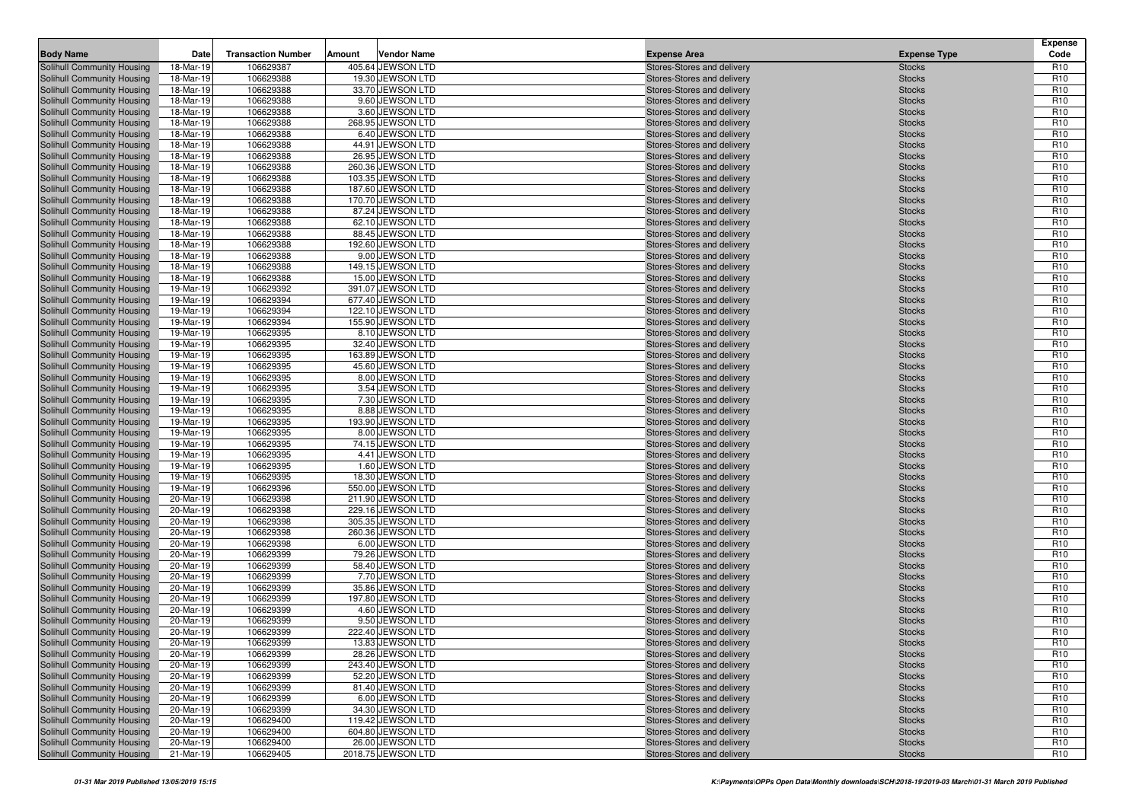| <b>Body Name</b>                                         | Date                   | <b>Transaction Number</b> | Amount | <b>Vendor Name</b>                   | <b>Expense Area</b>                                      | <b>Expense Type</b>            | <b>Expense</b><br>Code             |
|----------------------------------------------------------|------------------------|---------------------------|--------|--------------------------------------|----------------------------------------------------------|--------------------------------|------------------------------------|
| Solihull Community Housing                               | 18-Mar-19              | 106629387                 |        | 405.64 JEWSON LTD                    | Stores-Stores and delivery                               | <b>Stocks</b>                  | R <sub>10</sub>                    |
| Solihull Community Housing                               | 18-Mar-19              | 106629388                 |        | 19.30 JEWSON LTD                     | Stores-Stores and delivery                               | <b>Stocks</b>                  | R <sub>10</sub>                    |
| Solihull Community Housing                               | 18-Mar-19              | 106629388                 |        | 33.70 JEWSON LTD                     | Stores-Stores and delivery                               | <b>Stocks</b>                  | R <sub>10</sub>                    |
| Solihull Community Housing                               | 18-Mar-19              | 106629388                 |        | 9.60 JEWSON LTD                      | Stores-Stores and delivery                               | <b>Stocks</b>                  | R <sub>10</sub>                    |
| Solihull Community Housing                               | 18-Mar-19              | 106629388                 |        | 3.60 JEWSON LTD                      | Stores-Stores and delivery                               | <b>Stocks</b>                  | R <sub>10</sub>                    |
| Solihull Community Housing                               | 18-Mar-19              | 106629388                 |        | 268.95 JEWSON LTD                    | Stores-Stores and delivery                               | <b>Stocks</b>                  | R <sub>10</sub>                    |
| Solihull Community Housing                               | 18-Mar-19              | 106629388                 |        | 6.40 JEWSON LTD                      | Stores-Stores and delivery                               | <b>Stocks</b>                  | R <sub>10</sub>                    |
| Solihull Community Housing                               | 18-Mar-19              | 106629388                 |        | 44.91 JEWSON LTD                     | Stores-Stores and delivery                               | <b>Stocks</b>                  | R <sub>10</sub>                    |
| Solihull Community Housing                               | 18-Mar-19              | 106629388                 |        | 26.95 JEWSON LTD                     | Stores-Stores and delivery                               | <b>Stocks</b>                  | R <sub>10</sub>                    |
| Solihull Community Housing                               | 18-Mar-19              | 106629388                 |        | 260.36 JEWSON LTD                    | Stores-Stores and delivery                               | <b>Stocks</b>                  | R <sub>10</sub>                    |
| Solihull Community Housing                               | 18-Mar-19              | 106629388                 |        | 103.35 JEWSON LTD                    | Stores-Stores and delivery                               | <b>Stocks</b>                  | R <sub>10</sub>                    |
| Solihull Community Housing                               | 18-Mar-19              | 106629388                 |        | 187.60 JEWSON LTD                    | Stores-Stores and delivery                               | <b>Stocks</b>                  | R <sub>10</sub>                    |
| Solihull Community Housing                               | 18-Mar-19              | 106629388                 |        | 170.70 JEWSON LTD                    | Stores-Stores and delivery                               | <b>Stocks</b>                  | R <sub>10</sub>                    |
| Solihull Community Housing                               | 18-Mar-19              | 106629388                 |        | 87.24 JEWSON LTD                     | Stores-Stores and delivery                               | <b>Stocks</b>                  | R <sub>10</sub>                    |
| Solihull Community Housing                               | 18-Mar-19              | 106629388                 |        | 62.10 JEWSON LTD                     | Stores-Stores and delivery                               | <b>Stocks</b>                  | R <sub>10</sub>                    |
| Solihull Community Housing                               | 18-Mar-19              | 106629388                 |        | 88.45 JEWSON LTD                     | Stores-Stores and delivery                               | <b>Stocks</b>                  | R <sub>10</sub>                    |
| Solihull Community Housing                               | 18-Mar-19              | 106629388                 |        | 192.60 JEWSON LTD                    | Stores-Stores and delivery                               | <b>Stocks</b>                  | R <sub>10</sub><br>R <sub>10</sub> |
| Solihull Community Housing                               | 18-Mar-19              | 106629388                 |        | 9.00 JEWSON LTD<br>149.15 JEWSON LTD | Stores-Stores and delivery                               | <b>Stocks</b>                  | R <sub>10</sub>                    |
| Solihull Community Housing<br>Solihull Community Housing | 18-Mar-19<br>18-Mar-19 | 106629388<br>106629388    |        | 15.00 JEWSON LTD                     | Stores-Stores and delivery<br>Stores-Stores and delivery | <b>Stocks</b><br><b>Stocks</b> | R <sub>10</sub>                    |
| Solihull Community Housing                               | 19-Mar-19              | 106629392                 |        | 391.07 JEWSON LTD                    | Stores-Stores and delivery                               | <b>Stocks</b>                  | R <sub>10</sub>                    |
| Solihull Community Housing                               | 19-Mar-19              | 106629394                 |        | 677.40 JEWSON LTD                    | Stores-Stores and delivery                               | <b>Stocks</b>                  | R <sub>10</sub>                    |
| Solihull Community Housing                               | 19-Mar-19              | 106629394                 |        | 122.10 JEWSON LTD                    | Stores-Stores and delivery                               | <b>Stocks</b>                  | R <sub>10</sub>                    |
| Solihull Community Housing                               | 19-Mar-19              | 106629394                 |        | 155.90 JEWSON LTD                    | Stores-Stores and delivery                               | <b>Stocks</b>                  | R <sub>10</sub>                    |
| Solihull Community Housing                               | 19-Mar-19              | 106629395                 |        | 8.10 JEWSON LTD                      | Stores-Stores and delivery                               | <b>Stocks</b>                  | R <sub>10</sub>                    |
| <b>Solihull Community Housing</b>                        | 19-Mar-19              | 106629395                 |        | 32.40 JEWSON LTD                     | Stores-Stores and delivery                               | <b>Stocks</b>                  | R <sub>10</sub>                    |
| Solihull Community Housing                               | 19-Mar-19              | 106629395                 |        | 163.89 JEWSON LTD                    | Stores-Stores and delivery                               | <b>Stocks</b>                  | R <sub>10</sub>                    |
| Solihull Community Housing                               | 19-Mar-19              | 106629395                 |        | 45.60 JEWSON LTD                     | Stores-Stores and delivery                               | <b>Stocks</b>                  | R <sub>10</sub>                    |
| Solihull Community Housing                               | 19-Mar-19              | 106629395                 |        | 8.00 JEWSON LTD                      | Stores-Stores and delivery                               | <b>Stocks</b>                  | R <sub>10</sub>                    |
| Solihull Community Housing                               | 19-Mar-19              | 106629395                 |        | 3.54 JEWSON LTD                      | Stores-Stores and delivery                               | <b>Stocks</b>                  | R <sub>10</sub>                    |
| Solihull Community Housing                               | 19-Mar-19              | 106629395                 |        | 7.30 JEWSON LTD                      | Stores-Stores and delivery                               | <b>Stocks</b>                  | R <sub>10</sub>                    |
| Solihull Community Housing                               | 19-Mar-19              | 106629395                 |        | 8.88 JEWSON LTD                      | Stores-Stores and delivery                               | <b>Stocks</b>                  | R <sub>10</sub>                    |
| Solihull Community Housing                               | 19-Mar-19              | 106629395                 |        | 193.90 JEWSON LTD                    | Stores-Stores and delivery                               | <b>Stocks</b>                  | R <sub>10</sub>                    |
| Solihull Community Housing                               | 19-Mar-19              | 106629395                 |        | 8.00 JEWSON LTD                      | Stores-Stores and delivery                               | <b>Stocks</b>                  | R <sub>10</sub>                    |
| Solihull Community Housing                               | 19-Mar-19              | 106629395                 |        | 74.15 JEWSON LTD                     | Stores-Stores and delivery                               | <b>Stocks</b>                  | R <sub>10</sub>                    |
| Solihull Community Housing                               | 19-Mar-19              | 106629395                 |        | 4.41 JEWSON LTD                      | Stores-Stores and delivery                               | <b>Stocks</b>                  | R <sub>10</sub>                    |
| Solihull Community Housing                               | 19-Mar-19              | 106629395                 |        | 1.60 JEWSON LTD                      | Stores-Stores and delivery                               | <b>Stocks</b>                  | R <sub>10</sub>                    |
| Solihull Community Housing                               | 19-Mar-19              | 106629395                 |        | 18.30 JEWSON LTD                     | Stores-Stores and delivery                               | <b>Stocks</b>                  | R <sub>10</sub>                    |
| Solihull Community Housing                               | 19-Mar-19              | 106629396                 |        | 550.00 JEWSON LTD                    | Stores-Stores and delivery                               | <b>Stocks</b>                  | R <sub>10</sub>                    |
| Solihull Community Housing                               | 20-Mar-19              | 106629398                 |        | 211.90 JEWSON LTD                    | Stores-Stores and delivery                               | <b>Stocks</b>                  | R <sub>10</sub>                    |
| Solihull Community Housing                               | 20-Mar-19              | 106629398                 |        | 229.16 JEWSON LTD                    | Stores-Stores and delivery                               | <b>Stocks</b>                  | R <sub>10</sub>                    |
| Solihull Community Housing                               | 20-Mar-19              | 106629398                 |        | 305.35 JEWSON LTD                    | Stores-Stores and delivery                               | <b>Stocks</b>                  | R <sub>10</sub><br>R <sub>10</sub> |
| Solihull Community Housing                               | 20-Mar-19              | 106629398<br>106629398    |        | 260.36 JEWSON LTD<br>6.00 JEWSON LTD | Stores-Stores and delivery                               | <b>Stocks</b>                  | R <sub>10</sub>                    |
| Solihull Community Housing<br>Solihull Community Housing | 20-Mar-19<br>20-Mar-19 | 106629399                 |        | 79.26 JEWSON LTD                     | Stores-Stores and delivery<br>Stores-Stores and delivery | <b>Stocks</b><br><b>Stocks</b> | R <sub>10</sub>                    |
| Solihull Community Housing                               | 20-Mar-19              | 106629399                 |        | 58.40 JEWSON LTD                     | Stores-Stores and delivery                               | <b>Stocks</b>                  | R <sub>10</sub>                    |
| Solihull Community Housing                               | 20-Mar-19              | 106629399                 |        | 7.70 JEWSON LTD                      | Stores-Stores and delivery                               | <b>Stocks</b>                  | R <sub>10</sub>                    |
| Solihull Community Housing                               | 20-Mar-19              | 106629399                 |        | 35.86 JEWSON LTD                     | Stores-Stores and delivery                               | <b>Stocks</b>                  | R <sub>10</sub>                    |
| Solihull Community Housing                               | 20-Mar-19              | 106629399                 |        | 197.80 JEWSON LTD                    | Stores-Stores and delivery                               | <b>Stocks</b>                  | R <sub>10</sub>                    |
| Solihull Community Housing                               | 20-Mar-19              | 106629399                 |        | 4.60 JEWSON LTD                      | Stores-Stores and delivery                               | <b>Stocks</b>                  | R <sub>10</sub>                    |
| Solihull Community Housing                               | 20-Mar-19              | 106629399                 |        | 9.50 JEWSON LTD                      | Stores-Stores and delivery                               | <b>Stocks</b>                  | R <sub>10</sub>                    |
| <b>Solihull Community Housing</b>                        | 20-Mar-19              | 106629399                 |        | 222.40 JEWSON LTD                    | Stores-Stores and delivery                               | <b>Stocks</b>                  | R <sub>10</sub>                    |
| Solihull Community Housing                               | 20-Mar-19              | 106629399                 |        | 13.83 JEWSON LTD                     | Stores-Stores and delivery                               | <b>Stocks</b>                  | R <sub>10</sub>                    |
| Solihull Community Housing                               | 20-Mar-19              | 106629399                 |        | 28.26 JEWSON LTD                     | Stores-Stores and delivery                               | <b>Stocks</b>                  | R <sub>10</sub>                    |
| Solihull Community Housing                               | 20-Mar-19              | 106629399                 |        | 243.40 JEWSON LTD                    | Stores-Stores and delivery                               | <b>Stocks</b>                  | R <sub>10</sub>                    |
| Solihull Community Housing                               | 20-Mar-19              | 106629399                 |        | 52.20 JEWSON LTD                     | Stores-Stores and delivery                               | <b>Stocks</b>                  | R <sub>10</sub>                    |
| Solihull Community Housing                               | 20-Mar-19              | 106629399                 |        | 81.40 JEWSON LTD                     | Stores-Stores and delivery                               | <b>Stocks</b>                  | R <sub>10</sub>                    |
| Solihull Community Housing                               | 20-Mar-19              | 106629399                 |        | 6.00 JEWSON LTD                      | Stores-Stores and delivery                               | <b>Stocks</b>                  | R <sub>10</sub>                    |
| Solihull Community Housing                               | 20-Mar-19              | 106629399                 |        | 34.30 JEWSON LTD                     | Stores-Stores and delivery                               | <b>Stocks</b>                  | R <sub>10</sub>                    |
| Solihull Community Housing                               | 20-Mar-19              | 106629400                 |        | 119.42 JEWSON LTD                    | Stores-Stores and delivery                               | <b>Stocks</b>                  | R <sub>10</sub>                    |
| Solihull Community Housing                               | 20-Mar-19              | 106629400                 |        | 604.80 JEWSON LTD                    | Stores-Stores and delivery                               | <b>Stocks</b>                  | R <sub>10</sub>                    |
| Solihull Community Housing                               | 20-Mar-19              | 106629400                 |        | 26.00 JEWSON LTD                     | Stores-Stores and delivery                               | <b>Stocks</b>                  | R <sub>10</sub>                    |
| Solihull Community Housing                               | 21-Mar-19              | 106629405                 |        | 2018.75 JEWSON LTD                   | Stores-Stores and delivery                               | <b>Stocks</b>                  | R <sub>10</sub>                    |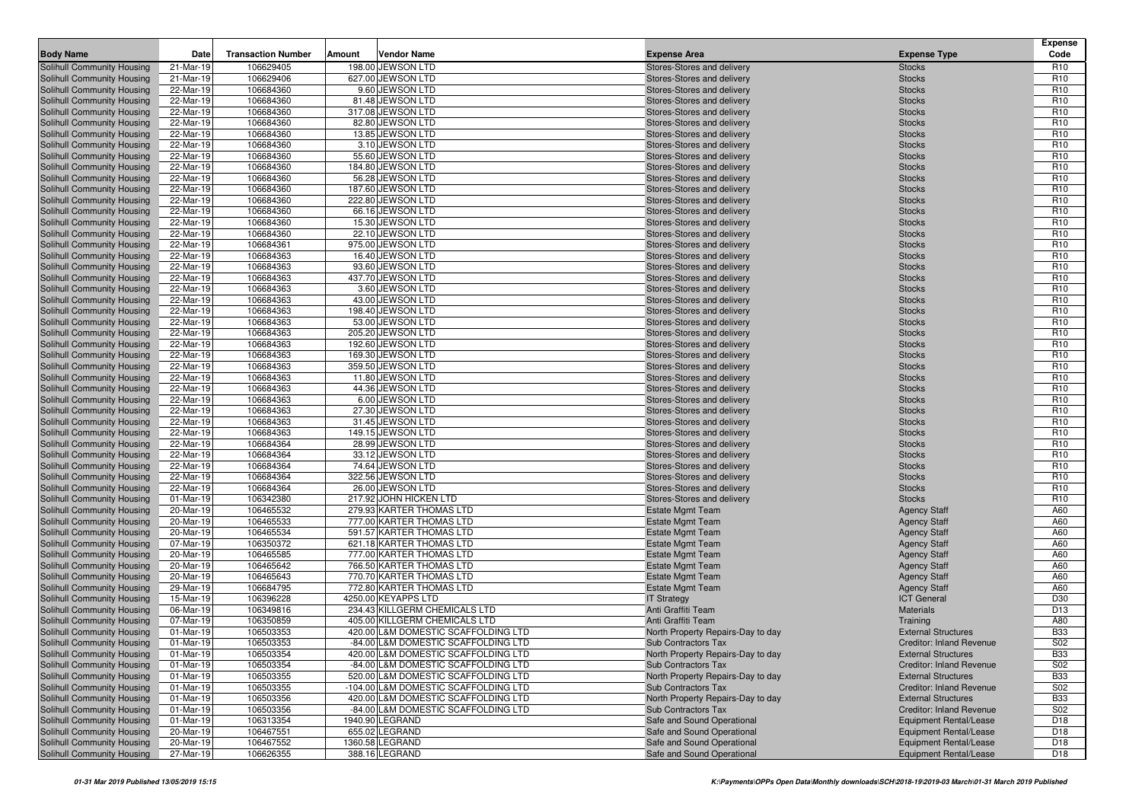|                                                          |                        |                           |                                                      |                                                          |                                            | Expense                            |
|----------------------------------------------------------|------------------------|---------------------------|------------------------------------------------------|----------------------------------------------------------|--------------------------------------------|------------------------------------|
| <b>Body Name</b>                                         | Date                   | <b>Transaction Number</b> | <b>Vendor Name</b><br>Amount                         | <b>Expense Area</b>                                      | <b>Expense Type</b>                        | Code                               |
| Solihull Community Housing                               | 21-Mar-19              | 106629405                 | 198.00 JEWSON LTD                                    | Stores-Stores and delivery                               | <b>Stocks</b>                              | R <sub>10</sub>                    |
| Solihull Community Housing                               | 21-Mar-19              | 106629406                 | 627.00 JEWSON LTD                                    | Stores-Stores and delivery                               | <b>Stocks</b>                              | R <sub>10</sub>                    |
| Solihull Community Housing<br>Solihull Community Housing | 22-Mar-19<br>22-Mar-19 | 106684360<br>106684360    | 9.60 JEWSON LTD<br>81.48 JEWSON LTD                  | Stores-Stores and delivery<br>Stores-Stores and delivery | <b>Stocks</b><br><b>Stocks</b>             | R <sub>10</sub><br>R <sub>10</sub> |
| Solihull Community Housing                               | 22-Mar-19              | 106684360                 | 317.08 JEWSON LTD                                    | Stores-Stores and delivery                               | <b>Stocks</b>                              | R <sub>10</sub>                    |
| Solihull Community Housing                               | 22-Mar-19              | 106684360                 | 82.80 JEWSON LTD                                     | Stores-Stores and delivery                               | <b>Stocks</b>                              | R <sub>10</sub>                    |
| Solihull Community Housing                               | 22-Mar-19              | 106684360                 | 13.85 JEWSON LTD                                     | Stores-Stores and delivery                               | <b>Stocks</b>                              | R <sub>10</sub>                    |
| Solihull Community Housing                               | 22-Mar-19              | 106684360                 | 3.10 JEWSON LTD                                      | Stores-Stores and delivery                               | <b>Stocks</b>                              | R <sub>10</sub>                    |
| Solihull Community Housing                               | 22-Mar-19              | 106684360                 | 55.60 JEWSON LTD                                     | Stores-Stores and delivery                               | <b>Stocks</b>                              | R <sub>10</sub>                    |
| Solihull Community Housing                               | 22-Mar-19              | 106684360                 | 184.80 JEWSON LTD                                    | Stores-Stores and delivery                               | <b>Stocks</b>                              | R <sub>10</sub>                    |
| Solihull Community Housing                               | 22-Mar-19              | 106684360                 | 56.28 JEWSON LTD                                     | Stores-Stores and delivery                               | <b>Stocks</b>                              | R <sub>10</sub>                    |
| Solihull Community Housing                               | 22-Mar-19              | 106684360                 | 187.60 JEWSON LTD                                    | Stores-Stores and delivery                               | <b>Stocks</b>                              | R <sub>10</sub>                    |
| Solihull Community Housing                               | 22-Mar-19              | 106684360                 | 222.80 JEWSON LTD                                    | Stores-Stores and delivery                               | <b>Stocks</b>                              | R <sub>10</sub>                    |
| Solihull Community Housing                               | 22-Mar-19              | 106684360                 | 66.16 JEWSON LTD                                     | Stores-Stores and delivery                               | <b>Stocks</b>                              | R <sub>10</sub>                    |
| Solihull Community Housing                               | 22-Mar-19              | 106684360                 | 15.30 JEWSON LTD                                     | Stores-Stores and delivery                               | <b>Stocks</b>                              | R <sub>10</sub>                    |
| Solihull Community Housing                               | 22-Mar-19              | 106684360                 | 22.10 JEWSON LTD                                     | Stores-Stores and delivery                               | <b>Stocks</b>                              | R <sub>10</sub>                    |
| <b>Solihull Community Housing</b>                        | 22-Mar-19              | 106684361                 | 975.00 JEWSON LTD                                    | Stores-Stores and delivery                               | <b>Stocks</b>                              | R <sub>10</sub>                    |
| Solihull Community Housing                               | 22-Mar-19              | 106684363                 | 16.40 JEWSON LTD                                     | Stores-Stores and delivery                               | <b>Stocks</b>                              | R <sub>10</sub>                    |
| Solihull Community Housing                               | 22-Mar-19              | 106684363                 | 93.60 JEWSON LTD                                     | Stores-Stores and delivery                               | <b>Stocks</b>                              | R <sub>10</sub>                    |
| Solihull Community Housing                               | 22-Mar-19              | 106684363                 | 437.70 JEWSON LTD                                    | Stores-Stores and delivery                               | <b>Stocks</b>                              | R <sub>10</sub>                    |
| Solihull Community Housing                               | 22-Mar-19              | 106684363                 | 3.60 JEWSON LTD<br>43.00 JEWSON LTD                  | Stores-Stores and delivery                               | <b>Stocks</b>                              | R <sub>10</sub>                    |
| Solihull Community Housing                               | 22-Mar-19              | 106684363                 |                                                      | Stores-Stores and delivery                               | <b>Stocks</b>                              | R <sub>10</sub><br>R <sub>10</sub> |
| Solihull Community Housing<br>Solihull Community Housing | 22-Mar-19<br>22-Mar-19 | 106684363<br>106684363    | 198.40 JEWSON LTD<br>53.00 JEWSON LTD                | Stores-Stores and delivery<br>Stores-Stores and delivery | <b>Stocks</b><br><b>Stocks</b>             | R <sub>10</sub>                    |
| Solihull Community Housing                               | 22-Mar-19              | 106684363                 | 205.20 JEWSON LTD                                    | Stores-Stores and delivery                               | <b>Stocks</b>                              | R <sub>10</sub>                    |
| <b>Solihull Community Housing</b>                        | 22-Mar-19              | 106684363                 | 192.60 JEWSON LTD                                    | Stores-Stores and delivery                               | <b>Stocks</b>                              | R <sub>10</sub>                    |
| Solihull Community Housing                               | 22-Mar-19              | 106684363                 | 169.30 JEWSON LTD                                    | Stores-Stores and delivery                               | <b>Stocks</b>                              | R <sub>10</sub>                    |
| Solihull Community Housing                               | 22-Mar-19              | 106684363                 | 359.50 JEWSON LTD                                    | Stores-Stores and delivery                               | <b>Stocks</b>                              | R <sub>10</sub>                    |
| Solihull Community Housing                               | 22-Mar-19              | 106684363                 | 11.80 JEWSON LTD                                     | Stores-Stores and delivery                               | <b>Stocks</b>                              | R <sub>10</sub>                    |
| Solihull Community Housing                               | 22-Mar-19              | 106684363                 | 44.36 JEWSON LTD                                     | Stores-Stores and delivery                               | <b>Stocks</b>                              | R <sub>10</sub>                    |
| Solihull Community Housing                               | 22-Mar-19              | 106684363                 | 6.00 JEWSON LTD                                      | Stores-Stores and delivery                               | <b>Stocks</b>                              | R <sub>10</sub>                    |
| Solihull Community Housing                               | 22-Mar-19              | 106684363                 | 27.30 JEWSON LTD                                     | Stores-Stores and delivery                               | <b>Stocks</b>                              | R <sub>10</sub>                    |
| Solihull Community Housing                               | 22-Mar-19              | 106684363                 | 31.45 JEWSON LTD                                     | Stores-Stores and delivery                               | <b>Stocks</b>                              | R <sub>10</sub>                    |
| Solihull Community Housing                               | 22-Mar-19              | 106684363                 | 149.15 JEWSON LTD                                    | Stores-Stores and delivery                               | <b>Stocks</b>                              | R <sub>10</sub>                    |
| Solihull Community Housing                               | 22-Mar-19              | 106684364                 | 28.99 JEWSON LTD                                     | Stores-Stores and delivery                               | <b>Stocks</b>                              | R <sub>10</sub>                    |
| Solihull Community Housing                               | 22-Mar-19              | 106684364                 | 33.12 JEWSON LTD                                     | Stores-Stores and delivery                               | <b>Stocks</b>                              | R <sub>10</sub>                    |
| Solihull Community Housing                               | 22-Mar-19              | 106684364                 | 74.64 JEWSON LTD                                     | Stores-Stores and delivery                               | <b>Stocks</b>                              | R <sub>10</sub>                    |
| Solihull Community Housing                               | 22-Mar-19              | 106684364                 | 322.56 JEWSON LTD                                    | Stores-Stores and delivery                               | <b>Stocks</b>                              | R <sub>10</sub>                    |
| Solihull Community Housing                               | 22-Mar-19              | 106684364                 | 26.00 JEWSON LTD                                     | Stores-Stores and delivery                               | <b>Stocks</b>                              | R <sub>10</sub>                    |
| Solihull Community Housing                               | 01-Mar-19              | 106342380                 | 217.92 JOHN HICKEN LTD                               | Stores-Stores and delivery                               | <b>Stocks</b>                              | R <sub>10</sub>                    |
| Solihull Community Housing                               | 20-Mar-19              | 106465532                 | 279.93 KARTER THOMAS LTD<br>777.00 KARTER THOMAS LTD | <b>Estate Mgmt Team</b>                                  | <b>Agency Staff</b>                        | A60                                |
| Solihull Community Housing<br>Solihull Community Housing | 20-Mar-19<br>20-Mar-19 | 106465533<br>106465534    | 591.57 KARTER THOMAS LTD                             | <b>Estate Mgmt Team</b><br><b>Estate Mgmt Team</b>       | <b>Agency Staff</b><br><b>Agency Staff</b> | A60<br>A60                         |
| Solihull Community Housing                               | 07-Mar-19              | 106350372                 | 621.18 KARTER THOMAS LTD                             | <b>Estate Mgmt Team</b>                                  | <b>Agency Staff</b>                        | A60                                |
| Solihull Community Housing                               | 20-Mar-19              | 106465585                 | 777.00 KARTER THOMAS LTD                             | <b>Estate Mgmt Team</b>                                  | <b>Agency Staff</b>                        | A60                                |
| Solihull Community Housing                               | 20-Mar-19              | 106465642                 | 766.50 KARTER THOMAS LTD                             | <b>Estate Mgmt Team</b>                                  | <b>Agency Staff</b>                        | A60                                |
| Solihull Community Housing                               | 20-Mar-19              | 106465643                 | 770.70 KARTER THOMAS LTD                             | <b>Estate Mgmt Team</b>                                  | <b>Agency Staff</b>                        | A60                                |
| Solihull Community Housing                               | 29-Mar-19              | 106684795                 | 772.80 KARTER THOMAS LTD                             | <b>Estate Mgmt Team</b>                                  | <b>Agency Staff</b>                        | A60                                |
| Solihull Community Housing                               | 15-Mar-19              | 106396228                 | 4250.00 KEYAPPS LTD                                  | <b>IT Strategy</b>                                       | <b>ICT General</b>                         | D30                                |
| <b>Solihull Community Housing</b>                        | 06-Mar-19              | 106349816                 | 234.43 KILLGERM CHEMICALS LTD                        | Anti Graffiti Team                                       | <b>Materials</b>                           | D <sub>13</sub>                    |
| Solihull Community Housing                               | 07-Mar-19              | 106350859                 | 405.00 KILLGERM CHEMICALS LTD                        | Anti Graffiti Team                                       | Training                                   | A80                                |
| Solihull Community Housing                               | 01-Mar-19              | 106503353                 | 420.00 L&M DOMESTIC SCAFFOLDING LTD                  | North Property Repairs-Day to day                        | <b>External Structures</b>                 | <b>B33</b>                         |
| Solihull Community Housing                               | 01-Mar-19              | 106503353                 | -84.00 L&M DOMESTIC SCAFFOLDING LTD                  | Sub Contractors Tax                                      | Creditor: Inland Revenue                   | S <sub>02</sub>                    |
| <b>Solihull Community Housing</b>                        | 01-Mar-19              | 106503354                 | 420.00 L&M DOMESTIC SCAFFOLDING LTD                  | North Property Repairs-Day to day                        | <b>External Structures</b>                 | <b>B33</b>                         |
| Solihull Community Housing                               | 01-Mar-19              | 106503354                 | -84.00 L&M DOMESTIC SCAFFOLDING LTD                  | Sub Contractors Tax                                      | <b>Creditor: Inland Revenue</b>            | S <sub>02</sub>                    |
| Solihull Community Housing                               | 01-Mar-19              | 106503355                 | 520.00 L&M DOMESTIC SCAFFOLDING LTD                  | North Property Repairs-Day to day                        | <b>External Structures</b>                 | <b>B33</b>                         |
| Solihull Community Housing                               | 01-Mar-19              | 106503355                 | -104.00 L&M DOMESTIC SCAFFOLDING LTD                 | <b>Sub Contractors Tax</b>                               | <b>Creditor: Inland Revenue</b>            | S02                                |
| Solihull Community Housing                               | 01-Mar-19              | 106503356                 | 420.00 L&M DOMESTIC SCAFFOLDING LTD                  | North Property Repairs-Day to day                        | <b>External Structures</b>                 | <b>B33</b>                         |
| Solihull Community Housing                               | 01-Mar-19              | 106503356                 | -84.00 L&M DOMESTIC SCAFFOLDING LTD                  | <b>Sub Contractors Tax</b>                               | Creditor: Inland Revenue                   | S02                                |
| Solihull Community Housing                               | 01-Mar-19              | 106313354                 | 1940.90 LEGRAND                                      | Safe and Sound Operational                               | Equipment Rental/Lease                     | D <sub>18</sub>                    |
| Solihull Community Housing                               | 20-Mar-19              | 106467551                 | 655.02 LEGRAND                                       | Safe and Sound Operational                               | Equipment Rental/Lease                     | D18                                |
| Solihull Community Housing                               | 20-Mar-19              | 106467552                 | 1360.58 LEGRAND                                      | Safe and Sound Operational                               | Equipment Rental/Lease                     | D18                                |
| Solihull Community Housing                               | 27-Mar-19              | 106626355                 | 388.16 LEGRAND                                       | Safe and Sound Operational                               | Equipment Rental/Lease                     | D18                                |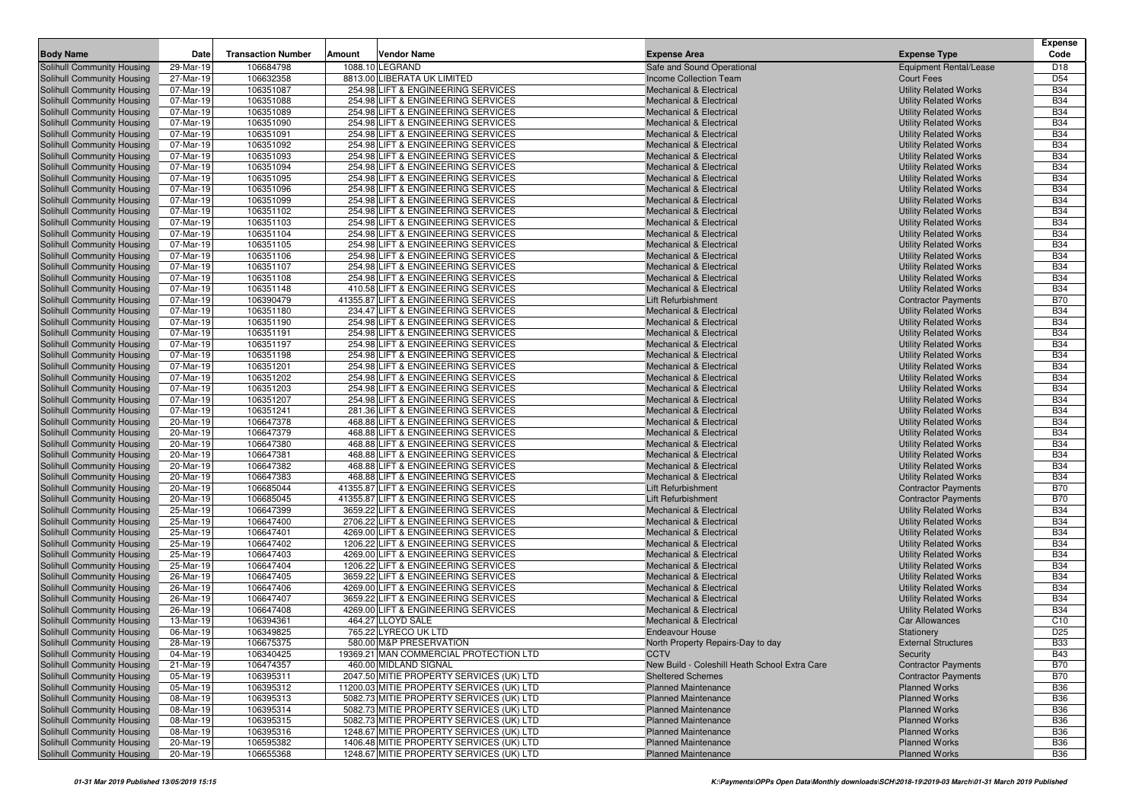|                                                          |                        |                           |        |                                                                          |                                                                          |                                                              | <b>Expense</b>           |
|----------------------------------------------------------|------------------------|---------------------------|--------|--------------------------------------------------------------------------|--------------------------------------------------------------------------|--------------------------------------------------------------|--------------------------|
| <b>Body Name</b>                                         | Date                   | <b>Transaction Number</b> | Amount | <b>Vendor Name</b>                                                       | <b>Expense Area</b>                                                      | <b>Expense Type</b>                                          | Code                     |
| Solihull Community Housing                               | 29-Mar-19              | 106684798                 |        | 1088.10 LEGRAND                                                          | Safe and Sound Operational                                               | <b>Equipment Rental/Lease</b>                                | D18                      |
| Solihull Community Housing                               | 27-Mar-19              | 106632358                 |        | 8813.00 LIBERATA UK LIMITED                                              | <b>Income Collection Team</b>                                            | <b>Court Fees</b>                                            | D <sub>54</sub>          |
| Solihull Community Housing                               | 07-Mar-19              | 106351087                 |        | 254.98 LIFT & ENGINEERING SERVICES                                       | <b>Mechanical &amp; Electrical</b>                                       | <b>Utility Related Works</b>                                 | <b>B34</b>               |
| Solihull Community Housing                               | 07-Mar-19              | 106351088                 |        | 254.98 LIFT & ENGINEERING SERVICES                                       | <b>Mechanical &amp; Electrical</b>                                       | <b>Utility Related Works</b>                                 | <b>B34</b>               |
| Solihull Community Housing                               | 07-Mar-19              | 106351089                 |        | 254.98 LIFT & ENGINEERING SERVICES                                       | <b>Mechanical &amp; Electrical</b>                                       | <b>Utility Related Works</b>                                 | <b>B34</b>               |
| Solihull Community Housing                               | 07-Mar-19              | 106351090                 |        | 254.98 LIFT & ENGINEERING SERVICES                                       | <b>Mechanical &amp; Electrical</b>                                       | <b>Utility Related Works</b>                                 | <b>B34</b>               |
| Solihull Community Housing                               | 07-Mar-19              | 106351091                 |        | 254.98 LIFT & ENGINEERING SERVICES                                       | <b>Mechanical &amp; Electrical</b>                                       | <b>Utility Related Works</b>                                 | <b>B34</b>               |
| Solihull Community Housing                               | 07-Mar-19              | 106351092                 |        | 254.98 LIFT & ENGINEERING SERVICES                                       | <b>Mechanical &amp; Electrical</b>                                       | <b>Utility Related Works</b>                                 | <b>B34</b>               |
| Solihull Community Housing                               | 07-Mar-19              | 106351093                 |        | 254.98 LIFT & ENGINEERING SERVICES                                       | <b>Mechanical &amp; Electrical</b>                                       | <b>Utility Related Works</b>                                 | <b>B34</b>               |
| Solihull Community Housing                               | 07-Mar-19              | 106351094                 |        | 254.98 LIFT & ENGINEERING SERVICES                                       | <b>Mechanical &amp; Electrical</b>                                       | <b>Utility Related Works</b>                                 | <b>B34</b>               |
| Solihull Community Housing                               | 07-Mar-19              | 106351095                 |        | 254.98 LIFT & ENGINEERING SERVICES                                       | <b>Mechanical &amp; Electrical</b>                                       | <b>Utility Related Works</b>                                 | <b>B34</b>               |
| Solihull Community Housing                               | 07-Mar-19              | 106351096                 |        | 254.98 LIFT & ENGINEERING SERVICES                                       | <b>Mechanical &amp; Electrical</b>                                       | <b>Utility Related Works</b>                                 | <b>B34</b>               |
| Solihull Community Housing                               | 07-Mar-19              | 106351099                 |        | 254.98 LIFT & ENGINEERING SERVICES                                       | <b>Mechanical &amp; Electrical</b>                                       | <b>Utility Related Works</b>                                 | <b>B34</b>               |
| Solihull Community Housing                               | 07-Mar-19              | 106351102                 |        | 254.98 LIFT & ENGINEERING SERVICES                                       | <b>Mechanical &amp; Electrical</b>                                       | <b>Utility Related Works</b>                                 | <b>B34</b>               |
| Solihull Community Housing                               | 07-Mar-19              | 106351103                 |        | 254.98 LIFT & ENGINEERING SERVICES                                       | <b>Mechanical &amp; Electrical</b>                                       | <b>Utility Related Works</b>                                 | <b>B34</b>               |
| Solihull Community Housing                               | 07-Mar-19              | 106351104                 |        | 254.98 LIFT & ENGINEERING SERVICES                                       | <b>Mechanical &amp; Electrical</b>                                       | <b>Utility Related Works</b>                                 | <b>B34</b>               |
| Solihull Community Housing                               | 07-Mar-19              | 106351105                 |        | 254.98 LIFT & ENGINEERING SERVICES                                       | <b>Mechanical &amp; Electrical</b>                                       | <b>Utility Related Works</b>                                 | <b>B34</b>               |
| Solihull Community Housing                               | 07-Mar-19              | 106351106                 |        | 254.98 LIFT & ENGINEERING SERVICES                                       | <b>Mechanical &amp; Electrical</b>                                       | <b>Utility Related Works</b>                                 | <b>B34</b>               |
| Solihull Community Housing                               | 07-Mar-19              | 106351107                 |        | 254.98 LIFT & ENGINEERING SERVICES                                       | <b>Mechanical &amp; Electrical</b>                                       | <b>Utility Related Works</b>                                 | <b>B34</b>               |
| Solihull Community Housing                               | 07-Mar-19              | 106351108                 |        | 254.98 LIFT & ENGINEERING SERVICES                                       | <b>Mechanical &amp; Electrical</b>                                       | <b>Utility Related Works</b>                                 | <b>B34</b>               |
| Solihull Community Housing                               | 07-Mar-19              | 106351148                 |        | 410.58 LIFT & ENGINEERING SERVICES                                       | <b>Mechanical &amp; Electrical</b>                                       | <b>Utility Related Works</b>                                 | <b>B34</b>               |
| Solihull Community Housing                               | 07-Mar-19              | 106390479                 |        | 41355.87 LIFT & ENGINEERING SERVICES                                     | Lift Refurbishment                                                       | <b>Contractor Payments</b>                                   | <b>B70</b>               |
| Solihull Community Housing                               | 07-Mar-19              | 106351180                 |        | 234.47 LIFT & ENGINEERING SERVICES                                       | <b>Mechanical &amp; Electrical</b>                                       | <b>Utility Related Works</b>                                 | <b>B34</b>               |
| Solihull Community Housing                               | 07-Mar-19              | 106351190                 |        | 254.98 LIFT & ENGINEERING SERVICES                                       | <b>Mechanical &amp; Electrical</b>                                       | <b>Utility Related Works</b>                                 | <b>B34</b>               |
| Solihull Community Housing                               | 07-Mar-19              | 106351191<br>106351197    |        | 254.98 LIFT & ENGINEERING SERVICES<br>254.98 LIFT & ENGINEERING SERVICES | <b>Mechanical &amp; Electrical</b><br><b>Mechanical &amp; Electrical</b> | <b>Utility Related Works</b><br><b>Utility Related Works</b> | <b>B34</b><br><b>B34</b> |
| Solihull Community Housing<br>Solihull Community Housing | 07-Mar-19<br>07-Mar-19 | 106351198                 |        | 254.98 LIFT & ENGINEERING SERVICES                                       | <b>Mechanical &amp; Electrical</b>                                       | <b>Utility Related Works</b>                                 | <b>B34</b>               |
| Solihull Community Housing                               | 07-Mar-19              | 106351201                 |        | 254.98 LIFT & ENGINEERING SERVICES                                       | <b>Mechanical &amp; Electrical</b>                                       | <b>Utility Related Works</b>                                 | <b>B34</b>               |
| Solihull Community Housing                               | 07-Mar-19              | 106351202                 |        | 254.98 LIFT & ENGINEERING SERVICES                                       | <b>Mechanical &amp; Electrical</b>                                       | <b>Utility Related Works</b>                                 | <b>B34</b>               |
| Solihull Community Housing                               | 07-Mar-19              | 106351203                 |        | 254.98 LIFT & ENGINEERING SERVICES                                       | <b>Mechanical &amp; Electrical</b>                                       | <b>Utility Related Works</b>                                 | <b>B34</b>               |
| Solihull Community Housing                               | 07-Mar-19              | 106351207                 |        | 254.98 LIFT & ENGINEERING SERVICES                                       | <b>Mechanical &amp; Electrical</b>                                       | <b>Utility Related Works</b>                                 | <b>B34</b>               |
| Solihull Community Housing                               | 07-Mar-19              | 106351241                 |        | 281.36 LIFT & ENGINEERING SERVICES                                       | <b>Mechanical &amp; Electrical</b>                                       | <b>Utility Related Works</b>                                 | <b>B34</b>               |
| Solihull Community Housing                               | 20-Mar-19              | 106647378                 |        | 468.88 LIFT & ENGINEERING SERVICES                                       | <b>Mechanical &amp; Electrical</b>                                       | <b>Utility Related Works</b>                                 | <b>B34</b>               |
| Solihull Community Housing                               | 20-Mar-19              | 106647379                 |        | 468.88 LIFT & ENGINEERING SERVICES                                       | <b>Mechanical &amp; Electrical</b>                                       | <b>Utility Related Works</b>                                 | <b>B34</b>               |
| Solihull Community Housing                               | 20-Mar-19              | 106647380                 |        | 468.88 LIFT & ENGINEERING SERVICES                                       | <b>Mechanical &amp; Electrical</b>                                       | <b>Utility Related Works</b>                                 | <b>B34</b>               |
| Solihull Community Housing                               | 20-Mar-19              | 106647381                 |        | 468.88 LIFT & ENGINEERING SERVICES                                       | <b>Mechanical &amp; Electrical</b>                                       | <b>Utility Related Works</b>                                 | <b>B34</b>               |
| Solihull Community Housing                               | 20-Mar-19              | 106647382                 |        | 468.88 LIFT & ENGINEERING SERVICES                                       | <b>Mechanical &amp; Electrical</b>                                       | <b>Utility Related Works</b>                                 | <b>B34</b>               |
| Solihull Community Housing                               | 20-Mar-19              | 106647383                 |        | 468.88 LIFT & ENGINEERING SERVICES                                       | <b>Mechanical &amp; Electrical</b>                                       | <b>Utility Related Works</b>                                 | <b>B34</b>               |
| Solihull Community Housing                               | 20-Mar-19              | 106685044                 |        | 41355.87 LIFT & ENGINEERING SERVICES                                     | Lift Refurbishment                                                       | <b>Contractor Payments</b>                                   | <b>B70</b>               |
| Solihull Community Housing                               | 20-Mar-19              | 106685045                 |        | 41355.87 LIFT & ENGINEERING SERVICES                                     | Lift Refurbishment                                                       | <b>Contractor Payments</b>                                   | <b>B70</b>               |
| Solihull Community Housing                               | 25-Mar-19              | 106647399                 |        | 3659.22 LIFT & ENGINEERING SERVICES                                      | <b>Mechanical &amp; Electrical</b>                                       | <b>Utility Related Works</b>                                 | <b>B34</b>               |
| Solihull Community Housing                               | 25-Mar-19              | 106647400                 |        | 2706.22 LIFT & ENGINEERING SERVICES                                      | <b>Mechanical &amp; Electrical</b>                                       | <b>Utility Related Works</b>                                 | <b>B34</b>               |
| Solihull Community Housing                               | 25-Mar-19              | 106647401                 |        | 4269.00 LIFT & ENGINEERING SERVICES                                      | <b>Mechanical &amp; Electrical</b>                                       | <b>Utility Related Works</b>                                 | <b>B34</b>               |
| Solihull Community Housing                               | 25-Mar-19              | 106647402                 |        | 1206.22 LIFT & ENGINEERING SERVICES                                      | <b>Mechanical &amp; Electrical</b>                                       | <b>Utility Related Works</b>                                 | <b>B34</b>               |
| Solihull Community Housing                               | 25-Mar-19              | 106647403                 |        | 4269.00 LIFT & ENGINEERING SERVICES                                      | <b>Mechanical &amp; Electrical</b>                                       | <b>Utility Related Works</b>                                 | <b>B34</b>               |
| Solihull Community Housing                               | 25-Mar-19              | 106647404                 |        | 1206.22 LIFT & ENGINEERING SERVICES                                      | <b>Mechanical &amp; Electrical</b>                                       | <b>Utility Related Works</b>                                 | <b>B34</b>               |
| Solihull Community Housing                               | 26-Mar-19              | 106647405                 |        | 3659.22 LIFT & ENGINEERING SERVICES                                      | <b>Mechanical &amp; Electrical</b>                                       | <b>Utility Related Works</b>                                 | <b>B34</b>               |
| Solihull Community Housing                               | 26-Mar-19              | 106647406                 |        | 4269.00 LIFT & ENGINEERING SERVICES                                      | <b>Mechanical &amp; Electrical</b>                                       | <b>Utility Related Works</b>                                 | <b>B34</b>               |
| Solihull Community Housing                               | 26-Mar-19              | 106647407                 |        | 3659.22 LIFT & ENGINEERING SERVICES                                      | <b>Mechanical &amp; Electrical</b>                                       | <b>Utility Related Works</b>                                 | <b>B34</b><br><b>B34</b> |
| Solihull Community Housing<br>Solihull Community Housing | 26-Mar-19<br>13-Mar-19 | 106647408<br>106394361    |        | 4269.00 LIFT & ENGINEERING SERVICES<br>464.27 LLOYD SALE                 | <b>Mechanical &amp; Electrical</b><br><b>Mechanical &amp; Electrical</b> | <b>Utility Related Works</b><br>Car Allowances               | C10                      |
| Solihull Community Housing                               | 06-Mar-19              | 106349825                 |        | 765.22 LYRECO UK LTD                                                     | <b>Endeavour House</b>                                                   | Stationery                                                   | D <sub>25</sub>          |
| Solihull Community Housing                               | 28-Mar-19              | 106675375                 |        | 580.00 M&P PRESERVATION                                                  |                                                                          | <b>External Structures</b>                                   | <b>B33</b>               |
| Solihull Community Housing                               | 04-Mar-19              | 106340425                 |        | 19369.21 MAN COMMERCIAL PROTECTION LTD                                   | North Property Repairs-Day to day<br><b>CCTV</b>                         | Security                                                     | <b>B43</b>               |
| Solihull Community Housing                               | 21-Mar-19              | 106474357                 |        | 460.00 MIDLAND SIGNAL                                                    | New Build - Coleshill Heath School Extra Care                            | <b>Contractor Payments</b>                                   | <b>B70</b>               |
| Solihull Community Housing                               | 05-Mar-19              | 106395311                 |        | 2047.50 MITIE PROPERTY SERVICES (UK) LTD                                 | <b>Sheltered Schemes</b>                                                 | <b>Contractor Payments</b>                                   | <b>B70</b>               |
| Solihull Community Housing                               | 05-Mar-19              | 106395312                 |        | 11200.03 MITIE PROPERTY SERVICES (UK) LTD                                | <b>Planned Maintenance</b>                                               | <b>Planned Works</b>                                         | <b>B36</b>               |
| Solihull Community Housing                               | 08-Mar-19              | 106395313                 |        | 5082.73 MITIE PROPERTY SERVICES (UK) LTD                                 | <b>Planned Maintenance</b>                                               | <b>Planned Works</b>                                         | <b>B36</b>               |
| Solihull Community Housing                               | 08-Mar-19              | 106395314                 |        | 5082.73 MITIE PROPERTY SERVICES (UK) LTD                                 | <b>Planned Maintenance</b>                                               | <b>Planned Works</b>                                         | <b>B36</b>               |
| Solihull Community Housing                               | 08-Mar-19              | 106395315                 |        | 5082.73 MITIE PROPERTY SERVICES (UK) LTD                                 | <b>Planned Maintenance</b>                                               | <b>Planned Works</b>                                         | <b>B36</b>               |
| Solihull Community Housing                               | 08-Mar-19              | 106395316                 |        | 1248.67 MITIE PROPERTY SERVICES (UK) LTD                                 | <b>Planned Maintenance</b>                                               | <b>Planned Works</b>                                         | <b>B36</b>               |
| Solihull Community Housing                               | 20-Mar-19              | 106595382                 |        | 1406.48 MITIE PROPERTY SERVICES (UK) LTD                                 | <b>Planned Maintenance</b>                                               | <b>Planned Works</b>                                         | <b>B36</b>               |
| Solihull Community Housing                               | 20-Mar-19              | 106655368                 |        | 1248.67 MITIE PROPERTY SERVICES (UK) LTD                                 | <b>Planned Maintenance</b>                                               | <b>Planned Works</b>                                         | <b>B36</b>               |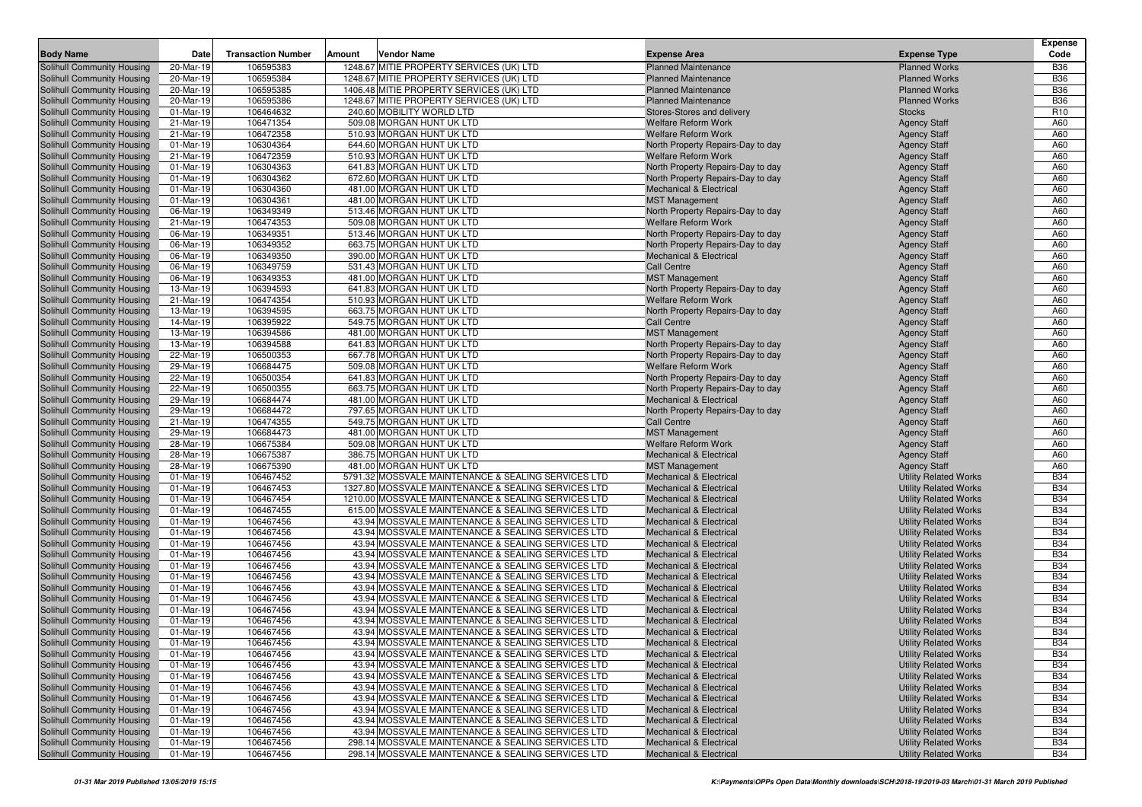|                                                          |                        |                           |        |                                                                                                        |                                                                        |                                                              | <b>Expense</b>           |
|----------------------------------------------------------|------------------------|---------------------------|--------|--------------------------------------------------------------------------------------------------------|------------------------------------------------------------------------|--------------------------------------------------------------|--------------------------|
| <b>Body Name</b>                                         | Date                   | <b>Transaction Number</b> | Amount | Vendor Name                                                                                            | <b>Expense Area</b>                                                    | <b>Expense Type</b>                                          | Code                     |
| Solihull Community Housing                               | 20-Mar-19              | 106595383                 |        | 1248.67 MITIE PROPERTY SERVICES (UK) LTD                                                               | <b>Planned Maintenance</b>                                             | <b>Planned Works</b>                                         | <b>B36</b>               |
| Solihull Community Housing                               | 20-Mar-19              | 106595384                 |        | 1248.67 MITIE PROPERTY SERVICES (UK) LTD                                                               | <b>Planned Maintenance</b>                                             | <b>Planned Works</b>                                         | <b>B36</b>               |
| Solihull Community Housing                               | 20-Mar-19              | 106595385                 |        | 1406.48 MITIE PROPERTY SERVICES (UK) LTD                                                               | <b>Planned Maintenance</b>                                             | <b>Planned Works</b>                                         | <b>B36</b>               |
| Solihull Community Housing                               | 20-Mar-19              | 106595386                 |        | 1248.67 MITIE PROPERTY SERVICES (UK) LTD                                                               | <b>Planned Maintenance</b>                                             | <b>Planned Works</b>                                         | <b>B36</b>               |
| Solihull Community Housing                               | 01-Mar-19              | 106464632                 |        | 240.60 MOBILITY WORLD LTD                                                                              | Stores-Stores and delivery                                             | <b>Stocks</b>                                                | R <sub>10</sub>          |
| Solihull Community Housing                               | 21-Mar-19              | 106471354                 |        | 509.08 MORGAN HUNT UK LTD                                                                              | Welfare Reform Work                                                    | <b>Agency Staff</b>                                          | A60                      |
| Solihull Community Housing                               | 21-Mar-19              | 106472358                 |        | 510.93 MORGAN HUNT UK LTD                                                                              | <b>Welfare Reform Work</b>                                             | <b>Agency Staff</b>                                          | A60                      |
| Solihull Community Housing                               | 01-Mar-19              | 106304364                 |        | 644.60 MORGAN HUNT UK LTD                                                                              | North Property Repairs-Day to day                                      | <b>Agency Staff</b>                                          | A60                      |
| Solihull Community Housing                               | 21-Mar-19              | 106472359                 |        | 510.93 MORGAN HUNT UK LTD                                                                              | <b>Welfare Reform Work</b>                                             | <b>Agency Staff</b>                                          | A60                      |
| Solihull Community Housing                               | 01-Mar-19              | 106304363                 |        | 641.83 MORGAN HUNT UK LTD                                                                              | North Property Repairs-Day to day                                      | <b>Agency Staff</b>                                          | A60                      |
| Solihull Community Housing                               | 01-Mar-19              | 106304362                 |        | 672.60 MORGAN HUNT UK LTD                                                                              | North Property Repairs-Day to day                                      | <b>Agency Staff</b>                                          | A60                      |
| Solihull Community Housing                               | 01-Mar-19              | 106304360                 |        | 481.00 MORGAN HUNT UK LTD                                                                              | <b>Mechanical &amp; Electrical</b>                                     | <b>Agency Staff</b>                                          | A60                      |
| Solihull Community Housing                               | 01-Mar-19              | 106304361                 |        | 481.00 MORGAN HUNT UK LTD                                                                              | <b>MST Management</b>                                                  | <b>Agency Staff</b>                                          | A60                      |
| Solihull Community Housing                               | 06-Mar-19              | 106349349                 |        | 513.46 MORGAN HUNT UK LTD                                                                              | North Property Repairs-Day to day                                      | <b>Agency Staff</b>                                          | A60                      |
| Solihull Community Housing                               | 21-Mar-19              | 106474353                 |        | 509.08 MORGAN HUNT UK LTD                                                                              | <b>Welfare Reform Work</b>                                             | <b>Agency Staff</b>                                          | A60                      |
| Solihull Community Housing                               | 06-Mar-19              | 106349351                 |        | 513.46 MORGAN HUNT UK LTD                                                                              | North Property Repairs-Day to day                                      | <b>Agency Staff</b>                                          | A60                      |
| Solihull Community Housing                               | 06-Mar-19              | 106349352                 |        | 663.75 MORGAN HUNT UK LTD                                                                              | North Property Repairs-Day to day                                      | <b>Agency Staff</b>                                          | A60                      |
| Solihull Community Housing                               | 06-Mar-19              | 106349350                 |        | 390.00 MORGAN HUNT UK LTD                                                                              | <b>Mechanical &amp; Electrical</b>                                     | <b>Agency Staff</b>                                          | A60                      |
| Solihull Community Housing                               | 06-Mar-19              | 106349759                 |        | 531.43 MORGAN HUNT UK LTD                                                                              | <b>Call Centre</b>                                                     | <b>Agency Staff</b>                                          | A60                      |
| Solihull Community Housing                               | 06-Mar-19              | 106349353                 |        | 481.00 MORGAN HUNT UK LTD                                                                              | <b>MST Management</b>                                                  | <b>Agency Staff</b>                                          | A60                      |
| Solihull Community Housing                               | 13-Mar-19              | 106394593                 |        | 641.83 MORGAN HUNT UK LTD                                                                              | North Property Repairs-Day to day                                      | <b>Agency Staff</b>                                          | A60                      |
| Solihull Community Housing                               | 21-Mar-19              | 106474354                 |        | 510.93 MORGAN HUNT UK LTD                                                                              | <b>Welfare Reform Work</b>                                             | <b>Agency Staff</b>                                          | A60                      |
| Solihull Community Housing                               | 13-Mar-19              | 106394595                 |        | 663.75 MORGAN HUNT UK LTD                                                                              | North Property Repairs-Day to day                                      | <b>Agency Staff</b>                                          | A60                      |
| Solihull Community Housing                               | 14-Mar-19              | 106395922                 |        | 549.75 MORGAN HUNT UK LTD                                                                              | <b>Call Centre</b>                                                     | <b>Agency Staff</b>                                          | A60                      |
| Solihull Community Housing                               | 13-Mar-19              | 106394586                 |        | 481.00 MORGAN HUNT UK LTD<br>641.83 MORGAN HUNT UK LTD                                                 | <b>MST Management</b>                                                  | <b>Agency Staff</b>                                          | A60                      |
| Solihull Community Housing                               | 13-Mar-19              | 106394588                 |        |                                                                                                        | North Property Repairs-Day to day                                      | <b>Agency Staff</b>                                          | A60                      |
| Solihull Community Housing                               | 22-Mar-19              | 106500353                 |        | 667.78 MORGAN HUNT UK LTD<br>509.08 MORGAN HUNT UK LTD                                                 | North Property Repairs-Day to day<br><b>Welfare Reform Work</b>        | <b>Agency Staff</b>                                          | A60                      |
| Solihull Community Housing<br>Solihull Community Housing | 29-Mar-19              | 106684475<br>106500354    |        | 641.83 MORGAN HUNT UK LTD                                                                              |                                                                        | <b>Agency Staff</b>                                          | A60<br>A60               |
| Solihull Community Housing                               | 22-Mar-19<br>22-Mar-19 | 106500355                 |        | 663.75 MORGAN HUNT UK LTD                                                                              | North Property Repairs-Day to day<br>North Property Repairs-Day to day | <b>Agency Staff</b><br><b>Agency Staff</b>                   | A60                      |
| Solihull Community Housing                               | 29-Mar-19              | 106684474                 |        | 481.00 MORGAN HUNT UK LTD                                                                              | Mechanical & Electrical                                                | <b>Agency Staff</b>                                          | A60                      |
| Solihull Community Housing                               | 29-Mar-19              | 106684472                 |        | 797.65 MORGAN HUNT UK LTD                                                                              | North Property Repairs-Day to day                                      | <b>Agency Staff</b>                                          | A60                      |
| Solihull Community Housing                               | 21-Mar-19              | 106474355                 |        | 549.75 MORGAN HUNT UK LTD                                                                              | <b>Call Centre</b>                                                     | <b>Agency Staff</b>                                          | A60                      |
| Solihull Community Housing                               | 29-Mar-19              | 106684473                 |        | 481.00 MORGAN HUNT UK LTD                                                                              | <b>MST Management</b>                                                  | <b>Agency Staff</b>                                          | A60                      |
| Solihull Community Housing                               | 28-Mar-19              | 106675384                 |        | 509.08 MORGAN HUNT UK LTD                                                                              | <b>Welfare Reform Work</b>                                             | <b>Agency Staff</b>                                          | A60                      |
| Solihull Community Housing                               | 28-Mar-19              | 106675387                 |        | 386.75 MORGAN HUNT UK LTD                                                                              | <b>Mechanical &amp; Electrical</b>                                     | <b>Agency Staff</b>                                          | A60                      |
| Solihull Community Housing                               | 28-Mar-19              | 106675390                 |        | 481.00 MORGAN HUNT UK LTD                                                                              | <b>MST Management</b>                                                  | <b>Agency Staff</b>                                          | A60                      |
| Solihull Community Housing                               | 01-Mar-19              | 106467452                 |        | 5791.32 MOSSVALE MAINTENANCE & SEALING SERVICES LTD                                                    | <b>Mechanical &amp; Electrical</b>                                     | <b>Utility Related Works</b>                                 | <b>B34</b>               |
| Solihull Community Housing                               | 01-Mar-19              | 106467453                 |        | 1327.80 MOSSVALE MAINTENANCE & SEALING SERVICES LTD                                                    | <b>Mechanical &amp; Electrical</b>                                     | <b>Utility Related Works</b>                                 | <b>B34</b>               |
| Solihull Community Housing                               | 01-Mar-19              | 106467454                 |        | 1210.00 MOSSVALE MAINTENANCE & SEALING SERVICES LTD                                                    | <b>Mechanical &amp; Electrical</b>                                     | <b>Utility Related Works</b>                                 | <b>B34</b>               |
| Solihull Community Housing                               | 01-Mar-19              | 106467455                 |        | 615.00 MOSSVALE MAINTENANCE & SEALING SERVICES LTD                                                     | <b>Mechanical &amp; Electrical</b>                                     | <b>Utility Related Works</b>                                 | <b>B34</b>               |
| Solihull Community Housing                               | 01-Mar-19              | 106467456                 |        | 43.94 MOSSVALE MAINTENANCE & SEALING SERVICES LTD                                                      | <b>Mechanical &amp; Electrical</b>                                     | <b>Utility Related Works</b>                                 | <b>B34</b>               |
| Solihull Community Housing                               | 01-Mar-19              | 106467456                 |        | 43.94 MOSSVALE MAINTENANCE & SEALING SERVICES LTD                                                      | <b>Mechanical &amp; Electrical</b>                                     | <b>Utility Related Works</b>                                 | <b>B34</b>               |
| Solihull Community Housing                               | 01-Mar-19              | 106467456                 |        | 43.94 MOSSVALE MAINTENANCE & SEALING SERVICES LTD                                                      | <b>Mechanical &amp; Electrical</b>                                     | <b>Utility Related Works</b>                                 | <b>B34</b>               |
| Solihull Community Housing                               | 01-Mar-19              | 106467456                 |        | 43.94 MOSSVALE MAINTENANCE & SEALING SERVICES LTD                                                      | <b>Mechanical &amp; Electrical</b>                                     | <b>Utility Related Works</b>                                 | <b>B34</b>               |
| Solihull Community Housing                               | 01-Mar-19              | 106467456                 |        | 43.94 MOSSVALE MAINTENANCE & SEALING SERVICES LTD                                                      | <b>Mechanical &amp; Electrical</b>                                     | <b>Utility Related Works</b>                                 | <b>B34</b>               |
| Solihull Community Housing                               | 01-Mar-19              | 106467456                 |        | 43.94 MOSSVALE MAINTENANCE & SEALING SERVICES LTD                                                      | <b>Mechanical &amp; Electrical</b>                                     | <b>Utility Related Works</b>                                 | <b>B34</b>               |
| Solihull Community Housing                               | 01-Mar-19              | 106467456                 |        | 43.94 MOSSVALE MAINTENANCE & SEALING SERVICES LTD                                                      | <b>Mechanical &amp; Electrical</b>                                     | <b>Utility Related Works</b>                                 | <b>B34</b>               |
| Solihull Community Housing                               | 01-Mar-19              | 106467456                 |        | 43.94 MOSSVALE MAINTENANCE & SEALING SERVICES LTD                                                      | <b>Mechanical &amp; Electrical</b>                                     | <b>Utility Related Works</b>                                 | <b>B34</b>               |
| Solihull Community Housing                               | 01-Mar-19              | 106467456                 |        | 43.94 MOSSVALE MAINTENANCE & SEALING SERVICES LTD                                                      | <b>Mechanical &amp; Electrical</b>                                     | <b>Utility Related Works</b>                                 | <b>B34</b>               |
| Solihull Community Housing                               | 01-Mar-19              | 106467456                 |        | 43.94 MOSSVALE MAINTENANCE & SEALING SERVICES LTD                                                      | Mechanical & Electrical                                                | <b>Utility Related Works</b>                                 | <b>B34</b>               |
| Solihull Community Housing                               | 01-Mar-19              | 106467456                 |        | 43.94 MOSSVALE MAINTENANCE & SEALING SERVICES LTD                                                      | <b>Mechanical &amp; Electrical</b>                                     | <b>Utility Related Works</b>                                 | <b>B34</b>               |
| Solihull Community Housing                               | 01-Mar-19              | 106467456                 |        | 43.94 MOSSVALE MAINTENANCE & SEALING SERVICES LTD                                                      | <b>Mechanical &amp; Electrical</b>                                     | <b>Utility Related Works</b>                                 | <b>B34</b>               |
| <b>Solihull Community Housing</b>                        | 01-Mar-19              | 106467456                 |        | 43.94 MOSSVALE MAINTENANCE & SEALING SERVICES LTD                                                      | <b>Mechanical &amp; Electrical</b>                                     | <b>Utility Related Works</b>                                 | <b>B34</b>               |
| Solihull Community Housing                               | 01-Mar-19              | 106467456                 |        | 43.94 MOSSVALE MAINTENANCE & SEALING SERVICES LTD                                                      | Mechanical & Electrical                                                | <b>Utility Related Works</b>                                 | <b>B34</b>               |
| Solihull Community Housing                               | 01-Mar-19              | 106467456                 |        | 43.94 MOSSVALE MAINTENANCE & SEALING SERVICES LTD                                                      | Mechanical & Electrical                                                | <b>Utility Related Works</b>                                 | <b>B34</b>               |
| Solihull Community Housing                               | 01-Mar-19              | 106467456                 |        | 43.94 MOSSVALE MAINTENANCE & SEALING SERVICES LTD                                                      | Mechanical & Electrical                                                | <b>Utility Related Works</b>                                 | <b>B34</b>               |
| Solihull Community Housing                               | 01-Mar-19              | 106467456                 |        | 43.94 MOSSVALE MAINTENANCE & SEALING SERVICES LTD                                                      | <b>Mechanical &amp; Electrical</b>                                     | <b>Utility Related Works</b>                                 | <b>B34</b>               |
| Solihull Community Housing<br>Solihull Community Housing | 01-Mar-19              | 106467456                 |        | 43.94 MOSSVALE MAINTENANCE & SEALING SERVICES LTD<br>43.94 MOSSVALE MAINTENANCE & SEALING SERVICES LTD | Mechanical & Electrical<br><b>Mechanical &amp; Electrical</b>          | <b>Utility Related Works</b>                                 | <b>B34</b><br><b>B34</b> |
| Solihull Community Housing                               | 01-Mar-19<br>01-Mar-19 | 106467456<br>106467456    |        | 43.94 MOSSVALE MAINTENANCE & SEALING SERVICES LTD                                                      | Mechanical & Electrical                                                | <b>Utility Related Works</b>                                 | <b>B34</b>               |
| Solihull Community Housing                               | 01-Mar-19              | 106467456                 |        | 298.14 MOSSVALE MAINTENANCE & SEALING SERVICES LTD                                                     | <b>Mechanical &amp; Electrical</b>                                     | <b>Utility Related Works</b><br><b>Utility Related Works</b> | <b>B34</b>               |
| Solihull Community Housing                               | 01-Mar-19              | 106467456                 |        | 298.14 MOSSVALE MAINTENANCE & SEALING SERVICES LTD                                                     | <b>Mechanical &amp; Electrical</b>                                     | <b>Utility Related Works</b>                                 | <b>B34</b>               |
|                                                          |                        |                           |        |                                                                                                        |                                                                        |                                                              |                          |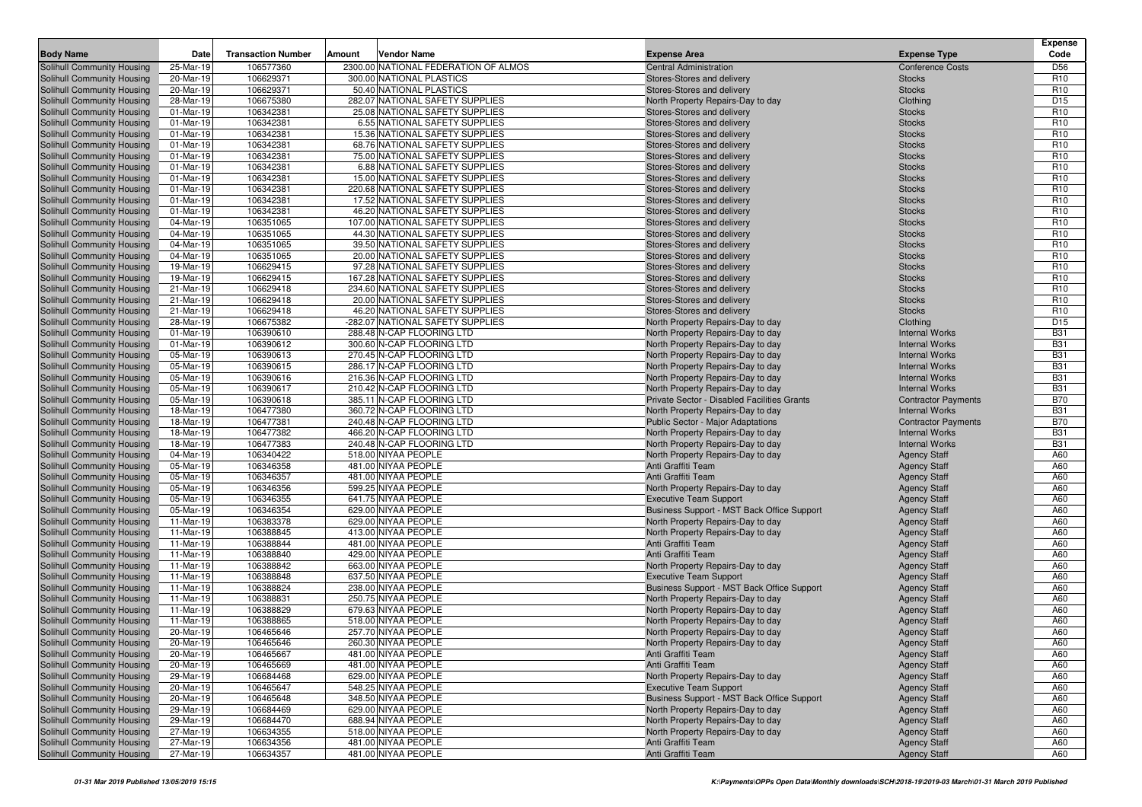|                                                          | Date                   | <b>Transaction Number</b> | Amount<br>Vendor Name                                             |                                                          |                                | <b>Expense</b><br>Code             |
|----------------------------------------------------------|------------------------|---------------------------|-------------------------------------------------------------------|----------------------------------------------------------|--------------------------------|------------------------------------|
| <b>Body Name</b>                                         |                        |                           |                                                                   | <b>Expense Area</b>                                      | <b>Expense Type</b>            |                                    |
| Solihull Community Housing                               | 25-Mar-19              | 106577360                 | 2300.00 NATIONAL FEDERATION OF ALMOS                              | <b>Central Administration</b>                            | <b>Conference Costs</b>        | D <sub>56</sub>                    |
| Solihull Community Housing                               | 20-Mar-19              | 106629371                 | 300.00 NATIONAL PLASTICS                                          | Stores-Stores and delivery                               | <b>Stocks</b>                  | R <sub>10</sub>                    |
| Solihull Community Housing                               | 20-Mar-19              | 106629371                 | 50.40 NATIONAL PLASTICS                                           | Stores-Stores and delivery                               | <b>Stocks</b>                  | R <sub>10</sub>                    |
| Solihull Community Housing                               | 28-Mar-19              | 106675380                 | 282.07 NATIONAL SAFETY SUPPLIES                                   | North Property Repairs-Day to day                        | Clothing                       | D <sub>15</sub>                    |
| Solihull Community Housing                               | 01-Mar-19              | 106342381                 | 25.08 NATIONAL SAFETY SUPPLIES                                    | Stores-Stores and delivery                               | <b>Stocks</b>                  | R <sub>10</sub>                    |
| Solihull Community Housing                               | 01-Mar-19              | 106342381                 | 6.55 NATIONAL SAFETY SUPPLIES                                     | Stores-Stores and delivery                               | <b>Stocks</b>                  | R <sub>10</sub>                    |
| Solihull Community Housing                               | 01-Mar-19              | 106342381                 | 15.36 NATIONAL SAFETY SUPPLIES                                    | Stores-Stores and delivery                               | <b>Stocks</b>                  | R <sub>10</sub>                    |
| Solihull Community Housing                               | 01-Mar-19              | 106342381                 | 68.76 NATIONAL SAFETY SUPPLIES                                    | Stores-Stores and delivery                               | <b>Stocks</b>                  | R <sub>10</sub>                    |
| Solihull Community Housing                               | 01-Mar-19              | 106342381                 | 75.00 NATIONAL SAFETY SUPPLIES                                    | Stores-Stores and delivery                               | <b>Stocks</b>                  | R <sub>10</sub>                    |
| Solihull Community Housing                               | 01-Mar-19              | 106342381                 | 6.88 NATIONAL SAFETY SUPPLIES                                     | Stores-Stores and delivery                               | <b>Stocks</b>                  | R <sub>10</sub>                    |
| Solihull Community Housing                               | 01-Mar-19              | 106342381                 | 15.00 NATIONAL SAFETY SUPPLIES                                    | Stores-Stores and delivery                               | <b>Stocks</b>                  | R <sub>10</sub>                    |
| Solihull Community Housing                               | 01-Mar-19              | 106342381                 | 220.68 NATIONAL SAFETY SUPPLIES                                   | Stores-Stores and delivery                               | <b>Stocks</b>                  | R <sub>10</sub><br>R <sub>10</sub> |
| Solihull Community Housing                               | 01-Mar-19              | 106342381                 | 17.52 NATIONAL SAFETY SUPPLIES<br>46.20 NATIONAL SAFETY SUPPLIES  | Stores-Stores and delivery                               | <b>Stocks</b><br><b>Stocks</b> | R <sub>10</sub>                    |
| Solihull Community Housing                               | 01-Mar-19              | 106342381                 |                                                                   | Stores-Stores and delivery<br>Stores-Stores and delivery |                                | R <sub>10</sub>                    |
| Solihull Community Housing<br>Solihull Community Housing | 04-Mar-19<br>04-Mar-19 | 106351065<br>106351065    | 107.00 NATIONAL SAFETY SUPPLIES<br>44.30 NATIONAL SAFETY SUPPLIES |                                                          | <b>Stocks</b>                  | R <sub>10</sub>                    |
|                                                          | 04-Mar-19              | 106351065                 | 39.50 NATIONAL SAFETY SUPPLIES                                    | Stores-Stores and delivery<br>Stores-Stores and delivery | <b>Stocks</b><br><b>Stocks</b> | R <sub>10</sub>                    |
| Solihull Community Housing<br>Solihull Community Housing | 04-Mar-19              | 106351065                 | 20.00 NATIONAL SAFETY SUPPLIES                                    | Stores-Stores and delivery                               | <b>Stocks</b>                  | R <sub>10</sub>                    |
|                                                          |                        | 106629415                 | 97.28 NATIONAL SAFETY SUPPLIES                                    |                                                          |                                | R <sub>10</sub>                    |
| Solihull Community Housing<br>Solihull Community Housing | 19-Mar-19<br>19-Mar-19 | 106629415                 | 167.28 NATIONAL SAFETY SUPPLIES                                   | Stores-Stores and delivery<br>Stores-Stores and delivery | <b>Stocks</b><br><b>Stocks</b> | R <sub>10</sub>                    |
| Solihull Community Housing                               | 21-Mar-19              | 106629418                 | 234.60 NATIONAL SAFETY SUPPLIES                                   |                                                          | <b>Stocks</b>                  | R <sub>10</sub>                    |
| Solihull Community Housing                               | 21-Mar-19              | 106629418                 | 20.00 NATIONAL SAFETY SUPPLIES                                    | Stores-Stores and delivery<br>Stores-Stores and delivery | <b>Stocks</b>                  | R <sub>10</sub>                    |
| Solihull Community Housing                               | 21-Mar-19              | 106629418                 | 46.20 NATIONAL SAFETY SUPPLIES                                    | Stores-Stores and delivery                               | <b>Stocks</b>                  | R <sub>10</sub>                    |
| Solihull Community Housing                               | 28-Mar-19              | 106675382                 | -282.07 NATIONAL SAFETY SUPPLIES                                  | North Property Repairs-Day to day                        | Clothing                       | D <sub>15</sub>                    |
| Solihull Community Housing                               | 01-Mar-19              | 106390610                 | 288.48 N-CAP FLOORING LTD                                         | North Property Repairs-Day to day                        | <b>Internal Works</b>          | <b>B31</b>                         |
| Solihull Community Housing                               | 01-Mar-19              | 106390612                 | 300.60 N-CAP FLOORING LTD                                         | North Property Repairs-Day to day                        | <b>Internal Works</b>          | <b>B31</b>                         |
| Solihull Community Housing                               | 05-Mar-19              | 106390613                 | 270.45 N-CAP FLOORING LTD                                         | North Property Repairs-Day to day                        | <b>Internal Works</b>          | <b>B31</b>                         |
| Solihull Community Housing                               | 05-Mar-19              | 106390615                 | 286.17 N-CAP FLOORING LTD                                         | North Property Repairs-Day to day                        | <b>Internal Works</b>          | <b>B31</b>                         |
| Solihull Community Housing                               | 05-Mar-19              | 106390616                 | 216.36 N-CAP FLOORING LTD                                         | North Property Repairs-Day to day                        | <b>Internal Works</b>          | <b>B31</b>                         |
| Solihull Community Housing                               | 05-Mar-19              | 106390617                 | 210.42 N-CAP FLOORING LTD                                         | North Property Repairs-Day to day                        | <b>Internal Works</b>          | <b>B31</b>                         |
| Solihull Community Housing                               | 05-Mar-19              | 106390618                 | 385.11 N-CAP FLOORING LTD                                         | Private Sector - Disabled Facilities Grants              | <b>Contractor Payments</b>     | <b>B70</b>                         |
| Solihull Community Housing                               | 18-Mar-19              | 106477380                 | 360.72 N-CAP FLOORING LTD                                         | North Property Repairs-Day to day                        | <b>Internal Works</b>          | <b>B31</b>                         |
| Solihull Community Housing                               | 18-Mar-19              | 106477381                 | 240.48 N-CAP FLOORING LTD                                         | <b>Public Sector - Major Adaptations</b>                 | <b>Contractor Payments</b>     | <b>B70</b>                         |
| Solihull Community Housing                               | 18-Mar-19              | 106477382                 | 466.20 N-CAP FLOORING LTD                                         | North Property Repairs-Day to day                        | <b>Internal Works</b>          | <b>B31</b>                         |
| Solihull Community Housing                               | 18-Mar-19              | 106477383                 | 240.48 N-CAP FLOORING LTD                                         | North Property Repairs-Day to day                        | <b>Internal Works</b>          | <b>B31</b>                         |
| Solihull Community Housing                               | 04-Mar-19              | 106340422                 | 518.00 NIYAA PEOPLE                                               | North Property Repairs-Day to day                        | <b>Agency Staff</b>            | A60                                |
| Solihull Community Housing                               | 05-Mar-19              | 106346358                 | 481.00 NIYAA PEOPLE                                               | Anti Graffiti Team                                       | <b>Agency Staff</b>            | A60                                |
| Solihull Community Housing                               | 05-Mar-19              | 106346357                 | 481.00 NIYAA PEOPLE                                               | Anti Graffiti Team                                       | <b>Agency Staff</b>            | A60                                |
| Solihull Community Housing                               | 05-Mar-19              | 106346356                 | 599.25 NIYAA PEOPLE                                               | North Property Repairs-Day to day                        | <b>Agency Staff</b>            | A60                                |
| Solihull Community Housing                               | 05-Mar-19              | 106346355                 | 641.75 NIYAA PEOPLE                                               | <b>Executive Team Support</b>                            | <b>Agency Staff</b>            | A60                                |
| Solihull Community Housing                               | 05-Mar-19              | 106346354                 | 629.00 NIYAA PEOPLE                                               | Business Support - MST Back Office Support               | <b>Agency Staff</b>            | A60                                |
| Solihull Community Housing                               | 11-Mar-19              | 106383378                 | 629.00 NIYAA PEOPLE                                               | North Property Repairs-Day to day                        | <b>Agency Staff</b>            | A60                                |
| Solihull Community Housing                               | 11-Mar-19              | 106388845                 | 413.00 NIYAA PEOPLE                                               | North Property Repairs-Day to day                        | <b>Agency Staff</b>            | A60                                |
| Solihull Community Housing                               | 11-Mar-19              | 106388844                 | 481.00 NIYAA PEOPLE                                               | Anti Graffiti Team                                       | <b>Agency Staff</b>            | A60                                |
| Solihull Community Housing                               | 11-Mar-19              | 106388840                 | 429.00 NIYAA PEOPLE                                               | Anti Graffiti Team                                       | <b>Agency Staff</b>            | A60                                |
| Solihull Community Housing                               | 11-Mar-19              | 106388842                 | 663.00 NIYAA PEOPLE                                               | North Property Repairs-Day to day                        | <b>Agency Staff</b>            | A60                                |
| Solihull Community Housing                               | 11-Mar-19              | 106388848                 | 637.50 NIYAA PEOPLE                                               | <b>Executive Team Support</b>                            | <b>Agency Staff</b>            | A60                                |
| Solihull Community Housing                               | 11-Mar-19              | 106388824                 | 238.00 NIYAA PEOPLE                                               | Business Support - MST Back Office Support               | <b>Agency Staff</b>            | A60                                |
| Solihull Community Housing                               | 11-Mar-19              | 106388831                 | 250.75 NIYAA PEOPLE                                               | North Property Repairs-Day to day                        | <b>Agency Staff</b>            | A60                                |
| Solihull Community Housing                               | 11-Mar-19              | 106388829                 | 679.63 NIYAA PEOPLE                                               | North Property Repairs-Day to day                        | <b>Agency Staff</b>            | A60                                |
| Solihull Community Housing                               | 11-Mar-19              | 106388865                 | 518.00 NIYAA PEOPLE                                               | North Property Repairs-Day to day                        | <b>Agency Staff</b>            | A60                                |
| Solihull Community Housing                               | 20-Mar-19              | 106465646                 | 257.70 NIYAA PEOPLE                                               | North Property Repairs-Day to day                        | <b>Agency Staff</b>            | A60                                |
| Solihull Community Housing                               | 20-Mar-19              | 106465646                 | 260.30 NIYAA PEOPLE                                               | North Property Repairs-Day to day                        | <b>Agency Staff</b>            | A60                                |
| Solihull Community Housing                               | 20-Mar-19              | 106465667                 | 481.00 NIYAA PEOPLE                                               | Anti Graffiti Team                                       | <b>Agency Staff</b>            | A60                                |
| Solihull Community Housing                               | 20-Mar-19              | 106465669                 | 481.00 NIYAA PEOPLE                                               | Anti Graffiti Team                                       | <b>Agency Staff</b>            | A60                                |
| Solihull Community Housing                               | 29-Mar-19              | 106684468                 | 629.00 NIYAA PEOPLE                                               | North Property Repairs-Day to day                        | <b>Agency Staff</b>            | A60                                |
| Solihull Community Housing                               | 20-Mar-19              | 106465647                 | 548.25 NIYAA PEOPLE                                               | <b>Executive Team Support</b>                            | <b>Agency Staff</b>            | A60                                |
| Solihull Community Housing                               | 20-Mar-19              | 106465648                 | 348.50 NIYAA PEOPLE                                               | Business Support - MST Back Office Support               | <b>Agency Staff</b>            | A60                                |
| Solihull Community Housing                               | 29-Mar-19              | 106684469                 | 629.00 NIYAA PEOPLE                                               | North Property Repairs-Day to day                        | <b>Agency Staff</b>            | A60                                |
| Solihull Community Housing                               | 29-Mar-19              | 106684470                 | 688.94 NIYAA PEOPLE                                               | North Property Repairs-Day to day                        | <b>Agency Staff</b>            | A60                                |
| Solihull Community Housing                               | 27-Mar-19              | 106634355                 | 518.00 NIYAA PEOPLE                                               | North Property Repairs-Day to day                        | <b>Agency Staff</b>            | A60                                |
| Solihull Community Housing                               | 27-Mar-19              | 106634356                 | 481.00 NIYAA PEOPLE                                               | Anti Graffiti Team                                       | <b>Agency Staff</b>            | A60                                |
| Solihull Community Housing                               | 27-Mar-19              | 106634357                 | 481.00 NIYAA PEOPLE                                               | Anti Graffiti Team                                       | <b>Agency Staff</b>            | A60                                |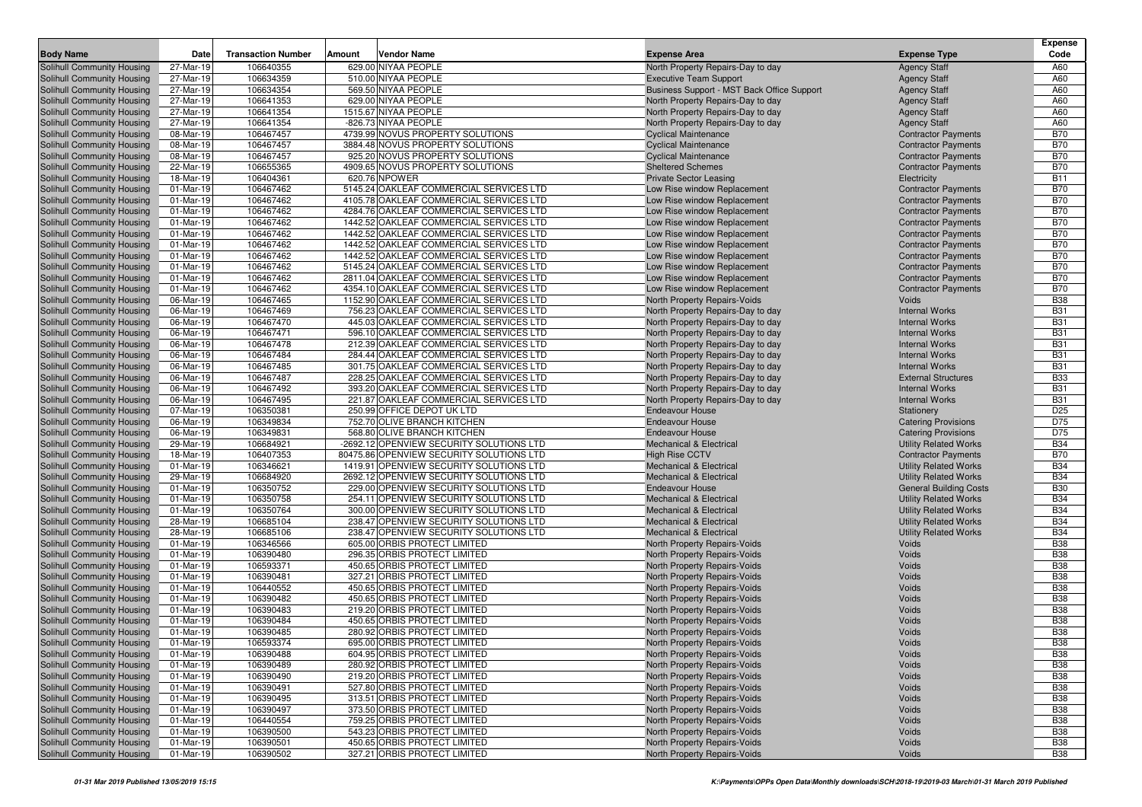| <b>Body Name</b>                  | Date                    | <b>Transaction Number</b> | Amount<br>Vendor Name                    | <b>Expense Area</b>                        | <b>Expense Type</b>           | <b>Expense</b><br>Code |
|-----------------------------------|-------------------------|---------------------------|------------------------------------------|--------------------------------------------|-------------------------------|------------------------|
| Solihull Community Housing        | 27-Mar-19               | 106640355                 | 629.00 NIYAA PEOPLE                      | North Property Repairs-Day to day          | <b>Agency Staff</b>           | A60                    |
| Solihull Community Housing        | 27-Mar-19               | 106634359                 | 510.00 NIYAA PEOPLE                      | <b>Executive Team Support</b>              | <b>Agency Staff</b>           | A60                    |
| Solihull Community Housing        | 27-Mar-19               | 106634354                 | 569.50 NIYAA PEOPLE                      | Business Support - MST Back Office Support | <b>Agency Staff</b>           | A60                    |
| Solihull Community Housing        | 27-Mar-19               | 106641353                 | 629.00 NIYAA PEOPLE                      | North Property Repairs-Day to day          | <b>Agency Staff</b>           | A60                    |
| Solihull Community Housing        | 27-Mar-19               | 106641354                 | 1515.67 NIYAA PEOPLE                     | North Property Repairs-Day to day          | <b>Agency Staff</b>           | A60                    |
| Solihull Community Housing        | 27-Mar-19               | 106641354                 | -826.73 NIYAA PEOPLE                     | North Property Repairs-Day to day          | <b>Agency Staff</b>           | A60                    |
| Solihull Community Housing        | 08-Mar-19               | 106467457                 | 4739.99 NOVUS PROPERTY SOLUTIONS         | <b>Cyclical Maintenance</b>                | <b>Contractor Payments</b>    | <b>B70</b>             |
| Solihull Community Housing        | 08-Mar-19               | 106467457                 | 3884.48 NOVUS PROPERTY SOLUTIONS         | <b>Cyclical Maintenance</b>                | <b>Contractor Payments</b>    | <b>B70</b>             |
| Solihull Community Housing        | 08-Mar-19               | 106467457                 | 925.20 NOVUS PROPERTY SOLUTIONS          | <b>Cyclical Maintenance</b>                | <b>Contractor Payments</b>    | <b>B70</b>             |
| Solihull Community Housing        | 22-Mar-19               | 106655365                 | 4909.65 NOVUS PROPERTY SOLUTIONS         | <b>Sheltered Schemes</b>                   | <b>Contractor Payments</b>    | <b>B70</b>             |
| Solihull Community Housing        | 18-Mar-19               | 106404361                 | 620.76 NPOWER                            | <b>Private Sector Leasing</b>              | Electricity                   | <b>B11</b>             |
| Solihull Community Housing        | 01-Mar-19               | 106467462                 | 5145.24 OAKLEAF COMMERCIAL SERVICES LTD  | Low Rise window Replacement                | <b>Contractor Payments</b>    | <b>B70</b>             |
| Solihull Community Housing        | 01-Mar-19               | 106467462                 | 4105.78 OAKLEAF COMMERCIAL SERVICES LTD  | Low Rise window Replacement                | <b>Contractor Payments</b>    | <b>B70</b>             |
| Solihull Community Housing        | 01-Mar-19               | 106467462                 | 4284.76 OAKLEAF COMMERCIAL SERVICES LTD  | Low Rise window Replacement                | <b>Contractor Payments</b>    | <b>B70</b>             |
| Solihull Community Housing        | 01-Mar-19               | 106467462                 | 1442.52 OAKLEAF COMMERCIAL SERVICES LTD  | Low Rise window Replacement                | <b>Contractor Payments</b>    | <b>B70</b>             |
| Solihull Community Housing        | 01-Mar-19               | 106467462                 | 1442.52 OAKLEAF COMMERCIAL SERVICES LTD  | Low Rise window Replacement                | <b>Contractor Payments</b>    | <b>B70</b>             |
| Solihull Community Housing        | 01-Mar-19               | 106467462                 | 1442.52 OAKLEAF COMMERCIAL SERVICES LTD  | Low Rise window Replacement                | <b>Contractor Payments</b>    | <b>B70</b>             |
| Solihull Community Housing        | 01-Mar-19               | 106467462                 | 1442.52 OAKLEAF COMMERCIAL SERVICES LTD  | Low Rise window Replacement                | <b>Contractor Payments</b>    | <b>B70</b>             |
| Solihull Community Housing        | 01-Mar-19               | 106467462                 | 5145.24 OAKLEAF COMMERCIAL SERVICES LTD  | Low Rise window Replacement                | <b>Contractor Payments</b>    | <b>B70</b>             |
| Solihull Community Housing        | 01-Mar-19               | 106467462                 | 2811.04 OAKLEAF COMMERCIAL SERVICES LTD  | Low Rise window Replacement                | <b>Contractor Payments</b>    | <b>B70</b>             |
| Solihull Community Housing        | 01-Mar-19               | 106467462                 | 4354.10 OAKLEAF COMMERCIAL SERVICES LTD  | Low Rise window Replacement                | <b>Contractor Payments</b>    | <b>B70</b>             |
| Solihull Community Housing        | 06-Mar-19               | 106467465                 | 1152.90 OAKLEAF COMMERCIAL SERVICES LTD  | <b>North Property Repairs-Voids</b>        | Voids                         | <b>B38</b>             |
| Solihull Community Housing        | 06-Mar-19               | 106467469                 | 756.23 OAKLEAF COMMERCIAL SERVICES LTD   | North Property Repairs-Day to day          | <b>Internal Works</b>         | <b>B31</b>             |
| Solihull Community Housing        | 06-Mar-19               | 106467470                 | 445.03 OAKLEAF COMMERCIAL SERVICES LTD   | North Property Repairs-Day to day          | <b>Internal Works</b>         | <b>B31</b>             |
| Solihull Community Housing        | 06-Mar-19               | 106467471                 | 596.10 OAKLEAF COMMERCIAL SERVICES LTD   | North Property Repairs-Day to day          | <b>Internal Works</b>         | <b>B31</b>             |
| Solihull Community Housing        | 06-Mar-19               | 106467478                 | 212.39 OAKLEAF COMMERCIAL SERVICES LTD   | North Property Repairs-Day to day          | <b>Internal Works</b>         | <b>B31</b>             |
| Solihull Community Housing        | 06-Mar-19               | 106467484                 | 284.44 OAKLEAF COMMERCIAL SERVICES LTD   | North Property Repairs-Day to day          | <b>Internal Works</b>         | <b>B31</b>             |
| Solihull Community Housing        | 06-Mar-19               | 106467485                 | 301.75 OAKLEAF COMMERCIAL SERVICES LTD   | North Property Repairs-Day to day          | <b>Internal Works</b>         | <b>B31</b>             |
| Solihull Community Housing        | 06-Mar-19               | 106467487                 | 228.25 OAKLEAF COMMERCIAL SERVICES LTD   | North Property Repairs-Day to day          | <b>External Structures</b>    | <b>B33</b>             |
| Solihull Community Housing        | 06-Mar-19               | 106467492                 | 393.20 OAKLEAF COMMERCIAL SERVICES LTD   | North Property Repairs-Day to day          | <b>Internal Works</b>         | <b>B31</b>             |
| Solihull Community Housing        | 06-Mar-19               | 106467495                 | 221.87 OAKLEAF COMMERCIAL SERVICES LTD   | North Property Repairs-Day to day          | <b>Internal Works</b>         | <b>B31</b>             |
| Solihull Community Housing        | 07-Mar-19               | 106350381                 | 250.99 OFFICE DEPOT UK LTD               | <b>Endeavour House</b>                     | Stationery                    | D <sub>25</sub>        |
| Solihull Community Housing        | 06-Mar-19               | 106349834                 | 752.70 OLIVE BRANCH KITCHEN              | <b>Endeavour House</b>                     | <b>Catering Provisions</b>    | D75                    |
| Solihull Community Housing        | 06-Mar-19               | 106349831                 | 568.80 OLIVE BRANCH KITCHEN              | <b>Endeavour House</b>                     | <b>Catering Provisions</b>    | D75                    |
| Solihull Community Housing        | 29-Mar-19               | 106684921                 | -2692.12 OPENVIEW SECURITY SOLUTIONS LTD | <b>Mechanical &amp; Electrical</b>         | <b>Utility Related Works</b>  | <b>B34</b>             |
| Solihull Community Housing        | 18-Mar-19               | 106407353                 | 80475.86 OPENVIEW SECURITY SOLUTIONS LTD | <b>High Rise CCTV</b>                      | <b>Contractor Payments</b>    | <b>B70</b>             |
| Solihull Community Housing        | 01-Mar-19               | 106346621                 | 1419.91 OPENVIEW SECURITY SOLUTIONS LTD  | <b>Mechanical &amp; Electrical</b>         | <b>Utility Related Works</b>  | <b>B34</b>             |
| <b>Solihull Community Housing</b> | 29-Mar-19               | 106684920                 | 2692.12 OPENVIEW SECURITY SOLUTIONS LTD  | <b>Mechanical &amp; Electrical</b>         | <b>Utility Related Works</b>  | <b>B34</b>             |
| Solihull Community Housing        | 01-Mar-19               | 106350752                 | 229.00 OPENVIEW SECURITY SOLUTIONS LTD   | <b>Endeavour House</b>                     | <b>General Building Costs</b> | <b>B30</b>             |
| Solihull Community Housing        | 01-Mar-19               | 106350758                 | 254.11 OPENVIEW SECURITY SOLUTIONS LTD   | Mechanical & Electrical                    | <b>Utility Related Works</b>  | <b>B34</b>             |
| Solihull Community Housing        | 01-Mar-19               | 106350764                 | 300.00 OPENVIEW SECURITY SOLUTIONS LTD   | <b>Mechanical &amp; Electrical</b>         | <b>Utility Related Works</b>  | <b>B34</b>             |
| Solihull Community Housing        | 28-Mar-19               | 106685104                 | 238.47 OPENVIEW SECURITY SOLUTIONS LTD   | <b>Mechanical &amp; Electrical</b>         | <b>Utility Related Works</b>  | <b>B34</b>             |
| Solihull Community Housing        | 28-Mar-19               | 106685106                 | 238.47 OPENVIEW SECURITY SOLUTIONS LTD   | <b>Mechanical &amp; Electrical</b>         | <b>Utility Related Works</b>  | <b>B34</b>             |
| Solihull Community Housing        | 01-Mar-19               | 106346566                 | 605.00 ORBIS PROTECT LIMITED             | North Property Repairs-Voids               | Voids                         | <b>B38</b>             |
| Solihull Community Housing        | 01-Mar-19               | 106390480                 | 296.35 ORBIS PROTECT LIMITED             | <b>North Property Repairs-Voids</b>        | Voids                         | <b>B38</b>             |
| Solihull Community Housing        | 01-Mar-19               | 106593371                 | 450.65 ORBIS PROTECT LIMITED             | <b>North Property Repairs-Voids</b>        | Voids                         | <b>B38</b>             |
| Solihull Community Housing        | 01-Mar-19               | 106390481                 | 327.21 ORBIS PROTECT LIMITED             | <b>North Property Repairs-Voids</b>        | Voids                         | <b>B38</b>             |
| Solihull Community Housing        | 01-Mar-19               | 106440552                 | 450.65 ORBIS PROTECT LIMITED             | North Property Repairs-Voids               | Voids                         | <b>B38</b>             |
| Solihull Community Housing        | 01-Mar-19               | 106390482                 | 450.65 ORBIS PROTECT LIMITED             | <b>North Property Repairs-Voids</b>        | Voids                         | <b>B38</b>             |
| <b>Solihull Community Housing</b> | 01-Mar-19               | 106390483                 | 219.20 ORBIS PROTECT LIMITED             | <b>North Property Repairs-Voids</b>        | Voids                         | <b>B38</b>             |
| Solihull Community Housing        | 01-Mar-19               | 106390484                 | 450.65 ORBIS PROTECT LIMITED             | North Property Repairs-Voids               | Voids                         | <b>B38</b>             |
| Solihull Community Housing        | 01-Mar-19               | 106390485                 | 280.92 ORBIS PROTECT LIMITED             | <b>North Property Repairs-Voids</b>        | Voids                         | <b>B38</b>             |
| Solihull Community Housing        | 01-Mar-19               | 106593374                 | 695.00 ORBIS PROTECT LIMITED             | North Property Repairs-Voids               | Voids                         | <b>B38</b>             |
| Solihull Community Housing        | 01-Mar-19               | 106390488                 | 604.95 ORBIS PROTECT LIMITED             | North Property Repairs-Voids               | Voids                         | <b>B38</b>             |
| Solihull Community Housing        | 01-Mar-19               | 106390489                 | 280.92 ORBIS PROTECT LIMITED             | North Property Repairs-Voids               | Voids                         | <b>B38</b>             |
| Solihull Community Housing        | 01-Mar-19               | 106390490                 | 219.20 ORBIS PROTECT LIMITED             | <b>North Property Repairs-Voids</b>        | Voids                         | <b>B38</b>             |
| Solihull Community Housing        | 01-Mar-19               | 106390491                 | 527.80 ORBIS PROTECT LIMITED             | North Property Repairs-Voids               | Voids                         | <b>B38</b>             |
| Solihull Community Housing        | 01-Mar-19               | 106390495                 | 313.51 ORBIS PROTECT LIMITED             | North Property Repairs-Voids               | Voids                         | <b>B38</b>             |
| Solihull Community Housing        | 01-Mar-19               | 106390497                 | 373.50 ORBIS PROTECT LIMITED             | North Property Repairs-Voids               | Voids                         | <b>B38</b>             |
| Solihull Community Housing        | 01-Mar-19               | 106440554                 | 759.25 ORBIS PROTECT LIMITED             | North Property Repairs-Voids               | Voids                         | <b>B38</b>             |
| Solihull Community Housing        | $\overline{01}$ -Mar-19 | 106390500                 | 543.23 ORBIS PROTECT LIMITED             | North Property Repairs-Voids               | Voids                         | <b>B38</b>             |
| Solihull Community Housing        | 01-Mar-19               | 106390501                 | 450.65 ORBIS PROTECT LIMITED             | North Property Repairs-Voids               | Voids                         | <b>B38</b>             |
| Solihull Community Housing        | 01-Mar-19               | 106390502                 | 327.21 ORBIS PROTECT LIMITED             | North Property Repairs-Voids               | Voids                         | <b>B38</b>             |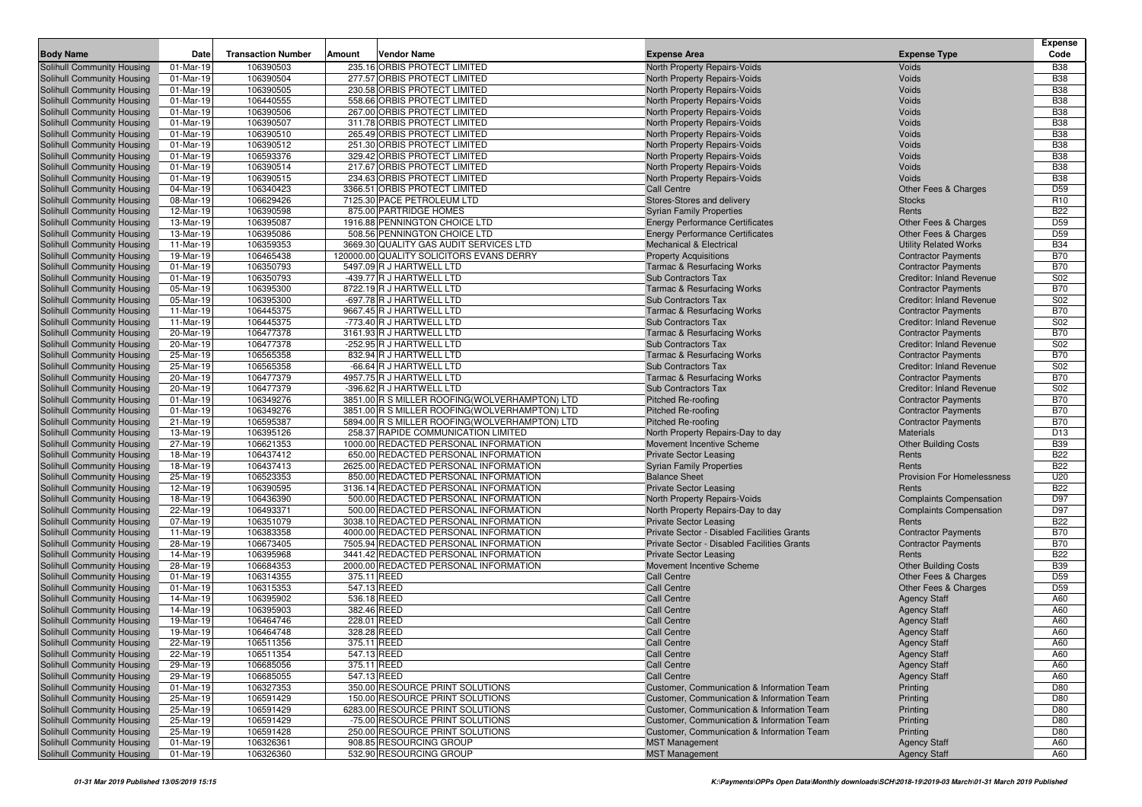| 106390503<br>Solihull Community Housing<br>01-Mar-19<br>235.16 ORBIS PROTECT LIMITED<br>North Property Repairs-Voids<br>Voids<br>01-Mar-19<br>106390504<br>277.57 ORBIS PROTECT LIMITED<br>Solihull Community Housing<br>North Property Repairs-Voids<br>Voids<br>01-Mar-19<br>106390505<br>230.58 ORBIS PROTECT LIMITED<br>Voids<br>Solihull Community Housing<br>North Property Repairs-Voids<br><b>Solihull Community Housing</b><br>106440555<br>558.66 ORBIS PROTECT LIMITED<br>North Property Repairs-Voids<br>Voids<br>01-Mar-19<br>106390506<br>267.00 ORBIS PROTECT LIMITED<br>Solihull Community Housing<br>01-Mar-19<br>North Property Repairs-Voids<br>Voids<br>106390507<br>311.78 ORBIS PROTECT LIMITED<br>Solihull Community Housing<br>01-Mar-19<br>North Property Repairs-Voids<br>Voids<br>01-Mar-19<br>106390510<br>265.49 ORBIS PROTECT LIMITED<br>Voids<br>Solihull Community Housing<br>North Property Repairs-Voids<br>01-Mar-19<br>106390512<br>251.30 ORBIS PROTECT LIMITED<br>Solihull Community Housing<br>North Property Repairs-Voids<br>Voids<br>106593376<br>329.42 ORBIS PROTECT LIMITED<br>Solihull Community Housing<br>01-Mar-19<br>North Property Repairs-Voids<br>Voids<br>Solihull Community Housing<br>01-Mar-19<br>106390514<br>217.67 ORBIS PROTECT LIMITED<br>Voids<br>North Property Repairs-Voids<br>106390515<br>234.63 ORBIS PROTECT LIMITED<br>Voids<br>Solihull Community Housing<br>01-Mar-19<br>North Property Repairs-Voids<br>Solihull Community Housing<br>04-Mar-19<br>106340423<br>3366.51 ORBIS PROTECT LIMITED<br>Call Centre<br>Other Fees & Charges<br>08-Mar-19<br>106629426<br>7125.30 PACE PETROLEUM LTD<br>Solihull Community Housing<br>Stores-Stores and delivery<br><b>Stocks</b><br>12-Mar-19<br>106390598<br>875.00 PARTRIDGE HOMES<br>Solihull Community Housing<br><b>Syrian Family Properties</b><br>Rents<br>Solihull Community Housing<br>13-Mar-19<br>106395087<br>1916.88 PENNINGTON CHOICE LTD<br><b>Energy Performance Certificates</b><br>Other Fees & Charges<br>13-Mar-19<br>508.56 PENNINGTON CHOICE LTD<br><b>Energy Performance Certificates</b><br>Other Fees & Charges<br>Solihull Community Housing<br>106395086<br>106359353<br>3669.30 QUALITY GAS AUDIT SERVICES LTD<br>Solihull Community Housing<br>11-Mar-19<br><b>Mechanical &amp; Electrical</b><br><b>Utility Related Works</b><br>19-Mar-19<br>106465438<br>120000.00 QUALITY SOLICITORS EVANS DERRY<br>Solihull Community Housing<br><b>Property Acquisitions</b><br><b>Contractor Payments</b><br>01-Mar-19<br>106350793<br>5497.09 R J HARTWELL LTD<br>Solihull Community Housing<br><b>Tarmac &amp; Resurfacing Works</b><br><b>Contractor Payments</b><br>106350793<br>-439.77 R J HARTWELL LTD<br><b>Creditor: Inland Revenue</b><br>Solihull Community Housing<br>01-Mar-19<br><b>Sub Contractors Tax</b><br>Solihull Community Housing<br>05-Mar-19<br>106395300<br>8722.19 R J HARTWELL LTD<br><b>Tarmac &amp; Resurfacing Works</b><br><b>Contractor Payments</b><br>106395300<br>Solihull Community Housing<br>05-Mar-19<br>-697.78 R J HARTWELL LTD<br><b>Sub Contractors Tax</b><br>Creditor: Inland Revenue<br>106445375<br>9667.45 R J HARTWELL LTD<br>Solihull Community Housing<br>11-Mar-19<br><b>Tarmac &amp; Resurfacing Works</b><br><b>Contractor Payments</b><br>11-Mar-19<br>106445375<br>-773.40 R J HARTWELL LTD<br>Solihull Community Housing<br>Sub Contractors Tax<br><b>Creditor: Inland Revenue</b><br><b>B70</b><br>20-Mar-19<br>106477378<br>3161.93 R J HARTWELL LTD<br>Solihull Community Housing<br><b>Tarmac &amp; Resurfacing Works</b><br><b>Contractor Payments</b><br>106477378<br>S02<br>Solihull Community Housing<br>20-Mar-19<br>-252.95 R J HARTWELL LTD<br>Sub Contractors Tax<br>Creditor: Inland Revenue<br>106565358<br>25-Mar-19<br>832.94 R J HARTWELL LTD<br><b>Contractor Payments</b><br>Solihull Community Housing<br><b>Tarmac &amp; Resurfacing Works</b><br>25-Mar-19<br>106565358<br>-66.64 R J HARTWELL LTD<br>Solihull Community Housing<br>Sub Contractors Tax<br>Creditor: Inland Revenue<br>Solihull Community Housing<br>106477379<br>4957.75 R J HARTWELL LTD<br>20-Mar-19<br><b>Tarmac &amp; Resurfacing Works</b><br><b>Contractor Payments</b><br>106477379<br>Solihull Community Housing<br>20-Mar-19<br>-396.62 R J HARTWELL LTD<br>Sub Contractors Tax<br>Creditor: Inland Revenue<br>01-Mar-19<br>106349276<br>3851.00 R S MILLER ROOFING (WOLVERHAMPTON) LTD<br>Solihull Community Housing<br><b>Pitched Re-roofing</b><br><b>Contractor Payments</b><br>01-Mar-19<br>106349276<br>3851.00 R S MILLER ROOFING(WOLVERHAMPTON) LTD<br>Solihull Community Housing<br><b>Pitched Re-roofing</b><br><b>Contractor Payments</b><br>21-Mar-19<br>106595387<br>5894.00 R S MILLER ROOFING(WOLVERHAMPTON) LTD<br><b>Contractor Payments</b><br>Solihull Community Housing<br><b>Pitched Re-roofing</b><br>13-Mar-19<br>106395126<br>258.37 RAPIDE COMMUNICATION LIMITED<br>Solihull Community Housing<br>North Property Repairs-Day to day<br><b>Materials</b><br>Solihull Community Housing<br>27-Mar-19<br>106621353<br>1000.00 REDACTED PERSONAL INFORMATION<br>Movement Incentive Scheme<br><b>Other Building Costs</b><br>106437412<br>650.00 REDACTED PERSONAL INFORMATION<br>Solihull Community Housing<br>18-Mar-19<br><b>Private Sector Leasing</b><br>Rents<br>18-Mar-19<br>106437413<br>2625.00 REDACTED PERSONAL INFORMATION<br>Solihull Community Housing<br><b>Syrian Family Properties</b><br>Rents<br>106523353<br>850.00 REDACTED PERSONAL INFORMATION<br>Solihull Community Housing<br>25-Mar-19<br><b>Balance Sheet</b><br><b>Provision For Homelessness</b><br>Solihull Community Housing<br>12-Mar-19<br>106390595<br>3136.14 REDACTED PERSONAL INFORMATION<br><b>Private Sector Leasing</b><br>Rents<br>18-Mar-19<br>106436390<br>500.00 REDACTED PERSONAL INFORMATION<br>North Property Repairs-Voids<br>Solihull Community Housing<br><b>Complaints Compensation</b><br>22-Mar-19<br>106493371<br>500.00 REDACTED PERSONAL INFORMATION<br>Solihull Community Housing<br>North Property Repairs-Day to day<br><b>Complaints Compensation</b><br>07-Mar-19<br>106351079<br>3038.10 REDACTED PERSONAL INFORMATION<br>Solihull Community Housing<br><b>Private Sector Leasing</b><br>Rents<br>106383358<br>4000.00 REDACTED PERSONAL INFORMATION<br>Private Sector - Disabled Facilities Grants<br>Solihull Community Housing<br>11-Mar-19<br><b>Contractor Payments</b><br>28-Mar-19<br>106673405<br>7505.94 REDACTED PERSONAL INFORMATION<br>Private Sector - Disabled Facilities Grants<br>Solihull Community Housing<br><b>Contractor Payments</b><br>106395968<br>3441.42 REDACTED PERSONAL INFORMATION<br>Solihull Community Housing<br>14-Mar-19<br><b>Private Sector Leasing</b><br>Rents<br>Solihull Community Housing<br>28-Mar-19<br>106684353<br>2000.00 REDACTED PERSONAL INFORMATION<br><b>Other Building Costs</b><br>Movement Incentive Scheme<br>106314355<br>375.11 REED<br><b>Call Centre</b><br>Solihull Community Housing<br>01-Mar-19<br>Other Fees & Charges<br>106315353<br>547.13 REED<br>Solihull Community Housing<br>01-Mar-19<br><b>Call Centre</b><br>Other Fees & Charges<br>14-Mar-19<br>106395902<br>536.18 REED<br><b>Agency Staff</b><br>Solihull Community Housing<br><b>Call Centre</b><br>382.46 REED<br>14-Mar-19<br>106395903<br><b>Call Centre</b><br>Solihull Community Housing<br><b>Agency Staff</b><br>19-Mar-19<br>106464746<br>228.01 REED<br>Solihull Community Housing<br><b>Call Centre</b><br><b>Agency Staff</b><br>Solihull Community Housing<br>19-Mar-19<br>106464748<br>328.28 REED<br>A60<br><b>Call Centre</b><br><b>Agency Staff</b><br>Solihull Community Housing<br>22-Mar-19<br>375.11 REED<br>A60<br>106511356<br>Call Centre<br><b>Agency Staff</b><br>547.13 REED<br><b>Agency Staff</b><br>A60<br>Solihull Community Housing<br>22-Mar-19<br>106511354<br><b>Call Centre</b><br>Solihull Community Housing<br>29-Mar-19<br>106685056<br>375.11 REED<br>Call Centre<br><b>Agency Staff</b><br>A60<br>Solihull Community Housing<br>29-Mar-19<br>106685055<br>547.13 REED<br><b>Call Centre</b><br><b>Agency Staff</b><br>Solihull Community Housing<br>01-Mar-19<br>106327353<br>350.00 RESOURCE PRINT SOLUTIONS<br>Customer, Communication & Information Team<br>Printing<br>Solihull Community Housing<br>25-Mar-19<br>106591429<br>150.00 RESOURCE PRINT SOLUTIONS<br>Printing<br>Customer, Communication & Information Team<br>6283.00 RESOURCE PRINT SOLUTIONS | <b>Body Name</b>           | Date      | <b>Transaction Number</b> | Amount | <b>Vendor Name</b> | <b>Expense Area</b>                        | <b>Expense Type</b> | <b>Expense</b><br>Code |
|----------------------------------------------------------------------------------------------------------------------------------------------------------------------------------------------------------------------------------------------------------------------------------------------------------------------------------------------------------------------------------------------------------------------------------------------------------------------------------------------------------------------------------------------------------------------------------------------------------------------------------------------------------------------------------------------------------------------------------------------------------------------------------------------------------------------------------------------------------------------------------------------------------------------------------------------------------------------------------------------------------------------------------------------------------------------------------------------------------------------------------------------------------------------------------------------------------------------------------------------------------------------------------------------------------------------------------------------------------------------------------------------------------------------------------------------------------------------------------------------------------------------------------------------------------------------------------------------------------------------------------------------------------------------------------------------------------------------------------------------------------------------------------------------------------------------------------------------------------------------------------------------------------------------------------------------------------------------------------------------------------------------------------------------------------------------------------------------------------------------------------------------------------------------------------------------------------------------------------------------------------------------------------------------------------------------------------------------------------------------------------------------------------------------------------------------------------------------------------------------------------------------------------------------------------------------------------------------------------------------------------------------------------------------------------------------------------------------------------------------------------------------------------------------------------------------------------------------------------------------------------------------------------------------------------------------------------------------------------------------------------------------------------------------------------------------------------------------------------------------------------------------------------------------------------------------------------------------------------------------------------------------------------------------------------------------------------------------------------------------------------------------------------------------------------------------------------------------------------------------------------------------------------------------------------------------------------------------------------------------------------------------------------------------------------------------------------------------------------------------------------------------------------------------------------------------------------------------------------------------------------------------------------------------------------------------------------------------------------------------------------------------------------------------------------------------------------------------------------------------------------------------------------------------------------------------------------------------------------------------------------------------------------------------------------------------------------------------------------------------------------------------------------------------------------------------------------------------------------------------------------------------------------------------------------------------------------------------------------------------------------------------------------------------------------------------------------------------------------------------------------------------------------------------------------------------------------------------------------------------------------------------------------------------------------------------------------------------------------------------------------------------------------------------------------------------------------------------------------------------------------------------------------------------------------------------------------------------------------------------------------------------------------------------------------------------------------------------------------------------------------------------------------------------------------------------------------------------------------------------------------------------------------------------------------------------------------------------------------------------------------------------------------------------------------------------------------------------------------------------------------------------------------------------------------------------------------------------------------------------------------------------------------------------------------------------------------------------------------------------------------------------------------------------------------------------------------------------------------------------------------------------------------------------------------------------------------------------------------------------------------------------------------------------------------------------------------------------------------------------------------------------------------------------------------------------------------------------------------------------------------------------------------------------------------------------------------------------------------------------------------------------------------------------------------------------------------------------------------------------------------------------------------------------------------------------------------------------------------------------------------------------------------------------------------------------------------------------------------------------------------------------------------------------------------------------------------------------------------------------------------------------------------------------------------------------------------------------------------------------------------------------------------------------------------------------------------------------------------------------------------------------------------------------------------------------------------------------------------------------------------------------------------------------------------------------------------------------------------------------------------------------------------------------------------------------------------------------------------------------------------------------------------------------------------------------------------------------------------------------------------------------------------------------------------------------------------------------------------------------------------------------------------------------------------------------------------------------------------------------------------------------------------------------------------------------------------------------------------------------------------------------------------------------------------------------------------------------------------------------------------------------------------------------------------------------------------------------------------------------------------------------------------------------------------------------------|----------------------------|-----------|---------------------------|--------|--------------------|--------------------------------------------|---------------------|------------------------|
|                                                                                                                                                                                                                                                                                                                                                                                                                                                                                                                                                                                                                                                                                                                                                                                                                                                                                                                                                                                                                                                                                                                                                                                                                                                                                                                                                                                                                                                                                                                                                                                                                                                                                                                                                                                                                                                                                                                                                                                                                                                                                                                                                                                                                                                                                                                                                                                                                                                                                                                                                                                                                                                                                                                                                                                                                                                                                                                                                                                                                                                                                                                                                                                                                                                                                                                                                                                                                                                                                                                                                                                                                                                                                                                                                                                                                                                                                                                                                                                                                                                                                                                                                                                                                                                                                                                                                                                                                                                                                                                                                                                                                                                                                                                                                                                                                                                                                                                                                                                                                                                                                                                                                                                                                                                                                                                                                                                                                                                                                                                                                                                                                                                                                                                                                                                                                                                                                                                                                                                                                                                                                                                                                                                                                                                                                                                                                                                                                                                                                                                                                                                                                                                                                                                                                                                                                                                                                                                                                                                                                                                                                                                                                                                                                                                                                                                                                                                                                                                                                                                                                                                                                                                                                                                                                                                                                                                                                                                                                                                                                                                                                                                                                                                                                                                                                                                                                                                                                                                                                                                                                                            |                            |           |                           |        |                    |                                            |                     | <b>B38</b>             |
|                                                                                                                                                                                                                                                                                                                                                                                                                                                                                                                                                                                                                                                                                                                                                                                                                                                                                                                                                                                                                                                                                                                                                                                                                                                                                                                                                                                                                                                                                                                                                                                                                                                                                                                                                                                                                                                                                                                                                                                                                                                                                                                                                                                                                                                                                                                                                                                                                                                                                                                                                                                                                                                                                                                                                                                                                                                                                                                                                                                                                                                                                                                                                                                                                                                                                                                                                                                                                                                                                                                                                                                                                                                                                                                                                                                                                                                                                                                                                                                                                                                                                                                                                                                                                                                                                                                                                                                                                                                                                                                                                                                                                                                                                                                                                                                                                                                                                                                                                                                                                                                                                                                                                                                                                                                                                                                                                                                                                                                                                                                                                                                                                                                                                                                                                                                                                                                                                                                                                                                                                                                                                                                                                                                                                                                                                                                                                                                                                                                                                                                                                                                                                                                                                                                                                                                                                                                                                                                                                                                                                                                                                                                                                                                                                                                                                                                                                                                                                                                                                                                                                                                                                                                                                                                                                                                                                                                                                                                                                                                                                                                                                                                                                                                                                                                                                                                                                                                                                                                                                                                                                                            |                            |           |                           |        |                    |                                            |                     | <b>B38</b>             |
|                                                                                                                                                                                                                                                                                                                                                                                                                                                                                                                                                                                                                                                                                                                                                                                                                                                                                                                                                                                                                                                                                                                                                                                                                                                                                                                                                                                                                                                                                                                                                                                                                                                                                                                                                                                                                                                                                                                                                                                                                                                                                                                                                                                                                                                                                                                                                                                                                                                                                                                                                                                                                                                                                                                                                                                                                                                                                                                                                                                                                                                                                                                                                                                                                                                                                                                                                                                                                                                                                                                                                                                                                                                                                                                                                                                                                                                                                                                                                                                                                                                                                                                                                                                                                                                                                                                                                                                                                                                                                                                                                                                                                                                                                                                                                                                                                                                                                                                                                                                                                                                                                                                                                                                                                                                                                                                                                                                                                                                                                                                                                                                                                                                                                                                                                                                                                                                                                                                                                                                                                                                                                                                                                                                                                                                                                                                                                                                                                                                                                                                                                                                                                                                                                                                                                                                                                                                                                                                                                                                                                                                                                                                                                                                                                                                                                                                                                                                                                                                                                                                                                                                                                                                                                                                                                                                                                                                                                                                                                                                                                                                                                                                                                                                                                                                                                                                                                                                                                                                                                                                                                                            |                            |           |                           |        |                    |                                            |                     | <b>B38</b>             |
|                                                                                                                                                                                                                                                                                                                                                                                                                                                                                                                                                                                                                                                                                                                                                                                                                                                                                                                                                                                                                                                                                                                                                                                                                                                                                                                                                                                                                                                                                                                                                                                                                                                                                                                                                                                                                                                                                                                                                                                                                                                                                                                                                                                                                                                                                                                                                                                                                                                                                                                                                                                                                                                                                                                                                                                                                                                                                                                                                                                                                                                                                                                                                                                                                                                                                                                                                                                                                                                                                                                                                                                                                                                                                                                                                                                                                                                                                                                                                                                                                                                                                                                                                                                                                                                                                                                                                                                                                                                                                                                                                                                                                                                                                                                                                                                                                                                                                                                                                                                                                                                                                                                                                                                                                                                                                                                                                                                                                                                                                                                                                                                                                                                                                                                                                                                                                                                                                                                                                                                                                                                                                                                                                                                                                                                                                                                                                                                                                                                                                                                                                                                                                                                                                                                                                                                                                                                                                                                                                                                                                                                                                                                                                                                                                                                                                                                                                                                                                                                                                                                                                                                                                                                                                                                                                                                                                                                                                                                                                                                                                                                                                                                                                                                                                                                                                                                                                                                                                                                                                                                                                                            |                            |           |                           |        |                    |                                            |                     | <b>B38</b>             |
|                                                                                                                                                                                                                                                                                                                                                                                                                                                                                                                                                                                                                                                                                                                                                                                                                                                                                                                                                                                                                                                                                                                                                                                                                                                                                                                                                                                                                                                                                                                                                                                                                                                                                                                                                                                                                                                                                                                                                                                                                                                                                                                                                                                                                                                                                                                                                                                                                                                                                                                                                                                                                                                                                                                                                                                                                                                                                                                                                                                                                                                                                                                                                                                                                                                                                                                                                                                                                                                                                                                                                                                                                                                                                                                                                                                                                                                                                                                                                                                                                                                                                                                                                                                                                                                                                                                                                                                                                                                                                                                                                                                                                                                                                                                                                                                                                                                                                                                                                                                                                                                                                                                                                                                                                                                                                                                                                                                                                                                                                                                                                                                                                                                                                                                                                                                                                                                                                                                                                                                                                                                                                                                                                                                                                                                                                                                                                                                                                                                                                                                                                                                                                                                                                                                                                                                                                                                                                                                                                                                                                                                                                                                                                                                                                                                                                                                                                                                                                                                                                                                                                                                                                                                                                                                                                                                                                                                                                                                                                                                                                                                                                                                                                                                                                                                                                                                                                                                                                                                                                                                                                                            |                            |           |                           |        |                    |                                            |                     | <b>B38</b>             |
|                                                                                                                                                                                                                                                                                                                                                                                                                                                                                                                                                                                                                                                                                                                                                                                                                                                                                                                                                                                                                                                                                                                                                                                                                                                                                                                                                                                                                                                                                                                                                                                                                                                                                                                                                                                                                                                                                                                                                                                                                                                                                                                                                                                                                                                                                                                                                                                                                                                                                                                                                                                                                                                                                                                                                                                                                                                                                                                                                                                                                                                                                                                                                                                                                                                                                                                                                                                                                                                                                                                                                                                                                                                                                                                                                                                                                                                                                                                                                                                                                                                                                                                                                                                                                                                                                                                                                                                                                                                                                                                                                                                                                                                                                                                                                                                                                                                                                                                                                                                                                                                                                                                                                                                                                                                                                                                                                                                                                                                                                                                                                                                                                                                                                                                                                                                                                                                                                                                                                                                                                                                                                                                                                                                                                                                                                                                                                                                                                                                                                                                                                                                                                                                                                                                                                                                                                                                                                                                                                                                                                                                                                                                                                                                                                                                                                                                                                                                                                                                                                                                                                                                                                                                                                                                                                                                                                                                                                                                                                                                                                                                                                                                                                                                                                                                                                                                                                                                                                                                                                                                                                                            |                            |           |                           |        |                    |                                            |                     | <b>B38</b>             |
|                                                                                                                                                                                                                                                                                                                                                                                                                                                                                                                                                                                                                                                                                                                                                                                                                                                                                                                                                                                                                                                                                                                                                                                                                                                                                                                                                                                                                                                                                                                                                                                                                                                                                                                                                                                                                                                                                                                                                                                                                                                                                                                                                                                                                                                                                                                                                                                                                                                                                                                                                                                                                                                                                                                                                                                                                                                                                                                                                                                                                                                                                                                                                                                                                                                                                                                                                                                                                                                                                                                                                                                                                                                                                                                                                                                                                                                                                                                                                                                                                                                                                                                                                                                                                                                                                                                                                                                                                                                                                                                                                                                                                                                                                                                                                                                                                                                                                                                                                                                                                                                                                                                                                                                                                                                                                                                                                                                                                                                                                                                                                                                                                                                                                                                                                                                                                                                                                                                                                                                                                                                                                                                                                                                                                                                                                                                                                                                                                                                                                                                                                                                                                                                                                                                                                                                                                                                                                                                                                                                                                                                                                                                                                                                                                                                                                                                                                                                                                                                                                                                                                                                                                                                                                                                                                                                                                                                                                                                                                                                                                                                                                                                                                                                                                                                                                                                                                                                                                                                                                                                                                                            |                            |           |                           |        |                    |                                            |                     | <b>B38</b>             |
|                                                                                                                                                                                                                                                                                                                                                                                                                                                                                                                                                                                                                                                                                                                                                                                                                                                                                                                                                                                                                                                                                                                                                                                                                                                                                                                                                                                                                                                                                                                                                                                                                                                                                                                                                                                                                                                                                                                                                                                                                                                                                                                                                                                                                                                                                                                                                                                                                                                                                                                                                                                                                                                                                                                                                                                                                                                                                                                                                                                                                                                                                                                                                                                                                                                                                                                                                                                                                                                                                                                                                                                                                                                                                                                                                                                                                                                                                                                                                                                                                                                                                                                                                                                                                                                                                                                                                                                                                                                                                                                                                                                                                                                                                                                                                                                                                                                                                                                                                                                                                                                                                                                                                                                                                                                                                                                                                                                                                                                                                                                                                                                                                                                                                                                                                                                                                                                                                                                                                                                                                                                                                                                                                                                                                                                                                                                                                                                                                                                                                                                                                                                                                                                                                                                                                                                                                                                                                                                                                                                                                                                                                                                                                                                                                                                                                                                                                                                                                                                                                                                                                                                                                                                                                                                                                                                                                                                                                                                                                                                                                                                                                                                                                                                                                                                                                                                                                                                                                                                                                                                                                                            |                            |           |                           |        |                    |                                            |                     | <b>B38</b>             |
|                                                                                                                                                                                                                                                                                                                                                                                                                                                                                                                                                                                                                                                                                                                                                                                                                                                                                                                                                                                                                                                                                                                                                                                                                                                                                                                                                                                                                                                                                                                                                                                                                                                                                                                                                                                                                                                                                                                                                                                                                                                                                                                                                                                                                                                                                                                                                                                                                                                                                                                                                                                                                                                                                                                                                                                                                                                                                                                                                                                                                                                                                                                                                                                                                                                                                                                                                                                                                                                                                                                                                                                                                                                                                                                                                                                                                                                                                                                                                                                                                                                                                                                                                                                                                                                                                                                                                                                                                                                                                                                                                                                                                                                                                                                                                                                                                                                                                                                                                                                                                                                                                                                                                                                                                                                                                                                                                                                                                                                                                                                                                                                                                                                                                                                                                                                                                                                                                                                                                                                                                                                                                                                                                                                                                                                                                                                                                                                                                                                                                                                                                                                                                                                                                                                                                                                                                                                                                                                                                                                                                                                                                                                                                                                                                                                                                                                                                                                                                                                                                                                                                                                                                                                                                                                                                                                                                                                                                                                                                                                                                                                                                                                                                                                                                                                                                                                                                                                                                                                                                                                                                                            |                            |           |                           |        |                    |                                            |                     | <b>B38</b>             |
|                                                                                                                                                                                                                                                                                                                                                                                                                                                                                                                                                                                                                                                                                                                                                                                                                                                                                                                                                                                                                                                                                                                                                                                                                                                                                                                                                                                                                                                                                                                                                                                                                                                                                                                                                                                                                                                                                                                                                                                                                                                                                                                                                                                                                                                                                                                                                                                                                                                                                                                                                                                                                                                                                                                                                                                                                                                                                                                                                                                                                                                                                                                                                                                                                                                                                                                                                                                                                                                                                                                                                                                                                                                                                                                                                                                                                                                                                                                                                                                                                                                                                                                                                                                                                                                                                                                                                                                                                                                                                                                                                                                                                                                                                                                                                                                                                                                                                                                                                                                                                                                                                                                                                                                                                                                                                                                                                                                                                                                                                                                                                                                                                                                                                                                                                                                                                                                                                                                                                                                                                                                                                                                                                                                                                                                                                                                                                                                                                                                                                                                                                                                                                                                                                                                                                                                                                                                                                                                                                                                                                                                                                                                                                                                                                                                                                                                                                                                                                                                                                                                                                                                                                                                                                                                                                                                                                                                                                                                                                                                                                                                                                                                                                                                                                                                                                                                                                                                                                                                                                                                                                                            |                            |           |                           |        |                    |                                            |                     | <b>B38</b>             |
|                                                                                                                                                                                                                                                                                                                                                                                                                                                                                                                                                                                                                                                                                                                                                                                                                                                                                                                                                                                                                                                                                                                                                                                                                                                                                                                                                                                                                                                                                                                                                                                                                                                                                                                                                                                                                                                                                                                                                                                                                                                                                                                                                                                                                                                                                                                                                                                                                                                                                                                                                                                                                                                                                                                                                                                                                                                                                                                                                                                                                                                                                                                                                                                                                                                                                                                                                                                                                                                                                                                                                                                                                                                                                                                                                                                                                                                                                                                                                                                                                                                                                                                                                                                                                                                                                                                                                                                                                                                                                                                                                                                                                                                                                                                                                                                                                                                                                                                                                                                                                                                                                                                                                                                                                                                                                                                                                                                                                                                                                                                                                                                                                                                                                                                                                                                                                                                                                                                                                                                                                                                                                                                                                                                                                                                                                                                                                                                                                                                                                                                                                                                                                                                                                                                                                                                                                                                                                                                                                                                                                                                                                                                                                                                                                                                                                                                                                                                                                                                                                                                                                                                                                                                                                                                                                                                                                                                                                                                                                                                                                                                                                                                                                                                                                                                                                                                                                                                                                                                                                                                                                                            |                            |           |                           |        |                    |                                            |                     | <b>B38</b>             |
|                                                                                                                                                                                                                                                                                                                                                                                                                                                                                                                                                                                                                                                                                                                                                                                                                                                                                                                                                                                                                                                                                                                                                                                                                                                                                                                                                                                                                                                                                                                                                                                                                                                                                                                                                                                                                                                                                                                                                                                                                                                                                                                                                                                                                                                                                                                                                                                                                                                                                                                                                                                                                                                                                                                                                                                                                                                                                                                                                                                                                                                                                                                                                                                                                                                                                                                                                                                                                                                                                                                                                                                                                                                                                                                                                                                                                                                                                                                                                                                                                                                                                                                                                                                                                                                                                                                                                                                                                                                                                                                                                                                                                                                                                                                                                                                                                                                                                                                                                                                                                                                                                                                                                                                                                                                                                                                                                                                                                                                                                                                                                                                                                                                                                                                                                                                                                                                                                                                                                                                                                                                                                                                                                                                                                                                                                                                                                                                                                                                                                                                                                                                                                                                                                                                                                                                                                                                                                                                                                                                                                                                                                                                                                                                                                                                                                                                                                                                                                                                                                                                                                                                                                                                                                                                                                                                                                                                                                                                                                                                                                                                                                                                                                                                                                                                                                                                                                                                                                                                                                                                                                                            |                            |           |                           |        |                    |                                            |                     | D <sub>59</sub>        |
|                                                                                                                                                                                                                                                                                                                                                                                                                                                                                                                                                                                                                                                                                                                                                                                                                                                                                                                                                                                                                                                                                                                                                                                                                                                                                                                                                                                                                                                                                                                                                                                                                                                                                                                                                                                                                                                                                                                                                                                                                                                                                                                                                                                                                                                                                                                                                                                                                                                                                                                                                                                                                                                                                                                                                                                                                                                                                                                                                                                                                                                                                                                                                                                                                                                                                                                                                                                                                                                                                                                                                                                                                                                                                                                                                                                                                                                                                                                                                                                                                                                                                                                                                                                                                                                                                                                                                                                                                                                                                                                                                                                                                                                                                                                                                                                                                                                                                                                                                                                                                                                                                                                                                                                                                                                                                                                                                                                                                                                                                                                                                                                                                                                                                                                                                                                                                                                                                                                                                                                                                                                                                                                                                                                                                                                                                                                                                                                                                                                                                                                                                                                                                                                                                                                                                                                                                                                                                                                                                                                                                                                                                                                                                                                                                                                                                                                                                                                                                                                                                                                                                                                                                                                                                                                                                                                                                                                                                                                                                                                                                                                                                                                                                                                                                                                                                                                                                                                                                                                                                                                                                                            |                            |           |                           |        |                    |                                            |                     | R <sub>10</sub>        |
|                                                                                                                                                                                                                                                                                                                                                                                                                                                                                                                                                                                                                                                                                                                                                                                                                                                                                                                                                                                                                                                                                                                                                                                                                                                                                                                                                                                                                                                                                                                                                                                                                                                                                                                                                                                                                                                                                                                                                                                                                                                                                                                                                                                                                                                                                                                                                                                                                                                                                                                                                                                                                                                                                                                                                                                                                                                                                                                                                                                                                                                                                                                                                                                                                                                                                                                                                                                                                                                                                                                                                                                                                                                                                                                                                                                                                                                                                                                                                                                                                                                                                                                                                                                                                                                                                                                                                                                                                                                                                                                                                                                                                                                                                                                                                                                                                                                                                                                                                                                                                                                                                                                                                                                                                                                                                                                                                                                                                                                                                                                                                                                                                                                                                                                                                                                                                                                                                                                                                                                                                                                                                                                                                                                                                                                                                                                                                                                                                                                                                                                                                                                                                                                                                                                                                                                                                                                                                                                                                                                                                                                                                                                                                                                                                                                                                                                                                                                                                                                                                                                                                                                                                                                                                                                                                                                                                                                                                                                                                                                                                                                                                                                                                                                                                                                                                                                                                                                                                                                                                                                                                                            |                            |           |                           |        |                    |                                            |                     | <b>B22</b>             |
|                                                                                                                                                                                                                                                                                                                                                                                                                                                                                                                                                                                                                                                                                                                                                                                                                                                                                                                                                                                                                                                                                                                                                                                                                                                                                                                                                                                                                                                                                                                                                                                                                                                                                                                                                                                                                                                                                                                                                                                                                                                                                                                                                                                                                                                                                                                                                                                                                                                                                                                                                                                                                                                                                                                                                                                                                                                                                                                                                                                                                                                                                                                                                                                                                                                                                                                                                                                                                                                                                                                                                                                                                                                                                                                                                                                                                                                                                                                                                                                                                                                                                                                                                                                                                                                                                                                                                                                                                                                                                                                                                                                                                                                                                                                                                                                                                                                                                                                                                                                                                                                                                                                                                                                                                                                                                                                                                                                                                                                                                                                                                                                                                                                                                                                                                                                                                                                                                                                                                                                                                                                                                                                                                                                                                                                                                                                                                                                                                                                                                                                                                                                                                                                                                                                                                                                                                                                                                                                                                                                                                                                                                                                                                                                                                                                                                                                                                                                                                                                                                                                                                                                                                                                                                                                                                                                                                                                                                                                                                                                                                                                                                                                                                                                                                                                                                                                                                                                                                                                                                                                                                                            |                            |           |                           |        |                    |                                            |                     | D <sub>59</sub>        |
|                                                                                                                                                                                                                                                                                                                                                                                                                                                                                                                                                                                                                                                                                                                                                                                                                                                                                                                                                                                                                                                                                                                                                                                                                                                                                                                                                                                                                                                                                                                                                                                                                                                                                                                                                                                                                                                                                                                                                                                                                                                                                                                                                                                                                                                                                                                                                                                                                                                                                                                                                                                                                                                                                                                                                                                                                                                                                                                                                                                                                                                                                                                                                                                                                                                                                                                                                                                                                                                                                                                                                                                                                                                                                                                                                                                                                                                                                                                                                                                                                                                                                                                                                                                                                                                                                                                                                                                                                                                                                                                                                                                                                                                                                                                                                                                                                                                                                                                                                                                                                                                                                                                                                                                                                                                                                                                                                                                                                                                                                                                                                                                                                                                                                                                                                                                                                                                                                                                                                                                                                                                                                                                                                                                                                                                                                                                                                                                                                                                                                                                                                                                                                                                                                                                                                                                                                                                                                                                                                                                                                                                                                                                                                                                                                                                                                                                                                                                                                                                                                                                                                                                                                                                                                                                                                                                                                                                                                                                                                                                                                                                                                                                                                                                                                                                                                                                                                                                                                                                                                                                                                                            |                            |           |                           |        |                    |                                            |                     | D <sub>59</sub>        |
|                                                                                                                                                                                                                                                                                                                                                                                                                                                                                                                                                                                                                                                                                                                                                                                                                                                                                                                                                                                                                                                                                                                                                                                                                                                                                                                                                                                                                                                                                                                                                                                                                                                                                                                                                                                                                                                                                                                                                                                                                                                                                                                                                                                                                                                                                                                                                                                                                                                                                                                                                                                                                                                                                                                                                                                                                                                                                                                                                                                                                                                                                                                                                                                                                                                                                                                                                                                                                                                                                                                                                                                                                                                                                                                                                                                                                                                                                                                                                                                                                                                                                                                                                                                                                                                                                                                                                                                                                                                                                                                                                                                                                                                                                                                                                                                                                                                                                                                                                                                                                                                                                                                                                                                                                                                                                                                                                                                                                                                                                                                                                                                                                                                                                                                                                                                                                                                                                                                                                                                                                                                                                                                                                                                                                                                                                                                                                                                                                                                                                                                                                                                                                                                                                                                                                                                                                                                                                                                                                                                                                                                                                                                                                                                                                                                                                                                                                                                                                                                                                                                                                                                                                                                                                                                                                                                                                                                                                                                                                                                                                                                                                                                                                                                                                                                                                                                                                                                                                                                                                                                                                                            |                            |           |                           |        |                    |                                            |                     | <b>B34</b>             |
|                                                                                                                                                                                                                                                                                                                                                                                                                                                                                                                                                                                                                                                                                                                                                                                                                                                                                                                                                                                                                                                                                                                                                                                                                                                                                                                                                                                                                                                                                                                                                                                                                                                                                                                                                                                                                                                                                                                                                                                                                                                                                                                                                                                                                                                                                                                                                                                                                                                                                                                                                                                                                                                                                                                                                                                                                                                                                                                                                                                                                                                                                                                                                                                                                                                                                                                                                                                                                                                                                                                                                                                                                                                                                                                                                                                                                                                                                                                                                                                                                                                                                                                                                                                                                                                                                                                                                                                                                                                                                                                                                                                                                                                                                                                                                                                                                                                                                                                                                                                                                                                                                                                                                                                                                                                                                                                                                                                                                                                                                                                                                                                                                                                                                                                                                                                                                                                                                                                                                                                                                                                                                                                                                                                                                                                                                                                                                                                                                                                                                                                                                                                                                                                                                                                                                                                                                                                                                                                                                                                                                                                                                                                                                                                                                                                                                                                                                                                                                                                                                                                                                                                                                                                                                                                                                                                                                                                                                                                                                                                                                                                                                                                                                                                                                                                                                                                                                                                                                                                                                                                                                                            |                            |           |                           |        |                    |                                            |                     | <b>B70</b>             |
|                                                                                                                                                                                                                                                                                                                                                                                                                                                                                                                                                                                                                                                                                                                                                                                                                                                                                                                                                                                                                                                                                                                                                                                                                                                                                                                                                                                                                                                                                                                                                                                                                                                                                                                                                                                                                                                                                                                                                                                                                                                                                                                                                                                                                                                                                                                                                                                                                                                                                                                                                                                                                                                                                                                                                                                                                                                                                                                                                                                                                                                                                                                                                                                                                                                                                                                                                                                                                                                                                                                                                                                                                                                                                                                                                                                                                                                                                                                                                                                                                                                                                                                                                                                                                                                                                                                                                                                                                                                                                                                                                                                                                                                                                                                                                                                                                                                                                                                                                                                                                                                                                                                                                                                                                                                                                                                                                                                                                                                                                                                                                                                                                                                                                                                                                                                                                                                                                                                                                                                                                                                                                                                                                                                                                                                                                                                                                                                                                                                                                                                                                                                                                                                                                                                                                                                                                                                                                                                                                                                                                                                                                                                                                                                                                                                                                                                                                                                                                                                                                                                                                                                                                                                                                                                                                                                                                                                                                                                                                                                                                                                                                                                                                                                                                                                                                                                                                                                                                                                                                                                                                                            |                            |           |                           |        |                    |                                            |                     | <b>B70</b>             |
|                                                                                                                                                                                                                                                                                                                                                                                                                                                                                                                                                                                                                                                                                                                                                                                                                                                                                                                                                                                                                                                                                                                                                                                                                                                                                                                                                                                                                                                                                                                                                                                                                                                                                                                                                                                                                                                                                                                                                                                                                                                                                                                                                                                                                                                                                                                                                                                                                                                                                                                                                                                                                                                                                                                                                                                                                                                                                                                                                                                                                                                                                                                                                                                                                                                                                                                                                                                                                                                                                                                                                                                                                                                                                                                                                                                                                                                                                                                                                                                                                                                                                                                                                                                                                                                                                                                                                                                                                                                                                                                                                                                                                                                                                                                                                                                                                                                                                                                                                                                                                                                                                                                                                                                                                                                                                                                                                                                                                                                                                                                                                                                                                                                                                                                                                                                                                                                                                                                                                                                                                                                                                                                                                                                                                                                                                                                                                                                                                                                                                                                                                                                                                                                                                                                                                                                                                                                                                                                                                                                                                                                                                                                                                                                                                                                                                                                                                                                                                                                                                                                                                                                                                                                                                                                                                                                                                                                                                                                                                                                                                                                                                                                                                                                                                                                                                                                                                                                                                                                                                                                                                                            |                            |           |                           |        |                    |                                            |                     | S02                    |
|                                                                                                                                                                                                                                                                                                                                                                                                                                                                                                                                                                                                                                                                                                                                                                                                                                                                                                                                                                                                                                                                                                                                                                                                                                                                                                                                                                                                                                                                                                                                                                                                                                                                                                                                                                                                                                                                                                                                                                                                                                                                                                                                                                                                                                                                                                                                                                                                                                                                                                                                                                                                                                                                                                                                                                                                                                                                                                                                                                                                                                                                                                                                                                                                                                                                                                                                                                                                                                                                                                                                                                                                                                                                                                                                                                                                                                                                                                                                                                                                                                                                                                                                                                                                                                                                                                                                                                                                                                                                                                                                                                                                                                                                                                                                                                                                                                                                                                                                                                                                                                                                                                                                                                                                                                                                                                                                                                                                                                                                                                                                                                                                                                                                                                                                                                                                                                                                                                                                                                                                                                                                                                                                                                                                                                                                                                                                                                                                                                                                                                                                                                                                                                                                                                                                                                                                                                                                                                                                                                                                                                                                                                                                                                                                                                                                                                                                                                                                                                                                                                                                                                                                                                                                                                                                                                                                                                                                                                                                                                                                                                                                                                                                                                                                                                                                                                                                                                                                                                                                                                                                                                            |                            |           |                           |        |                    |                                            |                     | <b>B70</b>             |
|                                                                                                                                                                                                                                                                                                                                                                                                                                                                                                                                                                                                                                                                                                                                                                                                                                                                                                                                                                                                                                                                                                                                                                                                                                                                                                                                                                                                                                                                                                                                                                                                                                                                                                                                                                                                                                                                                                                                                                                                                                                                                                                                                                                                                                                                                                                                                                                                                                                                                                                                                                                                                                                                                                                                                                                                                                                                                                                                                                                                                                                                                                                                                                                                                                                                                                                                                                                                                                                                                                                                                                                                                                                                                                                                                                                                                                                                                                                                                                                                                                                                                                                                                                                                                                                                                                                                                                                                                                                                                                                                                                                                                                                                                                                                                                                                                                                                                                                                                                                                                                                                                                                                                                                                                                                                                                                                                                                                                                                                                                                                                                                                                                                                                                                                                                                                                                                                                                                                                                                                                                                                                                                                                                                                                                                                                                                                                                                                                                                                                                                                                                                                                                                                                                                                                                                                                                                                                                                                                                                                                                                                                                                                                                                                                                                                                                                                                                                                                                                                                                                                                                                                                                                                                                                                                                                                                                                                                                                                                                                                                                                                                                                                                                                                                                                                                                                                                                                                                                                                                                                                                                            |                            |           |                           |        |                    |                                            |                     | S <sub>02</sub>        |
|                                                                                                                                                                                                                                                                                                                                                                                                                                                                                                                                                                                                                                                                                                                                                                                                                                                                                                                                                                                                                                                                                                                                                                                                                                                                                                                                                                                                                                                                                                                                                                                                                                                                                                                                                                                                                                                                                                                                                                                                                                                                                                                                                                                                                                                                                                                                                                                                                                                                                                                                                                                                                                                                                                                                                                                                                                                                                                                                                                                                                                                                                                                                                                                                                                                                                                                                                                                                                                                                                                                                                                                                                                                                                                                                                                                                                                                                                                                                                                                                                                                                                                                                                                                                                                                                                                                                                                                                                                                                                                                                                                                                                                                                                                                                                                                                                                                                                                                                                                                                                                                                                                                                                                                                                                                                                                                                                                                                                                                                                                                                                                                                                                                                                                                                                                                                                                                                                                                                                                                                                                                                                                                                                                                                                                                                                                                                                                                                                                                                                                                                                                                                                                                                                                                                                                                                                                                                                                                                                                                                                                                                                                                                                                                                                                                                                                                                                                                                                                                                                                                                                                                                                                                                                                                                                                                                                                                                                                                                                                                                                                                                                                                                                                                                                                                                                                                                                                                                                                                                                                                                                                            |                            |           |                           |        |                    |                                            |                     | <b>B70</b>             |
|                                                                                                                                                                                                                                                                                                                                                                                                                                                                                                                                                                                                                                                                                                                                                                                                                                                                                                                                                                                                                                                                                                                                                                                                                                                                                                                                                                                                                                                                                                                                                                                                                                                                                                                                                                                                                                                                                                                                                                                                                                                                                                                                                                                                                                                                                                                                                                                                                                                                                                                                                                                                                                                                                                                                                                                                                                                                                                                                                                                                                                                                                                                                                                                                                                                                                                                                                                                                                                                                                                                                                                                                                                                                                                                                                                                                                                                                                                                                                                                                                                                                                                                                                                                                                                                                                                                                                                                                                                                                                                                                                                                                                                                                                                                                                                                                                                                                                                                                                                                                                                                                                                                                                                                                                                                                                                                                                                                                                                                                                                                                                                                                                                                                                                                                                                                                                                                                                                                                                                                                                                                                                                                                                                                                                                                                                                                                                                                                                                                                                                                                                                                                                                                                                                                                                                                                                                                                                                                                                                                                                                                                                                                                                                                                                                                                                                                                                                                                                                                                                                                                                                                                                                                                                                                                                                                                                                                                                                                                                                                                                                                                                                                                                                                                                                                                                                                                                                                                                                                                                                                                                                            |                            |           |                           |        |                    |                                            |                     | S <sub>02</sub>        |
|                                                                                                                                                                                                                                                                                                                                                                                                                                                                                                                                                                                                                                                                                                                                                                                                                                                                                                                                                                                                                                                                                                                                                                                                                                                                                                                                                                                                                                                                                                                                                                                                                                                                                                                                                                                                                                                                                                                                                                                                                                                                                                                                                                                                                                                                                                                                                                                                                                                                                                                                                                                                                                                                                                                                                                                                                                                                                                                                                                                                                                                                                                                                                                                                                                                                                                                                                                                                                                                                                                                                                                                                                                                                                                                                                                                                                                                                                                                                                                                                                                                                                                                                                                                                                                                                                                                                                                                                                                                                                                                                                                                                                                                                                                                                                                                                                                                                                                                                                                                                                                                                                                                                                                                                                                                                                                                                                                                                                                                                                                                                                                                                                                                                                                                                                                                                                                                                                                                                                                                                                                                                                                                                                                                                                                                                                                                                                                                                                                                                                                                                                                                                                                                                                                                                                                                                                                                                                                                                                                                                                                                                                                                                                                                                                                                                                                                                                                                                                                                                                                                                                                                                                                                                                                                                                                                                                                                                                                                                                                                                                                                                                                                                                                                                                                                                                                                                                                                                                                                                                                                                                                            |                            |           |                           |        |                    |                                            |                     |                        |
|                                                                                                                                                                                                                                                                                                                                                                                                                                                                                                                                                                                                                                                                                                                                                                                                                                                                                                                                                                                                                                                                                                                                                                                                                                                                                                                                                                                                                                                                                                                                                                                                                                                                                                                                                                                                                                                                                                                                                                                                                                                                                                                                                                                                                                                                                                                                                                                                                                                                                                                                                                                                                                                                                                                                                                                                                                                                                                                                                                                                                                                                                                                                                                                                                                                                                                                                                                                                                                                                                                                                                                                                                                                                                                                                                                                                                                                                                                                                                                                                                                                                                                                                                                                                                                                                                                                                                                                                                                                                                                                                                                                                                                                                                                                                                                                                                                                                                                                                                                                                                                                                                                                                                                                                                                                                                                                                                                                                                                                                                                                                                                                                                                                                                                                                                                                                                                                                                                                                                                                                                                                                                                                                                                                                                                                                                                                                                                                                                                                                                                                                                                                                                                                                                                                                                                                                                                                                                                                                                                                                                                                                                                                                                                                                                                                                                                                                                                                                                                                                                                                                                                                                                                                                                                                                                                                                                                                                                                                                                                                                                                                                                                                                                                                                                                                                                                                                                                                                                                                                                                                                                                            |                            |           |                           |        |                    |                                            |                     | <b>B70</b>             |
|                                                                                                                                                                                                                                                                                                                                                                                                                                                                                                                                                                                                                                                                                                                                                                                                                                                                                                                                                                                                                                                                                                                                                                                                                                                                                                                                                                                                                                                                                                                                                                                                                                                                                                                                                                                                                                                                                                                                                                                                                                                                                                                                                                                                                                                                                                                                                                                                                                                                                                                                                                                                                                                                                                                                                                                                                                                                                                                                                                                                                                                                                                                                                                                                                                                                                                                                                                                                                                                                                                                                                                                                                                                                                                                                                                                                                                                                                                                                                                                                                                                                                                                                                                                                                                                                                                                                                                                                                                                                                                                                                                                                                                                                                                                                                                                                                                                                                                                                                                                                                                                                                                                                                                                                                                                                                                                                                                                                                                                                                                                                                                                                                                                                                                                                                                                                                                                                                                                                                                                                                                                                                                                                                                                                                                                                                                                                                                                                                                                                                                                                                                                                                                                                                                                                                                                                                                                                                                                                                                                                                                                                                                                                                                                                                                                                                                                                                                                                                                                                                                                                                                                                                                                                                                                                                                                                                                                                                                                                                                                                                                                                                                                                                                                                                                                                                                                                                                                                                                                                                                                                                                            |                            |           |                           |        |                    |                                            |                     | S02                    |
|                                                                                                                                                                                                                                                                                                                                                                                                                                                                                                                                                                                                                                                                                                                                                                                                                                                                                                                                                                                                                                                                                                                                                                                                                                                                                                                                                                                                                                                                                                                                                                                                                                                                                                                                                                                                                                                                                                                                                                                                                                                                                                                                                                                                                                                                                                                                                                                                                                                                                                                                                                                                                                                                                                                                                                                                                                                                                                                                                                                                                                                                                                                                                                                                                                                                                                                                                                                                                                                                                                                                                                                                                                                                                                                                                                                                                                                                                                                                                                                                                                                                                                                                                                                                                                                                                                                                                                                                                                                                                                                                                                                                                                                                                                                                                                                                                                                                                                                                                                                                                                                                                                                                                                                                                                                                                                                                                                                                                                                                                                                                                                                                                                                                                                                                                                                                                                                                                                                                                                                                                                                                                                                                                                                                                                                                                                                                                                                                                                                                                                                                                                                                                                                                                                                                                                                                                                                                                                                                                                                                                                                                                                                                                                                                                                                                                                                                                                                                                                                                                                                                                                                                                                                                                                                                                                                                                                                                                                                                                                                                                                                                                                                                                                                                                                                                                                                                                                                                                                                                                                                                                                            |                            |           |                           |        |                    |                                            |                     | <b>B70</b>             |
|                                                                                                                                                                                                                                                                                                                                                                                                                                                                                                                                                                                                                                                                                                                                                                                                                                                                                                                                                                                                                                                                                                                                                                                                                                                                                                                                                                                                                                                                                                                                                                                                                                                                                                                                                                                                                                                                                                                                                                                                                                                                                                                                                                                                                                                                                                                                                                                                                                                                                                                                                                                                                                                                                                                                                                                                                                                                                                                                                                                                                                                                                                                                                                                                                                                                                                                                                                                                                                                                                                                                                                                                                                                                                                                                                                                                                                                                                                                                                                                                                                                                                                                                                                                                                                                                                                                                                                                                                                                                                                                                                                                                                                                                                                                                                                                                                                                                                                                                                                                                                                                                                                                                                                                                                                                                                                                                                                                                                                                                                                                                                                                                                                                                                                                                                                                                                                                                                                                                                                                                                                                                                                                                                                                                                                                                                                                                                                                                                                                                                                                                                                                                                                                                                                                                                                                                                                                                                                                                                                                                                                                                                                                                                                                                                                                                                                                                                                                                                                                                                                                                                                                                                                                                                                                                                                                                                                                                                                                                                                                                                                                                                                                                                                                                                                                                                                                                                                                                                                                                                                                                                                            |                            |           |                           |        |                    |                                            |                     | S02                    |
|                                                                                                                                                                                                                                                                                                                                                                                                                                                                                                                                                                                                                                                                                                                                                                                                                                                                                                                                                                                                                                                                                                                                                                                                                                                                                                                                                                                                                                                                                                                                                                                                                                                                                                                                                                                                                                                                                                                                                                                                                                                                                                                                                                                                                                                                                                                                                                                                                                                                                                                                                                                                                                                                                                                                                                                                                                                                                                                                                                                                                                                                                                                                                                                                                                                                                                                                                                                                                                                                                                                                                                                                                                                                                                                                                                                                                                                                                                                                                                                                                                                                                                                                                                                                                                                                                                                                                                                                                                                                                                                                                                                                                                                                                                                                                                                                                                                                                                                                                                                                                                                                                                                                                                                                                                                                                                                                                                                                                                                                                                                                                                                                                                                                                                                                                                                                                                                                                                                                                                                                                                                                                                                                                                                                                                                                                                                                                                                                                                                                                                                                                                                                                                                                                                                                                                                                                                                                                                                                                                                                                                                                                                                                                                                                                                                                                                                                                                                                                                                                                                                                                                                                                                                                                                                                                                                                                                                                                                                                                                                                                                                                                                                                                                                                                                                                                                                                                                                                                                                                                                                                                                            |                            |           |                           |        |                    |                                            |                     | <b>B70</b>             |
|                                                                                                                                                                                                                                                                                                                                                                                                                                                                                                                                                                                                                                                                                                                                                                                                                                                                                                                                                                                                                                                                                                                                                                                                                                                                                                                                                                                                                                                                                                                                                                                                                                                                                                                                                                                                                                                                                                                                                                                                                                                                                                                                                                                                                                                                                                                                                                                                                                                                                                                                                                                                                                                                                                                                                                                                                                                                                                                                                                                                                                                                                                                                                                                                                                                                                                                                                                                                                                                                                                                                                                                                                                                                                                                                                                                                                                                                                                                                                                                                                                                                                                                                                                                                                                                                                                                                                                                                                                                                                                                                                                                                                                                                                                                                                                                                                                                                                                                                                                                                                                                                                                                                                                                                                                                                                                                                                                                                                                                                                                                                                                                                                                                                                                                                                                                                                                                                                                                                                                                                                                                                                                                                                                                                                                                                                                                                                                                                                                                                                                                                                                                                                                                                                                                                                                                                                                                                                                                                                                                                                                                                                                                                                                                                                                                                                                                                                                                                                                                                                                                                                                                                                                                                                                                                                                                                                                                                                                                                                                                                                                                                                                                                                                                                                                                                                                                                                                                                                                                                                                                                                                            |                            |           |                           |        |                    |                                            |                     | <b>B70</b>             |
|                                                                                                                                                                                                                                                                                                                                                                                                                                                                                                                                                                                                                                                                                                                                                                                                                                                                                                                                                                                                                                                                                                                                                                                                                                                                                                                                                                                                                                                                                                                                                                                                                                                                                                                                                                                                                                                                                                                                                                                                                                                                                                                                                                                                                                                                                                                                                                                                                                                                                                                                                                                                                                                                                                                                                                                                                                                                                                                                                                                                                                                                                                                                                                                                                                                                                                                                                                                                                                                                                                                                                                                                                                                                                                                                                                                                                                                                                                                                                                                                                                                                                                                                                                                                                                                                                                                                                                                                                                                                                                                                                                                                                                                                                                                                                                                                                                                                                                                                                                                                                                                                                                                                                                                                                                                                                                                                                                                                                                                                                                                                                                                                                                                                                                                                                                                                                                                                                                                                                                                                                                                                                                                                                                                                                                                                                                                                                                                                                                                                                                                                                                                                                                                                                                                                                                                                                                                                                                                                                                                                                                                                                                                                                                                                                                                                                                                                                                                                                                                                                                                                                                                                                                                                                                                                                                                                                                                                                                                                                                                                                                                                                                                                                                                                                                                                                                                                                                                                                                                                                                                                                                            |                            |           |                           |        |                    |                                            |                     | <b>B70</b>             |
|                                                                                                                                                                                                                                                                                                                                                                                                                                                                                                                                                                                                                                                                                                                                                                                                                                                                                                                                                                                                                                                                                                                                                                                                                                                                                                                                                                                                                                                                                                                                                                                                                                                                                                                                                                                                                                                                                                                                                                                                                                                                                                                                                                                                                                                                                                                                                                                                                                                                                                                                                                                                                                                                                                                                                                                                                                                                                                                                                                                                                                                                                                                                                                                                                                                                                                                                                                                                                                                                                                                                                                                                                                                                                                                                                                                                                                                                                                                                                                                                                                                                                                                                                                                                                                                                                                                                                                                                                                                                                                                                                                                                                                                                                                                                                                                                                                                                                                                                                                                                                                                                                                                                                                                                                                                                                                                                                                                                                                                                                                                                                                                                                                                                                                                                                                                                                                                                                                                                                                                                                                                                                                                                                                                                                                                                                                                                                                                                                                                                                                                                                                                                                                                                                                                                                                                                                                                                                                                                                                                                                                                                                                                                                                                                                                                                                                                                                                                                                                                                                                                                                                                                                                                                                                                                                                                                                                                                                                                                                                                                                                                                                                                                                                                                                                                                                                                                                                                                                                                                                                                                                                            |                            |           |                           |        |                    |                                            |                     | D <sub>13</sub>        |
|                                                                                                                                                                                                                                                                                                                                                                                                                                                                                                                                                                                                                                                                                                                                                                                                                                                                                                                                                                                                                                                                                                                                                                                                                                                                                                                                                                                                                                                                                                                                                                                                                                                                                                                                                                                                                                                                                                                                                                                                                                                                                                                                                                                                                                                                                                                                                                                                                                                                                                                                                                                                                                                                                                                                                                                                                                                                                                                                                                                                                                                                                                                                                                                                                                                                                                                                                                                                                                                                                                                                                                                                                                                                                                                                                                                                                                                                                                                                                                                                                                                                                                                                                                                                                                                                                                                                                                                                                                                                                                                                                                                                                                                                                                                                                                                                                                                                                                                                                                                                                                                                                                                                                                                                                                                                                                                                                                                                                                                                                                                                                                                                                                                                                                                                                                                                                                                                                                                                                                                                                                                                                                                                                                                                                                                                                                                                                                                                                                                                                                                                                                                                                                                                                                                                                                                                                                                                                                                                                                                                                                                                                                                                                                                                                                                                                                                                                                                                                                                                                                                                                                                                                                                                                                                                                                                                                                                                                                                                                                                                                                                                                                                                                                                                                                                                                                                                                                                                                                                                                                                                                                            |                            |           |                           |        |                    |                                            |                     | <b>B39</b>             |
|                                                                                                                                                                                                                                                                                                                                                                                                                                                                                                                                                                                                                                                                                                                                                                                                                                                                                                                                                                                                                                                                                                                                                                                                                                                                                                                                                                                                                                                                                                                                                                                                                                                                                                                                                                                                                                                                                                                                                                                                                                                                                                                                                                                                                                                                                                                                                                                                                                                                                                                                                                                                                                                                                                                                                                                                                                                                                                                                                                                                                                                                                                                                                                                                                                                                                                                                                                                                                                                                                                                                                                                                                                                                                                                                                                                                                                                                                                                                                                                                                                                                                                                                                                                                                                                                                                                                                                                                                                                                                                                                                                                                                                                                                                                                                                                                                                                                                                                                                                                                                                                                                                                                                                                                                                                                                                                                                                                                                                                                                                                                                                                                                                                                                                                                                                                                                                                                                                                                                                                                                                                                                                                                                                                                                                                                                                                                                                                                                                                                                                                                                                                                                                                                                                                                                                                                                                                                                                                                                                                                                                                                                                                                                                                                                                                                                                                                                                                                                                                                                                                                                                                                                                                                                                                                                                                                                                                                                                                                                                                                                                                                                                                                                                                                                                                                                                                                                                                                                                                                                                                                                                            |                            |           |                           |        |                    |                                            |                     | <b>B22</b>             |
|                                                                                                                                                                                                                                                                                                                                                                                                                                                                                                                                                                                                                                                                                                                                                                                                                                                                                                                                                                                                                                                                                                                                                                                                                                                                                                                                                                                                                                                                                                                                                                                                                                                                                                                                                                                                                                                                                                                                                                                                                                                                                                                                                                                                                                                                                                                                                                                                                                                                                                                                                                                                                                                                                                                                                                                                                                                                                                                                                                                                                                                                                                                                                                                                                                                                                                                                                                                                                                                                                                                                                                                                                                                                                                                                                                                                                                                                                                                                                                                                                                                                                                                                                                                                                                                                                                                                                                                                                                                                                                                                                                                                                                                                                                                                                                                                                                                                                                                                                                                                                                                                                                                                                                                                                                                                                                                                                                                                                                                                                                                                                                                                                                                                                                                                                                                                                                                                                                                                                                                                                                                                                                                                                                                                                                                                                                                                                                                                                                                                                                                                                                                                                                                                                                                                                                                                                                                                                                                                                                                                                                                                                                                                                                                                                                                                                                                                                                                                                                                                                                                                                                                                                                                                                                                                                                                                                                                                                                                                                                                                                                                                                                                                                                                                                                                                                                                                                                                                                                                                                                                                                                            |                            |           |                           |        |                    |                                            |                     | <b>B22</b>             |
|                                                                                                                                                                                                                                                                                                                                                                                                                                                                                                                                                                                                                                                                                                                                                                                                                                                                                                                                                                                                                                                                                                                                                                                                                                                                                                                                                                                                                                                                                                                                                                                                                                                                                                                                                                                                                                                                                                                                                                                                                                                                                                                                                                                                                                                                                                                                                                                                                                                                                                                                                                                                                                                                                                                                                                                                                                                                                                                                                                                                                                                                                                                                                                                                                                                                                                                                                                                                                                                                                                                                                                                                                                                                                                                                                                                                                                                                                                                                                                                                                                                                                                                                                                                                                                                                                                                                                                                                                                                                                                                                                                                                                                                                                                                                                                                                                                                                                                                                                                                                                                                                                                                                                                                                                                                                                                                                                                                                                                                                                                                                                                                                                                                                                                                                                                                                                                                                                                                                                                                                                                                                                                                                                                                                                                                                                                                                                                                                                                                                                                                                                                                                                                                                                                                                                                                                                                                                                                                                                                                                                                                                                                                                                                                                                                                                                                                                                                                                                                                                                                                                                                                                                                                                                                                                                                                                                                                                                                                                                                                                                                                                                                                                                                                                                                                                                                                                                                                                                                                                                                                                                                            |                            |           |                           |        |                    |                                            |                     | U20                    |
|                                                                                                                                                                                                                                                                                                                                                                                                                                                                                                                                                                                                                                                                                                                                                                                                                                                                                                                                                                                                                                                                                                                                                                                                                                                                                                                                                                                                                                                                                                                                                                                                                                                                                                                                                                                                                                                                                                                                                                                                                                                                                                                                                                                                                                                                                                                                                                                                                                                                                                                                                                                                                                                                                                                                                                                                                                                                                                                                                                                                                                                                                                                                                                                                                                                                                                                                                                                                                                                                                                                                                                                                                                                                                                                                                                                                                                                                                                                                                                                                                                                                                                                                                                                                                                                                                                                                                                                                                                                                                                                                                                                                                                                                                                                                                                                                                                                                                                                                                                                                                                                                                                                                                                                                                                                                                                                                                                                                                                                                                                                                                                                                                                                                                                                                                                                                                                                                                                                                                                                                                                                                                                                                                                                                                                                                                                                                                                                                                                                                                                                                                                                                                                                                                                                                                                                                                                                                                                                                                                                                                                                                                                                                                                                                                                                                                                                                                                                                                                                                                                                                                                                                                                                                                                                                                                                                                                                                                                                                                                                                                                                                                                                                                                                                                                                                                                                                                                                                                                                                                                                                                                            |                            |           |                           |        |                    |                                            |                     | <b>B22</b>             |
|                                                                                                                                                                                                                                                                                                                                                                                                                                                                                                                                                                                                                                                                                                                                                                                                                                                                                                                                                                                                                                                                                                                                                                                                                                                                                                                                                                                                                                                                                                                                                                                                                                                                                                                                                                                                                                                                                                                                                                                                                                                                                                                                                                                                                                                                                                                                                                                                                                                                                                                                                                                                                                                                                                                                                                                                                                                                                                                                                                                                                                                                                                                                                                                                                                                                                                                                                                                                                                                                                                                                                                                                                                                                                                                                                                                                                                                                                                                                                                                                                                                                                                                                                                                                                                                                                                                                                                                                                                                                                                                                                                                                                                                                                                                                                                                                                                                                                                                                                                                                                                                                                                                                                                                                                                                                                                                                                                                                                                                                                                                                                                                                                                                                                                                                                                                                                                                                                                                                                                                                                                                                                                                                                                                                                                                                                                                                                                                                                                                                                                                                                                                                                                                                                                                                                                                                                                                                                                                                                                                                                                                                                                                                                                                                                                                                                                                                                                                                                                                                                                                                                                                                                                                                                                                                                                                                                                                                                                                                                                                                                                                                                                                                                                                                                                                                                                                                                                                                                                                                                                                                                                            |                            |           |                           |        |                    |                                            |                     | D97                    |
|                                                                                                                                                                                                                                                                                                                                                                                                                                                                                                                                                                                                                                                                                                                                                                                                                                                                                                                                                                                                                                                                                                                                                                                                                                                                                                                                                                                                                                                                                                                                                                                                                                                                                                                                                                                                                                                                                                                                                                                                                                                                                                                                                                                                                                                                                                                                                                                                                                                                                                                                                                                                                                                                                                                                                                                                                                                                                                                                                                                                                                                                                                                                                                                                                                                                                                                                                                                                                                                                                                                                                                                                                                                                                                                                                                                                                                                                                                                                                                                                                                                                                                                                                                                                                                                                                                                                                                                                                                                                                                                                                                                                                                                                                                                                                                                                                                                                                                                                                                                                                                                                                                                                                                                                                                                                                                                                                                                                                                                                                                                                                                                                                                                                                                                                                                                                                                                                                                                                                                                                                                                                                                                                                                                                                                                                                                                                                                                                                                                                                                                                                                                                                                                                                                                                                                                                                                                                                                                                                                                                                                                                                                                                                                                                                                                                                                                                                                                                                                                                                                                                                                                                                                                                                                                                                                                                                                                                                                                                                                                                                                                                                                                                                                                                                                                                                                                                                                                                                                                                                                                                                                            |                            |           |                           |        |                    |                                            |                     | D97                    |
|                                                                                                                                                                                                                                                                                                                                                                                                                                                                                                                                                                                                                                                                                                                                                                                                                                                                                                                                                                                                                                                                                                                                                                                                                                                                                                                                                                                                                                                                                                                                                                                                                                                                                                                                                                                                                                                                                                                                                                                                                                                                                                                                                                                                                                                                                                                                                                                                                                                                                                                                                                                                                                                                                                                                                                                                                                                                                                                                                                                                                                                                                                                                                                                                                                                                                                                                                                                                                                                                                                                                                                                                                                                                                                                                                                                                                                                                                                                                                                                                                                                                                                                                                                                                                                                                                                                                                                                                                                                                                                                                                                                                                                                                                                                                                                                                                                                                                                                                                                                                                                                                                                                                                                                                                                                                                                                                                                                                                                                                                                                                                                                                                                                                                                                                                                                                                                                                                                                                                                                                                                                                                                                                                                                                                                                                                                                                                                                                                                                                                                                                                                                                                                                                                                                                                                                                                                                                                                                                                                                                                                                                                                                                                                                                                                                                                                                                                                                                                                                                                                                                                                                                                                                                                                                                                                                                                                                                                                                                                                                                                                                                                                                                                                                                                                                                                                                                                                                                                                                                                                                                                                            |                            |           |                           |        |                    |                                            |                     | <b>B22</b>             |
|                                                                                                                                                                                                                                                                                                                                                                                                                                                                                                                                                                                                                                                                                                                                                                                                                                                                                                                                                                                                                                                                                                                                                                                                                                                                                                                                                                                                                                                                                                                                                                                                                                                                                                                                                                                                                                                                                                                                                                                                                                                                                                                                                                                                                                                                                                                                                                                                                                                                                                                                                                                                                                                                                                                                                                                                                                                                                                                                                                                                                                                                                                                                                                                                                                                                                                                                                                                                                                                                                                                                                                                                                                                                                                                                                                                                                                                                                                                                                                                                                                                                                                                                                                                                                                                                                                                                                                                                                                                                                                                                                                                                                                                                                                                                                                                                                                                                                                                                                                                                                                                                                                                                                                                                                                                                                                                                                                                                                                                                                                                                                                                                                                                                                                                                                                                                                                                                                                                                                                                                                                                                                                                                                                                                                                                                                                                                                                                                                                                                                                                                                                                                                                                                                                                                                                                                                                                                                                                                                                                                                                                                                                                                                                                                                                                                                                                                                                                                                                                                                                                                                                                                                                                                                                                                                                                                                                                                                                                                                                                                                                                                                                                                                                                                                                                                                                                                                                                                                                                                                                                                                                            |                            |           |                           |        |                    |                                            |                     | <b>B70</b>             |
|                                                                                                                                                                                                                                                                                                                                                                                                                                                                                                                                                                                                                                                                                                                                                                                                                                                                                                                                                                                                                                                                                                                                                                                                                                                                                                                                                                                                                                                                                                                                                                                                                                                                                                                                                                                                                                                                                                                                                                                                                                                                                                                                                                                                                                                                                                                                                                                                                                                                                                                                                                                                                                                                                                                                                                                                                                                                                                                                                                                                                                                                                                                                                                                                                                                                                                                                                                                                                                                                                                                                                                                                                                                                                                                                                                                                                                                                                                                                                                                                                                                                                                                                                                                                                                                                                                                                                                                                                                                                                                                                                                                                                                                                                                                                                                                                                                                                                                                                                                                                                                                                                                                                                                                                                                                                                                                                                                                                                                                                                                                                                                                                                                                                                                                                                                                                                                                                                                                                                                                                                                                                                                                                                                                                                                                                                                                                                                                                                                                                                                                                                                                                                                                                                                                                                                                                                                                                                                                                                                                                                                                                                                                                                                                                                                                                                                                                                                                                                                                                                                                                                                                                                                                                                                                                                                                                                                                                                                                                                                                                                                                                                                                                                                                                                                                                                                                                                                                                                                                                                                                                                                            |                            |           |                           |        |                    |                                            |                     | <b>B70</b>             |
|                                                                                                                                                                                                                                                                                                                                                                                                                                                                                                                                                                                                                                                                                                                                                                                                                                                                                                                                                                                                                                                                                                                                                                                                                                                                                                                                                                                                                                                                                                                                                                                                                                                                                                                                                                                                                                                                                                                                                                                                                                                                                                                                                                                                                                                                                                                                                                                                                                                                                                                                                                                                                                                                                                                                                                                                                                                                                                                                                                                                                                                                                                                                                                                                                                                                                                                                                                                                                                                                                                                                                                                                                                                                                                                                                                                                                                                                                                                                                                                                                                                                                                                                                                                                                                                                                                                                                                                                                                                                                                                                                                                                                                                                                                                                                                                                                                                                                                                                                                                                                                                                                                                                                                                                                                                                                                                                                                                                                                                                                                                                                                                                                                                                                                                                                                                                                                                                                                                                                                                                                                                                                                                                                                                                                                                                                                                                                                                                                                                                                                                                                                                                                                                                                                                                                                                                                                                                                                                                                                                                                                                                                                                                                                                                                                                                                                                                                                                                                                                                                                                                                                                                                                                                                                                                                                                                                                                                                                                                                                                                                                                                                                                                                                                                                                                                                                                                                                                                                                                                                                                                                                            |                            |           |                           |        |                    |                                            |                     | <b>B22</b>             |
|                                                                                                                                                                                                                                                                                                                                                                                                                                                                                                                                                                                                                                                                                                                                                                                                                                                                                                                                                                                                                                                                                                                                                                                                                                                                                                                                                                                                                                                                                                                                                                                                                                                                                                                                                                                                                                                                                                                                                                                                                                                                                                                                                                                                                                                                                                                                                                                                                                                                                                                                                                                                                                                                                                                                                                                                                                                                                                                                                                                                                                                                                                                                                                                                                                                                                                                                                                                                                                                                                                                                                                                                                                                                                                                                                                                                                                                                                                                                                                                                                                                                                                                                                                                                                                                                                                                                                                                                                                                                                                                                                                                                                                                                                                                                                                                                                                                                                                                                                                                                                                                                                                                                                                                                                                                                                                                                                                                                                                                                                                                                                                                                                                                                                                                                                                                                                                                                                                                                                                                                                                                                                                                                                                                                                                                                                                                                                                                                                                                                                                                                                                                                                                                                                                                                                                                                                                                                                                                                                                                                                                                                                                                                                                                                                                                                                                                                                                                                                                                                                                                                                                                                                                                                                                                                                                                                                                                                                                                                                                                                                                                                                                                                                                                                                                                                                                                                                                                                                                                                                                                                                                            |                            |           |                           |        |                    |                                            |                     | <b>B39</b>             |
|                                                                                                                                                                                                                                                                                                                                                                                                                                                                                                                                                                                                                                                                                                                                                                                                                                                                                                                                                                                                                                                                                                                                                                                                                                                                                                                                                                                                                                                                                                                                                                                                                                                                                                                                                                                                                                                                                                                                                                                                                                                                                                                                                                                                                                                                                                                                                                                                                                                                                                                                                                                                                                                                                                                                                                                                                                                                                                                                                                                                                                                                                                                                                                                                                                                                                                                                                                                                                                                                                                                                                                                                                                                                                                                                                                                                                                                                                                                                                                                                                                                                                                                                                                                                                                                                                                                                                                                                                                                                                                                                                                                                                                                                                                                                                                                                                                                                                                                                                                                                                                                                                                                                                                                                                                                                                                                                                                                                                                                                                                                                                                                                                                                                                                                                                                                                                                                                                                                                                                                                                                                                                                                                                                                                                                                                                                                                                                                                                                                                                                                                                                                                                                                                                                                                                                                                                                                                                                                                                                                                                                                                                                                                                                                                                                                                                                                                                                                                                                                                                                                                                                                                                                                                                                                                                                                                                                                                                                                                                                                                                                                                                                                                                                                                                                                                                                                                                                                                                                                                                                                                                                            |                            |           |                           |        |                    |                                            |                     | D <sub>59</sub>        |
|                                                                                                                                                                                                                                                                                                                                                                                                                                                                                                                                                                                                                                                                                                                                                                                                                                                                                                                                                                                                                                                                                                                                                                                                                                                                                                                                                                                                                                                                                                                                                                                                                                                                                                                                                                                                                                                                                                                                                                                                                                                                                                                                                                                                                                                                                                                                                                                                                                                                                                                                                                                                                                                                                                                                                                                                                                                                                                                                                                                                                                                                                                                                                                                                                                                                                                                                                                                                                                                                                                                                                                                                                                                                                                                                                                                                                                                                                                                                                                                                                                                                                                                                                                                                                                                                                                                                                                                                                                                                                                                                                                                                                                                                                                                                                                                                                                                                                                                                                                                                                                                                                                                                                                                                                                                                                                                                                                                                                                                                                                                                                                                                                                                                                                                                                                                                                                                                                                                                                                                                                                                                                                                                                                                                                                                                                                                                                                                                                                                                                                                                                                                                                                                                                                                                                                                                                                                                                                                                                                                                                                                                                                                                                                                                                                                                                                                                                                                                                                                                                                                                                                                                                                                                                                                                                                                                                                                                                                                                                                                                                                                                                                                                                                                                                                                                                                                                                                                                                                                                                                                                                                            |                            |           |                           |        |                    |                                            |                     | D <sub>59</sub>        |
|                                                                                                                                                                                                                                                                                                                                                                                                                                                                                                                                                                                                                                                                                                                                                                                                                                                                                                                                                                                                                                                                                                                                                                                                                                                                                                                                                                                                                                                                                                                                                                                                                                                                                                                                                                                                                                                                                                                                                                                                                                                                                                                                                                                                                                                                                                                                                                                                                                                                                                                                                                                                                                                                                                                                                                                                                                                                                                                                                                                                                                                                                                                                                                                                                                                                                                                                                                                                                                                                                                                                                                                                                                                                                                                                                                                                                                                                                                                                                                                                                                                                                                                                                                                                                                                                                                                                                                                                                                                                                                                                                                                                                                                                                                                                                                                                                                                                                                                                                                                                                                                                                                                                                                                                                                                                                                                                                                                                                                                                                                                                                                                                                                                                                                                                                                                                                                                                                                                                                                                                                                                                                                                                                                                                                                                                                                                                                                                                                                                                                                                                                                                                                                                                                                                                                                                                                                                                                                                                                                                                                                                                                                                                                                                                                                                                                                                                                                                                                                                                                                                                                                                                                                                                                                                                                                                                                                                                                                                                                                                                                                                                                                                                                                                                                                                                                                                                                                                                                                                                                                                                                                            |                            |           |                           |        |                    |                                            |                     | A60                    |
|                                                                                                                                                                                                                                                                                                                                                                                                                                                                                                                                                                                                                                                                                                                                                                                                                                                                                                                                                                                                                                                                                                                                                                                                                                                                                                                                                                                                                                                                                                                                                                                                                                                                                                                                                                                                                                                                                                                                                                                                                                                                                                                                                                                                                                                                                                                                                                                                                                                                                                                                                                                                                                                                                                                                                                                                                                                                                                                                                                                                                                                                                                                                                                                                                                                                                                                                                                                                                                                                                                                                                                                                                                                                                                                                                                                                                                                                                                                                                                                                                                                                                                                                                                                                                                                                                                                                                                                                                                                                                                                                                                                                                                                                                                                                                                                                                                                                                                                                                                                                                                                                                                                                                                                                                                                                                                                                                                                                                                                                                                                                                                                                                                                                                                                                                                                                                                                                                                                                                                                                                                                                                                                                                                                                                                                                                                                                                                                                                                                                                                                                                                                                                                                                                                                                                                                                                                                                                                                                                                                                                                                                                                                                                                                                                                                                                                                                                                                                                                                                                                                                                                                                                                                                                                                                                                                                                                                                                                                                                                                                                                                                                                                                                                                                                                                                                                                                                                                                                                                                                                                                                                            |                            |           |                           |        |                    |                                            |                     | A60                    |
|                                                                                                                                                                                                                                                                                                                                                                                                                                                                                                                                                                                                                                                                                                                                                                                                                                                                                                                                                                                                                                                                                                                                                                                                                                                                                                                                                                                                                                                                                                                                                                                                                                                                                                                                                                                                                                                                                                                                                                                                                                                                                                                                                                                                                                                                                                                                                                                                                                                                                                                                                                                                                                                                                                                                                                                                                                                                                                                                                                                                                                                                                                                                                                                                                                                                                                                                                                                                                                                                                                                                                                                                                                                                                                                                                                                                                                                                                                                                                                                                                                                                                                                                                                                                                                                                                                                                                                                                                                                                                                                                                                                                                                                                                                                                                                                                                                                                                                                                                                                                                                                                                                                                                                                                                                                                                                                                                                                                                                                                                                                                                                                                                                                                                                                                                                                                                                                                                                                                                                                                                                                                                                                                                                                                                                                                                                                                                                                                                                                                                                                                                                                                                                                                                                                                                                                                                                                                                                                                                                                                                                                                                                                                                                                                                                                                                                                                                                                                                                                                                                                                                                                                                                                                                                                                                                                                                                                                                                                                                                                                                                                                                                                                                                                                                                                                                                                                                                                                                                                                                                                                                                            |                            |           |                           |        |                    |                                            |                     | A60                    |
|                                                                                                                                                                                                                                                                                                                                                                                                                                                                                                                                                                                                                                                                                                                                                                                                                                                                                                                                                                                                                                                                                                                                                                                                                                                                                                                                                                                                                                                                                                                                                                                                                                                                                                                                                                                                                                                                                                                                                                                                                                                                                                                                                                                                                                                                                                                                                                                                                                                                                                                                                                                                                                                                                                                                                                                                                                                                                                                                                                                                                                                                                                                                                                                                                                                                                                                                                                                                                                                                                                                                                                                                                                                                                                                                                                                                                                                                                                                                                                                                                                                                                                                                                                                                                                                                                                                                                                                                                                                                                                                                                                                                                                                                                                                                                                                                                                                                                                                                                                                                                                                                                                                                                                                                                                                                                                                                                                                                                                                                                                                                                                                                                                                                                                                                                                                                                                                                                                                                                                                                                                                                                                                                                                                                                                                                                                                                                                                                                                                                                                                                                                                                                                                                                                                                                                                                                                                                                                                                                                                                                                                                                                                                                                                                                                                                                                                                                                                                                                                                                                                                                                                                                                                                                                                                                                                                                                                                                                                                                                                                                                                                                                                                                                                                                                                                                                                                                                                                                                                                                                                                                                            |                            |           |                           |        |                    |                                            |                     |                        |
|                                                                                                                                                                                                                                                                                                                                                                                                                                                                                                                                                                                                                                                                                                                                                                                                                                                                                                                                                                                                                                                                                                                                                                                                                                                                                                                                                                                                                                                                                                                                                                                                                                                                                                                                                                                                                                                                                                                                                                                                                                                                                                                                                                                                                                                                                                                                                                                                                                                                                                                                                                                                                                                                                                                                                                                                                                                                                                                                                                                                                                                                                                                                                                                                                                                                                                                                                                                                                                                                                                                                                                                                                                                                                                                                                                                                                                                                                                                                                                                                                                                                                                                                                                                                                                                                                                                                                                                                                                                                                                                                                                                                                                                                                                                                                                                                                                                                                                                                                                                                                                                                                                                                                                                                                                                                                                                                                                                                                                                                                                                                                                                                                                                                                                                                                                                                                                                                                                                                                                                                                                                                                                                                                                                                                                                                                                                                                                                                                                                                                                                                                                                                                                                                                                                                                                                                                                                                                                                                                                                                                                                                                                                                                                                                                                                                                                                                                                                                                                                                                                                                                                                                                                                                                                                                                                                                                                                                                                                                                                                                                                                                                                                                                                                                                                                                                                                                                                                                                                                                                                                                                                            |                            |           |                           |        |                    |                                            |                     |                        |
|                                                                                                                                                                                                                                                                                                                                                                                                                                                                                                                                                                                                                                                                                                                                                                                                                                                                                                                                                                                                                                                                                                                                                                                                                                                                                                                                                                                                                                                                                                                                                                                                                                                                                                                                                                                                                                                                                                                                                                                                                                                                                                                                                                                                                                                                                                                                                                                                                                                                                                                                                                                                                                                                                                                                                                                                                                                                                                                                                                                                                                                                                                                                                                                                                                                                                                                                                                                                                                                                                                                                                                                                                                                                                                                                                                                                                                                                                                                                                                                                                                                                                                                                                                                                                                                                                                                                                                                                                                                                                                                                                                                                                                                                                                                                                                                                                                                                                                                                                                                                                                                                                                                                                                                                                                                                                                                                                                                                                                                                                                                                                                                                                                                                                                                                                                                                                                                                                                                                                                                                                                                                                                                                                                                                                                                                                                                                                                                                                                                                                                                                                                                                                                                                                                                                                                                                                                                                                                                                                                                                                                                                                                                                                                                                                                                                                                                                                                                                                                                                                                                                                                                                                                                                                                                                                                                                                                                                                                                                                                                                                                                                                                                                                                                                                                                                                                                                                                                                                                                                                                                                                                            |                            |           |                           |        |                    |                                            |                     |                        |
|                                                                                                                                                                                                                                                                                                                                                                                                                                                                                                                                                                                                                                                                                                                                                                                                                                                                                                                                                                                                                                                                                                                                                                                                                                                                                                                                                                                                                                                                                                                                                                                                                                                                                                                                                                                                                                                                                                                                                                                                                                                                                                                                                                                                                                                                                                                                                                                                                                                                                                                                                                                                                                                                                                                                                                                                                                                                                                                                                                                                                                                                                                                                                                                                                                                                                                                                                                                                                                                                                                                                                                                                                                                                                                                                                                                                                                                                                                                                                                                                                                                                                                                                                                                                                                                                                                                                                                                                                                                                                                                                                                                                                                                                                                                                                                                                                                                                                                                                                                                                                                                                                                                                                                                                                                                                                                                                                                                                                                                                                                                                                                                                                                                                                                                                                                                                                                                                                                                                                                                                                                                                                                                                                                                                                                                                                                                                                                                                                                                                                                                                                                                                                                                                                                                                                                                                                                                                                                                                                                                                                                                                                                                                                                                                                                                                                                                                                                                                                                                                                                                                                                                                                                                                                                                                                                                                                                                                                                                                                                                                                                                                                                                                                                                                                                                                                                                                                                                                                                                                                                                                                                            |                            |           |                           |        |                    |                                            |                     | A60                    |
|                                                                                                                                                                                                                                                                                                                                                                                                                                                                                                                                                                                                                                                                                                                                                                                                                                                                                                                                                                                                                                                                                                                                                                                                                                                                                                                                                                                                                                                                                                                                                                                                                                                                                                                                                                                                                                                                                                                                                                                                                                                                                                                                                                                                                                                                                                                                                                                                                                                                                                                                                                                                                                                                                                                                                                                                                                                                                                                                                                                                                                                                                                                                                                                                                                                                                                                                                                                                                                                                                                                                                                                                                                                                                                                                                                                                                                                                                                                                                                                                                                                                                                                                                                                                                                                                                                                                                                                                                                                                                                                                                                                                                                                                                                                                                                                                                                                                                                                                                                                                                                                                                                                                                                                                                                                                                                                                                                                                                                                                                                                                                                                                                                                                                                                                                                                                                                                                                                                                                                                                                                                                                                                                                                                                                                                                                                                                                                                                                                                                                                                                                                                                                                                                                                                                                                                                                                                                                                                                                                                                                                                                                                                                                                                                                                                                                                                                                                                                                                                                                                                                                                                                                                                                                                                                                                                                                                                                                                                                                                                                                                                                                                                                                                                                                                                                                                                                                                                                                                                                                                                                                                            |                            |           |                           |        |                    |                                            |                     | D80                    |
|                                                                                                                                                                                                                                                                                                                                                                                                                                                                                                                                                                                                                                                                                                                                                                                                                                                                                                                                                                                                                                                                                                                                                                                                                                                                                                                                                                                                                                                                                                                                                                                                                                                                                                                                                                                                                                                                                                                                                                                                                                                                                                                                                                                                                                                                                                                                                                                                                                                                                                                                                                                                                                                                                                                                                                                                                                                                                                                                                                                                                                                                                                                                                                                                                                                                                                                                                                                                                                                                                                                                                                                                                                                                                                                                                                                                                                                                                                                                                                                                                                                                                                                                                                                                                                                                                                                                                                                                                                                                                                                                                                                                                                                                                                                                                                                                                                                                                                                                                                                                                                                                                                                                                                                                                                                                                                                                                                                                                                                                                                                                                                                                                                                                                                                                                                                                                                                                                                                                                                                                                                                                                                                                                                                                                                                                                                                                                                                                                                                                                                                                                                                                                                                                                                                                                                                                                                                                                                                                                                                                                                                                                                                                                                                                                                                                                                                                                                                                                                                                                                                                                                                                                                                                                                                                                                                                                                                                                                                                                                                                                                                                                                                                                                                                                                                                                                                                                                                                                                                                                                                                                                            |                            |           |                           |        |                    |                                            |                     | D80                    |
|                                                                                                                                                                                                                                                                                                                                                                                                                                                                                                                                                                                                                                                                                                                                                                                                                                                                                                                                                                                                                                                                                                                                                                                                                                                                                                                                                                                                                                                                                                                                                                                                                                                                                                                                                                                                                                                                                                                                                                                                                                                                                                                                                                                                                                                                                                                                                                                                                                                                                                                                                                                                                                                                                                                                                                                                                                                                                                                                                                                                                                                                                                                                                                                                                                                                                                                                                                                                                                                                                                                                                                                                                                                                                                                                                                                                                                                                                                                                                                                                                                                                                                                                                                                                                                                                                                                                                                                                                                                                                                                                                                                                                                                                                                                                                                                                                                                                                                                                                                                                                                                                                                                                                                                                                                                                                                                                                                                                                                                                                                                                                                                                                                                                                                                                                                                                                                                                                                                                                                                                                                                                                                                                                                                                                                                                                                                                                                                                                                                                                                                                                                                                                                                                                                                                                                                                                                                                                                                                                                                                                                                                                                                                                                                                                                                                                                                                                                                                                                                                                                                                                                                                                                                                                                                                                                                                                                                                                                                                                                                                                                                                                                                                                                                                                                                                                                                                                                                                                                                                                                                                                                            | Solihull Community Housing | 25-Mar-19 | 106591429                 |        |                    | Customer, Communication & Information Team | Printing            | D80                    |
| Solihull Community Housing<br>25-Mar-19<br>106591429<br>-75.00 RESOURCE PRINT SOLUTIONS<br>Printing<br>Customer, Communication & Information Team                                                                                                                                                                                                                                                                                                                                                                                                                                                                                                                                                                                                                                                                                                                                                                                                                                                                                                                                                                                                                                                                                                                                                                                                                                                                                                                                                                                                                                                                                                                                                                                                                                                                                                                                                                                                                                                                                                                                                                                                                                                                                                                                                                                                                                                                                                                                                                                                                                                                                                                                                                                                                                                                                                                                                                                                                                                                                                                                                                                                                                                                                                                                                                                                                                                                                                                                                                                                                                                                                                                                                                                                                                                                                                                                                                                                                                                                                                                                                                                                                                                                                                                                                                                                                                                                                                                                                                                                                                                                                                                                                                                                                                                                                                                                                                                                                                                                                                                                                                                                                                                                                                                                                                                                                                                                                                                                                                                                                                                                                                                                                                                                                                                                                                                                                                                                                                                                                                                                                                                                                                                                                                                                                                                                                                                                                                                                                                                                                                                                                                                                                                                                                                                                                                                                                                                                                                                                                                                                                                                                                                                                                                                                                                                                                                                                                                                                                                                                                                                                                                                                                                                                                                                                                                                                                                                                                                                                                                                                                                                                                                                                                                                                                                                                                                                                                                                                                                                                                          |                            |           |                           |        |                    |                                            |                     | D80                    |
| Solihull Community Housing<br>25-Mar-19<br>106591428<br>250.00 RESOURCE PRINT SOLUTIONS<br>Customer, Communication & Information Team<br>Printing                                                                                                                                                                                                                                                                                                                                                                                                                                                                                                                                                                                                                                                                                                                                                                                                                                                                                                                                                                                                                                                                                                                                                                                                                                                                                                                                                                                                                                                                                                                                                                                                                                                                                                                                                                                                                                                                                                                                                                                                                                                                                                                                                                                                                                                                                                                                                                                                                                                                                                                                                                                                                                                                                                                                                                                                                                                                                                                                                                                                                                                                                                                                                                                                                                                                                                                                                                                                                                                                                                                                                                                                                                                                                                                                                                                                                                                                                                                                                                                                                                                                                                                                                                                                                                                                                                                                                                                                                                                                                                                                                                                                                                                                                                                                                                                                                                                                                                                                                                                                                                                                                                                                                                                                                                                                                                                                                                                                                                                                                                                                                                                                                                                                                                                                                                                                                                                                                                                                                                                                                                                                                                                                                                                                                                                                                                                                                                                                                                                                                                                                                                                                                                                                                                                                                                                                                                                                                                                                                                                                                                                                                                                                                                                                                                                                                                                                                                                                                                                                                                                                                                                                                                                                                                                                                                                                                                                                                                                                                                                                                                                                                                                                                                                                                                                                                                                                                                                                                          |                            |           |                           |        |                    |                                            |                     | D80                    |
| Solihull Community Housing<br>106326361<br>908.85 RESOURCING GROUP<br><b>MST Management</b><br><b>Agency Staff</b><br>01-Mar-19                                                                                                                                                                                                                                                                                                                                                                                                                                                                                                                                                                                                                                                                                                                                                                                                                                                                                                                                                                                                                                                                                                                                                                                                                                                                                                                                                                                                                                                                                                                                                                                                                                                                                                                                                                                                                                                                                                                                                                                                                                                                                                                                                                                                                                                                                                                                                                                                                                                                                                                                                                                                                                                                                                                                                                                                                                                                                                                                                                                                                                                                                                                                                                                                                                                                                                                                                                                                                                                                                                                                                                                                                                                                                                                                                                                                                                                                                                                                                                                                                                                                                                                                                                                                                                                                                                                                                                                                                                                                                                                                                                                                                                                                                                                                                                                                                                                                                                                                                                                                                                                                                                                                                                                                                                                                                                                                                                                                                                                                                                                                                                                                                                                                                                                                                                                                                                                                                                                                                                                                                                                                                                                                                                                                                                                                                                                                                                                                                                                                                                                                                                                                                                                                                                                                                                                                                                                                                                                                                                                                                                                                                                                                                                                                                                                                                                                                                                                                                                                                                                                                                                                                                                                                                                                                                                                                                                                                                                                                                                                                                                                                                                                                                                                                                                                                                                                                                                                                                                            |                            |           |                           |        |                    |                                            |                     | A60                    |
| 532.90 RESOURCING GROUP<br><b>Agency Staff</b><br>Solihull Community Housing<br>01-Mar-19<br>106326360<br><b>MST Management</b>                                                                                                                                                                                                                                                                                                                                                                                                                                                                                                                                                                                                                                                                                                                                                                                                                                                                                                                                                                                                                                                                                                                                                                                                                                                                                                                                                                                                                                                                                                                                                                                                                                                                                                                                                                                                                                                                                                                                                                                                                                                                                                                                                                                                                                                                                                                                                                                                                                                                                                                                                                                                                                                                                                                                                                                                                                                                                                                                                                                                                                                                                                                                                                                                                                                                                                                                                                                                                                                                                                                                                                                                                                                                                                                                                                                                                                                                                                                                                                                                                                                                                                                                                                                                                                                                                                                                                                                                                                                                                                                                                                                                                                                                                                                                                                                                                                                                                                                                                                                                                                                                                                                                                                                                                                                                                                                                                                                                                                                                                                                                                                                                                                                                                                                                                                                                                                                                                                                                                                                                                                                                                                                                                                                                                                                                                                                                                                                                                                                                                                                                                                                                                                                                                                                                                                                                                                                                                                                                                                                                                                                                                                                                                                                                                                                                                                                                                                                                                                                                                                                                                                                                                                                                                                                                                                                                                                                                                                                                                                                                                                                                                                                                                                                                                                                                                                                                                                                                                                            |                            |           |                           |        |                    |                                            |                     | A60                    |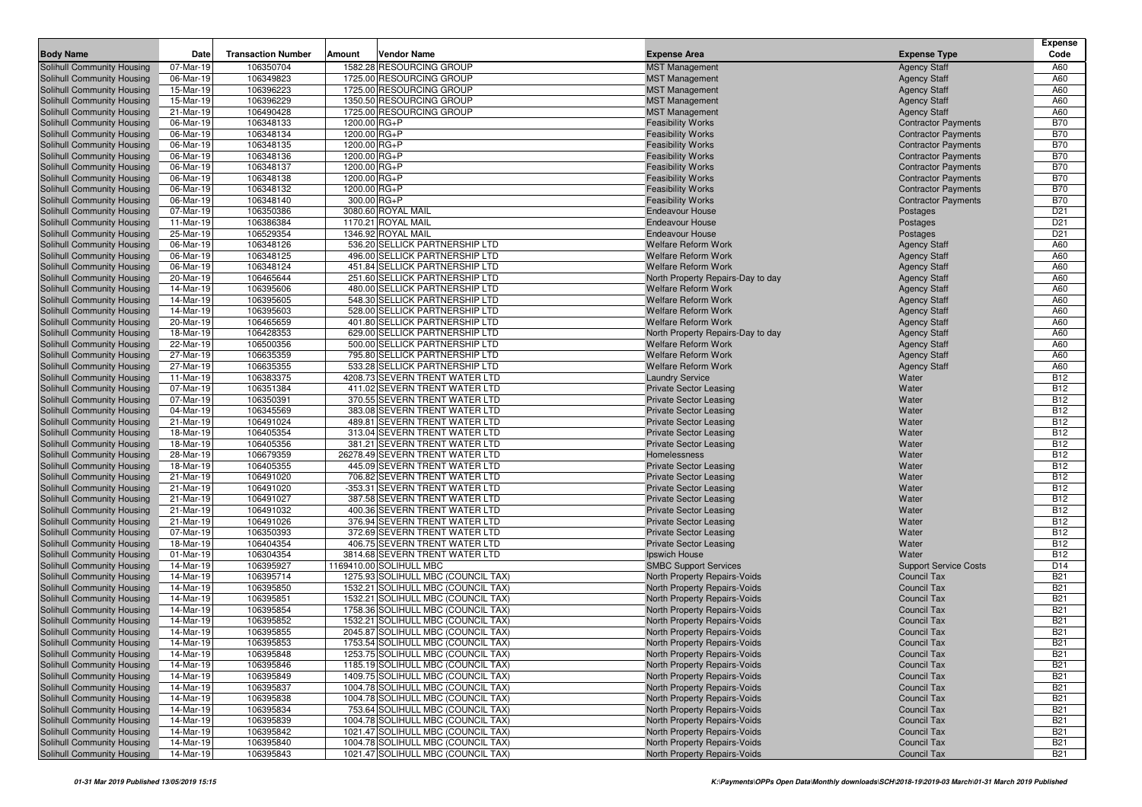| <b>Body Name</b>                                         | Date                   | <b>Transaction Number</b> | Amount       | Vendor Name                                                    | <b>Expense Area</b>                            | <b>Expense Type</b>          | Expense<br>Code          |
|----------------------------------------------------------|------------------------|---------------------------|--------------|----------------------------------------------------------------|------------------------------------------------|------------------------------|--------------------------|
| Solihull Community Housing                               | 07-Mar-19              | 106350704                 |              | 1582.28 RESOURCING GROUP                                       | <b>MST Management</b>                          | <b>Agency Staff</b>          | A60                      |
| Solihull Community Housing                               | 06-Mar-19              | 106349823                 |              | 1725.00 RESOURCING GROUP                                       | <b>MST Management</b>                          | <b>Agency Staff</b>          | A60                      |
| Solihull Community Housing                               | 15-Mar-19              | 106396223                 |              | 1725.00 RESOURCING GROUP                                       | <b>MST Management</b>                          | <b>Agency Staff</b>          | A60                      |
| Solihull Community Housing                               | 15-Mar-19              | 106396229                 |              | 1350.50 RESOURCING GROUP                                       | <b>MST Management</b>                          | <b>Agency Staff</b>          | A60                      |
| Solihull Community Housing                               | 21-Mar-19              | 106490428                 |              | 1725.00 RESOURCING GROUP                                       | <b>MST Management</b>                          | <b>Agency Staff</b>          | A60                      |
| Solihull Community Housing                               | 06-Mar-19              | 106348133                 | 1200.00 RG+P |                                                                | <b>Feasibility Works</b>                       | <b>Contractor Payments</b>   | <b>B70</b>               |
| Solihull Community Housing                               | 06-Mar-19              | 106348134                 | 1200.00 RG+P |                                                                | <b>Feasibility Works</b>                       | <b>Contractor Payments</b>   | <b>B70</b>               |
| Solihull Community Housing                               | 06-Mar-19              | 106348135                 | 1200.00 RG+P |                                                                | <b>Feasibility Works</b>                       | <b>Contractor Payments</b>   | <b>B70</b>               |
| Solihull Community Housing                               | 06-Mar-19              | 106348136                 | 1200.00 RG+P |                                                                | <b>Feasibility Works</b>                       | <b>Contractor Payments</b>   | <b>B70</b>               |
| Solihull Community Housing                               | 06-Mar-19              | 106348137                 | 1200.00 RG+P |                                                                | <b>Feasibility Works</b>                       | <b>Contractor Payments</b>   | <b>B70</b>               |
| Solihull Community Housing                               | 06-Mar-19              | 106348138                 | 1200.00 RG+P |                                                                | <b>Feasibility Works</b>                       | <b>Contractor Payments</b>   | <b>B70</b>               |
| Solihull Community Housing                               | 06-Mar-19              | 106348132                 | 1200.00 RG+P |                                                                | <b>Feasibility Works</b>                       | <b>Contractor Payments</b>   | <b>B70</b>               |
| Solihull Community Housing                               | 06-Mar-19              | 106348140                 |              | 300.00 RG+P                                                    | <b>Feasibility Works</b>                       | <b>Contractor Payments</b>   | <b>B70</b>               |
| Solihull Community Housing                               | 07-Mar-19              | 106350386                 |              | 3080.60 ROYAL MAIL                                             | <b>Endeavour House</b>                         | Postages                     | D <sub>21</sub>          |
| Solihull Community Housing                               | 11-Mar-19              | 106386384                 |              | 1170.21 ROYAL MAIL                                             | <b>Endeavour House</b>                         | Postages                     | D <sub>21</sub>          |
| Solihull Community Housing                               | 25-Mar-19              | 106529354                 |              | 1346.92 ROYAL MAIL                                             | <b>Endeavour House</b>                         | Postages                     | D <sub>21</sub>          |
| Solihull Community Housing                               | 06-Mar-19              | 106348126                 |              | 536.20 SELLICK PARTNERSHIP LTD                                 | <b>Welfare Reform Work</b>                     | <b>Agency Staff</b>          | A60                      |
| Solihull Community Housing                               | 06-Mar-19              | 106348125                 |              | 496.00 SELLICK PARTNERSHIP LTD                                 | <b>Welfare Reform Work</b>                     | <b>Agency Staff</b>          | A60                      |
| Solihull Community Housing                               | 06-Mar-19              | 106348124                 |              | 451.84 SELLICK PARTNERSHIP LTD                                 | <b>Welfare Reform Work</b>                     | <b>Agency Staff</b>          | A60                      |
| Solihull Community Housing                               | 20-Mar-19              | 106465644                 |              | 251.60 SELLICK PARTNERSHIP LTD                                 | North Property Repairs-Day to day              | <b>Agency Staff</b>          | A60                      |
| Solihull Community Housing                               | 14-Mar-19              | 106395606                 |              | 480.00 SELLICK PARTNERSHIP LTD                                 | <b>Welfare Reform Work</b>                     | <b>Agency Staff</b>          | A60                      |
| Solihull Community Housing                               | 14-Mar-19              | 106395605                 |              | 548.30 SELLICK PARTNERSHIP LTD                                 | Welfare Reform Work                            | <b>Agency Staff</b>          | A60                      |
| Solihull Community Housing                               | 14-Mar-19              | 106395603                 |              | 528.00 SELLICK PARTNERSHIP LTD                                 | <b>Welfare Reform Work</b>                     | <b>Agency Staff</b>          | A60                      |
| Solihull Community Housing                               | 20-Mar-19              | 106465659                 |              | 401.80 SELLICK PARTNERSHIP LTD                                 | <b>Welfare Reform Work</b>                     | <b>Agency Staff</b>          | A60                      |
| Solihull Community Housing                               | 18-Mar-19              | 106428353                 |              | 629.00 SELLICK PARTNERSHIP LTD                                 | North Property Repairs-Day to day              | <b>Agency Staff</b>          | A60                      |
| Solihull Community Housing                               | 22-Mar-19              | 106500356                 |              | 500.00 SELLICK PARTNERSHIP LTD                                 | <b>Welfare Reform Work</b>                     | <b>Agency Staff</b>          | A60                      |
| Solihull Community Housing                               | 27-Mar-19              | 106635359                 |              | 795.80 SELLICK PARTNERSHIP LTD                                 | <b>Welfare Reform Work</b>                     | <b>Agency Staff</b>          | A60                      |
| Solihull Community Housing                               | 27-Mar-19              | 106635355                 |              | 533.28 SELLICK PARTNERSHIP LTD                                 | <b>Welfare Reform Work</b>                     | <b>Agency Staff</b>          | A60                      |
| Solihull Community Housing                               | 11-Mar-19              | 106383375                 |              | 4208.73 SEVERN TRENT WATER LTD                                 | <b>Laundry Service</b>                         | Water                        | <b>B12</b>               |
| Solihull Community Housing                               | 07-Mar-19              | 106351384                 |              | 411.02 SEVERN TRENT WATER LTD                                  | <b>Private Sector Leasing</b>                  | Water                        | <b>B12</b>               |
| Solihull Community Housing                               | 07-Mar-19              | 106350391                 |              | 370.55 SEVERN TRENT WATER LTD                                  | <b>Private Sector Leasing</b>                  | Water                        | <b>B12</b>               |
| Solihull Community Housing                               | 04-Mar-19              | 106345569                 |              | 383.08 SEVERN TRENT WATER LTD                                  | <b>Private Sector Leasing</b>                  | Water                        | <b>B12</b>               |
| Solihull Community Housing                               | 21-Mar-19              | 106491024                 |              | 489.81 SEVERN TRENT WATER LTD                                  | <b>Private Sector Leasing</b>                  | Water                        | <b>B12</b>               |
| Solihull Community Housing                               | 18-Mar-19              | 106405354                 |              | 313.04 SEVERN TRENT WATER LTD                                  | <b>Private Sector Leasing</b>                  | Water                        | <b>B12</b>               |
| Solihull Community Housing                               | 18-Mar-19              | 106405356                 |              | 381.21 SEVERN TRENT WATER LTD                                  | <b>Private Sector Leasing</b>                  | Water                        | <b>B12</b>               |
| Solihull Community Housing                               | 28-Mar-19              | 106679359                 |              | 26278.49 SEVERN TRENT WATER LTD                                | Homelessness                                   | Water                        | <b>B12</b>               |
| Solihull Community Housing                               | 18-Mar-19              | 106405355                 |              | 445.09 SEVERN TRENT WATER LTD                                  | <b>Private Sector Leasing</b>                  | Water                        | <b>B12</b>               |
| Solihull Community Housing                               | 21-Mar-19              | 106491020                 |              | 706.82 SEVERN TRENT WATER LTD                                  | <b>Private Sector Leasing</b>                  | Water                        | <b>B12</b>               |
| Solihull Community Housing                               | 21-Mar-19              | 106491020                 |              | -353.31 SEVERN TRENT WATER LTD                                 | <b>Private Sector Leasing</b>                  | Water                        | <b>B12</b>               |
| Solihull Community Housing                               | 21-Mar-19              | 106491027                 |              | 387.58 SEVERN TRENT WATER LTD                                  | <b>Private Sector Leasing</b>                  | Water                        | <b>B12</b>               |
| Solihull Community Housing                               | 21-Mar-19              | 106491032                 |              | 400.36 SEVERN TRENT WATER LTD                                  | <b>Private Sector Leasing</b>                  | Water                        | <b>B12</b>               |
| Solihull Community Housing                               | 21-Mar-19              | 106491026                 |              | 376.94 SEVERN TRENT WATER LTD                                  | <b>Private Sector Leasing</b>                  | Water                        | <b>B12</b><br><b>B12</b> |
| Solihull Community Housing                               | 07-Mar-19              | 106350393                 |              | 372.69 SEVERN TRENT WATER LTD<br>406.75 SEVERN TRENT WATER LTD | <b>Private Sector Leasing</b>                  | Water<br>Water               | <b>B12</b>               |
| Solihull Community Housing<br>Solihull Community Housing | 18-Mar-19<br>01-Mar-19 | 106404354<br>106304354    |              | 3814.68 SEVERN TRENT WATER LTD                                 | <b>Private Sector Leasing</b><br>Ipswich House | Water                        | <b>B12</b>               |
| Solihull Community Housing                               | 14-Mar-19              | 106395927                 |              | 1169410.00 SOLIHULL MBC                                        | <b>SMBC Support Services</b>                   | <b>Support Service Costs</b> | D <sub>14</sub>          |
| Solihull Community Housing                               | 14-Mar-19              | 106395714                 |              | 1275.93 SOLIHULL MBC (COUNCIL TAX)                             | North Property Repairs-Voids                   | Council Tax                  | <b>B21</b>               |
| Solihull Community Housing                               | 14-Mar-19              | 106395850                 |              | 1532.21 SOLIHULL MBC (COUNCIL TAX)                             | North Property Repairs-Voids                   | <b>Council Tax</b>           | <b>B21</b>               |
| Solihull Community Housing                               | 14-Mar-19              | 106395851                 |              | 1532.21 SOLIHULL MBC (COUNCIL TAX)                             | <b>North Property Repairs-Voids</b>            | Council Tax                  | <b>B21</b>               |
| Solihull Community Housing                               | 14-Mar-19              | 106395854                 |              | 1758.36 SOLIHULL MBC (COUNCIL TAX)                             | North Property Repairs-Voids                   | <b>Council Tax</b>           | <b>B21</b>               |
| Solihull Community Housing                               | 14-Mar-19              | 106395852                 |              | 1532.21 SOLIHULL MBC (COUNCIL TAX)                             | North Property Repairs-Voids                   | Council Tax                  | <b>B21</b>               |
| Solihull Community Housing                               | 14-Mar-19              | 106395855                 |              | 2045.87 SOLIHULL MBC (COUNCIL TAX)                             | North Property Repairs-Voids                   | <b>Council Tax</b>           | <b>B21</b>               |
| Solihull Community Housing                               | 14-Mar-19              | 106395853                 |              | 1753.54 SOLIHULL MBC (COUNCIL TAX)                             | North Property Repairs-Voids                   | <b>Council Tax</b>           | <b>B21</b>               |
| Solihull Community Housing                               | 14-Mar-19              | 106395848                 |              | 1253.75 SOLIHULL MBC (COUNCIL TAX)                             | North Property Repairs-Voids                   | Council Tax                  | <b>B21</b>               |
| Solihull Community Housing                               | 14-Mar-19              | 106395846                 |              | 1185.19 SOLIHULL MBC (COUNCIL TAX)                             | North Property Repairs-Voids                   | Council Tax                  | <b>B21</b>               |
| Solihull Community Housing                               | 14-Mar-19              | 106395849                 |              | 1409.75 SOLIHULL MBC (COUNCIL TAX)                             | North Property Repairs-Voids                   | Council Tax                  | <b>B21</b>               |
| Solihull Community Housing                               | 14-Mar-19              | 106395837                 |              | 1004.78 SOLIHULL MBC (COUNCIL TAX)                             | North Property Repairs-Voids                   | Council Tax                  | <b>B21</b>               |
| Solihull Community Housing                               | 14-Mar-19              | 106395838                 |              | 1004.78 SOLIHULL MBC (COUNCIL TAX)                             | North Property Repairs-Voids                   | Council Tax                  | <b>B21</b>               |
| Solihull Community Housing                               | 14-Mar-19              | 106395834                 |              | 753.64 SOLIHULL MBC (COUNCIL TAX)                              | North Property Repairs-Voids                   | Council Tax                  | <b>B21</b>               |
| Solihull Community Housing                               | 14-Mar-19              | 106395839                 |              | 1004.78 SOLIHULL MBC (COUNCIL TAX)                             | North Property Repairs-Voids                   | Council Tax                  | <b>B21</b>               |
| Solihull Community Housing                               | 14-Mar-19              | 106395842                 |              | 1021.47 SOLIHULL MBC (COUNCIL TAX)                             | North Property Repairs-Voids                   | Council Tax                  | <b>B21</b>               |
| Solihull Community Housing                               | 14-Mar-19              | 106395840                 |              | 1004.78 SOLIHULL MBC (COUNCIL TAX)                             | North Property Repairs-Voids                   | Council Tax                  | <b>B21</b>               |
| Solihull Community Housing                               | 14-Mar-19              | 106395843                 |              | 1021.47 SOLIHULL MBC (COUNCIL TAX)                             | North Property Repairs-Voids                   | Council Tax                  | <b>B21</b>               |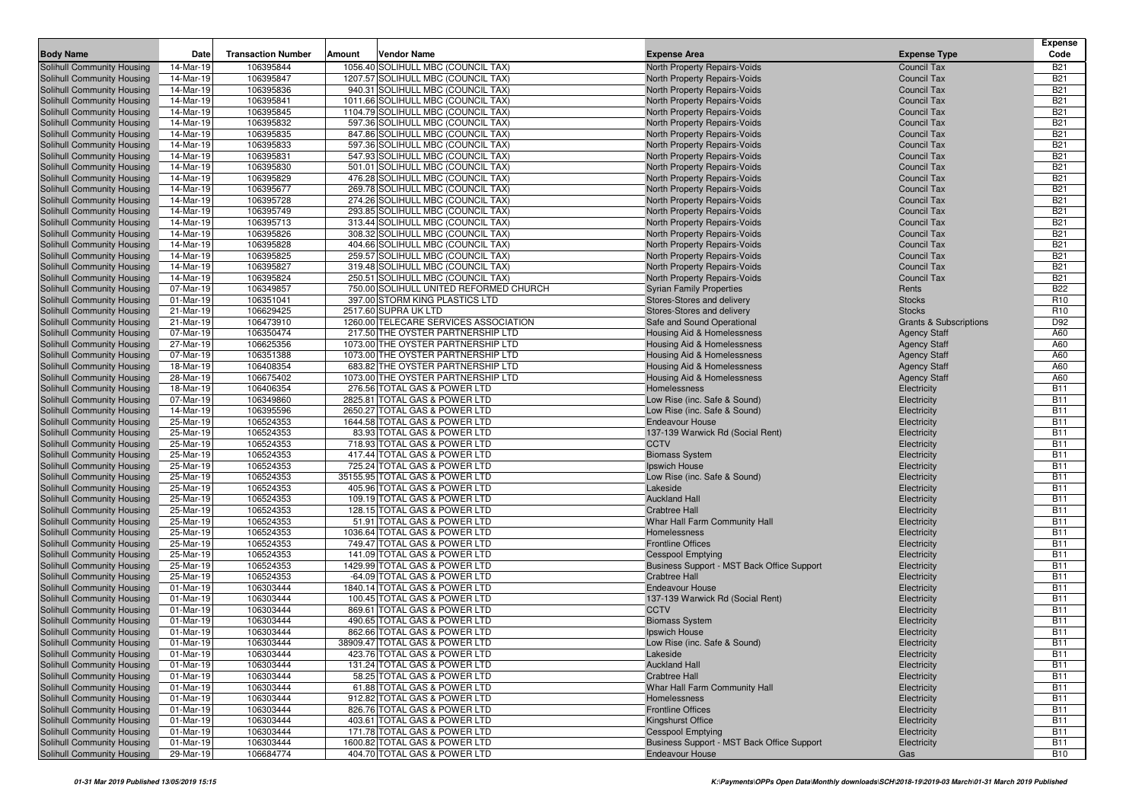|                                                          |                        |                           |                                                                        |                                        |                                                              |     |                                          | <b>Expense</b>           |
|----------------------------------------------------------|------------------------|---------------------------|------------------------------------------------------------------------|----------------------------------------|--------------------------------------------------------------|-----|------------------------------------------|--------------------------|
| <b>Body Name</b>                                         | Date                   | <b>Transaction Number</b> | Vendor Name<br>Amount                                                  |                                        | <b>Expense Area</b>                                          |     | <b>Expense Type</b>                      | Code                     |
| Solihull Community Housing                               | 14-Mar-19              | 106395844                 | 1056.40 SOLIHULL MBC (COUNCIL TAX)                                     |                                        | North Property Repairs-Voids                                 |     | Council Tax                              | <b>B21</b>               |
| Solihull Community Housing                               | 14-Mar-19              | 106395847                 | 1207.57 SOLIHULL MBC (COUNCIL TAX)                                     |                                        | <b>North Property Repairs-Voids</b>                          |     | <b>Council Tax</b>                       | <b>B21</b>               |
| Solihull Community Housing                               | 14-Mar-19              | 106395836                 | 940.31 SOLIHULL MBC (COUNCIL TAX)                                      |                                        | North Property Repairs-Voids                                 |     | <b>Council Tax</b>                       | <b>B21</b>               |
| Solihull Community Housing                               | 14-Mar-19              | 106395841                 | 1011.66 SOLIHULL MBC (COUNCIL TAX)                                     |                                        | North Property Repairs-Voids                                 |     | <b>Council Tax</b>                       | <b>B21</b>               |
| Solihull Community Housing                               | 14-Mar-19              | 106395845                 | 1104.79 SOLIHULL MBC (COUNCIL TAX)                                     |                                        | North Property Repairs-Voids                                 |     | Council Tax                              | <b>B21</b>               |
| Solihull Community Housing                               | 14-Mar-19              | 106395832                 | 597.36 SOLIHULL MBC (COUNCIL TAX)                                      |                                        | North Property Repairs-Voids                                 |     | <b>Council Tax</b>                       | <b>B21</b>               |
| Solihull Community Housing                               | 14-Mar-19              | 106395835                 | 847.86 SOLIHULL MBC (COUNCIL TAX)                                      |                                        | North Property Repairs-Voids                                 |     | <b>Council Tax</b>                       | <b>B21</b>               |
| Solihull Community Housing<br>Solihull Community Housing | 14-Mar-19<br>14-Mar-19 | 106395833<br>106395831    | 597.36 SOLIHULL MBC (COUNCIL TAX)<br>547.93 SOLIHULL MBC (COUNCIL TAX) |                                        | North Property Repairs-Voids                                 |     | <b>Council Tax</b><br><b>Council Tax</b> | <b>B21</b><br><b>B21</b> |
| Solihull Community Housing                               | 14-Mar-19              | 106395830                 | 501.01 SOLIHULL MBC (COUNCIL TAX)                                      |                                        | North Property Repairs-Voids<br>North Property Repairs-Voids |     | <b>Council Tax</b>                       | <b>B21</b>               |
| Solihull Community Housing                               | 14-Mar-19              | 106395829                 | 476.28 SOLIHULL MBC (COUNCIL TAX)                                      |                                        | <b>North Property Repairs-Voids</b>                          |     | <b>Council Tax</b>                       | <b>B21</b>               |
| Solihull Community Housing                               | 14-Mar-19              | 106395677                 | 269.78 SOLIHULL MBC (COUNCIL TAX)                                      |                                        | North Property Repairs-Voids                                 |     | <b>Council Tax</b>                       | <b>B21</b>               |
| Solihull Community Housing                               | 14-Mar-19              | 106395728                 | 274.26 SOLIHULL MBC (COUNCIL TAX)                                      |                                        | North Property Repairs-Voids                                 |     | <b>Council Tax</b>                       | <b>B21</b>               |
| Solihull Community Housing                               | 14-Mar-19              | 106395749                 | 293.85 SOLIHULL MBC (COUNCIL TAX)                                      |                                        | <b>North Property Repairs-Voids</b>                          |     | <b>Council Tax</b>                       | <b>B21</b>               |
| Solihull Community Housing                               | 14-Mar-19              | 106395713                 | 313.44 SOLIHULL MBC (COUNCIL TAX)                                      |                                        | North Property Repairs-Voids                                 |     | <b>Council Tax</b>                       | <b>B21</b>               |
| <b>Solihull Community Housing</b>                        | 14-Mar-19              | 106395826                 | 308.32 SOLIHULL MBC (COUNCIL TAX)                                      |                                        | North Property Repairs-Voids                                 |     | Council Tax                              | <b>B21</b>               |
| Solihull Community Housing                               | 14-Mar-19              | 106395828                 | 404.66 SOLIHULL MBC (COUNCIL TAX)                                      |                                        | North Property Repairs-Voids                                 |     | <b>Council Tax</b>                       | <b>B21</b>               |
| Solihull Community Housing                               | 14-Mar-19              | 106395825                 | 259.57 SOLIHULL MBC (COUNCIL TAX)                                      |                                        | North Property Repairs-Voids                                 |     | <b>Council Tax</b>                       | <b>B21</b>               |
| Solihull Community Housing                               | 14-Mar-19              | 106395827                 | 319.48 SOLIHULL MBC (COUNCIL TAX)                                      |                                        | North Property Repairs-Voids                                 |     | <b>Council Tax</b>                       | <b>B21</b>               |
| Solihull Community Housing                               | 14-Mar-19              | 106395824                 | 250.51 SOLIHULL MBC (COUNCIL TAX)                                      |                                        | North Property Repairs-Voids                                 |     | Council Tax                              | <b>B21</b>               |
| Solihull Community Housing                               | 07-Mar-19              | 106349857                 |                                                                        | 750.00 SOLIHULL UNITED REFORMED CHURCH | <b>Syrian Family Properties</b>                              |     | Rents                                    | <b>B22</b>               |
| Solihull Community Housing                               | 01-Mar-19              | 106351041                 | 397.00 STORM KING PLASTICS LTD                                         |                                        | Stores-Stores and delivery                                   |     | <b>Stocks</b>                            | R <sub>10</sub>          |
| Solihull Community Housing                               | 21-Mar-19              | 106629425                 | 2517.60 SUPRA UK LTD                                                   |                                        | Stores-Stores and delivery                                   |     | <b>Stocks</b>                            | R <sub>10</sub>          |
| Solihull Community Housing                               | 21-Mar-19              | 106473910                 |                                                                        | 1260.00 TELECARE SERVICES ASSOCIATION  | Safe and Sound Operational                                   |     | <b>Grants &amp; Subscriptions</b>        | D92                      |
| <b>Solihull Community Housing</b>                        | 07-Mar-19              | 106350474                 |                                                                        | 217.50 THE OYSTER PARTNERSHIP LTD      | Housing Aid & Homelessness                                   |     | <b>Agency Staff</b>                      | A60                      |
| Solihull Community Housing                               | 27-Mar-19              | 106625356                 |                                                                        | 1073.00 THE OYSTER PARTNERSHIP LTD     | <b>Housing Aid &amp; Homelessness</b>                        |     | <b>Agency Staff</b>                      | A60                      |
| Solihull Community Housing                               | 07-Mar-19              | 106351388                 |                                                                        | 1073.00 THE OYSTER PARTNERSHIP LTD     | Housing Aid & Homelessness                                   |     | <b>Agency Staff</b>                      | A60                      |
| Solihull Community Housing                               | 18-Mar-19              | 106408354                 |                                                                        | 683.82 THE OYSTER PARTNERSHIP LTD      | <b>Housing Aid &amp; Homelessness</b>                        |     | <b>Agency Staff</b>                      | A60                      |
| Solihull Community Housing                               | 28-Mar-19<br>18-Mar-19 | 106675402                 |                                                                        | 1073.00 THE OYSTER PARTNERSHIP LTD     | Housing Aid & Homelessness                                   |     | <b>Agency Staff</b>                      | A60<br><b>B11</b>        |
| Solihull Community Housing                               | 07-Mar-19              | 106406354<br>106349860    | 276.56 TOTAL GAS & POWER LTD<br>2825.81 TOTAL GAS & POWER LTD          |                                        | Homelessness<br>Low Rise (inc. Safe & Sound)                 |     | Electricity<br>Electricity               | <b>B11</b>               |
| Solihull Community Housing<br>Solihull Community Housing | 14-Mar-19              | 106395596                 | 2650.27 TOTAL GAS & POWER LTD                                          |                                        | Low Rise (inc. Safe & Sound)                                 |     | Electricity                              | <b>B11</b>               |
| Solihull Community Housing                               | 25-Mar-19              | 106524353                 | 1644.58 TOTAL GAS & POWER LTD                                          |                                        | <b>Endeavour House</b>                                       |     | Electricity                              | <b>B11</b>               |
| Solihull Community Housing                               | 25-Mar-19              | 106524353                 | 83.93 TOTAL GAS & POWER LTD                                            |                                        | 137-139 Warwick Rd (Social Rent)                             |     | Electricity                              | <b>B11</b>               |
| Solihull Community Housing                               | 25-Mar-19              | 106524353                 | 718.93 TOTAL GAS & POWER LTD                                           |                                        | <b>CCTV</b>                                                  |     | Electricity                              | <b>B11</b>               |
| Solihull Community Housing                               | 25-Mar-19              | 106524353                 | 417.44 TOTAL GAS & POWER LTD                                           |                                        | <b>Biomass System</b>                                        |     | Electricity                              | <b>B11</b>               |
| Solihull Community Housing                               | 25-Mar-19              | 106524353                 | 725.24 TOTAL GAS & POWER LTD                                           |                                        | Ipswich House                                                |     | Electricity                              | <b>B11</b>               |
| Solihull Community Housing                               | 25-Mar-19              | 106524353                 | 35155.95 TOTAL GAS & POWER LTD                                         |                                        | Low Rise (inc. Safe & Sound)                                 |     | Electricity                              | <b>B11</b>               |
| Solihull Community Housing                               | 25-Mar-19              | 106524353                 | 405.96 TOTAL GAS & POWER LTD                                           |                                        | Lakeside                                                     |     | Electricity                              | <b>B11</b>               |
| Solihull Community Housing                               | 25-Mar-19              | 106524353                 | 109.19 TOTAL GAS & POWER LTD                                           |                                        | <b>Auckland Hall</b>                                         |     | Electricity                              | <b>B11</b>               |
| Solihull Community Housing                               | 25-Mar-19              | 106524353                 | 128.15 TOTAL GAS & POWER LTD                                           |                                        | <b>Crabtree Hall</b>                                         |     | Electricity                              | <b>B11</b>               |
| Solihull Community Housing                               | 25-Mar-19              | 106524353                 | 51.91 TOTAL GAS & POWER LTD                                            |                                        | Whar Hall Farm Community Hall                                |     | Electricity                              | <b>B11</b>               |
| Solihull Community Housing                               | 25-Mar-19              | 106524353                 | 1036.64 TOTAL GAS & POWER LTD                                          |                                        | Homelessness                                                 |     | Electricity                              | <b>B11</b>               |
| Solihull Community Housing                               | 25-Mar-19              | 106524353                 | 749.47 TOTAL GAS & POWER LTD                                           |                                        | <b>Frontline Offices</b>                                     |     | Electricity                              | <b>B11</b>               |
| Solihull Community Housing                               | 25-Mar-19              | 106524353                 | 141.09 TOTAL GAS & POWER LTD                                           |                                        | <b>Cesspool Emptying</b>                                     |     | Electricity                              | <b>B11</b>               |
| Solihull Community Housing                               | 25-Mar-19              | 106524353                 | 1429.99 TOTAL GAS & POWER LTD                                          |                                        | Business Support - MST Back Office Support                   |     | Electricity                              | <b>B11</b>               |
| Solihull Community Housing<br>Solihull Community Housing | 25-Mar-19<br>01-Mar-19 | 106524353<br>106303444    | -64.09 TOTAL GAS & POWER LTD                                           |                                        | <b>Crabtree Hall</b>                                         |     | Electricity                              | <b>B11</b><br><b>B11</b> |
| Solihull Community Housing                               | 01-Mar-19              | 106303444                 | 1840.14 TOTAL GAS & POWER LTD<br>100.45 TOTAL GAS & POWER LTD          |                                        | <b>Endeavour House</b><br>137-139 Warwick Rd (Social Rent)   |     | Electricity<br>Electricity               | <b>B11</b>               |
| Solihull Community Housing                               | 01-Mar-19              | 106303444                 | 869.61 TOTAL GAS & POWER LTD                                           |                                        | <b>CCTV</b>                                                  |     | Electricity                              | <b>B11</b>               |
| Solihull Community Housing                               | 01-Mar-19              | 106303444                 | 490.65 TOTAL GAS & POWER LTD                                           |                                        | <b>Biomass System</b>                                        |     | Electricity                              | <b>B11</b>               |
| Solihull Community Housing                               | 01-Mar-19              | 106303444                 | 862.66 TOTAL GAS & POWER LTD                                           |                                        | Ipswich House                                                |     | Electricity                              | <b>B11</b>               |
| Solihull Community Housing                               | 01-Mar-19              | 106303444                 | 38909.47 TOTAL GAS & POWER LTD                                         |                                        | Low Rise (inc. Safe & Sound)                                 |     | Electricity                              | <b>B11</b>               |
| Solihull Community Housing                               | 01-Mar-19              | 106303444                 | 423.76 TOTAL GAS & POWER LTD                                           |                                        | Lakeside                                                     |     | Electricity                              | <b>B11</b>               |
| Solihull Community Housing                               | 01-Mar-19              | 106303444                 | 131.24 TOTAL GAS & POWER LTD                                           |                                        | <b>Auckland Hall</b>                                         |     | Electricity                              | <b>B11</b>               |
| Solihull Community Housing                               | 01-Mar-19              | 106303444                 | 58.25 TOTAL GAS & POWER LTD                                            |                                        | <b>Crabtree Hall</b>                                         |     | Electricity                              | <b>B11</b>               |
| Solihull Community Housing                               | 01-Mar-19              | 106303444                 | 61.88 TOTAL GAS & POWER LTD                                            |                                        | Whar Hall Farm Community Hall                                |     | Electricity                              | <b>B11</b>               |
| Solihull Community Housing                               | 01-Mar-19              | 106303444                 | 912.82 TOTAL GAS & POWER LTD                                           |                                        | Homelessness                                                 |     | Electricity                              | <b>B11</b>               |
| Solihull Community Housing                               | 01-Mar-19              | 106303444                 | 826.76 TOTAL GAS & POWER LTD                                           |                                        | <b>Frontline Offices</b>                                     |     | Electricity                              | <b>B11</b>               |
| Solihull Community Housing                               | 01-Mar-19              | 106303444                 | 403.61 TOTAL GAS & POWER LTD                                           |                                        | Kingshurst Office                                            |     | Electricity                              | <b>B11</b>               |
| Solihull Community Housing                               | 01-Mar-19              | 106303444                 | 171.78 TOTAL GAS & POWER LTD                                           |                                        | <b>Cesspool Emptying</b>                                     |     | Electricity                              | <b>B11</b>               |
| Solihull Community Housing                               | 01-Mar-19              | 106303444                 | 1600.82 TOTAL GAS & POWER LTD                                          |                                        | Business Support - MST Back Office Support                   |     | Electricity                              | <b>B11</b>               |
| Solihull Community Housing                               | 29-Mar-19              | 106684774                 | 404.70 TOTAL GAS & POWER LTD                                           |                                        | Endeavour House                                              | Gas |                                          | <b>B10</b>               |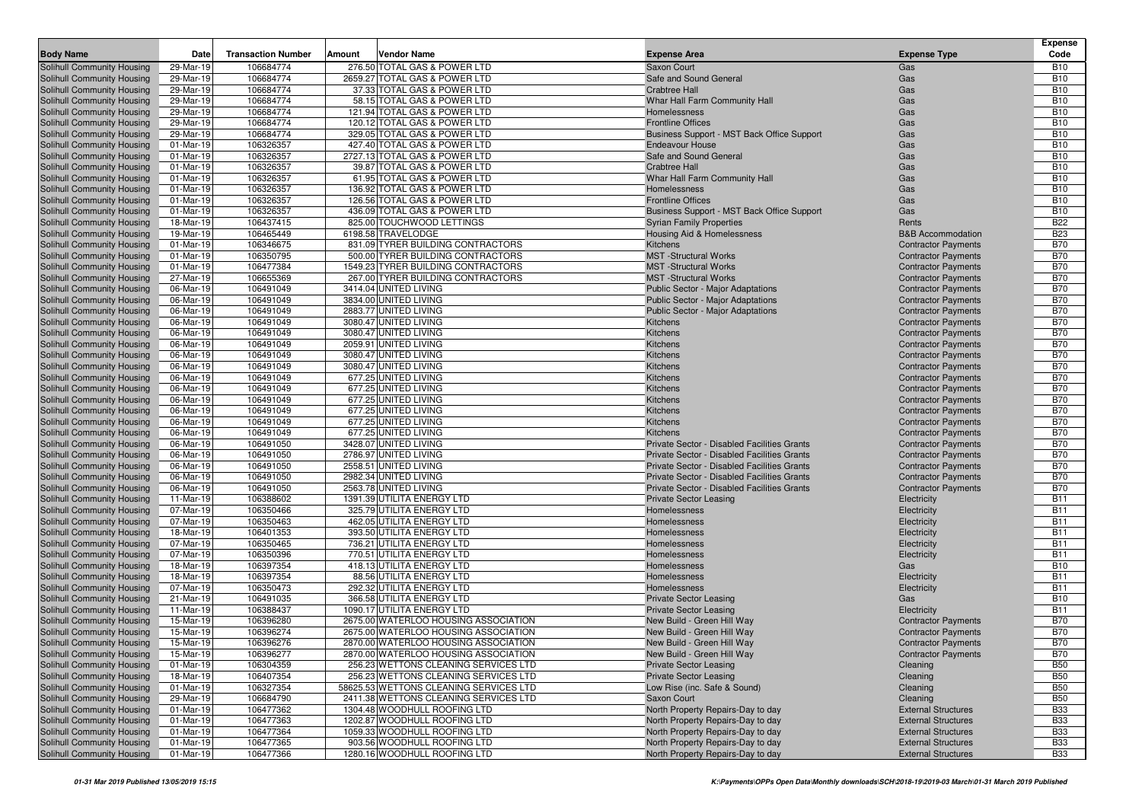| <b>Body Name</b>                                         | Date                   | <b>Transaction Number</b> | Amount | <b>Vendor Name</b>                           | <b>Expense Area</b>                         | <b>Expense Type</b>                                      | <b>Expense</b><br>Code   |
|----------------------------------------------------------|------------------------|---------------------------|--------|----------------------------------------------|---------------------------------------------|----------------------------------------------------------|--------------------------|
| Solihull Community Housing                               | 29-Mar-19              | 106684774                 |        | 276.50 TOTAL GAS & POWER LTD                 | Saxon Court                                 | Gas                                                      | <b>B10</b>               |
| Solihull Community Housing                               | 29-Mar-19              | 106684774                 |        | 2659.27 TOTAL GAS & POWER LTD                | Safe and Sound General                      | Gas                                                      | <b>B10</b>               |
| Solihull Community Housing                               | 29-Mar-19              | 106684774                 |        | 37.33 TOTAL GAS & POWER LTD                  | <b>Crabtree Hall</b>                        | Gas                                                      | <b>B10</b>               |
| Solihull Community Housing                               | 29-Mar-19              | 106684774                 |        | 58.15 TOTAL GAS & POWER LTD                  | Whar Hall Farm Community Hall               | Gas                                                      | <b>B10</b>               |
| Solihull Community Housing                               | 29-Mar-19              | 106684774                 |        | 121.94 TOTAL GAS & POWER LTD                 | Homelessness                                | Gas                                                      | <b>B10</b>               |
| Solihull Community Housing                               | 29-Mar-19              | 106684774                 |        | 120.12 TOTAL GAS & POWER LTD                 | <b>Frontline Offices</b>                    | Gas                                                      | <b>B10</b>               |
| Solihull Community Housing                               | 29-Mar-19              | 106684774                 |        | 329.05 TOTAL GAS & POWER LTD                 | Business Support - MST Back Office Support  | Gas                                                      | <b>B10</b>               |
| Solihull Community Housing                               | 01-Mar-19              | 106326357                 |        | 427.40 TOTAL GAS & POWER LTD                 | <b>Endeavour House</b>                      | Gas                                                      | <b>B10</b>               |
| Solihull Community Housing                               | 01-Mar-19              | 106326357                 |        | 2727.13 TOTAL GAS & POWER LTD                | Safe and Sound General                      | Gas                                                      | <b>B10</b>               |
| Solihull Community Housing                               | 01-Mar-19              | 106326357                 |        | 39.87 TOTAL GAS & POWER LTD                  | <b>Crabtree Hall</b>                        | Gas                                                      | <b>B10</b>               |
| Solihull Community Housing                               | 01-Mar-19              | 106326357                 |        | 61.95 TOTAL GAS & POWER LTD                  | Whar Hall Farm Community Hall               | Gas                                                      | <b>B10</b>               |
| Solihull Community Housing                               | 01-Mar-19              | 106326357                 |        | 136.92 TOTAL GAS & POWER LTD                 | <b>Homelessness</b>                         | Gas                                                      | <b>B10</b>               |
| Solihull Community Housing                               | 01-Mar-19              | 106326357                 |        | 126.56 TOTAL GAS & POWER LTD                 | <b>Frontline Offices</b>                    | Gas                                                      | <b>B10</b>               |
| Solihull Community Housing                               | 01-Mar-19              | 106326357                 |        | 436.09 TOTAL GAS & POWER LTD                 | Business Support - MST Back Office Support  | Gas                                                      | <b>B10</b>               |
| Solihull Community Housing                               | 18-Mar-19              | 106437415                 |        | 825.00 TOUCHWOOD LETTINGS                    | <b>Syrian Family Properties</b>             | Rents                                                    | <b>B22</b>               |
| Solihull Community Housing                               | 19-Mar-19              | 106465449                 |        | 6198.58 TRAVELODGE                           | Housing Aid & Homelessness                  | <b>B&amp;B</b> Accommodation                             | <b>B23</b>               |
| Solihull Community Housing                               | 01-Mar-19              | 106346675                 |        | 831.09 TYRER BUILDING CONTRACTORS            | Kitchens                                    | <b>Contractor Payments</b>                               | <b>B70</b>               |
| Solihull Community Housing                               | 01-Mar-19              | 106350795                 |        | 500.00 TYRER BUILDING CONTRACTORS            | <b>MST</b> -Structural Works                | <b>Contractor Payments</b>                               | <b>B70</b>               |
| Solihull Community Housing                               | 01-Mar-19              | 106477384                 |        | 1549.23 TYRER BUILDING CONTRACTORS           | <b>MST</b> -Structural Works                | <b>Contractor Payments</b>                               | <b>B70</b>               |
| Solihull Community Housing                               | 27-Mar-19              | 106655369                 |        | 267.00 TYRER BUILDING CONTRACTORS            | <b>MST</b> -Structural Works                | <b>Contractor Payments</b>                               | <b>B70</b>               |
| Solihull Community Housing                               | 06-Mar-19              | 106491049                 |        | 3414.04 UNITED LIVING                        | Public Sector - Major Adaptations           | <b>Contractor Payments</b>                               | <b>B70</b>               |
| Solihull Community Housing                               | 06-Mar-19              | 106491049                 |        | 3834.00 UNITED LIVING                        | Public Sector - Major Adaptations           | <b>Contractor Payments</b>                               | <b>B70</b>               |
| Solihull Community Housing                               | 06-Mar-19              | 106491049                 |        | 2883.77 UNITED LIVING                        | <b>Public Sector - Major Adaptations</b>    | <b>Contractor Payments</b>                               | <b>B70</b>               |
| Solihull Community Housing                               | 06-Mar-19              | 106491049                 |        | 3080.47 UNITED LIVING                        | Kitchens                                    | <b>Contractor Payments</b>                               | <b>B70</b>               |
| Solihull Community Housing                               | 06-Mar-19              | 106491049                 |        | 3080.47 UNITED LIVING                        | Kitchens                                    | <b>Contractor Payments</b>                               | <b>B70</b>               |
| Solihull Community Housing                               | 06-Mar-19              | 106491049                 |        | 2059.91 UNITED LIVING                        | Kitchens                                    | <b>Contractor Payments</b>                               | <b>B70</b>               |
| Solihull Community Housing                               | 06-Mar-19              | 106491049                 |        | 3080.47 UNITED LIVING                        | Kitchens                                    | <b>Contractor Payments</b>                               | <b>B70</b>               |
| Solihull Community Housing                               | 06-Mar-19              | 106491049                 |        | 3080.47 UNITED LIVING                        | Kitchens                                    | <b>Contractor Payments</b>                               | <b>B70</b>               |
| Solihull Community Housing                               | 06-Mar-19              | 106491049                 |        | 677.25 UNITED LIVING                         | Kitchens                                    | <b>Contractor Payments</b>                               | <b>B70</b>               |
| Solihull Community Housing                               | 06-Mar-19              | 106491049                 |        | 677.25 UNITED LIVING                         | Kitchens                                    | <b>Contractor Payments</b>                               | <b>B70</b>               |
| Solihull Community Housing                               | 06-Mar-19              | 106491049                 |        | 677.25 UNITED LIVING                         | Kitchens                                    | <b>Contractor Payments</b>                               | <b>B70</b>               |
| Solihull Community Housing                               | 06-Mar-19              | 106491049<br>106491049    |        | 677.25 UNITED LIVING                         | Kitchens                                    | <b>Contractor Payments</b>                               | <b>B70</b>               |
| Solihull Community Housing                               | 06-Mar-19<br>06-Mar-19 | 106491049                 |        | 677.25 UNITED LIVING<br>677.25 UNITED LIVING | Kitchens<br>Kitchens                        | <b>Contractor Payments</b>                               | <b>B70</b><br><b>B70</b> |
| Solihull Community Housing<br>Solihull Community Housing | 06-Mar-19              | 106491050                 |        | 3428.07 UNITED LIVING                        | Private Sector - Disabled Facilities Grants | <b>Contractor Payments</b><br><b>Contractor Payments</b> | <b>B70</b>               |
| Solihull Community Housing                               | 06-Mar-19              | 106491050                 |        | 2786.97 UNITED LIVING                        | Private Sector - Disabled Facilities Grants | <b>Contractor Payments</b>                               | <b>B70</b>               |
| Solihull Community Housing                               | 06-Mar-19              | 106491050                 |        | 2558.51 UNITED LIVING                        | Private Sector - Disabled Facilities Grants | <b>Contractor Payments</b>                               | <b>B70</b>               |
| Solihull Community Housing                               | 06-Mar-19              | 106491050                 |        | 2982.34 UNITED LIVING                        | Private Sector - Disabled Facilities Grants | <b>Contractor Payments</b>                               | <b>B70</b>               |
| Solihull Community Housing                               | 06-Mar-19              | 106491050                 |        | 2563.78 UNITED LIVING                        | Private Sector - Disabled Facilities Grants | <b>Contractor Payments</b>                               | <b>B70</b>               |
| Solihull Community Housing                               | 11-Mar-19              | 106388602                 |        | 1391.39 UTILITA ENERGY LTD                   | <b>Private Sector Leasing</b>               | Electricity                                              | <b>B11</b>               |
| Solihull Community Housing                               | 07-Mar-19              | 106350466                 |        | 325.79 UTILITA ENERGY LTD                    | Homelessness                                | Electricity                                              | <b>B11</b>               |
| Solihull Community Housing                               | 07-Mar-19              | 106350463                 |        | 462.05 UTILITA ENERGY LTD                    | Homelessness                                | Electricity                                              | <b>B11</b>               |
| Solihull Community Housing                               | 18-Mar-19              | 106401353                 |        | 393.50 UTILITA ENERGY LTD                    | Homelessness                                | Electricity                                              | <b>B11</b>               |
| Solihull Community Housing                               | 07-Mar-19              | 106350465                 |        | 736.21 UTILITA ENERGY LTD                    | Homelessness                                | Electricity                                              | <b>B11</b>               |
| Solihull Community Housing                               | 07-Mar-19              | 106350396                 |        | 770.51 UTILITA ENERGY LTD                    | Homelessness                                | Electricity                                              | <b>B11</b>               |
| Solihull Community Housing                               | 18-Mar-19              | 106397354                 |        | 418.13 UTILITA ENERGY LTD                    | Homelessness                                | Gas                                                      | <b>B10</b>               |
| Solihull Community Housing                               | 18-Mar-19              | 106397354                 |        | 88.56 UTILITA ENERGY LTD                     | Homelessness                                | Electricity                                              | <b>B11</b>               |
| Solihull Community Housing                               | 07-Mar-19              | 106350473                 |        | 292.32 UTILITA ENERGY LTD                    | Homelessness                                | Electricity                                              | <b>B11</b>               |
| Solihull Community Housing                               | 21-Mar-19              | 106491035                 |        | 366.58 UTILITA ENERGY LTD                    | <b>Private Sector Leasing</b>               | Gas                                                      | <b>B10</b>               |
| Solihull Community Housing                               | 11-Mar-19              | 106388437                 |        | 1090.17 UTILITA ENERGY LTD                   | <b>Private Sector Leasing</b>               | Electricity                                              | <b>B11</b>               |
| Solihull Community Housing                               | 15-Mar-19              | 106396280                 |        | 2675.00 WATERLOO HOUSING ASSOCIATION         | New Build - Green Hill Way                  | <b>Contractor Payments</b>                               | <b>B70</b>               |
| Solihull Community Housing                               | 15-Mar-19              | 106396274                 |        | 2675.00 WATERLOO HOUSING ASSOCIATION         | New Build - Green Hill Way                  | <b>Contractor Payments</b>                               | <b>B70</b>               |
| Solihull Community Housing                               | 15-Mar-19              | 106396276                 |        | 2870.00 WATERLOO HOUSING ASSOCIATION         | New Build - Green Hill Way                  | <b>Contractor Payments</b>                               | <b>B70</b>               |
| Solihull Community Housing                               | 15-Mar-19              | 106396277                 |        | 2870.00 WATERLOO HOUSING ASSOCIATION         | New Build - Green Hill Way                  | <b>Contractor Payments</b>                               | <b>B70</b>               |
| Solihull Community Housing                               | 01-Mar-19              | 106304359                 |        | 256.23 WETTONS CLEANING SERVICES LTD         | <b>Private Sector Leasing</b>               | Cleaning                                                 | <b>B50</b>               |
| Solihull Community Housing                               | 18-Mar-19              | 106407354                 |        | 256.23 WETTONS CLEANING SERVICES LTD         | <b>Private Sector Leasing</b>               | Cleaning                                                 | <b>B50</b>               |
| Solihull Community Housing                               | 01-Mar-19              | 106327354                 |        | 58625.53 WETTONS CLEANING SERVICES LTD       | Low Rise (inc. Safe & Sound)                | Cleaning                                                 | <b>B50</b>               |
| Solihull Community Housing                               | 29-Mar-19              | 106684790                 |        | 2411.38 WETTONS CLEANING SERVICES LTD        | Saxon Court                                 | Cleaning                                                 | <b>B50</b>               |
| Solihull Community Housing                               | 01-Mar-19              | 106477362                 |        | 1304.48 WOODHULL ROOFING LTD                 | North Property Repairs-Day to day           | <b>External Structures</b>                               | <b>B33</b>               |
| Solihull Community Housing                               | 01-Mar-19              | 106477363                 |        | 1202.87 WOODHULL ROOFING LTD                 | North Property Repairs-Day to day           | <b>External Structures</b>                               | <b>B33</b>               |
| Solihull Community Housing                               | 01-Mar-19              | 106477364                 |        | 1059.33 WOODHULL ROOFING LTD                 | North Property Repairs-Day to day           | <b>External Structures</b>                               | <b>B33</b>               |
| Solihull Community Housing                               | 01-Mar-19              | 106477365                 |        | 903.56 WOODHULL ROOFING LTD                  | North Property Repairs-Day to day           | <b>External Structures</b>                               | <b>B33</b>               |
| Solihull Community Housing                               | $01-Mar-19$            | 106477366                 |        | 1280.16 WOODHULL ROOFING LTD                 | North Property Repairs-Day to day           | <b>External Structures</b>                               | <b>B33</b>               |